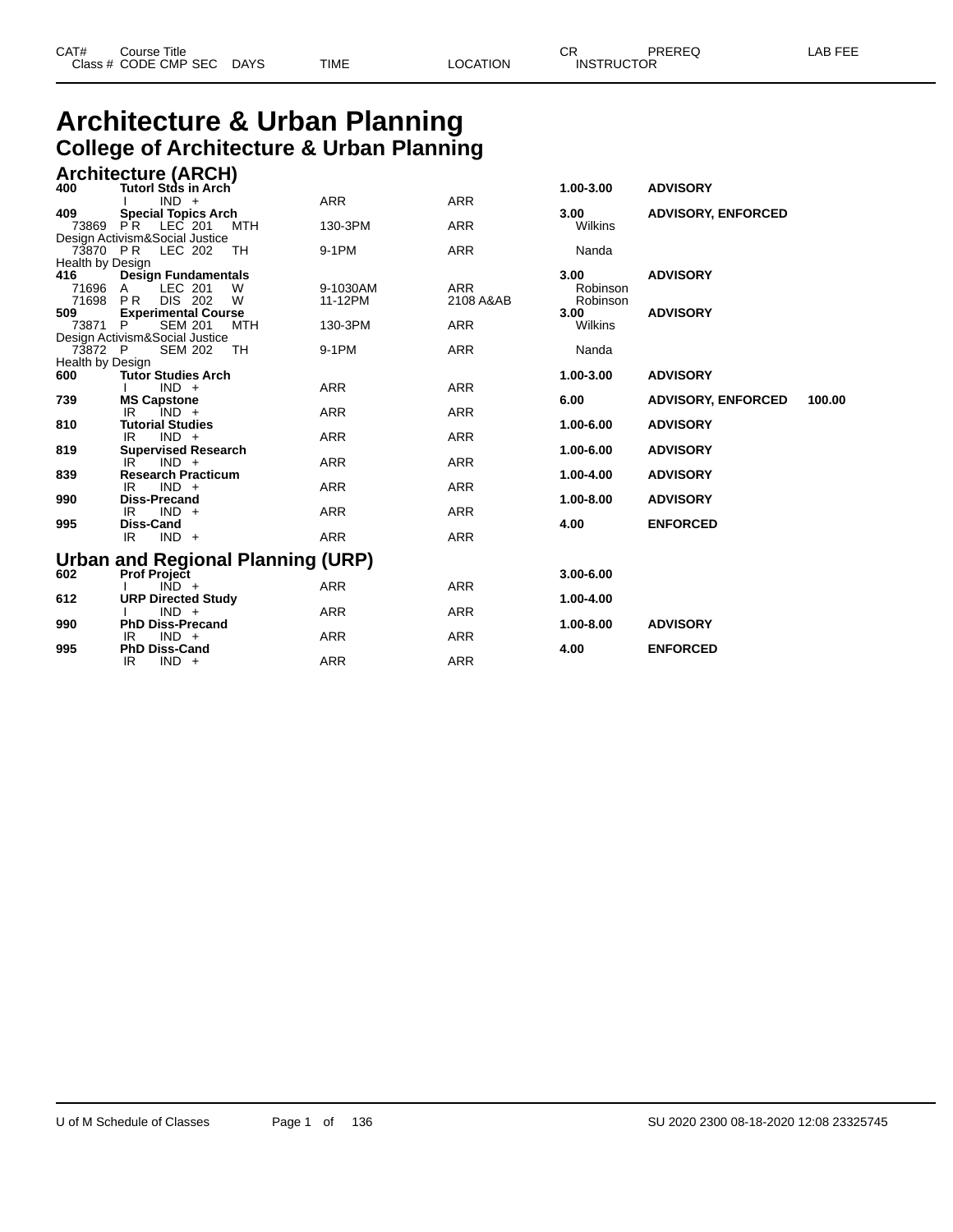#### **Architecture & Urban Planning College of Architecture & Urban Planning Architecture (ARCH)**

|                  | <b>Architecture (ARCH)</b>                                       |            |            |                   |                                    |        |
|------------------|------------------------------------------------------------------|------------|------------|-------------------|------------------------------------|--------|
| 400              | Tutorl Stds in Arch                                              |            |            | 1.00-3.00         | <b>ADVISORY</b>                    |        |
| 409              | $IND +$                                                          | <b>ARR</b> | <b>ARR</b> |                   | <b>ADVISORY, ENFORCED</b>          |        |
| 73869 PR         | <b>Special Topics Arch</b><br>LEC 201<br>MTH                     | 130-3PM    | <b>ARR</b> | 3.00<br>Wilkins   |                                    |        |
|                  | Design Activism&Social Justice                                   |            |            |                   |                                    |        |
| 73870 PR         | LEC 202<br>TH                                                    | 9-1PM      | <b>ARR</b> | Nanda             |                                    |        |
| Health by Design |                                                                  |            |            |                   |                                    |        |
| 416              | <b>Design Fundamentals</b>                                       |            |            | 3.00 <sub>1</sub> | <b>ADVISORY</b>                    |        |
| 71696 A          | LEC 201<br>W                                                     | 9-1030AM   | <b>ARR</b> | Robinson          |                                    |        |
| 71698 PR<br>509  | DIS 202<br>W                                                     | 11-12PM    | 2108 A&AB  | Robinson<br>3.00  | <b>ADVISORY</b>                    |        |
| 73871            | <b>Experimental Course</b><br><b>SEM 201</b><br><b>MTH</b><br>P. | 130-3PM    | <b>ARR</b> | Wilkins           |                                    |        |
|                  | Design Activism&Social Justice                                   |            |            |                   |                                    |        |
| 73872 P          | <b>SEM 202</b><br>TH                                             | 9-1PM      | <b>ARR</b> | Nanda             |                                    |        |
| Health by Design |                                                                  |            |            |                   |                                    |        |
| 600              | <b>Tutor Studies Arch</b>                                        |            |            | 1.00-3.00         | <b>ADVISORY</b>                    |        |
|                  | $IND +$                                                          | <b>ARR</b> | <b>ARR</b> |                   |                                    |        |
| 739              | <b>MS Capstone</b>                                               |            |            | 6.00              | <b>ADVISORY, ENFORCED</b>          | 100.00 |
| 810              | $IND +$<br>IR<br><b>Tutorial Studies</b>                         | <b>ARR</b> | <b>ARR</b> | 1.00-6.00         | <b>ADVISORY</b>                    |        |
|                  | $IND +$<br>IR.                                                   | <b>ARR</b> | <b>ARR</b> |                   |                                    |        |
| 819              | <b>Supervised Research</b>                                       |            |            | 1.00-6.00         | <b>ADVISORY</b>                    |        |
|                  | $IND +$<br>IR                                                    | <b>ARR</b> | <b>ARR</b> |                   |                                    |        |
| 839              | <b>Research Practicum</b>                                        |            |            | 1.00-4.00         | <b>ADVISORY</b>                    |        |
|                  | $IND +$<br>IR                                                    | <b>ARR</b> | <b>ARR</b> |                   |                                    |        |
| 990              | <b>Diss-Precand</b>                                              |            |            | 1.00-8.00         | <b>ADVISORY</b>                    |        |
|                  | $IND +$<br>IR                                                    | <b>ARR</b> | <b>ARR</b> |                   |                                    |        |
| 995              | Diss-Cand<br>$IND +$<br>IR                                       | <b>ARR</b> | <b>ARR</b> | 4.00              | <b>ENFORCED</b>                    |        |
|                  |                                                                  |            |            |                   |                                    |        |
|                  | Urban and Regional Planning (URP)                                |            |            |                   |                                    |        |
| 602              | <b>Prof Project</b>                                              |            |            | $3.00 - 6.00$     |                                    |        |
|                  | $\overline{IND}$ +                                               | <b>ARR</b> | <b>ARR</b> |                   |                                    |        |
| 612              | <b>URP Directed Study</b>                                        |            |            | 1.00-4.00         |                                    |        |
|                  | $IND +$                                                          | <b>ARR</b> | <b>ARR</b> |                   |                                    |        |
|                  |                                                                  |            |            |                   |                                    |        |
|                  |                                                                  |            |            |                   |                                    |        |
|                  | $IND +$<br>IR.                                                   | <b>ARR</b> | <b>ARR</b> |                   |                                    |        |
| 990<br>995       | <b>PhD Diss-Precand</b><br>$IND +$<br>IR<br><b>PhD Diss-Cand</b> | <b>ARR</b> | <b>ARR</b> | 1.00-8.00<br>4.00 | <b>ADVISORY</b><br><b>ENFORCED</b> |        |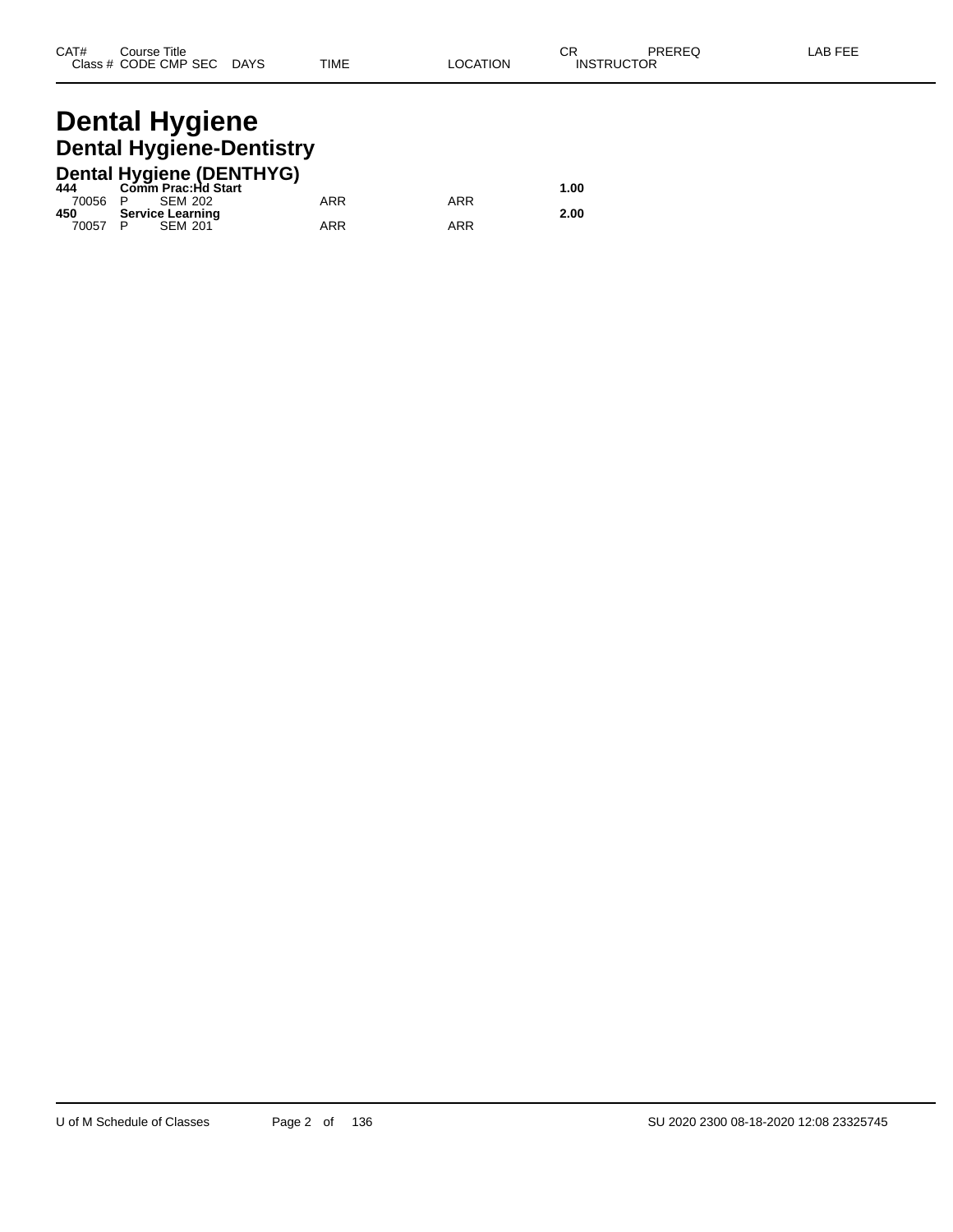# **Dental Hygiene Dental Hygiene-Dentistry**

|         | <b>Dental Hygiene (DENTHYG)</b> |     |     |      |
|---------|---------------------------------|-----|-----|------|
| 444     | Comm Prac:Hd Start              |     |     | 1.00 |
| 70056 P | SEM 202                         | ARR | ARR |      |
| 450     | <b>Service Learning</b>         |     |     | 2.00 |
| 70057 P | <b>SEM 201</b>                  | ARR | ARR |      |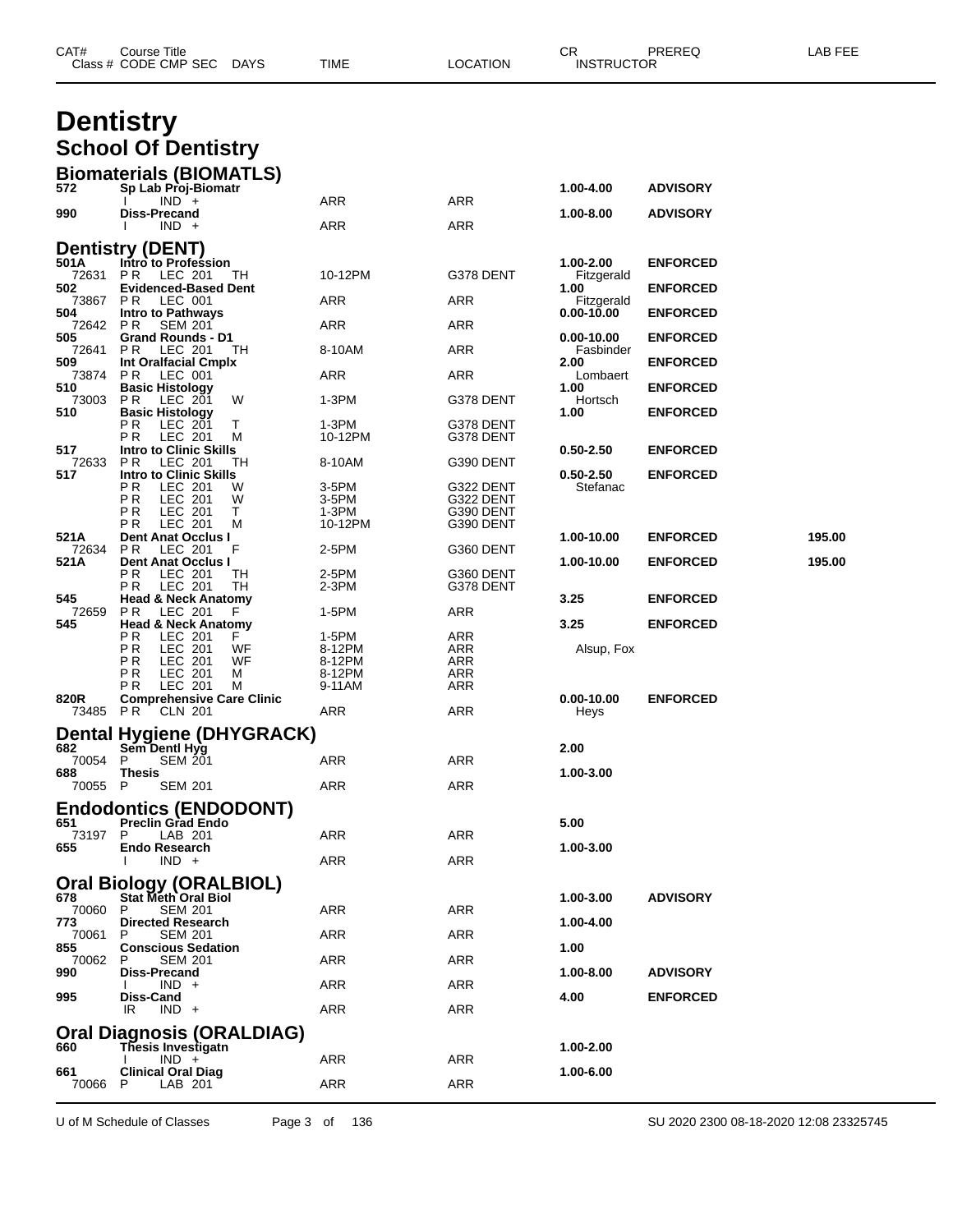|                | Class # CODE CMP SEC<br><b>DAYS</b>                       | TIME               | <b>LOCATION</b>        | <b>INSTRUCTOR</b>        |                 |        |
|----------------|-----------------------------------------------------------|--------------------|------------------------|--------------------------|-----------------|--------|
|                | <b>Dentistry</b>                                          |                    |                        |                          |                 |        |
|                | <b>School Of Dentistry</b>                                |                    |                        |                          |                 |        |
|                |                                                           |                    |                        |                          |                 |        |
| 572            | <b>Biomaterials (BIOMATLS)</b><br>Sp Lab Proj-Biomatr     |                    |                        | 1.00-4.00                | <b>ADVISORY</b> |        |
|                | $IND +$                                                   | ARR                | ARR                    |                          |                 |        |
| 990            | Diss-Precand<br>$IND +$                                   | ARR                | ARR                    | 1.00-8.00                | <b>ADVISORY</b> |        |
|                | <b>Dentistry (DENT)</b>                                   |                    |                        |                          |                 |        |
| 501 A          | Intro to Profession                                       |                    |                        | 1.00-2.00                | <b>ENFORCED</b> |        |
| 72631<br>502   | P R<br>LEC 201<br>TН<br><b>Evidenced-Based Dent</b>       | 10-12PM            | G378 DENT              | Fitzgerald<br>1.00       | <b>ENFORCED</b> |        |
| 73867<br>504   | PR.<br>LEC 001<br><b>Intro to Pathways</b>                | ARR                | ARR                    | Fitzgerald<br>0.00-10.00 | <b>ENFORCED</b> |        |
| 72642<br>505   | P R<br><b>SEM 201</b><br><b>Grand Rounds - D1</b>         | ARR                | ARR                    |                          |                 |        |
| 72641          | P R<br>LEC 201<br>ТH                                      | 8-10AM             | ARR                    | 0.00-10.00<br>Fasbinder  | <b>ENFORCED</b> |        |
| 509<br>73874   | Int Oralfacial Cmplx<br>PR.<br>LEC 001                    | ARR                | ARR                    | 2.00<br>Lombaert         | <b>ENFORCED</b> |        |
| 510<br>73003   | <b>Basic Histology</b><br>P R<br>LEC 201<br>W             | $1-3PM$            | G378 DENT              | 1.00<br>Hortsch          | <b>ENFORCED</b> |        |
| 510            | <b>Basic Histology</b>                                    |                    |                        | 1.00                     | <b>ENFORCED</b> |        |
|                | РR<br>LEC 201<br>т<br>P R<br>LEC 201<br>М                 | $1-3PM$<br>10-12PM | G378 DENT<br>G378 DENT |                          |                 |        |
| 517<br>72633   | <b>Intro to Clinic Skills</b><br>LEC 201<br>P R<br>TН     | 8-10AM             | G390 DENT              | $0.50 - 2.50$            | <b>ENFORCED</b> |        |
| 517            | <b>Intro to Clinic Skills</b>                             |                    |                        | $0.50 - 2.50$            | <b>ENFORCED</b> |        |
|                | P <sub>R</sub><br>LEC 201<br>W<br>ΡR<br>W<br>LEC 201      | 3-5PM<br>3-5PM     | G322 DENT<br>G322 DENT | Stefanac                 |                 |        |
|                | РR<br>LEC 201<br>Τ<br>РR<br>LEC 201<br>м                  | 1-3PM<br>10-12PM   | G390 DENT<br>G390 DENT |                          |                 |        |
| 521A           | <b>Dent Anat Occlus I</b>                                 |                    |                        | 1.00-10.00               | <b>ENFORCED</b> | 195.00 |
| 72634<br>521 A | P R<br>LEC 201<br>F<br><b>Dent Anat Occlus I</b>          | 2-5PM              | G360 DENT              | 1.00-10.00               | <b>ENFORCED</b> | 195.00 |
|                | РR<br>LEC 201<br>TН<br>P R<br>LEC 201<br>TН               | 2-5PM<br>2-3PM     | G360 DENT<br>G378 DENT |                          |                 |        |
| 545            | <b>Head &amp; Neck Anatomy</b>                            | 1-5PM              | ARR                    | 3.25                     | <b>ENFORCED</b> |        |
| 72659<br>545   | P R<br>LEC 201<br>F<br><b>Head &amp; Neck Anatomy</b>     |                    |                        | 3.25                     | <b>ENFORCED</b> |        |
|                | ΡR<br>LEC 201<br>F<br>ΡR<br>WF<br>LEC 201                 | 1-5PM<br>8-12PM    | ARR<br>ARR             | Alsup, Fox               |                 |        |
|                | ΡR<br>LEC 201<br>WF<br>РR<br>LEC 201<br>м                 | 8-12PM<br>8-12PM   | ARR<br>ARR             |                          |                 |        |
|                | РR<br>LEC 201<br>M                                        | 9-11AM             | ARR                    |                          |                 |        |
| 820R<br>73485  | <b>Comprehensive Care Clinic</b><br>PR.<br><b>CLN 201</b> | ARR                | ARR                    | $0.00 - 10.00$<br>Heys   | <b>ENFORCED</b> |        |
|                | <b>Dental Hygiene (DHYGRACK)</b>                          |                    |                        |                          |                 |        |
| 682            | Sem Dentl Hyg                                             |                    |                        | 2.00                     |                 |        |
| 70054 P<br>688 | <b>SEM 201</b><br>Thesis                                  | <b>ARR</b>         | ARR                    | 1.00-3.00                |                 |        |
| 70055 P        | <b>SEM 201</b>                                            | ARR                | ARR                    |                          |                 |        |
| 651            | <b>Endodontics (ENDODONT)</b><br><b>Preclin Grad Endo</b> |                    |                        | 5.00                     |                 |        |
| 73197          | P<br>LAB 201                                              | ARR                | ARR                    |                          |                 |        |
| 655            | <b>Endo Research</b><br>$IND +$                           | ARR                | ARR                    | 1.00-3.00                |                 |        |
|                | <b>Oral Biology (ORALBIOL)</b>                            |                    |                        |                          |                 |        |
| 678<br>70060   | Stat Meth Oral Biol<br><b>SEM 201</b><br>P                |                    | ARR                    | 1.00-3.00                | <b>ADVISORY</b> |        |
| 773            | <b>Directed Research</b>                                  | ARR                |                        | 1.00-4.00                |                 |        |
| 70061<br>855   | P<br><b>SEM 201</b><br><b>Conscious Sedation</b>          | ARR                | ARR                    | 1.00                     |                 |        |
| 70062<br>990   | P<br><b>SEM 201</b><br>Diss-Precand                       | ARR                | ARR                    | 1.00-8.00                | <b>ADVISORY</b> |        |
|                | $IND +$                                                   | ARR                | ARR                    |                          |                 |        |
| 995            | Diss-Cand<br>$IND +$<br>IR.                               | ARR                | ARR                    | 4.00                     | <b>ENFORCED</b> |        |
|                | <b>Oral Diagnosis (ORALDIAG)</b>                          |                    |                        |                          |                 |        |
| 660            | Thesis Investigatn<br>$IND +$                             |                    | ARR                    | 1.00-2.00                |                 |        |
| 661            | <b>Clinical Oral Diag</b>                                 | ARR                |                        | 1.00-6.00                |                 |        |
| 70066 P        | LAB 201                                                   | ARR                | ARR                    |                          |                 |        |

CAT# Course Title Case CR PREREQ LAB FEE

U of M Schedule of Classes Page 3 of 136 SU 2020 2300 08-18-2020 12:08 23325745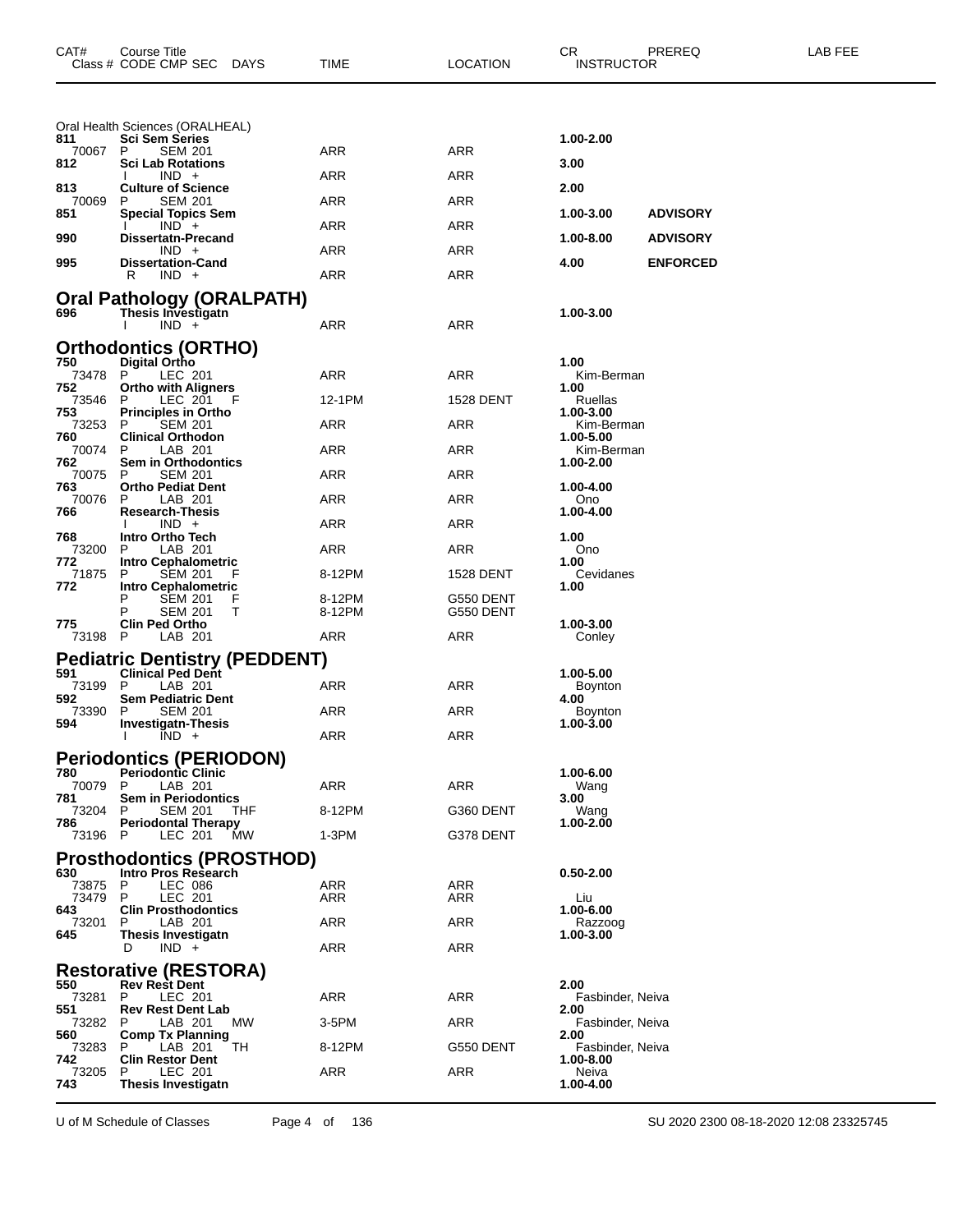| CAT#         | Course Title<br>Class # CODE CMP SEC<br>DAYS                | TIME             | <b>LOCATION</b>        | CR.<br>PREREQ<br><b>INSTRUCTOR</b> | <b>LAB FEE</b> |
|--------------|-------------------------------------------------------------|------------------|------------------------|------------------------------------|----------------|
|              | Oral Health Sciences (ORALHEAL)                             |                  |                        |                                    |                |
| 811<br>70067 | <b>Sci Sem Series</b><br>P<br><b>SEM 201</b>                | ARR              | ARR                    | 1.00-2.00                          |                |
| 812          | <b>Sci Lab Rotations</b><br>$IND +$                         | <b>ARR</b>       | <b>ARR</b>             | 3.00                               |                |
| 813          | <b>Culture of Science</b>                                   |                  |                        | 2.00                               |                |
| 70069<br>851 | <b>SEM 201</b><br>P<br><b>Special Topics Sem</b>            | ARR              | ARR                    | 1.00-3.00<br><b>ADVISORY</b>       |                |
| 990          | $IND +$<br><b>Dissertatn-Precand</b>                        | ARR              | ARR                    | 1.00-8.00<br><b>ADVISORY</b>       |                |
| 995          | $IND +$<br><b>Dissertation-Cand</b>                         | <b>ARR</b>       | <b>ARR</b>             | 4.00<br><b>ENFORCED</b>            |                |
|              | R<br>$IND +$                                                | <b>ARR</b>       | ARR                    |                                    |                |
|              | <b>Oral Pathology (ORALPATH)</b>                            |                  |                        |                                    |                |
| 696          | Thesis Investigatn<br>$IND +$                               | <b>ARR</b>       | <b>ARR</b>             | 1.00-3.00                          |                |
|              | <b>Orthodontics (ORTHO)</b>                                 |                  |                        |                                    |                |
| 750<br>73478 | Digital Ortho<br>P<br>LEC 201                               | ARR              | ARR                    | 1.00<br>Kim-Berman                 |                |
| 752          | <b>Ortho with Aligners</b>                                  |                  |                        | 1.00                               |                |
| 73546<br>753 | LEC 201<br>P<br><b>Principles in Ortho</b>                  | 12-1PM           | <b>1528 DENT</b>       | Ruellas<br>1.00-3.00               |                |
| 73253<br>760 | <b>SEM 201</b><br>P<br><b>Clinical Orthodon</b>             | ARR              | ARR                    | Kim-Berman<br>1.00-5.00            |                |
| 70074<br>762 | LAB 201<br>P<br>Sem in Orthodontics                         | ARR              | ARR                    | Kim-Berman<br>1.00-2.00            |                |
| 70075        | <b>SEM 201</b><br>P                                         | <b>ARR</b>       | <b>ARR</b>             |                                    |                |
| 763<br>70076 | <b>Ortho Pediat Dent</b><br>LAB 201<br>P                    | ARR              | ARR                    | 1.00-4.00<br>Ono                   |                |
| 766          | <b>Research-Thesis</b><br>$IND +$                           | ARR              | ARR                    | 1.00-4.00                          |                |
| 768<br>73200 | Intro Ortho Tech<br>P<br>LAB 201                            | <b>ARR</b>       | <b>ARR</b>             | 1.00<br>Ono                        |                |
| 772<br>71875 | Intro Cephalometric<br><b>SEM 201</b><br>P<br>F             | 8-12PM           | <b>1528 DENT</b>       | 1.00<br>Cevidanes                  |                |
| 772          | <b>Intro Cephalometric</b>                                  |                  |                        | 1.00                               |                |
|              | <b>SEM 201</b><br>Р<br>F<br>P<br><b>SEM 201</b><br>т        | 8-12PM<br>8-12PM | G550 DENT<br>G550 DENT |                                    |                |
| 775<br>73198 | <b>Clin Ped Ortho</b><br>- P<br>LAB 201                     | ARR              | ARR                    | 1.00-3.00<br>Conley                |                |
|              | <b>Pediatric Dentistry (PEDDENT)</b>                        |                  |                        |                                    |                |
| 591          | <b>Clinical Ped Dent</b>                                    |                  |                        | 1.00-5.00                          |                |
| 73199<br>592 | P<br>LAB 201<br><b>Sem Pediatric Dent</b>                   | ARR              | ARR                    | Boynton<br>4.00                    |                |
| 73390<br>594 | Р<br><b>SEM 201</b><br><b>Investigatn-Thesis</b>            | ARR              | ARR                    | Boynton<br>1.00-3.00               |                |
|              | $IND +$                                                     | <b>ARR</b>       | <b>ARR</b>             |                                    |                |
| 780          | <b>Periodontics (PERIODON)</b><br><b>Periodontic Clinic</b> |                  |                        | 1.00-6.00                          |                |
| 70079        | P<br>LAB 201                                                | ARR              | ARR                    | Wang                               |                |
| 781<br>73204 | <b>Sem in Periodontics</b><br><b>SEM 201</b><br>THF<br>P    | 8-12PM           | G360 DENT              | 3.00<br>Wang                       |                |
| 786<br>73196 | <b>Periodontal Therapy</b><br><b>MW</b><br>LEC 201<br>- P   | 1-3PM            | G378 DENT              | 1.00-2.00                          |                |
|              | <b>Prosthodontics (PROSTHOD)</b>                            |                  |                        |                                    |                |
| 630<br>73875 | Intro Pros Research<br><b>LEC 086</b><br>P                  | <b>ARR</b>       | <b>ARR</b>             | $0.50 - 2.00$                      |                |
| 73479        | P<br>LEC 201                                                | ARR              | ARR                    | Liu                                |                |
| 643<br>73201 | <b>Clin Prosthodontics</b><br>LAB 201<br>P                  | <b>ARR</b>       | <b>ARR</b>             | 1.00-6.00<br>Razzoog               |                |
| 645          | <b>Thesis Investigatn</b><br>$IND +$<br>D                   | <b>ARR</b>       | <b>ARR</b>             | 1.00-3.00                          |                |
|              | <b>Restorative (RESTORA)</b>                                |                  |                        |                                    |                |
| 550          | <b>Rev Rest Dent</b><br>P                                   | <b>ARR</b>       | <b>ARR</b>             | 2.00                               |                |
| 73281<br>551 | LEC 201<br><b>Rev Rest Dent Lab</b>                         |                  |                        | Fasbinder, Neiva<br>2.00           |                |
| 73282<br>560 | LAB 201<br>МW<br>P<br><b>Comp Tx Planning</b>               | 3-5PM            | <b>ARR</b>             | Fasbinder, Neiva<br>2.00           |                |
| 73283<br>742 | LAB 201<br>TH<br>P.<br><b>Clin Restor Dent</b>              | 8-12PM           | G550 DENT              | Fasbinder, Neiva<br>1.00-8.00      |                |
| 73205        | LEC 201<br>P                                                | <b>ARR</b>       | ARR                    | Neiva                              |                |
| 743          | <b>Thesis Investigatn</b>                                   |                  |                        | 1.00-4.00                          |                |

U of M Schedule of Classes Page 4 of 136 SU 2020 2300 08-18-2020 12:08 23325745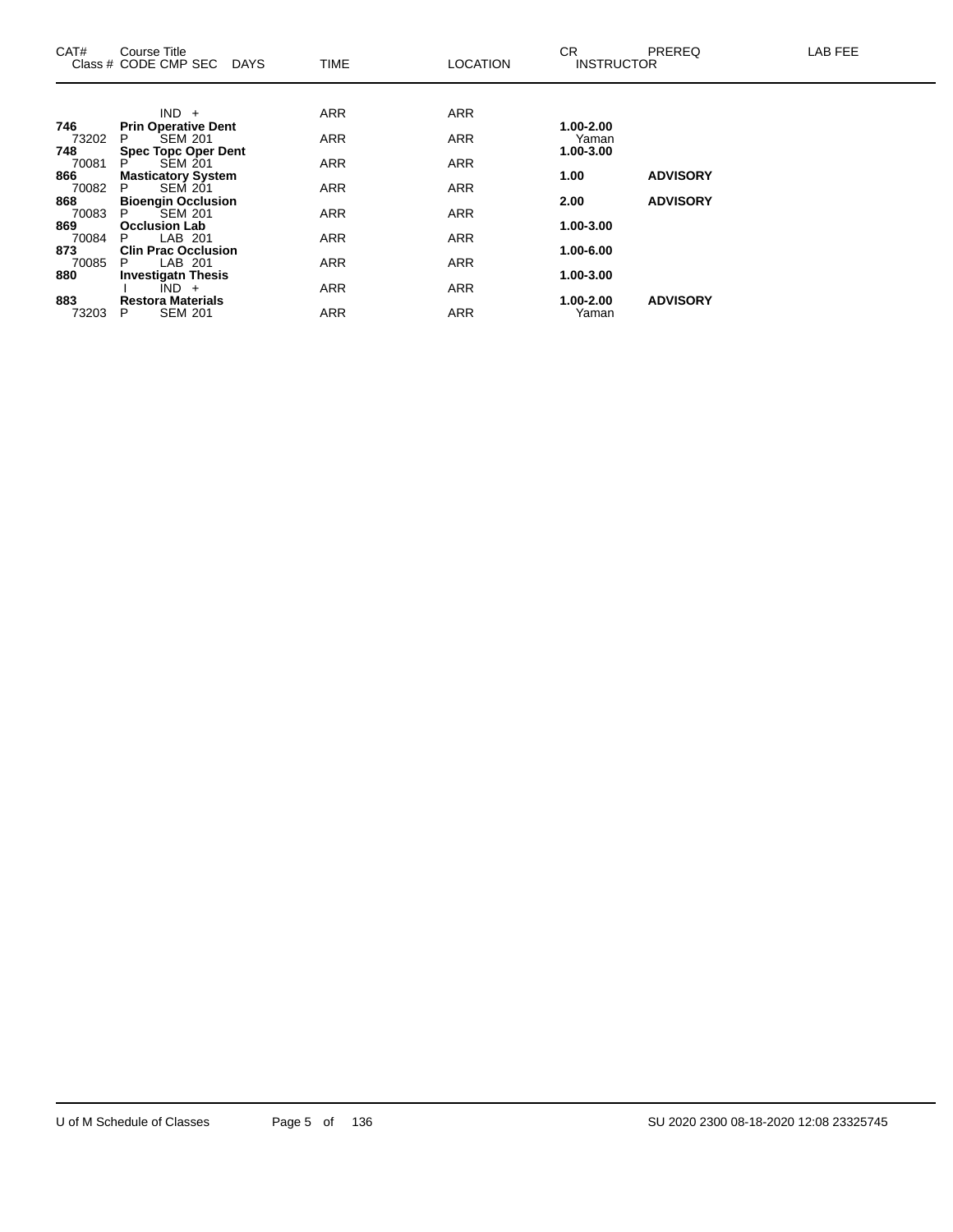| CAT#         | Course Title<br>Class # CODE CMP SEC<br><b>DAYS</b> | <b>TIME</b> | <b>LOCATION</b> | CR.<br><b>INSTRUCTOR</b> | <b>PREREQ</b>   | LAB FEE |
|--------------|-----------------------------------------------------|-------------|-----------------|--------------------------|-----------------|---------|
|              |                                                     |             |                 |                          |                 |         |
|              | $IND +$                                             | <b>ARR</b>  | <b>ARR</b>      |                          |                 |         |
| 746<br>73202 | <b>Prin Operative Dent</b><br><b>SEM 201</b><br>P   | <b>ARR</b>  | <b>ARR</b>      | 1.00-2.00<br>Yaman       |                 |         |
| 748          | <b>Spec Topc Oper Dent</b>                          |             |                 | 1.00-3.00                |                 |         |
| 70081<br>866 | <b>SEM 201</b><br>P<br><b>Masticatory System</b>    | <b>ARR</b>  | <b>ARR</b>      | 1.00                     | <b>ADVISORY</b> |         |
| 70082        | <b>SEM 201</b><br>P                                 | <b>ARR</b>  | <b>ARR</b>      |                          |                 |         |
| 868          | <b>Bioengin Occlusion</b>                           |             |                 | 2.00                     | <b>ADVISORY</b> |         |
| 70083        | <b>SEM 201</b><br>P.                                | <b>ARR</b>  | <b>ARR</b>      |                          |                 |         |
| 869          | <b>Occlusion Lab</b>                                |             |                 | 1.00-3.00                |                 |         |
| 70084        | LAB 201<br>P.                                       | <b>ARR</b>  | ARR             |                          |                 |         |
| 873          | <b>Clin Prac Occlusion</b>                          |             |                 | 1.00-6.00                |                 |         |
| 70085        | LAB 201<br>P                                        | <b>ARR</b>  | <b>ARR</b>      |                          |                 |         |
| 880          | <b>Investigatn Thesis</b>                           |             |                 | 1.00-3.00                |                 |         |
|              | $\overline{IND}$ +                                  | <b>ARR</b>  | <b>ARR</b>      |                          | <b>ADVISORY</b> |         |
| 883<br>73203 | <b>Restora Materials</b><br><b>SEM 201</b><br>P     | <b>ARR</b>  | <b>ARR</b>      | 1.00-2.00<br>Yaman       |                 |         |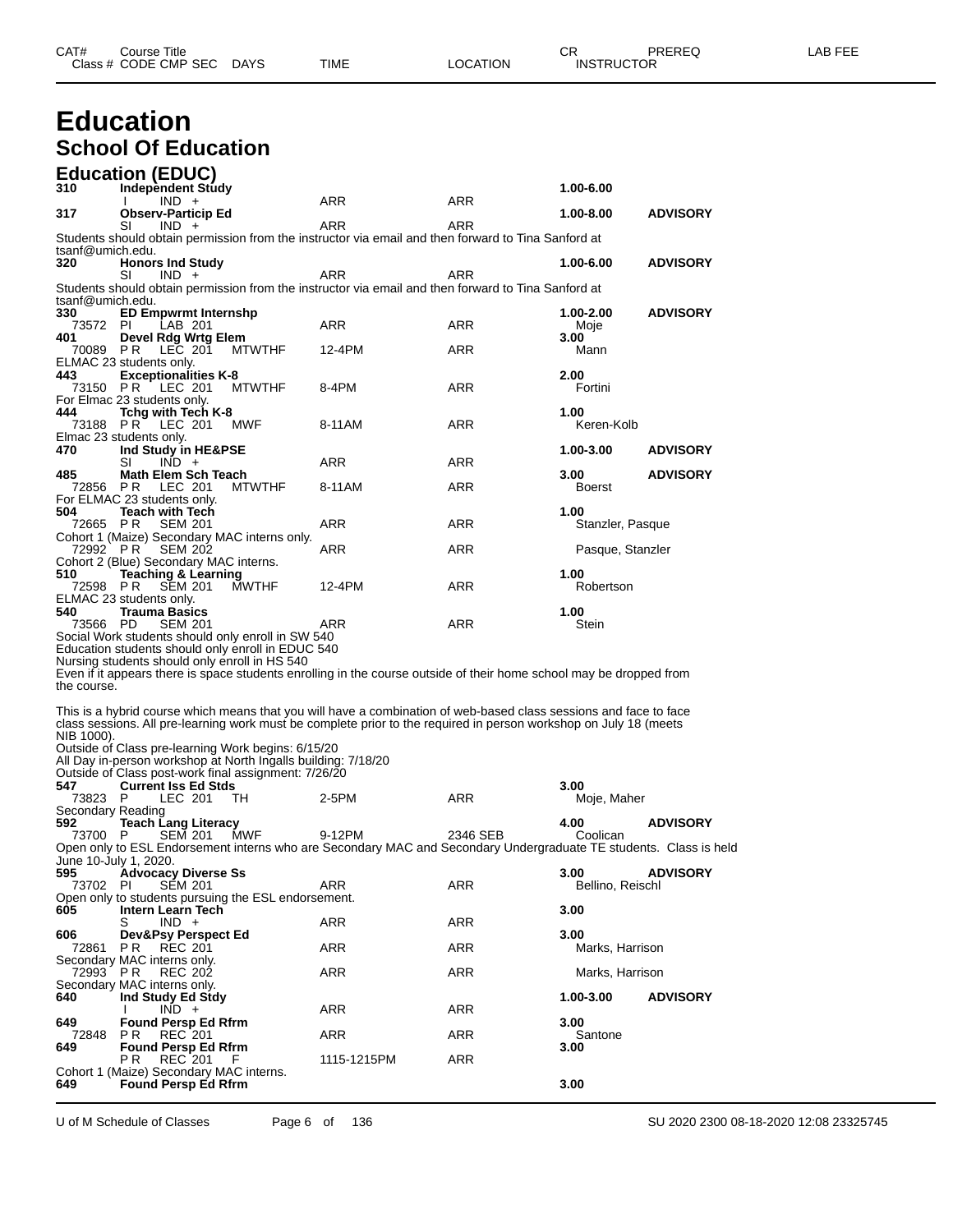# **Education School Of Education**

|                          | <b>Education (EDUC)</b>                                                                                                                                              |             |            |                          |                 |
|--------------------------|----------------------------------------------------------------------------------------------------------------------------------------------------------------------|-------------|------------|--------------------------|-----------------|
| 310                      | <b>Independent Study</b><br>$IND +$                                                                                                                                  | ARR         | <b>ARR</b> | 1.00-6.00                |                 |
| 317                      | <b>Observ-Particip Ed</b>                                                                                                                                            |             |            | 1.00-8.00                | <b>ADVISORY</b> |
|                          | SI<br>$IND +$<br>Students should obtain permission from the instructor via email and then forward to Tina Sanford at                                                 | ARR         | ARR        |                          |                 |
| tsanf@umich.edu.         |                                                                                                                                                                      |             |            |                          |                 |
| 320                      | <b>Honors Ind Study</b><br>SI<br>$IND +$                                                                                                                             | ARR         | ARR        | 1.00-6.00                | <b>ADVISORY</b> |
|                          | Students should obtain permission from the instructor via email and then forward to Tina Sanford at                                                                  |             |            |                          |                 |
| tsanf@umich.edu.<br>330  | <b>ED Empwrmt Internshp</b>                                                                                                                                          |             |            | 1.00-2.00                | <b>ADVISORY</b> |
| 73572 PI                 | LAB 201                                                                                                                                                              | ARR         | ARR        | Moje                     |                 |
| 401<br>70089 PR          | Devel Rdg Wrtg Elem<br>LEC 201<br><b>MTWTHF</b>                                                                                                                      | 12-4PM      | <b>ARR</b> | 3.00<br>Mann             |                 |
|                          | ELMAC 23 students only.                                                                                                                                              |             |            |                          |                 |
| 443<br>73150 PR          | <b>Exceptionalities K-8</b><br>LEC 201<br><b>MTWTHF</b>                                                                                                              | 8-4PM       | ARR        | 2.00<br>Fortini          |                 |
|                          | For Elmac 23 students only.                                                                                                                                          |             |            |                          |                 |
| 444                      | Tchg with Tech K-8<br>73188 PR LEC 201<br>MWF                                                                                                                        | 8-11AM      | ARR        | 1.00<br>Keren-Kolb       |                 |
|                          | Elmac 23 students only.                                                                                                                                              |             |            |                          |                 |
| 470                      | Ind Study in HE&PSE<br>SI<br>$IND +$                                                                                                                                 | ARR         | <b>ARR</b> | 1.00-3.00                | <b>ADVISORY</b> |
| 485                      | Math Elem Sch Teach                                                                                                                                                  |             |            | 3.00                     | <b>ADVISORY</b> |
| 72856                    | PR<br>LEC 201<br><b>MTWTHF</b><br>For ELMAC 23 students only.                                                                                                        | 8-11AM      | <b>ARR</b> | <b>Boerst</b>            |                 |
| 504<br>72665 PR          | <b>Teach with Tech</b><br><b>SEM 201</b>                                                                                                                             | <b>ARR</b>  | <b>ARR</b> | 1.00                     |                 |
|                          | Cohort 1 (Maize) Secondary MAC interns only.                                                                                                                         |             |            | Stanzler, Pasque         |                 |
| 72992 PR                 | <b>SEM 202</b><br>Cohort 2 (Blue) Secondary MAC interns.                                                                                                             | ARR         | <b>ARR</b> | Pasque, Stanzler         |                 |
| 510                      | <b>Teaching &amp; Learning</b>                                                                                                                                       |             |            | 1.00                     |                 |
| 72598 PR                 | <b>SEM 201</b><br><b>MWTHF</b><br>ELMAC 23 students only.                                                                                                            | 12-4PM      | ARR        | Robertson                |                 |
| 540                      | Trauma Basics                                                                                                                                                        |             |            | 1.00                     |                 |
| 73566 PD                 | <b>SEM 201</b><br>Social Work students should only enroll in SW 540                                                                                                  | ARR         | ARR        | Stein                    |                 |
|                          | Education students should only enroll in EDUC 540                                                                                                                    |             |            |                          |                 |
|                          | Nursing students should only enroll in HS 540<br>Even if it appears there is space students enrolling in the course outside of their home school may be dropped from |             |            |                          |                 |
| the course.              |                                                                                                                                                                      |             |            |                          |                 |
|                          | This is a hybrid course which means that you will have a combination of web-based class sessions and face to face                                                    |             |            |                          |                 |
|                          | class sessions. All pre-learning work must be complete prior to the required in person workshop on July 18 (meets                                                    |             |            |                          |                 |
| NIB 1000).               | Outside of Class pre-learning Work begins: 6/15/20                                                                                                                   |             |            |                          |                 |
|                          | All Day in-person workshop at North Ingalls building: 7/18/20                                                                                                        |             |            |                          |                 |
| 547                      | Outside of Class post-work final assignment: 7/26/20<br><b>Current Iss Ed Stds</b>                                                                                   |             |            | 3.00                     |                 |
| 73823                    | LEC 201<br>P<br>TH                                                                                                                                                   | 2-5PM       | ARR        | Moje, Maher              |                 |
| Secondary Reading<br>592 | <b>Teach Lang Literacy</b>                                                                                                                                           |             |            | 4.00                     | <b>ADVISORY</b> |
| 73700                    | MWF<br>P<br><b>SEM 201</b><br>Open only to ESL Endorsement interns who are Secondary MAC and Secondary Undergraduate TE students. Class is held                      | 9-12PM      | 2346 SEB   | Coolican                 |                 |
| June 10-July 1, 2020.    |                                                                                                                                                                      |             |            |                          |                 |
| 595<br>73702             | <b>Advocacy Diverse Ss</b><br><b>SEM 201</b><br>PI.                                                                                                                  | ARR         | ARR        | 3.00<br>Bellino, Reischl | <b>ADVISORY</b> |
|                          | Open only to students pursuing the ESL endorsement.                                                                                                                  |             |            |                          |                 |
| 605                      | Intern Learn Tech<br>S<br>$IND +$                                                                                                                                    | ARR         | ARR        | 3.00                     |                 |
| 606                      | Dev&Psy Perspect Ed                                                                                                                                                  |             |            | 3.00                     |                 |
| 72861                    | P R<br><b>REC 201</b><br>Secondary MAC interns only.                                                                                                                 | ARR         | ARR        | Marks, Harrison          |                 |
| 72993 PR                 | <b>REC 202</b>                                                                                                                                                       | ARR         | ARR        | Marks, Harrison          |                 |
| 640                      | Secondary MAC interns only.<br>Ind Study Ed Stdy                                                                                                                     |             |            | 1.00-3.00                | <b>ADVISORY</b> |
|                          | $IND +$<br>Ι.                                                                                                                                                        | ARR         | ARR        |                          |                 |
| 649<br>72848             | <b>Found Persp Ed Rfrm</b><br>P R<br><b>REC</b> 201                                                                                                                  | ARR         | ARR        | 3.00<br>Santone          |                 |
| 649                      | <b>Found Persp Ed Rfrm</b>                                                                                                                                           |             |            | 3.00                     |                 |
|                          | РR<br>REC 201<br>F<br>Cohort 1 (Maize) Secondary MAC interns.                                                                                                        | 1115-1215PM | ARR        |                          |                 |
| 649                      | <b>Found Persp Ed Rfrm</b>                                                                                                                                           |             |            | 3.00                     |                 |

U of M Schedule of Classes Page 6 of 136 SU 2020 2300 08-18-2020 12:08 23325745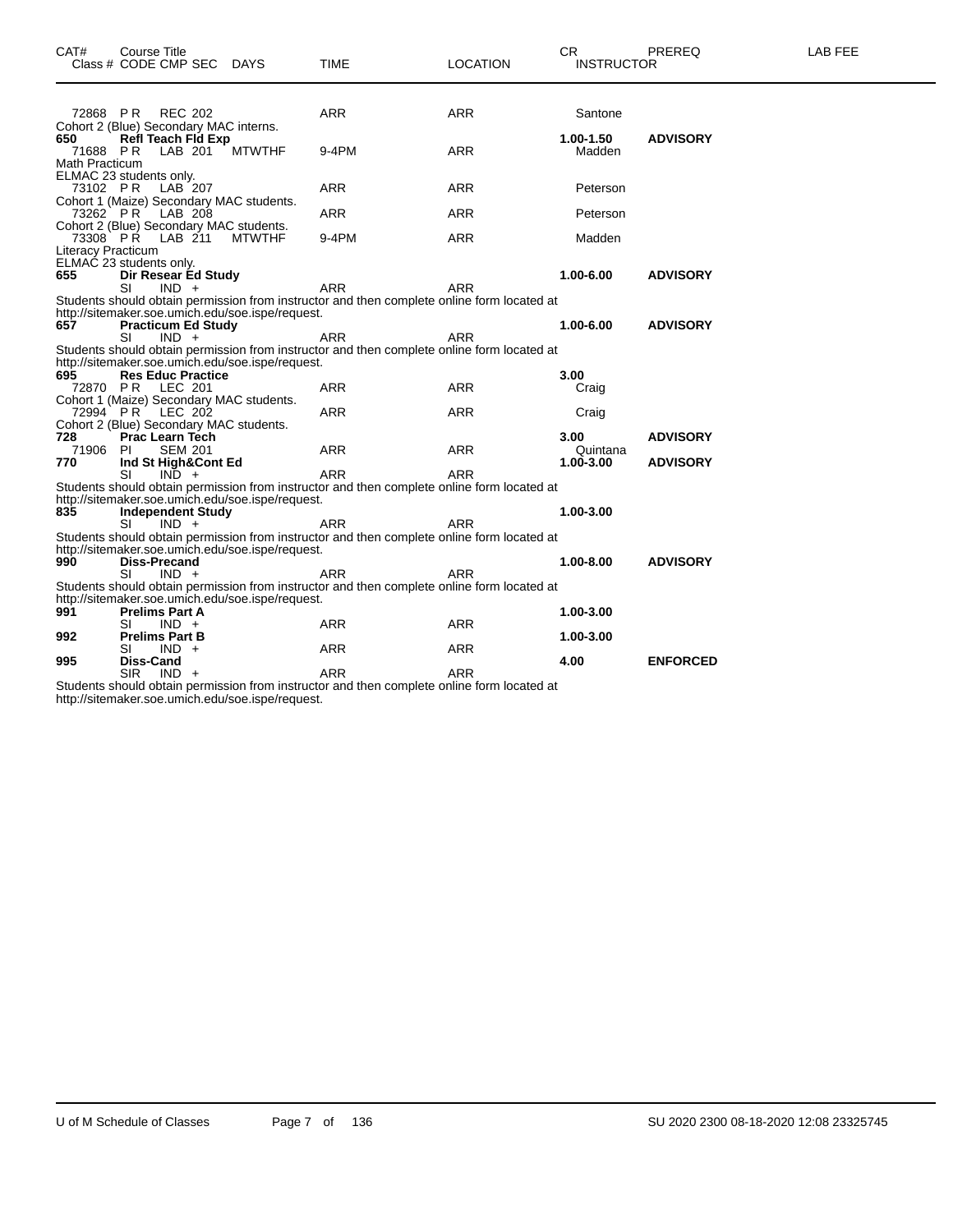| CAT#                  | Course Title<br>Class # CODE CMP SEC DAYS                                                      |               | <b>TIME</b>                                                                                              | <b>LOCATION</b> | <b>CR</b><br><b>INSTRUCTOR</b> | PREREQ          | LAB FEE |
|-----------------------|------------------------------------------------------------------------------------------------|---------------|----------------------------------------------------------------------------------------------------------|-----------------|--------------------------------|-----------------|---------|
|                       |                                                                                                |               |                                                                                                          |                 |                                |                 |         |
|                       | <b>REC 202</b><br>72868 PR                                                                     |               | <b>ARR</b>                                                                                               | <b>ARR</b>      | Santone                        |                 |         |
| 650                   | Cohort 2 (Blue) Secondary MAC interns.<br><b>Refl Teach Fld Exp</b><br>71688 PR<br>LAB 201     | <b>MTWTHF</b> | 9-4PM                                                                                                    | <b>ARR</b>      | 1.00-1.50<br>Madden            | <b>ADVISORY</b> |         |
| <b>Math Practicum</b> | ELMAC 23 students only.                                                                        |               |                                                                                                          |                 |                                |                 |         |
|                       | LAB <sup>207</sup><br>73102 PR<br>Cohort 1 (Maize) Secondary MAC students.                     |               | <b>ARR</b>                                                                                               | <b>ARR</b>      | Peterson                       |                 |         |
|                       | 73262 PR LAB 208<br>Cohort 2 (Blue) Secondary MAC students.                                    |               | <b>ARR</b>                                                                                               | ARR             | Peterson                       |                 |         |
|                       | 73308 PR LAB 211<br><b>Literacy Practicum</b>                                                  | <b>MTWTHF</b> | 9-4PM                                                                                                    | <b>ARR</b>      | Madden                         |                 |         |
| 655                   | ELMAC 23 students only.<br>Dir Resear Ed Study                                                 |               |                                                                                                          |                 | 1.00-6.00                      | <b>ADVISORY</b> |         |
|                       | $IND +$<br>SI                                                                                  |               | <b>ARR</b><br>Students should obtain permission from instructor and then complete online form located at | <b>ARR</b>      |                                |                 |         |
| 657                   | http://sitemaker.soe.umich.edu/soe.ispe/request.<br><b>Practicum Ed Study</b><br>SI<br>$IND +$ |               | ARR                                                                                                      | <b>ARR</b>      | 1.00-6.00                      | <b>ADVISORY</b> |         |
|                       | http://sitemaker.soe.umich.edu/soe.ispe/request.                                               |               | Students should obtain permission from instructor and then complete online form located at               |                 |                                |                 |         |
| 695                   | <b>Res Educ Practice</b>                                                                       |               |                                                                                                          |                 | 3.00                           |                 |         |
|                       | 72870 PR LEC 201                                                                               |               | <b>ARR</b>                                                                                               | <b>ARR</b>      | Craig                          |                 |         |
|                       | Cohort 1 (Maize) Secondary MAC students.                                                       |               |                                                                                                          |                 |                                |                 |         |
|                       | 72994 PR LEC 202                                                                               |               | <b>ARR</b>                                                                                               | <b>ARR</b>      | Craig                          |                 |         |
| 728                   | Cohort 2 (Blue) Secondary MAC students.<br><b>Prac Learn Tech</b>                              |               |                                                                                                          |                 | 3.00                           | <b>ADVISORY</b> |         |
| 71906                 | <b>SEM 201</b><br>-PI                                                                          |               | <b>ARR</b>                                                                                               | <b>ARR</b>      | Quintana                       |                 |         |
| 770                   | Ind St High&Cont Ed                                                                            |               |                                                                                                          |                 | 1.00-3.00                      | <b>ADVISORY</b> |         |
|                       | SI<br>$IND +$                                                                                  |               | <b>ARR</b>                                                                                               | <b>ARR</b>      |                                |                 |         |
|                       | http://sitemaker.soe.umich.edu/soe.ispe/request.                                               |               | Students should obtain permission from instructor and then complete online form located at               |                 |                                |                 |         |
| 835                   | <b>Independent Study</b>                                                                       |               |                                                                                                          |                 | 1.00-3.00                      |                 |         |
|                       | SI<br>$IND +$                                                                                  |               | ARR                                                                                                      | ARR             |                                |                 |         |
|                       | http://sitemaker.soe.umich.edu/soe.ispe/request.                                               |               | Students should obtain permission from instructor and then complete online form located at               |                 |                                |                 |         |
| 990                   | <b>Diss-Precand</b>                                                                            |               |                                                                                                          |                 | 1.00-8.00                      | <b>ADVISORY</b> |         |
|                       | SI<br>$IND +$                                                                                  |               | <b>ARR</b>                                                                                               | <b>ARR</b>      |                                |                 |         |
|                       |                                                                                                |               | Students should obtain permission from instructor and then complete online form located at               |                 |                                |                 |         |
|                       | http://sitemaker.soe.umich.edu/soe.ispe/request.                                               |               |                                                                                                          |                 |                                |                 |         |
| 991                   | <b>Prelims Part A</b>                                                                          |               |                                                                                                          |                 | 1.00-3.00                      |                 |         |
|                       | SI<br>$IND +$                                                                                  |               | ARR                                                                                                      | <b>ARR</b>      |                                |                 |         |
| 992                   | <b>Prelims Part B</b>                                                                          |               |                                                                                                          |                 | 1.00-3.00                      |                 |         |
|                       | $IND +$<br>SI                                                                                  |               | <b>ARR</b>                                                                                               | ARR             |                                |                 |         |
| 995                   | Diss-Cand                                                                                      |               |                                                                                                          |                 | 4.00                           | <b>ENFORCED</b> |         |
|                       | $IND +$<br>SIR.                                                                                |               | <b>ARR</b>                                                                                               | <b>ARR</b>      |                                |                 |         |
|                       |                                                                                                |               | Students should obtain permission from instructor and then complete online form located at               |                 |                                |                 |         |

http://sitemaker.soe.umich.edu/soe.ispe/request.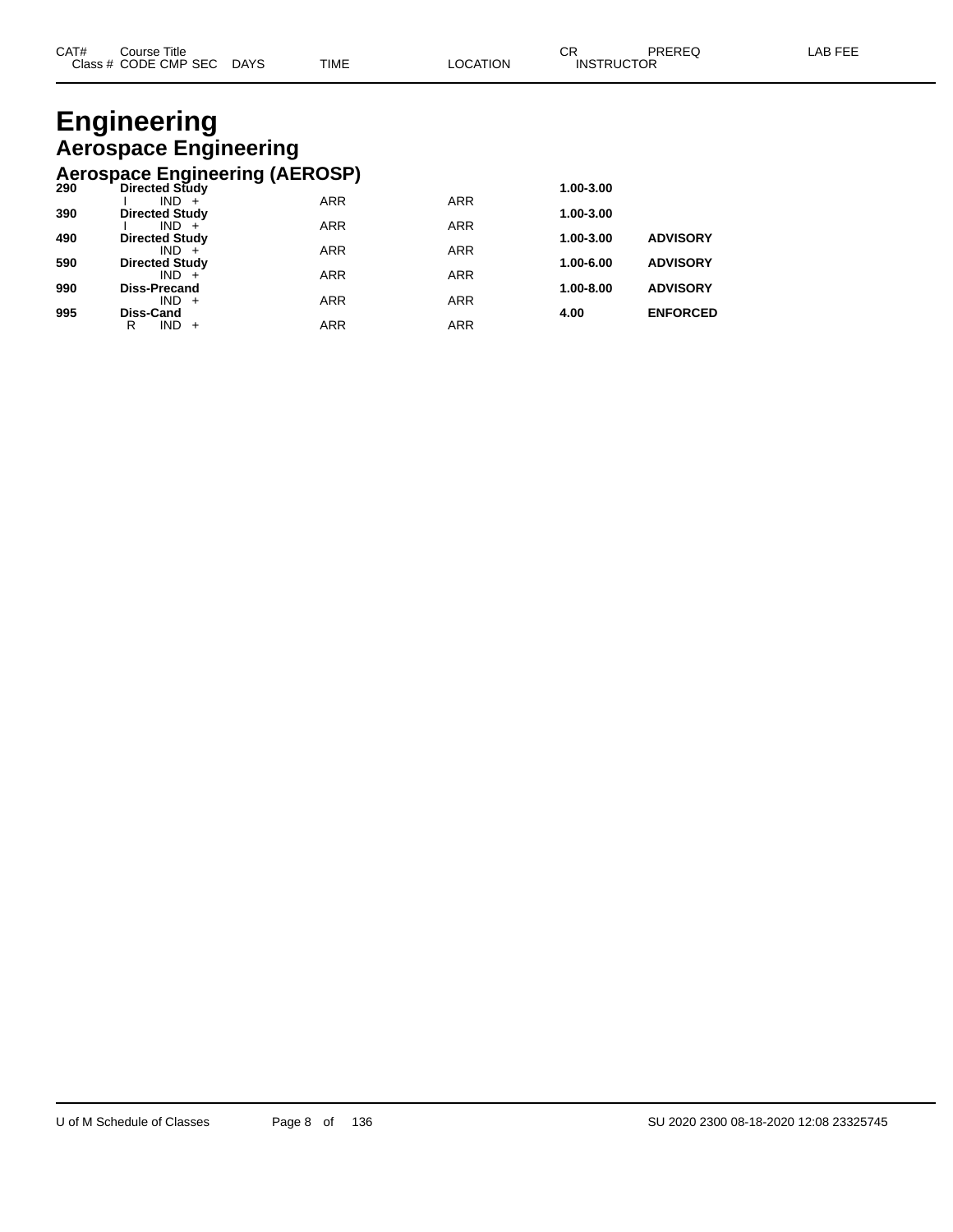### **Engineering Aerospace Engineering Aerospace Engineering (AEROSP)**

|     | Acrospace Engineering (AEROOL) |            |            |           |                 |
|-----|--------------------------------|------------|------------|-----------|-----------------|
| 290 | <b>Directed Study</b>          |            |            | 1.00-3.00 |                 |
|     | $IND +$                        | <b>ARR</b> | <b>ARR</b> |           |                 |
| 390 | <b>Directed Study</b>          |            |            | 1.00-3.00 |                 |
|     | $IND +$                        | <b>ARR</b> | <b>ARR</b> |           |                 |
| 490 | <b>Directed Study</b>          |            |            | 1.00-3.00 | <b>ADVISORY</b> |
|     | $IND +$                        | <b>ARR</b> | <b>ARR</b> |           |                 |
| 590 | <b>Directed Study</b>          |            |            | 1.00-6.00 | <b>ADVISORY</b> |
|     | $IND +$                        | <b>ARR</b> | <b>ARR</b> |           |                 |
| 990 | <b>Diss-Precand</b>            |            |            | 1.00-8.00 | <b>ADVISORY</b> |
|     | $IND +$                        | <b>ARR</b> | <b>ARR</b> |           |                 |
| 995 | Diss-Cand                      |            |            | 4.00      | <b>ENFORCED</b> |
|     | $IND +$<br>R                   | <b>ARR</b> | <b>ARR</b> |           |                 |
|     |                                |            |            |           |                 |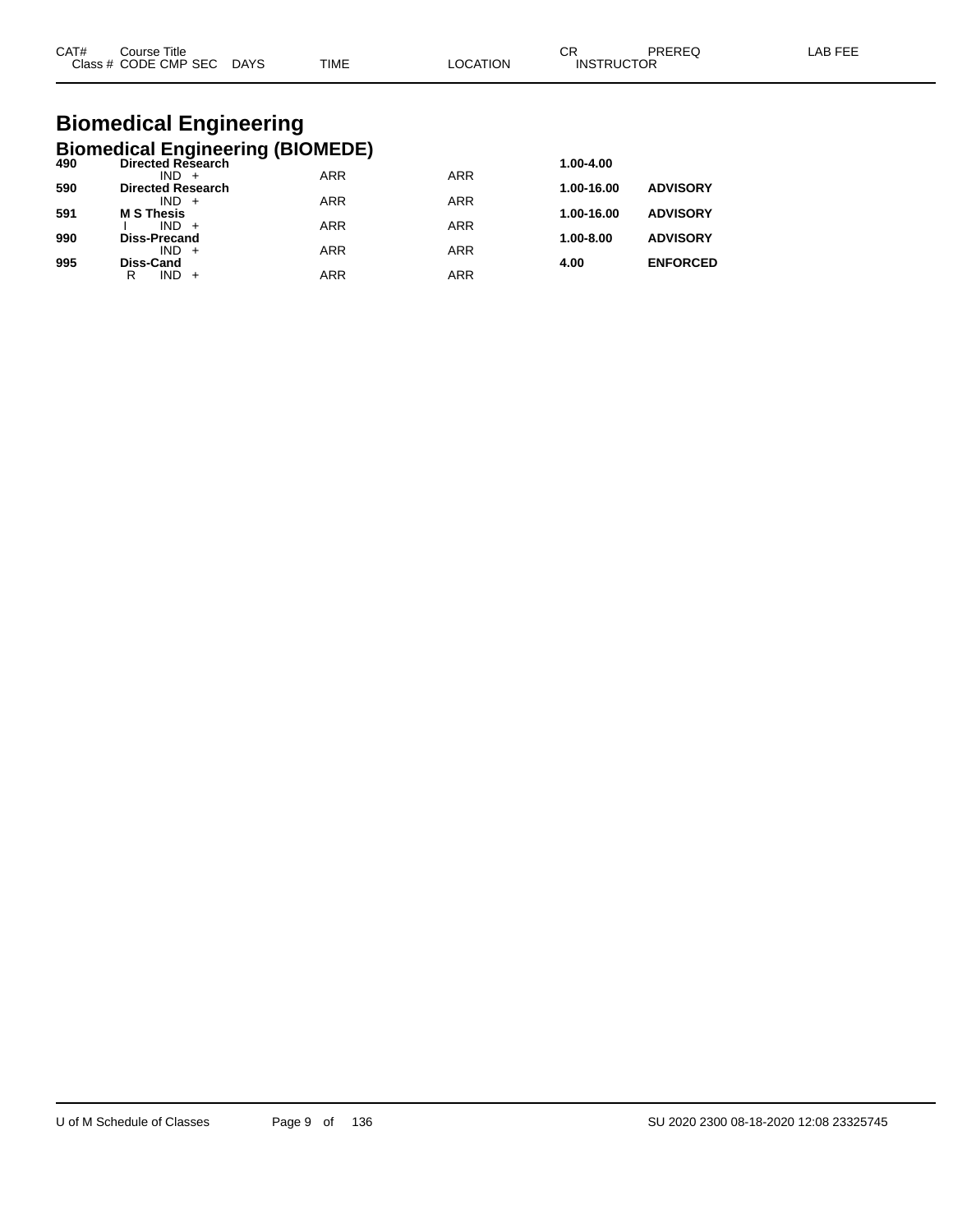| CAT# | Title<br>Course      |             |             |                | ົ<br>◡            | <b>PREREC</b> | AB FFF |
|------|----------------------|-------------|-------------|----------------|-------------------|---------------|--------|
|      | Class # CODE CMP SEC | <b>DAYS</b> | <b>TIME</b> | <b>OCATION</b> | <b>INSTRUCTOR</b> |               |        |

### **Biomedical Engineering Biomedical Engineering (BIOMEDE)**

| 490 | <b>Directed Research</b>            |            |            | 1.00-4.00     |                 |
|-----|-------------------------------------|------------|------------|---------------|-----------------|
| 590 | $IND +$<br><b>Directed Research</b> | <b>ARR</b> | <b>ARR</b> | 1.00-16.00    | <b>ADVISORY</b> |
|     | $IND +$                             | <b>ARR</b> | <b>ARR</b> |               |                 |
| 591 | <b>M S Thesis</b>                   |            |            | 1.00-16.00    | <b>ADVISORY</b> |
|     | $IND +$                             | <b>ARR</b> | <b>ARR</b> |               |                 |
| 990 | <b>Diss-Precand</b>                 |            |            | $1.00 - 8.00$ | <b>ADVISORY</b> |
|     | $IND +$                             | <b>ARR</b> | <b>ARR</b> |               |                 |
| 995 | <b>Diss-Cand</b>                    |            |            | 4.00          | <b>ENFORCED</b> |
|     | R<br>$IND +$                        | ARR        | ARR        |               |                 |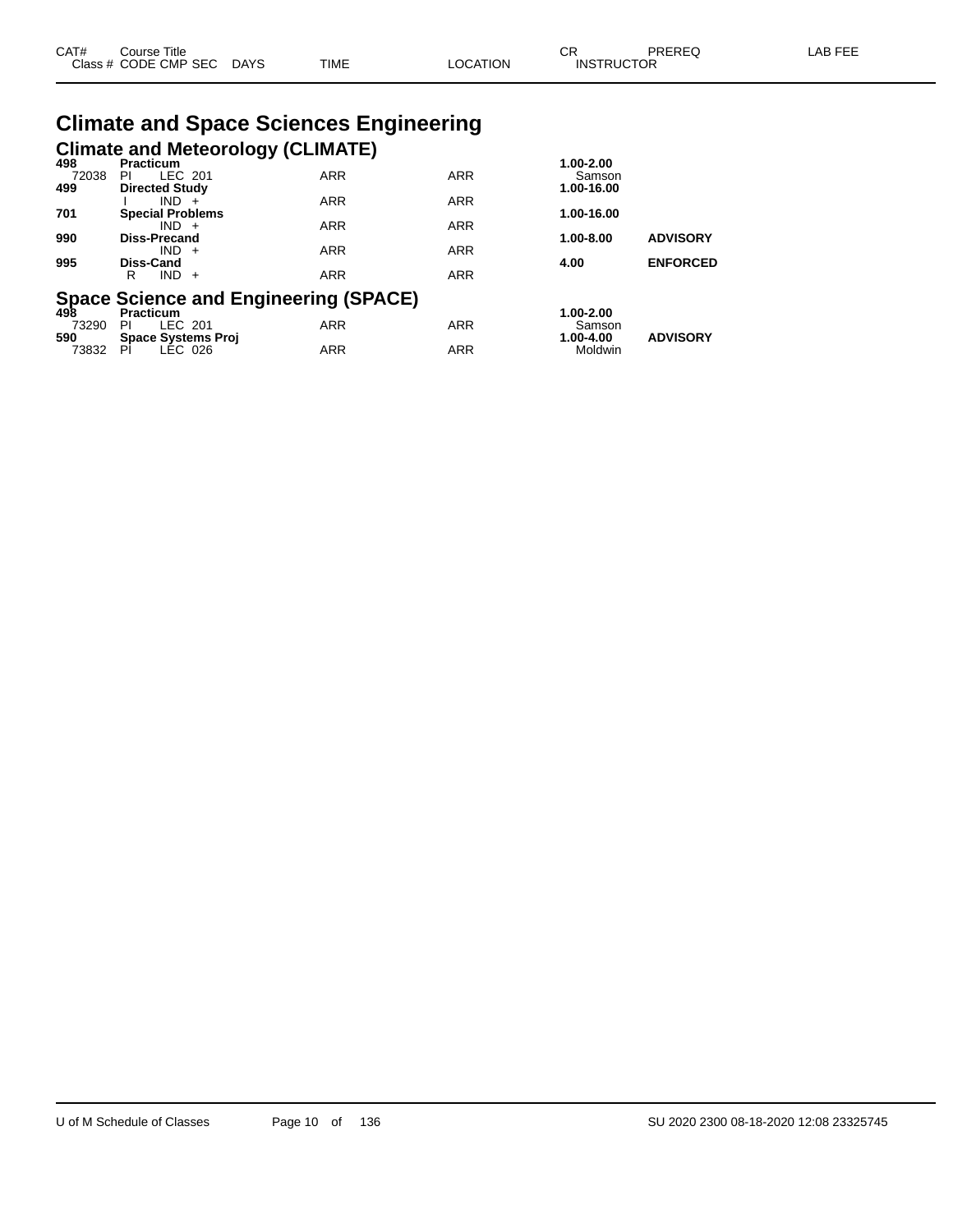| CAT# | ourse Titleٽ              |      |                 | ⌒冖<br>◡⊓          | PREREQ | ∟AB FEE |
|------|---------------------------|------|-----------------|-------------------|--------|---------|
|      | Class # CODE CMP SEC DAYS | TIME | <b>LOCATION</b> | <b>INSTRUCTOR</b> |        |         |

# **Climate and Space Sciences Engineering Climate and Meteorology (CLIMATE) 498 Practicum 1.00-2.00**

| 498   | Practicum                                              |            |            | 1.00-2.00  |                 |
|-------|--------------------------------------------------------|------------|------------|------------|-----------------|
| 72038 | LEC 201<br>PI                                          | <b>ARR</b> | <b>ARR</b> | Samson     |                 |
| 499   | <b>Directed Study</b>                                  |            |            | 1.00-16.00 |                 |
|       | $IND +$                                                | <b>ARR</b> | <b>ARR</b> |            |                 |
| 701   | <b>Special Problems</b>                                |            |            | 1.00-16.00 |                 |
|       | $IND +$                                                | <b>ARR</b> | <b>ARR</b> |            |                 |
| 990   | <b>Diss-Precand</b>                                    |            |            | 1.00-8.00  | <b>ADVISORY</b> |
|       | $IND +$                                                | <b>ARR</b> | <b>ARR</b> |            |                 |
| 995   | Diss-Cand                                              |            |            | 4.00       | <b>ENFORCED</b> |
|       | IND.<br>R<br>$+$                                       | <b>ARR</b> | <b>ARR</b> |            |                 |
|       |                                                        |            |            |            |                 |
|       | Space Science and Engineering (SPACE)<br>498 Practicum |            |            |            |                 |
|       |                                                        |            |            | 1.00-2.00  |                 |
| 73290 | LEC 201<br>ΡI                                          | <b>ARR</b> | <b>ARR</b> | Samson     |                 |
| 590   | <b>Space Systems Proj</b>                              |            |            | 1.00-4.00  | <b>ADVISORY</b> |
| 73832 | PI<br>LEC 026                                          | <b>ARR</b> | <b>ARR</b> | Moldwin    |                 |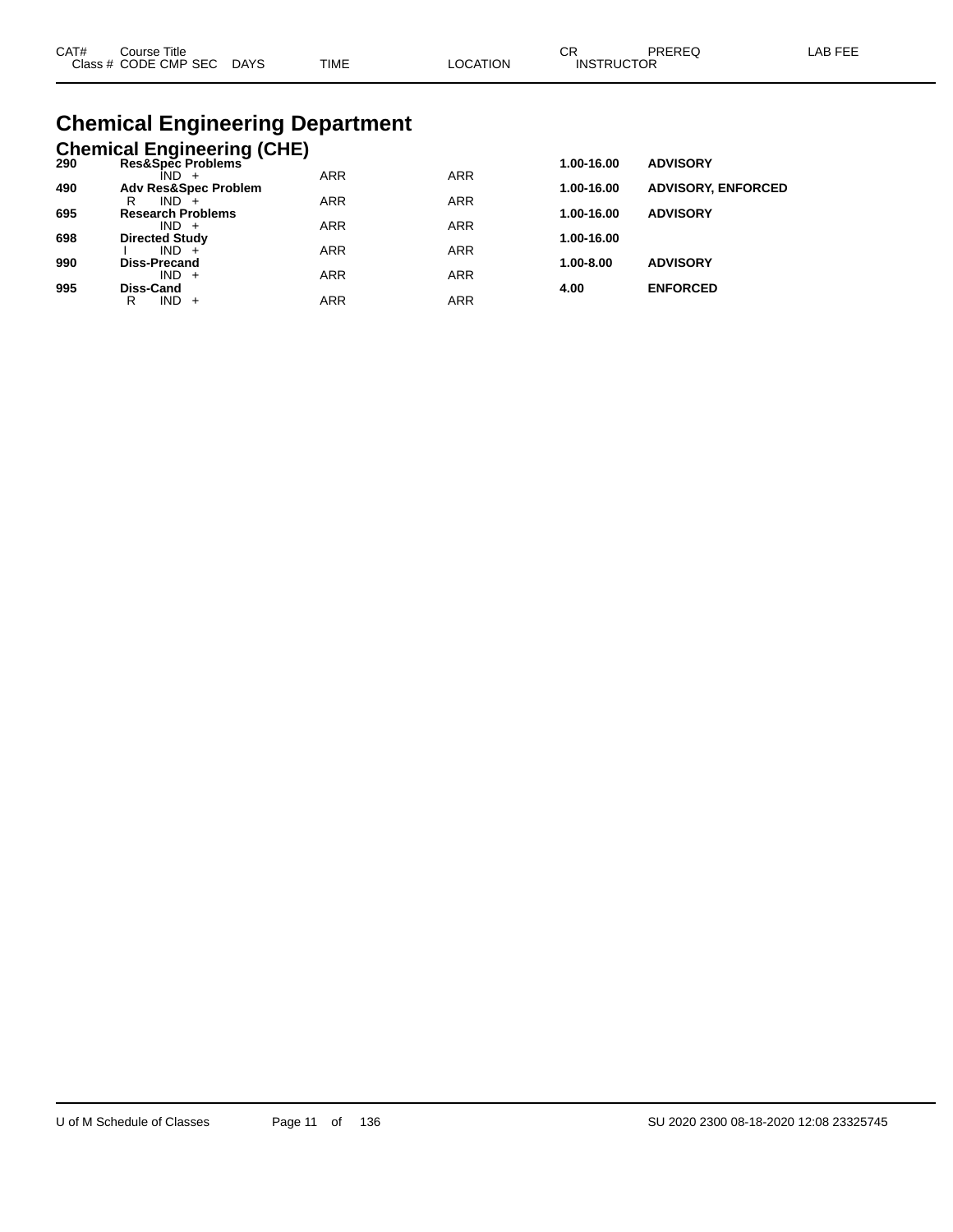| CAT# | Course Title              |             |          | ∩⊓                | PREREQ | LAB FEE |
|------|---------------------------|-------------|----------|-------------------|--------|---------|
|      | Class # CODE CMP SEC DAYS | <b>TIME</b> | ∟OCATION | <b>INSTRUCTOR</b> |        |         |

# **Chemical Engineering Department**

|     | <b>Chemical Engineering (CHE)</b>   |            |            |            |                           |
|-----|-------------------------------------|------------|------------|------------|---------------------------|
| 290 | Res&Spec Problems                   |            |            | 1.00-16.00 | <b>ADVISORY</b>           |
|     | ÎND -                               | <b>ARR</b> | <b>ARR</b> |            |                           |
| 490 | <b>Adv Res&amp;Spec Problem</b>     |            |            | 1.00-16.00 | <b>ADVISORY, ENFORCED</b> |
|     | $IND +$<br>R                        | <b>ARR</b> | <b>ARR</b> |            |                           |
| 695 | <b>Research Problems</b><br>$IND +$ | <b>ARR</b> | <b>ARR</b> | 1.00-16.00 | <b>ADVISORY</b>           |
| 698 | <b>Directed Study</b>               |            |            | 1.00-16.00 |                           |
|     | $IND +$                             | <b>ARR</b> | <b>ARR</b> |            |                           |
| 990 | <b>Diss-Precand</b>                 |            |            | 1.00-8.00  | <b>ADVISORY</b>           |
|     | $IND +$                             | <b>ARR</b> | <b>ARR</b> |            |                           |
| 995 | Diss-Cand                           |            |            | 4.00       | <b>ENFORCED</b>           |
|     | IND.<br>R<br>$+$                    | <b>ARR</b> | <b>ARR</b> |            |                           |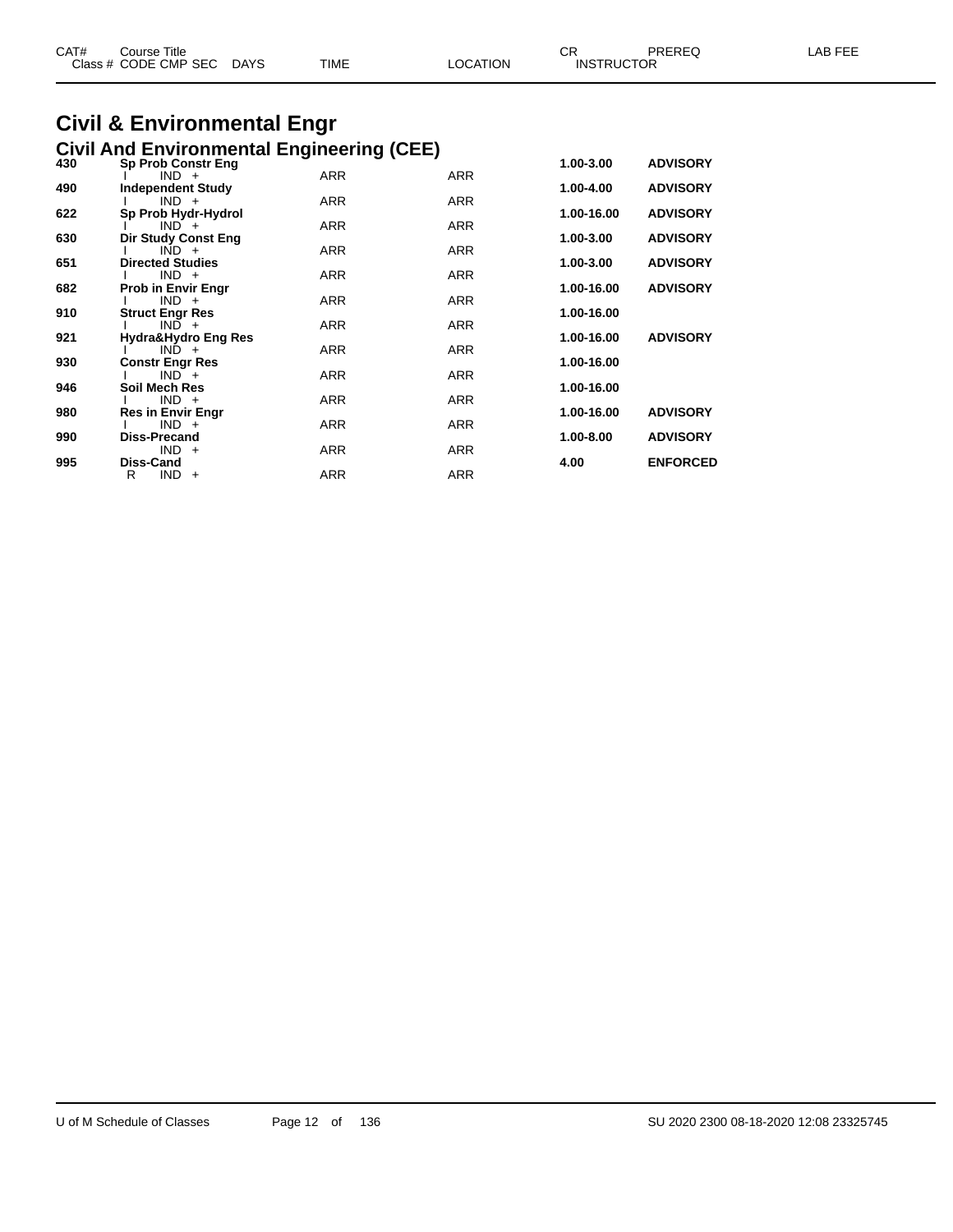| CAT# | Course Title<br>Class # CODE CMP SEC | <b>DAYS</b> | <b>TIME</b> | LOCATION | CR<br><b>INSTRUCTOR</b> | <b>PREREQ</b> | LAB FEE |
|------|--------------------------------------|-------------|-------------|----------|-------------------------|---------------|---------|
|      |                                      |             |             |          |                         |               |         |

### **Civil & Environmental Engr Civil And Environmental Engineering (CEE)**

| 430 | <b>Sp Prob Constr Eng</b>           |            |            | 1.00-3.00  | <b>ADVISORY</b> |
|-----|-------------------------------------|------------|------------|------------|-----------------|
| 490 | $IND +$<br><b>Independent Study</b> | <b>ARR</b> | <b>ARR</b> | 1.00-4.00  | <b>ADVISORY</b> |
|     | $IND +$                             | <b>ARR</b> | <b>ARR</b> |            |                 |
| 622 | Sp Prob Hydr-Hydrol                 |            |            | 1.00-16.00 | <b>ADVISORY</b> |
|     | $IND +$                             | <b>ARR</b> | <b>ARR</b> |            |                 |
| 630 | <b>Dir Study Const Eng</b>          |            |            | 1.00-3.00  | <b>ADVISORY</b> |
| 651 | $IND +$<br><b>Directed Studies</b>  | <b>ARR</b> | ARR        | 1.00-3.00  | <b>ADVISORY</b> |
|     | $IND +$                             | <b>ARR</b> | <b>ARR</b> |            |                 |
| 682 | <b>Prob in Envir Engr</b>           |            |            | 1.00-16.00 | <b>ADVISORY</b> |
|     | $IND +$                             | <b>ARR</b> | <b>ARR</b> |            |                 |
| 910 | <b>Struct Engr Res</b>              |            |            | 1.00-16.00 |                 |
| 921 | $IND +$<br>Hydra&Hydro Eng Res      | <b>ARR</b> | <b>ARR</b> | 1.00-16.00 | <b>ADVISORY</b> |
|     | $IND +$                             | <b>ARR</b> | <b>ARR</b> |            |                 |
| 930 | <b>Constr Engr Res</b>              |            |            | 1.00-16.00 |                 |
|     | $IND +$                             | <b>ARR</b> | <b>ARR</b> |            |                 |
| 946 | Soil Mech Res<br>$IND +$            | <b>ARR</b> | <b>ARR</b> | 1.00-16.00 |                 |
| 980 | <b>Res in Envir Engr</b>            |            |            | 1.00-16.00 | <b>ADVISORY</b> |
|     | $IND +$                             | <b>ARR</b> | <b>ARR</b> |            |                 |
| 990 | Diss-Precand                        |            |            | 1.00-8.00  | <b>ADVISORY</b> |
|     | $IND +$                             | <b>ARR</b> | <b>ARR</b> |            |                 |
| 995 | Diss-Cand<br>$IND +$<br>R           | <b>ARR</b> | <b>ARR</b> | 4.00       | <b>ENFORCED</b> |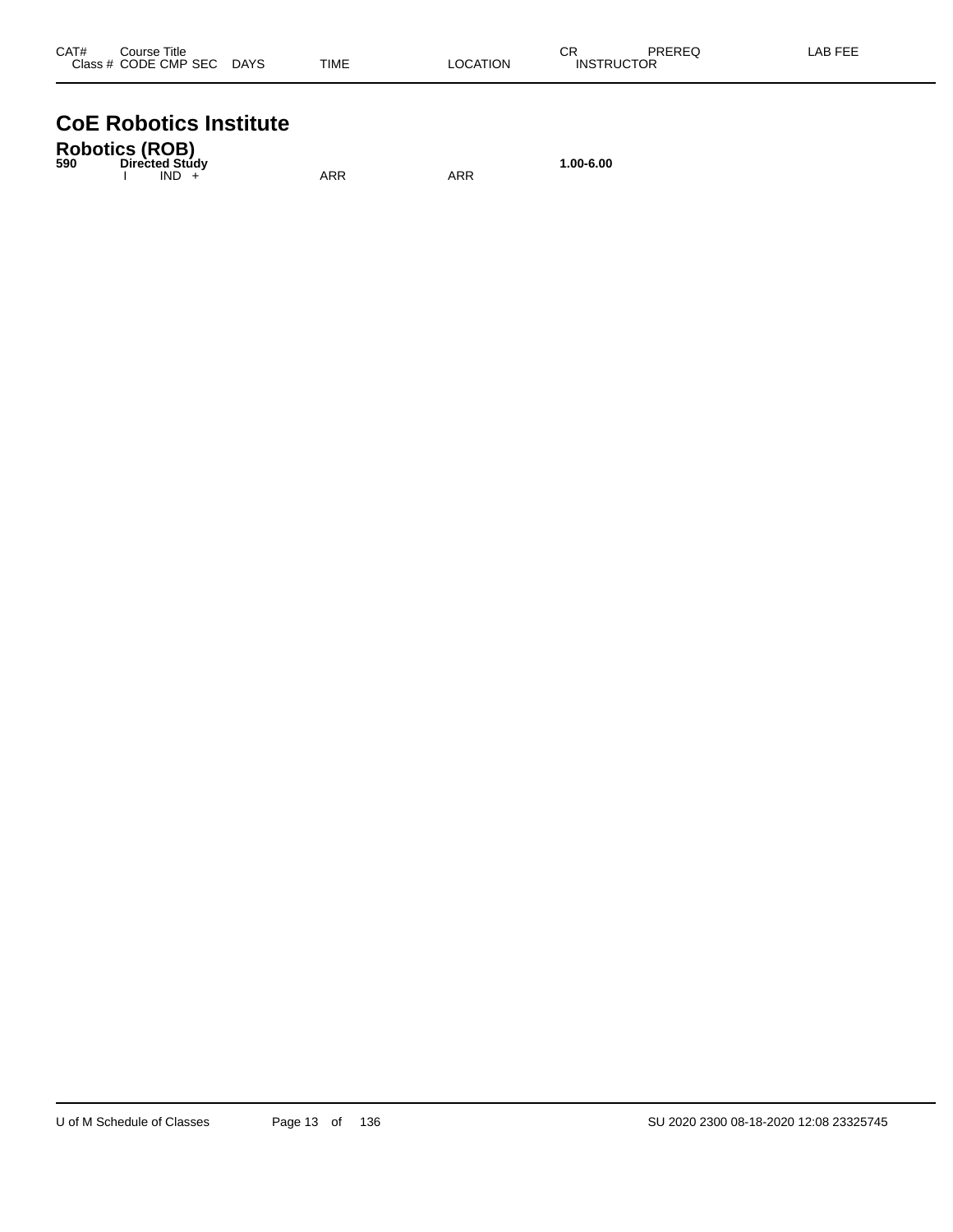| CAT# | Course Title         |      |             |          | Ωm<br>- UN        | PREREQ | AB FEE |
|------|----------------------|------|-------------|----------|-------------------|--------|--------|
|      | Class # CODE CMP SEC | DAYS | <b>TIME</b> | ∟OCATION | <b>INSTRUCTOR</b> |        |        |

# **CoE Robotics Institute**

| <b>Robotics (ROB)</b><br>590 | Directed Study |         |     |     | 1.00-6.00 |
|------------------------------|----------------|---------|-----|-----|-----------|
|                              |                | $IND +$ | ARR | ARR |           |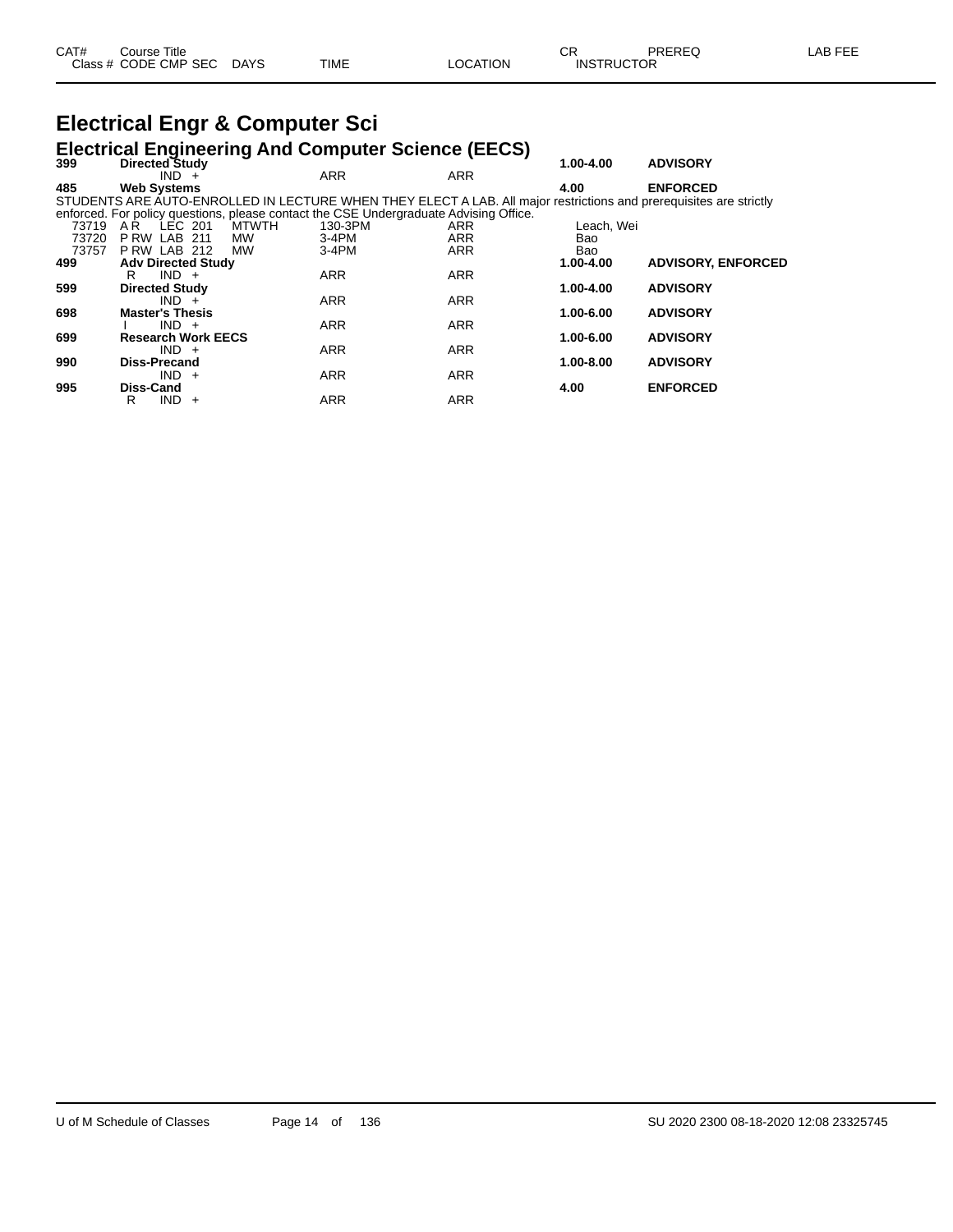# **Electrical Engr & Computer Sci**

# **Electrical Engineering And Computer Science (EECS) 399 Directed Study 1.00-4.00 ADVISORY**

| <b>Directed Study</b>     |                                                                                                                                    |                                                                                                                                           | 1.00-4.00                                                                        | <b>ADVISORY</b>                                                                                                                                                                                                                                                 |
|---------------------------|------------------------------------------------------------------------------------------------------------------------------------|-------------------------------------------------------------------------------------------------------------------------------------------|----------------------------------------------------------------------------------|-----------------------------------------------------------------------------------------------------------------------------------------------------------------------------------------------------------------------------------------------------------------|
| $IND +$                   | <b>ARR</b>                                                                                                                         | <b>ARR</b>                                                                                                                                |                                                                                  |                                                                                                                                                                                                                                                                 |
| <b>Web Systems</b>        |                                                                                                                                    |                                                                                                                                           | 4.00                                                                             | <b>ENFORCED</b>                                                                                                                                                                                                                                                 |
|                           |                                                                                                                                    |                                                                                                                                           |                                                                                  |                                                                                                                                                                                                                                                                 |
|                           |                                                                                                                                    |                                                                                                                                           |                                                                                  |                                                                                                                                                                                                                                                                 |
| LEC 201<br>AR             | 130-3PM                                                                                                                            | <b>ARR</b>                                                                                                                                | Leach, Wei                                                                       |                                                                                                                                                                                                                                                                 |
| PRW LAB 211               | $3-4PM$                                                                                                                            | <b>ARR</b>                                                                                                                                | Bao                                                                              |                                                                                                                                                                                                                                                                 |
| PRW LAB 212               | $3-4PM$                                                                                                                            | <b>ARR</b>                                                                                                                                | Bao                                                                              |                                                                                                                                                                                                                                                                 |
| <b>Adv Directed Study</b> |                                                                                                                                    |                                                                                                                                           | 1.00-4.00                                                                        | <b>ADVISORY, ENFORCED</b>                                                                                                                                                                                                                                       |
| $IND +$<br>R              |                                                                                                                                    |                                                                                                                                           |                                                                                  |                                                                                                                                                                                                                                                                 |
|                           |                                                                                                                                    |                                                                                                                                           |                                                                                  | <b>ADVISORY</b>                                                                                                                                                                                                                                                 |
| $IND +$                   |                                                                                                                                    |                                                                                                                                           |                                                                                  |                                                                                                                                                                                                                                                                 |
|                           |                                                                                                                                    |                                                                                                                                           |                                                                                  | <b>ADVISORY</b>                                                                                                                                                                                                                                                 |
|                           |                                                                                                                                    |                                                                                                                                           |                                                                                  |                                                                                                                                                                                                                                                                 |
|                           |                                                                                                                                    |                                                                                                                                           |                                                                                  | <b>ADVISORY</b>                                                                                                                                                                                                                                                 |
|                           |                                                                                                                                    |                                                                                                                                           |                                                                                  |                                                                                                                                                                                                                                                                 |
|                           |                                                                                                                                    |                                                                                                                                           |                                                                                  | <b>ADVISORY</b>                                                                                                                                                                                                                                                 |
|                           |                                                                                                                                    |                                                                                                                                           |                                                                                  |                                                                                                                                                                                                                                                                 |
|                           |                                                                                                                                    |                                                                                                                                           | 4.00                                                                             | <b>ENFORCED</b>                                                                                                                                                                                                                                                 |
| R<br>$+$                  |                                                                                                                                    |                                                                                                                                           |                                                                                  |                                                                                                                                                                                                                                                                 |
|                           | <b>Directed Study</b><br><b>Master's Thesis</b><br>$IND +$<br>$IND +$<br><b>Diss-Precand</b><br>$IND +$<br>Diss-Cand<br><b>IND</b> | <b>MTWTH</b><br>MW<br>МW<br><b>ARR</b><br><b>ARR</b><br><b>ARR</b><br><b>Research Work EECS</b><br><b>ARR</b><br><b>ARR</b><br><b>ARR</b> | <b>ARR</b><br><b>ARR</b><br><b>ARR</b><br><b>ARR</b><br><b>ARR</b><br><b>ARR</b> | STUDENTS ARE AUTO-ENROLLED IN LECTURE WHEN THEY ELECT A LAB. All major restrictions and prerequisites are strictly<br>enforced. For policy questions, please contact the CSE Undergraduate Advising Office.<br>1.00-4.00<br>1.00-6.00<br>1.00-6.00<br>1.00-8.00 |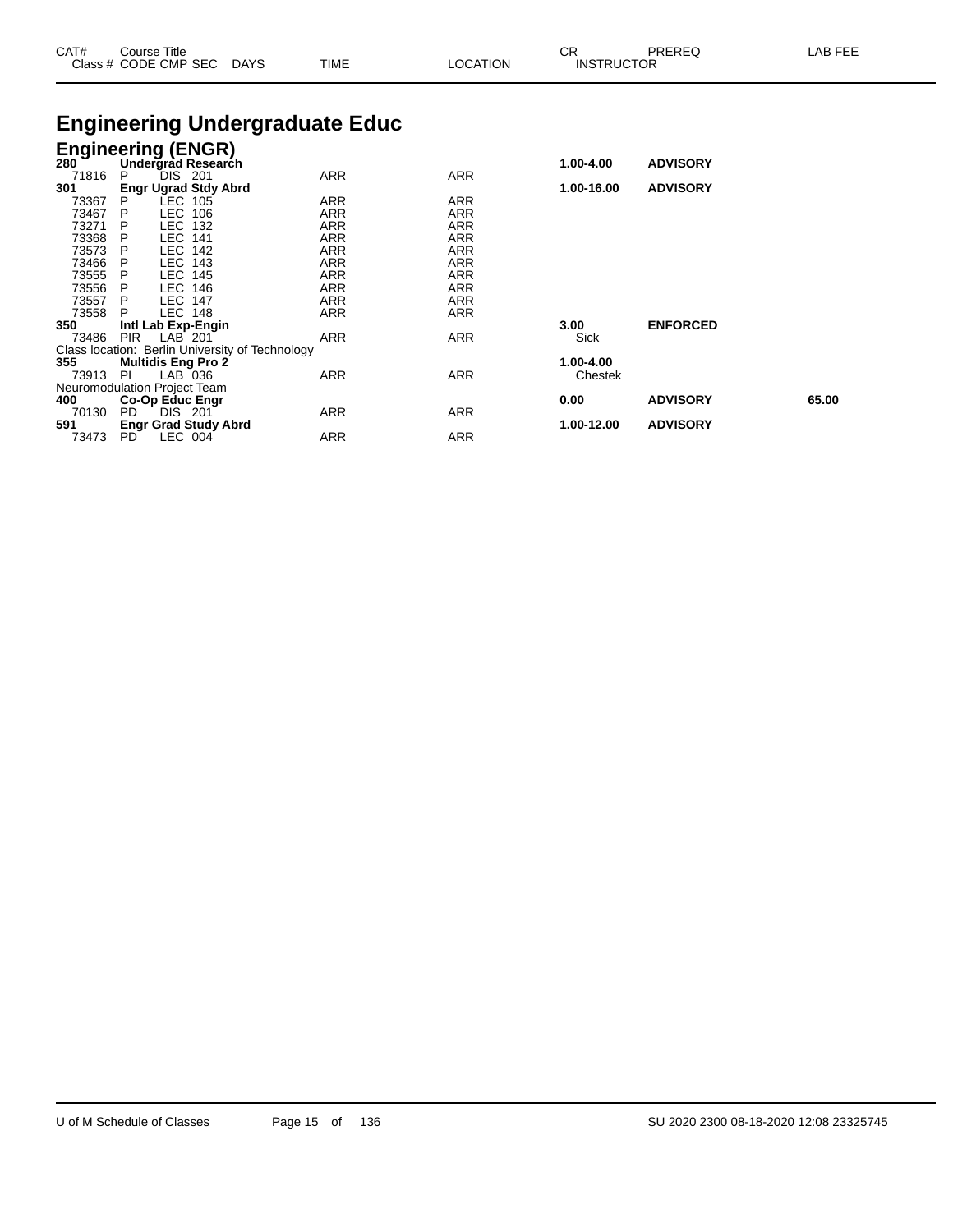| CAT#           | Course Title<br>Class # CODE CMP SEC DAYS       | TIME       | LOCATION   | CR<br><b>INSTRUCTOR</b> | <b>PREREQ</b>   | LAB FEE |
|----------------|-------------------------------------------------|------------|------------|-------------------------|-----------------|---------|
|                | <b>Engineering Undergraduate Educ</b>           |            |            |                         |                 |         |
|                | <b>Engineering (ENGR)</b>                       |            |            |                         |                 |         |
| 280            | Undergrad Research                              |            |            | 1.00-4.00               | <b>ADVISORY</b> |         |
| 71816          | DIS.<br>201<br>P                                | ARR        | ARR        |                         |                 |         |
| 301            | <b>Engr Ugrad Stdy Abrd</b>                     |            |            | 1.00-16.00              | <b>ADVISORY</b> |         |
| 73367          | LEC 105<br>P                                    | ARR        | ARR        |                         |                 |         |
| 73467          | P<br>LEC 106                                    | ARR        | ARR        |                         |                 |         |
| 73271          | LEC 132<br>- P                                  | ARR        | <b>ARR</b> |                         |                 |         |
| 73368          | <b>LEC 141</b><br>$\mathsf{P}$                  | ARR        | ARR        |                         |                 |         |
| 73573          | P<br>LEC 142                                    | ARR        | ARR        |                         |                 |         |
| 73466          | <b>LEC 143</b><br>$\mathsf{P}$                  | ARR        | <b>ARR</b> |                         |                 |         |
| 73555          | <b>LEC 145</b><br>$\mathsf{P}$                  | ARR        | <b>ARR</b> |                         |                 |         |
| 73556          | LEC 146<br>- P                                  | ARR        | <b>ARR</b> |                         |                 |         |
| 73557<br>73558 | <b>LEC 147</b><br><b>P</b><br><b>LEC 148</b>    | ARR<br>ARR | ARR<br>ARR |                         |                 |         |
| 350            | Intl Lab Exp-Engin                              |            |            | 3.00                    | <b>ENFORCED</b> |         |
| 73486          | <b>PIR</b><br>LAB 201                           | ARR        | <b>ARR</b> | Sick                    |                 |         |
|                | Class location: Berlin University of Technology |            |            |                         |                 |         |
| 355            | <b>Multidis Eng Pro 2</b>                       |            |            | 1.00-4.00               |                 |         |
| 73913          | LAB 036<br>-PI                                  | ARR        | ARR        | Chestek                 |                 |         |
|                | Neuromodulation Project Team                    |            |            |                         |                 |         |
| 400            | Co-Op Educ Engr                                 |            |            | 0.00                    | <b>ADVISORY</b> | 65.00   |
| 70130          | DIS 201<br>PD.                                  | ARR        | <b>ARR</b> |                         |                 |         |
| 591            | <b>Engr Grad Study Abrd</b>                     |            |            | 1.00-12.00              | <b>ADVISORY</b> |         |

73473 PD LEC 004 ARR ARR ARR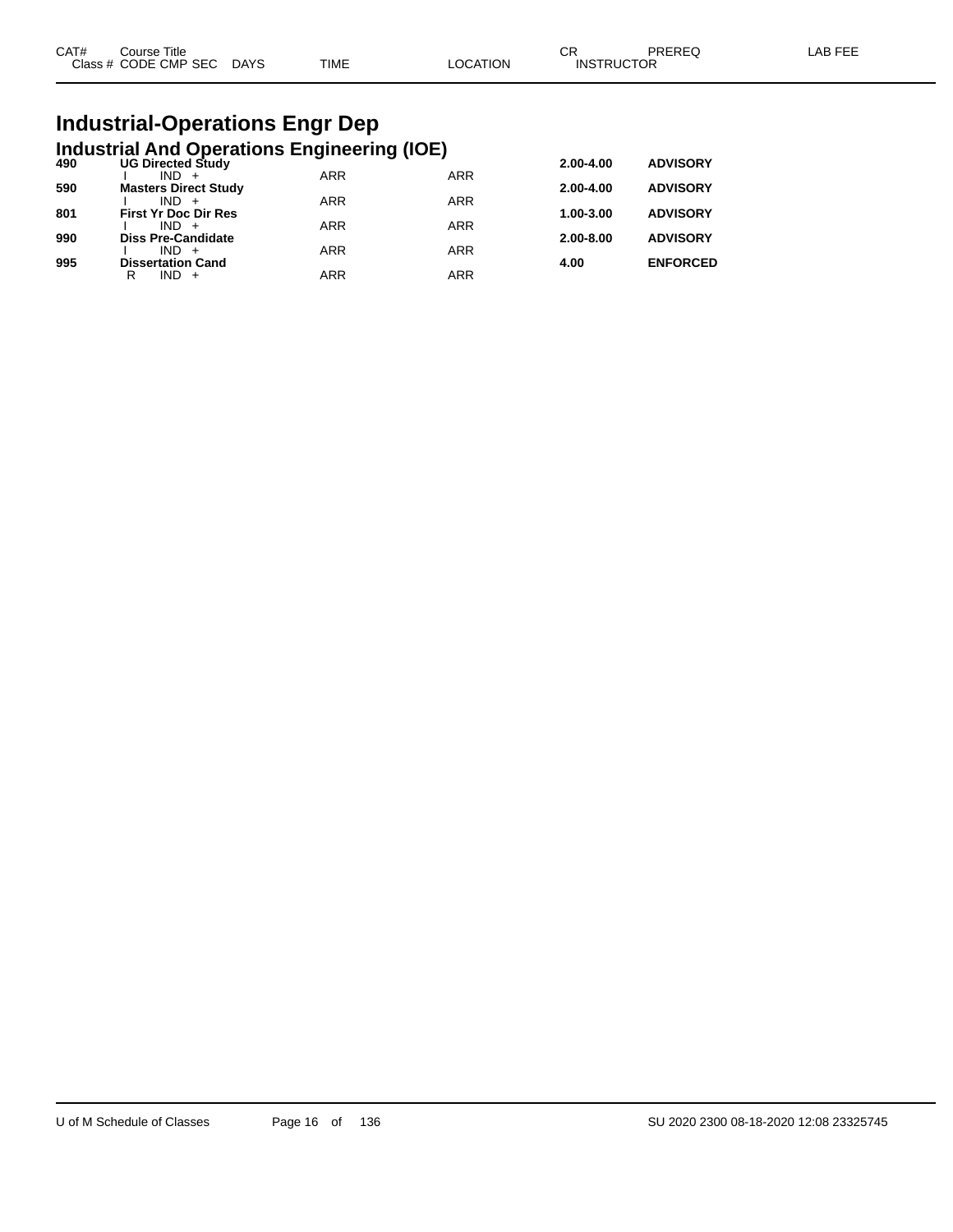| CAT# | Course Title              |      |          | ∩⊓<br>∪N.         | PREREQ | _AB FEE |
|------|---------------------------|------|----------|-------------------|--------|---------|
|      | Class # CODE CMP SEC DAYS | TIME | LOCATION | <b>INSTRUCTOR</b> |        |         |

# **Industrial-Operations Engr Dep**

|     | <b>Industrial And Operations Engineering (IOE)</b> |            |                 |           |                 |
|-----|----------------------------------------------------|------------|-----------------|-----------|-----------------|
| 490 | <b>UG Directed Study</b>                           | 2.00-4.00  | <b>ADVISORY</b> |           |                 |
|     | $IND +$                                            | <b>ARR</b> | <b>ARR</b>      |           |                 |
| 590 | <b>Masters Direct Study</b>                        |            |                 | 2.00-4.00 | <b>ADVISORY</b> |
| 801 | $IND +$<br><b>First Yr Doc Dir Res</b>             | <b>ARR</b> | <b>ARR</b>      | 1.00-3.00 | <b>ADVISORY</b> |
|     | $IND +$                                            | <b>ARR</b> | <b>ARR</b>      |           |                 |
| 990 | <b>Diss Pre-Candidate</b>                          |            |                 | 2.00-8.00 | <b>ADVISORY</b> |
|     | $IND +$                                            | <b>ARR</b> | <b>ARR</b>      |           |                 |
| 995 | <b>Dissertation Cand</b>                           |            |                 | 4.00      | <b>ENFORCED</b> |
|     | $IND +$<br>R                                       | ARR        | <b>ARR</b>      |           |                 |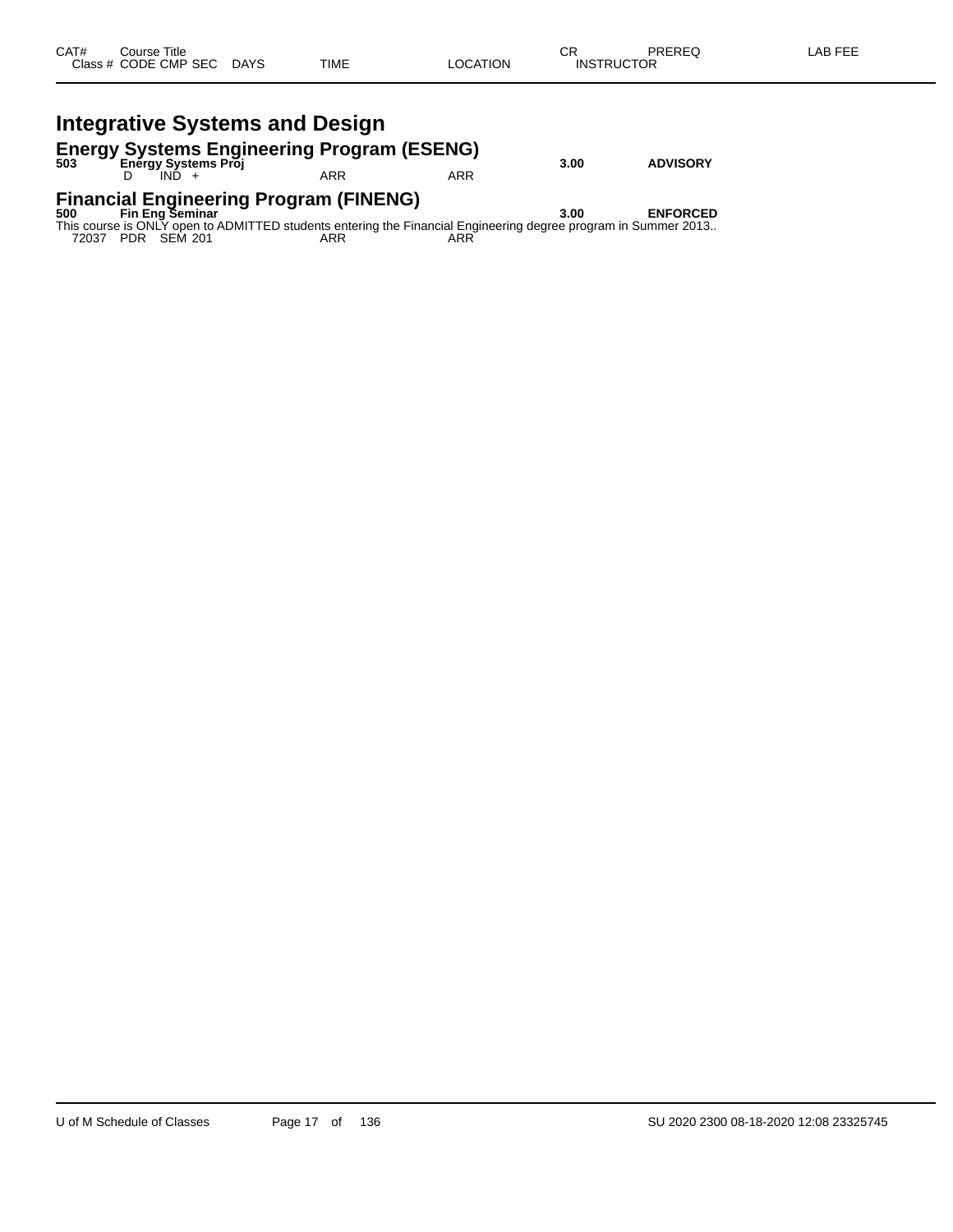### **Integrative Systems and Design**

# **Energy Systems Engineering Program (ESENG) 503 Energy Systems Proj 3.00 ADVISORY**

D IND + ARR ARR ARR

# **Financial Engineering Program (FINENG) 500 Fin Eng Seminar 3.00 ENFORCED**

This course is ONLY open to ADMITTED students entering the Financial Engineering degree program in Summer 2013.. 72037 PDR SEM 201 ARR ARR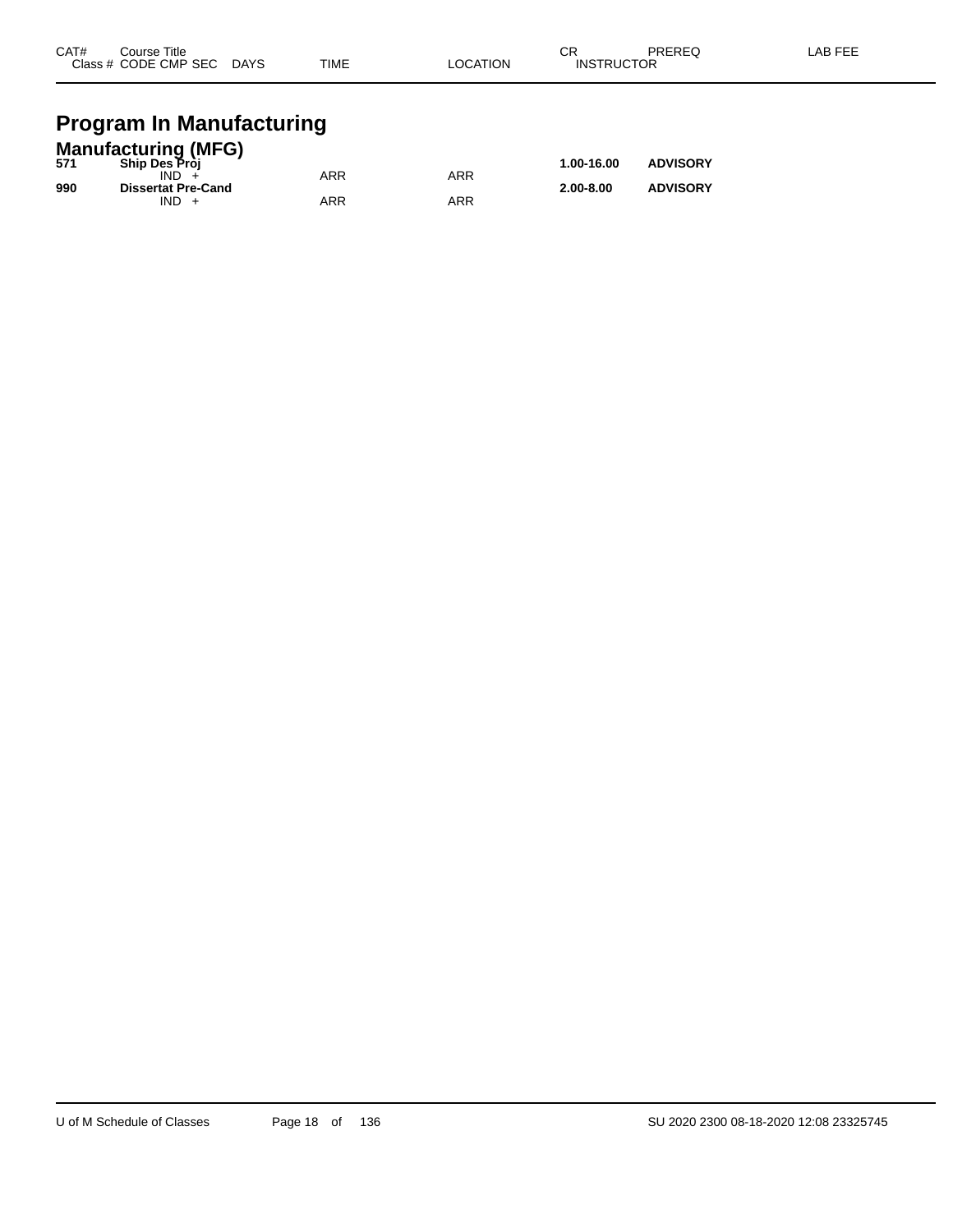| CAT# | Course Title         |             |             |                 | СR                | PREREQ | LAB FEE |
|------|----------------------|-------------|-------------|-----------------|-------------------|--------|---------|
|      | Class # CODE CMP SEC | <b>DAYS</b> | <b>TIME</b> | <b>LOCATION</b> | <b>INSTRUCTOR</b> |        |         |
|      |                      |             |             |                 |                   |        |         |

### **Program In Manufacturing**

| <b>Manufacturing (MFG)</b> |                           |     |            |               |                 |  |  |  |  |
|----------------------------|---------------------------|-----|------------|---------------|-----------------|--|--|--|--|
| 571                        | <b>Ship Des Pròi</b>      |     |            | 1.00-16.00    | <b>ADVISORY</b> |  |  |  |  |
|                            | IND.                      | ARR | <b>ARR</b> |               |                 |  |  |  |  |
| 990                        | <b>Dissertat Pre-Cand</b> |     |            | $2.00 - 8.00$ | <b>ADVISORY</b> |  |  |  |  |
|                            | $IND +$                   | ARR | ARR        |               |                 |  |  |  |  |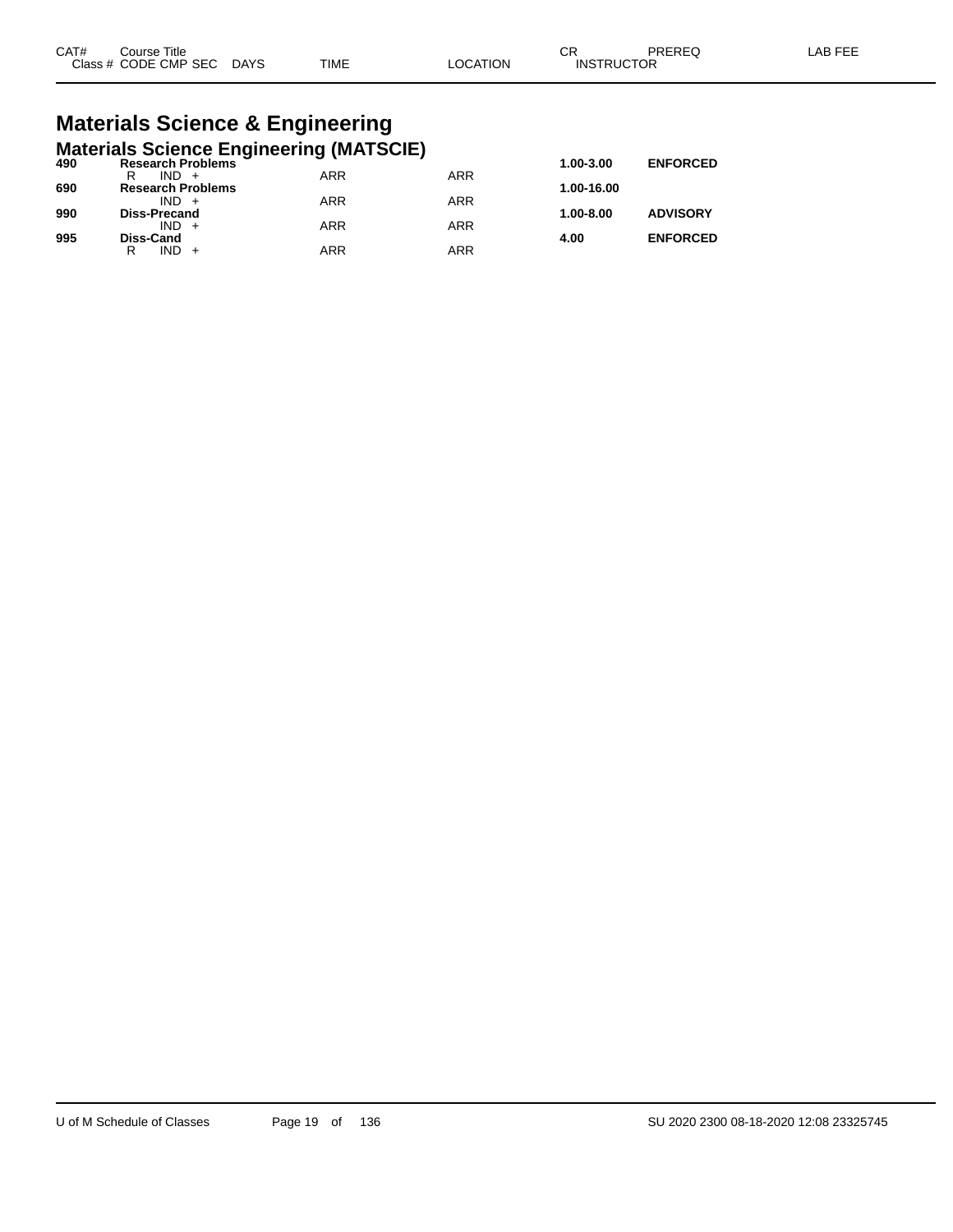| CAT# | ourse Titleٽ              |      |                 | ⌒冖<br>◡◚          | PREREQ | ∟AB FEE |
|------|---------------------------|------|-----------------|-------------------|--------|---------|
|      | Class # CODE CMP SEC DAYS | TIME | <b>LOCATION</b> | <b>INSTRUCTOR</b> |        |         |

# **Materials Science & Engineering**

|     | <b>Materials Science Engineering (MATSCIE)</b> |            |            |            |                 |
|-----|------------------------------------------------|------------|------------|------------|-----------------|
| 490 | <b>Research Problems</b>                       |            |            | 1.00-3.00  | <b>ENFORCED</b> |
|     | $IND +$<br>R                                   | ARR        | <b>ARR</b> |            |                 |
| 690 | <b>Research Problems</b>                       |            |            | 1.00-16.00 |                 |
|     | $IND +$                                        | <b>ARR</b> | <b>ARR</b> |            |                 |
| 990 | <b>Diss-Precand</b>                            |            |            | 1.00-8.00  | <b>ADVISORY</b> |
|     | $IND +$                                        | <b>ARR</b> | <b>ARR</b> |            |                 |
| 995 | <b>Diss-Cand</b>                               |            |            | 4.00       | <b>ENFORCED</b> |
|     | $IND +$<br>R                                   | ARR        | <b>ARR</b> |            |                 |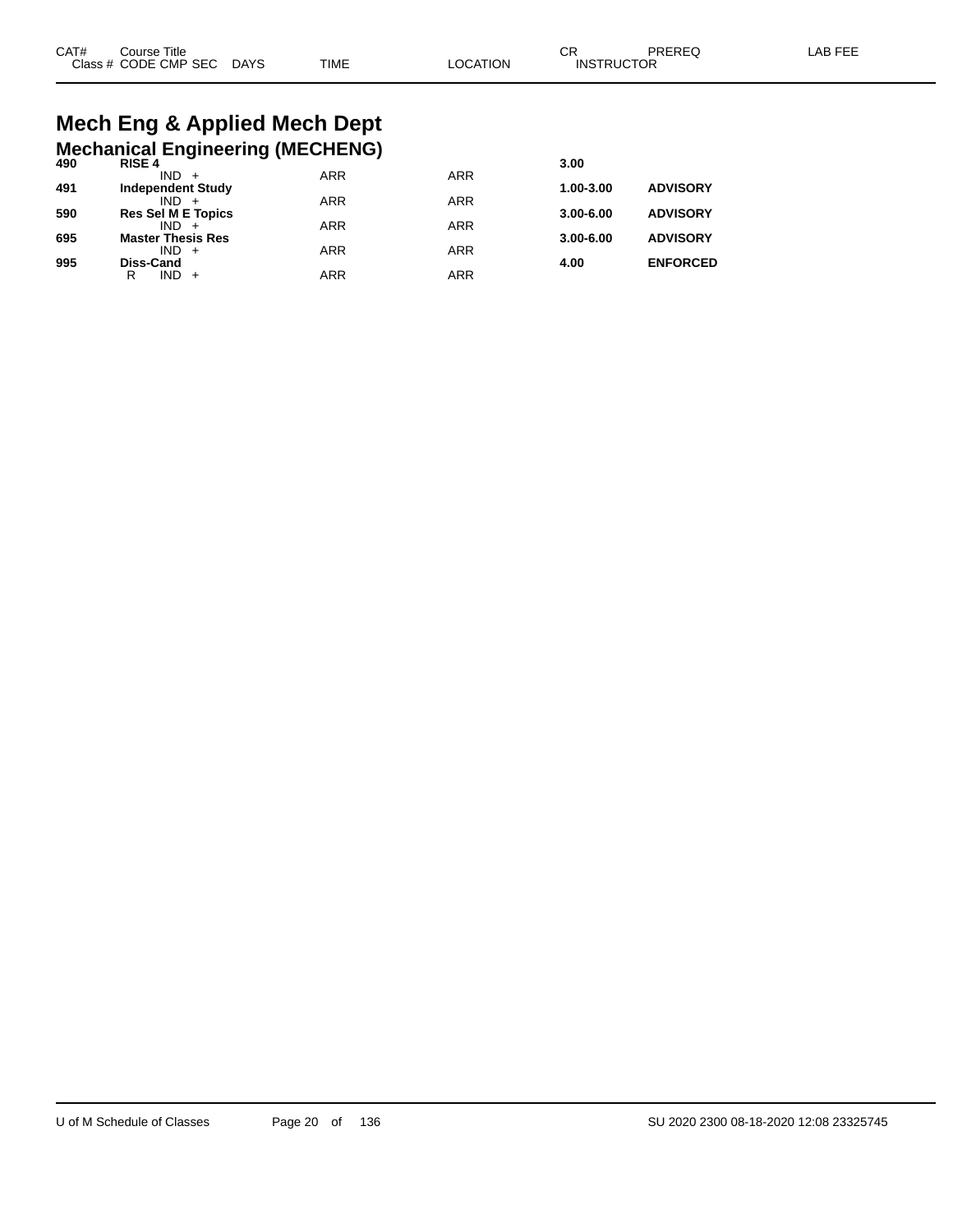# **Mech Eng & Applied Mech Dept**

|     | <b>Mechanical Engineering (MECHENG)</b> |            |            |               |                 |
|-----|-----------------------------------------|------------|------------|---------------|-----------------|
| 490 | <b>RISE 4</b>                           |            |            | 3.00          |                 |
| 491 | $IND +$<br><b>Independent Study</b>     | <b>ARR</b> | <b>ARR</b> | $1.00 - 3.00$ | <b>ADVISORY</b> |
|     | $IND +$                                 | <b>ARR</b> | <b>ARR</b> |               |                 |
| 590 | <b>Res Sel M E Topics</b>               |            |            | $3.00 - 6.00$ | <b>ADVISORY</b> |
|     | $IND +$                                 | <b>ARR</b> | <b>ARR</b> |               |                 |
| 695 | <b>Master Thesis Res</b><br>$IND +$     | <b>ARR</b> | <b>ARR</b> | $3.00 - 6.00$ | <b>ADVISORY</b> |
| 995 | <b>Diss-Cand</b>                        |            |            | 4.00          | <b>ENFORCED</b> |
|     | $IND +$<br>R                            | <b>ARR</b> | <b>ARR</b> |               |                 |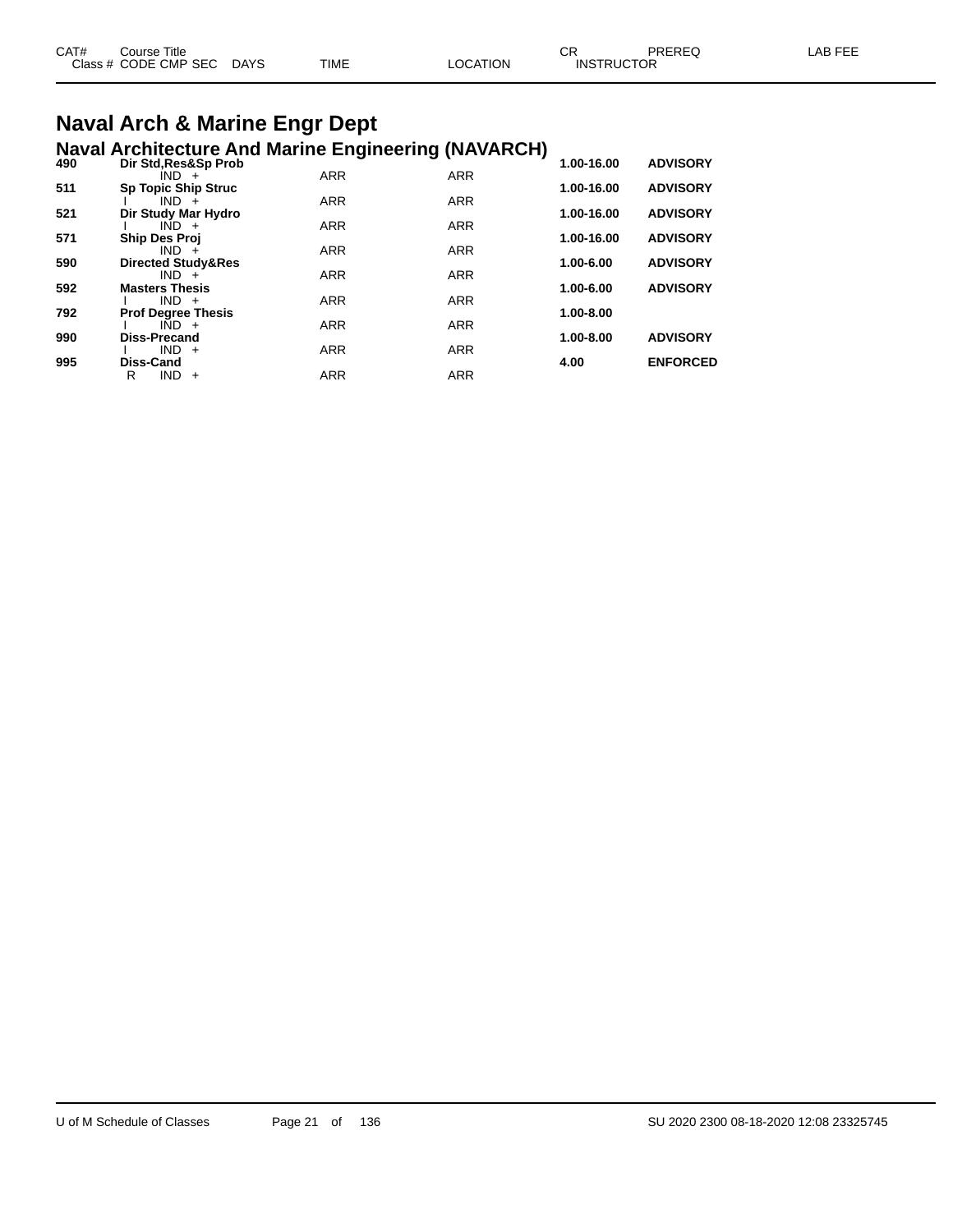| CAT# | Course Title         |             |             |          | СR                | <b>PREREQ</b> | AB FFF |
|------|----------------------|-------------|-------------|----------|-------------------|---------------|--------|
|      | Class # CODE CMP SEC | <b>DAYS</b> | <b>TIME</b> | LOCATION | <b>INSTRUCTOR</b> |               |        |
|      |                      |             |             |          |                   |               |        |

# **Naval Arch & Marine Engr Dept**

|     | <b>Naval Architecture And Marine Engineering (NAVARCH)</b> |            |            |            |                 |
|-----|------------------------------------------------------------|------------|------------|------------|-----------------|
| 490 | Dir Std, Res&Sp Prob                                       |            |            | 1.00-16.00 | <b>ADVISORY</b> |
|     | $IND +$                                                    | <b>ARR</b> | <b>ARR</b> |            |                 |
| 511 | <b>Sp Topic Ship Struc</b><br>$IND +$                      | <b>ARR</b> | <b>ARR</b> | 1.00-16.00 | <b>ADVISORY</b> |
| 521 | Dir Study Mar Hydro                                        |            |            | 1.00-16.00 | <b>ADVISORY</b> |
|     | $IND +$                                                    | <b>ARR</b> | <b>ARR</b> |            |                 |
| 571 | <b>Ship Des Proj</b>                                       |            |            | 1.00-16.00 | <b>ADVISORY</b> |
|     | $IND +$                                                    | <b>ARR</b> | <b>ARR</b> |            |                 |
| 590 | <b>Directed Study&amp;Res</b>                              |            |            | 1.00-6.00  | <b>ADVISORY</b> |
| 592 | $IND +$<br><b>Masters Thesis</b>                           | <b>ARR</b> | <b>ARR</b> | 1.00-6.00  | <b>ADVISORY</b> |
|     | $IND +$                                                    | <b>ARR</b> | <b>ARR</b> |            |                 |
| 792 | <b>Prof Degree Thesis</b>                                  |            |            | 1.00-8.00  |                 |
|     | $IND +$                                                    | <b>ARR</b> | <b>ARR</b> |            |                 |
| 990 | <b>Diss-Precand</b>                                        |            |            | 1.00-8.00  | <b>ADVISORY</b> |
|     | $IND +$                                                    | <b>ARR</b> | <b>ARR</b> |            |                 |
| 995 | <b>Diss-Cand</b>                                           |            |            | 4.00       | <b>ENFORCED</b> |
|     | R<br><b>IND</b><br>$+$                                     | <b>ARR</b> | <b>ARR</b> |            |                 |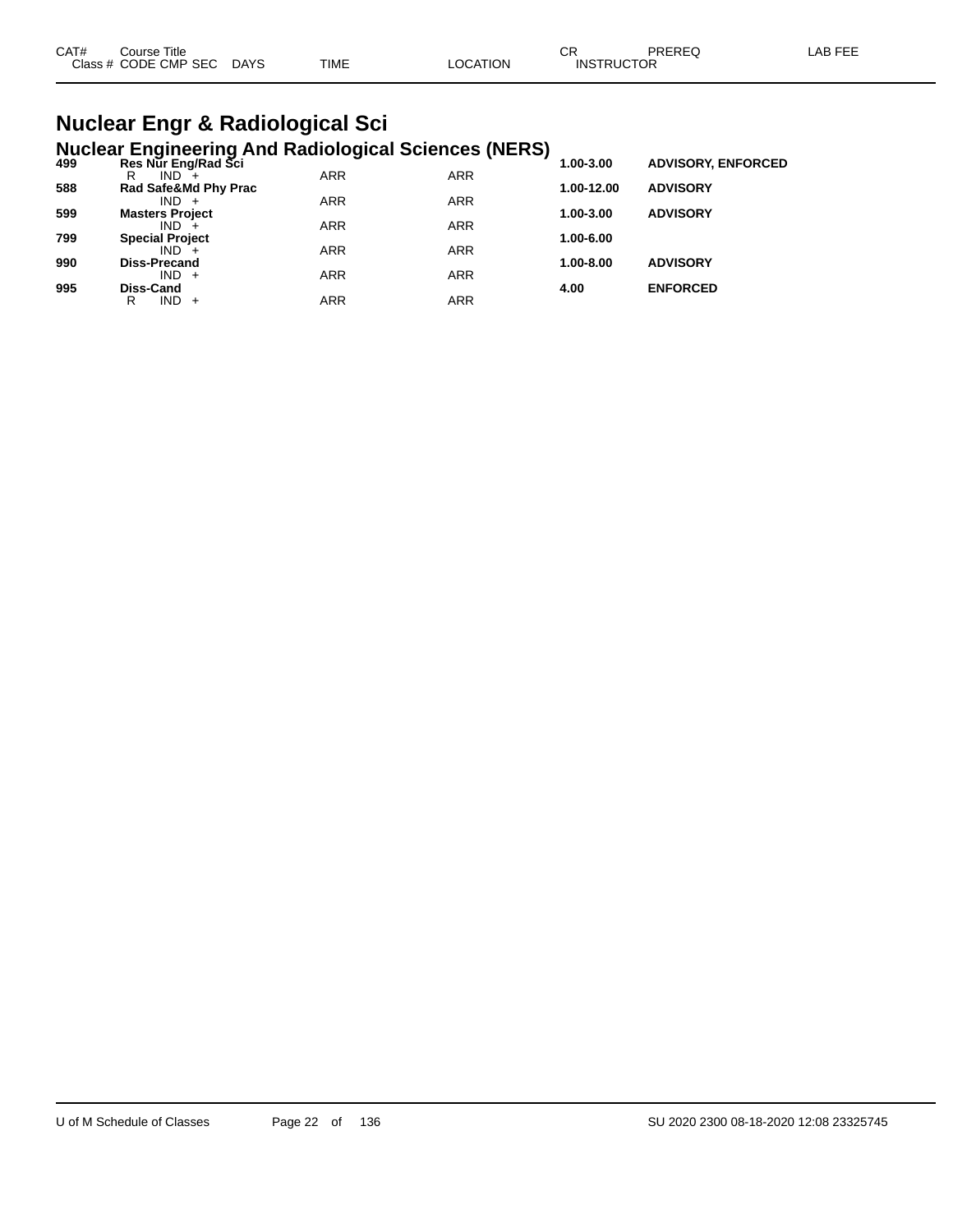| CAT#<br>Course Title |      |             |                | ⌒冖 | PREREC            | LAB FEF |
|----------------------|------|-------------|----------------|----|-------------------|---------|
| Class # CODE CMP SEC | DAYS | <b>TIME</b> | <b>OCATION</b> |    | <b>INSTRUCTOR</b> |         |

### **Nuclear Engr & Radiological Sci Nuclear Engineering And Radiological Sciences (NERS)**

| 499 | Res Nur Eng/Rad Sci    |            |            | - 1<br>1.00-3.00 | <b>ADVISORY, ENFORCED</b> |  |
|-----|------------------------|------------|------------|------------------|---------------------------|--|
|     | $IND +$<br>R           | <b>ARR</b> | <b>ARR</b> |                  |                           |  |
| 588 | Rad Safe&Md Phy Prac   |            |            | 1.00-12.00       | <b>ADVISORY</b>           |  |
|     | $IND +$                | <b>ARR</b> | <b>ARR</b> |                  |                           |  |
| 599 | <b>Masters Project</b> |            |            | 1.00-3.00        | <b>ADVISORY</b>           |  |
|     | $IND +$                | <b>ARR</b> | <b>ARR</b> |                  |                           |  |
| 799 | <b>Special Project</b> |            |            | 1.00-6.00        |                           |  |
|     | $IND +$                | <b>ARR</b> | <b>ARR</b> |                  |                           |  |
| 990 | <b>Diss-Precand</b>    |            |            | 1.00-8.00        | <b>ADVISORY</b>           |  |
|     | $IND +$                | <b>ARR</b> | <b>ARR</b> |                  |                           |  |
| 995 | Diss-Cand              |            |            | 4.00             | <b>ENFORCED</b>           |  |
|     | $IND +$<br>R           | <b>ARR</b> | ARR        |                  |                           |  |
|     |                        |            |            |                  |                           |  |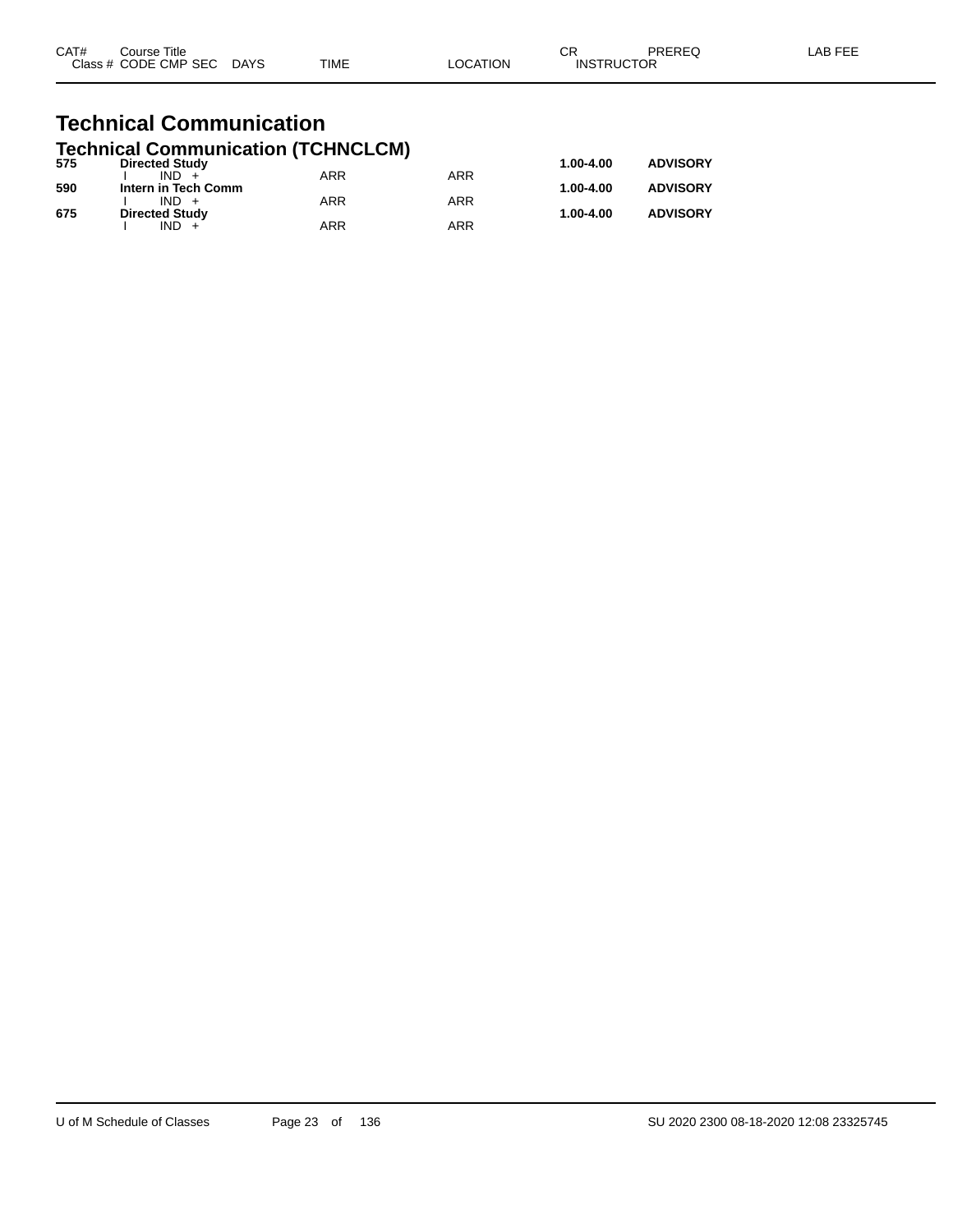| CAT# | Course Title              |             |          | ΩD                | PREREQ | LAB FEE |
|------|---------------------------|-------------|----------|-------------------|--------|---------|
|      | Class # CODE CMP SEC DAYS | <b>TIME</b> | _OCATION | <b>INSTRUCTOR</b> |        |         |
|      |                           |             |          |                   |        |         |

### **Technical Communication Technical Communication (TCHNCLCM)**

| 575 | <b>Directed Study</b> |            |     | 1.00-4.00 | <b>ADVISORY</b> |
|-----|-----------------------|------------|-----|-----------|-----------------|
|     | $IND +$               | <b>ARR</b> | ARR |           |                 |
| 590 | Intern in Tech Comm   |            |     | 1.00-4.00 | <b>ADVISORY</b> |
|     | $IND +$               | ARR        | ARR |           |                 |
| 675 | <b>Directed Study</b> |            |     | 1.00-4.00 | <b>ADVISORY</b> |
|     | $IND +$               | ARR        | ARR |           |                 |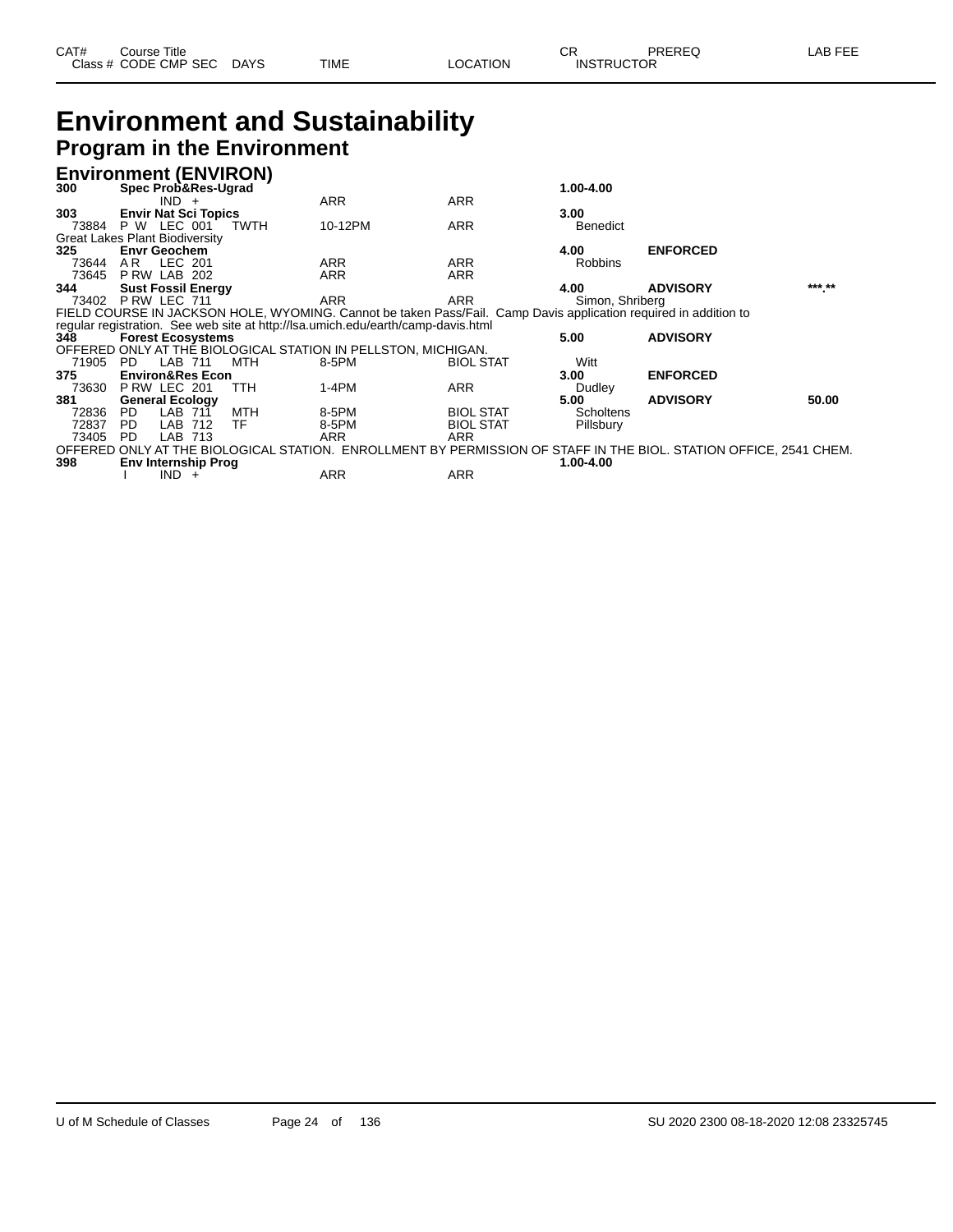| CAT# | Course Title         |             |      |          | Ωn<br>- UN        | PREREQ | _AB FEE |
|------|----------------------|-------------|------|----------|-------------------|--------|---------|
|      | Class # CODE CMP SEC | <b>DAYS</b> | TIME | LOCATION | <b>INSTRUCTOR</b> |        |         |

### **Environment and Sustainability Program in the Environment**

### **Environment (ENVIRON)**

| 300   | Spec Prob&Res-Ugrad                   |             |                                                                                                                  |                  | 1.00-4.00       |                                                                                                                   |        |
|-------|---------------------------------------|-------------|------------------------------------------------------------------------------------------------------------------|------------------|-----------------|-------------------------------------------------------------------------------------------------------------------|--------|
|       | $IND +$                               |             | ARR                                                                                                              | <b>ARR</b>       |                 |                                                                                                                   |        |
| 303   | <b>Envir Nat Sci Topics</b>           |             |                                                                                                                  |                  | 3.00            |                                                                                                                   |        |
| 73884 | P W LEC 001                           | <b>TWTH</b> | 10-12PM                                                                                                          | <b>ARR</b>       | <b>Benedict</b> |                                                                                                                   |        |
|       | <b>Great Lakes Plant Biodiversity</b> |             |                                                                                                                  |                  |                 |                                                                                                                   |        |
| 325   | <b>Envr Geochem</b>                   |             |                                                                                                                  |                  | 4.00            | <b>ENFORCED</b>                                                                                                   |        |
| 73644 | LEC 201<br>AR                         |             | <b>ARR</b>                                                                                                       | <b>ARR</b>       | <b>Robbins</b>  |                                                                                                                   |        |
| 73645 | PRW LAB 202                           |             | <b>ARR</b>                                                                                                       | <b>ARR</b>       |                 |                                                                                                                   |        |
| 344   | <b>Sust Fossil Energy</b>             |             |                                                                                                                  |                  | 4.00            | <b>ADVISORY</b>                                                                                                   | *** ** |
| 73402 | PRW LEC 711                           |             | <b>ARR</b>                                                                                                       | ARR              | Simon, Shriberg |                                                                                                                   |        |
|       |                                       |             | FIELD COURSE IN JACKSON HOLE, WYOMING. Cannot be taken Pass/Fail. Camp Davis application required in addition to |                  |                 |                                                                                                                   |        |
|       |                                       |             | regular registration. See web site at http://lsa.umich.edu/earth/camp-davis.html                                 |                  |                 |                                                                                                                   |        |
| 348   | <b>Forest Ecosystems</b>              |             |                                                                                                                  |                  | 5.00            | <b>ADVISORY</b>                                                                                                   |        |
|       |                                       |             | OFFERED ONLY AT THE BIOLOGICAL STATION IN PELLSTON, MICHIGAN.                                                    |                  |                 |                                                                                                                   |        |
|       |                                       |             |                                                                                                                  |                  |                 |                                                                                                                   |        |
| 71905 | LAB 711<br>PD                         | MTH         | 8-5PM                                                                                                            | <b>BIOL STAT</b> | Witt            |                                                                                                                   |        |
| 375   | <b>Environ&amp;Res Econ</b>           |             |                                                                                                                  |                  | 3.00            | <b>ENFORCED</b>                                                                                                   |        |
| 73630 | PRW LEC 201                           | TTH         | $1-4PM$                                                                                                          | ARR              | Dudley          |                                                                                                                   |        |
| 381   | <b>General Ecology</b>                |             |                                                                                                                  |                  | 5.00            | <b>ADVISORY</b>                                                                                                   | 50.00  |
| 72836 | LAB 711<br>PD.                        | MTH         | 8-5PM                                                                                                            | <b>BIOL STAT</b> | Scholtens       |                                                                                                                   |        |
| 72837 | LAB 712<br>PD.                        | TF          | 8-5PM                                                                                                            | <b>BIOL STAT</b> | Pillsbury       |                                                                                                                   |        |
| 73405 | LAB 713<br>PD.                        |             | ARR                                                                                                              | <b>ARR</b>       |                 |                                                                                                                   |        |
|       |                                       |             |                                                                                                                  |                  |                 | OFFERED ONLY AT THE BIOLOGICAL STATION. ENROLLMENT BY PERMISSION OF STAFF IN THE BIOL. STATION OFFICE, 2541 CHEM. |        |
| 398   | <b>Env Internship Prog</b><br>$IND +$ |             | ARR                                                                                                              | <b>ARR</b>       | 1.00-4.00       |                                                                                                                   |        |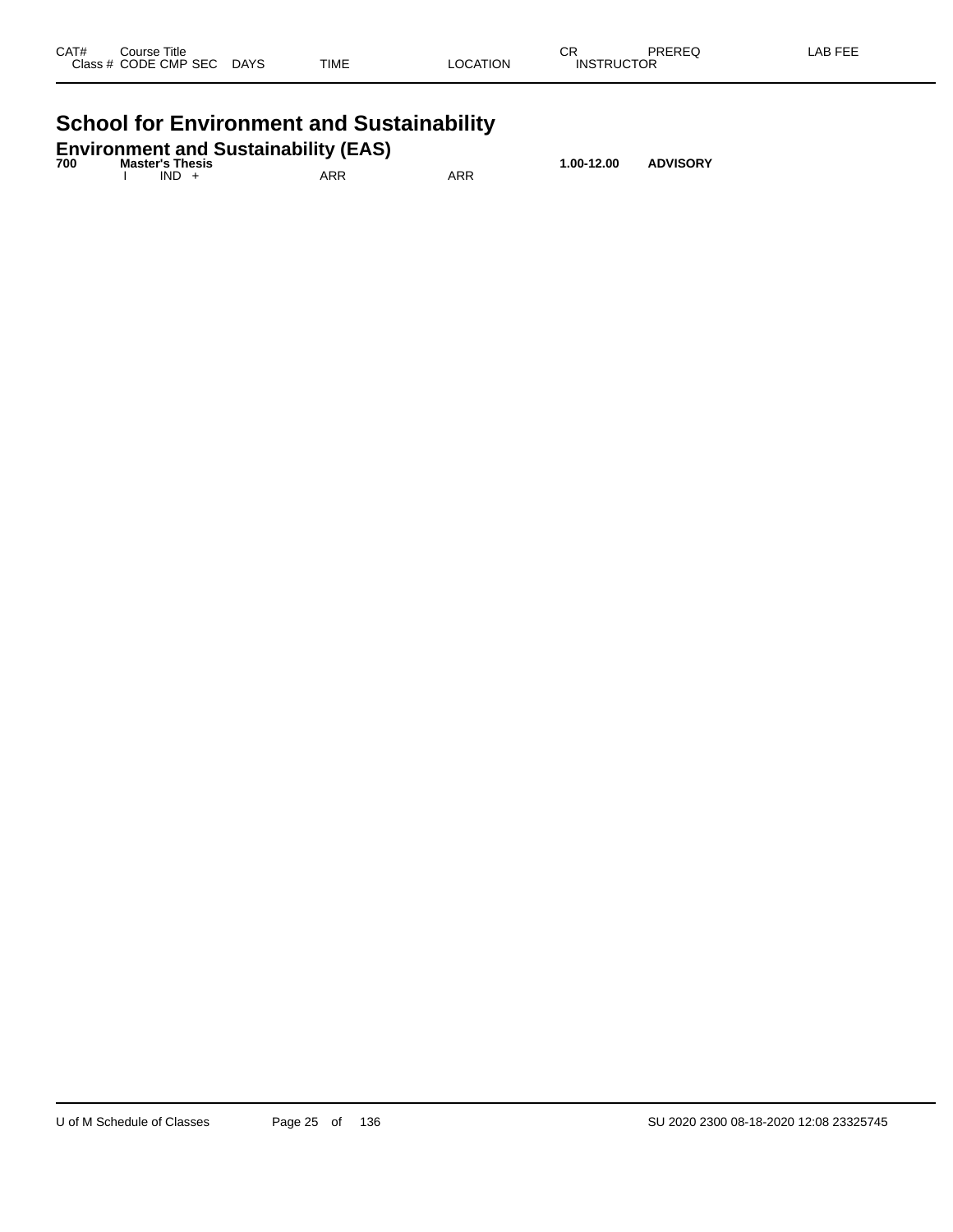| CAT# | Course Title<br>Class # CODE CMP SEC | <b>DAYS</b> | <b>TIME</b> | LOCATION | ^-<br>UM<br><b>INSTRUCTOR</b> | PREREQ | LAB FEE |
|------|--------------------------------------|-------------|-------------|----------|-------------------------------|--------|---------|
|      |                                      |             |             |          |                               |        |         |

# **School for Environment and Sustainability**

|     |                        | <b>Environment and Sustainability (EAS)</b> |     |                |                 |
|-----|------------------------|---------------------------------------------|-----|----------------|-----------------|
| 700 | <b>Master's Thesis</b> |                                             |     | $1.00 - 12.00$ | <b>ADVISORY</b> |
|     | $IND +$                | ARR                                         | ARR |                |                 |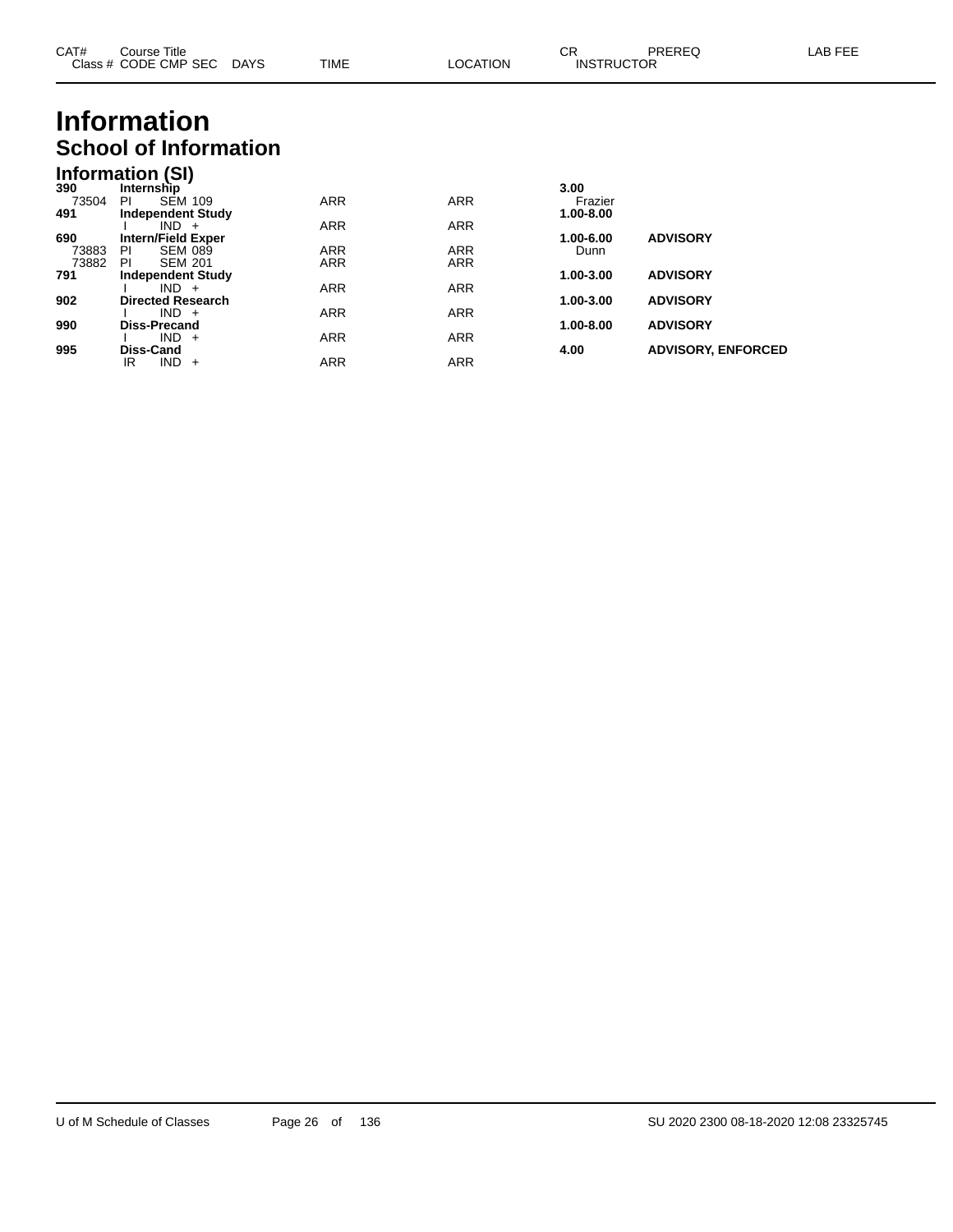| CAT# | Course Title              |      |          | СR                | PREREQ | LAB FEE |
|------|---------------------------|------|----------|-------------------|--------|---------|
|      | Class # CODE CMP SEC DAYS | TIME | LOCATION | <b>INSTRUCTOR</b> |        |         |
|      |                           |      |          |                   |        |         |

# **Information School of Information**

### **Information (SI)**

| 390   | Internship                |            |            | 3.00      |                           |
|-------|---------------------------|------------|------------|-----------|---------------------------|
| 73504 | <b>SEM 109</b><br>PI      | <b>ARR</b> | <b>ARR</b> | Frazier   |                           |
| 491   | <b>Independent Study</b>  |            |            | 1.00-8.00 |                           |
|       | $IND +$                   | <b>ARR</b> | <b>ARR</b> |           |                           |
| 690   | <b>Intern/Field Exper</b> |            |            | 1.00-6.00 | <b>ADVISORY</b>           |
| 73883 | <b>SEM 089</b><br>ΡI      | <b>ARR</b> | <b>ARR</b> | Dunn      |                           |
| 73882 | <b>SEM 201</b><br>ΡI      | <b>ARR</b> | <b>ARR</b> |           |                           |
| 791   | <b>Independent Study</b>  |            |            | 1.00-3.00 | <b>ADVISORY</b>           |
|       | $IND +$                   | <b>ARR</b> | <b>ARR</b> |           |                           |
| 902   | <b>Directed Research</b>  |            |            | 1.00-3.00 | <b>ADVISORY</b>           |
|       | $IND +$                   | <b>ARR</b> | <b>ARR</b> |           |                           |
| 990   | <b>Diss-Precand</b>       |            |            | 1.00-8.00 | <b>ADVISORY</b>           |
|       | $IND +$                   | <b>ARR</b> | <b>ARR</b> |           |                           |
| 995   | Diss-Cand                 |            |            | 4.00      | <b>ADVISORY, ENFORCED</b> |
|       | IND.<br>IR<br>$+$         | <b>ARR</b> | <b>ARR</b> |           |                           |
|       |                           |            |            |           |                           |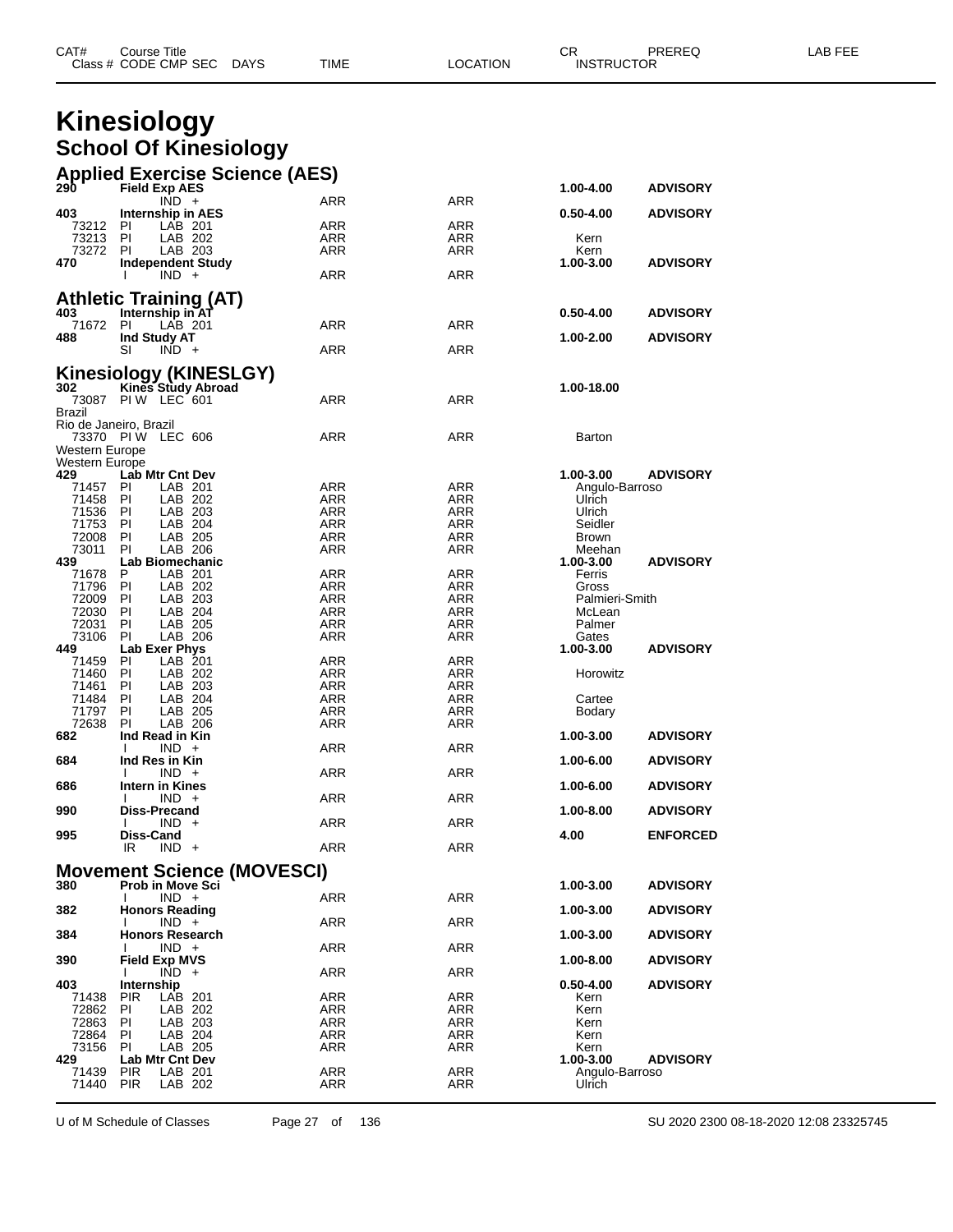| CAT# | Title<br>Course      |             |      |                 | СR                | <b>PREREQ</b> | FEE<br>_AB_ |
|------|----------------------|-------------|------|-----------------|-------------------|---------------|-------------|
|      | Class # CODE CMP SEC | <b>DAYS</b> | TIME | <b>LOCATION</b> | <b>INSTRUCTOR</b> |               |             |

## **Kinesiology School Of Kinesiology**

|                              | <b>Applied Exercise Science (AES)</b><br>290 Field Exp AFS |                   |            |                          |                 |
|------------------------------|------------------------------------------------------------|-------------------|------------|--------------------------|-----------------|
|                              | <b>Field Exp AES</b>                                       |                   |            | 1.00-4.00                | <b>ADVISORY</b> |
| 403                          | $\overline{IND}$ +<br>Internship in AES                    | ARR               | ARR        |                          | <b>ADVISORY</b> |
| 73212 PI                     | LAB 201                                                    | ARR               | ARR        | $0.50 - 4.00$            |                 |
| 73213 PI                     | LAB 202                                                    | ARR               | ARR        | Kern                     |                 |
| 73272                        | <b>PI</b><br>LAB 203                                       | ARR               | ARR        | Kern                     |                 |
| 470                          | <b>Independent Study</b>                                   |                   |            | 1.00-3.00                | <b>ADVISORY</b> |
|                              | $IND +$                                                    | ARR               | <b>ARR</b> |                          |                 |
|                              | <b>Athletic Training (AT)</b>                              |                   |            |                          |                 |
| 403                          | Internship in AT                                           |                   |            | $0.50 - 4.00$            | <b>ADVISORY</b> |
| 71672 PI                     | LAB 201                                                    | ARR               | ARR        |                          |                 |
| 488                          | Ind Study AT<br>SI<br>$IND +$                              | ARR               | <b>ARR</b> | 1.00-2.00                | <b>ADVISORY</b> |
|                              |                                                            |                   |            |                          |                 |
|                              | <b>Kinesiology (KINESLGY)</b>                              |                   |            |                          |                 |
| 302                          | Kines Study Abroad<br>PIW LEC 601                          | ARR               | ARR        | 1.00-18.00               |                 |
| 73087<br>Brazil              |                                                            |                   |            |                          |                 |
| Rio de Janeiro, Brazil       |                                                            |                   |            |                          |                 |
|                              | 73370 PIW LEC 606                                          | ARR               | ARR        | Barton                   |                 |
| Western Europe               |                                                            |                   |            |                          |                 |
| <b>Western Europe</b><br>429 | Lab Mtr Cnt Dev                                            |                   |            | 1.00-3.00                | <b>ADVISORY</b> |
| 71457                        | LAB 201<br>PI                                              | ARR               | ARR        | Angulo-Barroso           |                 |
| 71458 PI                     | LAB 202                                                    | ARR               | ARR        | Ulrich                   |                 |
| 71536                        | PI<br>LAB 203                                              | ARR               | ARR        | Ulrich                   |                 |
| 71753 PI<br>72008            | LAB 204<br>P1<br>LAB 205                                   | <b>ARR</b><br>ARR | ARR<br>ARR | Seidler<br>Brown         |                 |
| 73011                        | ΡI<br>LAB 206                                              | ARR               | ARR        | Meehan                   |                 |
| 439                          | <b>Lab Biomechanic</b>                                     |                   |            | 1.00-3.00                | <b>ADVISORY</b> |
| 71678 P                      | LAB 201                                                    | ARR               | ARR        | Ferris                   |                 |
| 71796<br>72009               | LAB 202<br>PI<br>PI<br>LAB 203                             | ARR<br><b>ARR</b> | ARR<br>ARR | Gross                    |                 |
| 72030                        | - PI<br>LAB 204                                            | ARR               | ARR        | Palmieri-Smith<br>McLean |                 |
| 72031                        | LAB 205<br>PI                                              | ARR               | <b>ARR</b> | Palmer                   |                 |
| 73106                        | PI<br>LAB 206                                              | ARR               | ARR        | Gates                    |                 |
| 449                          | Lab Exer Phys                                              |                   |            | 1.00-3.00                | <b>ADVISORY</b> |
| 71459<br>71460               | PI<br>LAB 201<br>PI<br>LAB 202                             | ARR<br><b>ARR</b> | ARR<br>ARR | Horowitz                 |                 |
| 71461                        | PI<br>LAB 203                                              | ARR               | ARR        |                          |                 |
| 71484                        | LAB 204<br>PI                                              | ARR               | ARR        | Cartee                   |                 |
| 71797                        | LAB 205<br>PI                                              | <b>ARR</b>        | ARR        | Bodary                   |                 |
| 72638<br>682                 | PI<br>LAB 206<br>Ind Read in Kin                           | ARR               | ARR        | 1.00-3.00                | <b>ADVISORY</b> |
|                              | $IND +$<br>I.                                              | ARR               | ARR        |                          |                 |
| 684                          | Ind Res in Kin                                             |                   |            | 1.00-6.00                | <b>ADVISORY</b> |
|                              | $IND +$                                                    | ARR               | ARR        |                          |                 |
| 686                          | Intern in Kines<br>$IND +$<br><sup>1</sup>                 | ARR               | ARR        | 1.00-6.00                | <b>ADVISORY</b> |
| 990                          | <b>Diss-Precand</b>                                        |                   |            | 1.00-8.00                | <b>ADVISORY</b> |
|                              | $IND +$<br>I.                                              | ARR               | ARR        |                          |                 |
| 995                          | Diss-Cand<br>$IND +$<br>IR                                 | ARR               | ARR        | 4.00                     | <b>ENFORCED</b> |
|                              |                                                            |                   |            |                          |                 |
|                              | <b>Movement Science (MOVESCI)</b>                          |                   |            |                          |                 |
| 380                          | Prob in Move Sci<br>$IND +$<br>I.                          | ARR               | <b>ARR</b> | 1.00-3.00                | <b>ADVISORY</b> |
| 382                          | <b>Honors Reading</b>                                      |                   |            | 1.00-3.00                | <b>ADVISORY</b> |
|                              | $IND +$                                                    | ARR               | ARR        |                          |                 |
| 384                          | <b>Honors Research</b>                                     |                   |            | 1.00-3.00                | <b>ADVISORY</b> |
| 390                          | $IND +$<br><b>Field Exp MVS</b>                            | <b>ARR</b>        | <b>ARR</b> | 1.00-8.00                | <b>ADVISORY</b> |
|                              | $IND +$<br>I.                                              | <b>ARR</b>        | <b>ARR</b> |                          |                 |
| 403                          | Internship                                                 |                   |            | $0.50 - 4.00$            | <b>ADVISORY</b> |
| 71438                        | LAB 201<br><b>PIR</b>                                      | ARR               | ARR        | Kern                     |                 |
| 72862                        | PI<br>LAB 202                                              | ARR               | ARR        | Kern                     |                 |
| 72863<br>72864               | LAB 203<br>PI.<br>LAB 204<br><b>PI</b>                     | ARR<br>ARR        | ARR<br>ARR | Kern<br>Kern             |                 |
| 73156                        | LAB 205<br>PI.                                             | <b>ARR</b>        | <b>ARR</b> | Kern                     |                 |
| 429                          | <b>Lab Mtr Cnt Dev</b>                                     |                   |            | 1.00-3.00                | <b>ADVISORY</b> |
| 71439                        | <b>PIR</b><br>LAB 201                                      | ARR               | <b>ARR</b> | Angulo-Barroso           |                 |
| 71440 PIR                    | LAB 202                                                    | ARR               | ARR        | Ulrich                   |                 |

U of M Schedule of Classes Page 27 of 136 SU 2020 2300 08-18-2020 12:08 23325745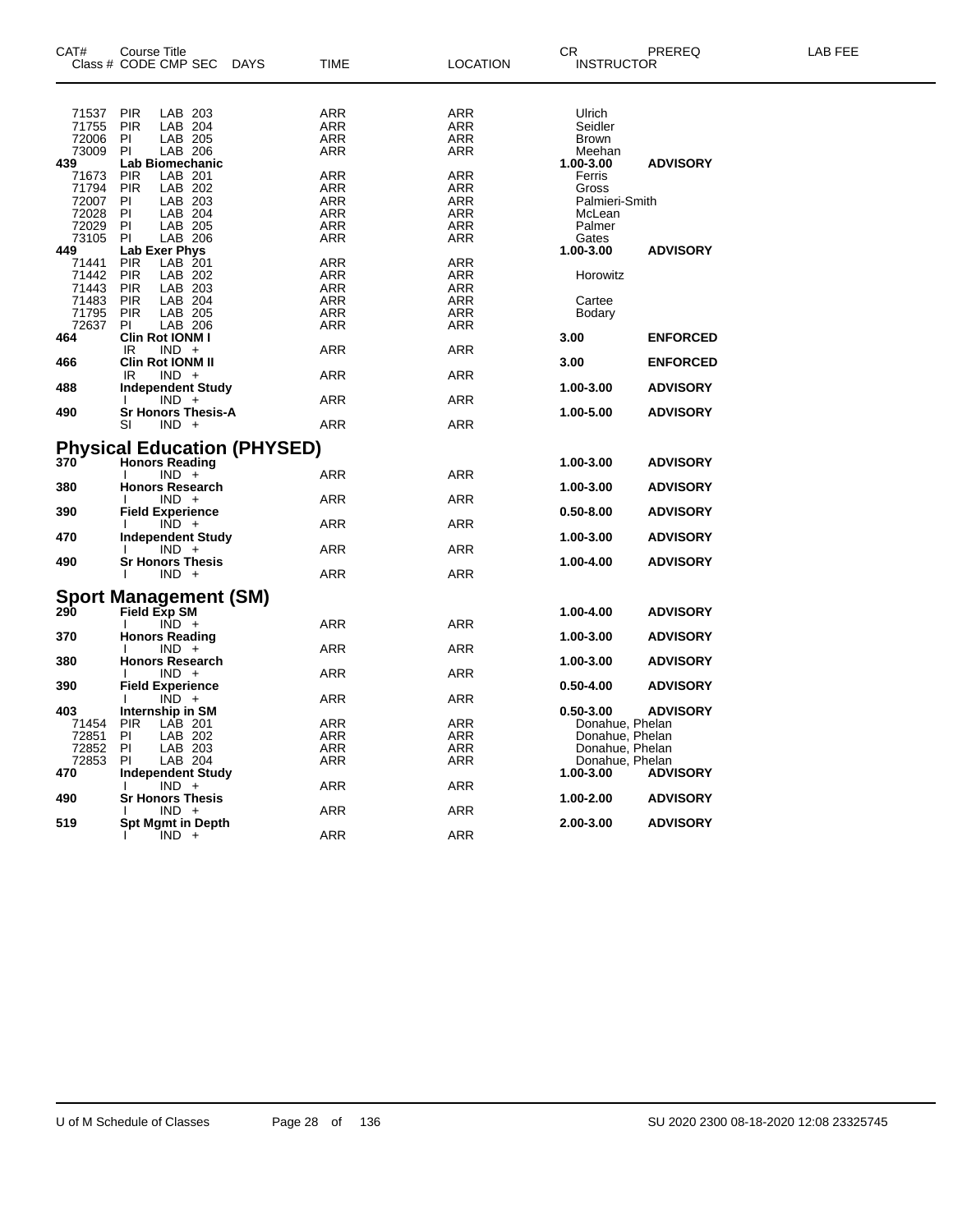| CAT#           | Course Title<br>Class # CODE CMP SEC<br>DAYS | TIME       | <b>LOCATION</b> | CR<br><b>INSTRUCTOR</b> | PREREQ          | LAB FEE |
|----------------|----------------------------------------------|------------|-----------------|-------------------------|-----------------|---------|
|                |                                              |            |                 |                         |                 |         |
|                |                                              |            |                 |                         |                 |         |
| 71537          | PIR<br>LAB 203                               | ARR        | ARR             | Ulrich                  |                 |         |
| 71755          | <b>PIR</b><br>LAB 204                        | <b>ARR</b> | <b>ARR</b>      | Seidler                 |                 |         |
| 72006          | PI<br>LAB 205                                | ARR        | ARR             | <b>Brown</b>            |                 |         |
| 73009          | PI.<br>LAB 206                               | ARR        | ARR             | Meehan                  |                 |         |
| 439            | Lab Biomechanic                              |            |                 | 1.00-3.00               | <b>ADVISORY</b> |         |
| 71673          | <b>PIR</b><br>LAB 201                        | ARR        | ARR             | Ferris                  |                 |         |
| 71794          | <b>PIR</b><br>LAB 202                        | ARR        | ARR             | Gross                   |                 |         |
| 72007          | LAB 203<br>ΡI                                | <b>ARR</b> | ARR             | Palmieri-Smith          |                 |         |
| 72028          | PI<br>LAB 204                                | ARR        | ARR             | McLean                  |                 |         |
| 72029          | PI<br>LAB 205                                | ARR        | ARR             | Palmer                  |                 |         |
| 73105          | PI<br>LAB 206                                | <b>ARR</b> | ARR             | Gates                   |                 |         |
| 449            | Lab Exer Phys                                |            |                 | 1.00-3.00               | <b>ADVISORY</b> |         |
| 71441          | <b>PIR</b><br>LAB 201                        | ARR        | ARR             |                         |                 |         |
| 71442          | <b>PIR</b><br>LAB 202                        | ARR        | ARR             | Horowitz                |                 |         |
| 71443          | <b>PIR</b><br>LAB 203                        | ARR        | ARR             |                         |                 |         |
| 71483          | <b>PIR</b><br>LAB 204                        | ARR        | ARR             | Cartee                  |                 |         |
| 71795<br>72637 | <b>PIR</b><br>LAB 205<br>PI.<br>LAB 206      | ARR        | ARR<br>ARR      | Bodary                  |                 |         |
| 464            | Clin Rot IONM I                              | ARR        |                 | 3.00                    | <b>ENFORCED</b> |         |
|                | $IND +$<br>IR                                | ARR        | ARR             |                         |                 |         |
| 466            | <b>Clin Rot IONM II</b>                      |            |                 | 3.00                    | <b>ENFORCED</b> |         |
|                | $IND +$<br>IR.                               | ARR        | <b>ARR</b>      |                         |                 |         |
| 488            | <b>Independent Study</b>                     |            |                 | 1.00-3.00               | <b>ADVISORY</b> |         |
|                | $IND +$                                      | ARR        | <b>ARR</b>      |                         |                 |         |
| 490            | <b>Sr Honors Thesis-A</b>                    |            |                 | 1.00-5.00               | <b>ADVISORY</b> |         |
|                | SI<br>$IND +$                                | ARR        | ARR             |                         |                 |         |
|                |                                              |            |                 |                         |                 |         |
|                | <b>Physical Education (PHYSED)</b>           |            |                 |                         |                 |         |
| 370            | <b>Honors Reading</b>                        |            |                 | 1.00-3.00               | <b>ADVISORY</b> |         |
|                | $IND +$<br>-1                                | ARR        | <b>ARR</b>      |                         |                 |         |
| 380            | <b>Honors Research</b>                       |            |                 | 1.00-3.00               | <b>ADVISORY</b> |         |
|                | $IND +$                                      | ARR        | ARR             |                         |                 |         |
| 390            | <b>Field Experience</b>                      |            |                 | $0.50 - 8.00$           | <b>ADVISORY</b> |         |
|                | $IND +$                                      | ARR        | <b>ARR</b>      |                         |                 |         |
| 470            | <b>Independent Study</b>                     |            |                 | 1.00-3.00               | <b>ADVISORY</b> |         |
|                | $IND +$                                      | ARR        | ARR             |                         |                 |         |
| 490            | <b>Sr Honors Thesis</b>                      |            |                 | 1.00-4.00               | <b>ADVISORY</b> |         |
|                | $IND +$                                      | ARR        | ARR             |                         |                 |         |
|                |                                              |            |                 |                         |                 |         |
| 290            | <b>Sport Management (SM)</b><br>Field Exp SM |            |                 | 1.00-4.00               |                 |         |
|                | $\overline{IND}$ +                           | ARR        | <b>ARR</b>      |                         | <b>ADVISORY</b> |         |
| 370            |                                              |            |                 | 1.00-3.00               | <b>ADVISORY</b> |         |
|                | <b>Honors Reading</b><br>$IND +$             | ARR        | ARR             |                         |                 |         |
| 380            | <b>Honors Research</b>                       |            |                 | 1.00-3.00               | <b>ADVISORY</b> |         |
|                | $IND +$                                      | ARR        | <b>ARR</b>      |                         |                 |         |
| 390            | <b>Field Experience</b>                      |            |                 | 0.50-4.00               | <b>ADVISORY</b> |         |
|                | $\overline{IND}$ +                           | ARR        | ARR             |                         |                 |         |
| 403            | Internship in SM                             |            |                 | $0.50 - 3.00$           | <b>ADVISORY</b> |         |
| 71454          | <b>PIR</b><br>LAB 201                        | ARR        | ARR             | Donahue, Phelan         |                 |         |
| 72851          | PI<br>LAB 202                                | ARR        | ARR             | Donahue, Phelan         |                 |         |
| 72852          | PI<br>LAB 203                                | ARR        | ARR             | Donahue, Phelan         |                 |         |
| 72853          | PI<br>LAB 204                                | ARR        | ARR             | Donahue, Phelan         |                 |         |
| 470            | Independent Study                            |            |                 | 1.00-3.00               | <b>ADVISORY</b> |         |
|                | $IND +$                                      | ARR        | <b>ARR</b>      |                         |                 |         |
| 490            | <b>Sr Honors Thesis</b>                      |            |                 | 1.00-2.00               | <b>ADVISORY</b> |         |
|                | $IND +$                                      | ARR        | ARR             |                         |                 |         |
| 519            | <b>Spt Mgmt in Depth</b>                     |            |                 | 2.00-3.00               | <b>ADVISORY</b> |         |
|                | $IND +$                                      | <b>ARR</b> | <b>ARR</b>      |                         |                 |         |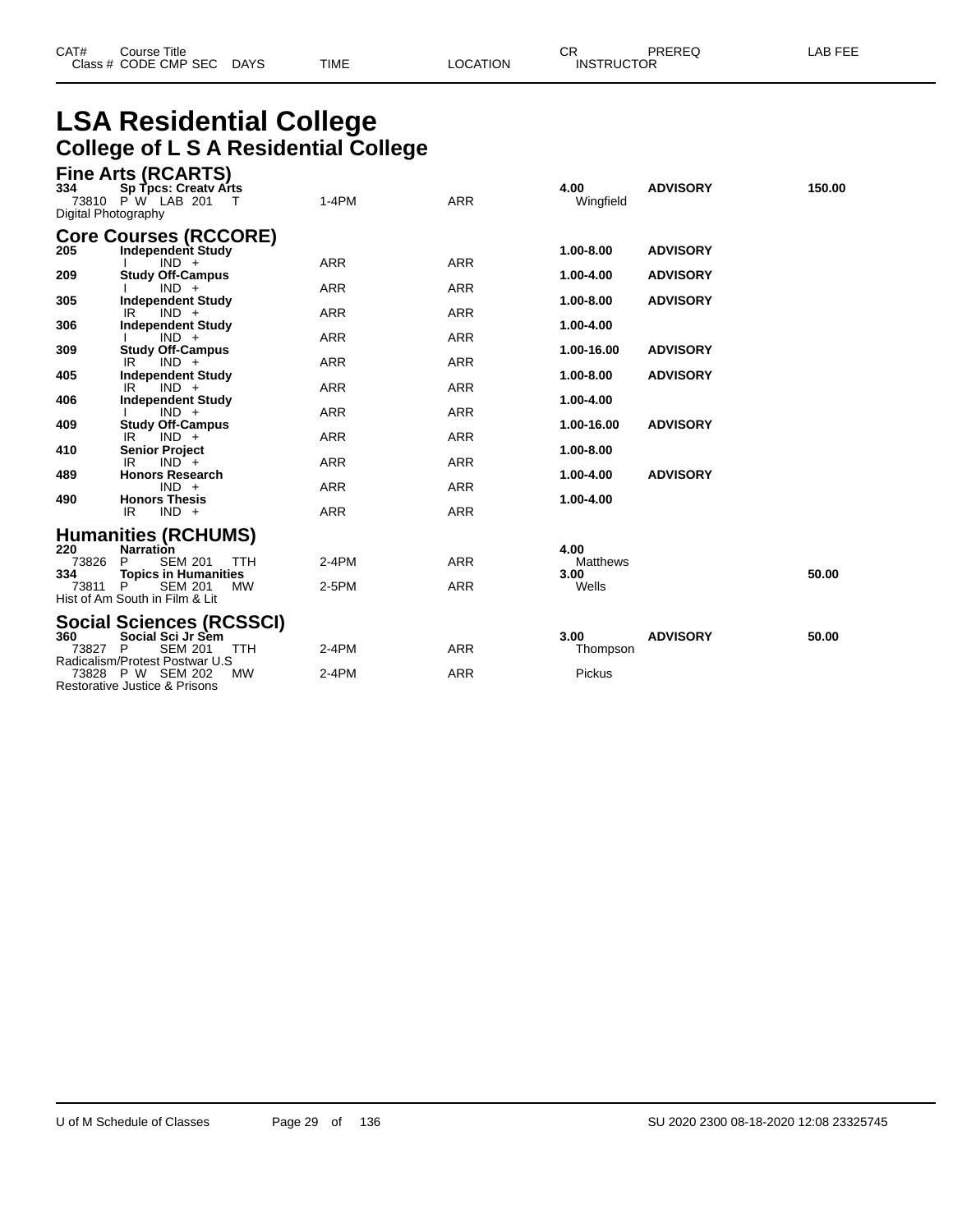| CAT# | Course Title              |      |          | СR                | PREREQ | LAB FEE |
|------|---------------------------|------|----------|-------------------|--------|---------|
|      | Class # CODE CMP SEC DAYS | TIME | LOCATION | <b>INSTRUCTOR</b> |        |         |

# **LSA Residential College College of L S A Residential College**

| 334<br>Digital Photography | <b>Fine Arts (RCARTS)</b><br>Sp Tpcs: Creatv Arts<br>73810 PW LAB 201      | $1-4PM$    | <b>ARR</b> | 4.00<br>Wingfield       | <b>ADVISORY</b> | 150.00 |
|----------------------------|----------------------------------------------------------------------------|------------|------------|-------------------------|-----------------|--------|
| 205                        | <b>Core Courses (RCCORE)</b><br>Independent Study                          |            |            | 1.00-8.00               | <b>ADVISORY</b> |        |
| 209                        | $IND +$<br><b>Study Off-Campus</b>                                         | <b>ARR</b> | <b>ARR</b> | 1.00-4.00               | <b>ADVISORY</b> |        |
|                            | $IND +$                                                                    | <b>ARR</b> | <b>ARR</b> |                         |                 |        |
| 305                        | <b>Independent Study</b><br>$IND +$<br>IR                                  | <b>ARR</b> | <b>ARR</b> | 1.00-8.00               | <b>ADVISORY</b> |        |
| 306                        | <b>Independent Study</b><br>$IND +$                                        | <b>ARR</b> | <b>ARR</b> | 1.00-4.00               |                 |        |
| 309                        | <b>Study Off-Campus</b><br>$IND +$<br>IR                                   | <b>ARR</b> | <b>ARR</b> | 1.00-16.00              | <b>ADVISORY</b> |        |
| 405                        | <b>Independent Study</b>                                                   |            |            | 1.00-8.00               | <b>ADVISORY</b> |        |
|                            | IR<br>$IND +$                                                              | <b>ARR</b> | <b>ARR</b> |                         |                 |        |
| 406                        | <b>Independent Study</b><br>$IND +$                                        | <b>ARR</b> | <b>ARR</b> | 1.00-4.00               |                 |        |
| 409                        | <b>Study Off-Campus</b>                                                    |            |            | 1.00-16.00              | <b>ADVISORY</b> |        |
|                            | $IND +$<br>IR                                                              | <b>ARR</b> | <b>ARR</b> |                         |                 |        |
| 410                        | <b>Senior Project</b><br>IR<br>$IND +$                                     | <b>ARR</b> | <b>ARR</b> | 1.00-8.00               |                 |        |
| 489                        | <b>Honors Research</b>                                                     |            |            | 1.00-4.00               | <b>ADVISORY</b> |        |
| 490                        | $IND +$<br><b>Honors Thesis</b>                                            | <b>ARR</b> | <b>ARR</b> | 1.00-4.00               |                 |        |
|                            | $IND +$<br>IR                                                              | <b>ARR</b> | <b>ARR</b> |                         |                 |        |
|                            | <b>Humanities (RCHUMS)</b>                                                 |            |            |                         |                 |        |
| 220<br>73826               | <b>Narration</b><br><b>SEM 201</b><br>P<br><b>TTH</b>                      | $2-4PM$    | <b>ARR</b> | 4.00<br><b>Matthews</b> |                 |        |
| 334                        | <b>Topics in Humanities</b>                                                |            |            | 3.00                    |                 | 50.00  |
| 73811                      | <b>SEM 201</b><br>MW<br>P                                                  | $2-5PM$    | <b>ARR</b> | Wells                   |                 |        |
|                            | Hist of Am South in Film & Lit                                             |            |            |                         |                 |        |
|                            | Social Sciences (RCSSCI)                                                   |            |            |                         |                 |        |
| 360                        | Social Sci Jr Sem                                                          |            |            | 3.00                    | <b>ADVISORY</b> | 50.00  |
| 73827                      | <b>SEM 201</b><br><b>TTH</b><br>P<br>Radicalism/Protest Postwar U.S        | $2-4PM$    | <b>ARR</b> | Thompson                |                 |        |
|                            | <b>MW</b><br>73828 P W SEM 202<br><b>Restorative Justice &amp; Prisons</b> | $2-4PM$    | <b>ARR</b> | Pickus                  |                 |        |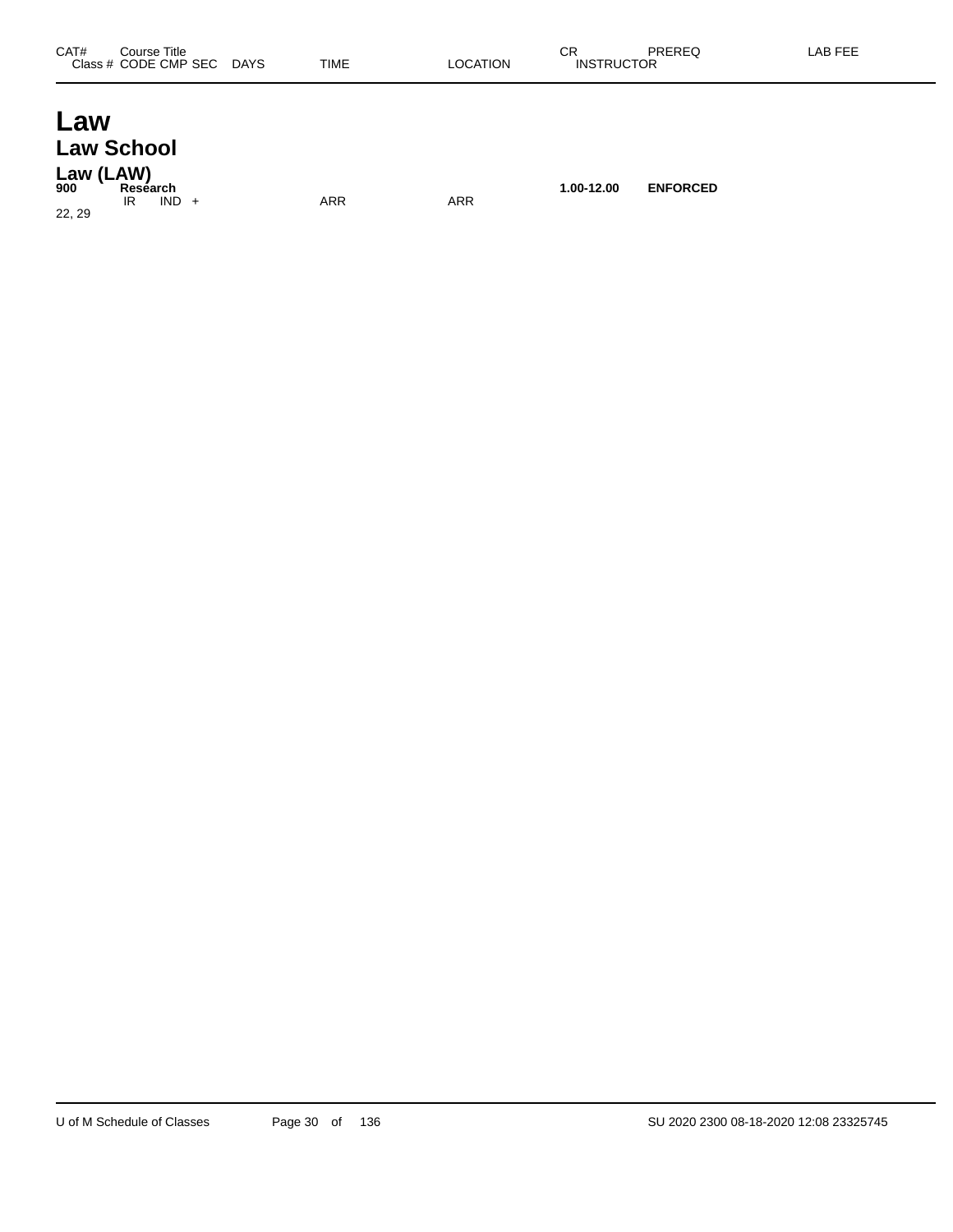### **Law Law School Law (LAW)**

| 900 | Law (LAW)<br>Reséarch |     |     | 1.00-12.00 | <b>ENFORCED</b> |
|-----|-----------------------|-----|-----|------------|-----------------|
|     | IND.<br>IR            | ARR | ARR |            |                 |

22, 29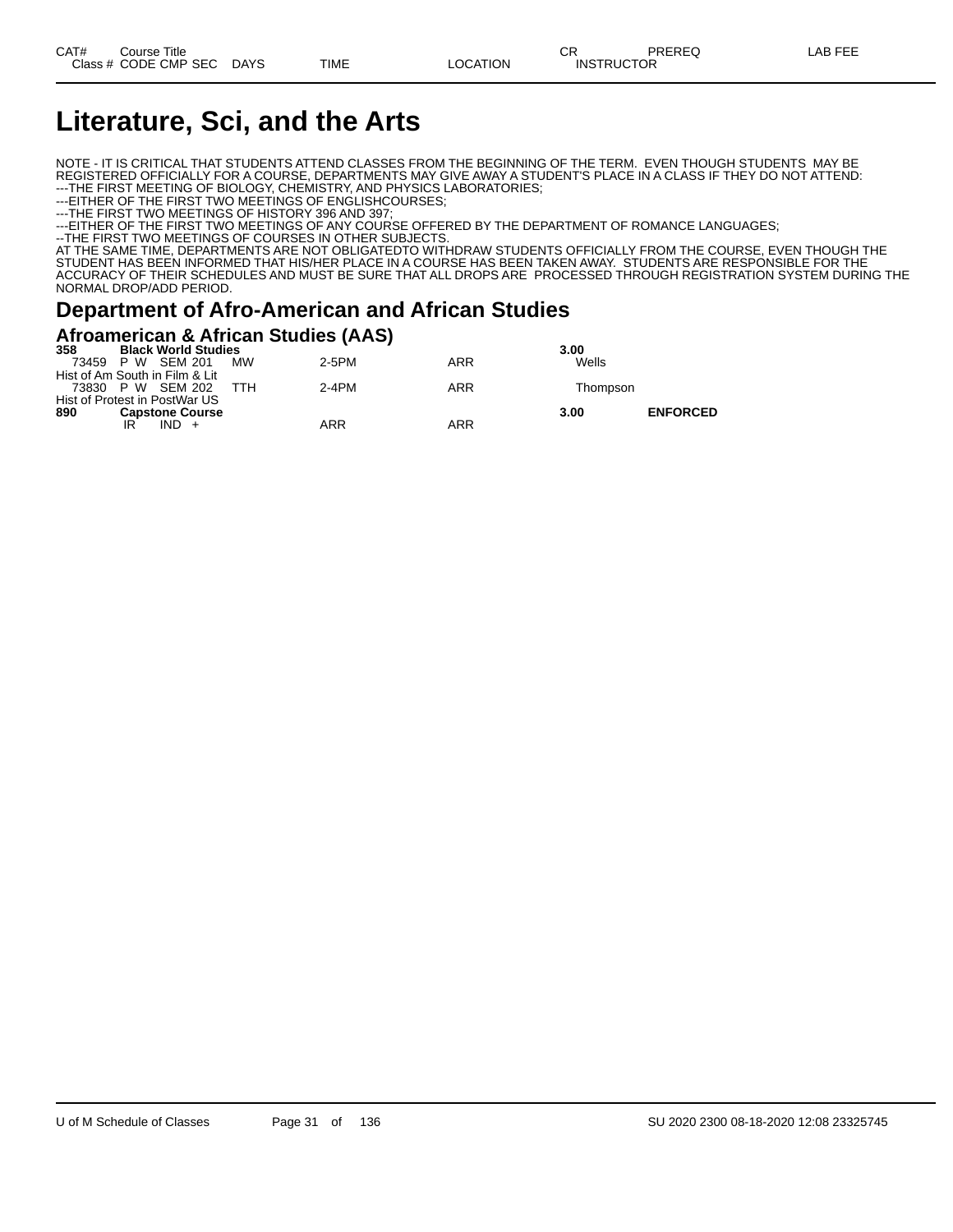# **Literature, Sci, and the Arts**

NOTE - IT IS CRITICAL THAT STUDENTS ATTEND CLASSES FROM THE BEGINNING OF THE TERM. EVEN THOUGH STUDENTS MAY BE REGISTERED OFFICIALLY FOR A COURSE, DEPARTMENTS MAY GIVE AWAY A STUDENT'S PLACE IN A CLASS IF THEY DO NOT ATTEND: ---THE FIRST MEETING OF BIOLOGY, CHEMISTRY, AND PHYSICS LABORATORIES;

---EITHER OF THE FIRST TWO MEETINGS OF ENGLISHCOURSES;

---THE FIRST TWO MEETINGS OF HISTORY 396 AND 397;

---EITHER OF THE FIRST TWO MEETINGS OF ANY COURSE OFFERED BY THE DEPARTMENT OF ROMANCE LANGUAGES;

--THE FIRST TWO MEETINGS OF COURSES IN OTHER SUBJECTS.

AT THE SAME TIME, DEPARTMENTS ARE NOT OBLIGATEDTO WITHDRAW STUDENTS OFFICIALLY FROM THE COURSE, EVEN THOUGH THE STUDENT HAS BEEN INFORMED THAT HIS/HER PLACE IN A COURSE HAS BEEN TAKEN AWAY. STUDENTS ARE RESPONSIBLE FOR THE ACCURACY OF THEIR SCHEDULES AND MUST BE SURE THAT ALL DROPS ARE PROCESSED THROUGH REGISTRATION SYSTEM DURING THE NORMAL DROP/ADD PERIOD.

### **Department of Afro-American and African Studies**

#### **Afroamerican & African Studies (AAS)**

| 358<br><b>Black World Studies</b> |           |         |     | 3.00     |                 |
|-----------------------------------|-----------|---------|-----|----------|-----------------|
| 73459 P W SEM 201                 | <b>MW</b> | $2-5PM$ | ARR | Wells    |                 |
| Hist of Am South in Film & Lit    |           |         |     |          |                 |
| 73830 P W SEM 202                 | ттн       | $2-4PM$ | ARR | Thompson |                 |
| Hist of Protest in PostWar US     |           |         |     |          |                 |
| 890<br><b>Capstone Course</b>     |           |         |     | 3.00     | <b>ENFORCED</b> |
| IR                                |           | ARR     | ARR |          |                 |
|                                   |           |         |     |          |                 |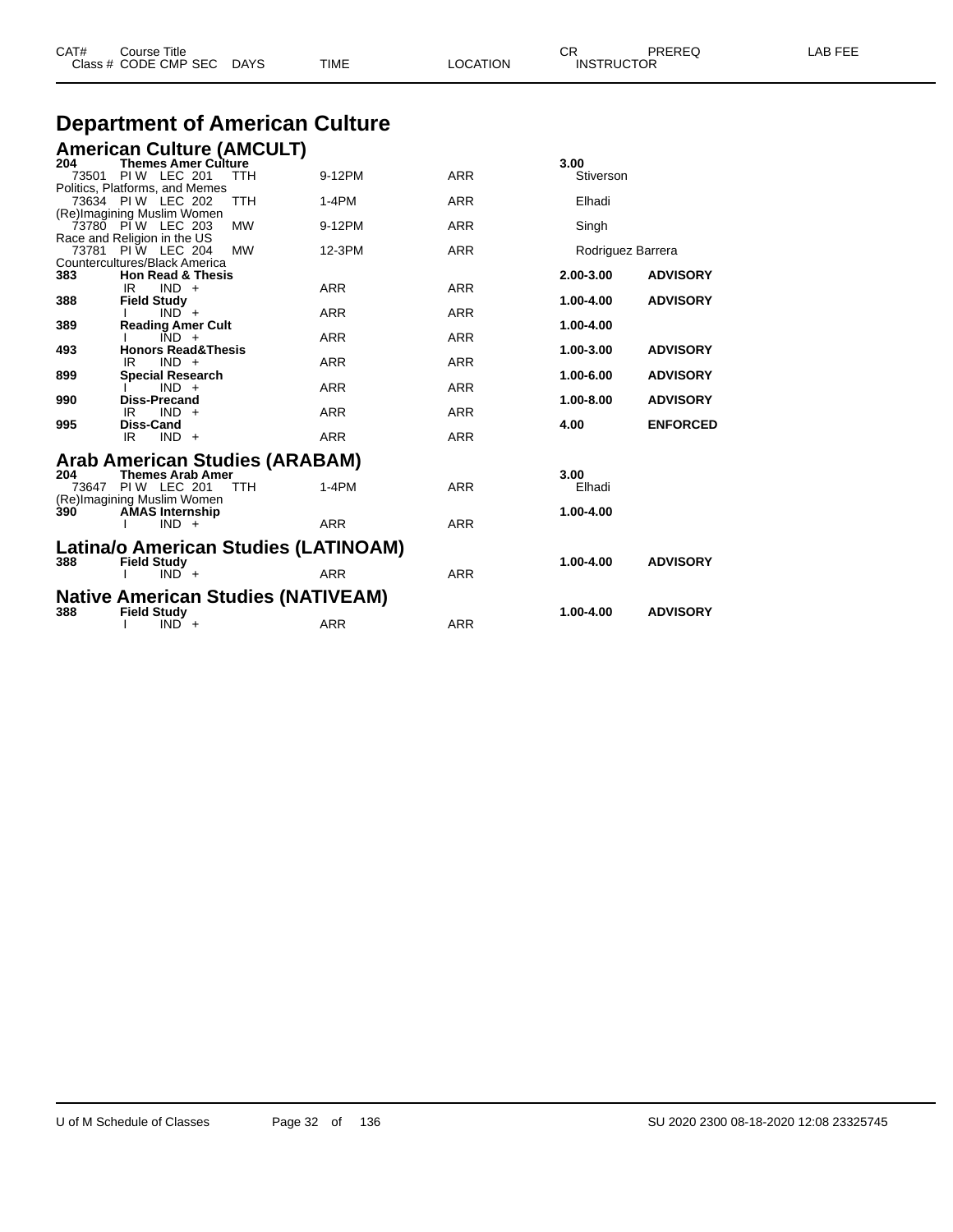|              | Class # CODE CMP SEC                                                                                                                                                                           | DAYS                    | TIME                      | LOCATION                               | <b>INSTRUCTOR</b>                    |                                    |
|--------------|------------------------------------------------------------------------------------------------------------------------------------------------------------------------------------------------|-------------------------|---------------------------|----------------------------------------|--------------------------------------|------------------------------------|
|              | <b>Department of American Culture</b>                                                                                                                                                          |                         |                           |                                        |                                      |                                    |
| 204<br>73501 | <b>American Culture (AMCULT)</b><br><b>Themes Amer Culture</b><br><b>PIW LEC 201</b><br>Politics, Platforms, and Memes<br>73634 PIW LEC 202<br>(Re)Imagining Muslim Women<br>73780 PIW LEC 203 | TTH<br>TTH<br><b>MW</b> | 9-12PM<br>1-4PM<br>9-12PM | <b>ARR</b><br><b>ARR</b><br><b>ARR</b> | 3.00<br>Stiverson<br>Elhadi<br>Singh |                                    |
| 73781        | Race and Religion in the US<br>PIW LEC 204<br>Countercultures/Black America                                                                                                                    | <b>MW</b>               | 12-3PM                    | <b>ARR</b>                             | Rodriguez Barrera                    |                                    |
| 383<br>388   | <b>Hon Read &amp; Thesis</b><br>IR<br>$IND +$<br><b>Field Study</b><br>$IND +$                                                                                                                 |                         | ARR<br><b>ARR</b>         | ARR<br><b>ARR</b>                      | 2.00-3.00<br>1.00-4.00               | <b>ADVISORY</b><br><b>ADVISORY</b> |
| 389<br>493   | <b>Reading Amer Cult</b><br>$IND +$<br><b>Honors Read&amp;Thesis</b>                                                                                                                           |                         | <b>ARR</b>                | ARR                                    | 1.00-4.00<br>1.00-3.00               | <b>ADVISORY</b>                    |
| 899<br>990   | $IND +$<br>IR.<br><b>Special Research</b><br>$IND +$<br><b>Diss-Precand</b>                                                                                                                    |                         | <b>ARR</b><br><b>ARR</b>  | <b>ARR</b><br><b>ARR</b>               | 1.00-6.00<br>1.00-8.00               | <b>ADVISORY</b><br><b>ADVISORY</b> |
| 995          | IR<br>$IND +$<br>Diss-Cand<br>IR<br>$IND +$                                                                                                                                                    |                         | <b>ARR</b><br><b>ARR</b>  | <b>ARR</b><br><b>ARR</b>               | 4.00                                 | <b>ENFORCED</b>                    |
| 204          | Arab American Studies (ARABAM)<br><b>Themes Arab Amer</b><br>73647 PIW LEC 201<br>(Re)Imagining Muslim Women                                                                                   | <b>TTH</b>              | $1-4PM$                   | <b>ARR</b>                             | 3.00<br>Elhadi                       |                                    |
| 390          | <b>AMAS Internship</b><br>$IND +$                                                                                                                                                              |                         | <b>ARR</b>                | <b>ARR</b>                             | 1.00-4.00                            |                                    |
| 388          | Latina/o American Studies (LATINOAM)<br><b>Field Study</b><br>$IND +$                                                                                                                          |                         | <b>ARR</b>                | <b>ARR</b>                             | 1.00-4.00                            | <b>ADVISORY</b>                    |
| 388          | <b>Native American Studies (NATIVEAM)</b><br><b>Field Study</b><br>$IND +$                                                                                                                     |                         | <b>ARR</b>                | <b>ARR</b>                             | 1.00-4.00                            | <b>ADVISORY</b>                    |

CAT# Course Title Case CR PREREQ LAB FEE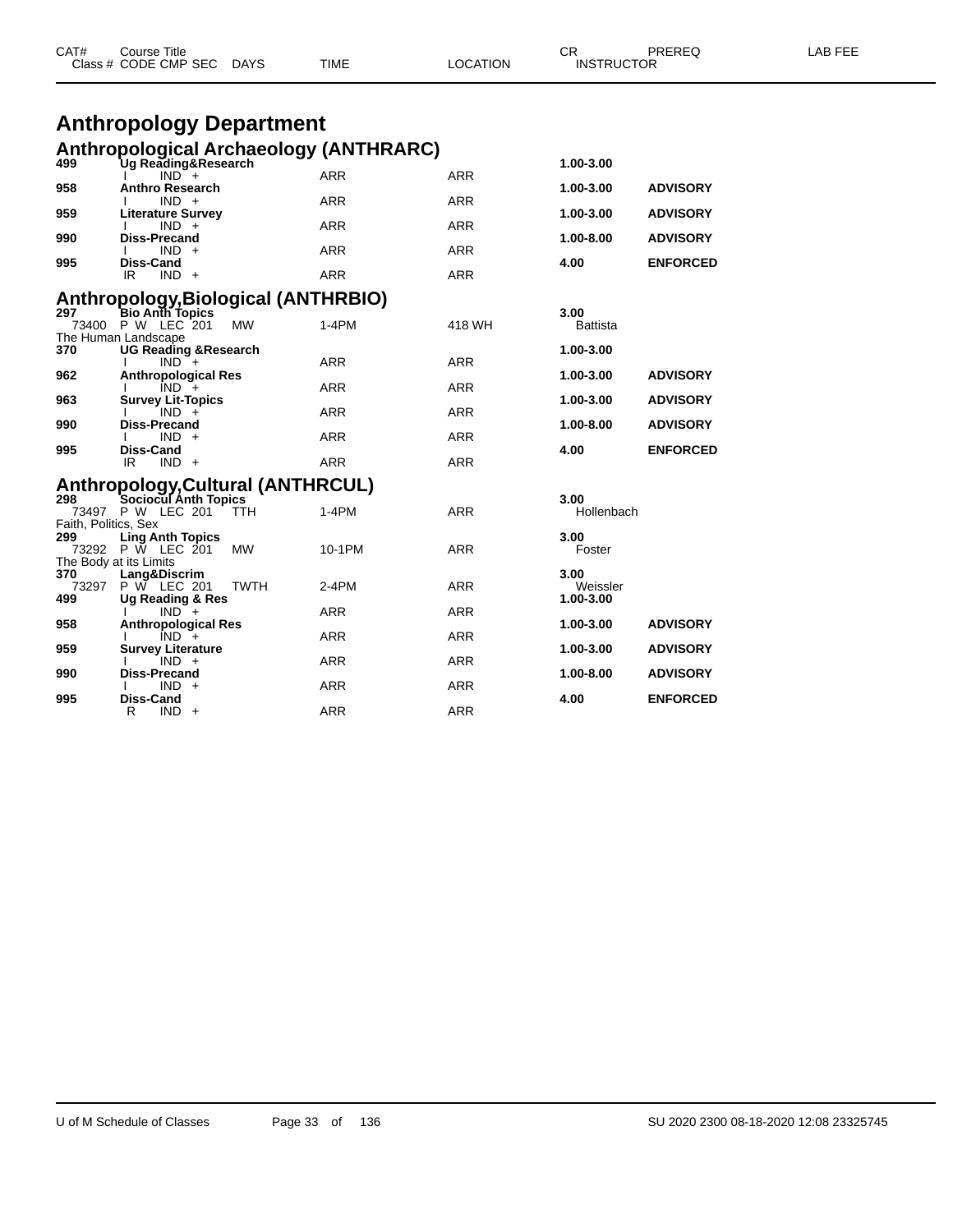|                      | Class # CODE CMP SEC<br><b>DAYS</b>                       | TIME              | LOCATION                 | <b>INSTRUCTOR</b>     |                 |  |
|----------------------|-----------------------------------------------------------|-------------------|--------------------------|-----------------------|-----------------|--|
|                      | <b>Anthropology Department</b>                            |                   |                          |                       |                 |  |
|                      | <b>Anthropological Archaeology (ANTHRARC)</b>             |                   |                          |                       |                 |  |
| 499                  | Ug Reading&Research<br>$IND^-$ +                          | <b>ARR</b>        | ARR                      | 1.00-3.00             |                 |  |
| 958                  | <b>Anthro Research</b><br>$IND +$                         | <b>ARR</b>        | <b>ARR</b>               | 1.00-3.00             | <b>ADVISORY</b> |  |
| 959                  | <b>Literature Survey</b><br>$IND +$                       | ARR               | <b>ARR</b>               | 1.00-3.00             | <b>ADVISORY</b> |  |
| 990                  | <b>Diss-Precand</b><br>$IND +$                            | <b>ARR</b>        | <b>ARR</b>               | 1.00-8.00             | <b>ADVISORY</b> |  |
| 995                  | Diss-Cand<br>IR.<br>$IND +$                               | <b>ARR</b>        | <b>ARR</b>               | 4.00                  | <b>ENFORCED</b> |  |
| 297                  | Anthropology, Biological (ANTHRBIO)<br>Bio Anth Topics    |                   |                          | 3.00                  |                 |  |
|                      | 73400 P W LEC 201<br><b>MW</b><br>The Human Landscape     | $1-4PM$           | 418 WH                   | <b>Battista</b>       |                 |  |
| 370                  | <b>UG Reading &amp; Research</b><br>$IND +$               | <b>ARR</b>        | ARR                      | 1.00-3.00             |                 |  |
| 962                  | <b>Anthropological Res</b><br>$IND +$                     | ARR               | <b>ARR</b>               | 1.00-3.00             | <b>ADVISORY</b> |  |
| 963                  | <b>Survey Lit-Topics</b><br>$IND +$                       | ARR               | <b>ARR</b>               | 1.00-3.00             | <b>ADVISORY</b> |  |
| 990                  | <b>Diss-Precand</b><br>$IND +$                            | <b>ARR</b>        | <b>ARR</b>               | 1.00-8.00             | <b>ADVISORY</b> |  |
| 995                  | Diss-Cand<br>$IND +$<br>IR                                | <b>ARR</b>        | <b>ARR</b>               | 4.00                  | <b>ENFORCED</b> |  |
| 298                  | Anthropology, Cultural (ANTHRCUL)<br>Sociocul Anth Topics |                   |                          | 3.00                  |                 |  |
| Faith, Politics, Sex | 73497 P W LEC 201<br><b>TTH</b>                           | 1-4PM             | ARR                      | Hollenbach            |                 |  |
| 299                  | <b>Ling Anth Topics</b><br>73292 P W LEC 201<br>MW        | 10-1PM            | ARR                      | 3.00<br>Foster        |                 |  |
| 370                  | The Body at its Limits<br>Lang&Discrim                    |                   |                          | 3.00                  |                 |  |
| 73297<br>499         | P W LEC 201<br>TWTH<br><b>Ug Reading &amp; Res</b>        | 2-4PM             | ARR                      | Weissler<br>1.00-3.00 |                 |  |
| 958                  | $IND +$<br><b>Anthropological Res</b>                     | <b>ARR</b>        | <b>ARR</b>               | 1.00-3.00             | <b>ADVISORY</b> |  |
| 959                  | $IND +$<br><b>Survey Literature</b>                       | ARR               | <b>ARR</b>               | 1.00-3.00             | <b>ADVISORY</b> |  |
| 990                  | $IND +$<br>Diss-Precand<br>$IND +$                        | ARR<br><b>ARR</b> | <b>ARR</b><br><b>ARR</b> | 1.00-8.00             | <b>ADVISORY</b> |  |
| 995                  | Diss-Cand<br>R<br>$IND +$                                 | <b>ARR</b>        | ARR                      | 4.00                  | <b>ENFORCED</b> |  |

CAT# Course Title Case CR PREREQ LAB FEE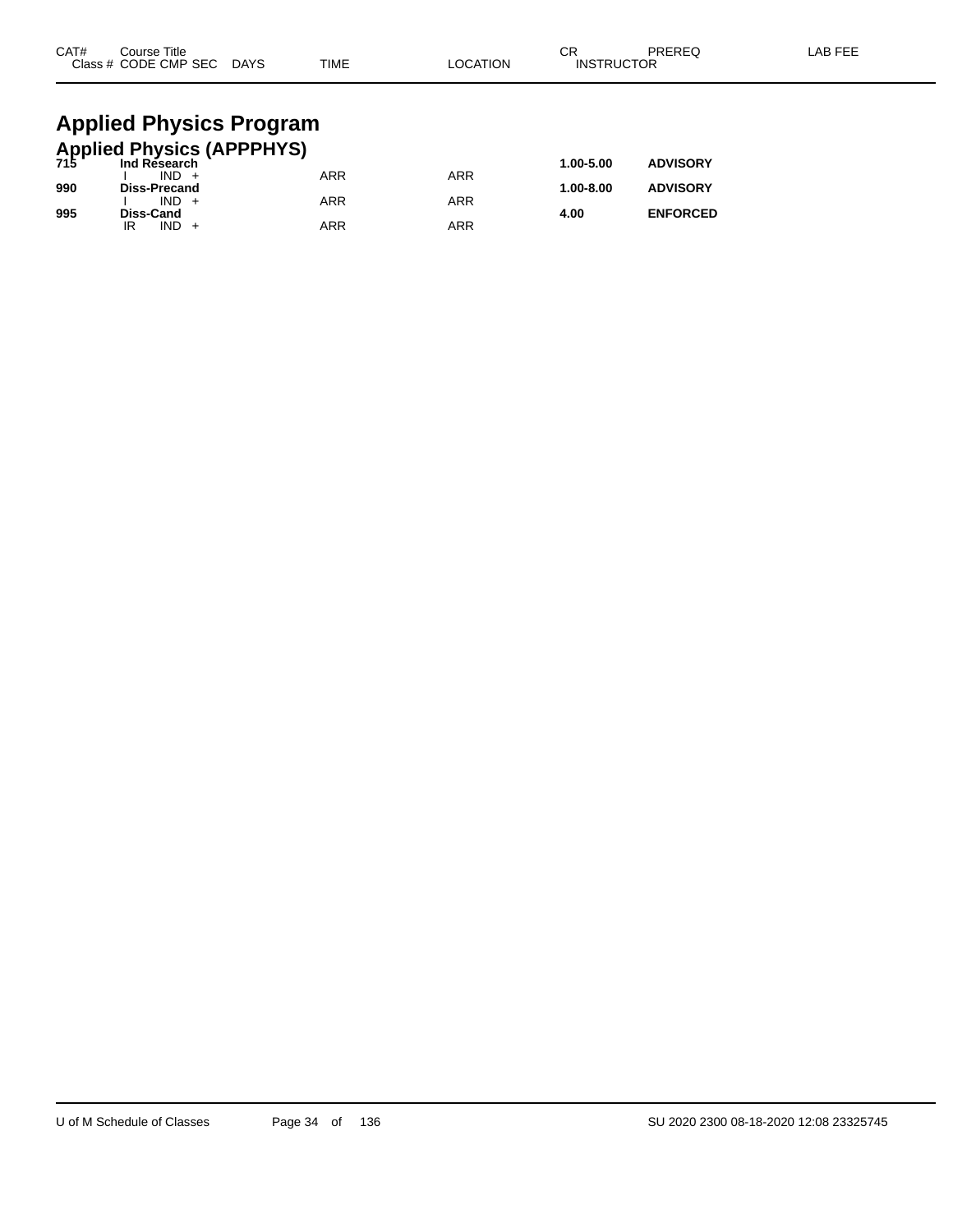| CAT#                                                 | Course Title<br>Class # CODE CMP SEC DAYS |  | <b>TIME</b> | <b>LOCATION</b> | СR<br><b>INSTRUCTOR</b> | PREREQ          | LAB FEE |  |  |
|------------------------------------------------------|-------------------------------------------|--|-------------|-----------------|-------------------------|-----------------|---------|--|--|
| <b>Applied Physics Program</b>                       |                                           |  |             |                 |                         |                 |         |  |  |
| <b>Applied Physics (APPPHYS)</b><br>715 Ind Research |                                           |  |             |                 |                         |                 |         |  |  |
|                                                      | $IND +$                                   |  | <b>ARR</b>  | <b>ARR</b>      | 1.00-5.00               | <b>ADVISORY</b> |         |  |  |
| 990                                                  | <b>Diss-Precand</b>                       |  |             |                 | 1.00-8.00               | <b>ADVISORY</b> |         |  |  |
|                                                      | $IND +$                                   |  | ARR         | <b>ARR</b>      |                         |                 |         |  |  |

**995 Diss-Cand 4.00 ENFORCED**

IR IND + ARR ARR ARR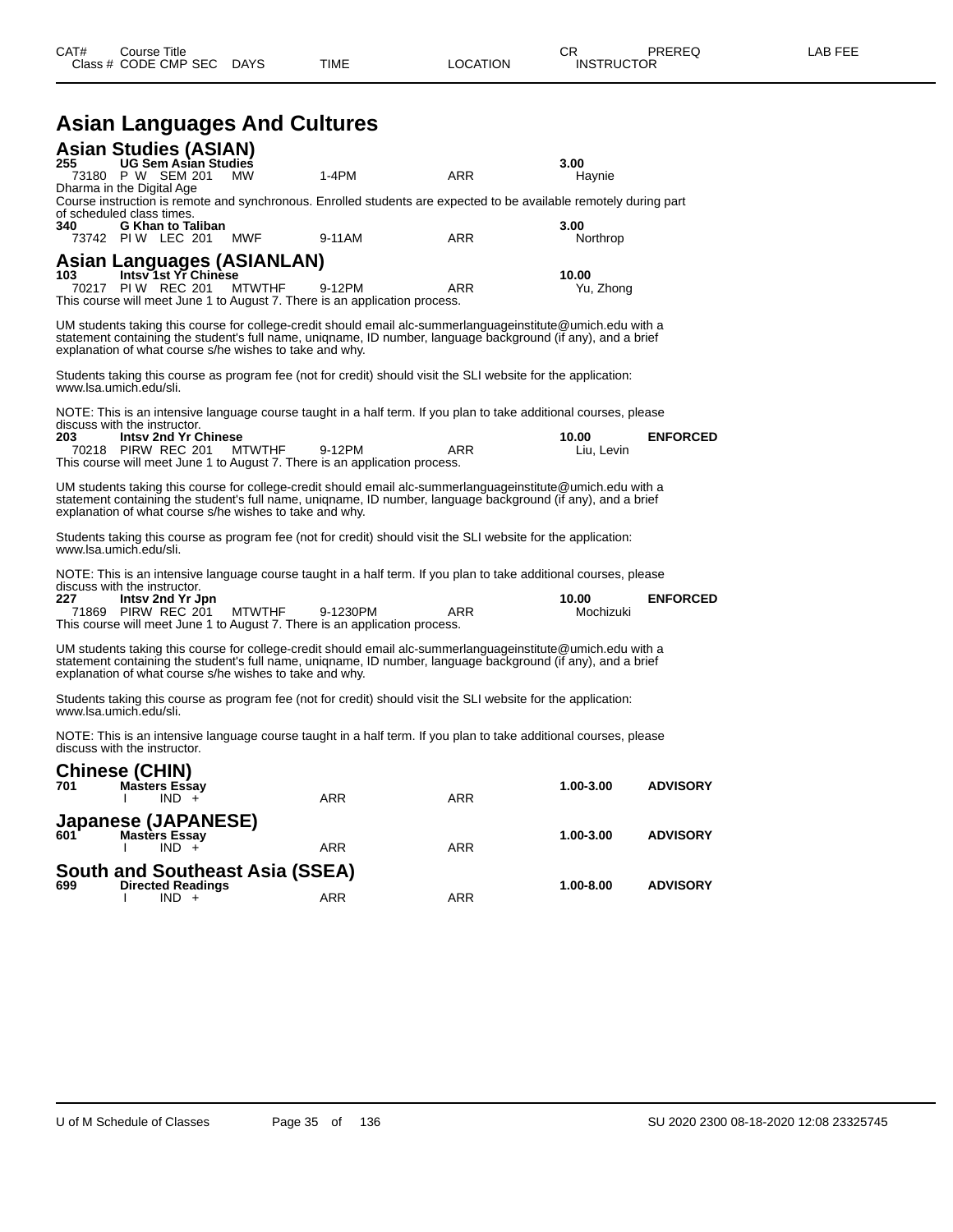|     |                                                                                    | Class # CODE CMP SEC<br><b>DAYS</b> | TIME                                                                                   | LOCATION                                                                                                                                                                                                                    | <b>INSTRUCTOR</b>   |                 |
|-----|------------------------------------------------------------------------------------|-------------------------------------|----------------------------------------------------------------------------------------|-----------------------------------------------------------------------------------------------------------------------------------------------------------------------------------------------------------------------------|---------------------|-----------------|
|     |                                                                                    |                                     | <b>Asian Languages And Cultures</b>                                                    |                                                                                                                                                                                                                             |                     |                 |
| 255 | <b>Asian Studies (ASIAN)</b><br><b>UG Sem Asian Studies</b><br>73180 P W SEM 201   | <b>MW</b>                           | $1-4PM$                                                                                | <b>ARR</b>                                                                                                                                                                                                                  | 3.00<br>Haynie      |                 |
| 340 | Dharma in the Digital Age<br>of scheduled class times.<br><b>G Khan to Taliban</b> |                                     |                                                                                        | Course instruction is remote and synchronous. Enrolled students are expected to be available remotely during part                                                                                                           | 3.00                |                 |
|     | 73742 PIW LEC 201                                                                  | MWF                                 | 9-11AM                                                                                 | ARR                                                                                                                                                                                                                         | Northrop            |                 |
| 103 | <b>Asian Languages (ASIANLAN)</b><br>Intsy 1st Yr Chinese<br>70217 PIW REC 201     | <b>MTWTHF</b>                       | 9-12PM                                                                                 | ARR                                                                                                                                                                                                                         | 10.00<br>Yu, Zhong  |                 |
|     |                                                                                    |                                     | This course will meet June 1 to August 7. There is an application process.             |                                                                                                                                                                                                                             |                     |                 |
|     | explanation of what course s/he wishes to take and why.                            |                                     |                                                                                        | UM students taking this course for college-credit should email alc-summerlanguageinstitute@umich.edu with a<br>statement containing the student's full name, uniqname, ID number, language background (if any), and a brief |                     |                 |
|     | www.lsa.umich.edu/sli.                                                             |                                     |                                                                                        | Students taking this course as program fee (not for credit) should visit the SLI website for the application:                                                                                                               |                     |                 |
|     | discuss with the instructor.                                                       |                                     |                                                                                        | NOTE: This is an intensive language course taught in a half term. If you plan to take additional courses, please                                                                                                            |                     |                 |
| 203 | <b>Intsy 2nd Yr Chinese</b><br>70218 PIRW REC 201                                  | <b>MTWTHF</b>                       | 9-12PM<br>This course will meet June 1 to August 7. There is an application process.   | ARR                                                                                                                                                                                                                         | 10.00<br>Liu, Levin | <b>ENFORCED</b> |
|     | explanation of what course s/he wishes to take and why.                            |                                     |                                                                                        | UM students taking this course for college-credit should email alc-summerlanguageinstitute@umich.edu with a<br>statement containing the student's full name, uniqname, ID number, language background (if any), and a brief |                     |                 |
|     | www.lsa.umich.edu/sli.                                                             |                                     |                                                                                        | Students taking this course as program fee (not for credit) should visit the SLI website for the application:                                                                                                               |                     |                 |
|     |                                                                                    |                                     |                                                                                        | NOTE: This is an intensive language course taught in a half term. If you plan to take additional courses, please                                                                                                            |                     |                 |
|     | discuss with the instructor.<br>Intsy 2nd Yr Jpn<br>71869 PIRW REC 201             | <b>MTWTHF</b>                       | 9-1230PM<br>This course will meet June 1 to August 7. There is an application process. | ARR                                                                                                                                                                                                                         | 10.00<br>Mochizuki  | <b>ENFORCED</b> |
|     | explanation of what course s/he wishes to take and why.                            |                                     |                                                                                        | UM students taking this course for college-credit should email alc-summerlanguageinstitute@umich.edu with a<br>statement containing the student's full name, uniqname, ID number, language background (if any), and a brief |                     |                 |
|     | www.lsa.umich.edu/sli.                                                             |                                     |                                                                                        | Students taking this course as program fee (not for credit) should visit the SLI website for the application:                                                                                                               |                     |                 |
|     | discuss with the instructor.                                                       |                                     |                                                                                        | NOTE: This is an intensive language course taught in a half term. If you plan to take additional courses, please                                                                                                            |                     |                 |
| 701 | <b>Chinese (CHIN)</b><br><b>Masters Essay</b><br>$IND +$                           |                                     | ARR                                                                                    | ARR                                                                                                                                                                                                                         | 1.00-3.00           | <b>ADVISORY</b> |
|     | Japanese (JAPANESE)                                                                |                                     |                                                                                        |                                                                                                                                                                                                                             |                     |                 |
| 601 | <b>Masters Essay</b><br>$IND +$                                                    |                                     | ARR                                                                                    | ARR                                                                                                                                                                                                                         | 1.00-3.00           | <b>ADVISORY</b> |
|     |                                                                                    |                                     | <b>South and Southeast Asia (SSEA)</b>                                                 |                                                                                                                                                                                                                             |                     |                 |
|     | <b>Directed Readings</b>                                                           |                                     |                                                                                        |                                                                                                                                                                                                                             | 1.00-8.00           | <b>ADVISORY</b> |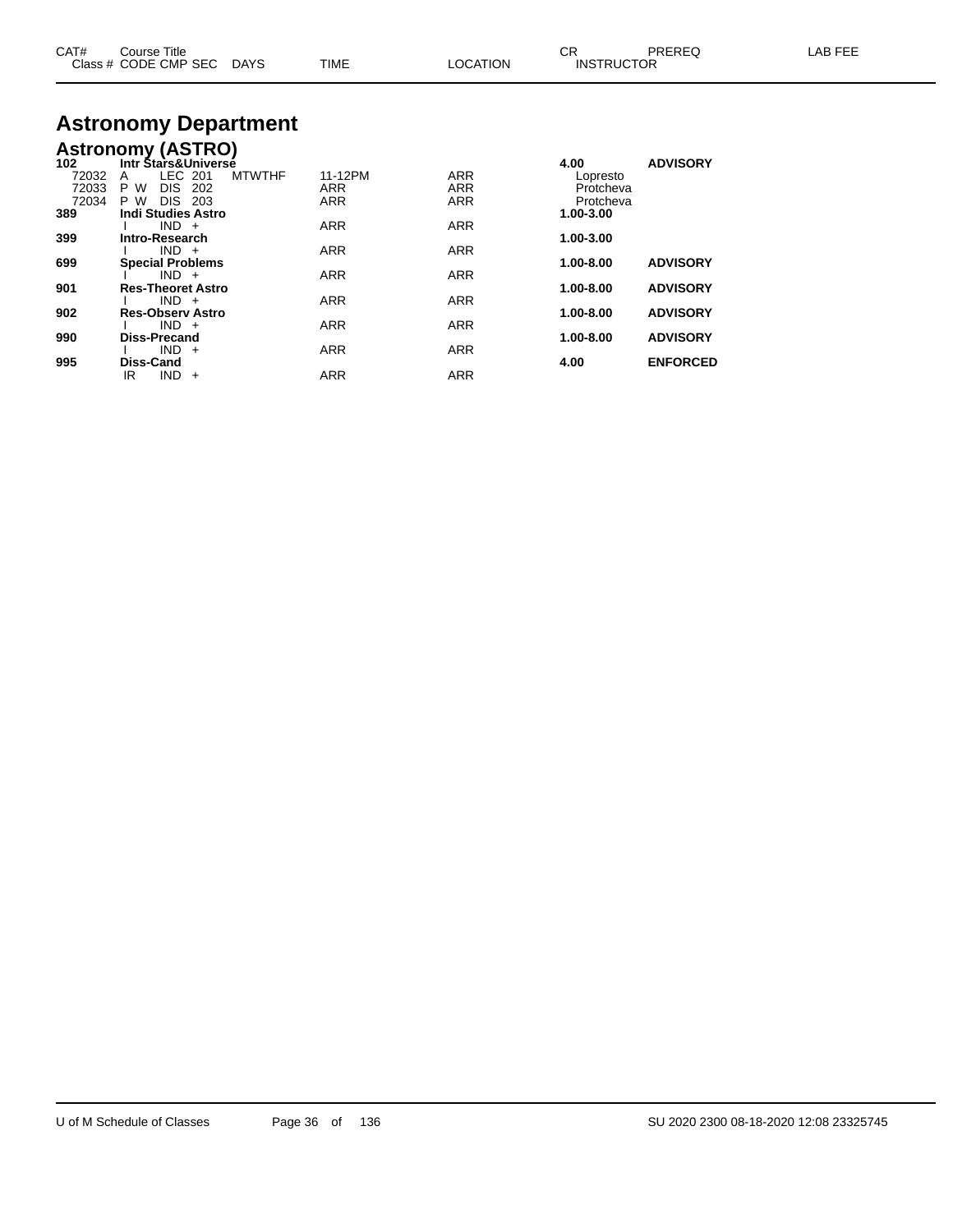| CAT#<br>Course Title<br>Class # CODE CMP SEC DAYS<br>TIME         | <b>LOCATION</b> | СR<br>PRERFO<br><b>INSTRUCTOR</b> | LAB FEE |
|-------------------------------------------------------------------|-----------------|-----------------------------------|---------|
| <b>Astronomy Department</b>                                       |                 |                                   |         |
| <b>Astronomy (ASTRO)</b><br>102<br><b>Intr Stars&amp;Universé</b> | .               | <b>ADVISORY</b><br>4.00           |         |

| .     |                               | <b></b>    | ^~~~~~~    |               |                 |
|-------|-------------------------------|------------|------------|---------------|-----------------|
| 72032 | LEC 201<br><b>MTWTHF</b><br>A | 11-12PM    | <b>ARR</b> | Lopresto      |                 |
| 72033 | DIS 202<br>P W                | ARR        | <b>ARR</b> | Protcheva     |                 |
| 72034 | P W<br>DIS 203                | <b>ARR</b> | <b>ARR</b> | Protcheva     |                 |
| 389   | <b>Indi Studies Astro</b>     |            |            | 1.00-3.00     |                 |
|       | $IND +$                       | <b>ARR</b> | <b>ARR</b> |               |                 |
| 399   | Intro-Research                |            |            | 1.00-3.00     |                 |
|       | $IND +$                       | <b>ARR</b> | <b>ARR</b> |               |                 |
| 699   | <b>Special Problems</b>       |            |            | $1.00 - 8.00$ | <b>ADVISORY</b> |
|       | $IND +$                       | <b>ARR</b> | <b>ARR</b> |               |                 |
| 901   | <b>Res-Theoret Astro</b>      |            |            | $1.00 - 8.00$ | <b>ADVISORY</b> |
|       | $IND +$                       | <b>ARR</b> | <b>ARR</b> |               |                 |
| 902   | <b>Res-Observ Astro</b>       |            |            | $1.00 - 8.00$ | <b>ADVISORY</b> |
|       | $IND +$                       | <b>ARR</b> | <b>ARR</b> |               |                 |
| 990   | <b>Diss-Precand</b>           |            |            | $1.00 - 8.00$ | <b>ADVISORY</b> |
|       | $IND +$                       | <b>ARR</b> | <b>ARR</b> |               |                 |
| 995   | Diss-Cand                     |            |            | 4.00          | <b>ENFORCED</b> |
|       | IND.<br>IR<br>$+$             | <b>ARR</b> | <b>ARR</b> |               |                 |
|       |                               |            |            |               |                 |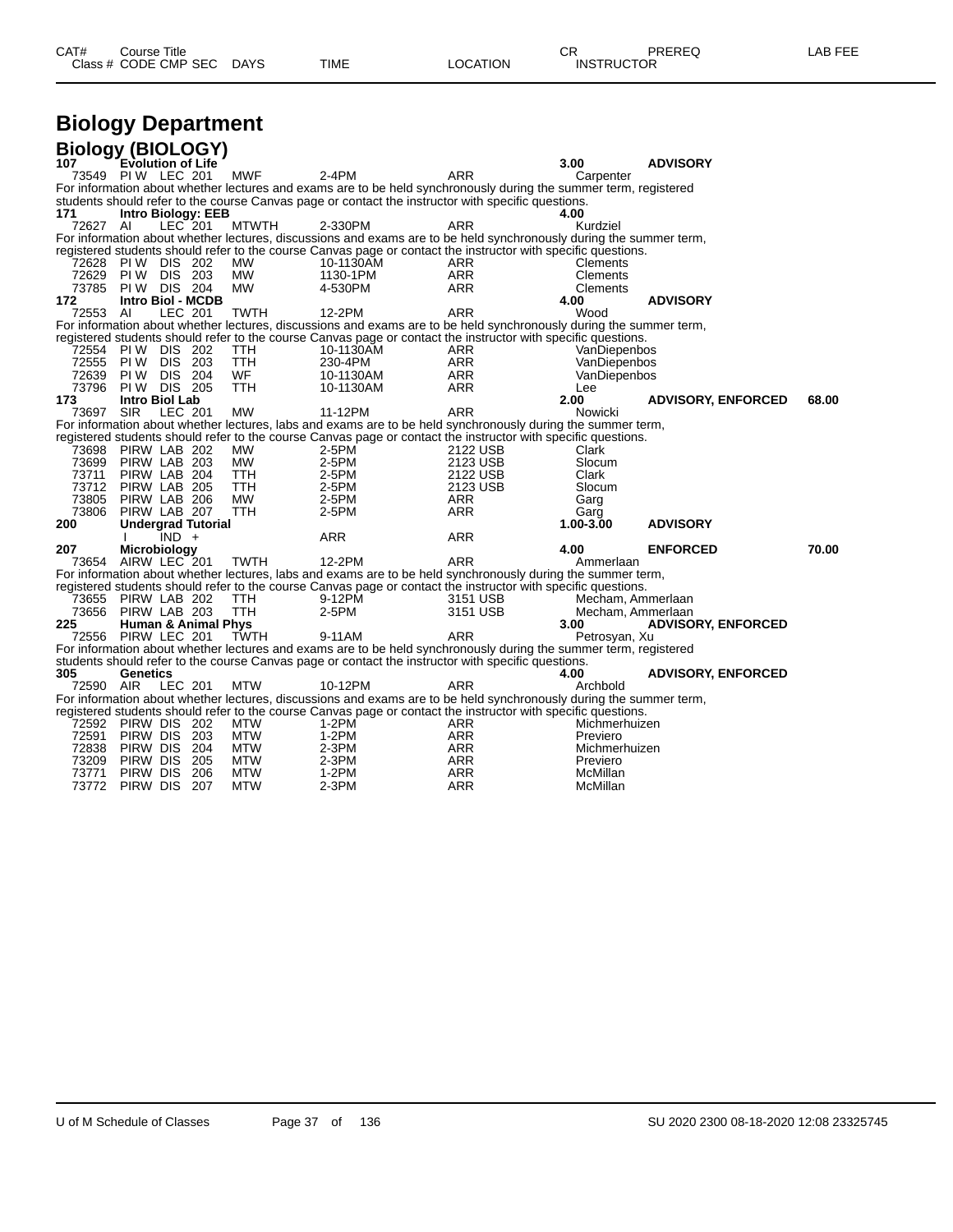| CAT# | Title<br>∴ourse      |      |      |          | Ωm<br>ັບເ         | PREREQ | $- - -$<br>ΔR<br>--- |
|------|----------------------|------|------|----------|-------------------|--------|----------------------|
|      | Class # CODE CMP SEC | DAYS | TIME | LOCATION | <b>INSTRUCTOR</b> |        |                      |

# **Biology Department**

| <b>Biology (BIOLOGY)</b> |                          |         |                                |              |                                                                                                                            |            |                   |                           |       |
|--------------------------|--------------------------|---------|--------------------------------|--------------|----------------------------------------------------------------------------------------------------------------------------|------------|-------------------|---------------------------|-------|
| 107                      | <b>Evolution of Life</b> |         |                                |              |                                                                                                                            |            | 3.00              | <b>ADVISORY</b>           |       |
|                          | 73549 PIW LEC 201        |         |                                | MWF          | $2-4PM$                                                                                                                    | ARR        | Carpenter         |                           |       |
|                          |                          |         |                                |              | For information about whether lectures and exams are to be held synchronously during the summer term, registered           |            |                   |                           |       |
|                          |                          |         |                                |              | students should refer to the course Canvas page or contact the instructor with specific questions.                         |            |                   |                           |       |
| 171                      |                          |         | <b>Intro Biology: EEB</b>      |              |                                                                                                                            |            | 4.00              |                           |       |
| 72627 AI                 |                          | LEC 201 |                                | <b>MTWTH</b> | 2-330PM                                                                                                                    | ARR        | Kurdziel          |                           |       |
|                          |                          |         |                                |              | For information about whether lectures, discussions and exams are to be held synchronously during the summer term,         |            |                   |                           |       |
|                          |                          |         |                                |              | registered students should refer to the course Canvas page or contact the instructor with specific questions.              |            |                   |                           |       |
| 72628                    | <b>PIW DIS 202</b>       |         |                                | <b>MW</b>    | 10-1130AM                                                                                                                  | <b>ARR</b> | Clements          |                           |       |
| 72629                    | <b>PIW DIS 203</b>       |         |                                | <b>MW</b>    | 1130-1PM                                                                                                                   | <b>ARR</b> | Clements          |                           |       |
| 73785                    | <b>PIW DIS 204</b>       |         |                                | <b>MW</b>    | 4-530PM                                                                                                                    | <b>ARR</b> | Clements          |                           |       |
| 172                      |                          |         | Intro Biol - MCDB              |              |                                                                                                                            |            | 4.00              | <b>ADVISORY</b>           |       |
| 72553 AI                 |                          | LEC 201 |                                | <b>TWTH</b>  | 12-2PM                                                                                                                     | <b>ARR</b> | Wood              |                           |       |
|                          |                          |         |                                |              | For information about whether lectures, discussions and exams are to be held synchronously during the summer term,         |            |                   |                           |       |
| 72554                    | <b>PIW DIS 202</b>       |         |                                | <b>TTH</b>   | registered students should refer to the course Canvas page or contact the instructor with specific questions.<br>10-1130AM | <b>ARR</b> | VanDiepenbos      |                           |       |
| 72555                    | <b>PIW DIS 203</b>       |         |                                | <b>TTH</b>   | 230-4PM                                                                                                                    | <b>ARR</b> | VanDiepenbos      |                           |       |
| 72639                    | PI W                     | DIS 204 |                                | WF           | 10-1130AM                                                                                                                  | <b>ARR</b> | VanDiepenbos      |                           |       |
| 73796                    | <b>PIW DIS 205</b>       |         |                                | <b>TTH</b>   | 10-1130AM                                                                                                                  | ARR        | Lee               |                           |       |
| 173                      | Intro Biol Lab           |         |                                |              |                                                                                                                            |            | 2.00              | <b>ADVISORY, ENFORCED</b> | 68.00 |
| 73697                    | <b>SIR</b>               | LEC 201 |                                | <b>MW</b>    | 11-12PM                                                                                                                    | <b>ARR</b> | Nowicki           |                           |       |
|                          |                          |         |                                |              | For information about whether lectures, labs and exams are to be held synchronously during the summer term,                |            |                   |                           |       |
|                          |                          |         |                                |              | registered students should refer to the course Canvas page or contact the instructor with specific questions.              |            |                   |                           |       |
| 73698                    | PIRW LAB 202             |         |                                | <b>MW</b>    | $2-5PM$                                                                                                                    | 2122 USB   | Clark             |                           |       |
| 73699                    | PIRW LAB 203             |         |                                | <b>MW</b>    | 2-5PM                                                                                                                      | 2123 USB   | Slocum            |                           |       |
| 73711                    | PIRW LAB 204             |         |                                | <b>TTH</b>   | 2-5PM                                                                                                                      | 2122 USB   | Clark             |                           |       |
| 73712                    | PIRW LAB 205             |         |                                | TTH          | 2-5PM                                                                                                                      | 2123 USB   | Slocum            |                           |       |
| 73805                    | PIRW LAB 206             |         |                                | <b>MW</b>    | $2-5PM$                                                                                                                    | <b>ARR</b> | Garg              |                           |       |
| 73806                    | PIRW LAB 207             |         |                                | <b>TTH</b>   | 2-5PM                                                                                                                      | ARR        | Garg              |                           |       |
| 200                      |                          |         | <b>Undergrad Tutorial</b>      |              |                                                                                                                            |            | 1.00-3.00         | <b>ADVISORY</b>           |       |
|                          |                          | $IND +$ |                                |              | ARR                                                                                                                        | ARR        |                   |                           |       |
| 207                      | Microbiology             |         |                                |              |                                                                                                                            |            | 4.00              | <b>ENFORCED</b>           | 70.00 |
|                          | 73654 AIRW LEC 201       |         |                                | <b>TWTH</b>  | 12-2PM                                                                                                                     | <b>ARR</b> | Ammerlaan         |                           |       |
|                          |                          |         |                                |              | For information about whether lectures, labs and exams are to be held synchronously during the summer term,                |            |                   |                           |       |
|                          |                          |         |                                |              | registered students should refer to the course Canvas page or contact the instructor with specific questions.              |            |                   |                           |       |
| 73655                    | PIRW LAB 202             |         |                                | ттн          | 9-12PM                                                                                                                     | 3151 USB   | Mecham, Ammerlaan |                           |       |
| 73656                    | PIRW LAB 203             |         |                                | <b>TTH</b>   | $2-5PM$                                                                                                                    | 3151 USB   | Mecham, Ammerlaan |                           |       |
| 225                      |                          |         | <b>Human &amp; Animal Phys</b> |              |                                                                                                                            |            | 3.00              | <b>ADVISORY, ENFORCED</b> |       |
| 72556                    | PIRW LEC 201             |         |                                | TWTH         | 9-11AM                                                                                                                     | <b>ARR</b> | Petrosyan, Xu     |                           |       |
|                          |                          |         |                                |              | For information about whether lectures and exams are to be held synchronously during the summer term, registered           |            |                   |                           |       |
| 305                      | Genetics                 |         |                                |              | students should refer to the course Canvas page or contact the instructor with specific questions.                         |            | 4.00              | <b>ADVISORY, ENFORCED</b> |       |
| 72590 AIR                |                          | LEC 201 |                                | <b>MTW</b>   | 10-12PM                                                                                                                    | ARR        | Archbold          |                           |       |
|                          |                          |         |                                |              | For information about whether lectures, discussions and exams are to be held synchronously during the summer term,         |            |                   |                           |       |
|                          |                          |         |                                |              | registered students should refer to the course Canvas page or contact the instructor with specific questions.              |            |                   |                           |       |
|                          | 72592 PIRW DIS 202       |         |                                | MTW          | 1-2PM                                                                                                                      | ARR        | Michmerhuizen     |                           |       |
| 72591                    | PIRW DIS 203             |         |                                | <b>MTW</b>   | $1-2PM$                                                                                                                    | <b>ARR</b> | Previero          |                           |       |
| 72838                    | PIRW DIS 204             |         |                                | MTW          | $2-3PM$                                                                                                                    | ARR        | Michmerhuizen     |                           |       |
| 73209                    | PIRW DIS 205             |         |                                | <b>MTW</b>   | $2-3PM$                                                                                                                    | ARR        | Previero          |                           |       |
| 73771                    | PIRW DIS 206             |         |                                | <b>MTW</b>   | $1-2PM$                                                                                                                    | <b>ARR</b> | McMillan          |                           |       |
| 73772                    | PIRW DIS 207             |         |                                | <b>MTW</b>   | $2-3PM$                                                                                                                    | <b>ARR</b> | McMillan          |                           |       |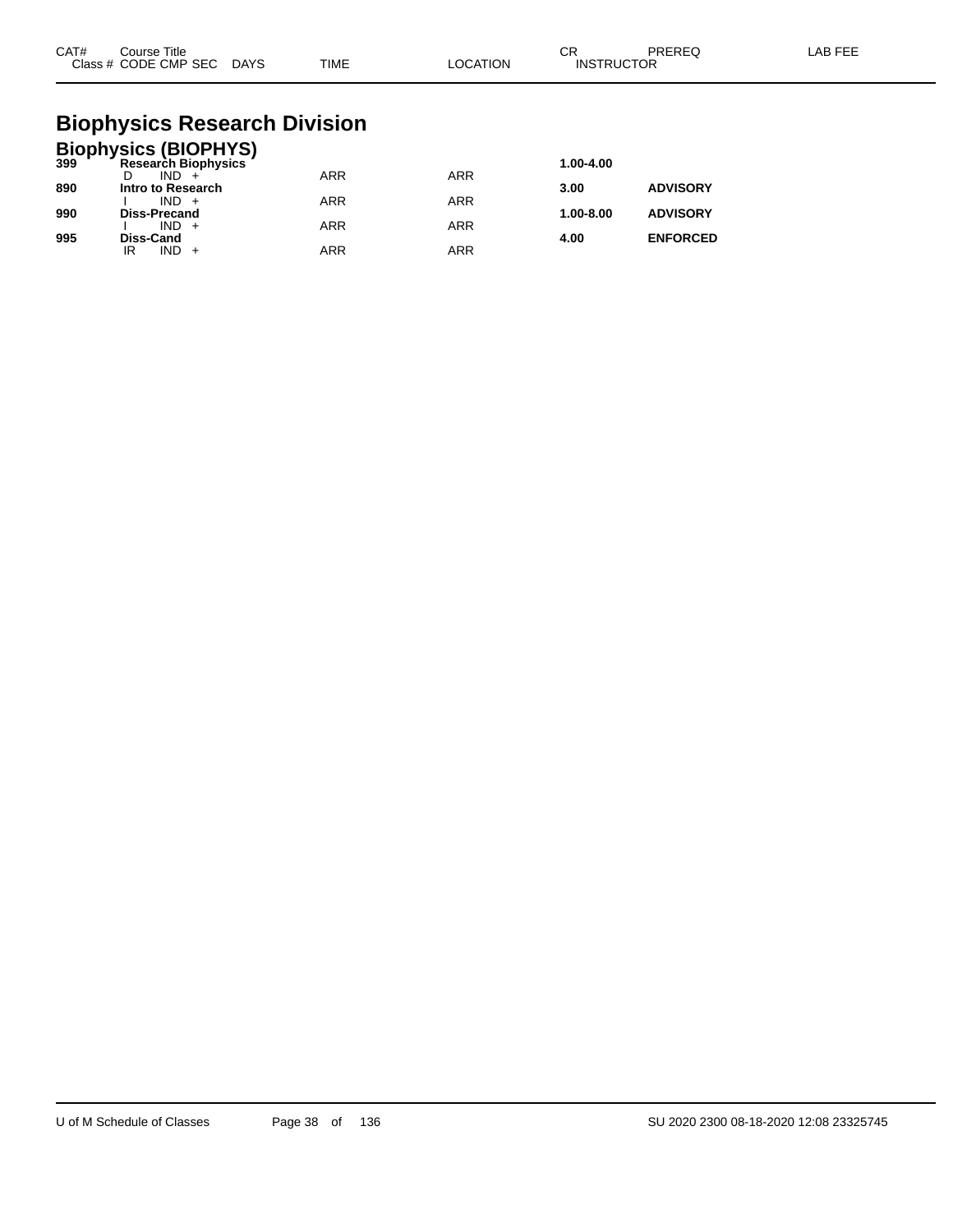| CAT# | Course Title<br>Class # CODE CMP SEC DAYS | TIME | LOCATION | СR<br><b>INSTRUCTOR</b> | PREREQ | LAB FEE |
|------|-------------------------------------------|------|----------|-------------------------|--------|---------|
|      |                                           |      |          |                         |        |         |

#### **Biophysics Research Division**

|     | <b>Biophysics (BIOPHYS)</b><br>399 Research Biophysics |            |            |               |                 |
|-----|--------------------------------------------------------|------------|------------|---------------|-----------------|
|     |                                                        |            |            | 1.00-4.00     |                 |
|     | $IND +$                                                | <b>ARR</b> | <b>ARR</b> |               |                 |
| 890 | Intro to Research                                      |            |            | 3.00          | <b>ADVISORY</b> |
|     | $IND +$                                                | <b>ARR</b> | <b>ARR</b> |               |                 |
| 990 | <b>Diss-Precand</b>                                    |            |            | $1.00 - 8.00$ | <b>ADVISORY</b> |
|     | $IND +$                                                | <b>ARR</b> | <b>ARR</b> |               |                 |
| 995 | Diss-Cand<br>$IND +$<br>IR                             | <b>ARR</b> | ARR        | 4.00          | <b>ENFORCED</b> |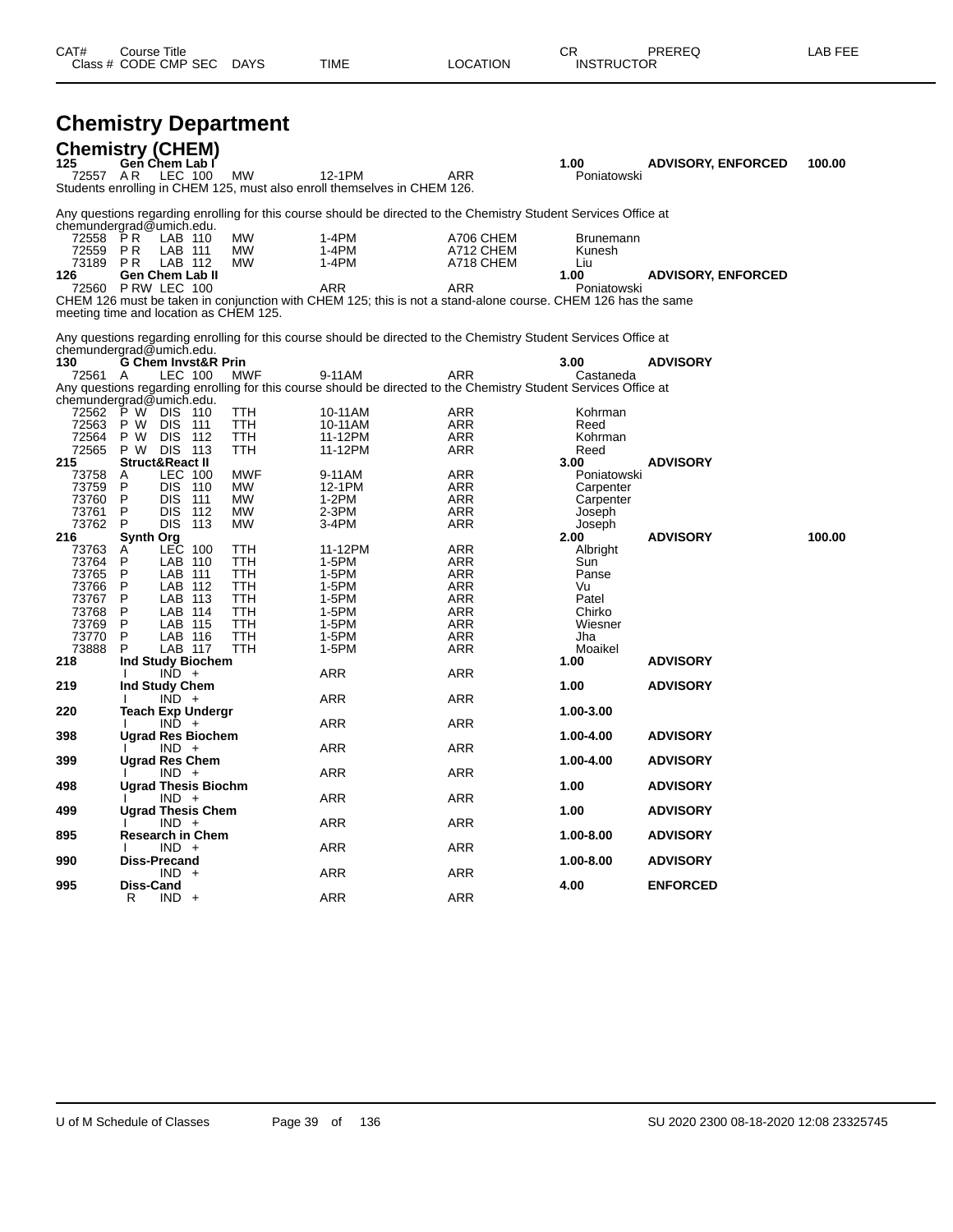| 72557 AR                                                                                             | <b>Chemistry Department</b><br>Chemistry (CHEM)<br>125 Gen Chem Lab I<br>LEC 100                                                                                                                                                                                                            | MW                                                                                     | 12-1PM<br>Students enrolling in CHEM 125, must also enroll themselves in CHEM 126.                                                                                                                                                                                                                                                 | ARR                                                                                            | 1.00<br>Poniatowski                                                                                                | <b>ADVISORY, ENFORCED</b>          | 100.00 |
|------------------------------------------------------------------------------------------------------|---------------------------------------------------------------------------------------------------------------------------------------------------------------------------------------------------------------------------------------------------------------------------------------------|----------------------------------------------------------------------------------------|------------------------------------------------------------------------------------------------------------------------------------------------------------------------------------------------------------------------------------------------------------------------------------------------------------------------------------|------------------------------------------------------------------------------------------------|--------------------------------------------------------------------------------------------------------------------|------------------------------------|--------|
| 72558<br>72559<br>73189 PR<br>126                                                                    | chemundergrad@umich.edu.<br>PR<br>LAB 110<br>P R<br>LAB 111<br>LAB 112<br><b>Gen Chem Lab II</b><br>72560 PRW LEC 100<br>meeting time and location as CHEM 125.                                                                                                                             | МW<br>MW<br>MW                                                                         | Any questions regarding enrolling for this course should be directed to the Chemistry Student Services Office at<br>1-4PM<br>1-4PM<br>$1-4PM$<br>ARR<br>CHEM 126 must be taken in conjunction with CHEM 125; this is not a stand-alone course. CHEM 126 has the same                                                               | A706 CHEM<br>A712 CHEM<br>A718 CHEM<br>ARR                                                     | <b>Brunemann</b><br>Kunesh<br>Liu<br>1.00<br>Poniatowski                                                           | <b>ADVISORY, ENFORCED</b>          |        |
| 130<br>72561 A<br>72563<br>72564<br>72565<br>215<br>73758<br>73759<br>73760<br>73761                 | chemundergrad@umich.edu.<br><b>G Chem Invst&amp;R Prin</b><br>LEC 100<br>chemundergrad@umich.edu.<br>72562 P W DIS 110<br>P W<br><b>DIS 111</b><br>DIS.<br>P W<br>- 112<br>P W DIS 113<br>Struct&React II<br>LEC 100<br>A<br><b>DIS 110</b><br>P<br>DIS.<br>P.<br>111<br>DIS.<br>P<br>- 112 | MWF<br>TTH<br>TTH<br>TTH<br><b>TTH</b><br>MWF<br>MW<br>MW<br>MW                        | Any questions regarding enrolling for this course should be directed to the Chemistry Student Services Office at<br>9-11AM<br>Any questions regarding enrolling for this course should be directed to the Chemistry Student Services Office at<br>10-11AM<br>10-11AM<br>11-12PM<br>11-12PM<br>9-11AM<br>12-1PM<br>$1-2PM$<br>2-3PM | ARR<br>ARR<br>ARR<br>ARR<br>ARR<br>ARR<br>ARR<br><b>ARR</b><br>ARR                             | 3.00<br>Castaneda<br>Kohrman<br>Reed<br>Kohrman<br>Reed<br>3.00<br>Poniatowski<br>Carpenter<br>Carpenter<br>Joseph | <b>ADVISORY</b><br><b>ADVISORY</b> |        |
| 73762<br>216<br>73763<br>73764<br>73765<br>73766<br>73767<br>73768<br>73769<br>73770<br>73888<br>218 | P<br>DIS 113<br><b>Synth Org</b><br>LEC 100<br>A<br>LAB 110<br>P<br>P<br>LAB 111<br>P<br>LAB 112<br>P<br>LAB 113<br>P<br>LAB 114<br>P<br>LAB 115<br>P<br>LAB 116<br>P<br>LAB 117<br>Ind Study Biochem<br>$IND +$                                                                            | MW<br>TTH<br>TTH<br>TTH<br><b>TTH</b><br>TTH<br>TTH<br><b>TTH</b><br>TTH<br><b>TTH</b> | $3-4PM$<br>11-12PM<br>1-5PM<br>1-5PM<br>1-5PM<br>$1-5PM$<br>1-5PM<br>1-5PM<br>$1-5PM$<br>1-5PM<br>ARR                                                                                                                                                                                                                              | ARR<br>ARR<br>ARR<br><b>ARR</b><br>ARR<br>ARR<br><b>ARR</b><br>ARR<br><b>ARR</b><br>ARR<br>ARR | Joseph<br>2.00<br>Albright<br>Sun<br>Panse<br>Vu<br>Patel<br>Chirko<br>Wiesner<br>Jha<br>Moaikel<br>1.00           | <b>ADVISORY</b><br><b>ADVISORY</b> | 100.00 |
| 219<br>220                                                                                           | Ind Study Chem<br>$IND +$<br><b>Teach Exp Undergr</b><br>$IND +$                                                                                                                                                                                                                            |                                                                                        | ARR<br>ARR                                                                                                                                                                                                                                                                                                                         | ARR<br>ARR                                                                                     | 1.00<br>1.00-3.00                                                                                                  | <b>ADVISORY</b>                    |        |
| 398                                                                                                  | <b>Ugrad Res Biochem</b><br>$IND +$                                                                                                                                                                                                                                                         |                                                                                        | ARR                                                                                                                                                                                                                                                                                                                                | ARR                                                                                            | 1.00-4.00                                                                                                          | <b>ADVISORY</b>                    |        |
| 399                                                                                                  | Ugrad Res Chem<br>$IND +$                                                                                                                                                                                                                                                                   |                                                                                        | ARR                                                                                                                                                                                                                                                                                                                                | ARR                                                                                            | 1.00-4.00                                                                                                          | <b>ADVISORY</b>                    |        |
| 498<br>499                                                                                           | <b>Ugrad Thesis Biochm</b><br>$IND +$<br><b>Ugrad Thesis Chem</b>                                                                                                                                                                                                                           |                                                                                        | ARR                                                                                                                                                                                                                                                                                                                                | ARR                                                                                            | 1.00<br>1.00                                                                                                       | <b>ADVISORY</b><br><b>ADVISORY</b> |        |
| 895                                                                                                  | $IND +$<br><b>Research in Chem</b>                                                                                                                                                                                                                                                          |                                                                                        | ARR                                                                                                                                                                                                                                                                                                                                | ARR                                                                                            | 1.00-8.00                                                                                                          | <b>ADVISORY</b>                    |        |
| 990                                                                                                  | $IND +$<br>Diss-Precand<br>$IND +$                                                                                                                                                                                                                                                          |                                                                                        | ARR<br>ARR                                                                                                                                                                                                                                                                                                                         | ARR<br>ARR                                                                                     | 1.00-8.00                                                                                                          | <b>ADVISORY</b>                    |        |
| 995                                                                                                  | Diss-Cand<br>$IND +$<br>R                                                                                                                                                                                                                                                                   |                                                                                        | ARR                                                                                                                                                                                                                                                                                                                                | ARR                                                                                            | 4.00                                                                                                               | <b>ENFORCED</b>                    |        |

Class # CODE CMP SEC DAYS TIME LOCATION INSTRUCTOR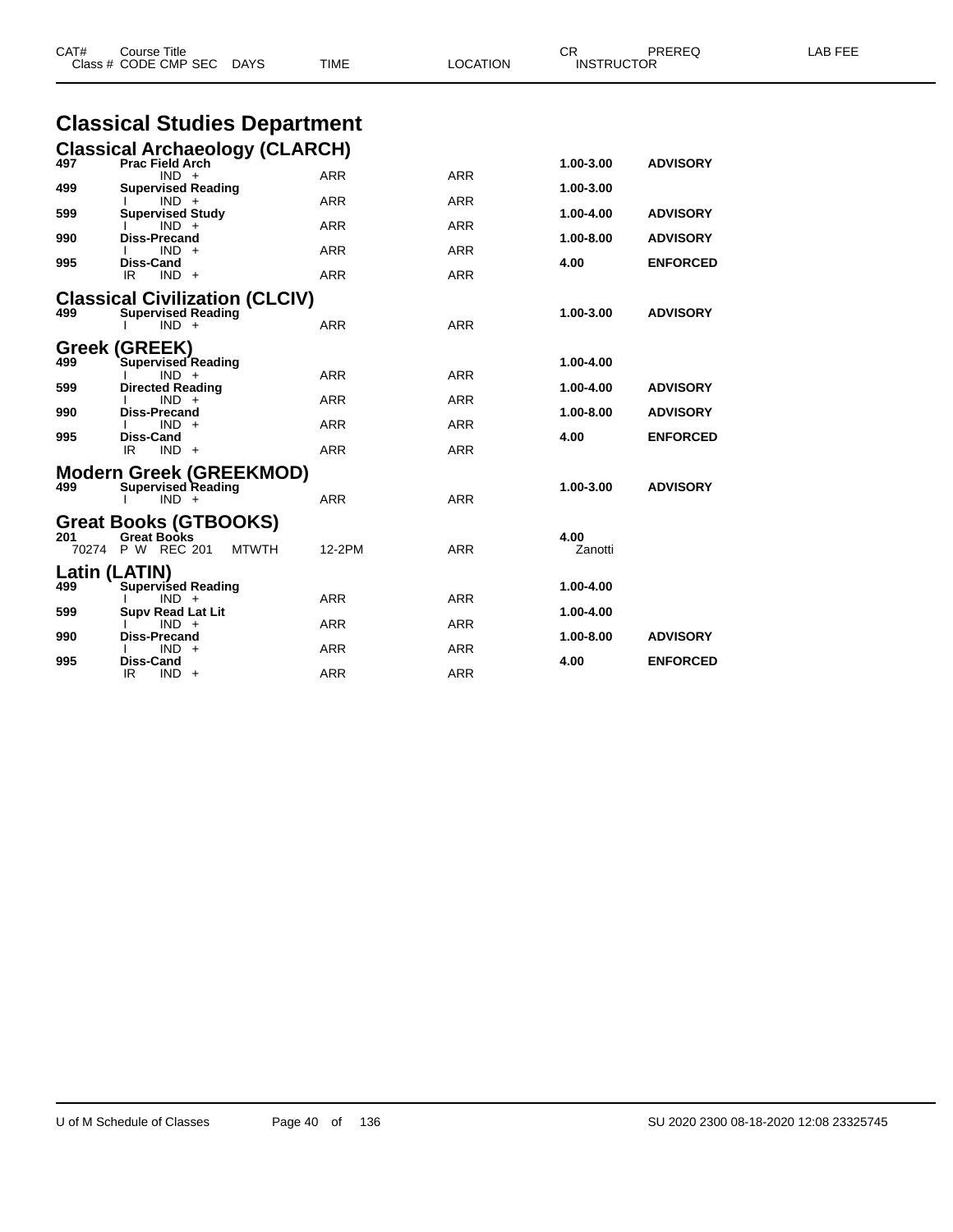| CAT# | <b>Course Title</b><br>Class # CODE CMP SEC<br><b>DAYS</b>                              | TIME       | <b>LOCATION</b> | CR<br><b>INSTRUCTOR</b> | PREREQ          | LAB FEE |
|------|-----------------------------------------------------------------------------------------|------------|-----------------|-------------------------|-----------------|---------|
|      | <b>Classical Studies Department</b>                                                     |            |                 |                         |                 |         |
|      | <b>Classical Archaeology (CLARCH)</b>                                                   |            |                 |                         |                 |         |
| 497  | <b>Prac Field Arch</b><br>$IND +$                                                       | <b>ARR</b> | <b>ARR</b>      | 1.00-3.00               | <b>ADVISORY</b> |         |
| 499  | <b>Supervised Reading</b>                                                               |            |                 | 1.00-3.00               |                 |         |
| 599  | $IND +$<br><b>Supervised Study</b>                                                      | <b>ARR</b> | <b>ARR</b>      | 1.00-4.00               | <b>ADVISORY</b> |         |
| 990  | $IND +$<br><b>Diss-Precand</b>                                                          | <b>ARR</b> | ARR             | 1.00-8.00               | <b>ADVISORY</b> |         |
|      | $IND +$                                                                                 | <b>ARR</b> | <b>ARR</b>      |                         |                 |         |
| 995  | <b>Diss-Cand</b><br>$IND +$<br>IR                                                       | ARR        | <b>ARR</b>      | 4.00                    | <b>ENFORCED</b> |         |
| 499  | <b>Classical Civilization (CLCIV)</b><br><b>Supervised Reading</b><br>$IND +$           | ARR        | <b>ARR</b>      | 1.00-3.00               | <b>ADVISORY</b> |         |
| 499  | Greek (GREEK)<br>Supervised Reading                                                     |            |                 | 1.00-4.00               |                 |         |
|      | $IND +$                                                                                 | <b>ARR</b> | <b>ARR</b>      |                         |                 |         |
| 599  | <b>Directed Reading</b><br>$IND +$                                                      | ARR        | ARR             | 1.00-4.00               | <b>ADVISORY</b> |         |
| 990  | <b>Diss-Precand</b><br>$IND +$                                                          | <b>ARR</b> | <b>ARR</b>      | 1.00-8.00               | <b>ADVISORY</b> |         |
| 995  | Diss-Cand                                                                               |            |                 | 4.00                    | <b>ENFORCED</b> |         |
|      | IR.<br>$IND +$                                                                          | <b>ARR</b> | <b>ARR</b>      |                         |                 |         |
| 499  | <b>Modern Greek (GREEKMOD)</b><br><b>Supervised Reading</b><br>$IND +$                  | ARR        | <b>ARR</b>      | 1.00-3.00               | <b>ADVISORY</b> |         |
| 201  | <b>Great Books (GTBOOKS)</b><br><b>Great Books</b><br>70274 P W REC 201<br><b>MTWTH</b> | 12-2PM     | <b>ARR</b>      | 4.00<br>Zanotti         |                 |         |
|      | Latin (LATIN)                                                                           |            |                 |                         |                 |         |
| 499  | <b>Supervised Reading</b>                                                               |            |                 | 1.00-4.00               |                 |         |
| 599  | $IND +$<br><b>Supv Read Lat Lit</b>                                                     | ARR        | <b>ARR</b>      | 1.00-4.00               |                 |         |
| 990  | $IND +$<br><b>Diss-Precand</b>                                                          | <b>ARR</b> | <b>ARR</b>      | 1.00-8.00               | <b>ADVISORY</b> |         |
|      | $IND +$                                                                                 | ARR        | <b>ARR</b>      |                         |                 |         |
| 995  | Diss-Cand<br>IR<br>$IND +$                                                              | <b>ARR</b> | <b>ARR</b>      | 4.00                    | <b>ENFORCED</b> |         |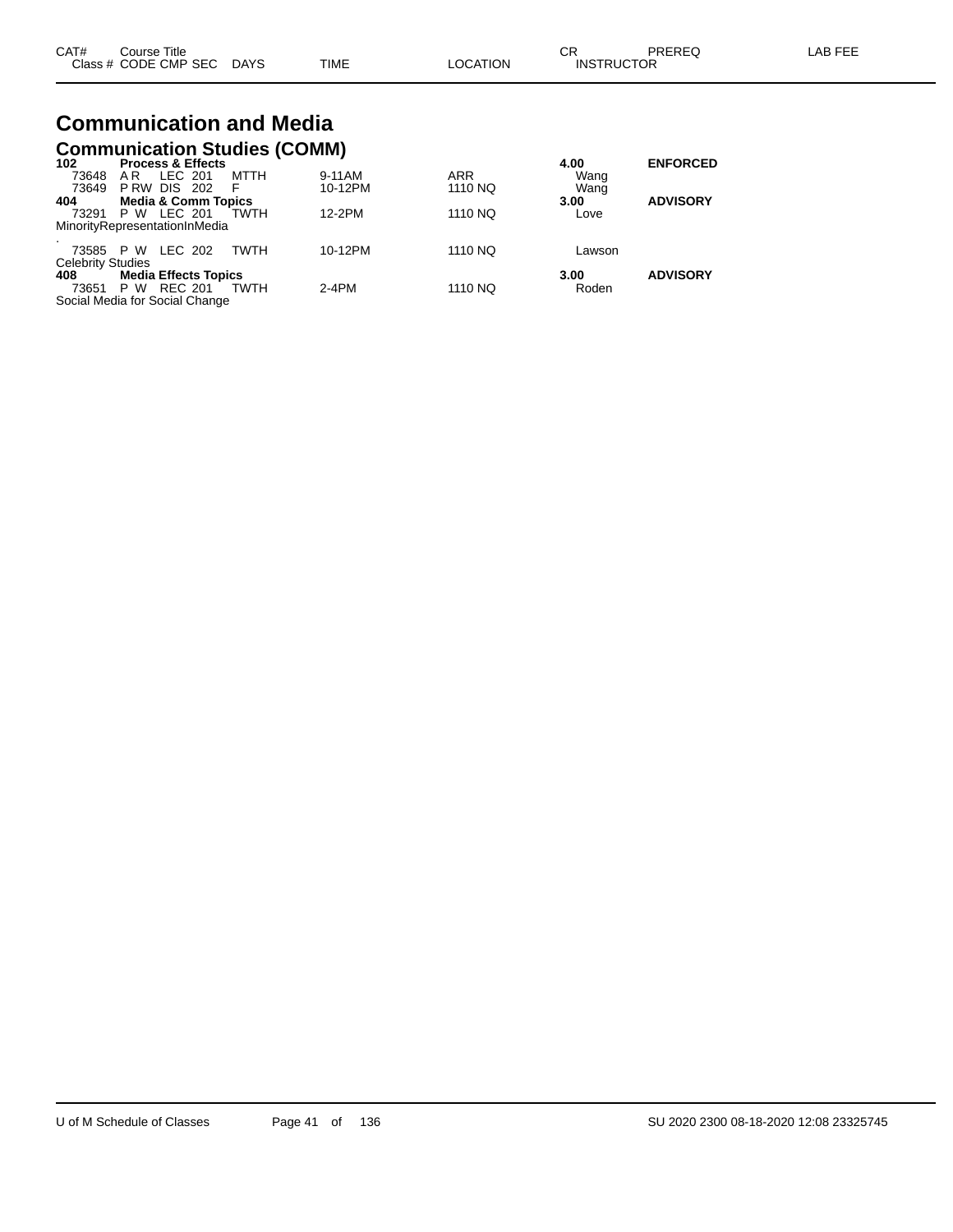| CAT# | Course Title         |             |      |          | СR                | PREREQ | AB FFF |
|------|----------------------|-------------|------|----------|-------------------|--------|--------|
|      | Class # CODE CMP SEC | <b>DAYS</b> | TIME | LOCATION | <b>INSTRUCTOR</b> |        |        |

# **Communication and Media**

|                          | <b>Communication Studies (COMM)</b> |             |      |         |            |        |                 |  |  |
|--------------------------|-------------------------------------|-------------|------|---------|------------|--------|-----------------|--|--|
| 102                      | <b>Process &amp; Effects</b>        |             |      |         |            | 4.00   | <b>ENFORCED</b> |  |  |
| 73648                    | LEC 201<br>AR                       |             | MTTH | 9-11AM  | <b>ARR</b> | Wang   |                 |  |  |
|                          | 73649 P RW DIS 202                  | - F         |      | 10-12PM | 1110 NQ    | Wang   |                 |  |  |
| 404                      | <b>Media &amp; Comm Topics</b>      |             |      |         |            | 3.00   | <b>ADVISORY</b> |  |  |
|                          | 73291 P W LEC 201                   | TWTH        |      | 12-2PM  | 1110 NQ    | Love   |                 |  |  |
|                          | MinorityRepresentationInMedia       |             |      |         |            |        |                 |  |  |
|                          | 73585 P W LEC 202                   |             | TWTH | 10-12PM | 1110 NQ    | Lawson |                 |  |  |
| <b>Celebrity Studies</b> |                                     |             |      |         |            |        |                 |  |  |
| 408 —                    | <b>Media Effects Topics</b>         |             |      |         |            | 3.00   | <b>ADVISORY</b> |  |  |
|                          | 73651 P W REC 201                   | <b>TWTH</b> |      | $2-4PM$ | 1110 NQ    | Roden  |                 |  |  |
|                          | Social Media for Social Change      |             |      |         |            |        |                 |  |  |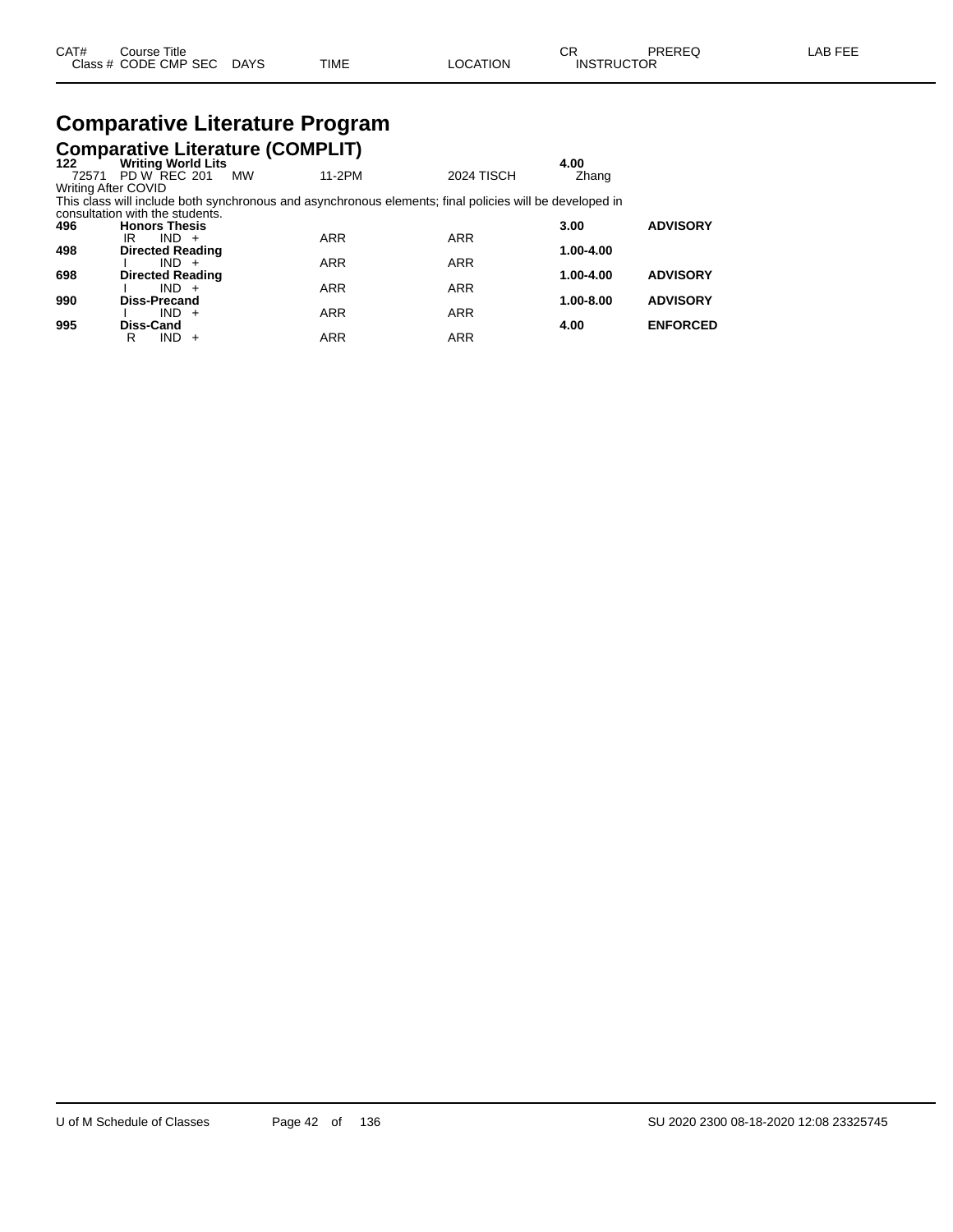| CAT# | Course Title              |      |          | חה<br>UΚ          | PREREQ | LAB FEE |
|------|---------------------------|------|----------|-------------------|--------|---------|
|      | Class # CODE CMP SEC DAYS | TIME | LOCATION | <b>INSTRUCTOR</b> |        |         |

## **Comparative Literature Program**

|                     |                                 | <b>Comparative Literature (COMPLIT)</b>                                                                 |                   |               |                 |
|---------------------|---------------------------------|---------------------------------------------------------------------------------------------------------|-------------------|---------------|-----------------|
| 122                 | <b>Writing World Lits</b>       |                                                                                                         |                   | 4.00          |                 |
| 72571               | PD W REC 201                    | 11-2PM<br>MW                                                                                            | <b>2024 TISCH</b> | Zhang         |                 |
| Writing After COVID |                                 |                                                                                                         |                   |               |                 |
|                     |                                 | This class will include both synchronous and asynchronous elements; final policies will be developed in |                   |               |                 |
|                     | consultation with the students. |                                                                                                         |                   |               |                 |
| 496                 | <b>Honors Thesis</b>            |                                                                                                         |                   | 3.00          | <b>ADVISORY</b> |
|                     | $IND +$<br>IR.                  | <b>ARR</b>                                                                                              | <b>ARR</b>        |               |                 |
| 498                 | <b>Directed Reading</b>         |                                                                                                         |                   | 1.00-4.00     |                 |
|                     | $IND +$                         | <b>ARR</b>                                                                                              | <b>ARR</b>        |               |                 |
| 698                 | <b>Directed Reading</b>         |                                                                                                         |                   | 1.00-4.00     | <b>ADVISORY</b> |
|                     | $IND +$                         | <b>ARR</b>                                                                                              | <b>ARR</b>        |               |                 |
| 990                 | Diss-Precand                    |                                                                                                         |                   | $1.00 - 8.00$ | <b>ADVISORY</b> |
|                     | $IND +$                         | <b>ARR</b>                                                                                              | <b>ARR</b>        |               |                 |
| 995                 | <b>Diss-Cand</b>                |                                                                                                         |                   | 4.00          | <b>ENFORCED</b> |
|                     | IND.<br>R<br>$+$                | <b>ARR</b>                                                                                              | <b>ARR</b>        |               |                 |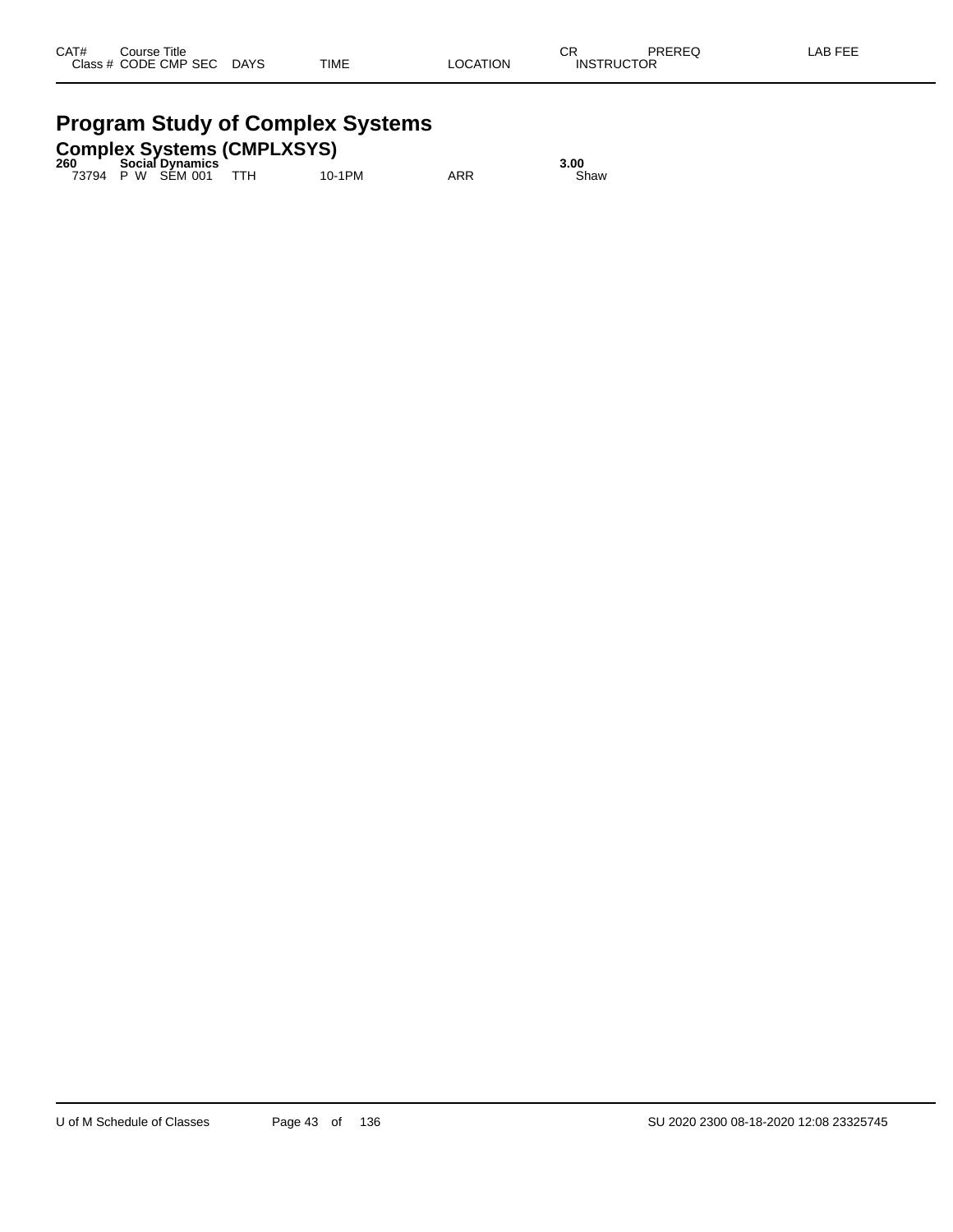#### **Program Study of Complex Systems Complex Systems (CMPLXSYS)**

|                                                         | $\sim$                             |  |      |
|---------------------------------------------------------|------------------------------------|--|------|
| 260                                                     | <b>Social Dynamics</b>             |  | 3.00 |
| $\rightarrow$ $\rightarrow$ $\rightarrow$ $\rightarrow$ | $\sim$ $\sim$ $\sim$ $\sim$ $\sim$ |  |      |

73794 P W SEM 001 TTH 10-1PM ARR Shaw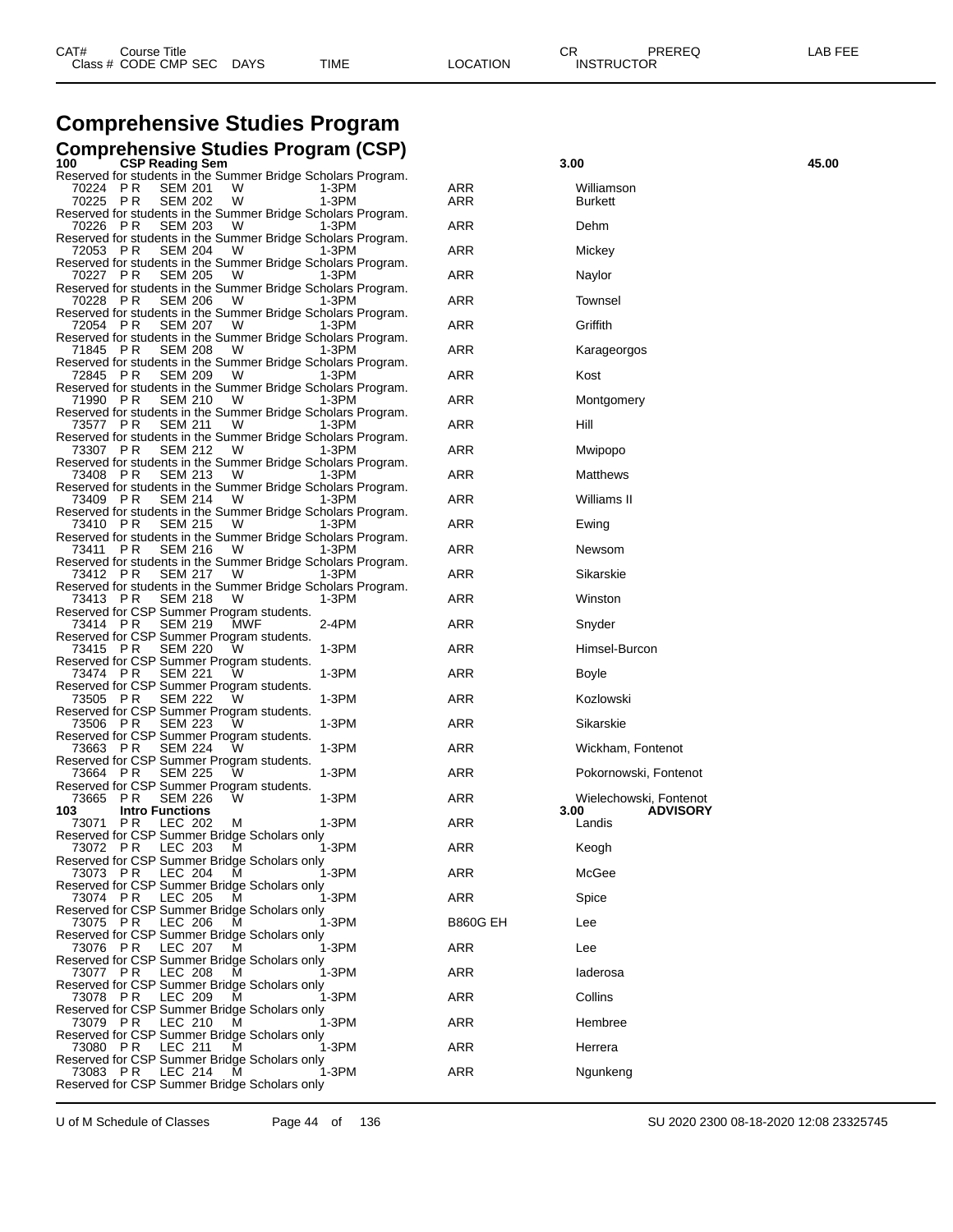# **Comprehensive Studies Program**

| 1 V V<br><b>OOI</b> Incaulity Ocin<br>Reserved for students in the Summer Bridge Scholars Program.                    |                 |                                   |
|-----------------------------------------------------------------------------------------------------------------------|-----------------|-----------------------------------|
| 70224 PR<br><b>SEM 201</b><br>W<br>1-3PM<br>70225 PR<br>W<br>1-3PM<br><b>SEM 202</b>                                  | ARR<br>ARR      | Williamson<br><b>Burkett</b>      |
| Reserved for students in the Summer Bridge Scholars Program.<br><b>SEM 203</b><br>70226 PR<br>W<br>$1-3PM$            | ARR             | Dehm                              |
| Reserved for students in the Summer Bridge Scholars Program.<br><b>SEM 204</b><br>72053 PR<br>W.<br>$1-3PM$           | ARR             | Mickey                            |
| Reserved for students in the Summer Bridge Scholars Program.<br>70227 PR<br>SEM 205 W<br>1-3PM                        | ARR             | Naylor                            |
| Reserved for students in the Summer Bridge Scholars Program.<br><b>SEM 206</b><br>70228 PR<br>W<br>$1-3PM$            | ARR             | Townsel                           |
| Reserved for students in the Summer Bridge Scholars Program.<br>SEM 207 W<br>72054 PR<br>$1-3PM$                      | ARR             | Griffith                          |
| Reserved for students in the Summer Bridge Scholars Program.<br>71845 PR<br>SEM 208 W<br>1-3PM                        | ARR             | Karageorgos                       |
| Reserved for students in the Summer Bridge Scholars Program.<br><b>SEM 209</b><br>72845 PR<br>W<br>$1-3PM$            | ARR             | Kost                              |
| Reserved for students in the Summer Bridge Scholars Program.<br><b>SEM 210</b><br>71990 PR<br><b>W</b><br>$1-3PM$     | ARR             | Montgomery                        |
| Reserved for students in the Summer Bridge Scholars Program.<br>73577 PR<br>SEM 211 W<br>1-3PM                        | ARR             | Hill                              |
| Reserved for students in the Summer Bridge Scholars Program.<br>SEM 212<br>73307 PR<br>W<br>$1-3PM$                   | ARR             | Mwipopo                           |
| Reserved for students in the Summer Bridge Scholars Program.<br><b>SEM 213</b><br>73408 PR<br><b>W</b><br>$1-3PM$     | ARR             | Matthews                          |
| Reserved for students in the Summer Bridge Scholars Program.<br>73409 PR<br>SEM 214 W<br>1-3PM                        | ARR             | Williams II                       |
| Reserved for students in the Summer Bridge Scholars Program.<br><b>SEM 215</b><br>73410 PR<br>W<br>$1-3PM$            | ARR             | Ewing                             |
| Reserved for students in the Summer Bridge Scholars Program.<br><b>SEM 216</b><br>73411<br>PR.<br><b>W</b><br>$1-3PM$ | ARR             | Newsom                            |
| Reserved for students in the Summer Bridge Scholars Program.<br>73412 PR<br>SEM 217 W<br>1-3PM                        | ARR             | Sikarskie                         |
| Reserved for students in the Summer Bridge Scholars Program.<br>73413 PR<br><b>SEM 218</b><br>W<br>1-3PM              | ARR             | Winston                           |
| Reserved for CSP Summer Program students.<br>73414 PR<br><b>SEM 219</b><br>MWF<br>2-4PM                               | ARR             | Snyder                            |
| Reserved for CSP Summer Program students.<br>SEM 220<br>1-3PM<br>73415 PR<br>W                                        | ARR             | Himsel-Burcon                     |
| Reserved for CSP Summer Program students.<br>73474 PR<br><b>SEM 221</b><br>1-3PM<br>W                                 | ARR             | Boyle                             |
| Reserved for CSP Summer Program students.<br>73505 PR<br><b>SEM 222</b><br>1-3PM<br>w                                 | ARR             | Kozlowski                         |
| Reserved for CSP Summer Program students.<br>1-3PM<br>73506 PR<br>SEM 223<br>W                                        | ARR             | Sikarskie                         |
| Reserved for CSP Summer Program students.<br>73663 PR<br><b>SEM 224</b><br>1-3PM<br>W                                 | ARR             | Wickham, Fontenot                 |
| Reserved for CSP Summer Program students.<br>73664 PR<br><b>SEM 225</b><br>$1-3PM$<br>w                               | ARR             | Pokornowski, Fontenot             |
| Reserved for CSP Summer Program students.<br>1-3PM<br>73665 PR<br>SEM 226<br>w                                        | ARR             | Wielechowski, Fontenot            |
| <b>Intro Functions</b><br>103<br>73071 PR<br>$1-3PM$<br>LEC 202<br>м                                                  | ARR             | <b>ADVISORY</b><br>3.00<br>Landis |
| Reserved for CSP Summer Bridge Scholars only<br>73072 PR<br>$1-3PM$<br>LEC 203<br>M                                   | ARR             | Keogh                             |
| Reserved for CSP Summer Bridge Scholars only<br>73073 PR LEC 204 M<br>1-3PM                                           | ARR             | McGee                             |
| Reserved for CSP Summer Bridge Scholars only<br>P R<br>LEC 205<br>1-3PM<br>73074<br>м                                 | ARR             | Spice                             |
| Reserved for CSP Summer Bridge Scholars only<br>73075 PR<br>LEC 206<br>1-3PM<br>м                                     | <b>B860G EH</b> | Lee                               |
| Reserved for CSP Summer Bridge Scholars only<br>LEC 207<br>1-3PM<br>73076 PR<br>м                                     | ARR             | Lee                               |
| Reserved for CSP Summer Bridge Scholars only<br>73077 PR<br>LEC 208<br>1-3PM<br>м                                     | ARR             | laderosa                          |
| Reserved for CSP Summer Bridge Scholars only<br>73078 PR<br>LEC 209<br>1-3PM<br>м                                     | ARR             | Collins                           |
| Reserved for CSP Summer Bridge Scholars only<br>LEC 210<br>1-3PM<br>73079 PR<br>м                                     | ARR             | Hembree                           |
| Reserved for CSP Summer Bridge Scholars only<br>73080 PR<br>LEC 211<br>1-3PM<br>м                                     | ARR             | Herrera                           |
| Reserved for CSP Summer Bridge Scholars only<br>73083 PR<br>LEC 214<br>1-3PM<br>м                                     | ARR             | Ngunkeng                          |
| Reserved for CSP Summer Bridge Scholars only                                                                          |                 |                                   |

| Comprehensive Studies Program                                                                                                                        |                 |                                   |       |
|------------------------------------------------------------------------------------------------------------------------------------------------------|-----------------|-----------------------------------|-------|
| Comprehensive Studies Program (CSP)<br>100<br><b>CSP Reading Sem</b>                                                                                 |                 | 3.00                              | 45.00 |
| Reserved for students in the Summer Bridge Scholars Program.<br>70224 PR<br><b>SEM 201</b><br>W<br>1-3PM<br>1-3PM<br>70225 PR<br><b>SEM 202</b><br>W | ARR<br>ARR      | Williamson<br>Burkett             |       |
| Reserved for students in the Summer Bridge Scholars Program.<br><b>SEM 203</b><br>70226 PR<br>1-3PM<br>w                                             | ARR             | Dehm                              |       |
| Reserved for students in the Summer Bridge Scholars Program.<br>72053 PR<br>SEM 204<br>W<br>1-3PM                                                    | ARR             | Mickey                            |       |
| Reserved for students in the Summer Bridge Scholars Program.<br><b>SEM 205</b><br>70227 PR<br>1-3PM<br>w                                             | ARR             | Naylor                            |       |
| Reserved for students in the Summer Bridge Scholars Program.<br><b>SEM 206</b><br>70228 PR<br>1-3PM<br>W                                             | ARR             | <b>Townsel</b>                    |       |
| Reserved for students in the Summer Bridge Scholars Program.<br>72054 PR<br>SEM 207<br>W<br>1-3PM                                                    | ARR             | Griffith                          |       |
| Reserved for students in the Summer Bridge Scholars Program.<br><b>SEM 208</b><br>71845 PR<br>1-3PM<br>VV.                                           | ARR             | Karageorgos                       |       |
| Reserved for students in the Summer Bridge Scholars Program.<br><b>SEM 209</b><br>72845 PR<br>W<br>1-3PM                                             | ARR             | Kost                              |       |
| Reserved for students in the Summer Bridge Scholars Program.<br>71990 PR<br><b>SEM 210</b><br>W<br>1-3PM                                             | ARR             | Montgomery                        |       |
| Reserved for students in the Summer Bridge Scholars Program.<br><b>SEM 211</b><br>73577 PR<br>1-3PM<br>w                                             | ARR             | Hill                              |       |
| Reserved for students in the Summer Bridge Scholars Program.<br><b>SEM 212</b><br>73307 PR<br>1-3PM<br>W                                             | ARR             | Mwipopo                           |       |
| Reserved for students in the Summer Bridge Scholars Program.<br>73408 PR<br>SEM 213<br>W<br>1-3PM                                                    | ARR             | Matthews                          |       |
| Reserved for students in the Summer Bridge Scholars Program.<br>SEM 214<br>73409 PR<br>1-3PM<br>w                                                    | ARR             | Williams II                       |       |
| Reserved for students in the Summer Bridge Scholars Program.<br>73410 PR<br><b>SEM 215</b><br>1-3PM<br>W                                             | ARR             | Ewing                             |       |
| Reserved for students in the Summer Bridge Scholars Program.<br>73411 PR<br><b>SEM 216</b><br>W<br>1-3PM                                             | ARR             | Newsom                            |       |
| Reserved for students in the Summer Bridge Scholars Program.<br><b>SEM 217</b><br>73412 PR<br>1-3PM<br>w                                             | ARR             | Sikarskie                         |       |
| Reserved for students in the Summer Bridge Scholars Program.<br><b>SEM 218</b><br>73413 PR<br>w<br>1-3PM                                             | ARR             | Winston                           |       |
| Reserved for CSP Summer Program students.<br>73414 PR<br><b>SEM 219</b><br>MWF<br>2-4PM                                                              | ARR             | Snyder                            |       |
| Reserved for CSP Summer Program students.<br>$1-3PM$<br><b>SEM 220</b><br>73415 PR<br>w                                                              | ARR             | Himsel-Burcon                     |       |
| Reserved for CSP Summer Program students.<br><b>SEM 221</b><br>1-3PM<br>73474 PR<br>w                                                                | ARR             | Boyle                             |       |
| Reserved for CSP Summer Program students.<br>73505 PR<br><b>SEM 222</b><br>1-3PM<br>w                                                                | ARR             | Kozlowski                         |       |
| Reserved for CSP Summer Program students.<br>1-3PM<br>73506 PR<br><b>SEM 223</b><br>w                                                                | ARR             | Sikarskie                         |       |
| Reserved for CSP Summer Program students.<br><b>SEM 224</b><br>1-3PM<br>73663 PR<br>w                                                                | ARR             | Wickham, Fontenot                 |       |
| Reserved for CSP Summer Program students.<br>73664 PR<br><b>SEM 225</b><br>1-3PM<br>w                                                                | ARR             | Pokornowski, Fontenot             |       |
| Reserved for CSP Summer Program students.<br>1-3PM<br>73665<br>P R<br><b>SEM 226</b><br>w                                                            | ARR             | Wielechowski, Fontenot            |       |
| 103<br><b>Intro Functions</b><br>$1-3PM$<br>73071 PR<br>LEC 202<br>M                                                                                 | ARR             | 3.00<br><b>ADVISORY</b><br>Landis |       |
| Reserved for CSP Summer Bridge Scholars only<br>1-3PM<br>73072 PR<br>LEC 203<br>м                                                                    | ARR             | Keogh                             |       |
| Reserved for CSP Summer Bridge Scholars only<br>1-3PM<br>73073 PR<br>LEC 204<br>м                                                                    | <b>ARR</b>      | McGee                             |       |
| Reserved for CSP Summer Bridge Scholars only<br>73074 PR<br>LEC 205<br>1-3PM<br>м                                                                    | ARR             | Spice                             |       |
| Reserved for CSP Summer Bridge Scholars only<br>1-3PM<br>73075 PR<br>LEC 206<br>м                                                                    | <b>B860G EH</b> | Lee                               |       |
| Reserved for CSP Summer Bridge Scholars only<br>1-3PM<br>73076 PR<br>LEC 207<br>м                                                                    | <b>ARR</b>      | Lee                               |       |
| Reserved for CSP Summer Bridge Scholars only<br>LEC 208<br>1-3PM<br>73077 PR<br>м                                                                    | <b>ARR</b>      | laderosa                          |       |
| Reserved for CSP Summer Bridge Scholars only<br>1-3PM<br>73078 PR<br>LEC 209<br>м                                                                    | ARR             | Collins                           |       |
| Reserved for CSP Summer Bridge Scholars only<br>1-3PM<br>73079 PR<br>LEC 210<br>м                                                                    | <b>ARR</b>      | Hembree                           |       |
| Reserved for CSP Summer Bridge Scholars only<br>1-3PM                                                                                                | ARR             |                                   |       |
| 73080 PR<br>LEC 211<br>м<br>Reserved for CSP Summer Bridge Scholars only<br>1-3PM<br>м                                                               | ARR             | Herrera                           |       |
| 73083 PR<br>LEC 214<br>Reserved for CSP Summer Bridge Scholars only                                                                                  |                 | Ngunkeng                          |       |
|                                                                                                                                                      |                 |                                   |       |

U of M Schedule of Classes Page 44 of 136 SU 2020 2300 08-18-2020 12:08 23325745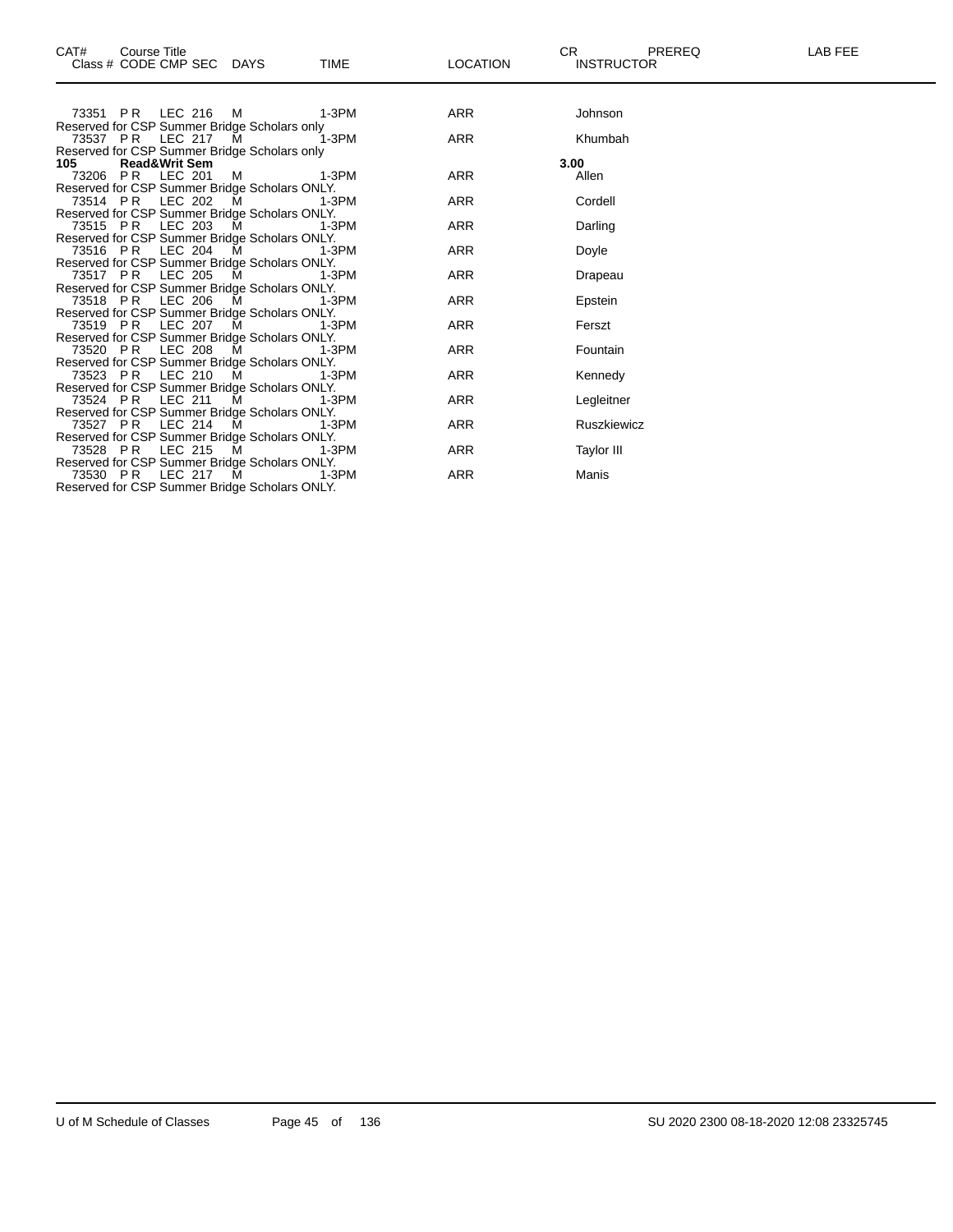| CAT#<br>Course Title<br>Class # CODE CMP SEC DAYS<br><b>TIME</b>               | <b>LOCATION</b> | CR.<br>PREREQ<br><b>INSTRUCTOR</b> | <b>LAB FEE</b> |
|--------------------------------------------------------------------------------|-----------------|------------------------------------|----------------|
| 73351 PR LEC 216 M<br>1-3PM                                                    | ARR             | Johnson                            |                |
| Reserved for CSP Summer Bridge Scholars only                                   |                 |                                    |                |
| $1-3PM$<br>73537 PR LEC 217 M                                                  | <b>ARR</b>      | Khumbah                            |                |
| Reserved for CSP Summer Bridge Scholars only                                   |                 |                                    |                |
| 105 —<br><b>Read&amp;Writ Sem</b>                                              |                 | 3.00                               |                |
| 73206 PR LEC 201<br><b>M</b><br>1-3PM                                          | ARR             | Allen                              |                |
| Reserved for CSP Summer Bridge Scholars ONLY.                                  |                 |                                    |                |
| <b>M</b><br>73514 PR LEC 202<br>1-3PM                                          | <b>ARR</b>      | Cordell                            |                |
| Reserved for CSP Summer Bridge Scholars ONLY.                                  |                 |                                    |                |
| 73515 PR LEC 203<br>M<br>1-3PM                                                 | ARR             | Darling                            |                |
| Reserved for CSP Summer Bridge Scholars ONLY.                                  |                 |                                    |                |
| 73516 PR LEC 204 M<br>1-3PM                                                    | ARR             | Doyle                              |                |
| Reserved for CSP Summer Bridge Scholars ONLY.                                  |                 |                                    |                |
| 73517 PR LEC 205 M 1-3PM                                                       | ARR             | Drapeau                            |                |
| Reserved for CSP Summer Bridge Scholars ONLY.                                  |                 |                                    |                |
| LEC 206 M<br>73518 PR<br>1-3PM                                                 | ARR             | Epstein                            |                |
| Reserved for CSP Summer Bridge Scholars ONLY.                                  |                 |                                    |                |
| LEC 207 M<br>73519 PR<br>1-3PM                                                 | <b>ARR</b>      | Ferszt                             |                |
| Reserved for CSP Summer Bridge Scholars ONLY.                                  |                 |                                    |                |
| LEC 208 M<br>73520 PR<br>1-3PM                                                 | <b>ARR</b>      | Fountain                           |                |
| Reserved for CSP Summer Bridge Scholars ONLY.<br>73523 PR LEC 210 M<br>$1-3PM$ | ARR             | Kennedy                            |                |
| Reserved for CSP Summer Bridge Scholars ONLY.                                  |                 |                                    |                |
| 73524 PR LEC 211<br><b>M</b><br>1-3PM                                          | ARR             | Legleitner                         |                |
| Reserved for CSP Summer Bridge Scholars ONLY.                                  |                 |                                    |                |
| 73527 PR LEC 214<br><b>M</b><br>1-3PM                                          | <b>ARR</b>      | Ruszkiewicz                        |                |
| Reserved for CSP Summer Bridge Scholars ONLY.                                  |                 |                                    |                |
| LEC 215 M<br>73528 PR<br>1-3PM                                                 | ARR             | <b>Taylor III</b>                  |                |
| Reserved for CSP Summer Bridge Scholars ONLY.                                  |                 |                                    |                |
| 73530 PR LEC 217 M<br>$1-3PM$                                                  | ARR             | Manis                              |                |

Reserved for CSP Summer Bridge Scholars ONLY.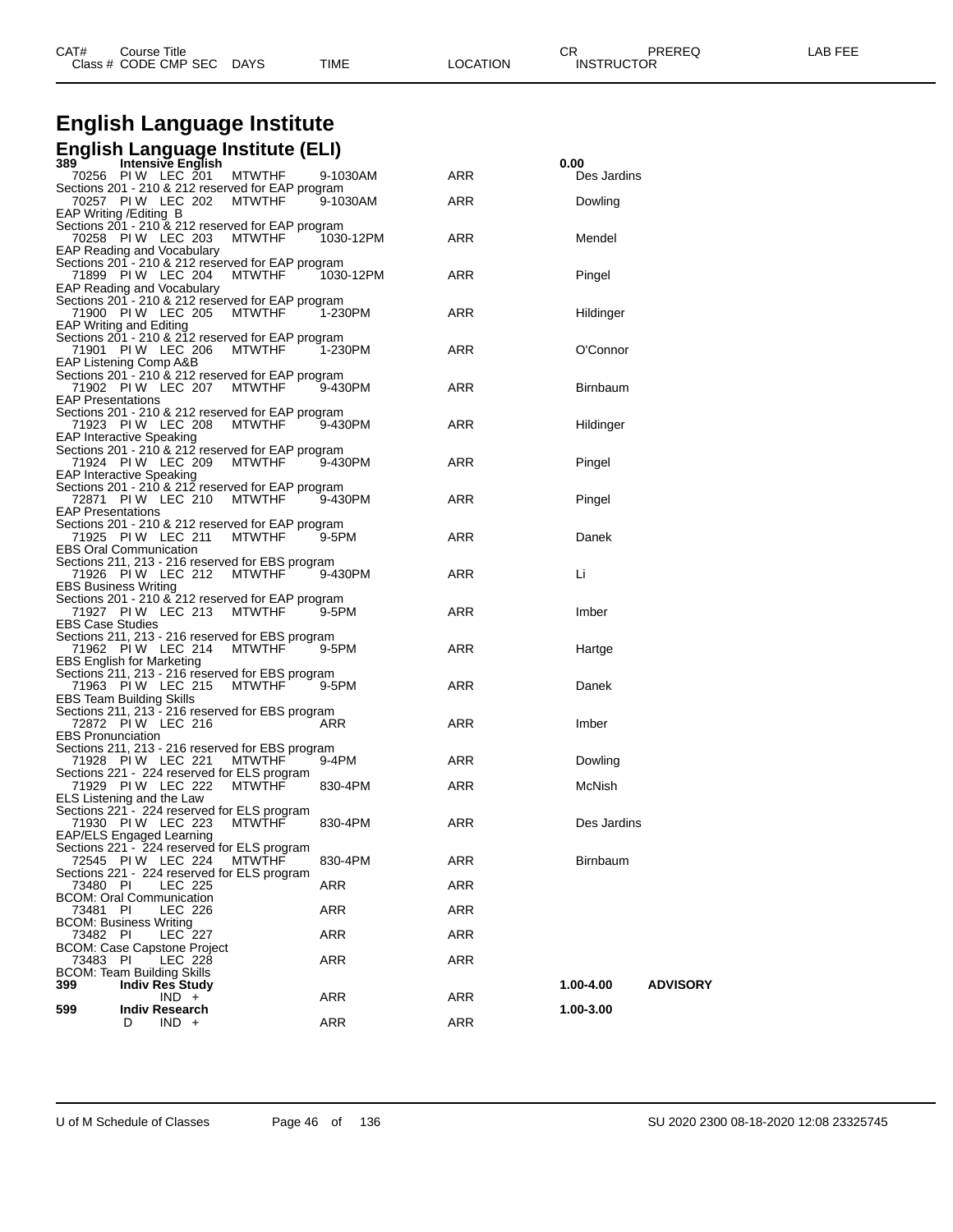| CAT# | Title<br>Course      |      |      |          | Ωm<br>◡∩          | PREREQ | ----<br>A <sub>R</sub><br>노노니 |
|------|----------------------|------|------|----------|-------------------|--------|-------------------------------|
|      | Class # CODE CMP SEC | DAYS | TIME | LOCATION | <b>INSTRUCTOR</b> |        |                               |

# **English Language Institute**

### **English Language Institute (ELI) 389 Intensive English 0.00**

|                             | IIIIEIISIVE EIIYIISII                             |               |           |            | v.vv                         |
|-----------------------------|---------------------------------------------------|---------------|-----------|------------|------------------------------|
|                             | 70256 PIW LEC 201                                 | <b>MTWTHF</b> | 9-1030AM  | ARR        | Des Jardins                  |
|                             | Sections 201 - 210 & 212 reserved for EAP program |               |           |            |                              |
|                             | 70257 PIW LEC 202                                 | <b>MTWTHF</b> | 9-1030AM  | ARR        | Dowling                      |
|                             | EAP Writing / Editing B                           |               |           |            |                              |
|                             | Sections 201 - 210 & 212 reserved for EAP program |               |           |            |                              |
|                             | 70258 PIW LEC 203                                 | <b>MTWTHF</b> | 1030-12PM | ARR        | Mendel                       |
|                             |                                                   |               |           |            |                              |
|                             | EAP Reading and Vocabulary                        |               |           |            |                              |
|                             | Sections 201 - 210 & 212 reserved for EAP program |               |           |            |                              |
|                             | 71899 PIW LEC 204                                 | <b>MTWTHF</b> | 1030-12PM | ARR        | Pingel                       |
|                             | EAP Reading and Vocabulary                        |               |           |            |                              |
|                             | Sections 201 - 210 & 212 reserved for EAP program |               |           |            |                              |
|                             | 71900 PIW LEC 205                                 | MTWTHF        | 1-230PM   | ARR        | Hildinger                    |
|                             | <b>EAP Writing and Editing</b>                    |               |           |            |                              |
|                             |                                                   |               |           |            |                              |
|                             | Sections 201 - 210 & 212 reserved for EAP program |               |           |            |                              |
|                             | 71901 PIW LEC 206                                 | MTWTHF        | 1-230PM   | ARR        | O'Connor                     |
|                             | EAP Listening Comp A&B                            |               |           |            |                              |
|                             | Sections 201 - 210 & 212 reserved for EAP program |               |           |            |                              |
|                             | 71902 PIW LEC 207                                 | MTWTHF        | 9-430PM   | ARR        | <b>Birnbaum</b>              |
| <b>EAP Presentations</b>    |                                                   |               |           |            |                              |
|                             | Sections 201 - 210 & 212 reserved for EAP program |               |           |            |                              |
|                             | 71923 PIW LEC 208                                 | <b>MTWTHF</b> | 9-430PM   | ARR        |                              |
|                             |                                                   |               |           |            | Hildinger                    |
|                             | <b>EAP Interactive Speaking</b>                   |               |           |            |                              |
|                             | Sections 201 - 210 & 212 reserved for EAP program |               |           |            |                              |
|                             | 71924 PIW LEC 209                                 | MTWTHF        | 9-430PM   | ARR        | Pingel                       |
|                             | <b>EAP Interactive Speaking</b>                   |               |           |            |                              |
|                             | Sections 201 - 210 & 212 reserved for EAP program |               |           |            |                              |
|                             | 72871 PIW LEC 210                                 | MTWTHF        | 9-430PM   | ARR        | Pingel                       |
| <b>EAP Presentations</b>    |                                                   |               |           |            |                              |
|                             | Sections 201 - 210 & 212 reserved for EAP program |               |           |            |                              |
|                             | 71925 PIW LEC 211                                 |               |           |            |                              |
|                             |                                                   | <b>MTWTHF</b> | 9-5PM     | ARR        | Danek                        |
|                             | <b>EBS Oral Communication</b>                     |               |           |            |                              |
|                             | Sections 211, 213 - 216 reserved for EBS program  |               |           |            |                              |
|                             | 71926 PIW LEC 212                                 | MTWTHF        | 9-430PM   | ARR        | Li                           |
| <b>EBS Business Writing</b> |                                                   |               |           |            |                              |
|                             | Sections 201 - 210 & 212 reserved for EAP program |               |           |            |                              |
|                             | 71927 PIW LEC 213                                 | <b>MTWTHF</b> | 9-5PM     | ARR        | Imber                        |
| <b>EBS Case Studies</b>     |                                                   |               |           |            |                              |
|                             | Sections 211, 213 - 216 reserved for EBS program  |               |           |            |                              |
|                             | 71962 PIW LEC 214                                 | <b>MTWTHF</b> | 9-5PM     | ARR        | Hartge                       |
|                             |                                                   |               |           |            |                              |
|                             | <b>EBS English for Marketing</b>                  |               |           |            |                              |
|                             | Sections 211, 213 - 216 reserved for EBS program  |               |           |            |                              |
|                             | 71963 PIW LEC 215                                 | MTWTHF        | 9-5PM     | ARR        | Danek                        |
|                             | <b>EBS Team Building Skills</b>                   |               |           |            |                              |
|                             | Sections 211, 213 - 216 reserved for EBS program  |               |           |            |                              |
|                             | 72872 PIW LEC 216                                 |               |           |            |                              |
|                             |                                                   |               |           |            |                              |
|                             |                                                   |               | ARR       | ARR        | Imber                        |
| <b>EBS Pronunciation</b>    |                                                   |               |           |            |                              |
|                             | Sections 211, 213 - 216 reserved for EBS program  |               |           |            |                              |
|                             | 71928 PIW LEC 221                                 | <b>MTWTHF</b> | 9-4PM     | ARR        | Dowling                      |
|                             | Sections 221 - 224 reserved for ELS program       |               |           |            |                              |
|                             | 71929 PIW LEC 222                                 | <b>MTWTHF</b> | 830-4PM   | ARR        | McNish                       |
|                             | ELS Listening and the Law                         |               |           |            |                              |
|                             | Sections 221 - 224 reserved for ELS program       |               |           |            |                              |
|                             |                                                   |               |           |            |                              |
|                             | 71930 PIW LEC 223                                 | <b>MTWTHF</b> | 830-4PM   | ARR        | Des Jardins                  |
|                             | EAP/ELS Engaged Learning                          |               |           |            |                              |
|                             | Sections 221 - 224 reserved for ELS program       |               |           |            |                              |
|                             | 72545 PIW LEC 224 MTWTHF                          |               | 830-4PM   | <b>ARR</b> | <b>Birnbaum</b>              |
|                             | Sections 221 - 224 reserved for ELS program       |               |           |            |                              |
| 73480 PI                    | LEC 225                                           |               | ARR       | ARR        |                              |
|                             | <b>BCOM: Oral Communication</b>                   |               |           |            |                              |
| 73481 PI                    | LEC 226                                           |               | ARR       | <b>ARR</b> |                              |
|                             | <b>BCOM: Business Writing</b>                     |               |           |            |                              |
| 73482 PI                    | <b>LEC 227</b>                                    |               | ARR       | ARR        |                              |
|                             |                                                   |               |           |            |                              |
|                             | <b>BCOM: Case Capstone Project</b>                |               |           |            |                              |
| 73483 PI                    | LEC 228                                           |               | ARR       | <b>ARR</b> |                              |
|                             | <b>BCOM: Team Building Skills</b>                 |               |           |            |                              |
| 399                         | <b>Indiv Res Study</b>                            |               |           |            | <b>ADVISORY</b><br>1.00-4.00 |
|                             | $IND +$                                           |               | ARR       | <b>ARR</b> |                              |
| 599                         | <b>Indiv Research</b><br>$IND +$<br>D             |               | ARR       | ARR        | 1.00-3.00                    |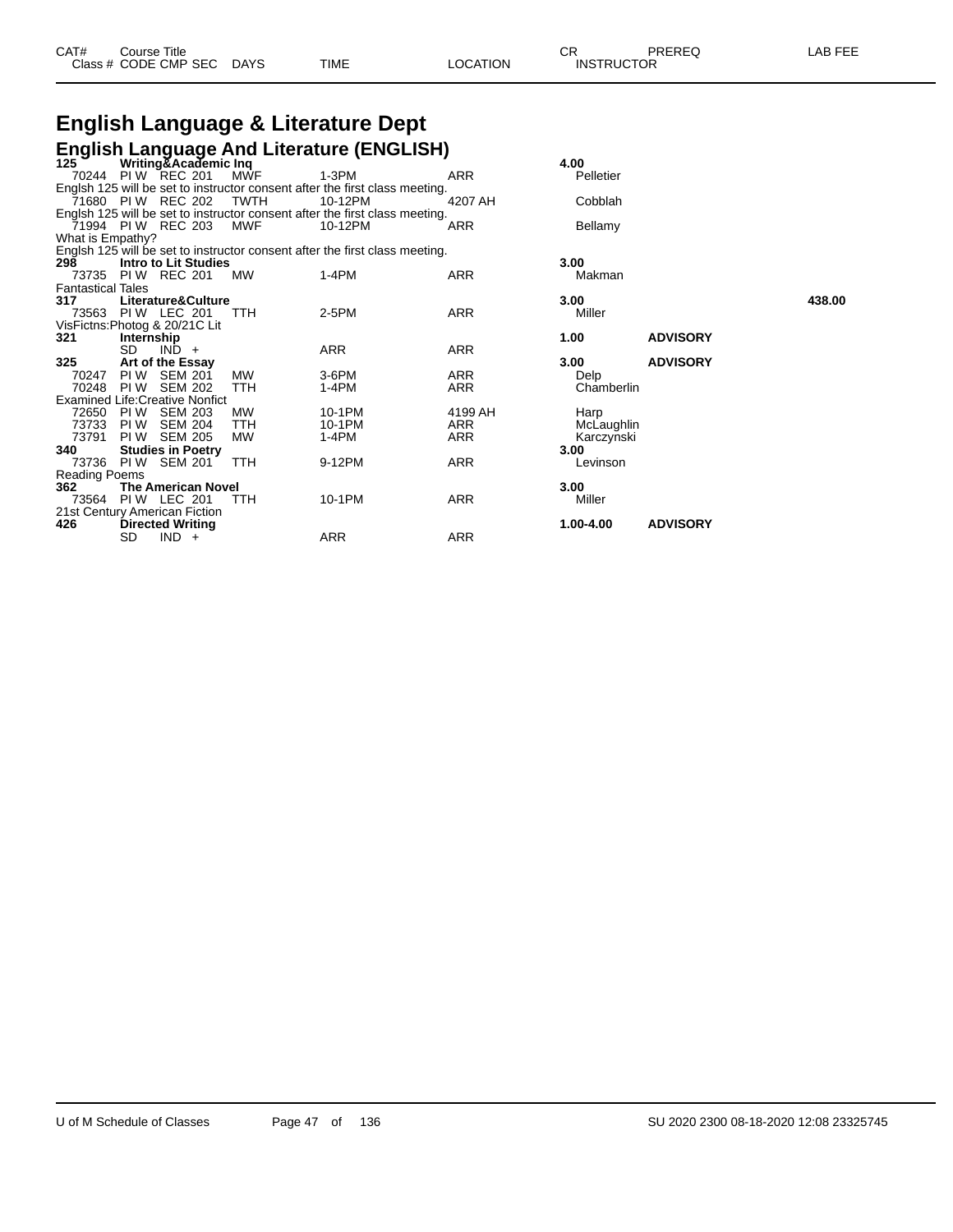# **English Language & Literature Dept**

|                          |            |                                        |             | <b>English Language And Literature (ENGLISH)</b>                            |            |            |                 |        |
|--------------------------|------------|----------------------------------------|-------------|-----------------------------------------------------------------------------|------------|------------|-----------------|--------|
| 125                      |            | Writing&Academic Inq                   |             |                                                                             |            | 4.00       |                 |        |
|                          |            | 70244 PIW REC 201                      | MWF         | $1-3PM$                                                                     | ARR        | Pelletier  |                 |        |
|                          |            |                                        |             | Englsh 125 will be set to instructor consent after the first class meeting. |            |            |                 |        |
|                          |            | 71680 PIW REC 202                      | <b>TWTH</b> | 10-12PM                                                                     | 4207 AH    | Cobblah    |                 |        |
|                          |            |                                        |             | Englsh 125 will be set to instructor consent after the first class meeting. |            |            |                 |        |
|                          |            | 71994 PIW REC 203                      | MWF         | 10-12PM                                                                     | <b>ARR</b> | Bellamy    |                 |        |
| What is Empathy?         |            |                                        |             |                                                                             |            |            |                 |        |
|                          |            |                                        |             | Englsh 125 will be set to instructor consent after the first class meeting. |            |            |                 |        |
| 298                      |            | Intro to Lit Studies                   |             |                                                                             |            | 3.00       |                 |        |
|                          |            | 73735 PIW REC 201                      | МW          | $1-4PM$                                                                     | <b>ARR</b> | Makman     |                 |        |
| <b>Fantastical Tales</b> |            |                                        |             |                                                                             |            |            |                 |        |
| 317                      |            | Literature&Culture                     |             |                                                                             |            | 3.00       |                 | 438.00 |
|                          |            | 73563 PIW LEC 201                      | <b>TTH</b>  | 2-5PM                                                                       | <b>ARR</b> | Miller     |                 |        |
|                          |            | VisFictns: Photog & 20/21C Lit         |             |                                                                             |            |            |                 |        |
| 321                      | Internship |                                        |             |                                                                             |            | 1.00       | <b>ADVISORY</b> |        |
|                          | SD.        | $IND +$                                |             | ARR                                                                         | ARR        |            |                 |        |
| 325                      |            | Art of the Essay                       |             |                                                                             |            | 3.00       | <b>ADVISORY</b> |        |
| 70247                    | PI W       | <b>SEM 201</b>                         | <b>MW</b>   | $3-6$ PM                                                                    | <b>ARR</b> | Delp       |                 |        |
| 70248                    | PI W       | <b>SEM 202</b>                         | <b>TTH</b>  | 1-4PM                                                                       | ARR        | Chamberlin |                 |        |
|                          |            | <b>Examined Life: Creative Nonfict</b> |             |                                                                             |            |            |                 |        |
| 72650                    | PI W       | <b>SEM 203</b>                         | <b>MW</b>   | 10-1PM                                                                      | 4199 AH    | Harp       |                 |        |
| 73733                    | PI W       | <b>SEM 204</b>                         | <b>TTH</b>  | 10-1PM                                                                      | ARR        | McLaughlin |                 |        |
| 73791                    | PI W       | <b>SEM 205</b>                         | <b>MW</b>   | $1-4PM$                                                                     | <b>ARR</b> | Karczynski |                 |        |
| 340                      |            | <b>Studies in Poetry</b>               |             |                                                                             |            | 3.00       |                 |        |
| 73736                    |            | <b>PIW SEM 201</b>                     | <b>TTH</b>  | 9-12PM                                                                      | ARR        | Levinson   |                 |        |
| Reading Poems            |            |                                        |             |                                                                             |            |            |                 |        |
| 362                      |            | <b>The American Novel</b>              |             |                                                                             |            | 3.00       |                 |        |
|                          |            | 73564 PIW LEC 201                      | <b>TTH</b>  | 10-1PM                                                                      | ARR        | Miller     |                 |        |
|                          |            | 21st Century American Fiction          |             |                                                                             |            |            |                 |        |
| 426                      |            | <b>Directed Writing</b>                |             |                                                                             |            | 1.00-4.00  | <b>ADVISORY</b> |        |
|                          | SD         | $IND +$                                |             | ARR                                                                         | <b>ARR</b> |            |                 |        |

| 4.00<br>Pelletier                                    |                 |
|------------------------------------------------------|-----------------|
| Cobblah                                              |                 |
| Bellamy                                              |                 |
| 3.00<br>Makman                                       |                 |
| 3.00<br>Miller                                       |                 |
| 1.00                                                 | <b>ADVISORY</b> |
| 3.00<br>Delp<br>Chamberlin                           | <b>ADVISORY</b> |
| Harp<br>McLaughlin<br>Karczynski<br>3.00<br>Levinson |                 |
| 3.00<br>Miller                                       |                 |
| 1.00-4.00                                            | <b>ADVISORY</b> |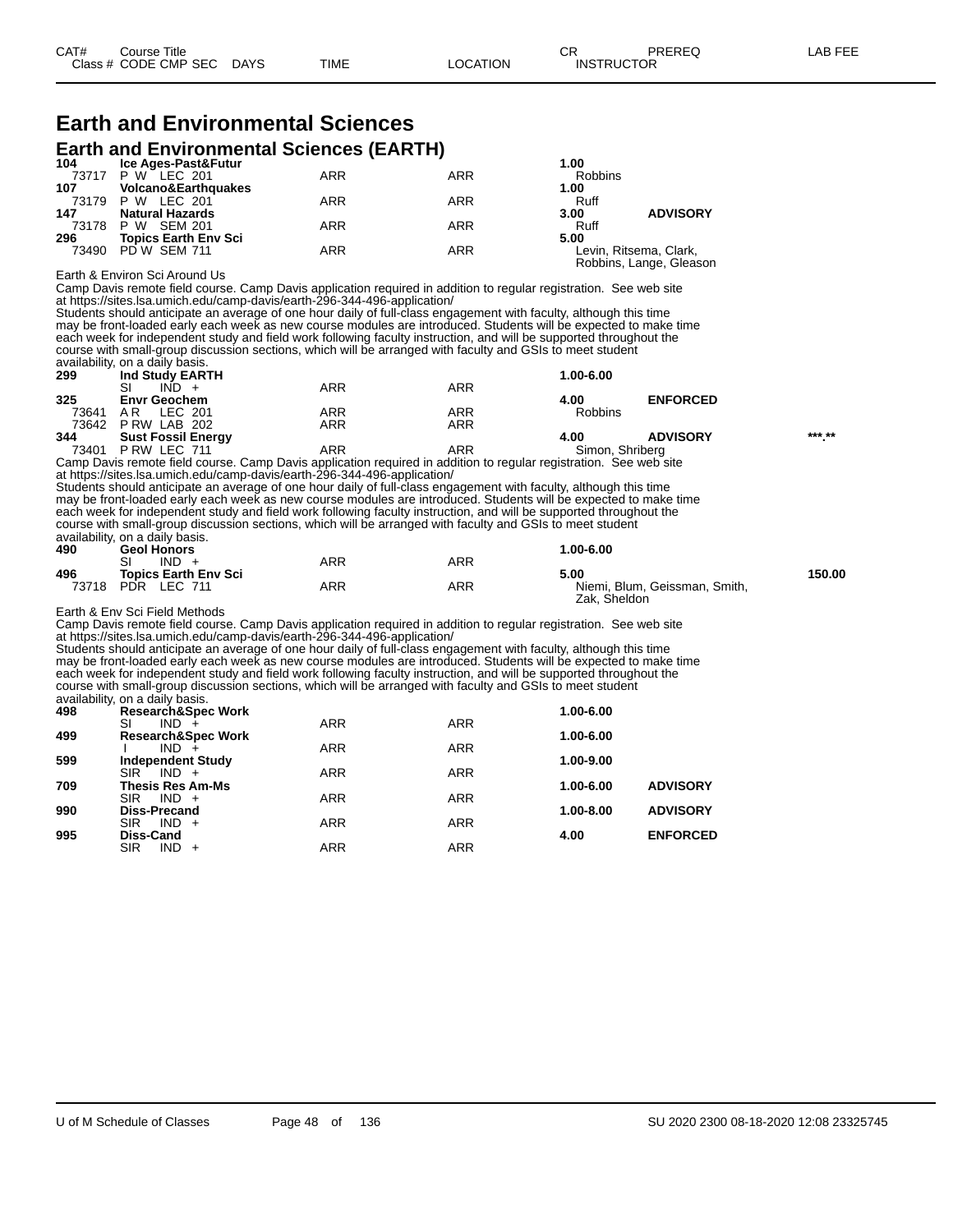# **Earth and Environmental Sciences**

**Earth and Environmental Sciences (EARTH)**

| 104       | Ice Ages-Past&Futur            |            |            | 1.00           |                         |
|-----------|--------------------------------|------------|------------|----------------|-------------------------|
|           | 73717 P W LEC 201              | <b>ARR</b> | <b>ARR</b> | <b>Robbins</b> |                         |
| 107       | <b>Volcano&amp;Earthquakes</b> |            |            | 1.00           |                         |
|           | 73179 P W LEC 201              | <b>ARR</b> | ARR        | Ruff           |                         |
| 147       | <b>Natural Hazards</b>         |            |            | 3.00           | <b>ADVISORY</b>         |
| 73178 P W | SEM 201                        | <b>ARR</b> | <b>ARR</b> | Ruff           |                         |
| 296       | <b>Topics Earth Env Sci</b>    |            |            | 5.00           |                         |
|           | 73490 PD W SEM 711             | ARR        | ARR        |                | Levin, Ritsema, Clark,  |
|           |                                |            |            |                | Robbins, Lange, Gleason |

Earth & Environ Sci Around Us

Camp Davis remote field course. Camp Davis application required in addition to regular registration. See web site at https://sites.lsa.umich.edu/camp-davis/earth-296-344-496-application/

Students should anticipate an average of one hour daily of full-class engagement with faculty, although this time may be front-loaded early each week as new course modules are introduced. Students will be expected to make time each week for independent study and field work following faculty instruction, and will be supported throughout the course with small-group discussion sections, which will be arranged with faculty and GSIs to meet student availability, on a daily basis.

| availability, on a dally bable. |     |            |                |                 |                 |
|---------------------------------|-----|------------|----------------|-----------------|-----------------|
| Ind Study EARTH                 |     |            | 1.00-6.00      |                 |                 |
| SI<br>IND.                      | ARR | <b>ARR</b> |                |                 |                 |
| <b>Envr Geochem</b>             |     |            | 4.00           | <b>ENFORCED</b> |                 |
| LEC 201<br>ΑR                   | ARR | <b>ARR</b> | <b>Robbins</b> |                 |                 |
| PRW LAB 202                     | ARR | <b>ARR</b> |                |                 |                 |
| <b>Sust Fossil Energy</b>       |     |            | 4.00           | <b>ADVISORY</b> | *** **          |
| P RW LEC 711                    | ARR | ARR        |                |                 |                 |
|                                 |     |            |                |                 | Simon, Shriberg |

Camp Davis remote field course. Camp Davis application required in addition to regular registration. See web site at https://sites.lsa.umich.edu/camp-davis/earth-296-344-496-application/

Students should anticipate an average of one hour daily of full-class engagement with faculty, although this time may be front-loaded early each week as new course modules are introduced. Students will be expected to make time each week for independent study and field work following faculty instruction, and will be supported throughout the course with small-group discussion sections, which will be arranged with faculty and GSIs to meet student availability, on a daily basis. **490 Geol Honors 1.00-6.00**

| 73V   | OGUI HUHUI 3                 |     |     | 1.vv-v.vv                     |        |
|-------|------------------------------|-----|-----|-------------------------------|--------|
|       | SI<br><b>IND</b>             | ARR | ARR |                               |        |
| 496   | <b>Topics Earth Env Sci</b>  |     |     | 5.00                          | 150.00 |
| 73718 | <b>PDR</b><br><b>LEC 711</b> | ARR | ARR | Niemi, Blum, Geissman, Smith, |        |
|       |                              |     |     | Zak. Sheldon                  |        |

Earth & Env Sci Field Methods

Camp Davis remote field course. Camp Davis application required in addition to regular registration. See web site at https://sites.lsa.umich.edu/camp-davis/earth-296-344-496-application/

Students should anticipate an average of one hour daily of full-class engagement with faculty, although this time may be front-loaded early each week as new course modules are introduced. Students will be expected to make time each week for independent study and field work following faculty instruction, and will be supported throughout the course with small-group discussion sections, which will be arranged with faculty and GSIs to meet student availability, on a daily basis.

| 498 | <b>Research&amp;Spec Work</b>                     |            |            | 1.00-6.00 |                 |
|-----|---------------------------------------------------|------------|------------|-----------|-----------------|
|     | SI<br>$IND +$                                     | <b>ARR</b> | <b>ARR</b> |           |                 |
| 499 | <b>Research&amp;Spec Work</b>                     |            |            | 1.00-6.00 |                 |
|     | $IND +$                                           | <b>ARR</b> | <b>ARR</b> |           |                 |
| 599 | <b>Independent Study</b><br><b>SIR</b><br>$IND +$ | ARR        | <b>ARR</b> | 1.00-9.00 |                 |
| 709 | Thesis Res Am-Ms                                  |            |            | 1.00-6.00 | <b>ADVISORY</b> |
|     | <b>SIR</b><br>$IND +$                             | <b>ARR</b> | <b>ARR</b> |           |                 |
| 990 | <b>Diss-Precand</b>                               |            |            | 1.00-8.00 | <b>ADVISORY</b> |
|     | <b>SIR</b><br>$IND +$                             | ARR        | <b>ARR</b> |           |                 |
| 995 | Diss-Cand                                         |            |            | 4.00      | <b>ENFORCED</b> |
|     | <b>SIR</b><br>$IND +$                             | ARR        | <b>ARR</b> |           |                 |
|     |                                                   |            |            |           |                 |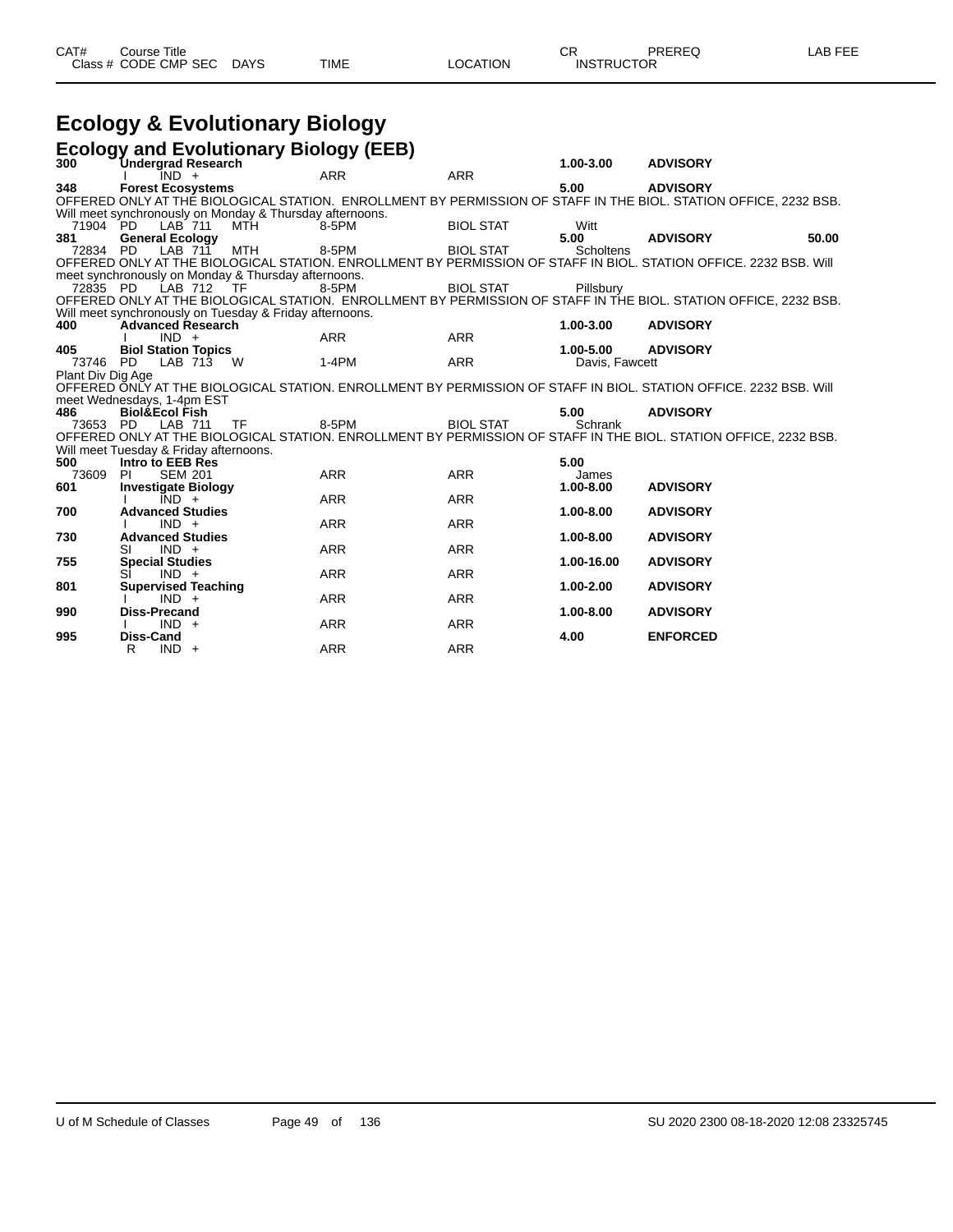| CAT# | ourse Titleٽ              |      |          | ◡ጙ                | PREREQ | LAB FEE |
|------|---------------------------|------|----------|-------------------|--------|---------|
|      | Class # CODE CMP SEC DAYS | TIME | LOCATION | <b>INSTRUCTOR</b> |        |         |

## **Ecology & Evolutionary Biology**

|                   | <b>Ecology and Evolutionary Biology (EEB)</b>            |            |            |                  |                |                                                                                                                   |
|-------------------|----------------------------------------------------------|------------|------------|------------------|----------------|-------------------------------------------------------------------------------------------------------------------|
| 300               | <b>Undergrad Research</b>                                |            |            |                  | 1.00-3.00      | <b>ADVISORY</b>                                                                                                   |
|                   | $IND +$                                                  |            | <b>ARR</b> | <b>ARR</b>       |                |                                                                                                                   |
| 348               | <b>Forest Ecosystems</b>                                 |            |            |                  | 5.00           | <b>ADVISORY</b>                                                                                                   |
|                   |                                                          |            |            |                  |                | OFFERED ONLY AT THÉ BIOLOGICAL STATION. ENROLLMENT BY PERMISSION OF STAFF IN THE BIOL. STATION OFFICE, 2232 BSB.  |
|                   | Will meet synchronously on Monday & Thursday afternoons. |            |            |                  |                |                                                                                                                   |
| 71904 PD          | LAB 711                                                  | <b>MTH</b> | 8-5PM      | <b>BIOL STAT</b> | Witt           |                                                                                                                   |
| 381               | <b>General Ecology</b>                                   |            |            |                  | 5.00           | <b>ADVISORY</b><br>50.00                                                                                          |
| 72834 PD          | LAB 711                                                  | <b>MTH</b> | 8-5PM      | <b>BIOL STAT</b> | Scholtens      |                                                                                                                   |
|                   |                                                          |            |            |                  |                | OFFERED ONLY AT THE BIOLOGICAL STATION. ENROLLMENT BY PERMISSION OF STAFF IN BIOL. STATION OFFICE. 2232 BSB. Will |
|                   | meet synchronously on Monday & Thursday afternoons.      |            |            |                  |                |                                                                                                                   |
| 72835 PD          | LAB 712                                                  | TF         | 8-5PM      | <b>BIOL STAT</b> | Pillsbury      |                                                                                                                   |
|                   |                                                          |            |            |                  |                | OFFERED ONLY AT THE BIOLOGICAL STATION. ENROLLMENT BY PERMISSION OF STAFF IN THE BIOL. STATION OFFICE, 2232 BSB.  |
|                   | Will meet synchronously on Tuesday & Friday afternoons.  |            |            |                  |                |                                                                                                                   |
| 400               | <b>Advanced Research</b>                                 |            |            |                  | 1.00-3.00      | <b>ADVISORY</b>                                                                                                   |
|                   | $IND +$                                                  |            | <b>ARR</b> | <b>ARR</b>       |                |                                                                                                                   |
| 405               | <b>Biol Station Topics</b>                               |            |            |                  | 1.00-5.00      | <b>ADVISORY</b>                                                                                                   |
| 73746 PD          | LAB 713                                                  | <b>W</b>   | $1-4PM$    | <b>ARR</b>       | Davis, Fawcett |                                                                                                                   |
| Plant Div Dig Age |                                                          |            |            |                  |                |                                                                                                                   |
|                   |                                                          |            |            |                  |                | OFFERED ONLY AT THE BIOLOGICAL STATION. ENROLLMENT BY PERMISSION OF STAFF IN BIOL. STATION OFFICE. 2232 BSB. Will |
|                   | meet Wednesdays, 1-4pm EST                               |            |            |                  |                |                                                                                                                   |
| 486               | <b>Biol&amp;Ecol Fish</b>                                |            |            |                  | 5.00           | <b>ADVISORY</b>                                                                                                   |
| 73653             | PD.<br>LAB 711                                           | <b>TF</b>  | 8-5PM      | <b>BIOL STAT</b> | Schrank        |                                                                                                                   |
|                   |                                                          |            |            |                  |                | OFFERED ONLY AT THE BIOLOGICAL STATION. ENROLLMENT BY PERMISSION OF STAFF IN THE BIOL. STATION OFFICE, 2232 BSB.  |
|                   | Will meet Tuesday & Friday afternoons.                   |            |            |                  |                |                                                                                                                   |
| 500               | Intro to EEB Res                                         |            |            |                  | 5.00           |                                                                                                                   |
| 73609             | <b>PI</b><br><b>SEM 201</b>                              |            | <b>ARR</b> | <b>ARR</b>       | James          |                                                                                                                   |
| 601               | <b>Investigate Biology</b>                               |            |            |                  | 1.00-8.00      | <b>ADVISORY</b>                                                                                                   |
|                   | $\overline{IND}$ +                                       |            | <b>ARR</b> | <b>ARR</b>       |                |                                                                                                                   |
| 700               | <b>Advanced Studies</b>                                  |            |            |                  | 1.00-8.00      | <b>ADVISORY</b>                                                                                                   |
|                   | $IND +$                                                  |            | <b>ARR</b> | <b>ARR</b>       |                |                                                                                                                   |
| 730               | <b>Advanced Studies</b>                                  |            |            |                  | 1.00-8.00      | <b>ADVISORY</b>                                                                                                   |
|                   | $IND +$<br>SI                                            |            | <b>ARR</b> | <b>ARR</b>       |                |                                                                                                                   |
| 755               | <b>Special Studies</b>                                   |            |            |                  | 1.00-16.00     | <b>ADVISORY</b>                                                                                                   |
|                   | $IND +$                                                  |            | <b>ARR</b> | <b>ARR</b>       |                |                                                                                                                   |
| 801               | <b>Supervised Teaching</b>                               |            |            |                  | 1.00-2.00      | <b>ADVISORY</b>                                                                                                   |
|                   | $IND +$                                                  |            | <b>ARR</b> | <b>ARR</b>       |                |                                                                                                                   |
| 990               | Diss-Precand                                             |            |            |                  | $1.00 - 8.00$  | <b>ADVISORY</b>                                                                                                   |
|                   | $IND +$                                                  |            | <b>ARR</b> | <b>ARR</b>       |                |                                                                                                                   |
| 995               | Diss-Cand                                                |            |            |                  | 4.00           | <b>ENFORCED</b>                                                                                                   |
|                   | R<br>$IND +$                                             |            | <b>ARR</b> | <b>ARR</b>       |                |                                                                                                                   |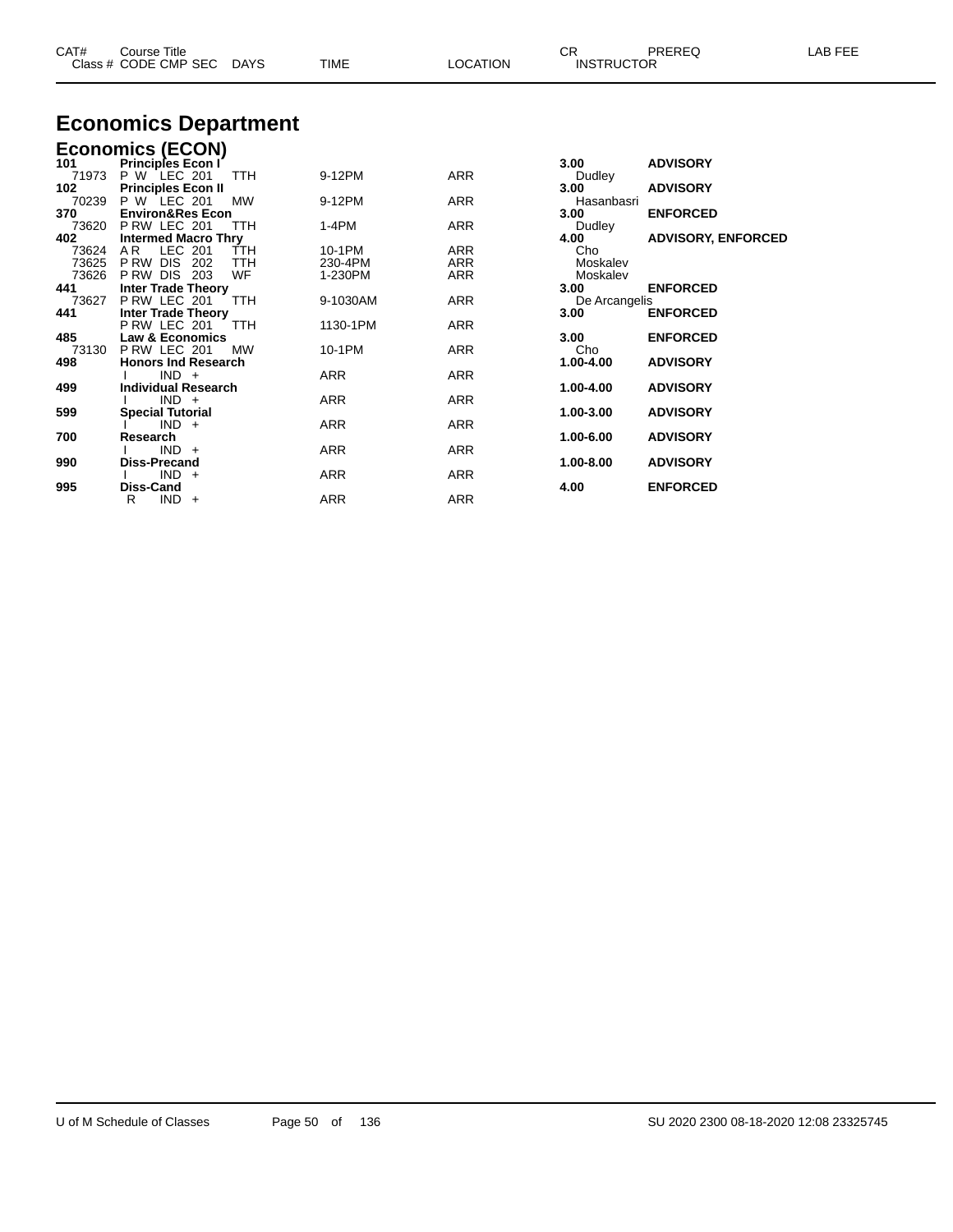| CAT#           | Course Title<br>Class # CODE CMP SEC | DAYS       | TIME              | <b>LOCATION</b> | CR.<br><b>INSTRUCTOR</b> | PREREQ                    | LAB FEE |
|----------------|--------------------------------------|------------|-------------------|-----------------|--------------------------|---------------------------|---------|
|                | <b>Economics Department</b>          |            |                   |                 |                          |                           |         |
|                | <b>Economics (ECON)</b>              |            |                   |                 |                          |                           |         |
| 101            | <b>Principles Econ I</b>             |            |                   |                 | 3.00                     | <b>ADVISORY</b>           |         |
| 71973          | P W LEC 201                          | TTH        | 9-12PM            | ARR             | Dudley                   |                           |         |
| 102            | <b>Principles Econ II</b>            |            |                   |                 | 3.00                     | <b>ADVISORY</b>           |         |
| 70239          | P W LEC 201                          | MW         | 9-12PM            | ARR             | Hasanbasri               |                           |         |
| 370            | <b>Environ&amp;Res Econ</b>          |            |                   |                 | 3.00                     | <b>ENFORCED</b>           |         |
| 73620          | PRW LEC 201                          | <b>TTH</b> | 1-4PM             | ARR             | Dudley                   |                           |         |
| 402            | <b>Intermed Macro Thry</b>           |            |                   |                 | 4.00                     | <b>ADVISORY, ENFORCED</b> |         |
| 73624<br>73625 | LEC 201<br>AR.<br>P RW<br>DIS.       | TTH        | 10-1PM<br>230-4PM | ARR<br>ARR      | Cho<br>Moskalev          |                           |         |
| 73626          | 202<br>PRW DIS 203                   | TTH<br>WF  | 1-230PM           | ARR             | Moskalev                 |                           |         |
| 441            | <b>Inter Trade Theory</b>            |            |                   |                 | 3.00                     | <b>ENFORCED</b>           |         |
| 73627          | PRW LEC 201                          | <b>TTH</b> | 9-1030AM          | ARR             | De Arcangelis            |                           |         |
| 441            | <b>Inter Trade Theory</b>            |            |                   |                 | 3.00                     | <b>ENFORCED</b>           |         |
|                | PRW LEC 201                          | TTH        | 1130-1PM          | ARR             |                          |                           |         |
| 485            | <b>Law &amp; Economics</b>           |            |                   |                 | 3.00                     | <b>ENFORCED</b>           |         |
| 73130          | PRW LEC 201                          | МW         | 10-1PM            | ARR             | Cho                      |                           |         |
| 498            | <b>Honors Ind Research</b>           |            |                   |                 | 1.00-4.00                | <b>ADVISORY</b>           |         |
|                | $IND +$                              |            | ARR               | ARR             |                          |                           |         |
| 499            | <b>Individual Research</b>           |            |                   |                 | 1.00-4.00                | <b>ADVISORY</b>           |         |
|                | $IND +$                              |            | ARR               | ARR             |                          |                           |         |
| 599            | <b>Special Tutorial</b>              |            |                   |                 | 1.00-3.00                | <b>ADVISORY</b>           |         |
|                | $IND +$                              |            | ARR               | ARR             |                          |                           |         |

**Research 1.00-6.00 ADVISORY**

**Diss-Precand 1.00-8.00 ADVISORY**

**Diss-Cand 4.00 ENFORCED**

I IND + ARR ARR ARR

I IND + ARR ARR ARR

R IND + ARR ARR ARR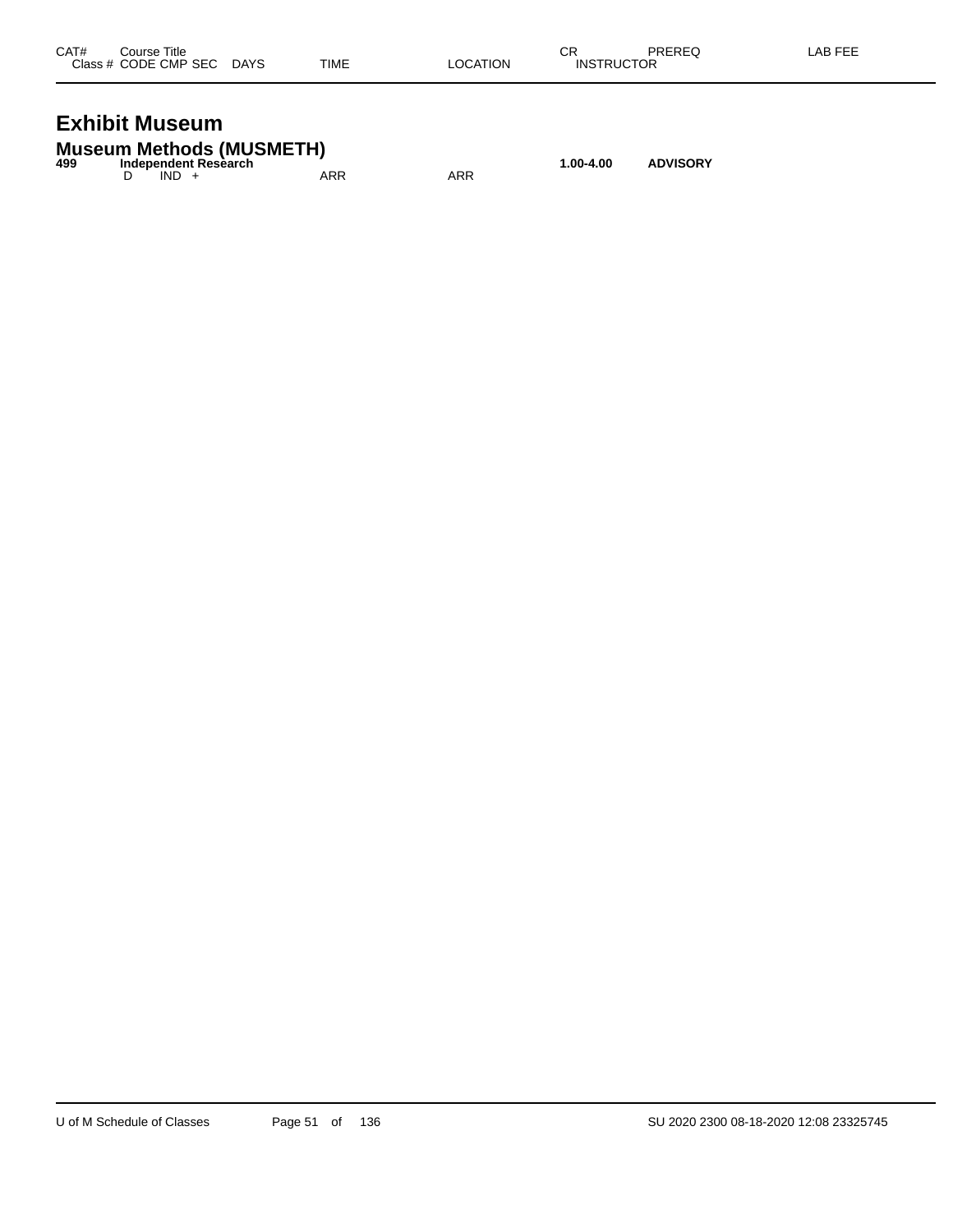| CAT# | Course Title              |      |          | СR                | PREREQ | LAB FEE |
|------|---------------------------|------|----------|-------------------|--------|---------|
|      | Class # CODE CMP SEC DAYS | TIME | LOCATION | <b>INSTRUCTOR</b> |        |         |
|      |                           |      |          |                   |        |         |

#### **Exhibit Museum**

|     | <b>Museum Methods (MUSMETH)</b> |     |     |           |                 |
|-----|---------------------------------|-----|-----|-----------|-----------------|
| 499 | Independent Research            |     |     | 1.00-4.00 | <b>ADVISORY</b> |
|     | $IND +$                         | ARR | ARR |           |                 |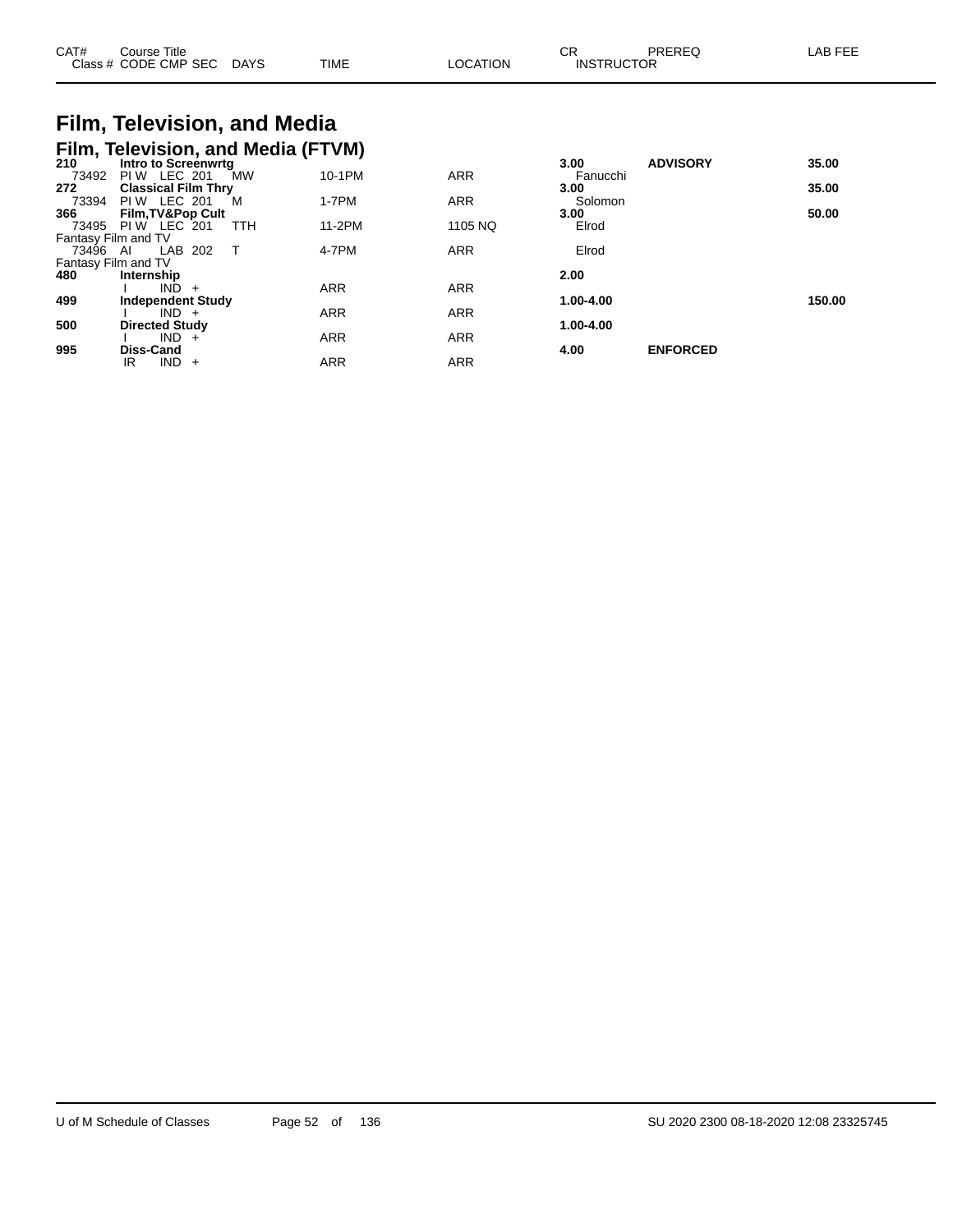| CAT#     | Course Title<br>Class # CODE CMP SEC DAYS |           | <b>TIME</b> | <b>LOCATION</b> | СR<br><b>PREREQ</b><br><b>INSTRUCTOR</b> | LAB FEE |
|----------|-------------------------------------------|-----------|-------------|-----------------|------------------------------------------|---------|
|          | Film, Television, and Media               |           |             |                 |                                          |         |
|          | Film, Television, and Media (FTVM)        |           |             |                 |                                          |         |
| 210      | Intro to Screenwrtg                       |           |             |                 | <b>ADVISORY</b><br>3.00                  | 35.00   |
| 73492    | <b>PIW LEC 201</b>                        | <b>MW</b> | 10-1PM      | <b>ARR</b>      | Fanucchi                                 |         |
| 272      | <b>Classical Film Thry</b>                |           |             |                 | 3.00                                     | 35.00   |
| 73394    | <b>PIW LEC 201</b>                        | M         | 1-7PM       | <b>ARR</b>      | Solomon                                  |         |
| 366      | <b>Film, TV&amp;Pop Cult</b>              |           |             |                 | 3.00                                     | 50.00   |
| 73495    | <b>PIW LEC 201</b>                        | TTH       | 11-2PM      | 1105 NQ         | Elrod                                    |         |
|          | Fantasy Film and TV                       |           |             |                 |                                          |         |
| 73496 AI | LAB 202                                   | $\top$    | 4-7PM       | <b>ARR</b>      | Elrod                                    |         |
|          | Fantasy Film and TV                       |           |             |                 |                                          |         |
| 480      | Internship                                |           |             |                 | 2.00                                     |         |
|          | IND.<br>$+$                               |           | <b>ARR</b>  | <b>ARR</b>      |                                          |         |
| 499      | <b>Independent Study</b>                  |           |             |                 | 1.00-4.00                                | 150.00  |

I IND + ARR ARR ARR

I IND + ARR ARR ARR

IR IND + ARR ARR ARR

**500 Directed Study 1.00-4.00**

**995 Diss-Cand 4.00 ENFORCED**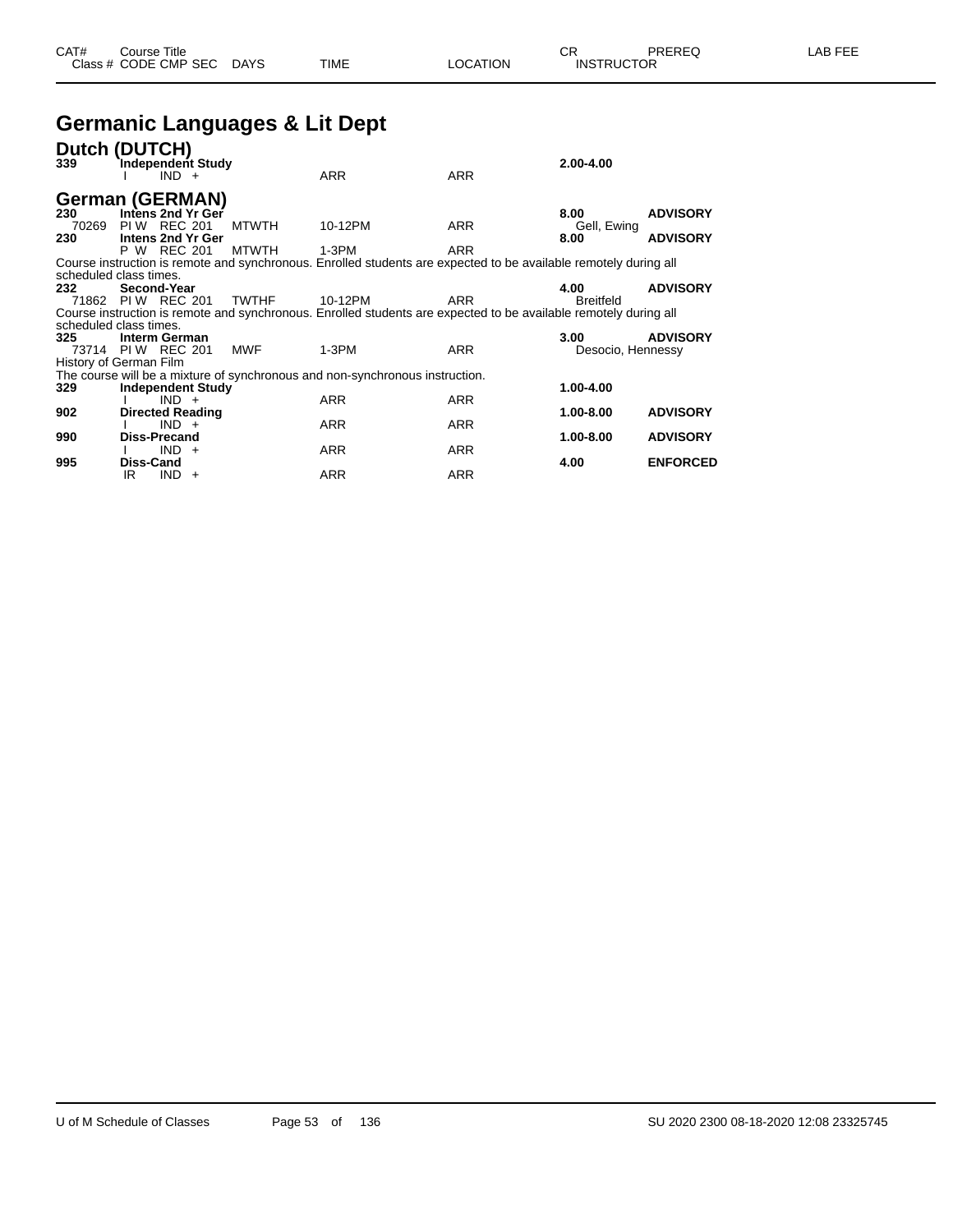#### **Germanic Languages & Lit Dept**

| Dutch (DUTCH)<br>339                                                                                                                       | Independent Study        | $IND +$ |  |              | <b>ARR</b>                                                                   | <b>ARR</b> | $2.00 - 4.00$     |                 |
|--------------------------------------------------------------------------------------------------------------------------------------------|--------------------------|---------|--|--------------|------------------------------------------------------------------------------|------------|-------------------|-----------------|
| German (GERMAN)<br>230                                                                                                                     | Intens 2nd Yr Ger        |         |  |              |                                                                              |            | 8.00              | <b>ADVISORY</b> |
| 70269                                                                                                                                      | PIW REC 201              |         |  | <b>MTWTH</b> | 10-12PM                                                                      | <b>ARR</b> | Gell, Ewing       |                 |
| 230                                                                                                                                        | Intens 2nd Yr Ger        |         |  |              |                                                                              |            | 8.00              | <b>ADVISORY</b> |
|                                                                                                                                            | P W REC 201              |         |  | <b>MTWTH</b> | $1-3PM$                                                                      | <b>ARR</b> |                   |                 |
| Course instruction is remote and synchronous. Enrolled students are expected to be available remotely during all<br>scheduled class times. |                          |         |  |              |                                                                              |            |                   |                 |
| 232                                                                                                                                        | Second-Year              |         |  |              |                                                                              |            | 4.00              | <b>ADVISORY</b> |
| 71862 PIW REC 201                                                                                                                          |                          |         |  | <b>TWTHF</b> | 10-12PM                                                                      | <b>ARR</b> | <b>Breitfeld</b>  |                 |
| Course instruction is remote and synchronous. Enrolled students are expected to be available remotely during all<br>scheduled class times. |                          |         |  |              |                                                                              |            |                   |                 |
| 325                                                                                                                                        | Interm German            |         |  |              |                                                                              |            | 3.00              | <b>ADVISORY</b> |
| 73714 PIW REC 201                                                                                                                          |                          |         |  | <b>MWF</b>   | $1-3PM$                                                                      | <b>ARR</b> | Desocio, Hennessy |                 |
| History of German Film                                                                                                                     |                          |         |  |              |                                                                              |            |                   |                 |
|                                                                                                                                            |                          |         |  |              | The course will be a mixture of synchronous and non-synchronous instruction. |            |                   |                 |
| 329                                                                                                                                        | <b>Independent Study</b> | $IND +$ |  |              | <b>ARR</b>                                                                   | <b>ARR</b> | 1.00-4.00         |                 |
| 902                                                                                                                                        | <b>Directed Reading</b>  |         |  |              |                                                                              |            | 1.00-8.00         | <b>ADVISORY</b> |
|                                                                                                                                            |                          | $IND +$ |  |              | <b>ARR</b>                                                                   | <b>ARR</b> |                   |                 |
| 990                                                                                                                                        | <b>Diss-Precand</b>      |         |  |              |                                                                              |            | 1.00-8.00         | <b>ADVISORY</b> |
| 995                                                                                                                                        | <b>Diss-Cand</b>         | $IND +$ |  |              | <b>ARR</b>                                                                   | <b>ARR</b> | 4.00              | <b>ENFORCED</b> |
|                                                                                                                                            | IR                       | $IND +$ |  |              | <b>ARR</b>                                                                   | <b>ARR</b> |                   |                 |
|                                                                                                                                            |                          |         |  |              |                                                                              |            |                   |                 |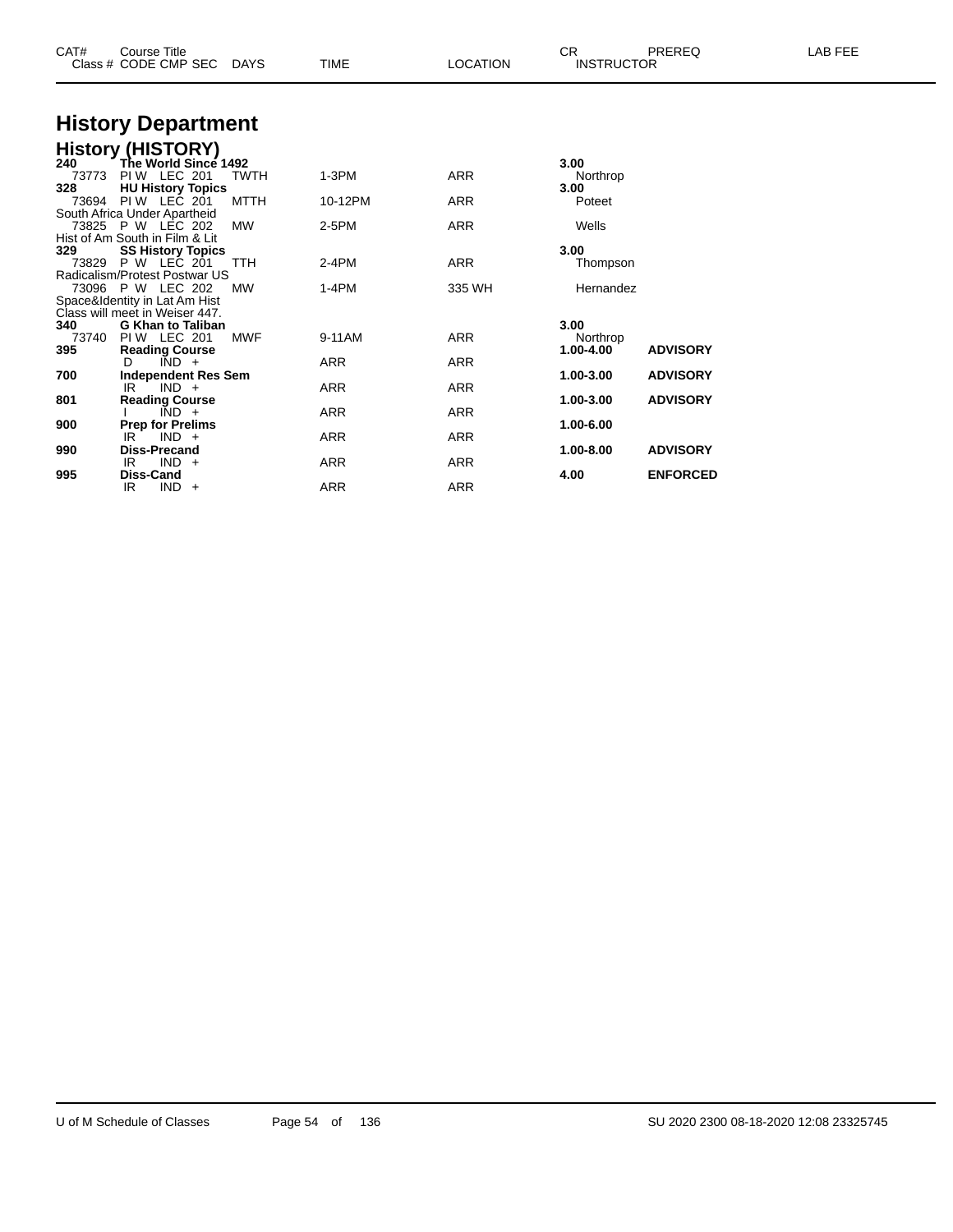| CAT#         | <b>Course Title</b><br>Class # CODE CMP SEC    | DAYS        | <b>TIME</b> | <b>LOCATION</b> | CR.<br><b>INSTRUCTOR</b> | PREREQ          | LAB FEE |
|--------------|------------------------------------------------|-------------|-------------|-----------------|--------------------------|-----------------|---------|
|              | <b>History Department</b>                      |             |             |                 |                          |                 |         |
|              | <b>History (HISTORY)</b>                       |             |             |                 |                          |                 |         |
| 240          | The World Since 1492                           |             |             |                 | 3.00                     |                 |         |
| 73773        | <b>PIW LEC 201</b>                             | <b>TWTH</b> | $1-3PM$     | <b>ARR</b>      | Northrop                 |                 |         |
| 328          | <b>HU History Topics</b><br>73694 PIW LEC 201  | <b>MTTH</b> | 10-12PM     | <b>ARR</b>      | 3.00<br>Poteet           |                 |         |
|              | South Africa Under Apartheid                   |             |             |                 |                          |                 |         |
|              | 73825 P W LEC 202                              | <b>MW</b>   | $2-5PM$     | <b>ARR</b>      | Wells                    |                 |         |
|              | Hist of Am South in Film & Lit                 |             |             |                 |                          |                 |         |
| 329<br>73829 | <b>SS History Topics</b><br><b>P W LEC 201</b> | TTH         | $2-4PM$     | <b>ARR</b>      | 3.00<br>Thompson         |                 |         |
|              | Radicalism/Protest Postwar US                  |             |             |                 |                          |                 |         |
|              | 73096 P W LEC 202                              | <b>MW</b>   | $1-4PM$     | 335 WH          | Hernandez                |                 |         |
|              | Space&Identity in Lat Am Hist                  |             |             |                 |                          |                 |         |
|              | Class will meet in Weiser 447.                 |             |             |                 |                          |                 |         |
| 340<br>73740 | <b>G Khan to Taliban</b><br><b>PIW LEC 201</b> | <b>MWF</b>  | 9-11AM      | <b>ARR</b>      | 3.00<br>Northrop         |                 |         |
| 395          | <b>Reading Course</b>                          |             |             |                 | 1.00-4.00                | <b>ADVISORY</b> |         |
|              | $\overline{IND}$ +<br>D                        |             | <b>ARR</b>  | <b>ARR</b>      |                          |                 |         |
| 700          | <b>Independent Res Sem</b>                     |             |             |                 | 1.00-3.00                | <b>ADVISORY</b> |         |
| 801          | $IND +$<br>IR.<br><b>Reading Course</b>        |             | <b>ARR</b>  | <b>ARR</b>      | 1.00-3.00                | <b>ADVISORY</b> |         |
|              | $\overline{IND}$ +                             |             | ARR         | <b>ARR</b>      |                          |                 |         |
| 900          | <b>Prep for Prelims</b>                        |             |             |                 | 1.00-6.00                |                 |         |
|              | $IND +$<br>IR                                  |             | <b>ARR</b>  | <b>ARR</b>      |                          |                 |         |
| 990          | <b>Diss-Precand</b>                            |             |             |                 | 1.00-8.00                | <b>ADVISORY</b> |         |
| 995          | $IND +$<br>IR<br>Diss-Cand                     |             | <b>ARR</b>  | <b>ARR</b>      | 4.00                     | <b>ENFORCED</b> |         |
|              | $IND +$<br>IR                                  |             | <b>ARR</b>  | <b>ARR</b>      |                          |                 |         |
|              |                                                |             |             |                 |                          |                 |         |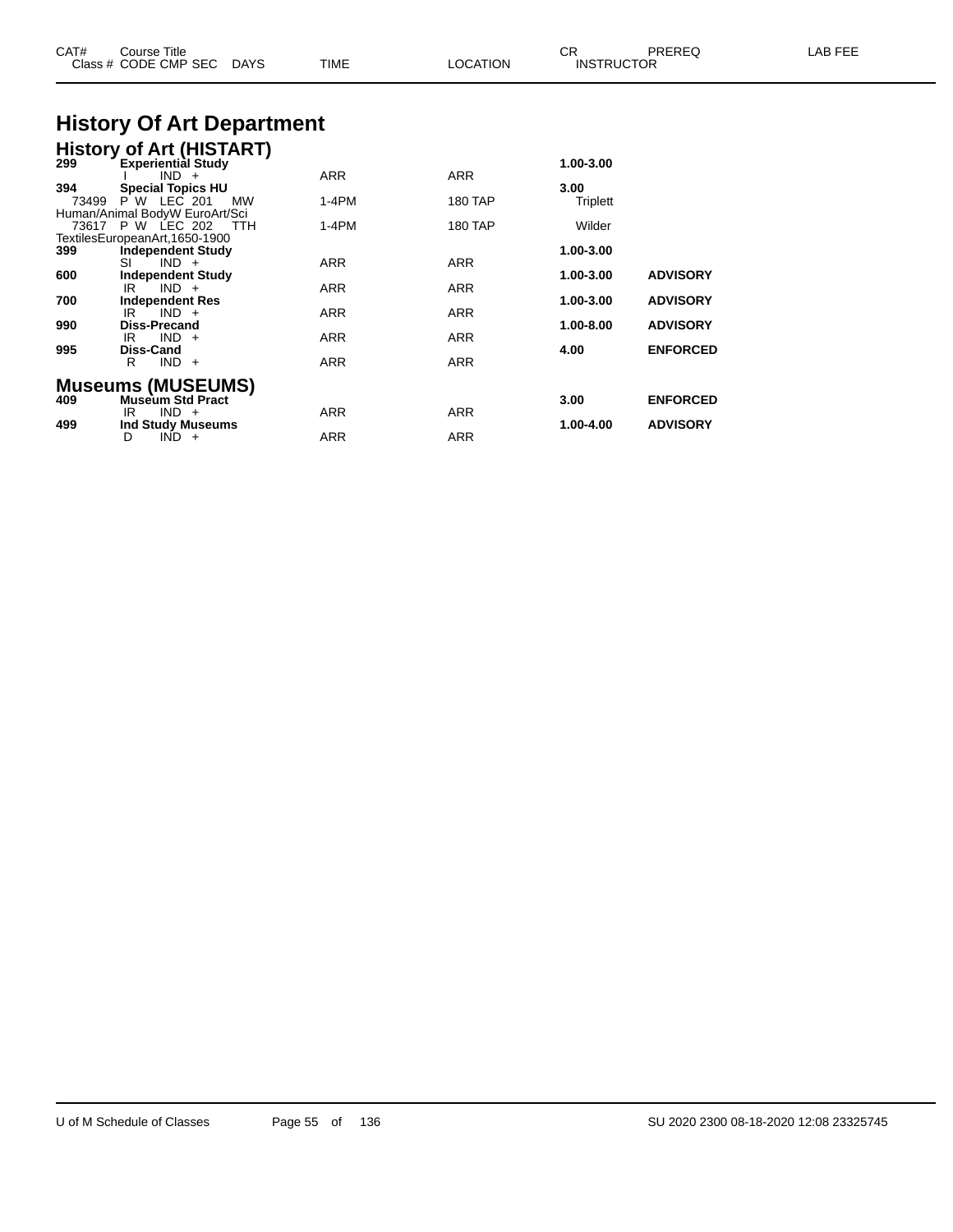| CAT#         | <b>Course Title</b><br>Class # CODE CMP SEC DAYS                                              | TIME                     | <b>LOCATION</b>   | CR.<br><b>INSTRUCTOR</b> | PREREQ                             | LAB FEE |
|--------------|-----------------------------------------------------------------------------------------------|--------------------------|-------------------|--------------------------|------------------------------------|---------|
|              | <b>History Of Art Department</b>                                                              |                          |                   |                          |                                    |         |
| 299          | <b>History of Art (HISTART)</b><br><b>Experiential Study</b><br>$IND +$                       | ARR                      | ARR               | 1.00-3.00                |                                    |         |
| 394<br>73499 | <b>Special Topics HU</b><br>P W LEC 201<br>МW<br>Human/Animal BodyW EuroArt/Sci               | 1-4PM                    | 180 TAP           | 3.00<br>Triplett         |                                    |         |
| 399          | 73617 P W LEC 202<br><b>TTH</b><br>TextilesEuropeanArt, 1650-1900<br><b>Independent Study</b> | 1-4PM                    | 180 TAP           | Wilder<br>1.00-3.00      |                                    |         |
| 600          | $IND +$<br>SI<br><b>Independent Study</b><br>$IND +$<br>IR                                    | ARR<br>ARR               | ARR<br>ARR        | 1.00-3.00                | <b>ADVISORY</b>                    |         |
| 700<br>990   | <b>Independent Res</b><br>$IND +$<br>IR<br><b>Diss-Precand</b>                                | ARR                      | ARR               | 1.00-3.00<br>1.00-8.00   | <b>ADVISORY</b><br><b>ADVISORY</b> |         |
| 995          | $IND +$<br>IR<br>Diss-Cand<br>$IND +$<br>R                                                    | ARR<br><b>ARR</b>        | ARR<br><b>ARR</b> | 4.00                     | <b>ENFORCED</b>                    |         |
| 409          | <b>Museums (MUSEUMS)</b><br><b>Museum Std Pract</b>                                           |                          |                   | 3.00                     | <b>ENFORCED</b>                    |         |
| 499          | $IND +$<br>IR<br><b>Ind Study Museums</b><br>D<br>$IND +$                                     | <b>ARR</b><br><b>ARR</b> | ARR<br><b>ARR</b> | 1.00-4.00                | <b>ADVISORY</b>                    |         |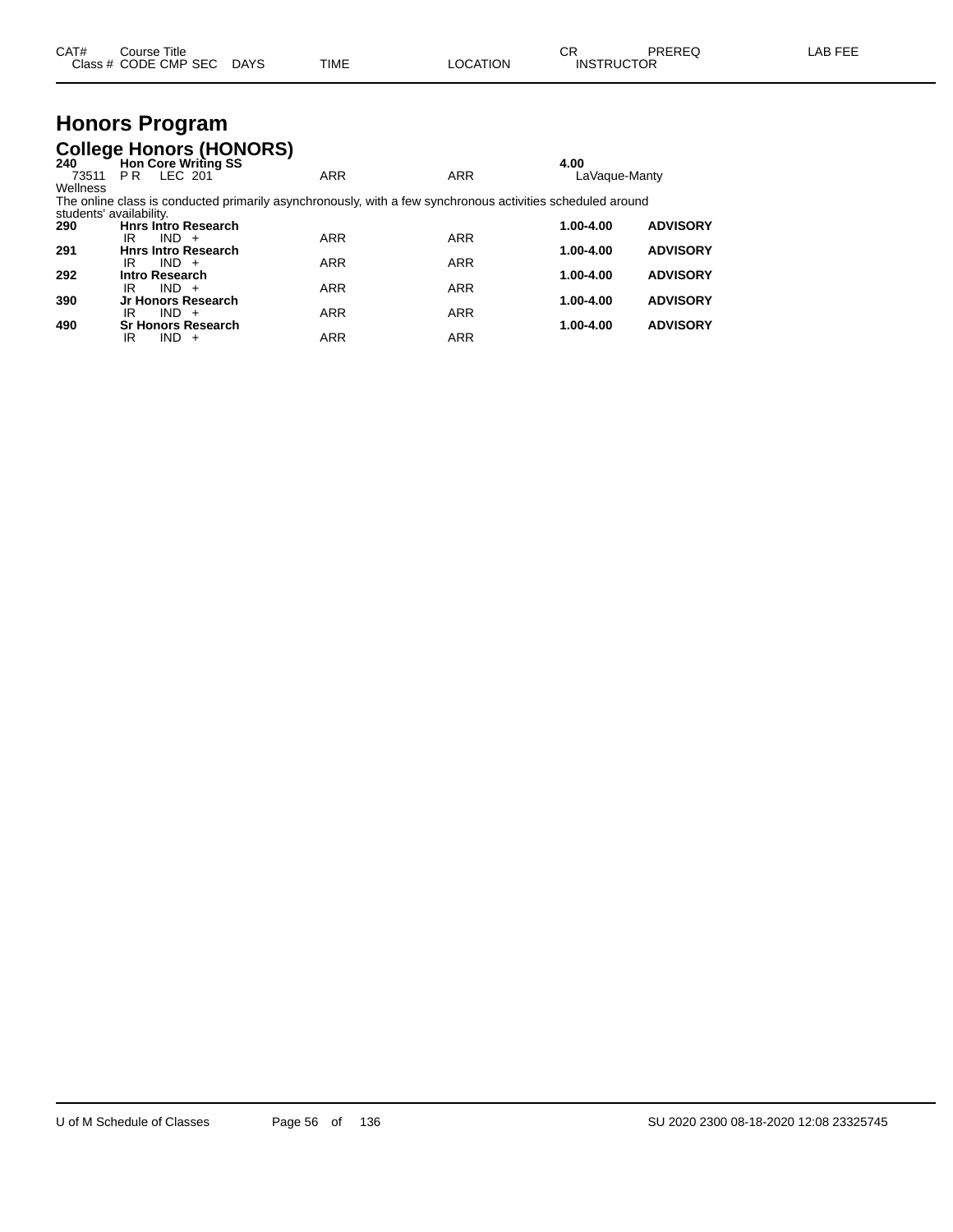|  | CAT# | ourse Titleٽ<br>Class # CODE CMP SEC | <b>DAYS</b> | TIME | LOCATION | ⌒冖<br>- UN<br><b>INSTRUCTOR</b> | PREREQ | AR FFF |
|--|------|--------------------------------------|-------------|------|----------|---------------------------------|--------|--------|
|--|------|--------------------------------------|-------------|------|----------|---------------------------------|--------|--------|

#### **Honors Program College Honors (HONORS)**

| -- 2<br>240 | Hon Core Writing SS                                                                                        |            |            | 4.00          |                 |
|-------------|------------------------------------------------------------------------------------------------------------|------------|------------|---------------|-----------------|
| 73511       | LEC 201<br>PR                                                                                              | <b>ARR</b> | <b>ARR</b> | LaVague-Manty |                 |
| Wellness    |                                                                                                            |            |            |               |                 |
|             | The online class is conducted primarily asynchronously, with a few synchronous activities scheduled around |            |            |               |                 |
|             | students' availability.                                                                                    |            |            |               |                 |
| 290         | <b>Hnrs Intro Research</b>                                                                                 |            |            | 1.00-4.00     | <b>ADVISORY</b> |
|             | IR<br>$IND +$                                                                                              | <b>ARR</b> | <b>ARR</b> |               |                 |
| 291         | <b>Hnrs Intro Research</b>                                                                                 |            |            | 1.00-4.00     | <b>ADVISORY</b> |
|             | $IND +$<br>IR                                                                                              | <b>ARR</b> | <b>ARR</b> |               |                 |
| 292         | Intro Research                                                                                             |            |            | 1.00-4.00     | <b>ADVISORY</b> |
|             | $IND +$<br>IR                                                                                              | <b>ARR</b> | <b>ARR</b> |               |                 |
| 390         | Jr Honors Research                                                                                         |            |            | 1.00-4.00     | <b>ADVISORY</b> |
|             | $IND +$<br>IR                                                                                              | <b>ARR</b> | <b>ARR</b> |               |                 |
| 490         | <b>Sr Honors Research</b>                                                                                  |            |            | 1.00-4.00     | <b>ADVISORY</b> |
|             | IR<br>$IND +$                                                                                              | <b>ARR</b> | <b>ARR</b> |               |                 |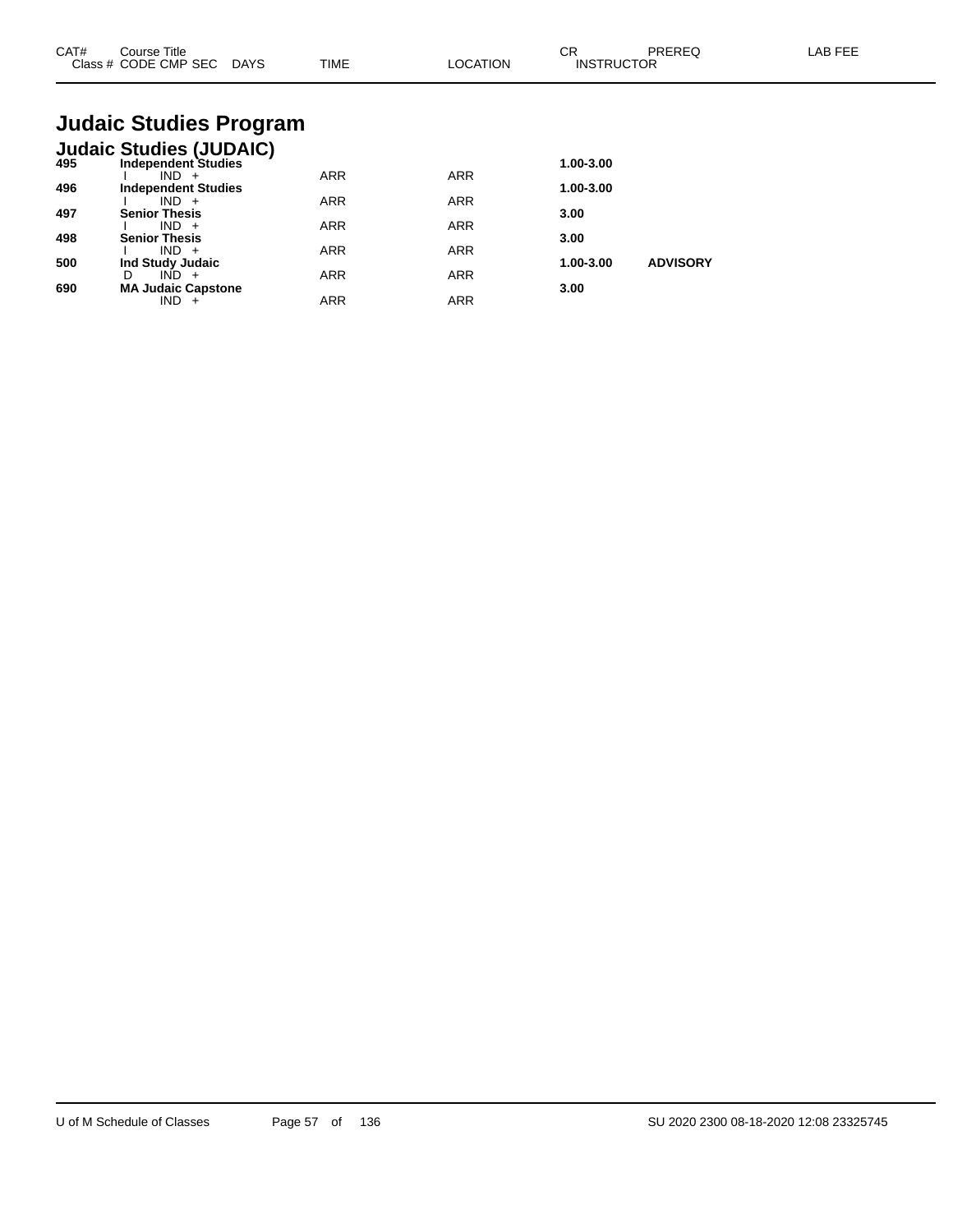| CAT# | Course Title<br>Class # CODE CMP SEC DAYS                               | <b>TIME</b> | <b>LOCATION</b> | CR<br><b>INSTRUCTOR</b> | <b>PREREQ</b>   | <b>LAB FEE</b> |
|------|-------------------------------------------------------------------------|-------------|-----------------|-------------------------|-----------------|----------------|
|      | <b>Judaic Studies Program</b>                                           |             |                 |                         |                 |                |
| 495  | <b>Judaic Studies (JUDAIC)</b><br><b>Independent Studies</b><br>$IND +$ | ARR         | <b>ARR</b>      | 1.00-3.00               |                 |                |
| 496  | <b>Independent Studies</b><br>$IND +$                                   | <b>ARR</b>  | <b>ARR</b>      | 1.00-3.00               |                 |                |
| 497  | <b>Senior Thesis</b><br>$IND +$                                         | <b>ARR</b>  | ARR             | 3.00                    |                 |                |
| 498  | <b>Senior Thesis</b><br>$IND +$                                         | <b>ARR</b>  | <b>ARR</b>      | 3.00                    |                 |                |
| 500  | Ind Study Judaic<br>$IND +$<br>D                                        | <b>ARR</b>  | <b>ARR</b>      | 1.00-3.00               | <b>ADVISORY</b> |                |
| 690  | <b>MA Judaic Capstone</b><br>$IND +$                                    | <b>ARR</b>  | <b>ARR</b>      | 3.00                    |                 |                |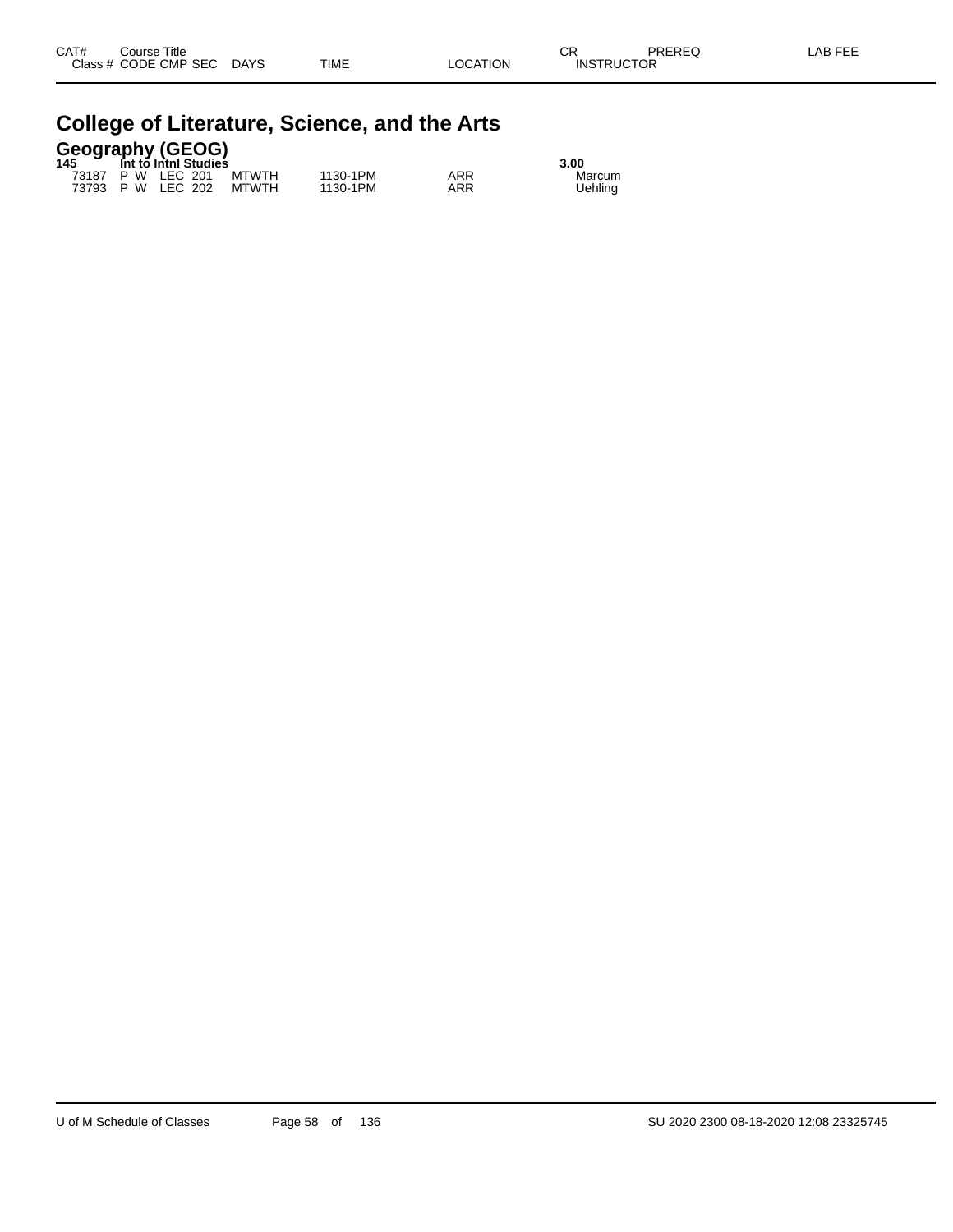| <b>College of Literature, Science, and the Arts</b> |  |  |
|-----------------------------------------------------|--|--|
|-----------------------------------------------------|--|--|

### **Geography (GEOG) 145 Int to Intnl Studies 3.00**

| . | THE LU THEIT OLUMNUS    |          | J.UU |         |
|---|-------------------------|----------|------|---------|
|   | 73187 P W LEC 201 MTWTH | 1130-1PM | ARR  | Marcum  |
|   | 73793 P W LEC 202 MTWTH | 1130-1PM | ARR  | Uehling |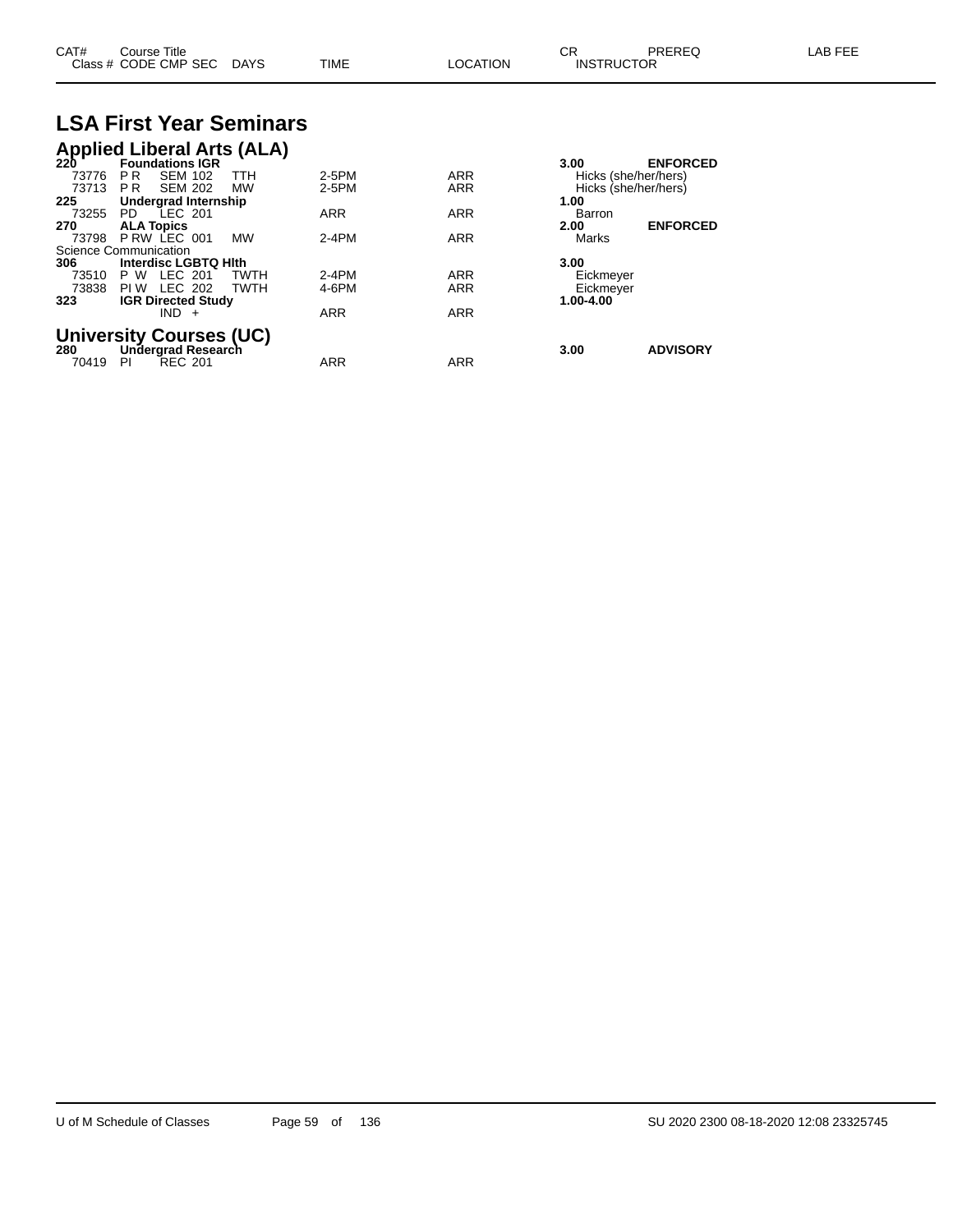| CAT#  | Course Title<br>Class # CODE CMP SEC DAYS                |             | <b>TIME</b> | <b>LOCATION</b> | CR.<br><b>INSTRUCTOR</b> | PREREQ               | LAB FEE |
|-------|----------------------------------------------------------|-------------|-------------|-----------------|--------------------------|----------------------|---------|
|       | <b>LSA First Year Seminars</b>                           |             |             |                 |                          |                      |         |
|       | <b>Applied Liberal Arts (ALA)</b><br>220 Foundations IGR |             |             |                 |                          |                      |         |
|       |                                                          |             |             |                 | 3.00                     | <b>ENFORCED</b>      |         |
| 73776 | <b>SEM 102</b><br>PR.                                    | TTH         | 2-5PM       | ARR             |                          | Hicks (she/her/hers) |         |
| 73713 | <b>SEM 202</b><br>PR                                     | <b>MW</b>   | 2-5PM       | ARR             |                          | Hicks (she/her/hers) |         |
| 225   | Undergrad Internship                                     |             |             |                 | 1.00                     |                      |         |
| 73255 | PD LEC 201                                               |             | ARR         | ARR             | Barron                   |                      |         |
| 270   | <b>ALA Topics</b>                                        |             |             |                 | 2.00                     | <b>ENFORCED</b>      |         |
| 73798 | PRW LEC 001                                              | <b>MW</b>   | $2-4PM$     | <b>ARR</b>      | Marks                    |                      |         |
|       | Science Communication                                    |             |             |                 |                          |                      |         |
| 306   | Interdisc LGBTQ Hith                                     |             |             |                 | 3.00                     |                      |         |
| 73510 | LEC 201<br>P W                                           | TWTH        | $2-4PM$     | <b>ARR</b>      | Eickmeyer                |                      |         |
| 73838 | <b>PIW LEC 202</b>                                       | <b>TWTH</b> | 4-6PM       | ARR             | Eickmeyer                |                      |         |
| 323   | <b>IGR Directed Study</b><br>$IND +$                     |             | <b>ARR</b>  | <b>ARR</b>      | 1.00-4.00                |                      |         |
|       |                                                          |             |             |                 |                          |                      |         |
|       | <b>University Courses (UC)</b>                           |             |             |                 |                          |                      |         |
| 280   | Undergrad Research                                       |             |             |                 | 3.00                     | <b>ADVISORY</b>      |         |
| 70419 | <b>REC 201</b><br><b>PI</b>                              |             | ARR         | ARR             |                          |                      |         |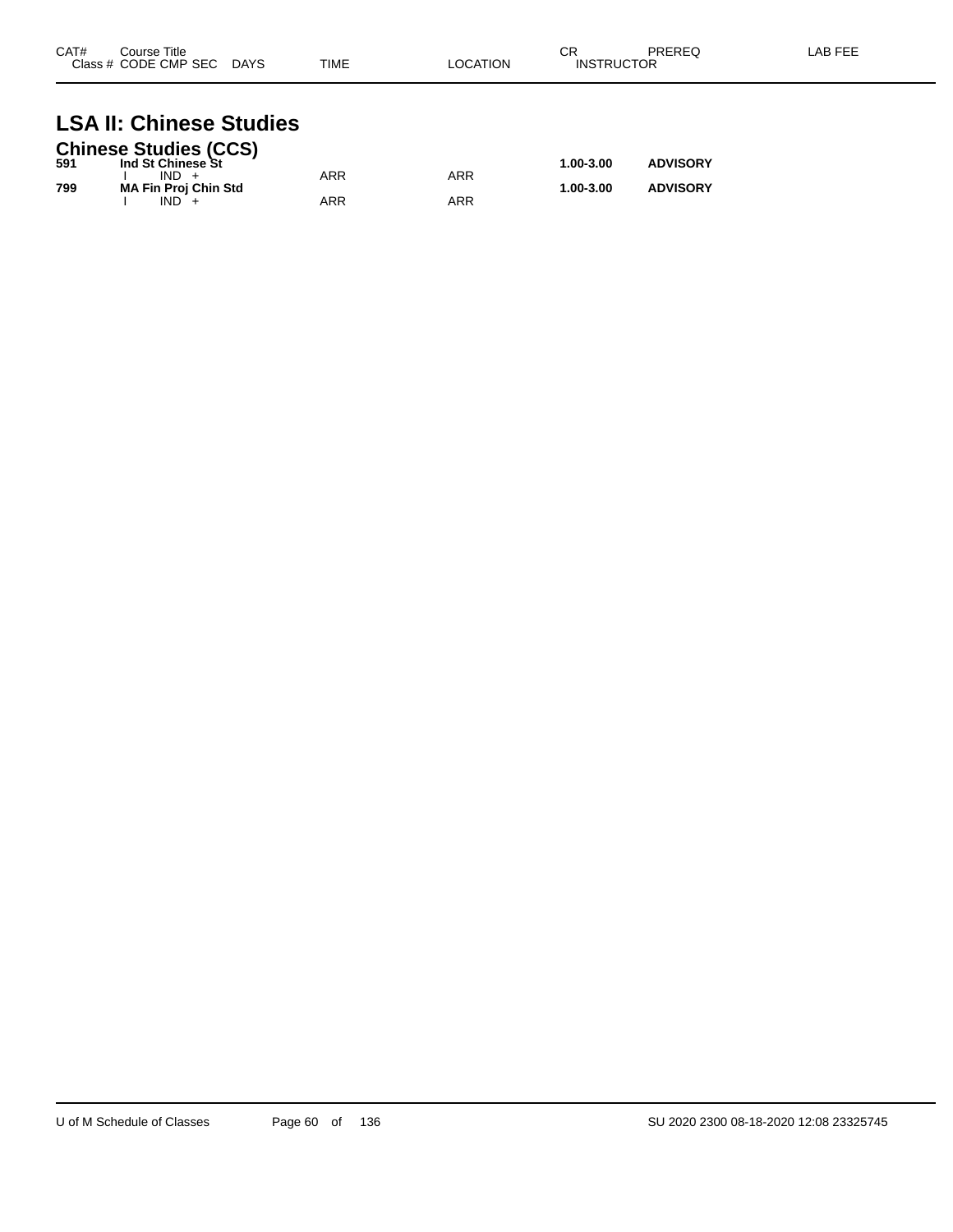| CAT# | Course Title<br>Class # CODE CMP SEC | <b>DAYS</b> | <b>TIME</b> | LOCATION | СR<br><b>INSTRUCTOR</b> | PREREQ | LAB FEE |
|------|--------------------------------------|-------------|-------------|----------|-------------------------|--------|---------|
|      |                                      |             |             |          |                         |        |         |

## **LSA II: Chinese Studies**

|     | <b>Chinese Studies (CCS)</b> |     |     |               |                 |
|-----|------------------------------|-----|-----|---------------|-----------------|
| 591 | Ind St Chinese St            |     |     | $1.00 - 3.00$ | <b>ADVISORY</b> |
|     | $IND +$                      | ARR | ARR |               |                 |
| 799 | <b>MA Fin Proj Chin Std</b>  |     |     | 1.00-3.00     | <b>ADVISORY</b> |
|     | $IND +$                      | ARR | ARR |               |                 |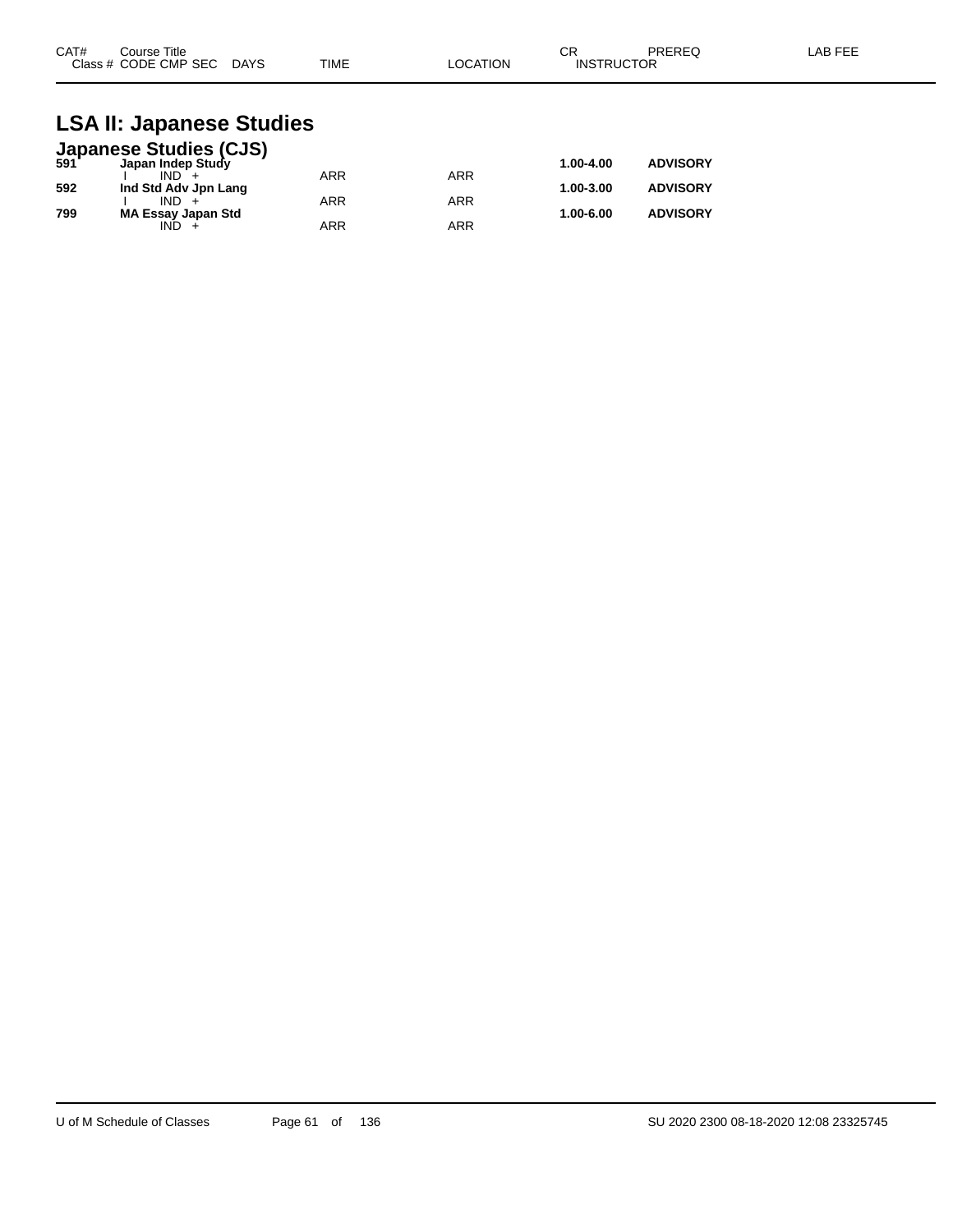| CAT#<br>Course Title      |             | ⌒冖<br>◡┍ |                   | PREREQ | LAB FEE |
|---------------------------|-------------|----------|-------------------|--------|---------|
| Class # CODE CMP SEC DAYS | <b>TIME</b> | LOCATION | <b>INSTRUCTOR</b> |        |         |

#### **LSA II: Japanese Studies**

|     | <b>Japanese Studies (CJS)</b><br>591 Japan Indep Study |            |            |           |                 |
|-----|--------------------------------------------------------|------------|------------|-----------|-----------------|
|     |                                                        |            |            | 1.00-4.00 | <b>ADVISORY</b> |
|     | $IND +$                                                | <b>ARR</b> | ARR        |           |                 |
| 592 | Ind Std Adv Jpn Lang                                   |            |            | 1.00-3.00 | <b>ADVISORY</b> |
|     | $IND +$                                                | <b>ARR</b> | <b>ARR</b> |           |                 |
| 799 | <b>MA Essay Japan Std</b>                              |            |            | 1.00-6.00 | <b>ADVISORY</b> |
|     | IND.                                                   | <b>ARR</b> | ARR        |           |                 |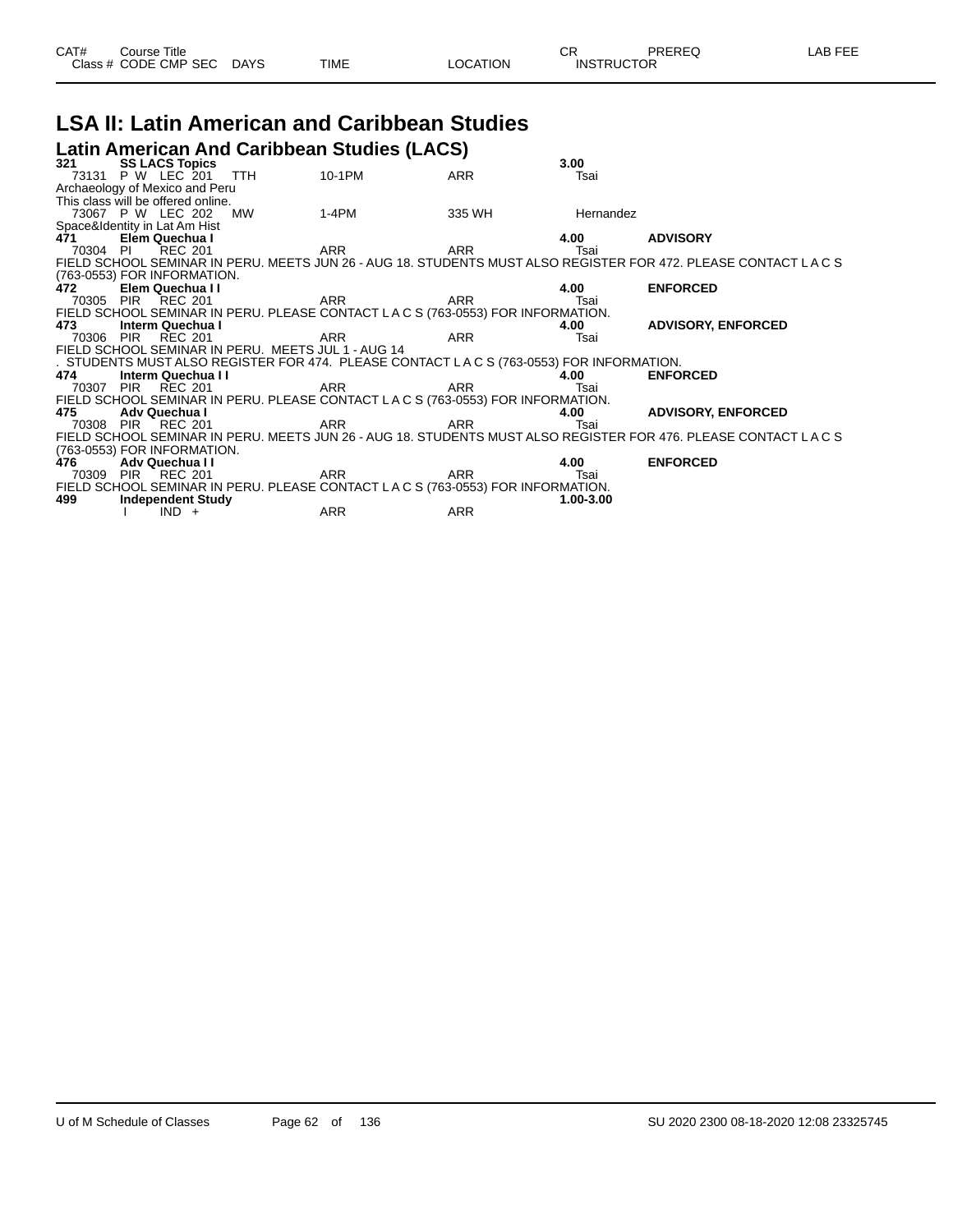|  | CAT# | Course Title<br>Class # CODE CMP SEC DAYS |  | TIME | LOCATION | ∩n<br><b>INSTRUCTOR</b> | PREREQ | LAB FEE |
|--|------|-------------------------------------------|--|------|----------|-------------------------|--------|---------|
|--|------|-------------------------------------------|--|------|----------|-------------------------|--------|---------|

#### **LSA II: Latin American and Caribbean Studies Latin American And Caribbean Studies (LACS)**

| 321      | <b>SS LACS Topics</b>                 |                                                    |                                                                                        |            | 3.00         |                                                                                                               |
|----------|---------------------------------------|----------------------------------------------------|----------------------------------------------------------------------------------------|------------|--------------|---------------------------------------------------------------------------------------------------------------|
|          | 73131 P W LEC 201                     | <b>TTH</b>                                         | 10-1PM                                                                                 | <b>ARR</b> | Tsai         |                                                                                                               |
|          | Archaeology of Mexico and Peru        |                                                    |                                                                                        |            |              |                                                                                                               |
|          | This class will be offered online.    |                                                    |                                                                                        |            |              |                                                                                                               |
|          | 73067 P W LEC 202                     | MW                                                 | $1-4PM$                                                                                | 335 WH     | Hernandez    |                                                                                                               |
|          | Space&Identity in Lat Am Hist         |                                                    |                                                                                        |            |              |                                                                                                               |
| 471      | Elem Quechua I                        |                                                    |                                                                                        |            | 4.00         | <b>ADVISORY</b>                                                                                               |
| 70304 PI | <b>REC 201</b>                        |                                                    | ARR                                                                                    | ARR        | Tsai         |                                                                                                               |
|          |                                       |                                                    |                                                                                        |            |              | FIELD SCHOOL SEMINAR IN PERU. MEETS JUN 26 - AUG 18. STUDENTS MUST ALSO REGISTER FOR 472. PLEASE CONTACT LACS |
|          | (763-0553) FOR INFORMATION.           |                                                    |                                                                                        |            |              |                                                                                                               |
| 472      | Elem Quechua I I                      |                                                    |                                                                                        |            | 4.00         | <b>ENFORCED</b>                                                                                               |
|          | 70305 PIR REC 201                     |                                                    | ARR <sub>2</sub><br>ARR                                                                |            | Tsai         |                                                                                                               |
|          |                                       |                                                    | FIELD SCHOOL SEMINAR IN PERU. PLEASE CONTACT LACS (763-0553) FOR INFORMATION.          |            |              |                                                                                                               |
| 473      | Interm Quechua I<br>70306 PIR REC 201 |                                                    |                                                                                        | ARR        | 4.00<br>Tsai | <b>ADVISORY, ENFORCED</b>                                                                                     |
|          |                                       | FIELD SCHOOL SEMINAR IN PERU. MEETS JUL 1 - AUG 14 | ARR                                                                                    |            |              |                                                                                                               |
|          |                                       |                                                    | . STUDENTS MUST ALSO REGISTER FOR 474. PLEASE CONTACT LACS (763-0553) FOR INFORMATION. |            |              |                                                                                                               |
| 474      | Interm Quechua I I                    |                                                    |                                                                                        |            | 4.00         | <b>ENFORCED</b>                                                                                               |
|          | 70307 PIR REC 201                     |                                                    | ARR                                                                                    | ARR        | Tsai         |                                                                                                               |
|          |                                       |                                                    | FIELD SCHOOL SEMINAR IN PERU. PLEASE CONTACT LACS (763-0553) FOR INFORMATION.          |            |              |                                                                                                               |
| 475      | Adv Quechua I                         |                                                    |                                                                                        |            | 4.00         | <b>ADVISORY, ENFORCED</b>                                                                                     |
|          | 70308 PIR REC 201                     |                                                    | ARR                                                                                    | ARR        | Tsai         |                                                                                                               |
|          |                                       |                                                    |                                                                                        |            |              | FIELD SCHOOL SEMINAR IN PERU. MEETS JUN 26 - AUG 18. STUDENTS MUST ALSO REGISTER FOR 476. PLEASE CONTACT LACS |
|          | (763-0553) FOR INFORMATION.           |                                                    |                                                                                        |            |              |                                                                                                               |
| 476      | Adv Quechua II                        |                                                    |                                                                                        |            | 4.00         | <b>ENFORCED</b>                                                                                               |
|          | 70309 PIR REC 201                     |                                                    | ARR                                                                                    | ARR        | Tsai         |                                                                                                               |
|          |                                       |                                                    | FIELD SCHOOL SEMINAR IN PERU. PLEASE CONTACT LACS (763-0553) FOR INFORMATION.          |            |              |                                                                                                               |
| 499      | <b>Independent Study</b>              |                                                    |                                                                                        |            | 1.00-3.00    |                                                                                                               |
|          | $IND +$                               |                                                    | <b>ARR</b>                                                                             | ARR        |              |                                                                                                               |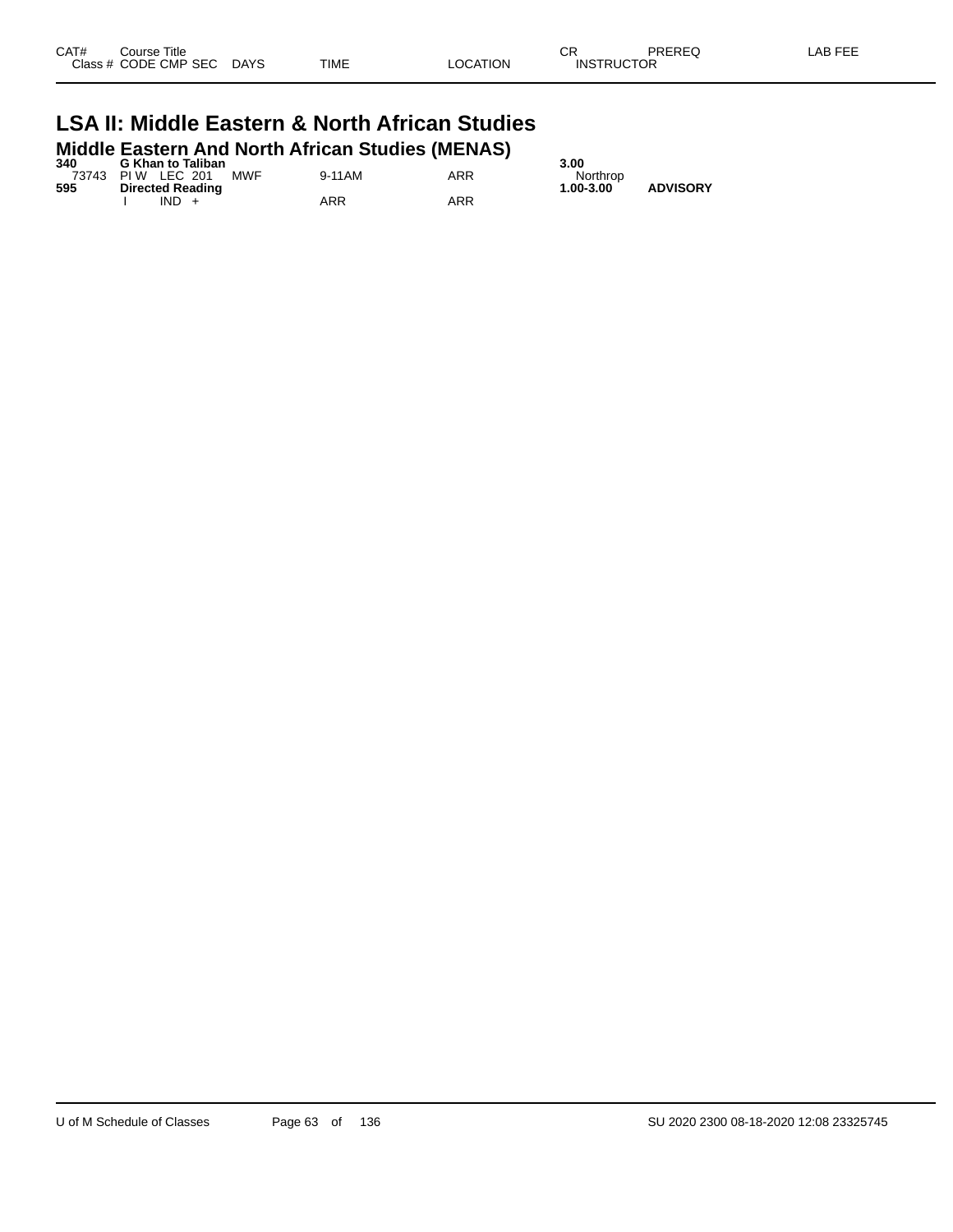#### **LSA II: Middle Eastern & North African Studies Middle Eastern And North African Studies (MENAS)**

| 340 | <b>G Khan to Taliban</b>        |        |     | 3.00                         |
|-----|---------------------------------|--------|-----|------------------------------|
|     | <b>MWF</b><br>73743 PIW LEC 201 | 9-11AM | ARR | Northrop                     |
| 595 | <b>Directed Reading</b>         |        |     | <b>ADVISORY</b><br>1.00-3.00 |
|     | IND.                            | ARR    | ARR |                              |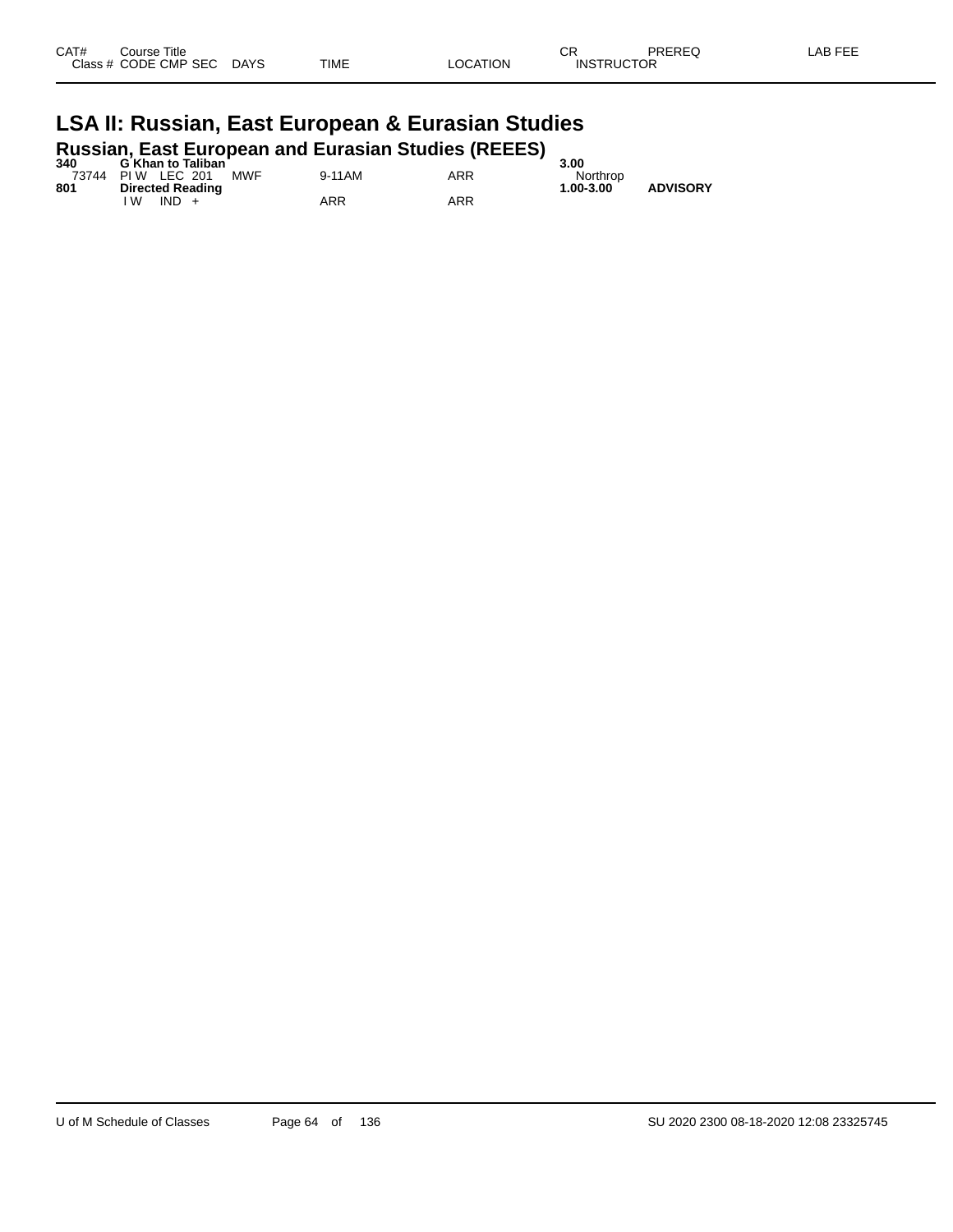| CAT# | Course Title         |             |             |          | СR                | PREREQ | AB FEE<br>-- |
|------|----------------------|-------------|-------------|----------|-------------------|--------|--------------|
|      | Class # CODE CMP SEC | <b>DAYS</b> | <b>TIME</b> | LOCATION | <b>INSTRUCTOR</b> |        |              |
|      |                      |             |             |          |                   |        |              |

#### **LSA II: Russian, East European & Eurasian Studies Russian, East European and Eurasian Studies (REEES)**

| 340 | <b>G Khan to Taliban</b>        |        |     | 3.00      |                 |
|-----|---------------------------------|--------|-----|-----------|-----------------|
|     | <b>MWF</b><br>73744 PIW LEC 201 | 9-11AM | ARR | Northrop  |                 |
| 801 | <b>Directed Reading</b>         |        |     | 1.00-3.00 | <b>ADVISORY</b> |
|     | $IND +$<br>W                    | ARR    | ARR |           |                 |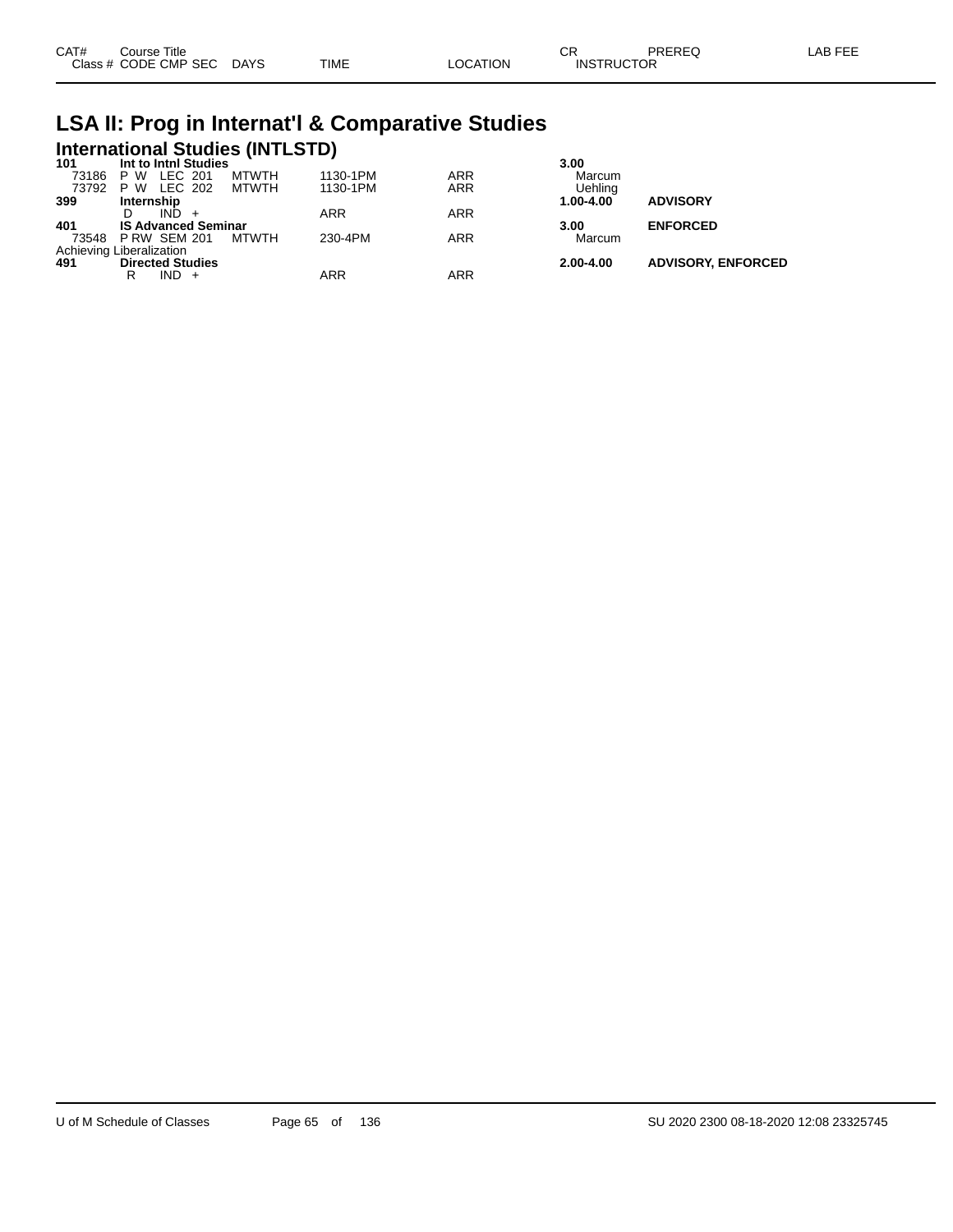## **LSA II: Prog in Internat'l & Comparative Studies International Studies (INTLSTD) 101 Int to Intnl Studies 3.00**

| 101   | int to inthi Studies       |              |            |            | 3.UU      |                           |
|-------|----------------------------|--------------|------------|------------|-----------|---------------------------|
| 73186 | LEC 201<br>P W             | <b>MTWTH</b> | 1130-1PM   | <b>ARR</b> | Marcum    |                           |
| 73792 | LEC 202<br>P W             | MTWTH        | 1130-1PM   | <b>ARR</b> | Uehling   |                           |
| 399   | Internship                 |              |            |            | 1.00-4.00 | <b>ADVISORY</b>           |
|       | IND.                       |              | <b>ARR</b> | <b>ARR</b> |           |                           |
| 401   | <b>IS Advanced Seminar</b> |              |            |            | 3.00      | <b>ENFORCED</b>           |
|       | 73548 P RW SEM 201         | MTWTH        | 230-4PM    | ARR        | Marcum    |                           |
|       | Achieving Liberalization   |              |            |            |           |                           |
| 491   | <b>Directed Studies</b>    |              |            |            | 2.00-4.00 | <b>ADVISORY, ENFORCED</b> |
|       | $IND +$<br>R               |              | ARR        | ARR        |           |                           |
|       |                            |              |            |            |           |                           |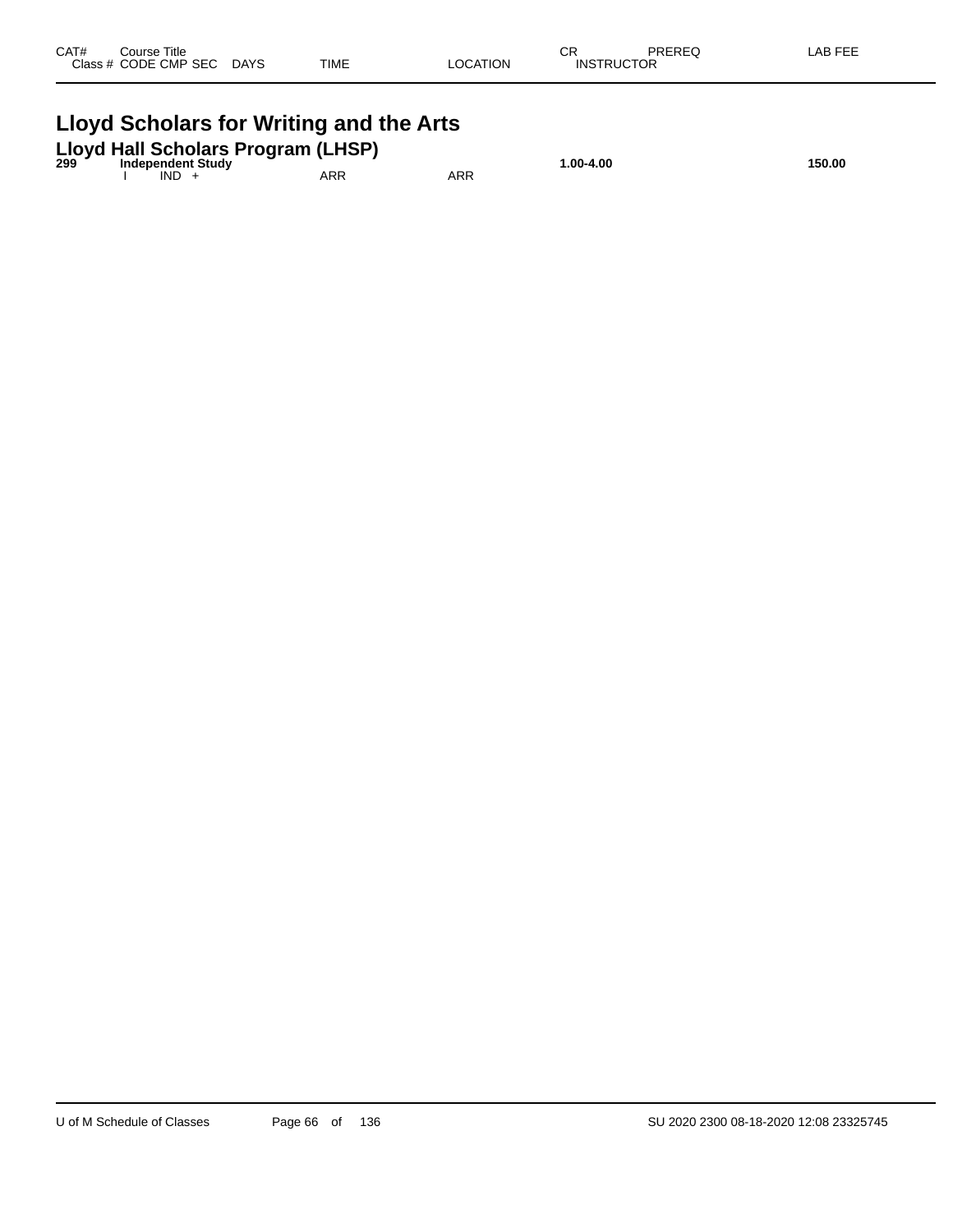| CAT# | Course Title<br>Class # CODE CMP SEC | <b>DAYS</b> | <b>TIME</b> | LOCATION | СR<br><b>INSTRUCTOR</b> | PREREQ | LAB FEE |
|------|--------------------------------------|-------------|-------------|----------|-------------------------|--------|---------|
|      |                                      |             |             |          |                         |        |         |

#### **Lloyd Scholars for Writing and the Arts**

| 299 | Lloyd Hall Scholars Program (LHSP)<br><b>Independent Study</b> |     |     | 00-4.00. ا | 150.00 |
|-----|----------------------------------------------------------------|-----|-----|------------|--------|
|     | IND.                                                           | ARR | ARR |            |        |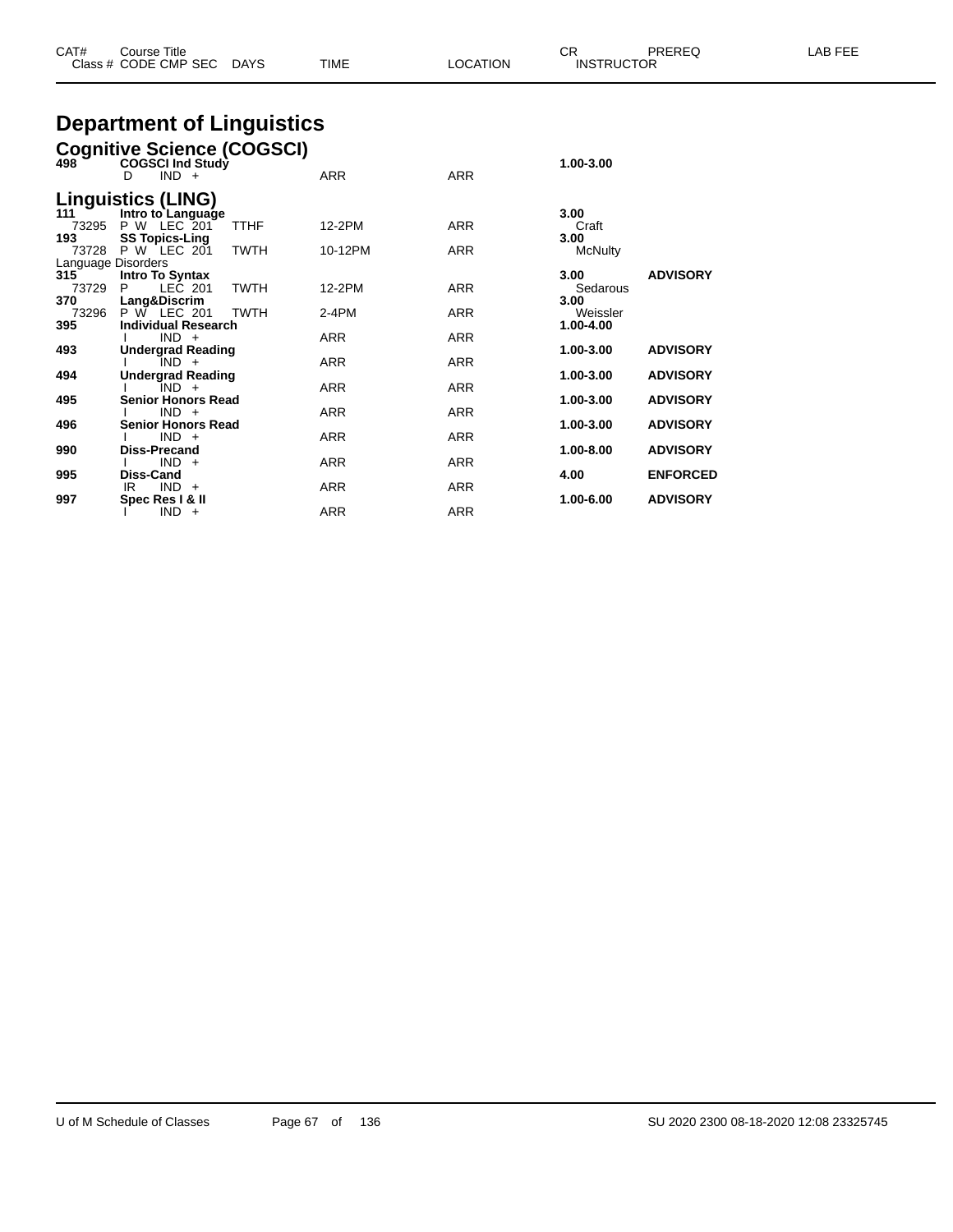| CAT#<br>Course Title<br>Class # CODE CMP SEC DAYS         | TIME | <b>LOCATION</b> | CR<br>PRERFO<br><b>INSTRUCTOR</b> | LAB FEE |
|-----------------------------------------------------------|------|-----------------|-----------------------------------|---------|
| <b>Department of Linguistics</b>                          |      |                 |                                   |         |
| <b>Cognitive Science (COGSCI)</b><br>498 Cogsci Ind Study |      |                 | 1.00-3.00                         |         |

| $498$ <sup>3</sup>        | COGSCI Ind Study<br>$IND +$<br>D               |             | <b>ARR</b> | <b>ARR</b> | 1.00-3.00             |                 |
|---------------------------|------------------------------------------------|-------------|------------|------------|-----------------------|-----------------|
| 111                       | <b>Linguistics (LING)</b><br>Intro to Language |             |            |            | 3.00                  |                 |
| 73295<br>193              | P W LEC 201<br><b>SS Topics-Ling</b>           | <b>TTHF</b> | 12-2PM     | <b>ARR</b> | Craft<br>3.00         |                 |
|                           | 73728 P W LEC 201                              | <b>TWTH</b> | 10-12PM    | ARR        | <b>McNulty</b>        |                 |
| Language Disorders<br>315 | <b>Intro To Syntax</b>                         |             |            |            | 3.00                  | <b>ADVISORY</b> |
| 73729<br>370              | LEC 201<br>P<br>Lang&Discrim                   | <b>TWTH</b> | 12-2PM     | <b>ARR</b> | Sedarous<br>3.00      |                 |
| 73296<br>395              | P W LEC 201<br><b>Individual Research</b>      | <b>TWTH</b> | $2-4PM$    | ARR        | Weissler<br>1.00-4.00 |                 |
|                           | $IND +$                                        |             | <b>ARR</b> | <b>ARR</b> |                       |                 |
| 493                       | <b>Undergrad Reading</b><br>$IND +$            |             | <b>ARR</b> | <b>ARR</b> | 1.00-3.00             | <b>ADVISORY</b> |
| 494                       | <b>Undergrad Reading</b><br>IND +              |             | ARR        | <b>ARR</b> | 1.00-3.00             | <b>ADVISORY</b> |
| 495                       | <b>Senior Honors Read</b><br>$IND +$           |             | <b>ARR</b> | <b>ARR</b> | 1.00-3.00             | <b>ADVISORY</b> |
| 496                       | <b>Senior Honors Read</b><br>$IND +$           |             | <b>ARR</b> | <b>ARR</b> | 1.00-3.00             | <b>ADVISORY</b> |
| 990                       | <b>Diss-Precand</b>                            |             |            |            | 1.00-8.00             | <b>ADVISORY</b> |
| 995                       | $IND +$<br>Diss-Cand                           |             | ARR        | <b>ARR</b> | 4.00                  | <b>ENFORCED</b> |
| 997                       | $IND +$<br>IR.<br>Spec Res   & II              |             | <b>ARR</b> | <b>ARR</b> | 1.00-6.00             | <b>ADVISORY</b> |
|                           | $IND +$                                        |             | <b>ARR</b> | <b>ARR</b> |                       |                 |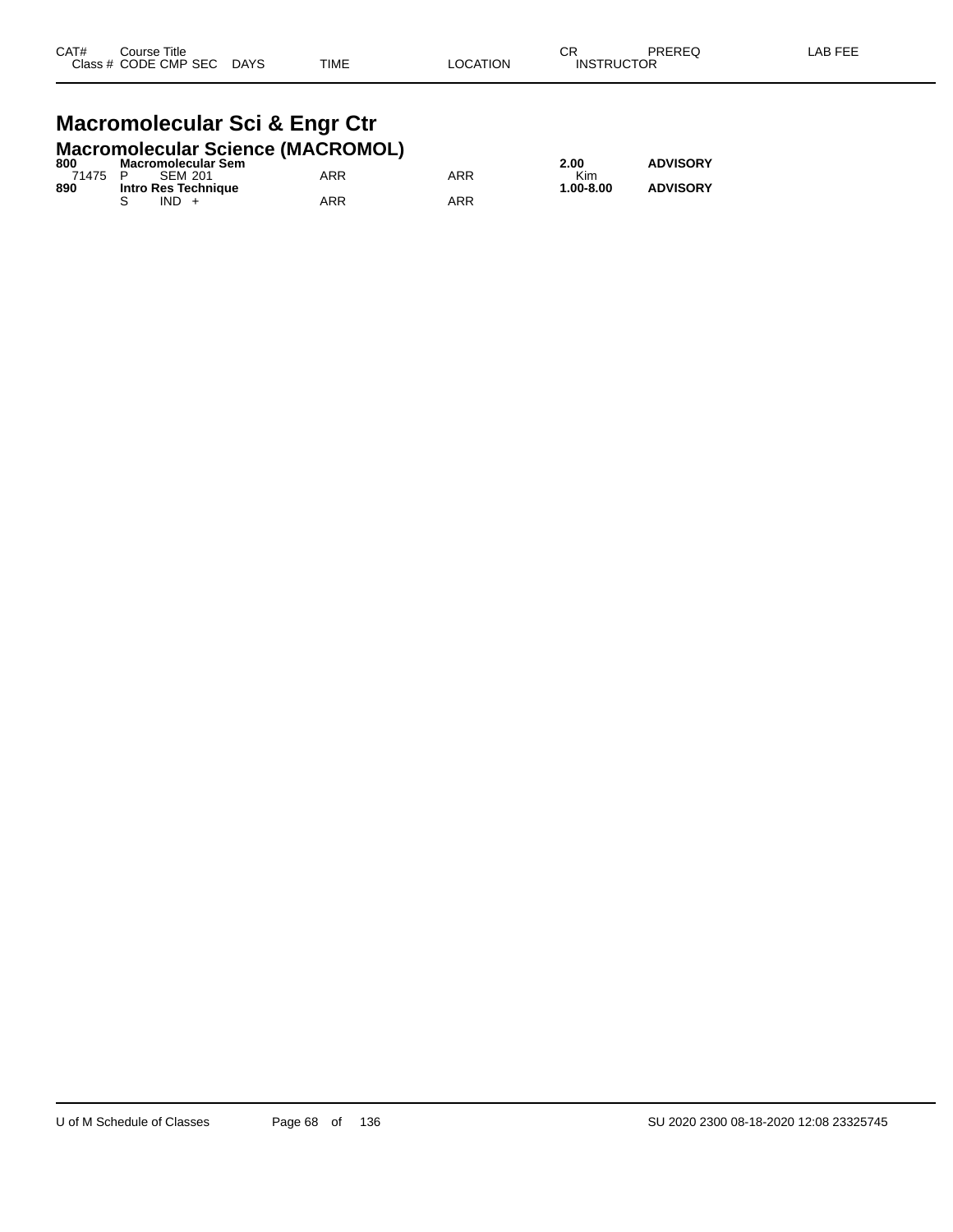#### **Macromolecular Sci & Engr Ctr Macromolecular Science (MACROMOL)**

| 800     | <b>Macromolecular Sem</b> |     |     | 2.00          | <b>ADVISORY</b> |
|---------|---------------------------|-----|-----|---------------|-----------------|
| 71475 P | SFM 201                   | ARR | ARR | <b>Kim</b>    |                 |
| 890     | Intro Res Technique       |     |     | $1.00 - 8.00$ | <b>ADVISORY</b> |
|         | $IND +$                   | ARR | ARR |               |                 |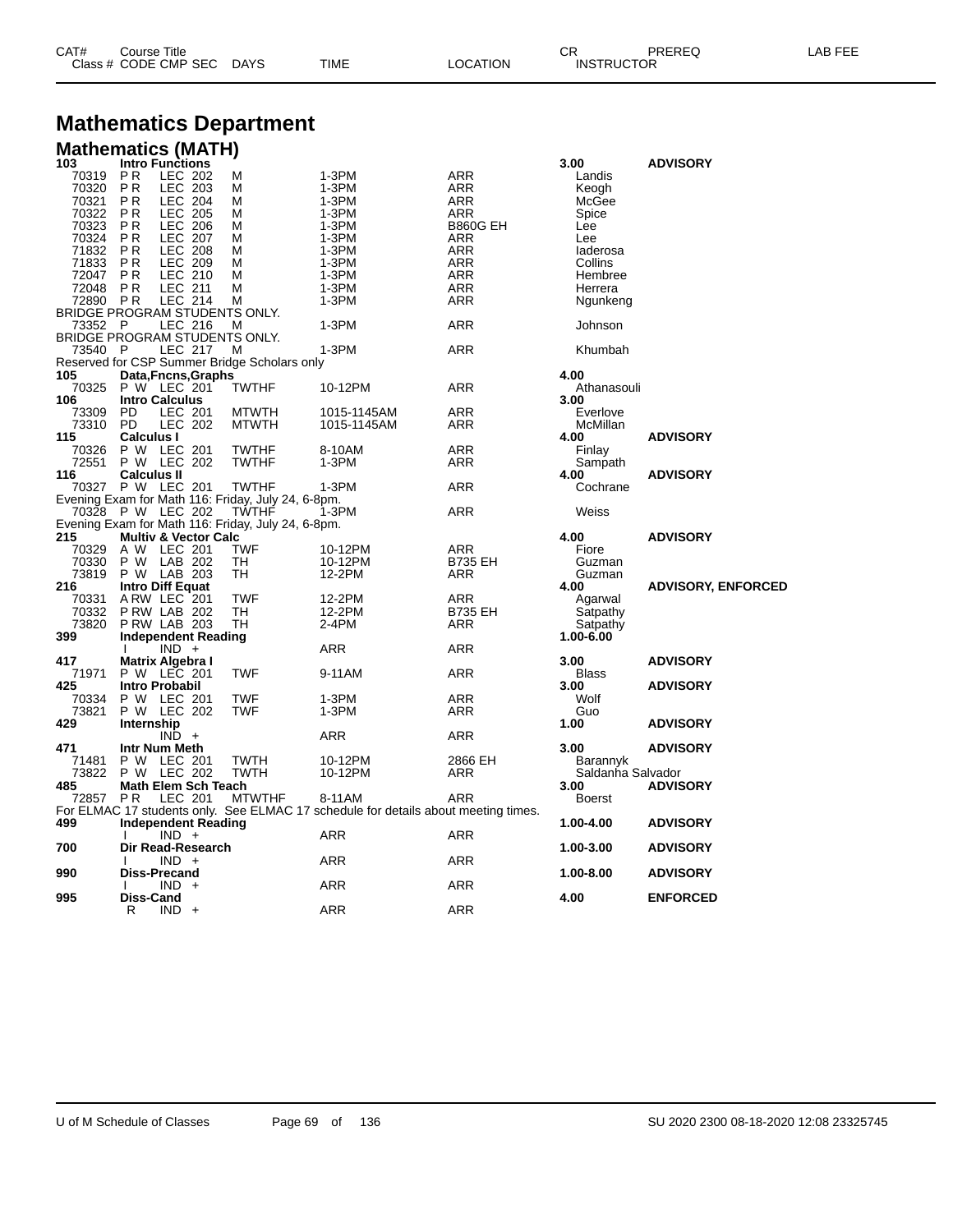| CAT# | Title<br>Course      |             |             |          | ∩⊓<br>◡           | PREREQ | LAB FEF |
|------|----------------------|-------------|-------------|----------|-------------------|--------|---------|
|      | Class # CODE CMP SEC | <b>DAYS</b> | <b>TIME</b> | LOCATION | <b>INSTRUCTOR</b> |        |         |

## **Mathematics Department**

#### **Mathematics (MATH)**

| 103                           | <b>Intro Functions</b> |                                 |                                                    |                                                                                    |                 | 3.00              | <b>ADVISORY</b>           |
|-------------------------------|------------------------|---------------------------------|----------------------------------------------------|------------------------------------------------------------------------------------|-----------------|-------------------|---------------------------|
| 70319                         | P <sub>R</sub>         | LEC 202                         | M                                                  | 1-3PM                                                                              | ARR             | Landis            |                           |
| 70320                         | P <sub>R</sub>         | <b>LEC 203</b>                  | M                                                  | 1-3PM                                                                              | ARR             | Keogh             |                           |
| 70321                         | P <sub>R</sub>         | <b>LEC 204</b>                  | М                                                  | $1-3PM$                                                                            | ARR             | McGee             |                           |
| 70322                         | <b>PR</b>              | <b>LEC 205</b>                  | М                                                  | 1-3PM                                                                              | ARR             | Spice             |                           |
| 70323                         | <b>PR</b>              | <b>LEC 206</b>                  | M                                                  | 1-3PM                                                                              | <b>B860G EH</b> | Lee               |                           |
| 70324                         | P <sub>R</sub>         | <b>LEC 207</b>                  | M                                                  | 1-3PM                                                                              | <b>ARR</b>      | Lee               |                           |
| 71832                         | P <sub>R</sub>         | <b>LEC 208</b>                  | M                                                  | 1-3PM                                                                              | <b>ARR</b>      | laderosa          |                           |
| 71833                         | P <sub>R</sub>         | LEC 209                         | М                                                  | 1-3PM                                                                              | <b>ARR</b>      | Collins           |                           |
| 72047                         | <b>PR</b>              | LEC 210                         | м                                                  | 1-3PM                                                                              | ARR             | Hembree           |                           |
| 72048                         | P <sub>R</sub>         | <b>LEC 211</b>                  | М                                                  | 1-3PM                                                                              | ARR             | Herrera           |                           |
| 72890                         | <b>PR</b>              | <b>LEC 214</b>                  | M                                                  | 1-3PM                                                                              | ARR             | Ngunkeng          |                           |
| BRIDGE PROGRAM STUDENTS ONLY. |                        |                                 |                                                    |                                                                                    |                 |                   |                           |
| 73352 P                       |                        | LEC 216                         | м                                                  | 1-3PM                                                                              | ARR             | Johnson           |                           |
| BRIDGE PROGRAM STUDENTS ONLY. |                        |                                 |                                                    |                                                                                    |                 |                   |                           |
| 73540 P                       |                        | LEC 217                         | M                                                  | 1-3PM                                                                              | <b>ARR</b>      | Khumbah           |                           |
|                               |                        |                                 | Reserved for CSP Summer Bridge Scholars only       |                                                                                    |                 |                   |                           |
| 105                           |                        | Data, Fncns, Graphs             |                                                    |                                                                                    |                 | 4.00              |                           |
| 70325                         | P W LEC 201            |                                 | <b>TWTHF</b>                                       | 10-12PM                                                                            | ARR             | Athanasouli       |                           |
| 106                           | <b>Intro Calculus</b>  |                                 |                                                    |                                                                                    |                 | 3.00              |                           |
| 73309                         | PD                     | <b>LEC 201</b>                  | <b>MTWTH</b>                                       | 1015-1145AM                                                                        | ARR             | Everlove          |                           |
| 73310                         | <b>PD</b>              | <b>LEC 202</b>                  | <b>MTWTH</b>                                       | 1015-1145AM                                                                        | ARR             | McMillan          |                           |
| 115                           | <b>Calculus I</b>      |                                 |                                                    |                                                                                    |                 | 4.00              | <b>ADVISORY</b>           |
| 70326                         | P W LEC 201            |                                 | <b>TWTHF</b>                                       | 8-10AM                                                                             | ARR             | Finlay            |                           |
| 72551                         | P W LEC 202            |                                 | <b>TWTHF</b>                                       | 1-3PM                                                                              | ARR             | Sampath           |                           |
| 116                           | <b>Calculus II</b>     |                                 |                                                    |                                                                                    |                 | 4.00              | <b>ADVISORY</b>           |
|                               | 70327 P W LEC 201      |                                 | <b>TWTHF</b>                                       | 1-3PM                                                                              | ARR             | Cochrane          |                           |
|                               |                        |                                 | Evening Exam for Math 116: Friday, July 24, 6-8pm. |                                                                                    |                 |                   |                           |
|                               | 70328 P W LEC 202      |                                 | <b>TWTHF</b>                                       | $1-3PM$                                                                            | ARR             | Weiss             |                           |
|                               |                        |                                 | Evening Exam for Math 116: Friday, July 24, 6-8pm. |                                                                                    |                 |                   |                           |
| 215                           |                        | <b>Multiv &amp; Vector Calc</b> |                                                    |                                                                                    |                 | 4.00              | <b>ADVISORY</b>           |
| 70329                         | A W LEC 201            |                                 | <b>TWF</b>                                         | 10-12PM                                                                            | ARR             | Fiore             |                           |
| 70330                         | P W                    | LAB 202                         | TH                                                 | 10-12PM                                                                            | <b>B735 EH</b>  | Guzman            |                           |
| 73819                         | P W LAB 203            |                                 | TН                                                 | 12-2PM                                                                             | ARR             | Guzman            |                           |
| 216                           | Intro Diff Equat       |                                 |                                                    |                                                                                    |                 | 4.00              | <b>ADVISORY, ENFORCED</b> |
| 70331                         | ARW LEC 201            |                                 | <b>TWF</b>                                         | 12-2PM                                                                             | ARR             | Agarwal           |                           |
| 70332                         | PRW LAB 202            |                                 | TH                                                 | 12-2PM                                                                             | <b>B735 EH</b>  | Satpathy          |                           |
| 73820                         | <b>P RW LAB 203</b>    |                                 | TН                                                 | $2-4PM$                                                                            | ARR             | Satpathy          |                           |
| 399                           |                        | <b>Independent Reading</b>      |                                                    |                                                                                    |                 | 1.00-6.00         |                           |
|                               |                        | $IND +$                         |                                                    | ARR                                                                                | <b>ARR</b>      |                   |                           |
| 417                           | Matrix Algebra I       |                                 |                                                    |                                                                                    |                 | 3.00              | <b>ADVISORY</b>           |
| 71971                         | P W LEC 201            |                                 | <b>TWF</b>                                         | 9-11AM                                                                             | <b>ARR</b>      | <b>Blass</b>      |                           |
| 425                           | Intro Probabil         |                                 |                                                    |                                                                                    |                 | 3.00              | <b>ADVISORY</b>           |
| 70334                         | P W LEC 201            |                                 | TWF                                                | 1-3PM                                                                              | ARR             | Wolf              |                           |
| 73821                         | P W LEC 202            |                                 | <b>TWF</b>                                         | 1-3PM                                                                              | ARR             | Guo               |                           |
| 429                           | Internship             |                                 |                                                    |                                                                                    |                 | 1.00              | <b>ADVISORY</b>           |
|                               |                        | $IND +$                         |                                                    | ARR                                                                                | <b>ARR</b>      |                   |                           |
| 471                           | Intr Num Meth          |                                 |                                                    |                                                                                    |                 | 3.00              | <b>ADVISORY</b>           |
| 71481                         | P W LEC 201            |                                 | TWTH                                               | 10-12PM                                                                            | 2866 EH         | Barannyk          |                           |
| 73822                         | P W LEC 202            |                                 | <b>TWTH</b>                                        | 10-12PM                                                                            | ARR             | Saldanha Salvador |                           |
| 485                           |                        | Math Elem Sch Teach             |                                                    |                                                                                    |                 | 3.00              | <b>ADVISORY</b>           |
| 72857                         | PR.                    | LEC 201                         | <b>MTWTHF</b>                                      | 8-11AM                                                                             | <b>ARR</b>      | <b>Boerst</b>     |                           |
|                               |                        |                                 |                                                    | For ELMAC 17 students only. See ELMAC 17 schedule for details about meeting times. |                 |                   |                           |
| 499                           |                        | <b>Independent Reading</b>      |                                                    |                                                                                    |                 | 1.00-4.00         | <b>ADVISORY</b>           |
|                               |                        | $IND +$                         |                                                    | ARR                                                                                | <b>ARR</b>      |                   |                           |
| 700                           |                        | Dir Read-Research               |                                                    |                                                                                    |                 | 1.00-3.00         | <b>ADVISORY</b>           |
|                               |                        | $IND +$                         |                                                    | ARR                                                                                | <b>ARR</b>      |                   |                           |
| 990                           | <b>Diss-Precand</b>    |                                 |                                                    |                                                                                    |                 | 1.00-8.00         | <b>ADVISORY</b>           |
|                               |                        | $IND +$                         |                                                    | ARR                                                                                | ARR             |                   |                           |
| 995                           | Diss-Cand              |                                 |                                                    |                                                                                    |                 | 4.00              | <b>ENFORCED</b>           |
|                               | R                      | $IND +$                         |                                                    | <b>ARR</b>                                                                         | <b>ARR</b>      |                   |                           |
|                               |                        |                                 |                                                    |                                                                                    |                 |                   |                           |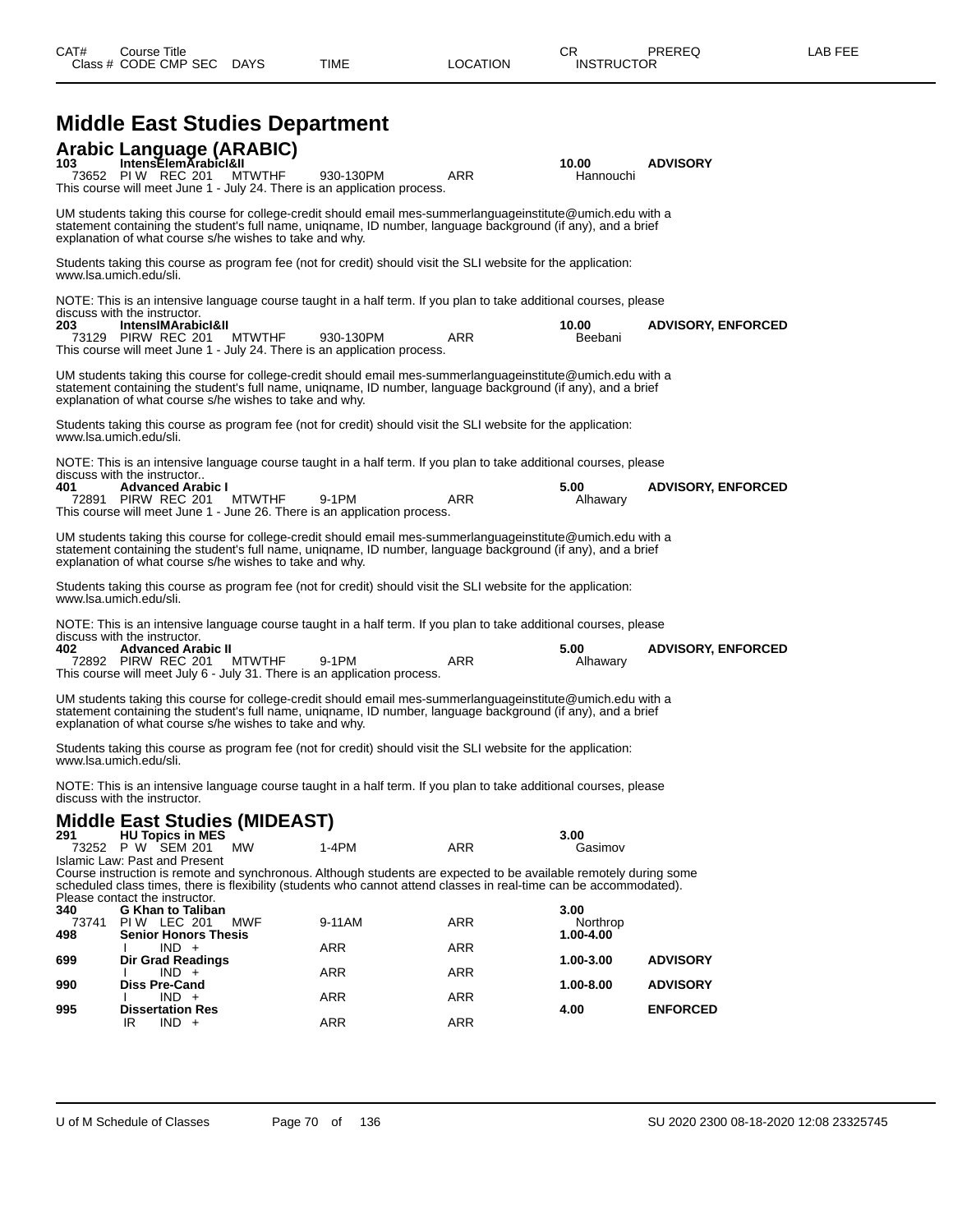|              | <b>Middle East Studies Department</b>                                                                                                                                                                                                                                                                      |           |            |                        |                                    |
|--------------|------------------------------------------------------------------------------------------------------------------------------------------------------------------------------------------------------------------------------------------------------------------------------------------------------------|-----------|------------|------------------------|------------------------------------|
|              | Arabic Language (ARABIC)<br>103 IntensElemArabicI&II<br>73652 PIW REC 201<br><b>MTWTHF</b><br>This course will meet June 1 - July 24. There is an application process.                                                                                                                                     | 930-130PM | <b>ARR</b> | 10.00<br>Hannouchi     | <b>ADVISORY</b>                    |
|              | UM students taking this course for college-credit should email mes-summerlanguageinstitute@umich.edu with a<br>statement containing the student's full name, uniqname, ID number, language background (if any), and a brief<br>explanation of what course s/he wishes to take and why.                     |           |            |                        |                                    |
|              | Students taking this course as program fee (not for credit) should visit the SLI website for the application:<br>www.lsa.umich.edu/sli.                                                                                                                                                                    |           |            |                        |                                    |
|              | NOTE: This is an intensive language course taught in a half term. If you plan to take additional courses, please                                                                                                                                                                                           |           |            |                        |                                    |
| 203          | discuss with the instructor.<br>IntensIMArabicI&II<br>73129 PIRW REC 201<br><b>MTWTHF</b><br>This course will meet June 1 - July 24. There is an application process.                                                                                                                                      | 930-130PM | ARR        | 10.00<br>Beebani       | <b>ADVISORY, ENFORCED</b>          |
|              | UM students taking this course for college-credit should email mes-summerlanguageinstitute@umich.edu with a<br>statement containing the student's full name, unigname, ID number, language background (if any), and a brief<br>explanation of what course s/he wishes to take and why.                     |           |            |                        |                                    |
|              | Students taking this course as program fee (not for credit) should visit the SLI website for the application:<br>www.lsa.umich.edu/sli.                                                                                                                                                                    |           |            |                        |                                    |
|              | NOTE: This is an intensive language course taught in a half term. If you plan to take additional courses, please<br>discuss with the instructor                                                                                                                                                            |           |            |                        |                                    |
| 401          | <b>Advanced Arabic I</b><br><b>MTWTHF</b><br>72891 PIRW REC 201<br>This course will meet June 1 - June 26. There is an application process.                                                                                                                                                                | 9-1PM     | <b>ARR</b> | 5.00<br>Alhawary       | <b>ADVISORY, ENFORCED</b>          |
|              | UM students taking this course for college-credit should email mes-summerlanguageinstitute@umich.edu with a<br>statement containing the student's full name, uniqname, ID number, language background (if any), and a brief<br>explanation of what course s/he wishes to take and why.                     |           |            |                        |                                    |
|              | Students taking this course as program fee (not for credit) should visit the SLI website for the application:<br>www.lsa.umich.edu/sli.                                                                                                                                                                    |           |            |                        |                                    |
|              | NOTE: This is an intensive language course taught in a half term. If you plan to take additional courses, please                                                                                                                                                                                           |           |            |                        |                                    |
| 402.         | discuss with the instructor.<br><b>Advanced Arabic II</b><br>72892 PIRW REC 201<br><b>MTWTHF</b><br>This course will meet July 6 - July 31. There is an application process.                                                                                                                               | 9-1PM     | <b>ARR</b> | 5.00<br>Alhawary       | <b>ADVISORY, ENFORCED</b>          |
|              | UM students taking this course for college-credit should email mes-summerlanguageinstitute@umich.edu with a<br>statement containing the student's full name, uniqname, ID number, language background (if any), and a brief<br>explanation of what course s/he wishes to take and why.                     |           |            |                        |                                    |
|              | Students taking this course as program fee (not for credit) should visit the SLI website for the application:<br>www.lsa.umich.edu/sli.                                                                                                                                                                    |           |            |                        |                                    |
|              | NOTE: This is an intensive language course taught in a half term. If you plan to take additional courses, please<br>discuss with the instructor.                                                                                                                                                           |           |            |                        |                                    |
|              | Middle East Studies (MIDEAST)                                                                                                                                                                                                                                                                              |           |            |                        |                                    |
| 291          | <b>HU Topics in MES</b><br>73252 P W SEM 201<br>МW                                                                                                                                                                                                                                                         | $1-4PM$   | ARR        | 3.00<br>Gasimov        |                                    |
|              | Islamic Law: Past and Present<br>Course instruction is remote and synchronous. Although students are expected to be available remotely during some<br>scheduled class times, there is flexibility (students who cannot attend classes in real-time can be accommodated).<br>Please contact the instructor. |           |            |                        |                                    |
| 340<br>73741 | <b>G Khan to Taliban</b><br><b>PIW LEC 201</b><br>MWF                                                                                                                                                                                                                                                      | 9-11AM    | ARR        | 3.00<br>Northrop       |                                    |
| 498          | <b>Senior Honors Thesis</b><br>$IND +$<br>I.                                                                                                                                                                                                                                                               | ARR       | ARR        | 1.00-4.00              |                                    |
| 699<br>990   | <b>Dir Grad Readings</b><br>$IND +$<br>Ι.<br><b>Diss Pre-Cand</b>                                                                                                                                                                                                                                          | ARR       | ARR        | 1.00-3.00<br>1.00-8.00 | <b>ADVISORY</b><br><b>ADVISORY</b> |
|              | $IND +$                                                                                                                                                                                                                                                                                                    | ARR       | ARR        |                        |                                    |
| 995          | <b>Dissertation Res</b><br>IR<br>$IND +$                                                                                                                                                                                                                                                                   | ARR       | ARR        | 4.00                   | <b>ENFORCED</b>                    |
|              |                                                                                                                                                                                                                                                                                                            |           |            |                        |                                    |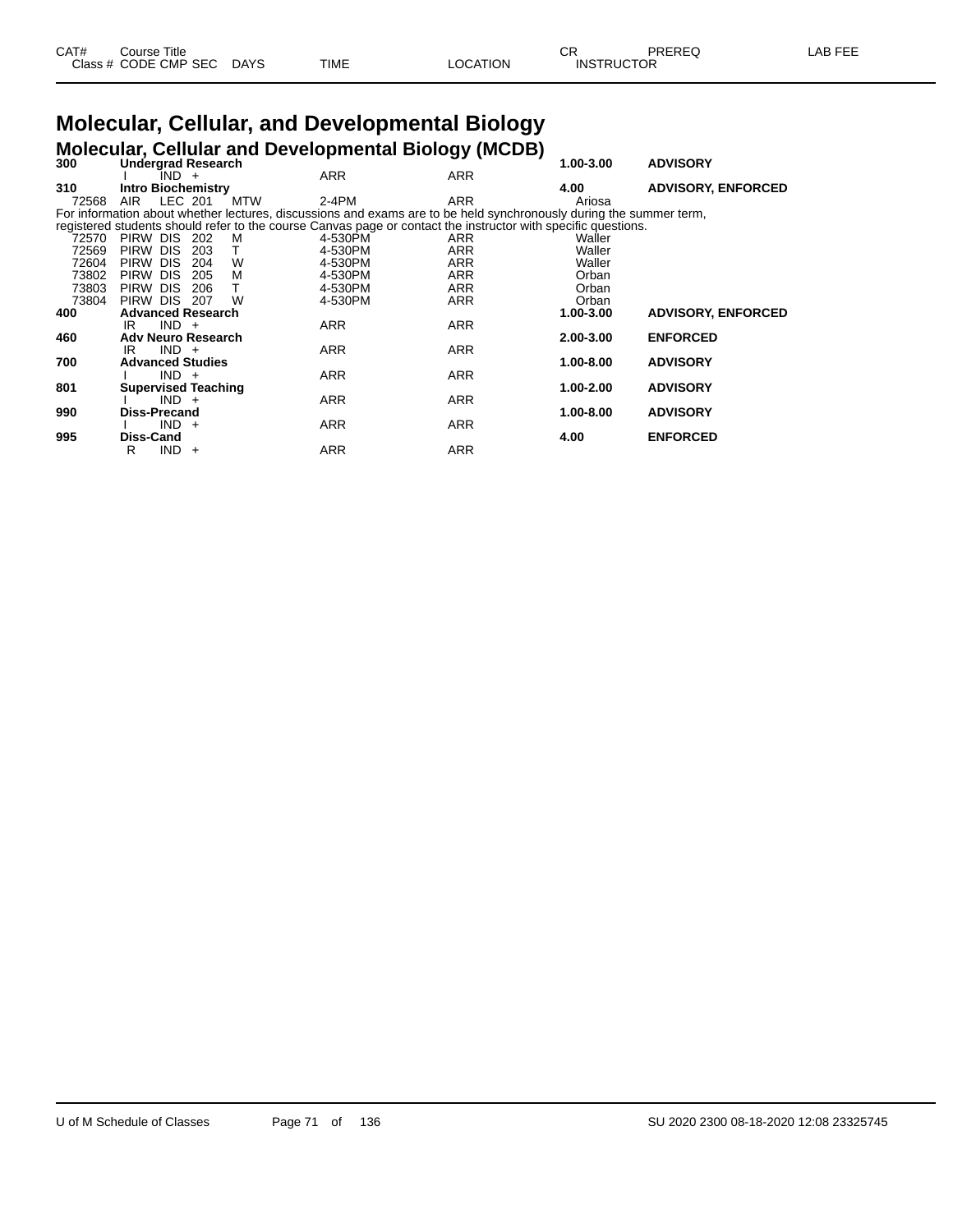| CAT# | Course Title         |             |      |          | Ωn<br>- UN        | PREREQ | _AB FEE |
|------|----------------------|-------------|------|----------|-------------------|--------|---------|
|      | Class # CODE CMP SEC | <b>DAYS</b> | TIME | LOCATION | <b>INSTRUCTOR</b> |        |         |

# **Molecular, Cellular, and Developmental Biology**

**Molecular, Cellular and Developmental Biology (MCDB) 300 Undergrad Research 1.00-3.00 ADVISORY**

| 300   | Undergrad Research                                                                                                 |            |            | 1.00-3.00 | <b>ADVISORY</b>           |
|-------|--------------------------------------------------------------------------------------------------------------------|------------|------------|-----------|---------------------------|
|       | $IND +$                                                                                                            | <b>ARR</b> | <b>ARR</b> |           |                           |
| 310   | <b>Intro Biochemistry</b>                                                                                          |            |            | 4.00      | <b>ADVISORY, ENFORCED</b> |
| 72568 | AIR<br>LEC 201<br><b>MTW</b>                                                                                       | 2-4PM      | ARR        | Ariosa    |                           |
|       | For information about whether lectures, discussions and exams are to be held synchronously during the summer term, |            |            |           |                           |
|       | registered students should refer to the course Canvas page or contact the instructor with specific questions.      |            |            |           |                           |
| 72570 | PIRW DIS 202<br>M                                                                                                  | 4-530PM    | ARR        | Waller    |                           |
| 72569 | PIRW DIS<br>203                                                                                                    | 4-530PM    | ARR        | Waller    |                           |
| 72604 | <b>DIS</b><br>W<br><b>PIRW</b><br>204                                                                              | 4-530PM    | ARR        | Waller    |                           |
| 73802 | M<br><b>PIRW</b><br><b>DIS</b><br>205                                                                              | 4-530PM    | ARR        | Orban     |                           |
| 73803 | <b>PIRW</b><br><b>DIS</b><br>206                                                                                   | 4-530PM    | <b>ARR</b> | Orban     |                           |
| 73804 | PIRW DIS 207<br>W                                                                                                  | 4-530PM    | <b>ARR</b> | Orban     |                           |
| 400   | <b>Advanced Research</b>                                                                                           |            |            | 1.00-3.00 | <b>ADVISORY, ENFORCED</b> |
|       | $IND +$<br>IR                                                                                                      | ARR        | ARR        |           |                           |
| 460   | <b>Adv Neuro Research</b>                                                                                          |            |            | 2.00-3.00 | <b>ENFORCED</b>           |
|       | $IND +$<br>IR                                                                                                      | <b>ARR</b> | <b>ARR</b> |           |                           |
| 700   | <b>Advanced Studies</b>                                                                                            |            |            | 1.00-8.00 | <b>ADVISORY</b>           |
|       | $IND +$                                                                                                            | <b>ARR</b> | ARR        |           |                           |
| 801   | <b>Supervised Teaching</b>                                                                                         |            |            | 1.00-2.00 | <b>ADVISORY</b>           |
|       | $IND +$                                                                                                            | <b>ARR</b> | ARR        |           |                           |
| 990   | Diss-Precand                                                                                                       |            |            | 1.00-8.00 | <b>ADVISORY</b>           |
|       | $IND +$                                                                                                            | <b>ARR</b> | <b>ARR</b> |           |                           |
| 995   | Diss-Cand                                                                                                          |            |            | 4.00      | <b>ENFORCED</b>           |
|       | $IND +$<br>R                                                                                                       | <b>ARR</b> | <b>ARR</b> |           |                           |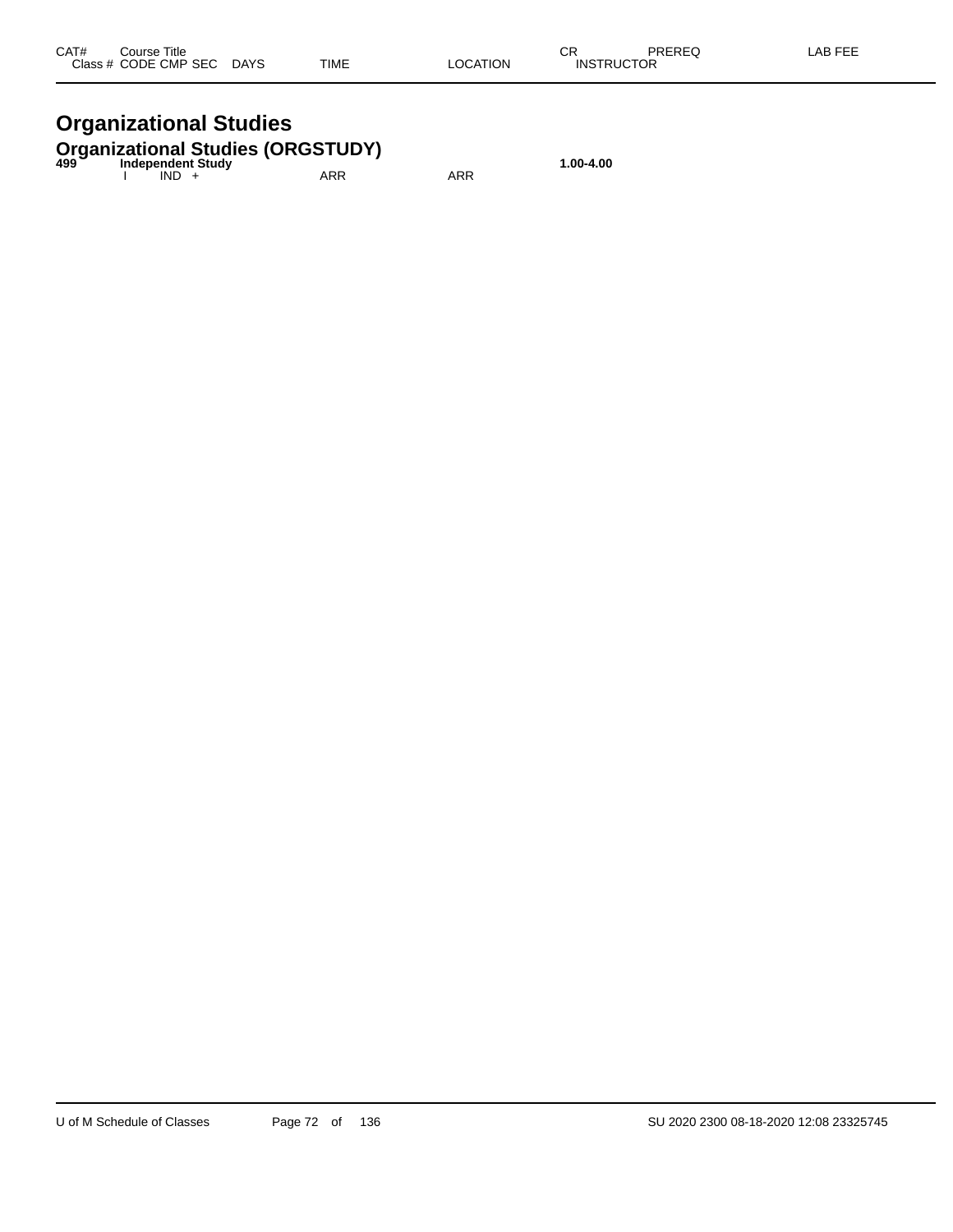| CAT# | Course Title              |      |          | ΩD                | PREREQ | -AB FEE |
|------|---------------------------|------|----------|-------------------|--------|---------|
|      | Class # CODE CMP SEC DAYS | TIME | LOCATION | <b>INSTRUCTOR</b> |        |         |

## **Organizational Studies**

## **Organizational Studies (ORGSTUDY) 499 Independent Study 1.00-4.00**

| 499 | muepengent study<br>IND. | ARR | ARR |
|-----|--------------------------|-----|-----|
|     |                          |     |     |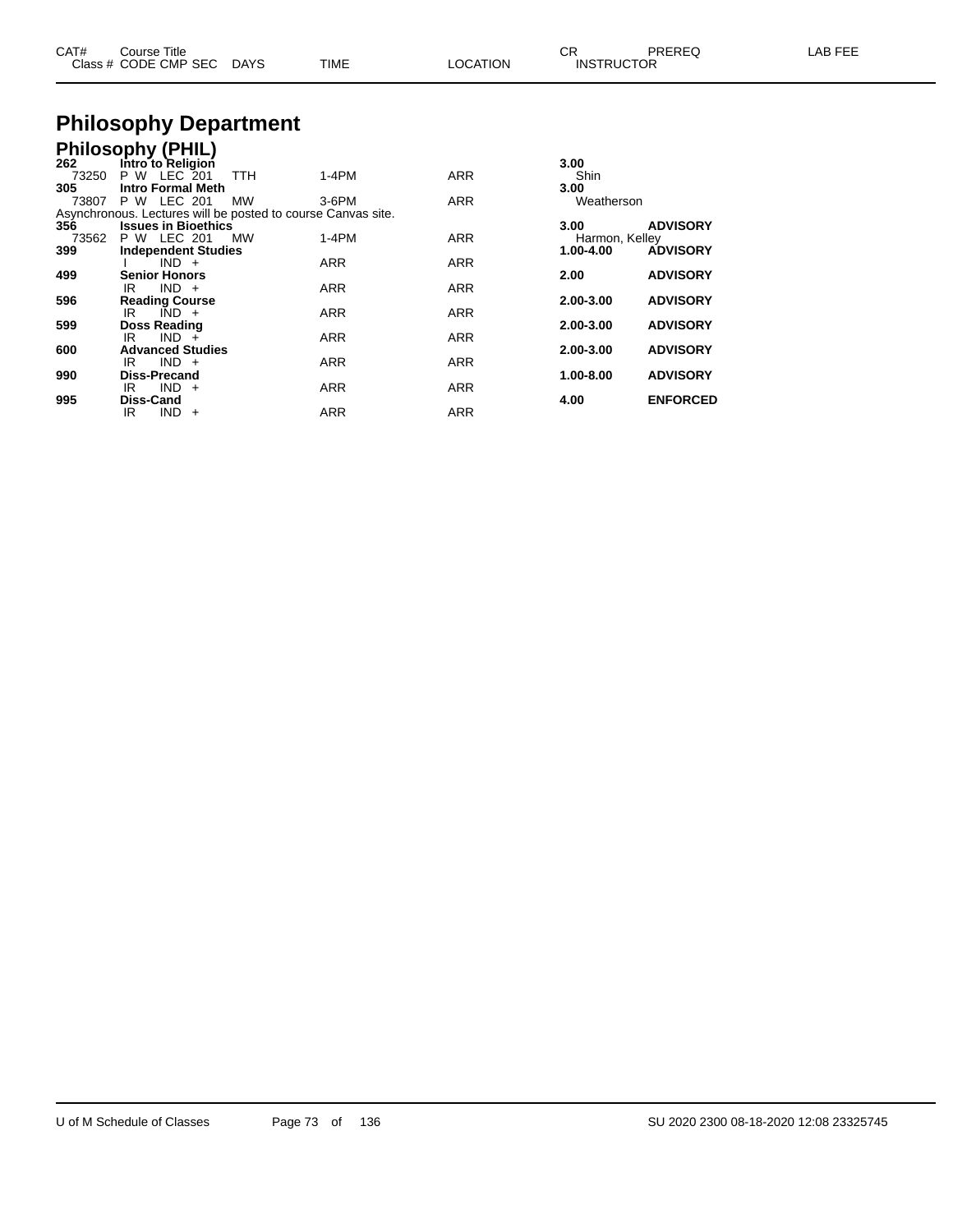| CAT# | Course Title              |      |          | СR                | PREREQ | LAB FEE |
|------|---------------------------|------|----------|-------------------|--------|---------|
|      | Class # CODE CMP SEC DAYS | TIME | LOCATION | <b>INSTRUCTOR</b> |        |         |

## **Philosophy Department**

## **Philosophy (PHIL)**

| Intro to Religion        |                                                                                           |                                                              | 3.00      |                              |
|--------------------------|-------------------------------------------------------------------------------------------|--------------------------------------------------------------|-----------|------------------------------|
| P W LEC 201<br>73250     | $1-4PM$                                                                                   | <b>ARR</b>                                                   | Shin      |                              |
| <b>Intro Formal Meth</b> |                                                                                           |                                                              | 3.00      |                              |
| LEC 201<br>P W           | 3-6PM                                                                                     | <b>ARR</b>                                                   |           |                              |
|                          |                                                                                           |                                                              |           |                              |
|                          |                                                                                           |                                                              | 3.00      | <b>ADVISORY</b>              |
| P W LEC 201              | $1-4PM$                                                                                   | <b>ARR</b>                                                   |           |                              |
|                          |                                                                                           |                                                              | 1.00-4.00 | <b>ADVISORY</b>              |
| $IND +$                  | <b>ARR</b>                                                                                | <b>ARR</b>                                                   |           |                              |
| <b>Senior Honors</b>     |                                                                                           |                                                              | 2.00      | <b>ADVISORY</b>              |
| $IND +$<br>IR            | <b>ARR</b>                                                                                | <b>ARR</b>                                                   |           |                              |
| <b>Reading Course</b>    |                                                                                           |                                                              | 2.00-3.00 | <b>ADVISORY</b>              |
| $IND +$<br>IR            | <b>ARR</b>                                                                                | <b>ARR</b>                                                   |           |                              |
| <b>Doss Reading</b>      |                                                                                           |                                                              | 2.00-3.00 | <b>ADVISORY</b>              |
| $IND +$<br>IR            | <b>ARR</b>                                                                                | <b>ARR</b>                                                   |           |                              |
| <b>Advanced Studies</b>  |                                                                                           |                                                              | 2.00-3.00 | <b>ADVISORY</b>              |
| $IND +$<br>IR            | <b>ARR</b>                                                                                | <b>ARR</b>                                                   |           |                              |
| <b>Diss-Precand</b>      |                                                                                           |                                                              | 1.00-8.00 | <b>ADVISORY</b>              |
| $IND +$<br>IR.           | <b>ARR</b>                                                                                | <b>ARR</b>                                                   |           |                              |
| <b>Diss-Cand</b>         |                                                                                           |                                                              | 4.00      | <b>ENFORCED</b>              |
| $IND +$<br>IR            | <b>ARR</b>                                                                                | <b>ARR</b>                                                   |           |                              |
|                          | <b>TTH</b><br><b>MW</b><br><b>Issues in Bioethics</b><br>MW<br><b>Independent Studies</b> | Asynchronous. Lectures will be posted to course Canvas site. |           | Weatherson<br>Harmon, Kelley |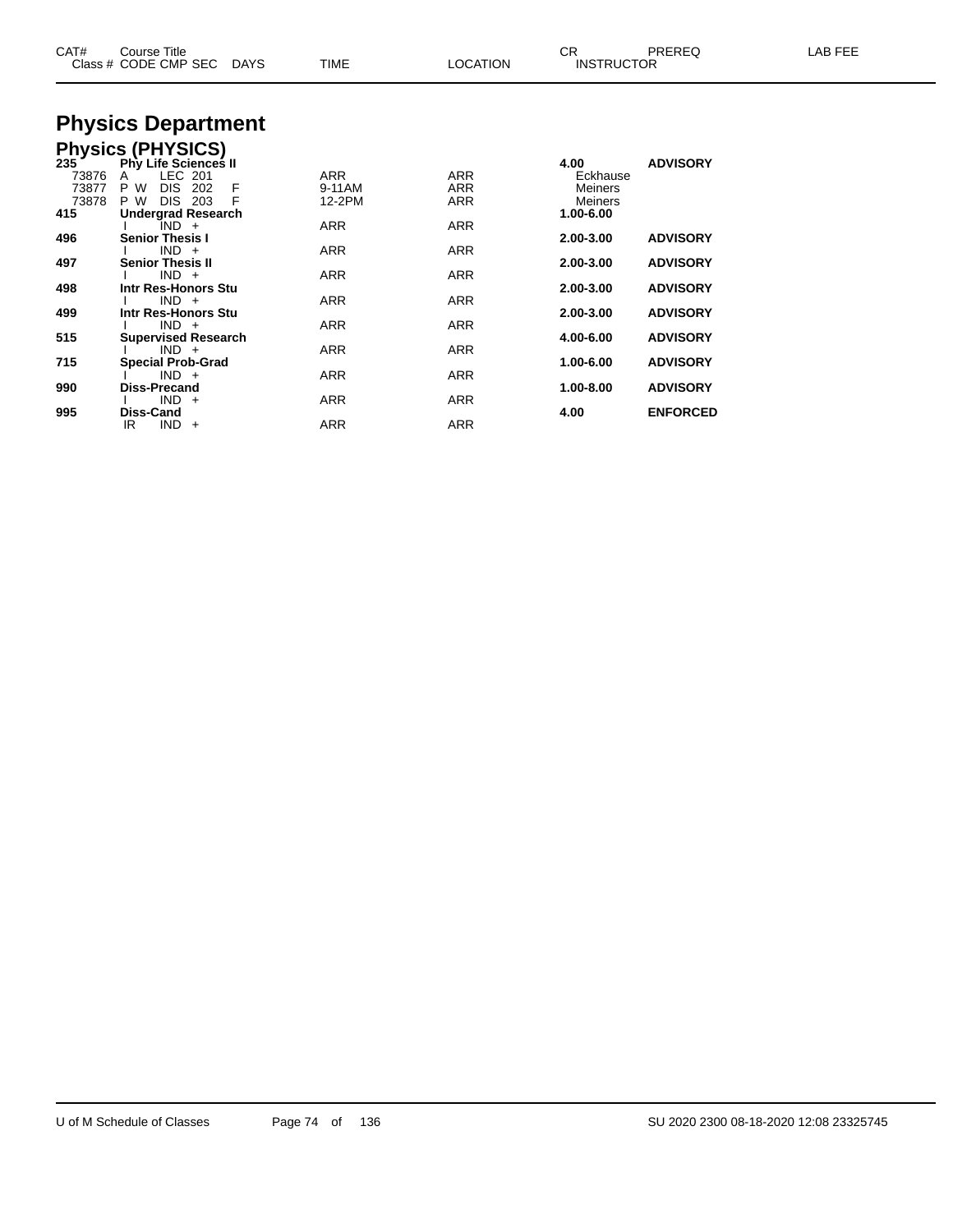| CAT#                                    | Course Title<br>Class # CODE CMP SEC<br>DAYS                                                                                 | TIME                           | <b>LOCATION</b>          | CR<br><b>INSTRUCTOR</b>                             | PREREQ          | LAB FEE |
|-----------------------------------------|------------------------------------------------------------------------------------------------------------------------------|--------------------------------|--------------------------|-----------------------------------------------------|-----------------|---------|
|                                         | <b>Physics Department</b>                                                                                                    |                                |                          |                                                     |                 |         |
|                                         | <b>Physics (PHYSICS)</b>                                                                                                     |                                |                          |                                                     |                 |         |
| 235 `<br>73876<br>73877<br>73878<br>415 | <b>Phy Life Sciences II</b><br>LEC 201<br>A<br>DIS.<br>202<br>P W<br>F<br>P W<br><b>DIS 203</b><br><b>Undergrad Research</b> | <b>ARR</b><br>9-11AM<br>12-2PM | ARR<br>ARR<br><b>ARR</b> | 4.00<br>Eckhause<br>Meiners<br>Meiners<br>1.00-6.00 | <b>ADVISORY</b> |         |
|                                         | $IND +$                                                                                                                      | <b>ARR</b>                     | ARR                      |                                                     |                 |         |
| 496                                     | <b>Senior Thesis I</b>                                                                                                       |                                |                          | 2.00-3.00                                           | <b>ADVISORY</b> |         |
|                                         | $IND +$                                                                                                                      | <b>ARR</b>                     | ARR                      |                                                     |                 |         |
| 497                                     | <b>Senior Thesis II</b><br>$IND +$                                                                                           | ARR                            | ARR                      | 2.00-3.00                                           | <b>ADVISORY</b> |         |
| 498                                     | Intr Res-Honors Stu                                                                                                          |                                |                          | 2.00-3.00                                           | <b>ADVISORY</b> |         |
|                                         | $IND +$                                                                                                                      | ARR                            | ARR                      |                                                     |                 |         |
| 499                                     | Intr Res-Honors Stu                                                                                                          |                                |                          | 2.00-3.00                                           | <b>ADVISORY</b> |         |
|                                         | $IND +$                                                                                                                      | ARR                            | ARR                      |                                                     |                 |         |
| 515                                     | <b>Supervised Research</b><br>$IND +$                                                                                        | ARR                            | ARR                      | 4.00-6.00                                           | <b>ADVISORY</b> |         |
| 715                                     | <b>Special Prob-Grad</b>                                                                                                     |                                |                          | 1.00-6.00                                           | <b>ADVISORY</b> |         |
|                                         | $IND +$                                                                                                                      | ARR                            | ARR                      |                                                     |                 |         |
| 990                                     | Diss-Precand                                                                                                                 |                                |                          | 1.00-8.00                                           | <b>ADVISORY</b> |         |
|                                         | $IND +$                                                                                                                      | ARR                            | <b>ARR</b>               |                                                     |                 |         |

**995 Diss-Cand 4.00 ENFORCED**

IR IND + ARR ARR ARR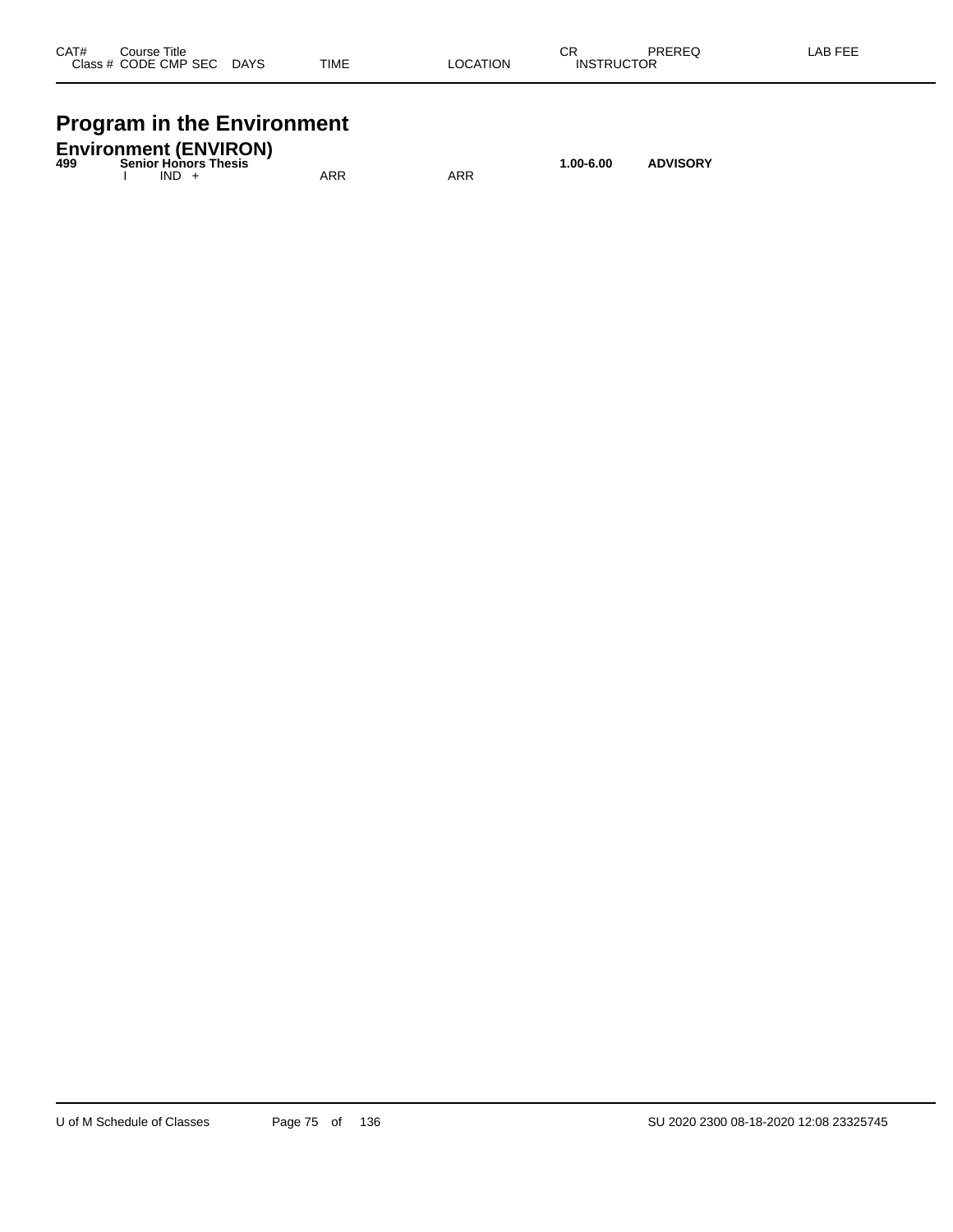| CAT#  | Course Title |             |             |                       | ^-<br>- UN   | <b>DDEDEC</b><br>שבוזבש | ---<br>A <sub>R</sub> |
|-------|--------------|-------------|-------------|-----------------------|--------------|-------------------------|-----------------------|
| Class | CODE CMP SEC | <b>DAYS</b> | <b>TIME</b> | ΆΤΙΟΝ<br>_OCA<br>____ | INS<br>1 I ( |                         |                       |
|       |              |             |             |                       |              |                         |                       |

# **Program in the Environment**

| <b>Environment (ENVIRON)</b><br><b>Senior Honors Thesis</b><br>499 |  |         |     | $1.00 - 6.00$ | <b>ADVISORY</b> |  |
|--------------------------------------------------------------------|--|---------|-----|---------------|-----------------|--|
|                                                                    |  | $IND +$ | ARR | ARR           |                 |  |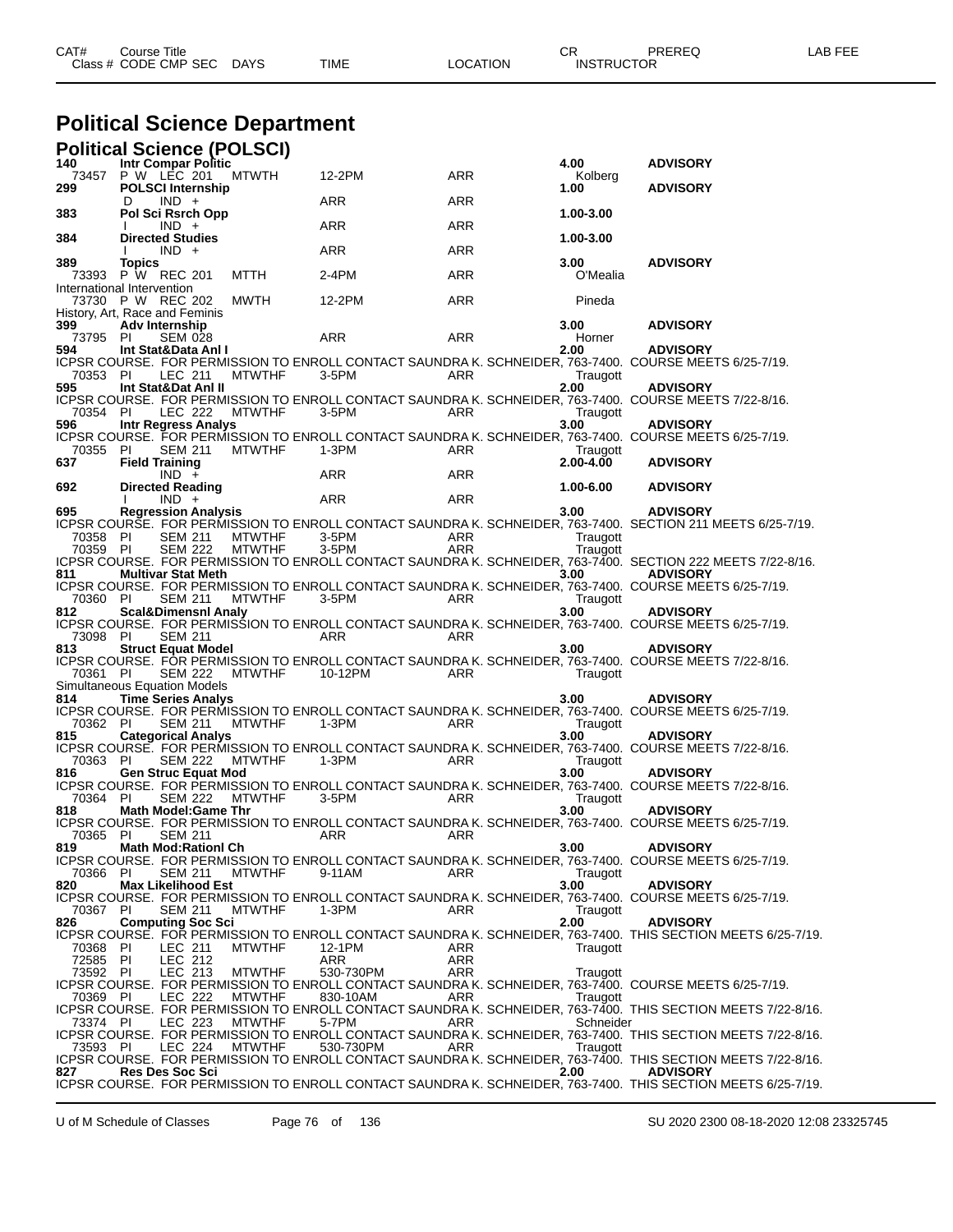| CAT# | Title<br>Course      |             |      |          | ◠г<br>◡∩          | PREREQ | AR FFF |
|------|----------------------|-------------|------|----------|-------------------|--------|--------|
|      | Class # CODE CMP SEC | <b>DAYS</b> | TIME | LOCATION | <b>INSTRUCTOR</b> |        |        |
|      |                      |             |      |          |                   |        |        |

# **Political Science Department**

|                      | <b>Political Science (POLSCI)</b>                                     |                                |                  |                   |                       |                                                                                                                                 |
|----------------------|-----------------------------------------------------------------------|--------------------------------|------------------|-------------------|-----------------------|---------------------------------------------------------------------------------------------------------------------------------|
| 140<br>73457<br>299  | <b>Intr Compar Politic</b><br>P W LEC 201<br><b>POLSCI Internship</b> | MTWTH                          | 12-2PM           | ARR               | 4.00<br>Kolberg       | <b>ADVISORY</b>                                                                                                                 |
|                      | $IND +$<br>D                                                          |                                | ARR              | ARR               | 1.00                  | <b>ADVISORY</b>                                                                                                                 |
| 383                  | Pol Sci Rsrch Opp<br>$IND +$                                          |                                | ARR              | ARR               | 1.00-3.00             |                                                                                                                                 |
| 384                  | <b>Directed Studies</b><br>$IND +$                                    |                                | ARR              | ARR               | 1.00-3.00             |                                                                                                                                 |
| 389<br>73393         | Topics<br>P W REC 201                                                 | MTTH                           | 2-4PM            | ARR               | 3.00<br>O'Mealia      | <b>ADVISORY</b>                                                                                                                 |
|                      | International Intervention<br>73730 P W REC 202                       | MWTH                           | 12-2PM           | ARR               | Pineda                |                                                                                                                                 |
| 399                  | History, Art, Race and Feminis<br>Adv Internship                      |                                |                  |                   | 3.00                  | <b>ADVISORY</b>                                                                                                                 |
| 73795<br>594         | PI<br><b>SEM 028</b><br>Int Stat&Data Anl I                           |                                | ARR              | <b>ARR</b>        | Horner<br>2.00        | <b>ADVISORY</b>                                                                                                                 |
| 70353 PI             | LEC 211                                                               | <b>MTWTHF</b>                  | 3-5PM            | ARR               | Traugott              | ICPSR COURSE. FOR PERMISSION TO ENROLL CONTACT SAUNDRA K. SCHNEIDER, 763-7400.  COURSE MEETS 6/25-7/19.                         |
| 595                  | Int Stat&Dat AnI II                                                   |                                |                  |                   | 2.00                  | <b>ADVISORY</b><br>ICPSR COURSE. FOR PERMISSION TO ENROLL CONTACT SAUNDRA K. SCHNEIDER, 763-7400. COURSE MEETS 7/22-8/16.       |
| 70354 PI             | LEC 222                                                               | MTWTHF                         | 3-5PM            | ARR               | Traugott              |                                                                                                                                 |
| 596                  | <b>Intr Regress Analys</b>                                            |                                |                  |                   | 3.00                  | <b>ADVISORY</b><br>ICPSR COURSE. FOR PERMISSION TO ENROLL CONTACT SAUNDRA K. SCHNEIDER, 763-7400. COURSE MEETS 6/25-7/19.       |
| 70355<br>637         | -PI<br>SEM 211<br><b>Field Training</b>                               | <b>MTWTHF</b>                  | 1-3PM            | ARR               | Traugott<br>2.00-4.00 | <b>ADVISORY</b>                                                                                                                 |
| 692                  | $IND +$<br><b>Directed Reading</b>                                    |                                | ARR              | ARR               | 1.00-6.00             | <b>ADVISORY</b>                                                                                                                 |
| 695                  | $IND +$                                                               |                                | ARR              | ARR               |                       |                                                                                                                                 |
|                      | <b>Regression Analysis</b>                                            |                                |                  |                   | 3.00                  | <b>ADVISORY</b><br>ICPSR COURSE. FOR PERMISSION TO ENROLL CONTACT SAUNDRA K. SCHNEIDER, 763-7400. SECTION 211 MEETS 6/25-7/19.  |
| 70358 PI<br>70359 PI | <b>SEM 211</b><br><b>SEM 222</b>                                      | <b>MTWTHF</b><br><b>MTWTHF</b> | 3-5PM<br>3-5PM   | ARR<br><b>ARR</b> | Traugott<br>Traugott  |                                                                                                                                 |
|                      |                                                                       |                                |                  |                   |                       | ICPSR COURSE. FOR PERMISSION TO ENROLL CONTACT SAUNDRA K. SCHNEIDER, 763-7400. SECTION 222 MEETS 7/22-8/16.                     |
| 811                  | <b>Multivar Stat Meth</b>                                             |                                |                  |                   | 3.00                  | <b>ADVISORY</b><br>ICPSR COURSE. FOR PERMISSION TO ENROLL CONTACT SAUNDRA K. SCHNEIDER, 763-7400. COURSE MEETS 6/25-7/19.       |
| 70360 PI             | <b>SEM 211</b>                                                        | <b>MTWTHF</b>                  | 3-5PM            | ARR               | Traugott              |                                                                                                                                 |
| 812                  | Scal&Dimensnl Analy                                                   |                                |                  |                   | 3.00                  | <b>ADVISORY</b><br>ICPSR COURSE. FOR PERMISSION TO ENROLL CONTACT SAUNDRA K. SCHNEIDER, 763-7400. COURSE MEETS 6/25-7/19.       |
| 73098 PI<br>813      | <b>SEM 211</b><br><b>Struct Equat Model</b>                           |                                | ARR              | ARR               | 3.00                  | <b>ADVISORY</b>                                                                                                                 |
| 70361 PI             | <b>SEM 222</b>                                                        | <b>MTWTHF</b>                  | 10-12PM          | ARR               | Traugott              | ICPSR COURSE. FOR PERMISSION TO ENROLL CONTACT SAUNDRA K. SCHNEIDER, 763-7400. COURSE MEETS 7/22-8/16.                          |
|                      | Simultaneous Equation Models                                          |                                |                  |                   |                       |                                                                                                                                 |
| 814                  | <b>Time Series Analys</b>                                             |                                |                  |                   | 3.00                  | <b>ADVISORY</b><br>ICPSR COURSE. FOR PERMISSION TO ENROLL CONTACT SAUNDRA K. SCHNEIDER, 763-7400. COURSE MEETS 6/25-7/19.       |
| 70362 PI             | <b>SEM 211</b>                                                        | <b>MTWTHF</b>                  | 1-3PM            | ARR               | Traugott              |                                                                                                                                 |
| 815                  | <b>Categorical Analys</b>                                             |                                |                  |                   | 3.00                  | <b>ADVISORY</b><br>ICPSR COURSE. FOR PERMISSION TO ENROLL CONTACT SAUNDRA K. SCHNEIDER, 763-7400. COURSE MEETS 7/22-8/16.       |
| 70363 PI<br>816      | SEM 222<br><b>Gen Struc Equat Mod</b>                                 | MTWTHF                         | 1-3PM            | ARR               | Traugott<br>3.00      | <b>ADVISORY</b>                                                                                                                 |
| 70364 PI             |                                                                       |                                |                  |                   |                       | ICPSR COURSE. FOR PERMISSION TO ENROLL CONTACT SAUNDRA K. SCHNEIDER, 763-7400. COURSE MEETS 7/22-8/16.                          |
| 818                  | <b>SEM 222</b><br><b>Math Model:Game Thr</b>                          | MTWTHF                         | 3-5PM            | ARR               | Traugott<br>3.00      | <b>ADVISORY</b>                                                                                                                 |
| 70365 PI             |                                                                       |                                |                  |                   |                       | ICPSR COURSE. FOR PERMISSION TO ENROLL CONTACT SAUNDRA K. SCHNEIDER, 763-7400. COURSE MEETS 6/25-7/19.                          |
| 819                  | <b>Math Mod:Rationl Ch</b>                                            |                                |                  |                   | 3.00                  | <b>ADVISORY</b>                                                                                                                 |
| 70366 PI             | <b>SEM 211</b>                                                        | <b>MTWTHF</b>                  | 9-11AM           | ARR               | Traugott              | ICPSR COURSE. FOR PERMISSION TO ENROLL CONTACT SAUNDRA K. SCHNEIDER, 763-7400. COURSE MEETS 6/25-7/19.                          |
| 820                  | <b>Max Likelihood Est</b>                                             |                                |                  |                   | 3.00                  | <b>ADVISORY</b>                                                                                                                 |
| 70367 PI             | <b>SEM 211</b>                                                        | <b>MTWTHF</b>                  | 1-3PM            | ARR               | Traugott              | ICPSR COURSE. FOR PERMISSION TO ENROLL CONTACT SAUNDRA K. SCHNEIDER, 763-7400. COURSE MEETS 6/25-7/19.                          |
| 826                  | <b>Computing Soc Sci</b>                                              |                                |                  |                   | 2.00                  | <b>ADVISORY</b><br>ICPSR COURSE. FOR PERMISSION TO ENROLL CONTACT SAUNDRA K. SCHNEIDER, 763-7400. THIS SECTION MEETS 6/25-7/19. |
| 70368 PI             | LEC 211                                                               | <b>MTWTHF</b>                  | 12-1PM           | ARR               | Traugott              |                                                                                                                                 |
| 72585 PI<br>73592 PI | LEC 212<br>LEC 213                                                    | <b>MTWTHF</b>                  | ARR<br>530-730PM | ARR<br>ARR        | Traugott              |                                                                                                                                 |
|                      |                                                                       |                                |                  |                   |                       | ICPSR COURSE. FOR PERMISSION TO ENROLL CONTACT SAUNDRA K. SCHNEIDER, 763-7400. COURSE MEETS 6/25-7/19.                          |
| 70369 PI             | LEC 222                                                               | <b>MTWTHF</b>                  | 830-10AM         | ARR               | Traugott              | ICPSR COURSE. FOR PERMISSION TO ENROLL CONTACT SAUNDRA K. SCHNEIDER, 763-7400. THIS SECTION MEETS 7/22-8/16.                    |
| 73374 PI             | LEC 223                                                               | <b>MTWTHF</b>                  | 5-7PM            | ARR               | Schneider             | ICPSR COURSE. FOR PERMISSION TO ENROLL CONTACT SAUNDRA K. SCHNEIDER, 763-7400. THIS SECTION MEETS 7/22-8/16.                    |
| 73593 PI             | LEC 224                                                               | <b>MTWTHF</b>                  | 530-730PM        | ARR               | Traugott              |                                                                                                                                 |
| 827                  | <b>Res Des Soc Sci</b>                                                |                                |                  |                   | 2.00                  | ICPSR COURSE. FOR PERMISSION TO ENROLL CONTACT SAUNDRA K. SCHNEIDER, 763-7400. THIS SECTION MEETS 7/22-8/16.<br><b>ADVISORY</b> |
|                      |                                                                       |                                |                  |                   |                       | ICPSR COURSE. FOR PERMISSION TO ENROLL CONTACT SAUNDRA K. SCHNEIDER, 763-7400. THIS SECTION MEETS 6/25-7/19.                    |

U of M Schedule of Classes Page 76 of 136 SU 2020 2300 08-18-2020 12:08 23325745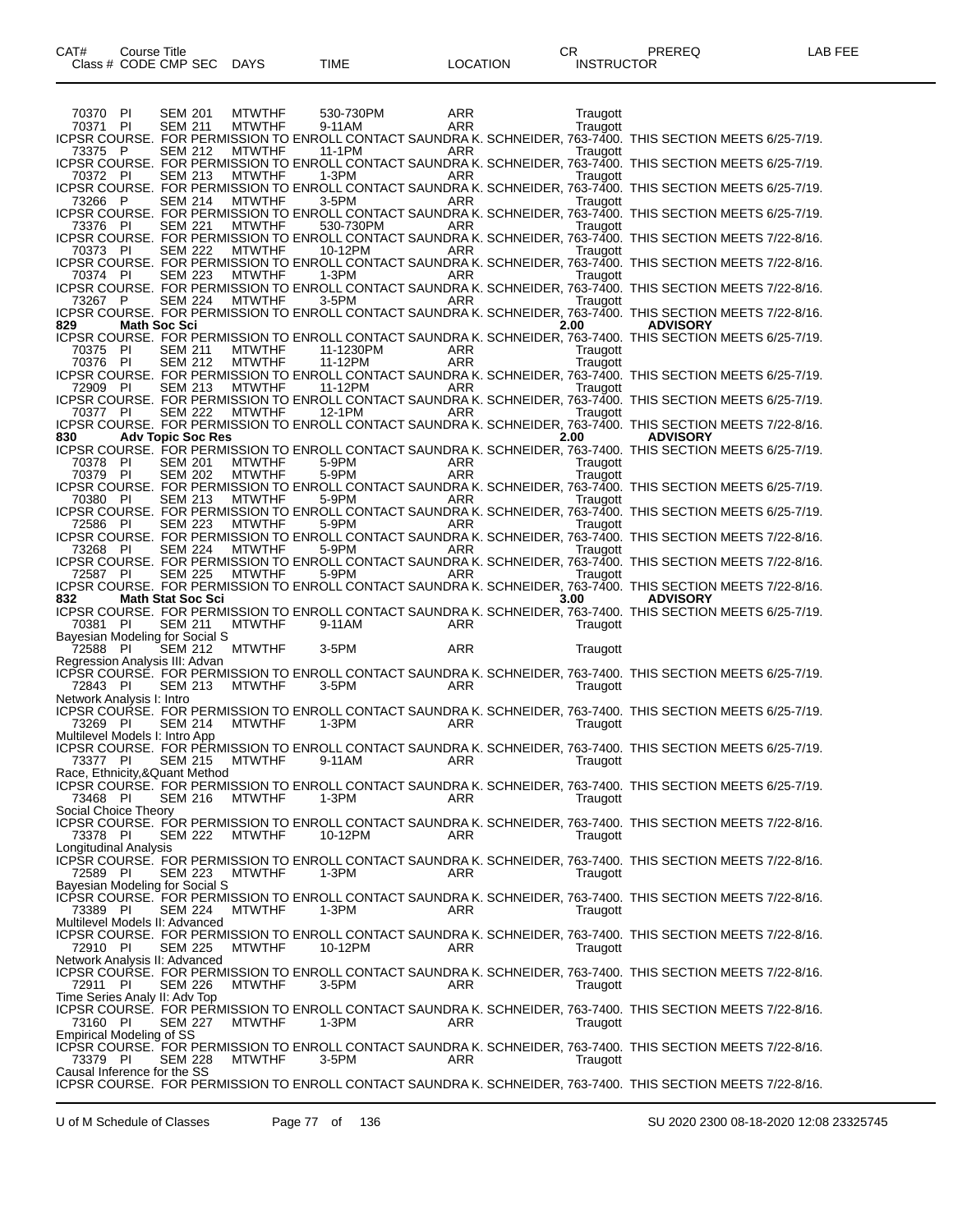70370 PI SEM 201 MTWTHF 530-730PM ARR Traugott 70371 PI SEM 211 MTWTHF 9-11AM ARR Traugott ICPSR COURSE. FOR PERMISSION TO ENROLL CONTACT SAUNDRA K. SCHNEIDER, 763-7400. THIS SECTION MEETS 6/25-7/19. 73375 P SEM 212 MTWTHF 11-1PM ARR ARR Traugott ICPSR COURSE. FOR PERMISSION TO ENROLL CONTACT SAUNDRA K. SCHNEIDER, 763-7400. THIS SECTION MEETS 6/25-7/19. 70372 PI SEM 213 MTWTHF 1-3PM ARR Traugott ICPSR COURSE. FOR PERMISSION TO ENROLL CONTACT SAUNDRA K. SCHNEIDER, 763-7400. THIS SECTION MEETS 6/25-7/19. 73266 P SEM 214 MTWTHF 3-5PM ARR Traugott ICPSR COURSE. FOR PERMISSION TO ENROLL CONTACT SAUNDRA K. SCHNEIDER, 763-7400. THIS SECTION MEETS 6/25-7/19. 73376 PI SEM 221 MTWTHF 530-730PM ARR Traugott ICPSR COURSE. FOR PERMISSION TO ENROLL CONTACT SAUNDRA K. SCHNEIDER, 763-7400. THIS SECTION MEETS 7/22-8/16. 70373 PI SEM 222 MTWTHF 10-12PM ARR Traugott ICPSR COURSE. FOR PERMISSION TO ENROLL CONTACT SAUNDRA K. SCHNEIDER, 763-7400. THIS SECTION MEETS 7/22-8/16. 70374 PI SEM 223 MTWTHF 1-3PM ARR Traugott ICPSR COURSE. FOR PERMISSION TO ENROLL CONTACT SAUNDRA K. SCHNEIDER, 763-7400. THIS SECTION MEETS 7/22-8/16. 73267 P SEM 224 MTWTHF 3-5PM ARR Traugott ICPSR COURSE. FOR PERMISSION TO ENROLL CONTACT SAUNDRA K. SCHNEIDER, 763-7400. THIS SECTION MEETS 7/22-8/16. **829 Math Soc Sci 2.00 ADVISORY** ICPSR COURSE. FOR PERMISSION TO ENROLL CONTACT SAUNDRA K. SCHNEIDER, 763-7400. THIS SECTION MEETS 6/25-7/19. 70375 PI SEM 211 MTWTHF 11-1230PM ARR ARR Traugott 70376 PI SEM 212 MTWTHF 11-12PM ARR Traugott ICPSR COURSE. FOR PERMISSION TO ENROLL CONTACT SAUNDRA K. SCHNEIDER, 763-7400. THIS SECTION MEETS 6/25-7/19. 72909 PI SEM 213 MTWTHF 11-12PM ARR ARR Traugott ICPSR COURSE. FOR PERMISSION TO ENROLL CONTACT SAUNDRA K. SCHNEIDER, 763-7400. THIS SECTION MEETS 6/25-7/19. 70377 PI SEM 222 MTWTHF 12-1PM ARR ARR Traugott TO THE SEM 222 MTWTHE 12-1PM ARR Traugott<br>ICPSR COURSE. FOR PERMISSION TO ENROLL CONTACT SAUNDRA K. SCHNEIDER, 763-7400. THIS SECTION MEETS 7/22-8/16. **830 Adv Topic Soc Res 2.00 ADVISORY** ICPSR COURSE. FOR PERMISSION TO ENROLL CONTACT SAUNDRA K. SCHNEIDER, 763-7400. THIS SECTION MEETS 6/25-7/19. 70378 PI SEM 201 MTWTHF 5-9PM ARR Traugott 70379 PI SEM 202 MTWTHF 5-9PM ARR Traugott ICPSR COURSE. FOR PERMISSION TO ENROLL CONTACT SAUNDRA K. SCHNEIDER, 763-7400. THIS SECTION MEETS 6/25-7/19. 70380 PI SEM 213 MTWTHF 5-9PM ARR Traugott ICPSR COURSE. FOR PERMISSION TO ENROLL CONTACT SAUNDRA K. SCHNEIDER, 763-7400. THIS SECTION MEETS 6/25-7/19. 72586 PI SEM 223 MTWTHF 5-9PM ARR Traugott ICPSR COURSE. FOR PERMISSION TO ENROLL CONTACT SAUNDRA K. SCHNEIDER, 763-7400. THIS SECTION MEETS 7/22-8/16. 73268 PI SEM 224 MTWTHF 5-9PM ARR Traugott ICPSR COURSE. FOR PERMISSION TO ENROLL CONTACT SAUNDRA K. SCHNEIDER, 763-7400. THIS SECTION MEETS 7/22-8/16. 72587 PI SEM 225 MTWTHF 5-9PM ARR Traugott ICPSR COURSE. FOR PERMISSION TO ENROLL CONTACT SAUNDRA K. SCHNEIDER, 763-7400. THIS SECTION MEETS 7/22-8/16. **832 Math Stat Soc Sci 3.00 ADVISORY** ICPSR COURSE. FOR PERMISSION TO ENROLL CONTACT SAUNDRA K. SCHNEIDER, 763-7400. THIS SECTION MEETS 6/25-7/19. 70381 PI SEM 211 MTWTHF 9-11AM ARR Traugott Bayesian Modeling for Social S<br>72588 PI SEM 212 MTWTHF 72588 PI SEM 212 MTWTHF 3-5PM ARR Traugott Regression Analysis III: Advan ICPSR COURSE. FOR PERMISSION TO ENROLL CONTACT SAUNDRA K. SCHNEIDER, 763-7400. THIS SECTION MEETS 6/25-7/19. 72843 PI SEM 213 MTWTHF 3-5PM ARR ARR Traugott Network Analysis I: Intro ICPSR COURSE. FOR PERMISSION TO ENROLL CONTACT SAUNDRA K. SCHNEIDER, 763-7400. THIS SECTION MEETS 6/25-7/19. 73269 PI SEM 214 MTWTHF 1-3PM ARR Traugott Multilevel Models I: Intro App ICPSR COURSE. FOR PERMISSION TO ENROLL CONTACT SAUNDRA K. SCHNEIDER, 763-7400. THIS SECTION MEETS 6/25-7/19.<br>73377 PI SEM 215 MTWTHF 9-11AM ARR Traugott 73377 PI SEM 215 MTWTHF 9-11AM ARR Traugott Race, Ethnicity,&Quant Method ICPSR COURSE. FOR PERMISSION TO ENROLL CONTACT SAUNDRA K. SCHNEIDER, 763-7400. THIS SECTION MEETS 6/25-7/19. 73468 PI SEM 216 MTWTHF 1-3PM ARR Traugott Social Choice Theory ICPSR COURSE. FOR PERMISSION TO ENROLL CONTACT SAUNDRA K. SCHNEIDER, 763-7400. THIS SECTION MEETS 7/22-8/16. 73378 PI SEM 222 MTWTHF 10-12PM ARR Traugott Longitudinal Analysis ICPSR COURSE. FOR PERMISSION TO ENROLL CONTACT SAUNDRA K. SCHNEIDER, 763-7400. THIS SECTION MEETS 7/22-8/16. 72589 PI SEM 223 MTWTHF 1-3PM ARR Traugott Bayesian Modeling for Social S ICPSR COURSE. FOR PERMISSION TO ENROLL CONTACT SAUNDRA K. SCHNEIDER, 763-7400. THIS SECTION MEETS 7/22-8/16. 73389 PI SEM 224 MTWTHF 1-3PM ARR Traugott Multilevel Models II: Advanced ICPSR COURSE. FOR PERMISSION TO ENROLL CONTACT SAUNDRA K. SCHNEIDER, 763-7400. THIS SECTION MEETS 7/22-8/16.<br>72910 PI SEM 225 MTWTHF 10-12PM ARR Traugott 72910 PI SEM 225 MTWTHF 10-12PM ARR ARR Traugott Network Analysis II: Advanced ICPSR COURSE. FOR PERMISSION TO ENROLL CONTACT SAUNDRA K. SCHNEIDER, 763-7400. THIS SECTION MEETS 7/22-8/16.<br>72911 PI SEM 226 MTWTHF 3-5PM ARR Traugott SEM 226 Time Series Analy II: Adv Top ICPSR COURSE. FOR PERMISSION TO ENROLL CONTACT SAUNDRA K. SCHNEIDER, 763-7400. THIS SECTION MEETS 7/22-8/16. 73160 PI SEM 227 MTWTHF 1-3PM ARR Traugott Empirical Modeling of SS ICPSR COURSE. FOR PERMISSION TO ENROLL CONTACT SAUNDRA K. SCHNEIDER, 763-7400. THIS SECTION MEETS 7/22-8/16. 73379 PI SEM 228 MTWTHF 3-5PM ARR Traugott Causal Inference for the SS ICPSR COURSE. FOR PERMISSION TO ENROLL CONTACT SAUNDRA K. SCHNEIDER, 763-7400. THIS SECTION MEETS 7/22-8/16.

U of M Schedule of Classes Page 77 of 136 SU 2020 2300 08-18-2020 12:08 23325745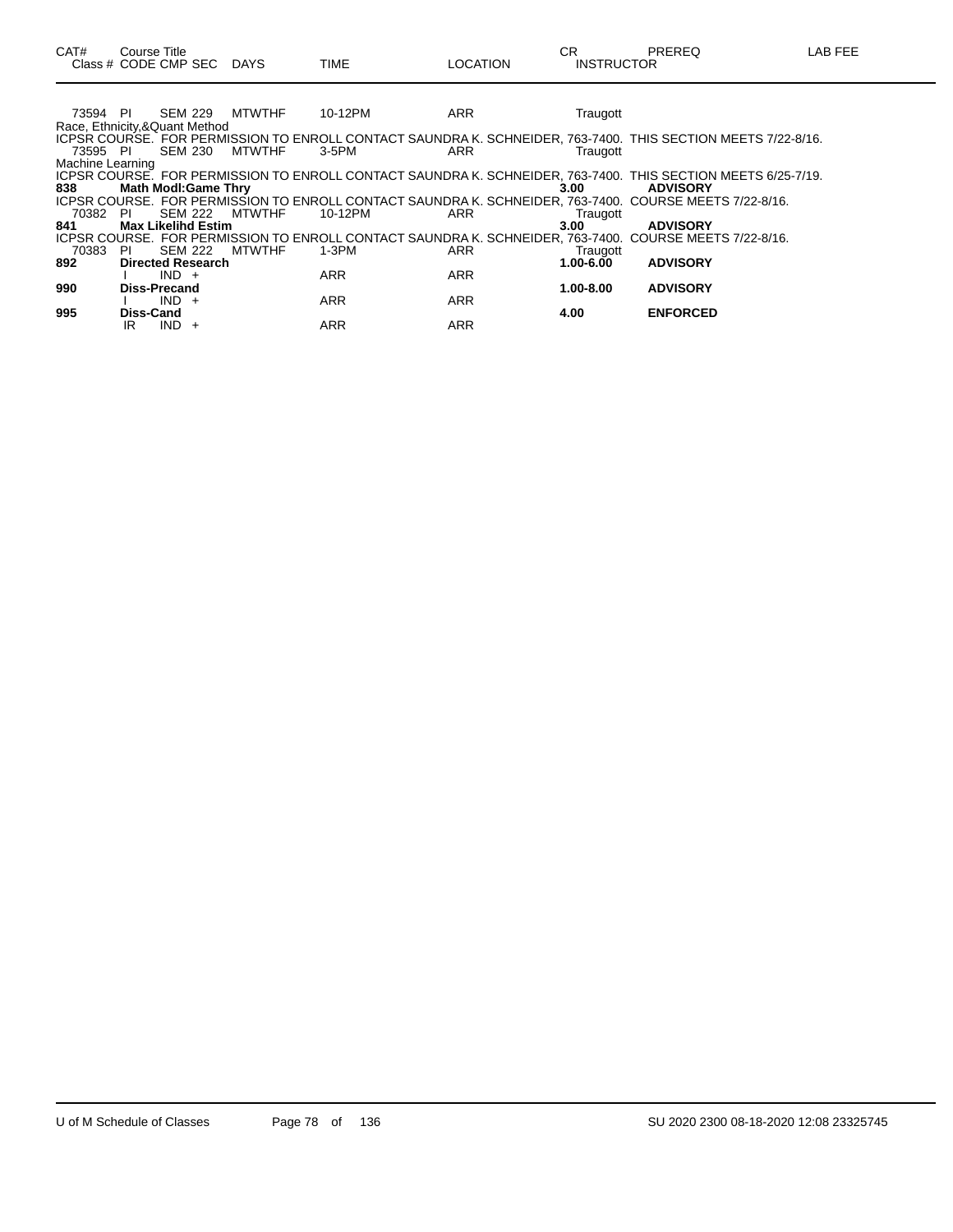73594 PI SEM 229 MTWTHF 10-12PM ARR ARR Traugott Race, Ethnicity,&Quant Method ICPSR COURSE. FOR PERMISSION TO ENROLL CONTACT SAUNDRA K. SCHNEIDER, 763-7400. THIS SECTION MEETS 7/22-8/16. 73595 PI SEM 230 MTWTHF 3-5PM ARR Traugott Machine Learning ICPSR COURSE. FOR PERMISSION TO ENROLL CONTACT SAUNDRA K. SCHNEIDER, 763-7400. THIS SECTION MEETS 6/25-7/19. **838 Math Modl:Game Thry 3.00 ADVISORY** ICPSR COURSE. FOR PERMISSION TO ENROLL CONTACT SAUNDRA K. SCHNEIDER, 763-7400. COURSE MEETS 7/22-8/16. 70382 PI SEM 222 MTWTHF 10-12PM ARR Traugott **841 Max Likelihd Estim 3.00 ADVISORY** ICPSR COURSE. FOR PERMISSION TO ENROLL CONTACT SAUNDRA K. SCHNEIDER, 763-7400. COURSE MEETS 7/22-8/16. Traugott CHARR Traugott CHARR Traugott SEM 222 MTWTHF 1-3PM ARR Traugott 1.00-6.00 **892 Directed Research 1.00-6.00 ADVISORY**  $I$  IND + **990 Diss-Precand 1.00-8.00 ADVISORY**  $\frac{1}{1}$  IND + **995 Diss-Cand 4.00 ENFORCED** IR IND + ARR ARR ARR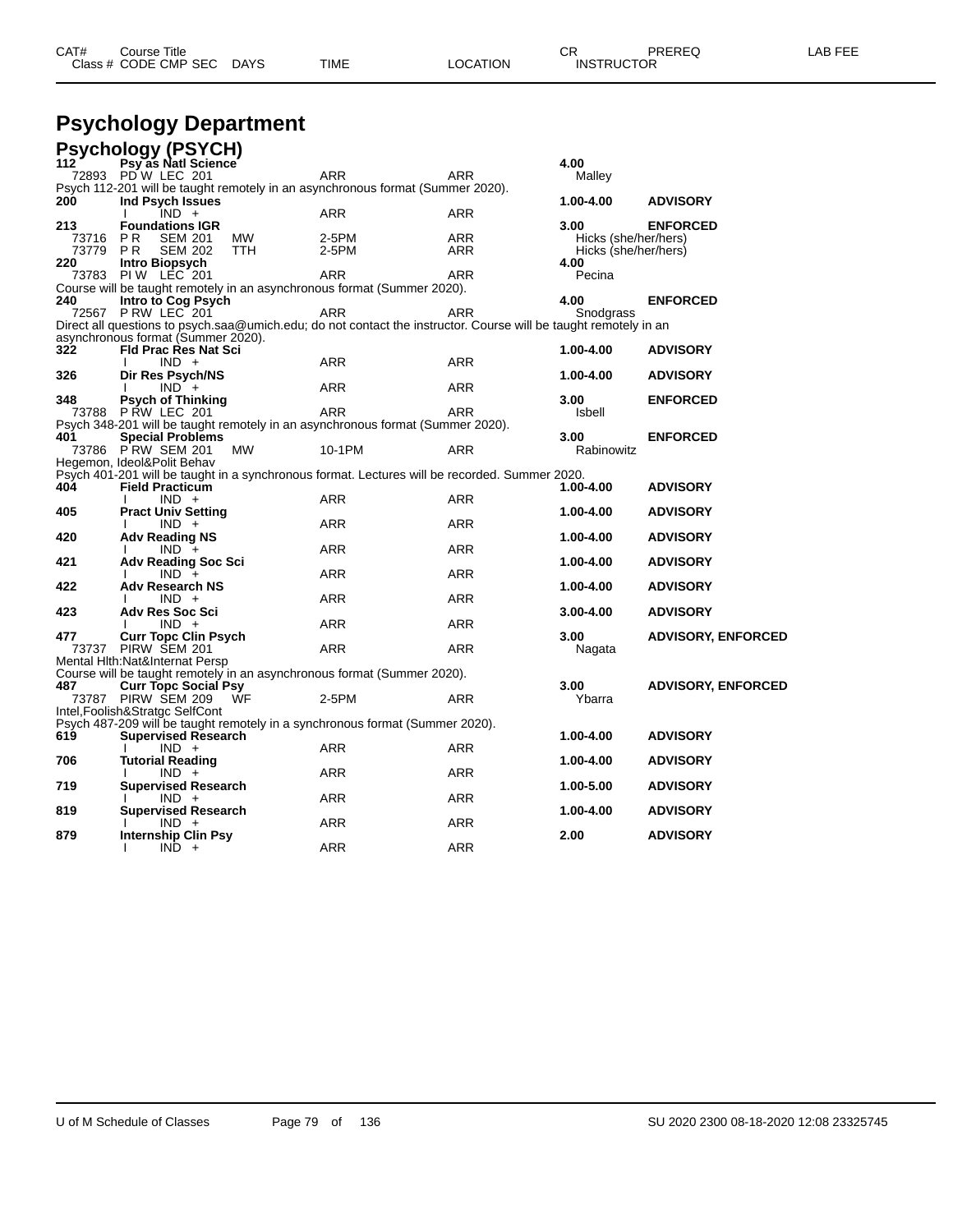| CAT# | ourse Titleٽ              |      |          | חי<br>U⊾          | PREREQ | _AB FEE |
|------|---------------------------|------|----------|-------------------|--------|---------|
|      | Class # CODE CMP SEC DAYS | TIME | LOCATION | <b>INSTRUCTOR</b> |        |         |

# **Psychology Department**

|       | <b>Psychology (PSYCH)</b>                                                                                        |            |            |                      |                           |
|-------|------------------------------------------------------------------------------------------------------------------|------------|------------|----------------------|---------------------------|
| 112   | Psy as Natl Science                                                                                              |            |            | 4.00                 |                           |
|       | 72893 PD W LEC 201                                                                                               | ARR        | ARR        | Malley               |                           |
|       | Psych 112-201 will be taught remotely in an asynchronous format (Summer 2020).                                   |            |            |                      |                           |
| 200   | Ind Psych Issues<br>$IND +$                                                                                      | <b>ARR</b> | ARR        | 1.00-4.00            | <b>ADVISORY</b>           |
| 213   | <b>Foundations IGR</b>                                                                                           |            |            | 3.00                 | <b>ENFORCED</b>           |
| 73716 | P <sub>R</sub><br><b>SEM 201</b><br>МW                                                                           | 2-5PM      | <b>ARR</b> | Hicks (she/her/hers) |                           |
| 73779 | <b>PR</b><br><b>TTH</b><br><b>SEM 202</b>                                                                        | $2-5PM$    | ARR        | Hicks (she/her/hers) |                           |
| 220   | Intro Biopsych                                                                                                   |            |            | 4.00                 |                           |
|       | 73783 PIW LEC 201                                                                                                | <b>ARR</b> | <b>ARR</b> | Pecina               |                           |
|       | Course will be taught remotely in an asynchronous format (Summer 2020).                                          |            |            |                      |                           |
| 240   | Intro to Cog Psych                                                                                               |            |            | 4.00                 | <b>ENFORCED</b>           |
|       | 72567 P RW LEC 201                                                                                               | <b>ARR</b> | <b>ARR</b> | Snodgrass            |                           |
|       | Direct all questions to psych.saa@umich.edu; do not contact the instructor. Course will be taught remotely in an |            |            |                      |                           |
|       | asynchronous format (Summer 2020).                                                                               |            |            |                      |                           |
| 322   | <b>Fld Prac Res Nat Sci</b>                                                                                      |            |            | 1.00-4.00            | <b>ADVISORY</b>           |
|       | $IND +$                                                                                                          | <b>ARR</b> | <b>ARR</b> |                      |                           |
| 326   | Dir Res Psych/NS<br>$IND +$                                                                                      | <b>ARR</b> | <b>ARR</b> | 1.00-4.00            | <b>ADVISORY</b>           |
| 348   | <b>Psych of Thinking</b>                                                                                         |            |            | 3.00                 | <b>ENFORCED</b>           |
|       | 73788 P RW LEC 201                                                                                               | <b>ARR</b> | <b>ARR</b> | Isbell               |                           |
|       | Psych 348-201 will be taught remotely in an asynchronous format (Summer 2020).                                   |            |            |                      |                           |
| 401   | <b>Special Problems</b>                                                                                          |            |            | 3.00                 | <b>ENFORCED</b>           |
|       | 73786 PRW SEM 201<br>MW                                                                                          | 10-1PM     | <b>ARR</b> | Rabinowitz           |                           |
|       | Hegemon, Ideol&Polit Behav                                                                                       |            |            |                      |                           |
|       | Psych 401-201 will be taught in a synchronous format. Lectures will be recorded. Summer 2020.                    |            |            |                      |                           |
| 404   | <b>Field Practicum</b>                                                                                           |            |            | 1.00-4.00            | <b>ADVISORY</b>           |
|       | $IND +$                                                                                                          | <b>ARR</b> | <b>ARR</b> |                      |                           |
| 405   | <b>Pract Univ Setting</b>                                                                                        |            |            | 1.00-4.00            | <b>ADVISORY</b>           |
|       | $IND +$                                                                                                          | ARR        | <b>ARR</b> |                      |                           |
| 420   | <b>Adv Reading NS</b><br>$IND +$                                                                                 | <b>ARR</b> | <b>ARR</b> | 1.00-4.00            | <b>ADVISORY</b>           |
| 421   | <b>Adv Reading Soc Sci</b>                                                                                       |            |            | 1.00-4.00            | <b>ADVISORY</b>           |
|       | $IND +$                                                                                                          | <b>ARR</b> | <b>ARR</b> |                      |                           |
| 422   | <b>Adv Research NS</b>                                                                                           |            |            | 1.00-4.00            | <b>ADVISORY</b>           |
|       | $IND +$                                                                                                          | <b>ARR</b> | <b>ARR</b> |                      |                           |
| 423   | <b>Adv Res Soc Sci</b>                                                                                           |            |            | $3.00 - 4.00$        | <b>ADVISORY</b>           |
|       | $IND +$                                                                                                          | <b>ARR</b> | <b>ARR</b> |                      |                           |
| 477   | <b>Curr Topc Clin Psych</b>                                                                                      |            |            | 3.00                 | <b>ADVISORY, ENFORCED</b> |
|       | 73737 PIRW SEM 201                                                                                               | <b>ARR</b> | <b>ARR</b> | Nagata               |                           |
|       | Mental Hith: Nat&Internat Persp                                                                                  |            |            |                      |                           |
|       | Course will be taught remotely in an asynchronous format (Summer 2020).                                          |            |            |                      |                           |
| 487   | <b>Curr Topc Social Psy</b>                                                                                      |            |            | 3.00                 | <b>ADVISORY, ENFORCED</b> |
|       | 73787 PIRW SEM 209<br>ŴF<br>Intel, Foolish&Stratgc SelfCont                                                      | 2-5PM      | <b>ARR</b> | Ybarra               |                           |
|       | Psych 487-209 will be taught remotely in a synchronous format (Summer 2020).                                     |            |            |                      |                           |
| 619   | <b>Supervised Research</b>                                                                                       |            |            | 1.00-4.00            | <b>ADVISORY</b>           |
|       | $IND +$                                                                                                          | ARR        | ARR        |                      |                           |
| 706   | <b>Tutorial Reading</b>                                                                                          |            |            | 1.00-4.00            | <b>ADVISORY</b>           |
|       | $IND +$                                                                                                          | <b>ARR</b> | <b>ARR</b> |                      |                           |
| 719   | <b>Supervised Research</b>                                                                                       |            |            | 1.00-5.00            | <b>ADVISORY</b>           |
|       | $IND +$                                                                                                          | ARR        | ARR        |                      |                           |
| 819   | <b>Supervised Research</b>                                                                                       |            |            | 1.00-4.00            | <b>ADVISORY</b>           |
|       | $IND +$                                                                                                          | <b>ARR</b> | ARR        |                      |                           |
| 879   | <b>Internship Clin Psy</b><br>л.                                                                                 |            | <b>ARR</b> | 2.00                 | <b>ADVISORY</b>           |
|       | $IND +$                                                                                                          | ARR        |            |                      |                           |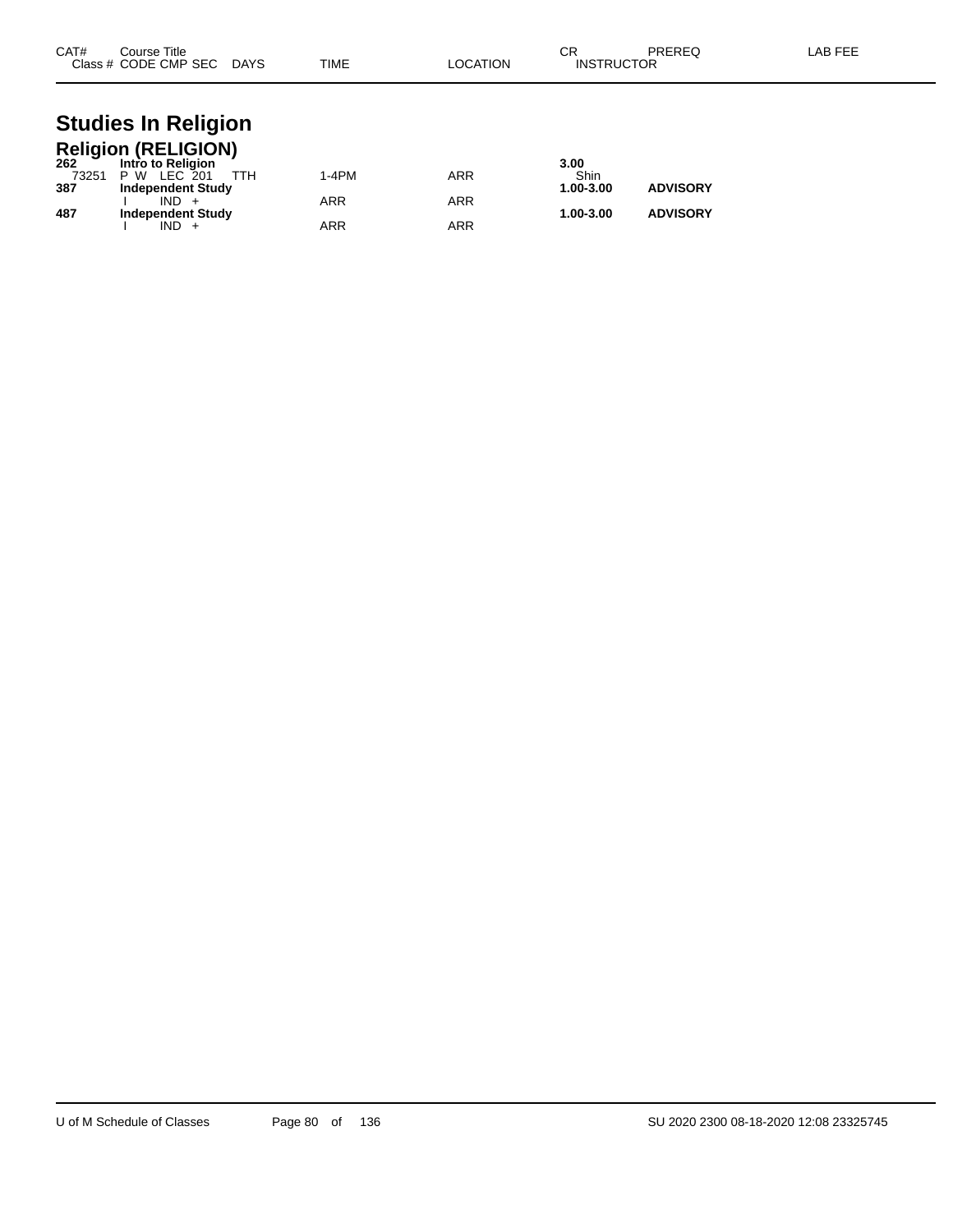| CAT#<br>Course Title<br>Class # CODE CMP SEC | <b>DAYS</b> | <b>TIME</b> | _OCATION | ∼г<br>◡<br><b>INSTRUCTOR</b> | PREREQ | LAB FEE |
|----------------------------------------------|-------------|-------------|----------|------------------------------|--------|---------|
|                                              |             |             |          |                              |        |         |

#### **Studies In Religion Religion (RELIGION)**

| 262   | Intro to Religion        |            |     | 3.00      |                 |
|-------|--------------------------|------------|-----|-----------|-----------------|
| 73251 | TTH<br>P W LEC 201       | 1-4PM      | ARR | Shin      |                 |
| 387   | <b>Independent Study</b> |            |     | 1.00-3.00 | <b>ADVISORY</b> |
|       | $IND +$                  | ARR        | ARR |           |                 |
| 487   | <b>Independent Study</b> |            |     | 1.00-3.00 | <b>ADVISORY</b> |
|       | $IND +$                  | <b>ARR</b> | ARR |           |                 |
|       |                          |            |     |           |                 |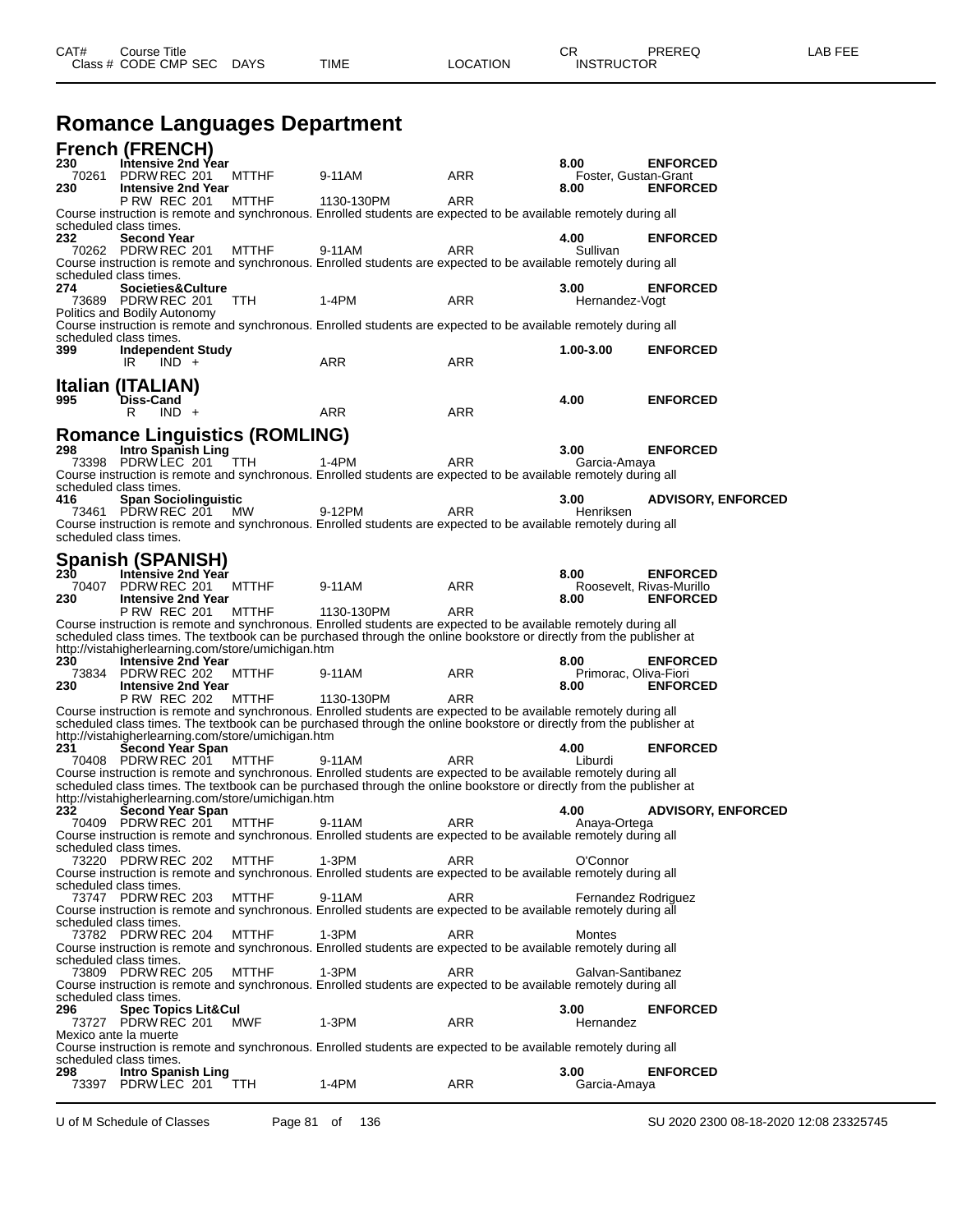## **Romance Languages Department**

|              | <b>French (FRENCH)</b>                                |                                                    |                                                                                                                                                                                                                                         |            |                                  |                           |
|--------------|-------------------------------------------------------|----------------------------------------------------|-----------------------------------------------------------------------------------------------------------------------------------------------------------------------------------------------------------------------------------------|------------|----------------------------------|---------------------------|
| 230<br>70261 | Intensive 2nd Year<br>PDRW REC 201                    | <b>MTTHF</b>                                       | 9-11AM                                                                                                                                                                                                                                  | ARR        | 8.00<br>Foster, Gustan-Grant     | <b>ENFORCED</b>           |
| 230          | <b>Intensive 2nd Year</b>                             |                                                    |                                                                                                                                                                                                                                         |            | 8.00                             | <b>ENFORCED</b>           |
|              | <b>P RW REC 201</b>                                   | <b>MTTHF</b>                                       | 1130-130PM                                                                                                                                                                                                                              | <b>ARR</b> |                                  |                           |
|              | scheduled class times.                                |                                                    | Course instruction is remote and synchronous. Enrolled students are expected to be available remotely during all                                                                                                                        |            |                                  |                           |
| 232          | <b>Second Year</b>                                    |                                                    |                                                                                                                                                                                                                                         |            | 4.00                             | <b>ENFORCED</b>           |
|              | 70262 PDRW REC 201                                    | <b>MTTHF</b>                                       | 9-11AM<br>Course instruction is remote and synchronous. Enrolled students are expected to be available remotely during all                                                                                                              | <b>ARR</b> | Sullivan                         |                           |
|              | scheduled class times.                                |                                                    |                                                                                                                                                                                                                                         |            |                                  |                           |
| 274          | Societies&Culture                                     |                                                    |                                                                                                                                                                                                                                         |            | 3.00                             | <b>ENFORCED</b>           |
|              | 73689 PDRW REC 201<br>Politics and Bodily Autonomy    | TTH.                                               | 1-4PM                                                                                                                                                                                                                                   | ARR        | Hernandez-Vogt                   |                           |
|              |                                                       |                                                    | Course instruction is remote and synchronous. Enrolled students are expected to be available remotely during all                                                                                                                        |            |                                  |                           |
|              | scheduled class times.                                |                                                    |                                                                                                                                                                                                                                         |            |                                  | <b>ENFORCED</b>           |
| 399          | <b>Independent Study</b><br>IR.<br>$IND +$            |                                                    | <b>ARR</b>                                                                                                                                                                                                                              | ARR        | 1.00-3.00                        |                           |
|              |                                                       |                                                    |                                                                                                                                                                                                                                         |            |                                  |                           |
| 995          | Italian (ITALIAN)<br>Diss-Cand                        |                                                    |                                                                                                                                                                                                                                         |            | 4.00                             | <b>ENFORCED</b>           |
|              | R<br>$IND +$                                          |                                                    | ARR                                                                                                                                                                                                                                     | ARR        |                                  |                           |
|              |                                                       |                                                    |                                                                                                                                                                                                                                         |            |                                  |                           |
| 298          | Intro Spanish Ling                                    | <b>Romance Linguistics (ROMLING)</b>               |                                                                                                                                                                                                                                         |            | 3.00                             | <b>ENFORCED</b>           |
|              | 73398 PDRWLEC 201                                     | TTH.                                               | 1-4PM                                                                                                                                                                                                                                   | <b>ARR</b> | Garcia-Amaya                     |                           |
|              |                                                       |                                                    | Course instruction is remote and synchronous. Enrolled students are expected to be available remotely during all                                                                                                                        |            |                                  |                           |
| 416          | scheduled class times.<br><b>Span Sociolinguistic</b> |                                                    |                                                                                                                                                                                                                                         |            | 3.00                             | <b>ADVISORY, ENFORCED</b> |
|              | 73461 PDRW REC 201                                    | MW                                                 | 9-12PM                                                                                                                                                                                                                                  | ARR        | Henriksen                        |                           |
|              | scheduled class times.                                |                                                    | Course instruction is remote and synchronous. Enrolled students are expected to be available remotely during all                                                                                                                        |            |                                  |                           |
|              |                                                       |                                                    |                                                                                                                                                                                                                                         |            |                                  |                           |
|              | Spanish (SPANISH)                                     |                                                    |                                                                                                                                                                                                                                         |            |                                  |                           |
| 230<br>70407 | Intensive 2nd Year<br>PDRW REC 201                    | <b>MTTHF</b>                                       | 9-11AM                                                                                                                                                                                                                                  | ARR        | 8.00<br>Roosevelt, Rivas-Murillo | <b>ENFORCED</b>           |
| 230          | <b>Intensive 2nd Year</b>                             |                                                    |                                                                                                                                                                                                                                         |            | 8.00                             | <b>ENFORCED</b>           |
|              | <b>P RW REC 201</b>                                   | <b>MTTHF</b>                                       | 1130-130PM                                                                                                                                                                                                                              | ARR        |                                  |                           |
|              |                                                       |                                                    | Course instruction is remote and synchronous. Enrolled students are expected to be available remotely during all<br>scheduled class times. The textbook can be purchased through the online bookstore or directly from the publisher at |            |                                  |                           |
|              |                                                       | http://vistahigherlearning.com/store/umichigan.htm |                                                                                                                                                                                                                                         |            |                                  |                           |
| 230<br>73834 | <b>Intensive 2nd Year</b><br>PDRW REC 202             | <b>MTTHF</b>                                       | 9-11AM                                                                                                                                                                                                                                  | ARR        | 8.00<br>Primorac, Oliva-Fiori    | <b>ENFORCED</b>           |
| 230          | <b>Intensive 2nd Year</b>                             |                                                    |                                                                                                                                                                                                                                         |            | 8.00                             | <b>ENFORCED</b>           |
|              | <b>P RW REC 202</b>                                   | <b>MTTHF</b>                                       | 1130-130PM                                                                                                                                                                                                                              | <b>ARR</b> |                                  |                           |
|              |                                                       |                                                    | Course instruction is remote and synchronous. Enrolled students are expected to be available remotely during all<br>scheduled class times. The textbook can be purchased through the online bookstore or directly from the publisher at |            |                                  |                           |
|              |                                                       | http://vistahigherlearning.com/store/umichigan.htm |                                                                                                                                                                                                                                         |            |                                  |                           |
| 231          | Second Year Span<br>70408 PDRW REC 201                | <b>MTTHF</b>                                       | 9-11AM                                                                                                                                                                                                                                  | ARR        | 4.00<br>Liburdi                  | <b>ENFORCED</b>           |
|              |                                                       |                                                    | Course instruction is remote and synchronous. Enrolled students are expected to be available remotely during all                                                                                                                        |            |                                  |                           |
|              |                                                       |                                                    | scheduled class times. The textbook can be purchased through the online bookstore or directly from the publisher at                                                                                                                     |            |                                  |                           |
| 232          | <b>Second Year Span</b>                               | http://vistahigherlearning.com/store/umichigan.htm |                                                                                                                                                                                                                                         |            | 4.00                             | <b>ADVISORY, ENFORCED</b> |
|              | 70409 PDRW REC 201                                    | MTTHF                                              | 9-11AM                                                                                                                                                                                                                                  | ARR        | Anaya-Ortega                     |                           |
|              |                                                       |                                                    | Course instruction is remote and synchronous. Enrolled students are expected to be available remotely during all                                                                                                                        |            |                                  |                           |
|              | scheduled class times.<br>73220 PDRW REC 202          | <b>MTTHF</b>                                       | 1-3PM                                                                                                                                                                                                                                   | ARR        | O'Connor                         |                           |
|              |                                                       |                                                    | Course instruction is remote and synchronous. Enrolled students are expected to be available remotely during all                                                                                                                        |            |                                  |                           |
|              | scheduled class times.<br>73747 PDRW REC 203          | <b>MTTHF</b>                                       | 9-11AM                                                                                                                                                                                                                                  | ARR        | Fernandez Rodriguez              |                           |
|              |                                                       |                                                    | Course instruction is remote and synchronous. Enrolled students are expected to be available remotely during all                                                                                                                        |            |                                  |                           |
|              | scheduled class times.                                |                                                    |                                                                                                                                                                                                                                         |            |                                  |                           |
|              | 73782 PDRW REC 204                                    | <b>MTTHF</b>                                       | 1-3PM<br>Course instruction is remote and synchronous. Enrolled students are expected to be available remotely during all                                                                                                               | ARR        | Montes                           |                           |
|              | scheduled class times.                                |                                                    |                                                                                                                                                                                                                                         |            |                                  |                           |
|              | 73809 PDRW REC 205                                    | <b>MTTHF</b>                                       | 1-3PM                                                                                                                                                                                                                                   | ARR        | Galvan-Santibanez                |                           |
|              | scheduled class times.                                |                                                    | Course instruction is remote and synchronous. Enrolled students are expected to be available remotely during all                                                                                                                        |            |                                  |                           |
| 296          | <b>Spec Topics Lit&amp;Cul</b>                        |                                                    |                                                                                                                                                                                                                                         |            | 3.00                             | <b>ENFORCED</b>           |
|              | 73727 PDRW REC 201<br>Mexico ante la muerte           | MWF                                                | 1-3PM                                                                                                                                                                                                                                   | ARR        | Hernandez                        |                           |
|              |                                                       |                                                    | Course instruction is remote and synchronous. Enrolled students are expected to be available remotely during all                                                                                                                        |            |                                  |                           |
|              | scheduled class times.                                |                                                    |                                                                                                                                                                                                                                         |            |                                  |                           |
| 298          | <b>Intro Spanish Ling</b><br>73397 PDRW LEC 201       | TTH.                                               | 1-4PM                                                                                                                                                                                                                                   | ARR        | 3.00<br>Garcia-Amaya             | <b>ENFORCED</b>           |
|              |                                                       |                                                    |                                                                                                                                                                                                                                         |            |                                  |                           |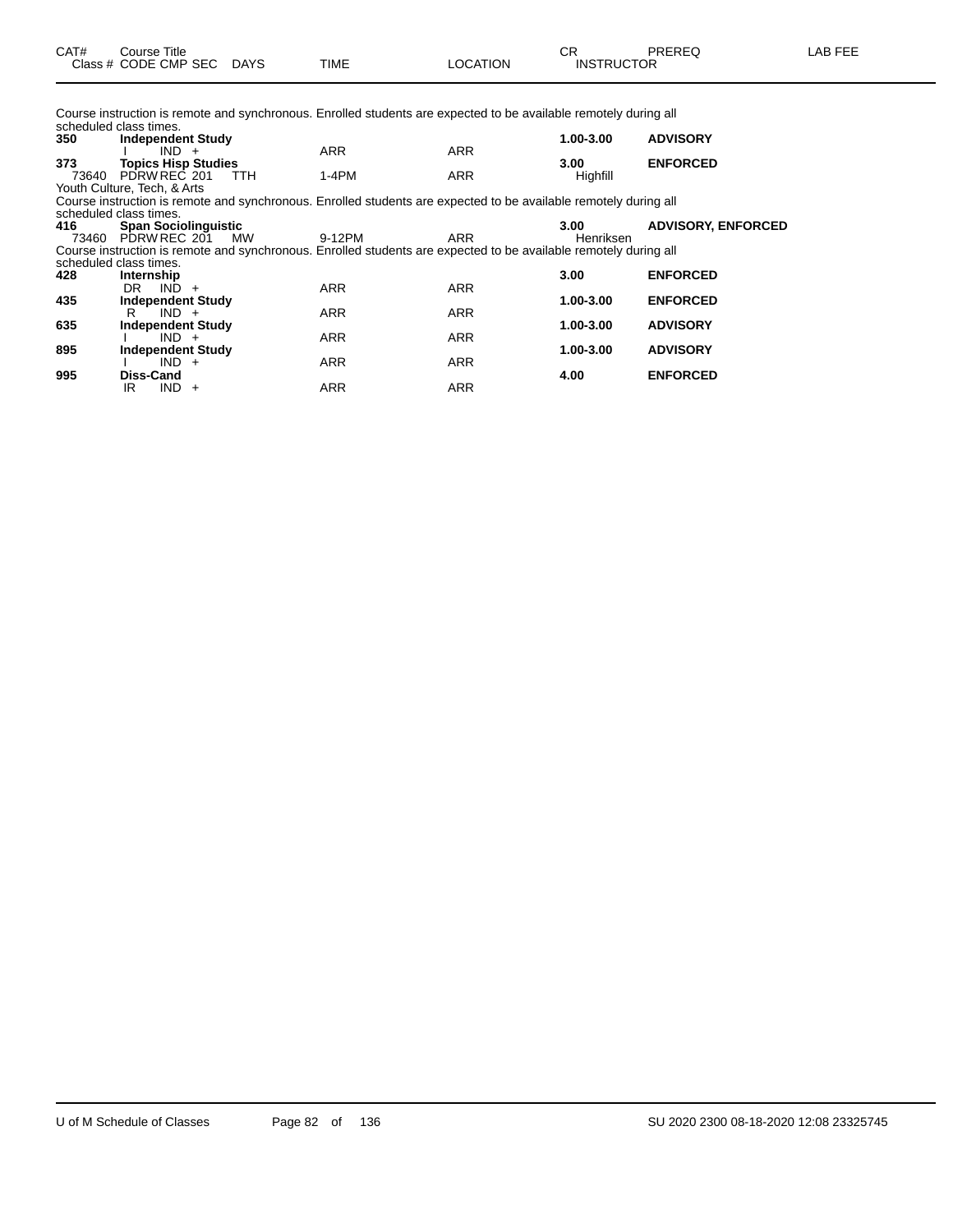Course instruction is remote and synchronous. Enrolled students are expected to be available remotely during all scheduled class times.

| 350                         | <b>Independent Study</b>    |         |            |                                                                                                                  |            | 1.00-3.00     | <b>ADVISORY</b>           |
|-----------------------------|-----------------------------|---------|------------|------------------------------------------------------------------------------------------------------------------|------------|---------------|---------------------------|
|                             |                             | $IND +$ |            | <b>ARR</b>                                                                                                       | <b>ARR</b> |               |                           |
| 373                         | <b>Topics Hisp Studies</b>  |         |            |                                                                                                                  |            | 3.00          | <b>ENFORCED</b>           |
| 73640                       | PDRW REC 201                |         | <b>TTH</b> | $1-4PM$                                                                                                          | <b>ARR</b> | Highfill      |                           |
| Youth Culture, Tech, & Arts |                             |         |            |                                                                                                                  |            |               |                           |
|                             |                             |         |            | Course instruction is remote and synchronous. Enrolled students are expected to be available remotely during all |            |               |                           |
| scheduled class times.      |                             |         |            |                                                                                                                  |            |               |                           |
| 416                         | <b>Span Sociolinguistic</b> |         |            |                                                                                                                  |            | 3.00          | <b>ADVISORY, ENFORCED</b> |
|                             | 73460 PDRW REC 201          |         | <b>MW</b>  | 9-12PM                                                                                                           | ARR        | Henriksen     |                           |
|                             |                             |         |            | Course instruction is remote and synchronous. Enrolled students are expected to be available remotely during all |            |               |                           |
| scheduled class times.      |                             |         |            |                                                                                                                  |            |               |                           |
| 428                         | Internship                  |         |            |                                                                                                                  |            | 3.00          | <b>ENFORCED</b>           |
|                             | DR.                         | $IND +$ |            | <b>ARR</b>                                                                                                       | <b>ARR</b> |               |                           |
| 435                         | <b>Independent Study</b>    |         |            |                                                                                                                  |            | $1.00 - 3.00$ | <b>ENFORCED</b>           |
|                             | R                           | $IND +$ |            | <b>ARR</b>                                                                                                       | <b>ARR</b> |               |                           |
| 635                         | <b>Independent Study</b>    |         |            |                                                                                                                  |            | 1.00-3.00     | <b>ADVISORY</b>           |
|                             |                             | $IND +$ |            | <b>ARR</b>                                                                                                       | <b>ARR</b> |               |                           |
| 895                         | <b>Independent Study</b>    |         |            |                                                                                                                  |            | 1.00-3.00     | <b>ADVISORY</b>           |
|                             |                             | $IND +$ |            | <b>ARR</b>                                                                                                       | <b>ARR</b> |               |                           |
| 995                         | Diss-Cand                   |         |            |                                                                                                                  |            | 4.00          | <b>ENFORCED</b>           |
|                             | IR                          | $IND +$ |            | <b>ARR</b>                                                                                                       | <b>ARR</b> |               |                           |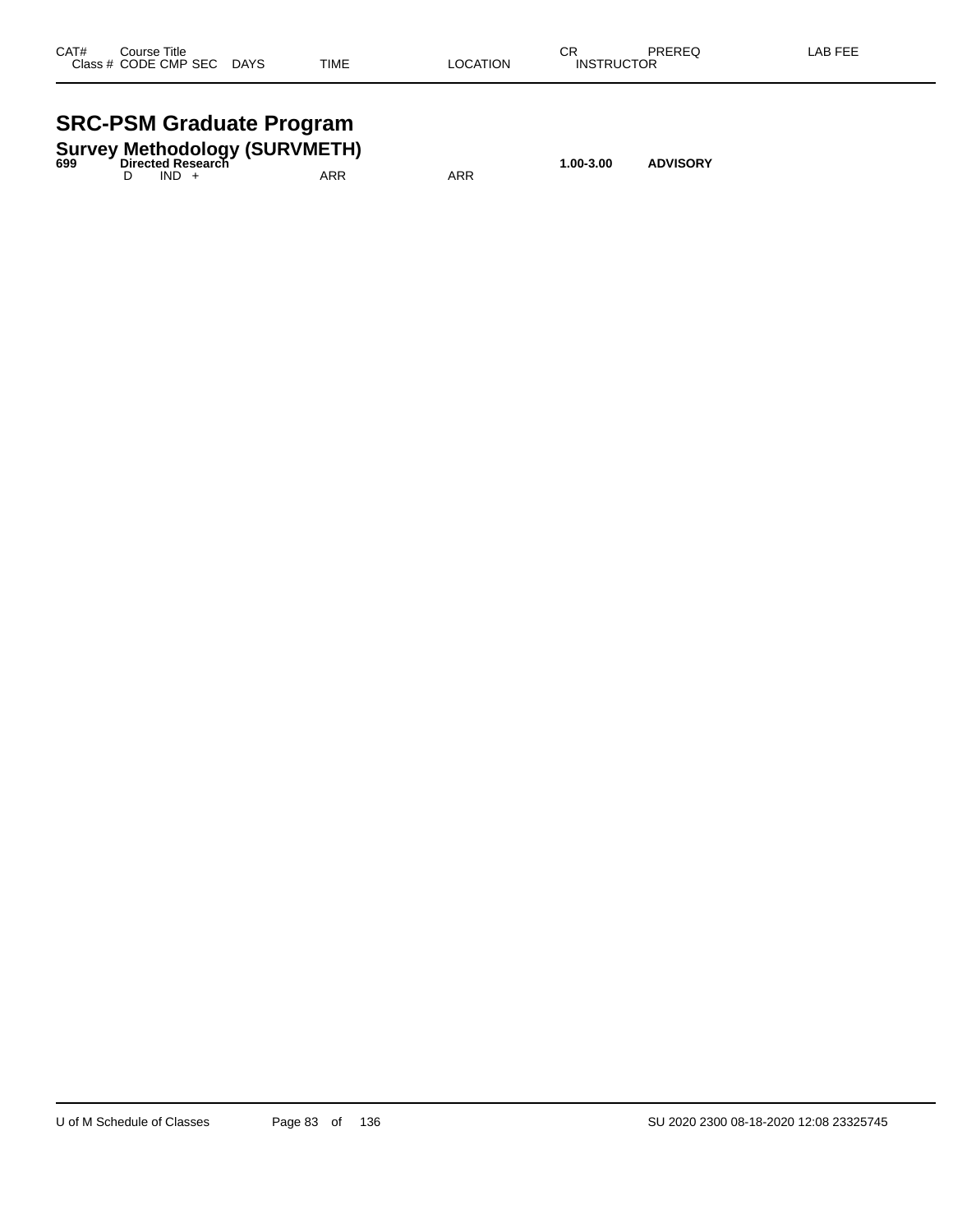| CAT# | Course Title<br>Class # CODE CMP SEC | <b>DAYS</b> | <b>TIME</b> | <b>LOCATION</b> | СR<br><b>INSTRUCTOR</b> | <b>PREREQ</b> | LAB FEE |
|------|--------------------------------------|-------------|-------------|-----------------|-------------------------|---------------|---------|
|      |                                      |             |             |                 |                         |               |         |

## **SRC-PSM Graduate Program**

|     |                   | <b>UNU-LUM ULAUGHE LIUGIAIII</b>     |     |           |                 |  |
|-----|-------------------|--------------------------------------|-----|-----------|-----------------|--|
| 699 | Directed Research | <b>Survey Methodology (SURVMETH)</b> |     | 1.00-3.00 | <b>ADVISORY</b> |  |
|     | $IND +$           | ARR                                  | ARR |           |                 |  |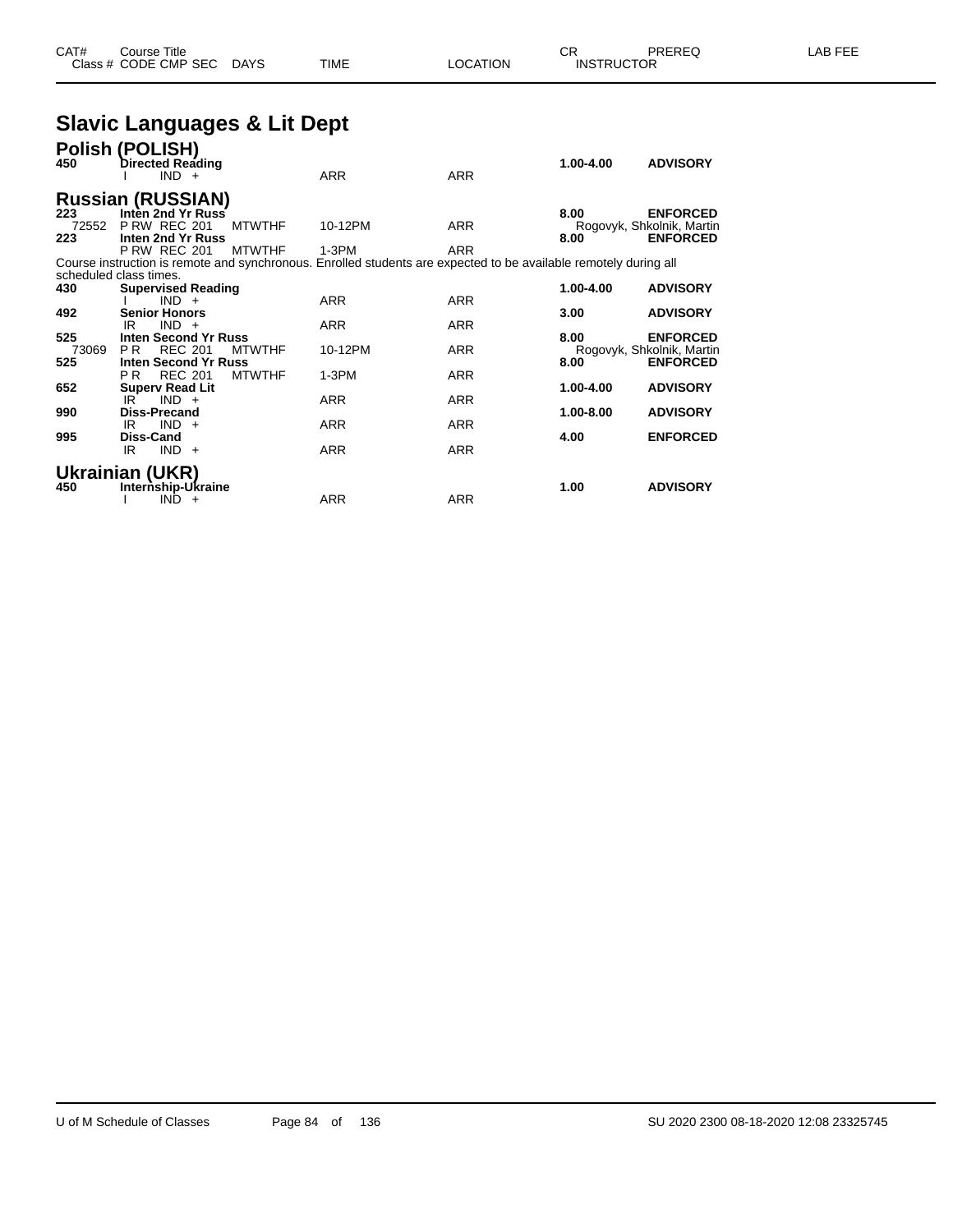## **Slavic Languages & Lit Dept**

| 450   | Polish (POLISH)<br>Directed Reading<br>$IND +$ |               | <b>ARR</b>                                                                                                       | <b>ARR</b> | 1.00-4.00 | <b>ADVISORY</b>           |
|-------|------------------------------------------------|---------------|------------------------------------------------------------------------------------------------------------------|------------|-----------|---------------------------|
|       | <b>Russian (RUSSIAN)</b>                       |               |                                                                                                                  |            |           |                           |
| 223   | Inten 2nd Yr Russ                              |               |                                                                                                                  |            | 8.00      | <b>ENFORCED</b>           |
| 72552 | <b>P RW REC 201</b>                            | <b>MTWTHF</b> | 10-12PM                                                                                                          | <b>ARR</b> |           | Rogovyk, Shkolnik, Martin |
| 223   | Inten 2nd Yr Russ                              |               |                                                                                                                  |            | 8.00      | <b>ENFORCED</b>           |
|       | <b>P RW REC 201</b>                            | <b>MTWTHF</b> | $1-3PM$                                                                                                          | <b>ARR</b> |           |                           |
|       |                                                |               | Course instruction is remote and synchronous. Enrolled students are expected to be available remotely during all |            |           |                           |
|       | scheduled class times.                         |               |                                                                                                                  |            |           |                           |
| 430   | <b>Supervised Reading</b>                      |               |                                                                                                                  |            | 1.00-4.00 | <b>ADVISORY</b>           |
|       | $IND +$                                        |               | <b>ARR</b>                                                                                                       | <b>ARR</b> |           |                           |
| 492   | <b>Senior Honors</b><br>$IND +$<br>IR          |               | <b>ARR</b>                                                                                                       | <b>ARR</b> | 3.00      | <b>ADVISORY</b>           |
| 525   | <b>Inten Second Yr Russ</b>                    |               |                                                                                                                  |            | 8.00      | <b>ENFORCED</b>           |
| 73069 | <b>REC 201</b><br>P <sub>R</sub>               | <b>MTWTHF</b> | 10-12PM                                                                                                          | <b>ARR</b> |           | Rogovyk, Shkolnik, Martin |
| 525   | Inten Second Yr Russ                           |               |                                                                                                                  |            | 8.00      | <b>ENFORCED</b>           |
|       | <b>REC 201</b><br>P R                          | <b>MTWTHF</b> | $1-3PM$                                                                                                          | <b>ARR</b> |           |                           |
| 652   | <b>Superv Read Lit</b>                         |               |                                                                                                                  |            | 1.00-4.00 | <b>ADVISORY</b>           |
|       | IR<br>$IND +$                                  |               | <b>ARR</b>                                                                                                       | <b>ARR</b> |           |                           |
| 990   | <b>Diss-Precand</b>                            |               |                                                                                                                  |            | 1.00-8.00 | <b>ADVISORY</b>           |
|       | $IND +$<br>IR                                  |               | <b>ARR</b>                                                                                                       | <b>ARR</b> |           |                           |
| 995   | <b>Diss-Cand</b>                               |               |                                                                                                                  |            | 4.00      | <b>ENFORCED</b>           |
|       | $IND +$<br>IR                                  |               | <b>ARR</b>                                                                                                       | <b>ARR</b> |           |                           |
|       |                                                |               |                                                                                                                  |            |           |                           |
|       | Ukrainian (UKR)                                |               |                                                                                                                  |            |           |                           |
| 450   | Internship-Ukraine<br><b>IND</b><br>$+$        |               | <b>ARR</b>                                                                                                       | <b>ARR</b> | 1.00      | <b>ADVISORY</b>           |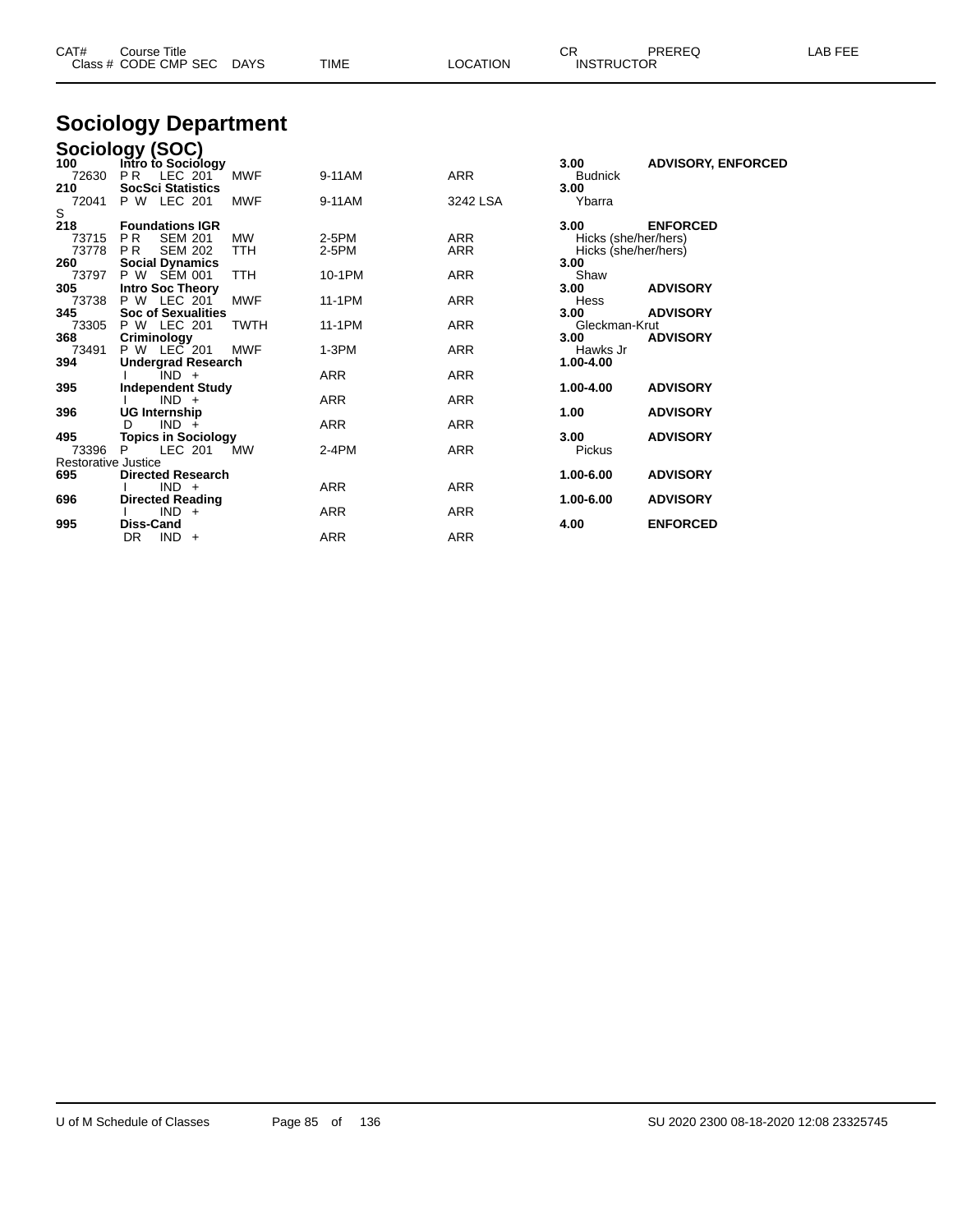| CAT#                       | <b>Course Title</b><br>Class # CODE CMP SEC DAYS |             | <b>TIME</b> | <b>LOCATION</b> | CR.<br><b>INSTRUCTOR</b> | PREREQ                    | LAB FEE |
|----------------------------|--------------------------------------------------|-------------|-------------|-----------------|--------------------------|---------------------------|---------|
|                            | <b>Sociology Department</b>                      |             |             |                 |                          |                           |         |
|                            | Sociology (SOC)                                  |             |             |                 |                          |                           |         |
| 100                        | Intro to Sociology                               |             |             |                 | 3.00                     | <b>ADVISORY, ENFORCED</b> |         |
| 72630                      | P <sub>R</sub><br>LEC 201                        | <b>MWF</b>  | 9-11AM      | <b>ARR</b>      | <b>Budnick</b>           |                           |         |
| 210                        | <b>SocSci Statistics</b>                         |             |             |                 | 3.00                     |                           |         |
| 72041                      | P W LEC 201                                      | <b>MWF</b>  | 9-11AM      | 3242 LSA        | Ybarra                   |                           |         |
| S                          | <b>Foundations IGR</b>                           |             |             |                 | 3.00                     | <b>ENFORCED</b>           |         |
| 218<br>73715               | <b>PR</b><br><b>SEM 201</b>                      | <b>MW</b>   | 2-5PM       | <b>ARR</b>      | Hicks (she/her/hers)     |                           |         |
| 73778                      | <b>PR</b><br><b>SEM 202</b>                      | <b>TTH</b>  | 2-5PM       | <b>ARR</b>      | Hicks (she/her/hers)     |                           |         |
| 260                        | <b>Social Dynamics</b>                           |             |             |                 | 3.00                     |                           |         |
| 73797                      | P W SEM 001                                      | <b>TTH</b>  | 10-1PM      | <b>ARR</b>      | Shaw                     |                           |         |
| 305                        | Intro Soc Theory                                 |             |             |                 | 3.00                     | <b>ADVISORY</b>           |         |
| 73738                      | P W LEC 201                                      | <b>MWF</b>  | 11-1PM      | <b>ARR</b>      | Hess                     |                           |         |
| 345<br>73305               | <b>Soc of Sexualities</b><br>P W LEC 201         | <b>TWTH</b> | 11-1PM      | <b>ARR</b>      | 3.00<br>Gleckman-Krut    | <b>ADVISORY</b>           |         |
| 368                        | Criminology                                      |             |             |                 | 3.00                     | <b>ADVISORY</b>           |         |
| 73491                      | P W LEC 201                                      | <b>MWF</b>  | $1-3PM$     | <b>ARR</b>      | Hawks Jr                 |                           |         |
| 394                        | <b>Undergrad Research</b>                        |             |             |                 | 1.00-4.00                |                           |         |
|                            | $IND +$                                          |             | <b>ARR</b>  | <b>ARR</b>      |                          |                           |         |
| 395                        | <b>Independent Study</b>                         |             |             |                 | 1.00-4.00                | <b>ADVISORY</b>           |         |
|                            | $IND +$                                          |             | ARR         | <b>ARR</b>      |                          |                           |         |
| 396                        | <b>UG Internship</b><br>$IND +$<br>D             |             | ARR         | <b>ARR</b>      | 1.00                     | <b>ADVISORY</b>           |         |
| 495                        | <b>Topics in Sociology</b>                       |             |             |                 | 3.00                     | <b>ADVISORY</b>           |         |
| 73396                      | P<br>LEC 201                                     | MW          | $2-4PM$     | <b>ARR</b>      | <b>Pickus</b>            |                           |         |
| <b>Restorative Justice</b> |                                                  |             |             |                 |                          |                           |         |
| 695                        | <b>Directed Research</b>                         |             |             |                 | 1.00-6.00                | <b>ADVISORY</b>           |         |
|                            | $IND +$                                          |             | ARR         | <b>ARR</b>      |                          |                           |         |
| 696                        | <b>Directed Reading</b><br>$IND +$               |             | <b>ARR</b>  | <b>ARR</b>      | 1.00-6.00                | <b>ADVISORY</b>           |         |
|                            |                                                  |             |             |                 |                          |                           |         |

**Diss-Cand 4.00 ENFORCED**

DR IND + ARR ARR ARR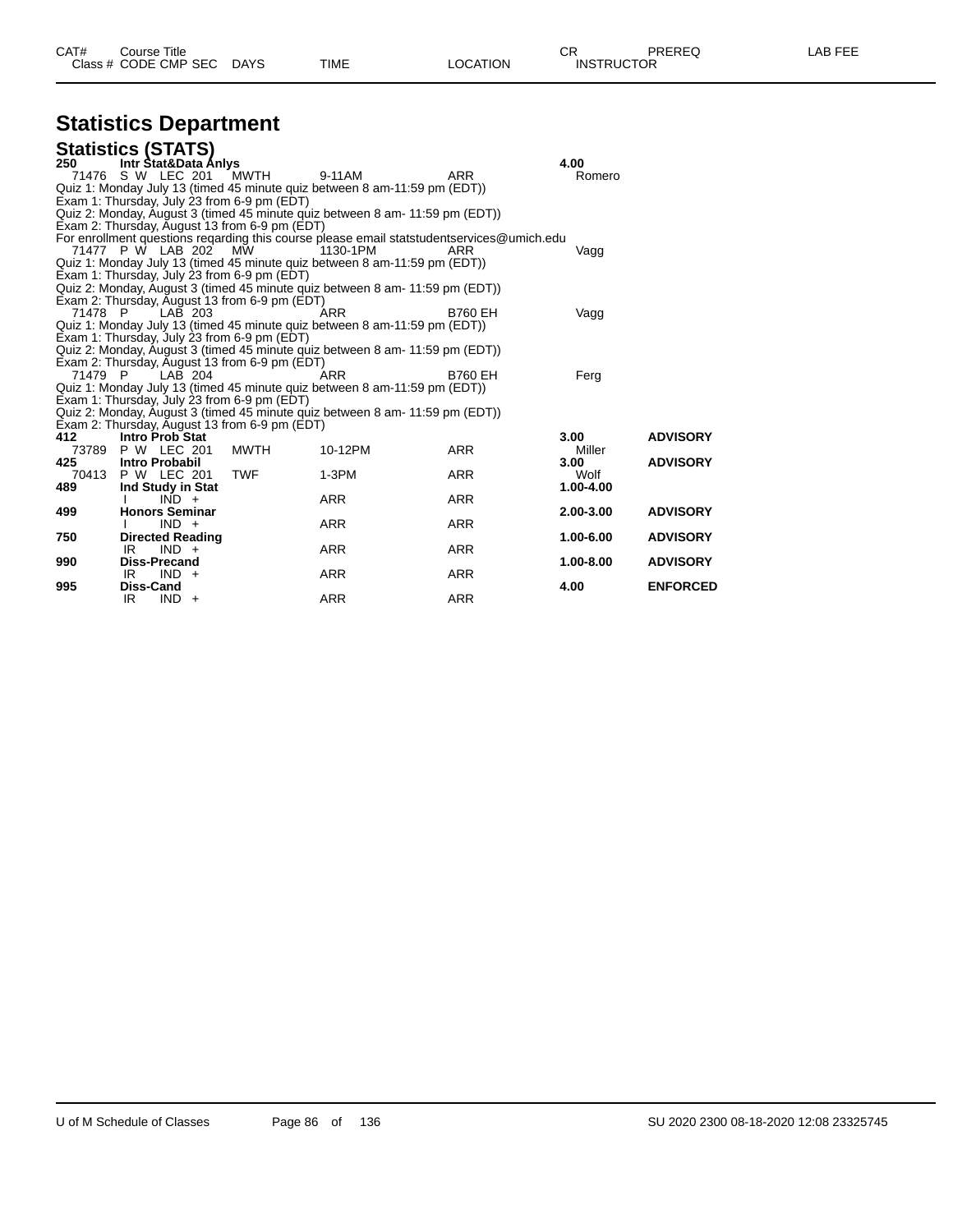| CAT# | Title<br>Course :    |             |      |          | oπ<br>- UN        | PREREQ | _AB FEF |
|------|----------------------|-------------|------|----------|-------------------|--------|---------|
|      | Class # CODE CMP SEC | <b>DAYS</b> | TIME | LOCATION | <b>INSTRUCTOR</b> |        |         |

# **Statistics Department**

|         | <b>Statistics (STATS)</b>                     |            |                                                                              |                                                                                           |                   |                 |
|---------|-----------------------------------------------|------------|------------------------------------------------------------------------------|-------------------------------------------------------------------------------------------|-------------------|-----------------|
| 250     | Intr Stat&Data Anlys                          |            |                                                                              |                                                                                           | 4.00              |                 |
|         | 71476 S W LEC 201 MWTH                        |            | 9-11AM                                                                       | <b>ARR</b>                                                                                | Romero            |                 |
|         |                                               |            | Quiz 1: Monday July 13 (timed 45 minute quiz between 8 am-11:59 pm (EDT))    |                                                                                           |                   |                 |
|         | Exam 1: Thursday, July 23 from 6-9 pm (EDT)   |            |                                                                              |                                                                                           |                   |                 |
|         |                                               |            | Quiz 2: Monday, August 3 (timed 45 minute quiz between 8 am- 11:59 pm (EDT)) |                                                                                           |                   |                 |
|         | Exam 2: Thursday, August 13 from 6-9 pm (EDT) |            |                                                                              |                                                                                           |                   |                 |
|         |                                               |            |                                                                              | For enrollment questions regarding this course please email statstudentservices@umich.edu |                   |                 |
|         | 71477 P W LAB 202 MW                          |            | 1130-1PM                                                                     | ARR                                                                                       | Vagg              |                 |
|         |                                               |            | Quiz 1: Monday July 13 (timed 45 minute quiz between 8 am-11:59 pm (EDT))    |                                                                                           |                   |                 |
|         | Exam 1: Thursday, July 23 from 6-9 pm (EDT)   |            |                                                                              |                                                                                           |                   |                 |
|         |                                               |            | Quiz 2: Monday, August 3 (timed 45 minute quiz between 8 am- 11:59 pm (EDT)) |                                                                                           |                   |                 |
|         | Exam 2: Thursday, August 13 from 6-9 pm (EDT) |            |                                                                              |                                                                                           |                   |                 |
| 71478 P | LAB 203                                       |            | ARR                                                                          | <b>B760 EH</b>                                                                            | Vagg              |                 |
|         | Exam 1: Thursday, July 23 from 6-9 pm (EDT)   |            | Quiz 1: Monday July 13 (timed 45 minute quiz between 8 am-11:59 pm (EDT))    |                                                                                           |                   |                 |
|         |                                               |            | Quiz 2: Monday, August 3 (timed 45 minute quiz between 8 am- 11:59 pm (EDT)) |                                                                                           |                   |                 |
|         | Exam 2: Thursday, August 13 from 6-9 pm (EDT) |            |                                                                              |                                                                                           |                   |                 |
| 71479 P | LAB 204                                       |            | <b>ARR</b>                                                                   | <b>B760 EH</b>                                                                            | Ferg              |                 |
|         |                                               |            | Quiz 1: Monday July 13 (timed 45 minute quiz between 8 am-11:59 pm (EDT))    |                                                                                           |                   |                 |
|         | Exam 1: Thursday, July 23 from 6-9 pm (EDT)   |            |                                                                              |                                                                                           |                   |                 |
|         |                                               |            | Quiz 2: Monday, August 3 (timed 45 minute guiz between 8 am- 11:59 pm (EDT)) |                                                                                           |                   |                 |
|         | Exam 2: Thursday, August 13 from 6-9 pm (EDT) |            |                                                                              |                                                                                           |                   |                 |
| 412     | <b>Intro Prob Stat</b>                        |            |                                                                              |                                                                                           | 3.00 <sub>1</sub> | <b>ADVISORY</b> |
|         | 73789 P W LEC 201                             | MWTH       | 10-12PM                                                                      | <b>ARR</b>                                                                                | Miller            |                 |
| 425     | <b>Intro Probabil</b>                         |            |                                                                              |                                                                                           | 3.00              | <b>ADVISORY</b> |
|         | 70413 P W LEC 201                             | <b>TWF</b> | $1-3PM$                                                                      | <b>ARR</b>                                                                                | Wolf              |                 |
| 489     | Ind Study in Stat                             |            |                                                                              |                                                                                           | 1.00-4.00         |                 |
|         | $IND +$                                       |            | <b>ARR</b>                                                                   | <b>ARR</b>                                                                                |                   |                 |
| 499     | <b>Honors Seminar</b>                         |            |                                                                              |                                                                                           | 2.00-3.00         | <b>ADVISORY</b> |
|         | $IND +$                                       |            | <b>ARR</b>                                                                   | <b>ARR</b>                                                                                |                   |                 |
| 750     | <b>Directed Reading</b>                       |            |                                                                              |                                                                                           | 1.00-6.00         | <b>ADVISORY</b> |
|         | IR<br>$IND +$                                 |            | <b>ARR</b>                                                                   | ARR                                                                                       |                   |                 |
| 990     | <b>Diss-Precand</b><br>IR<br>$IND +$          |            | <b>ARR</b>                                                                   | ARR                                                                                       | 1.00-8.00         | <b>ADVISORY</b> |
| 995     | Diss-Cand                                     |            |                                                                              |                                                                                           | 4.00              | <b>ENFORCED</b> |
|         | IR.<br>$IND +$                                |            | <b>ARR</b>                                                                   | <b>ARR</b>                                                                                |                   |                 |
|         |                                               |            |                                                                              |                                                                                           |                   |                 |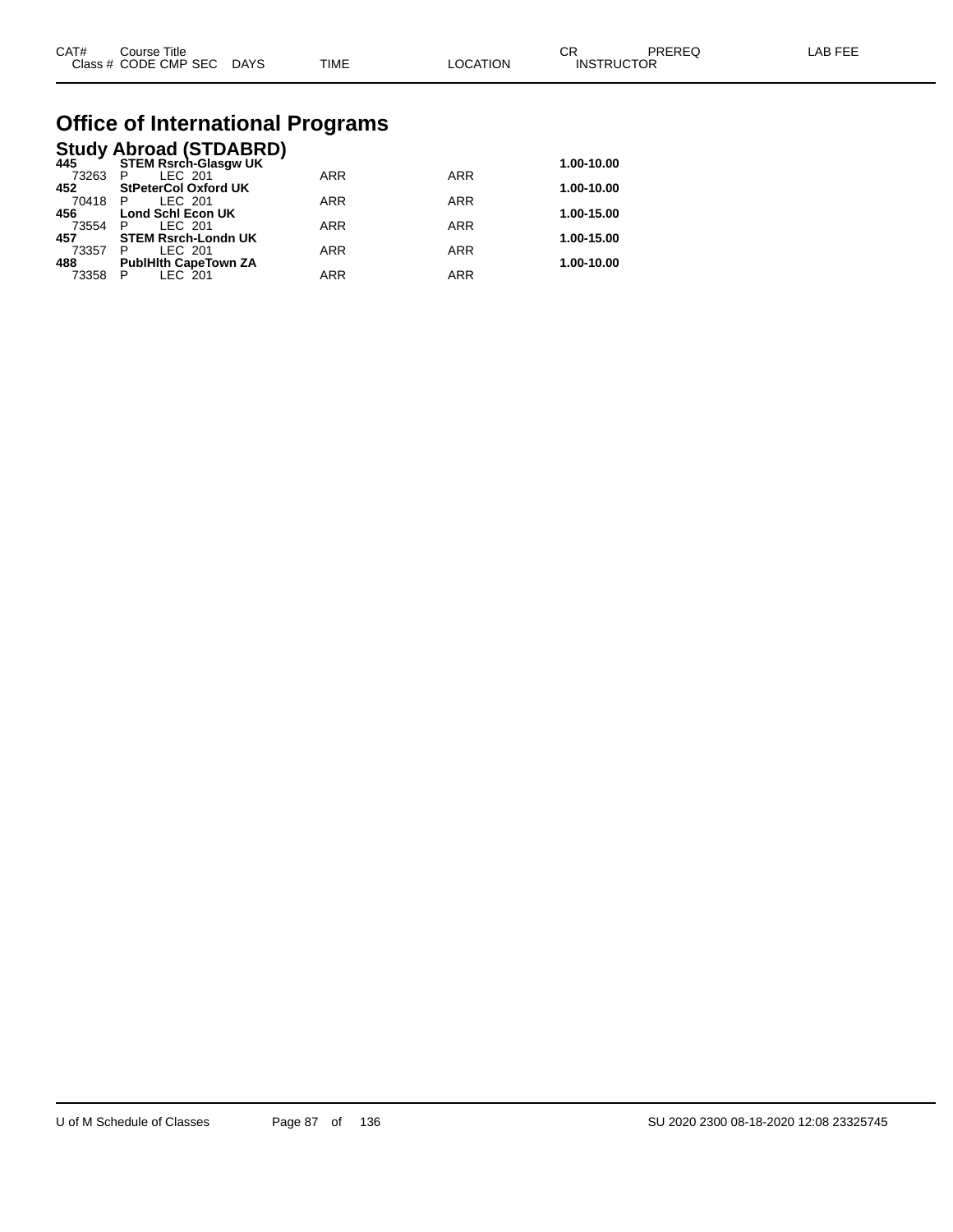| CAT# | Course Title         |             |             |          | ⌒冖<br>◡⊓          | PREREQ | LAB FEE |
|------|----------------------|-------------|-------------|----------|-------------------|--------|---------|
|      | Class # CODE CMP SEC | <b>DAYS</b> | <b>TIME</b> | LOCATION | <b>INSTRUCTOR</b> |        |         |

# **Office of International Programs**

## **Study Abroad (STDABRD) 445 STEM Rsrch-Glasgw UK 1.00-10.00**

| 44J     | ט ובואוט־ווטופח ווא         |            |            | 1.00-10.00 |
|---------|-----------------------------|------------|------------|------------|
| 73263   | LEC 201                     | <b>ARR</b> | <b>ARR</b> |            |
| 452     | <b>StPeterCol Oxford UK</b> |            |            | 1.00-10.00 |
| 70418 P | LEC 201                     | ARR        | ARR        |            |
| 456     | <b>Lond Schl Econ UK</b>    |            |            | 1.00-15.00 |
| 73554   | LEC 201                     | ARR        | <b>ARR</b> |            |
| 457     | <b>STEM Rsrch-Londn UK</b>  |            |            | 1.00-15.00 |
| 73357   | LEC 201                     | ARR        | <b>ARR</b> |            |
| 488     | <b>PublHith CapeTown ZA</b> |            |            | 1.00-10.00 |
| 73358   | LEC 201                     | <b>ARR</b> | <b>ARR</b> |            |
|         |                             |            |            |            |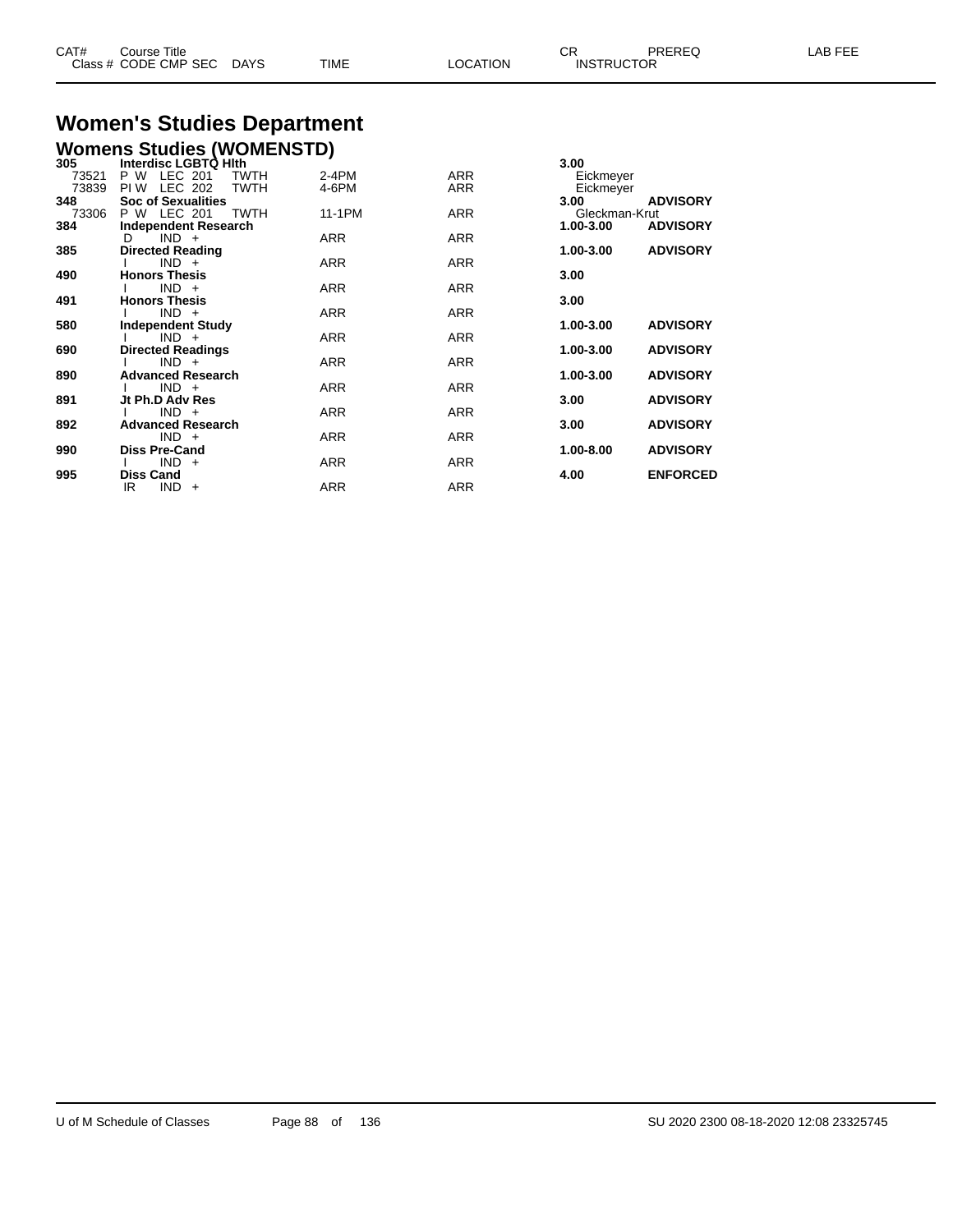| CAT# | Course Title              |      |                 | $\cap$<br>◡ጙ      | <b>PREREQ</b> | LAB FEE |
|------|---------------------------|------|-----------------|-------------------|---------------|---------|
|      | Class # CODE CMP SEC DAYS | TIME | <b>LOCATION</b> | <b>INSTRUCTOR</b> |               |         |

### **Women's Studies Department Womens Studies (WOMENSTD)**

| 305   | Interdisc LGBTQ Hith          |            |            | 3.00                         |
|-------|-------------------------------|------------|------------|------------------------------|
| 73521 | LEC 201<br>P W<br><b>TWTH</b> | $2-4PM$    | <b>ARR</b> | Eickmeyer                    |
| 73839 | LEC 202<br>TWTH<br>PI W       | 4-6PM      | ARR        | Eickmeyer                    |
| 348   | <b>Soc of Sexualities</b>     |            |            | <b>ADVISORY</b><br>3.00      |
| 73306 | P W LEC 201<br>TWTH           | 11-1PM     | ARR        | Gleckman-Krut                |
| 384   | <b>Independent Research</b>   |            |            | <b>ADVISORY</b><br>1.00-3.00 |
|       | $IND +$<br>D                  | ARR        | <b>ARR</b> |                              |
| 385   | <b>Directed Reading</b>       |            |            | <b>ADVISORY</b><br>1.00-3.00 |
|       | $IND +$                       | ARR        | ARR        |                              |
| 490   | <b>Honors Thesis</b>          |            |            | 3.00                         |
|       | $IND +$                       | ARR        | ARR        |                              |
| 491   | <b>Honors Thesis</b>          |            |            | 3.00                         |
|       | $IND +$                       | <b>ARR</b> | <b>ARR</b> |                              |
| 580   | <b>Independent Study</b>      |            |            | 1.00-3.00<br><b>ADVISORY</b> |
|       | $IND +$                       | ARR        | <b>ARR</b> |                              |
| 690   | <b>Directed Readings</b>      |            |            | <b>ADVISORY</b><br>1.00-3.00 |
|       | $IND +$                       | ARR        | <b>ARR</b> |                              |
| 890   | <b>Advanced Research</b>      |            |            | <b>ADVISORY</b><br>1.00-3.00 |
|       | $IND +$                       | <b>ARR</b> | <b>ARR</b> |                              |
| 891   | Jt Ph.D Adv Res               |            |            | 3.00<br><b>ADVISORY</b>      |
|       | $IND +$                       | <b>ARR</b> | <b>ARR</b> |                              |
| 892   | <b>Advanced Research</b>      |            |            | <b>ADVISORY</b><br>3.00      |
|       | $IND +$                       | ARR        | ARR        |                              |
| 990   | <b>Diss Pre-Cand</b>          |            |            | 1.00-8.00<br><b>ADVISORY</b> |
|       | $IND +$                       | ARR        | <b>ARR</b> |                              |
| 995   | <b>Diss Cand</b>              |            |            | <b>ENFORCED</b><br>4.00      |
|       | IR<br>$IND +$                 | <b>ARR</b> | <b>ARR</b> |                              |
|       |                               |            |            |                              |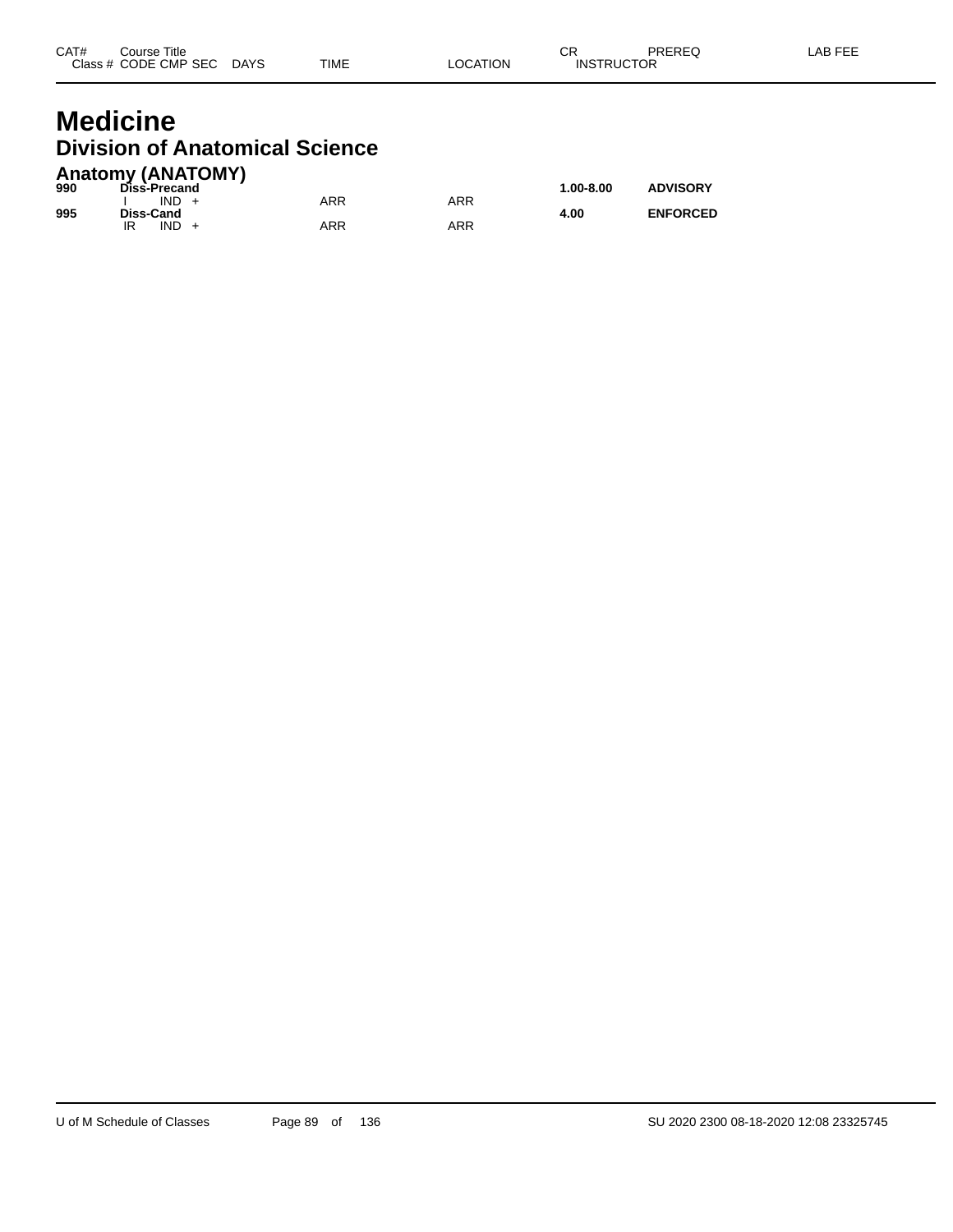#### **Medicine Division of Anatomical Science Anatomy (ANATOMY)**

| 990 | AIRWIII) (ANAIVIII)<br>Diss-Precand |            |     | $1.00 - 8.00$ | <b>ADVISORY</b> |
|-----|-------------------------------------|------------|-----|---------------|-----------------|
| 995 | $IND +$<br>Diss-Cand                | ARR        | ARR | 4.00          | <b>ENFORCED</b> |
|     | $IND +$<br>IR                       | <b>ARR</b> | ARR |               |                 |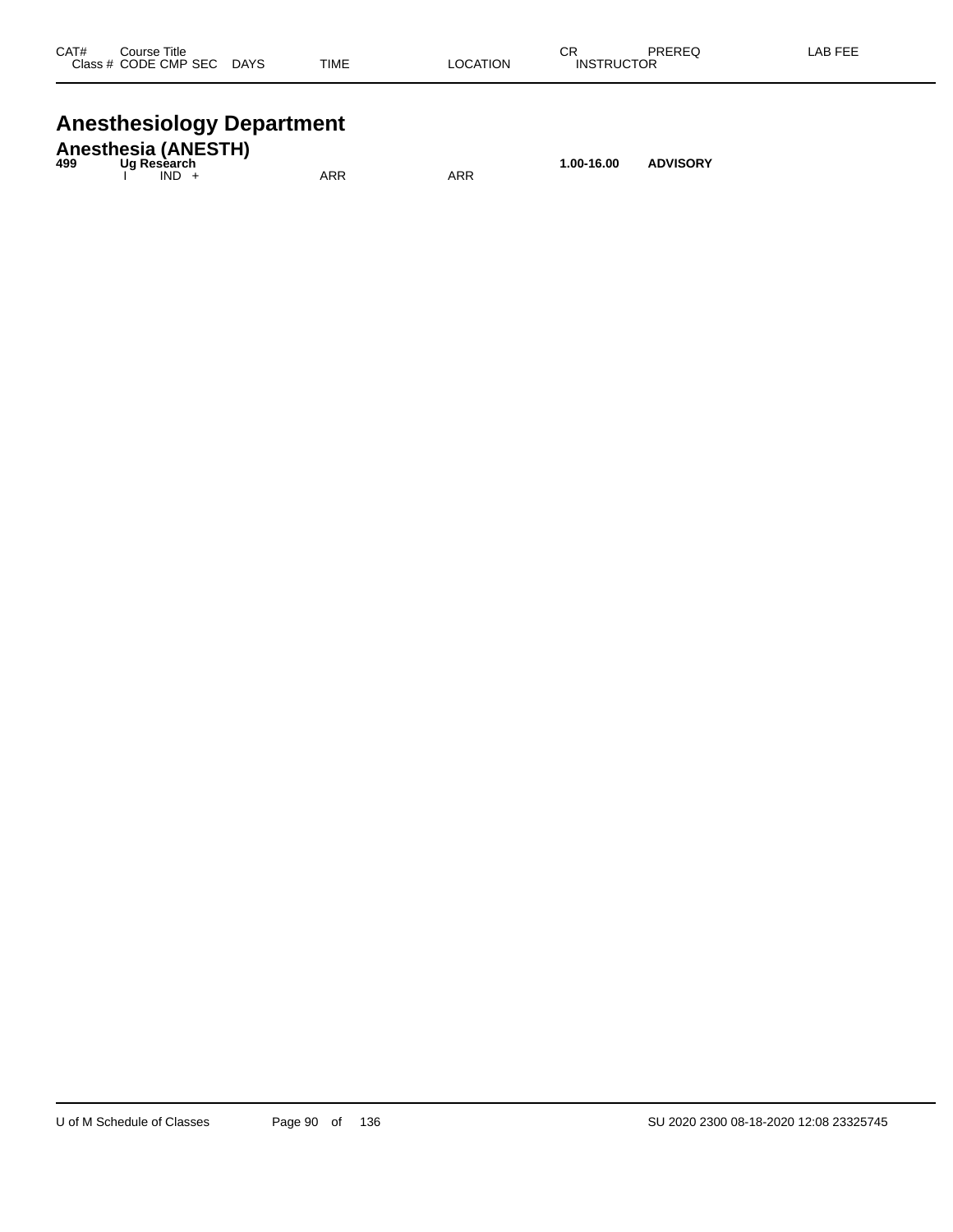| CAT# | Course Title<br>Class # CODE CMP SEC | <b>DAYS</b> | <b>TIME</b> | <b>LOCATION</b> | СR<br><b>INSTRUCTOR</b> | PREREQ | <b>LAB FEE</b> |
|------|--------------------------------------|-------------|-------------|-----------------|-------------------------|--------|----------------|
|      |                                      |             |             |                 |                         |        |                |

# **Anesthesiology Department**

| 499 | <b>Anesthesia (ANESTH)</b><br>Ua Resèarch |     |     | 1.00-16.00 | <b>ADVISORY</b> |
|-----|-------------------------------------------|-----|-----|------------|-----------------|
|     | $IND +$                                   | ARR | ARR |            |                 |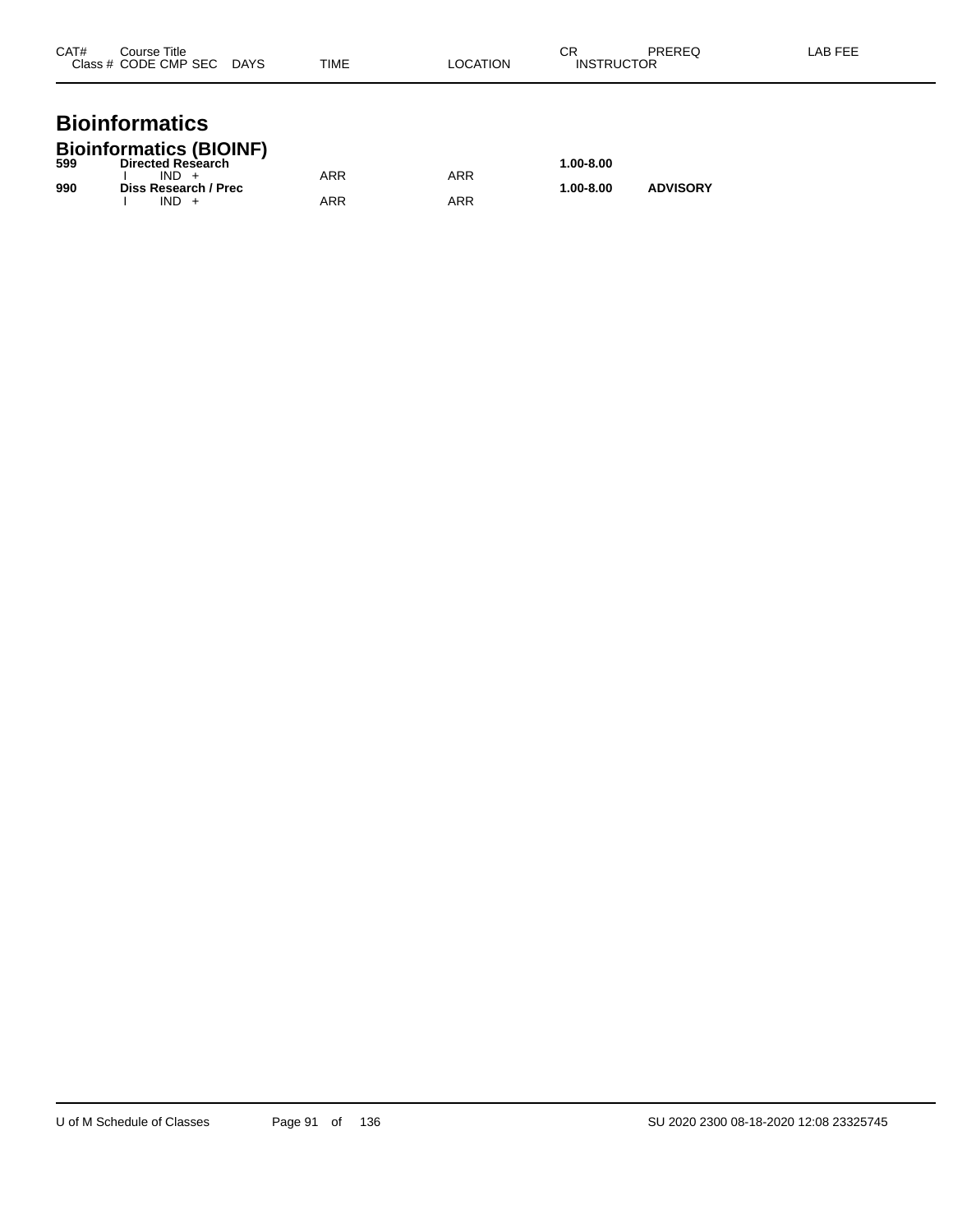| CAT# | Course Title<br>Class # CODE CMP SEC | <b>DAYS</b> | <b>TIME</b> | LOCATION | СR<br><b>INSTRUCTOR</b> | PREREQ | LAB FEE |
|------|--------------------------------------|-------------|-------------|----------|-------------------------|--------|---------|
|      |                                      |             |             |          |                         |        |         |

#### **Bioinformatics Bioinformatics (BIOINF)**

| 599 | P <sub>1</sub><br><b>Directed Research</b> |     |     | $1.00 - 8.00$ |                 |
|-----|--------------------------------------------|-----|-----|---------------|-----------------|
|     | $IND +$                                    | ARR | ARR |               |                 |
| 990 | Diss Research / Prec<br>IND.               | ARR | ARR | $1.00 - 8.00$ | <b>ADVISORY</b> |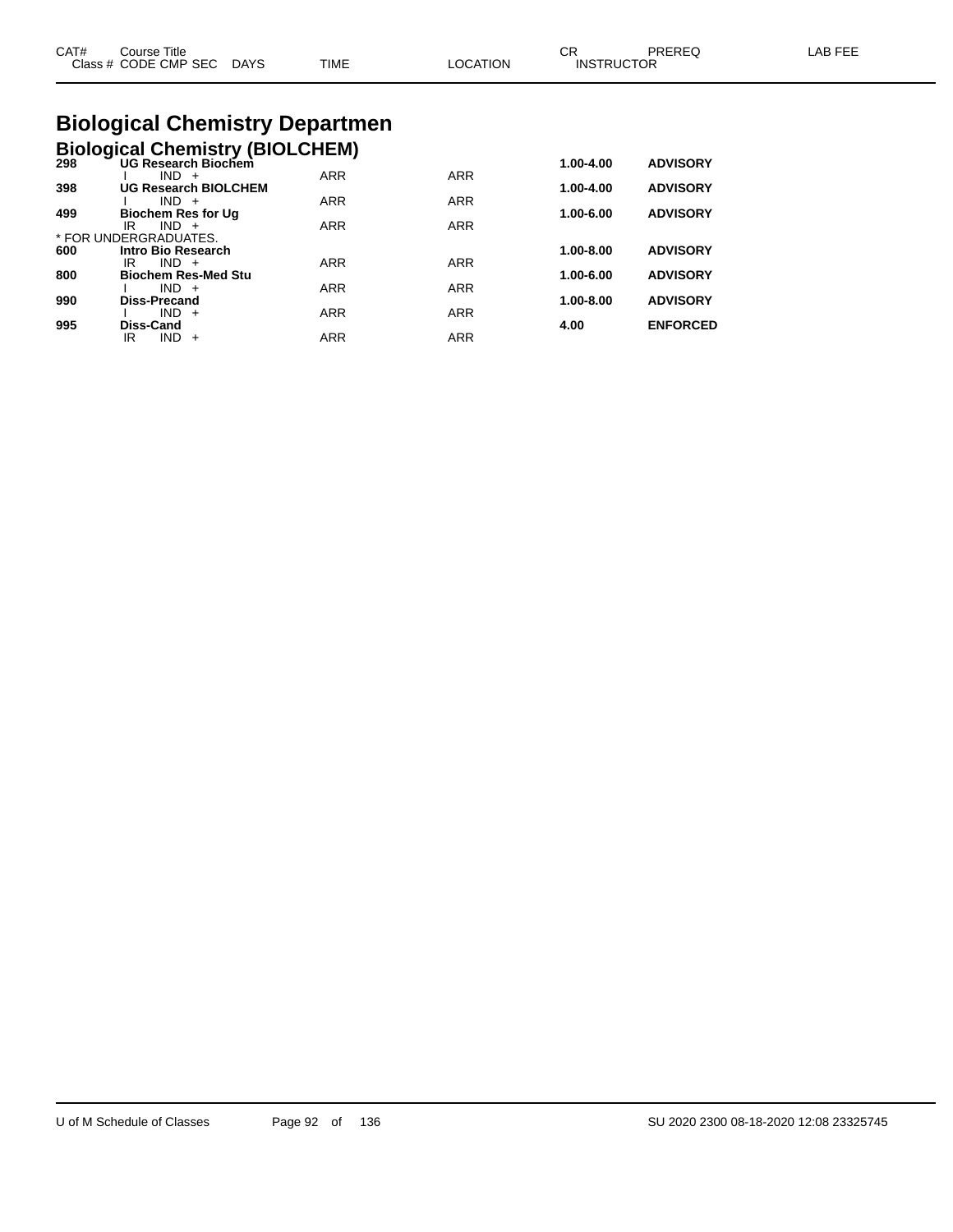| CAT#<br>Course Title<br>Class # CODE CMP SEC DAYS | TIME | <b>LOCATION</b> | СR<br>PRERFO<br><b>INSTRUCTOR</b> | LAB FEE |
|---------------------------------------------------|------|-----------------|-----------------------------------|---------|
| <b>Biological Chemistry Departmen</b>             |      |                 |                                   |         |

# **Biological Chemistry (BIOLCHEM)**

| 298 | <b>Profession Chomon , proceditem,</b><br><b>UG Research Biochem</b> |            |            | 1.00-4.00     | <b>ADVISORY</b> |
|-----|----------------------------------------------------------------------|------------|------------|---------------|-----------------|
|     | $IND +$                                                              | <b>ARR</b> | <b>ARR</b> |               |                 |
| 398 | <b>UG Research BIOLCHEM</b>                                          |            |            | 1.00-4.00     | <b>ADVISORY</b> |
|     | $IND +$                                                              | <b>ARR</b> | <b>ARR</b> |               |                 |
| 499 | <b>Biochem Res for Ug</b>                                            |            |            | 1.00-6.00     | <b>ADVISORY</b> |
|     | $IND +$<br>IR                                                        | <b>ARR</b> | <b>ARR</b> |               |                 |
|     | * FOR UNDERGRADUATES.                                                |            |            |               |                 |
| 600 | Intro Bio Research                                                   |            |            | $1.00 - 8.00$ | <b>ADVISORY</b> |
|     | $IND +$<br>IR                                                        | <b>ARR</b> | <b>ARR</b> |               |                 |
| 800 | <b>Biochem Res-Med Stu</b>                                           |            |            | 1.00-6.00     | <b>ADVISORY</b> |
|     | $IND +$                                                              | <b>ARR</b> | <b>ARR</b> |               |                 |
| 990 | <b>Diss-Precand</b>                                                  |            |            | 1.00-8.00     | <b>ADVISORY</b> |
|     | $IND +$                                                              | <b>ARR</b> | <b>ARR</b> |               |                 |
| 995 | Diss-Cand                                                            |            |            | 4.00          | <b>ENFORCED</b> |
|     | IR<br>IND.<br>$+$                                                    | <b>ARR</b> | <b>ARR</b> |               |                 |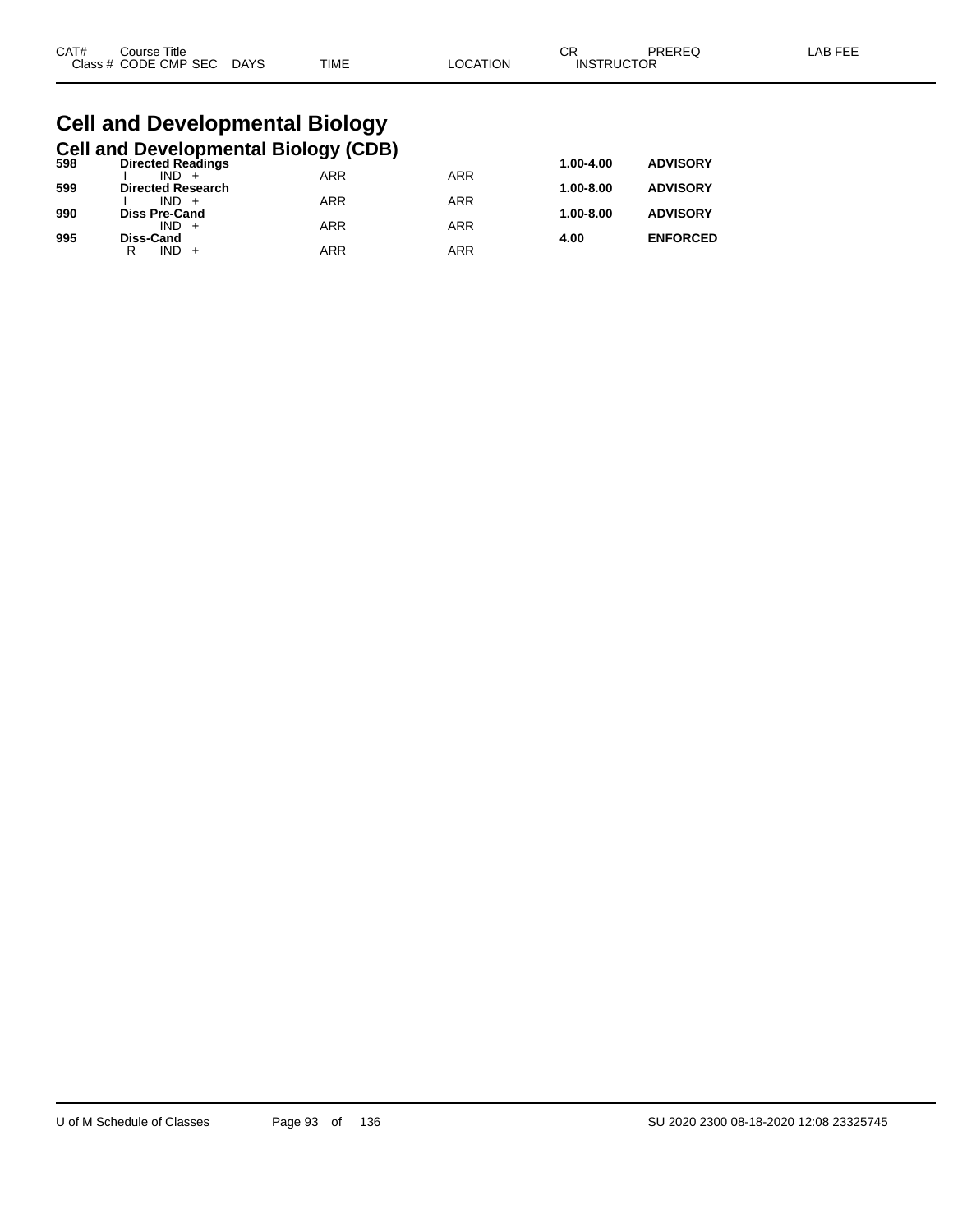| CAT# | Title<br>Course      |             |      |         | ~~<br>◡⊓          | PREREQ | AR FF'<br><b>AL</b> |
|------|----------------------|-------------|------|---------|-------------------|--------|---------------------|
|      | Class # CODE CMP SEC | <b>DAYS</b> | TIME | OCATION | <b>INSTRUCTOR</b> |        |                     |

#### **Cell and Developmental Biology Cell and Developmental Biology (CDB)**

| 598 | <b>Directed Readings</b> |            |            | 1.00-4.00     | <b>ADVISORY</b> |
|-----|--------------------------|------------|------------|---------------|-----------------|
|     | $IND +$                  | <b>ARR</b> | <b>ARR</b> |               |                 |
| 599 | <b>Directed Research</b> |            |            | $1.00 - 8.00$ | <b>ADVISORY</b> |
|     | $IND +$                  | <b>ARR</b> | <b>ARR</b> |               |                 |
| 990 | <b>Diss Pre-Cand</b>     |            |            | $1.00 - 8.00$ | <b>ADVISORY</b> |
|     | $IND +$                  | <b>ARR</b> | ARR        |               |                 |
| 995 | Diss-Cand                |            |            | 4.00          | <b>ENFORCED</b> |
|     | $IND +$<br>R             | <b>ARR</b> | ARR        |               |                 |
|     |                          |            |            |               |                 |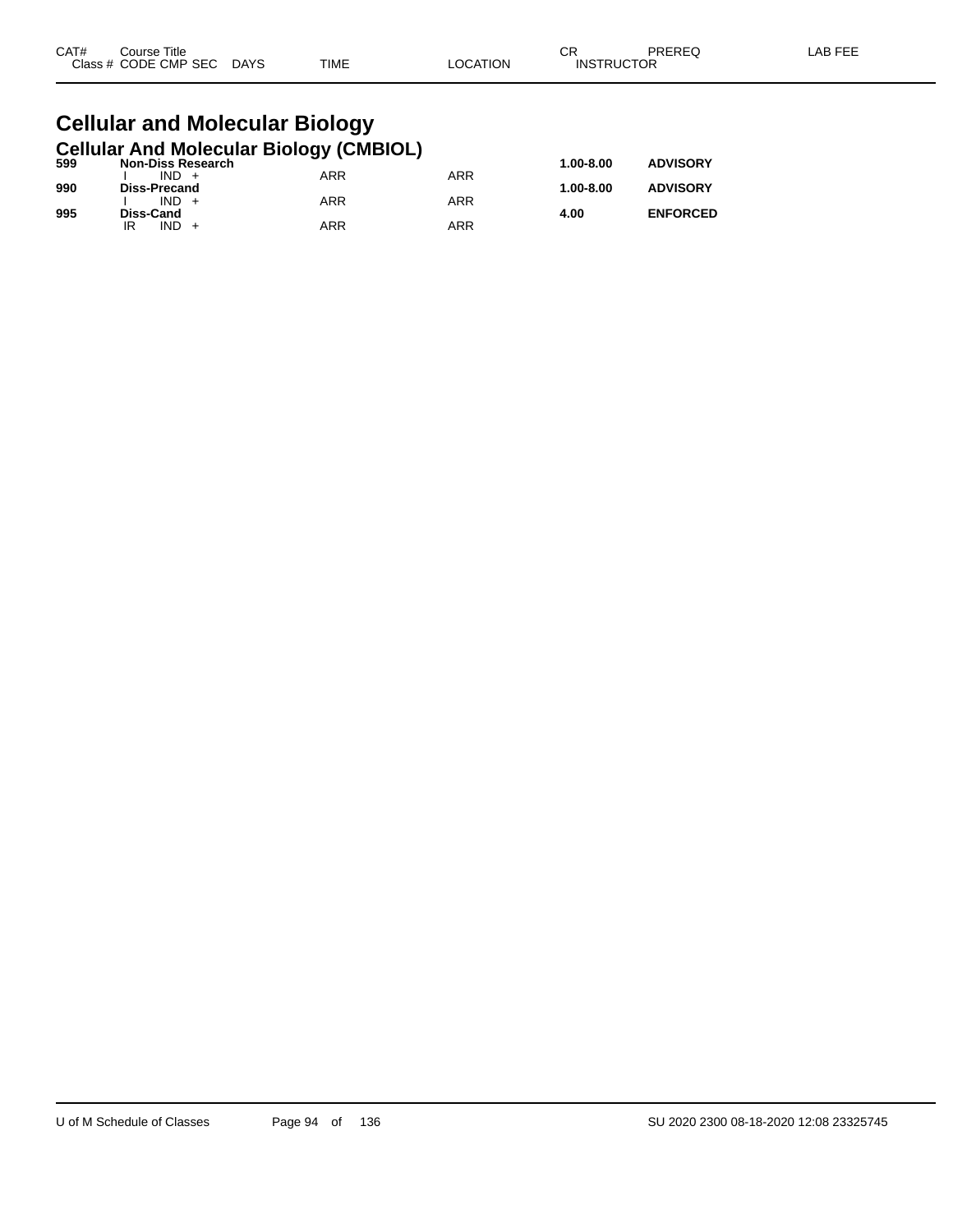| CAT# | Title<br>Course      |                       |             |          | СR                | PREREQ | LAB FEF |
|------|----------------------|-----------------------|-------------|----------|-------------------|--------|---------|
|      | Class # CODE CMP SEC | <b>DAYS</b><br>$\sim$ | <b>TIME</b> | _OCATION | <b>INSTRUCTOR</b> |        |         |

#### **Cellular and Molecular Biology Cellular And Molecular Biology (CMBIOL)**

| 599 | <b>Non-Diss Research</b> | . . |            | $1.00 - 8.00$ | <b>ADVISORY</b> |
|-----|--------------------------|-----|------------|---------------|-----------------|
|     | $IND +$                  | ARR | ARR        |               |                 |
| 990 | Diss-Precand             |     |            | $1.00 - 8.00$ | <b>ADVISORY</b> |
|     | $IND +$                  | ARR | <b>ARR</b> |               |                 |
| 995 | Diss-Cand                |     |            | 4.00          | <b>ENFORCED</b> |
|     | IND.<br>IR               | ARR | ARR        |               |                 |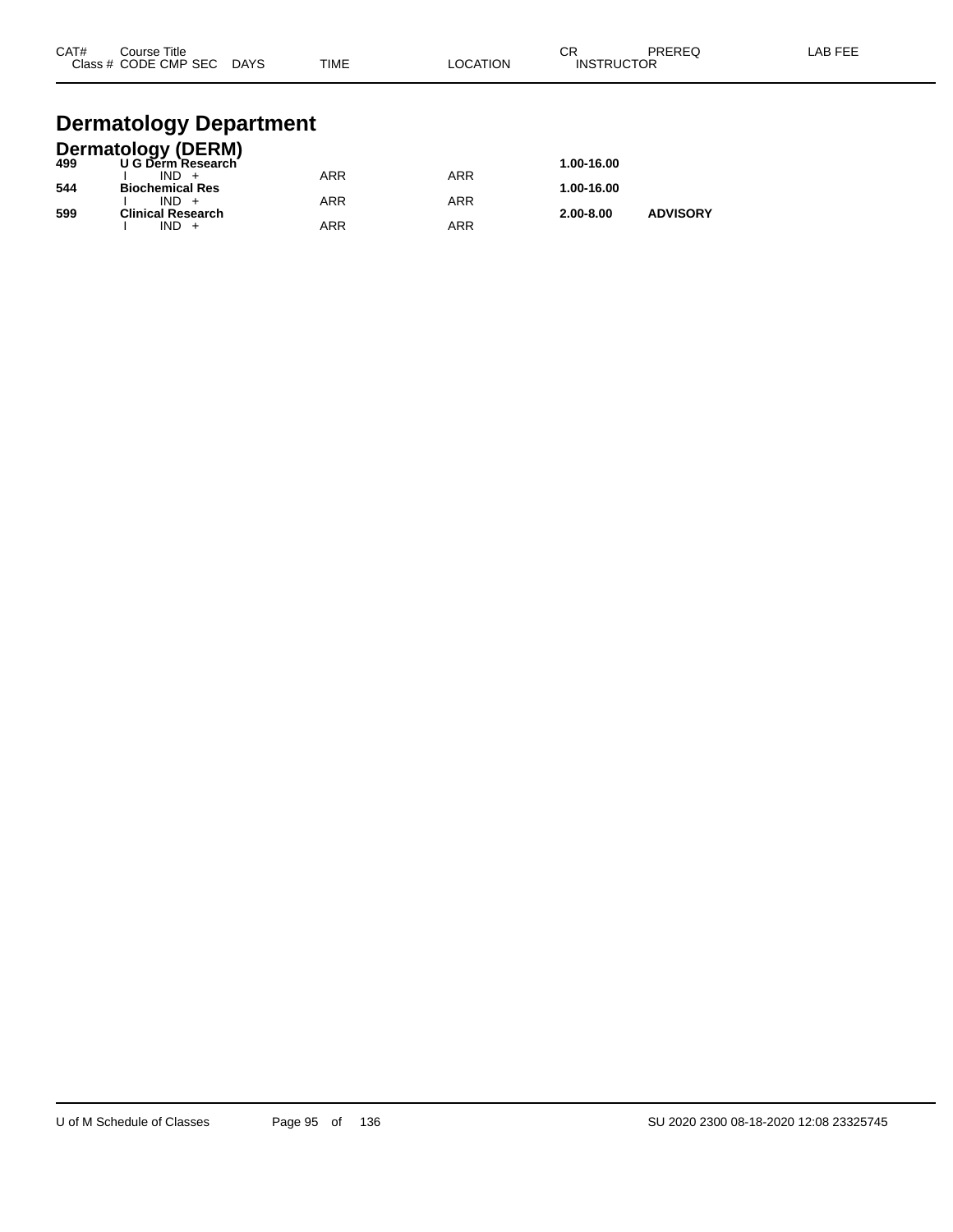| CAT# | Course Title<br>Class # CODE CMP SEC | <b>DAYS</b> | <b>TIME</b> | LOCATION | СR<br><b>INSTRUCTOR</b> | PREREQ | LAB FEE |
|------|--------------------------------------|-------------|-------------|----------|-------------------------|--------|---------|
|      |                                      |             |             |          |                         |        |         |

## **Dermatology Department**

|     | <b>Dermatology (DERM)</b> |     |     |               |                 |
|-----|---------------------------|-----|-----|---------------|-----------------|
| 499 | U G Derm Research         |     |     | 1.00-16.00    |                 |
|     | $IND +$                   | ARR | ARR |               |                 |
| 544 | <b>Biochemical Res</b>    |     |     | 1.00-16.00    |                 |
|     | $IND +$                   | ARR | ARR |               |                 |
| 599 | <b>Clinical Research</b>  |     |     | $2.00 - 8.00$ | <b>ADVISORY</b> |
|     | $IND +$                   | ARR | ARR |               |                 |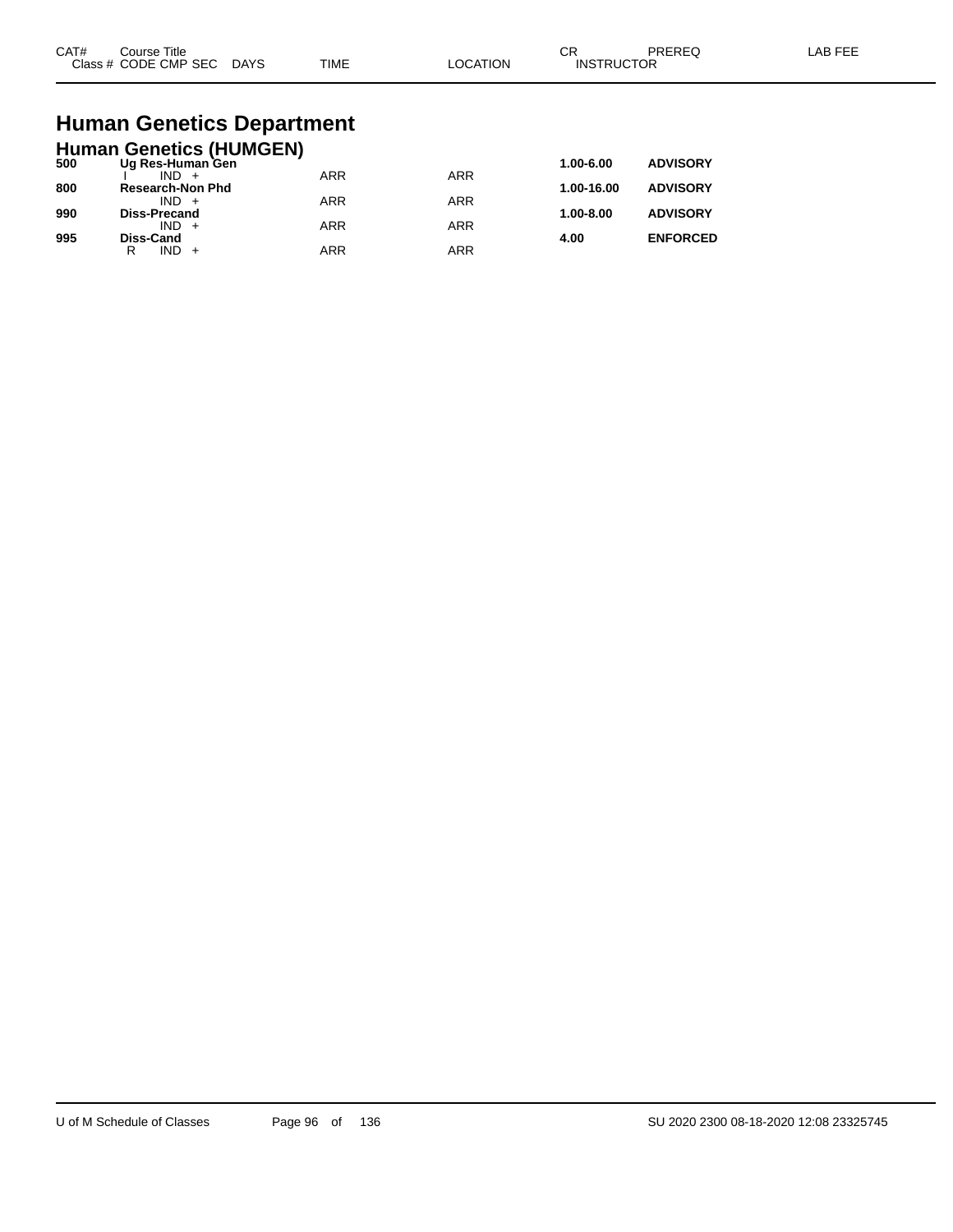| CAT#<br>$2\sqrt{2}$ | Title<br>ourse<br>CMP SEC<br>חר<br>$ -$ | DAYS<br>$\sim$ | <b>TIME</b> | ורו | $\sim$<br>UΗ<br>⊣N.S<br>⋼ | ____ |  |
|---------------------|-----------------------------------------|----------------|-------------|-----|---------------------------|------|--|
|---------------------|-----------------------------------------|----------------|-------------|-----|---------------------------|------|--|

# **Human Genetics Department**

|     | <b>Human Genetics (HUMGEN)</b> |            |            |            |                 |
|-----|--------------------------------|------------|------------|------------|-----------------|
| 500 | Ug Res-Human Gen               |            |            | 1.00-6.00  | <b>ADVISORY</b> |
|     | $IND +$                        | <b>ARR</b> | <b>ARR</b> |            |                 |
| 800 | <b>Research-Non Phd</b>        |            |            | 1.00-16.00 | <b>ADVISORY</b> |
| 990 | $IND +$<br><b>Diss-Precand</b> | <b>ARR</b> | <b>ARR</b> | 1.00-8.00  | <b>ADVISORY</b> |
|     | $IND +$                        | <b>ARR</b> | <b>ARR</b> |            |                 |
| 995 | <b>Diss-Cand</b>               |            |            | 4.00       | <b>ENFORCED</b> |
|     | IND.<br>R                      | <b>ARR</b> | <b>ARR</b> |            |                 |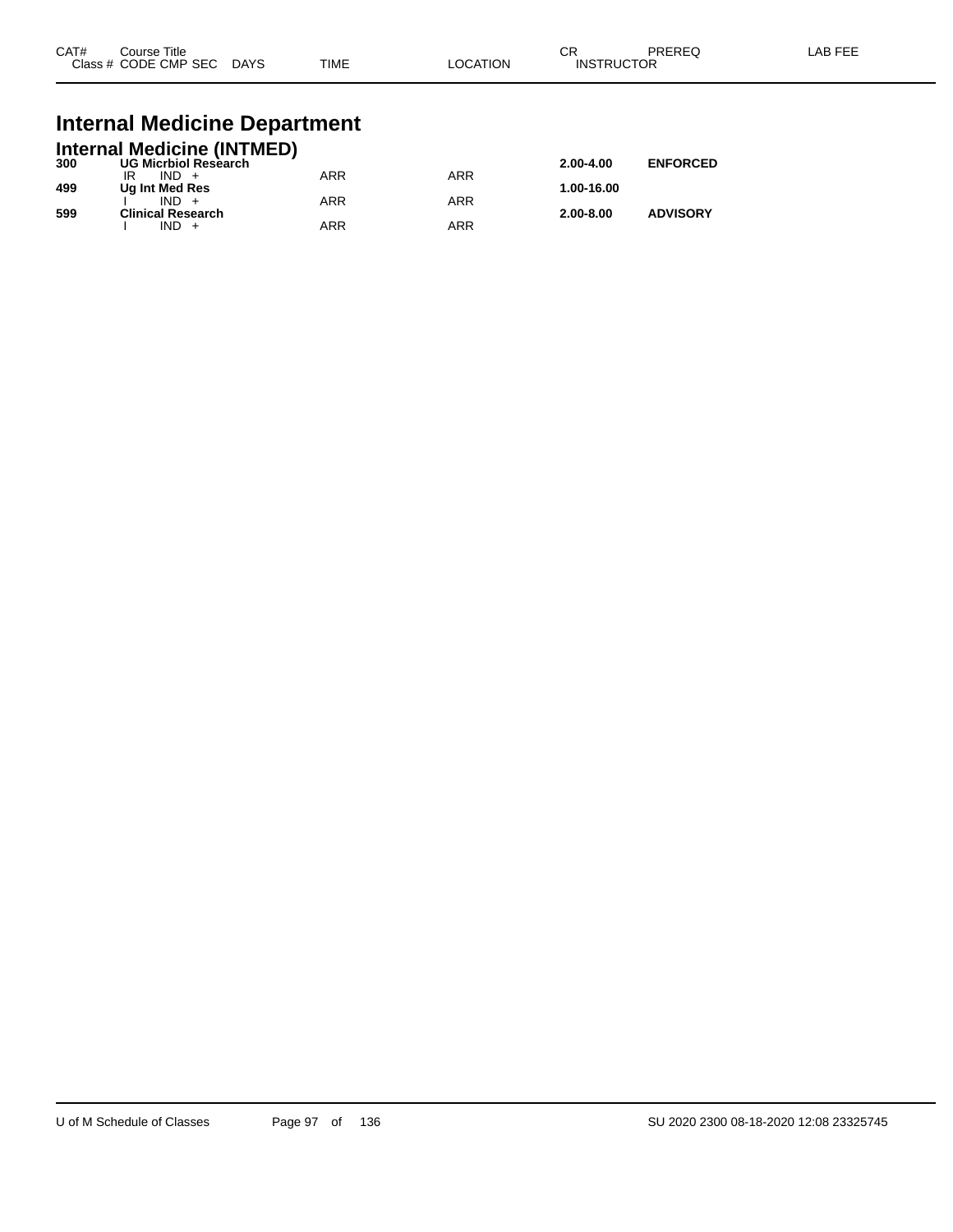| CAT# | Course Title<br>Class # CODE CMP SEC | <b>DAYS</b> | <b>TIME</b> | _OCATION | ∩n<br>- UN<br><b>INSTRUCTOR</b> | PREREQ | _AB FEF |
|------|--------------------------------------|-------------|-------------|----------|---------------------------------|--------|---------|
|      |                                      |             |             |          |                                 |        |         |

## **Internal Medicine Department**

|     | <b>Internal Medicine (INTMED)</b> |     |     |               |                 |
|-----|-----------------------------------|-----|-----|---------------|-----------------|
| 300 | <b>UG Micrbiol Research</b>       |     |     | $2.00 - 4.00$ | <b>ENFORCED</b> |
|     | $IND +$                           | ARR | ARR |               |                 |
| 499 | Ug Int Med Res                    |     |     | 1.00-16.00    |                 |
|     | $IND +$                           | ARR | ARR |               |                 |
| 599 | <b>Clinical Research</b>          |     |     | $2.00 - 8.00$ | <b>ADVISORY</b> |
|     | $IND +$                           | ARR | ARR |               |                 |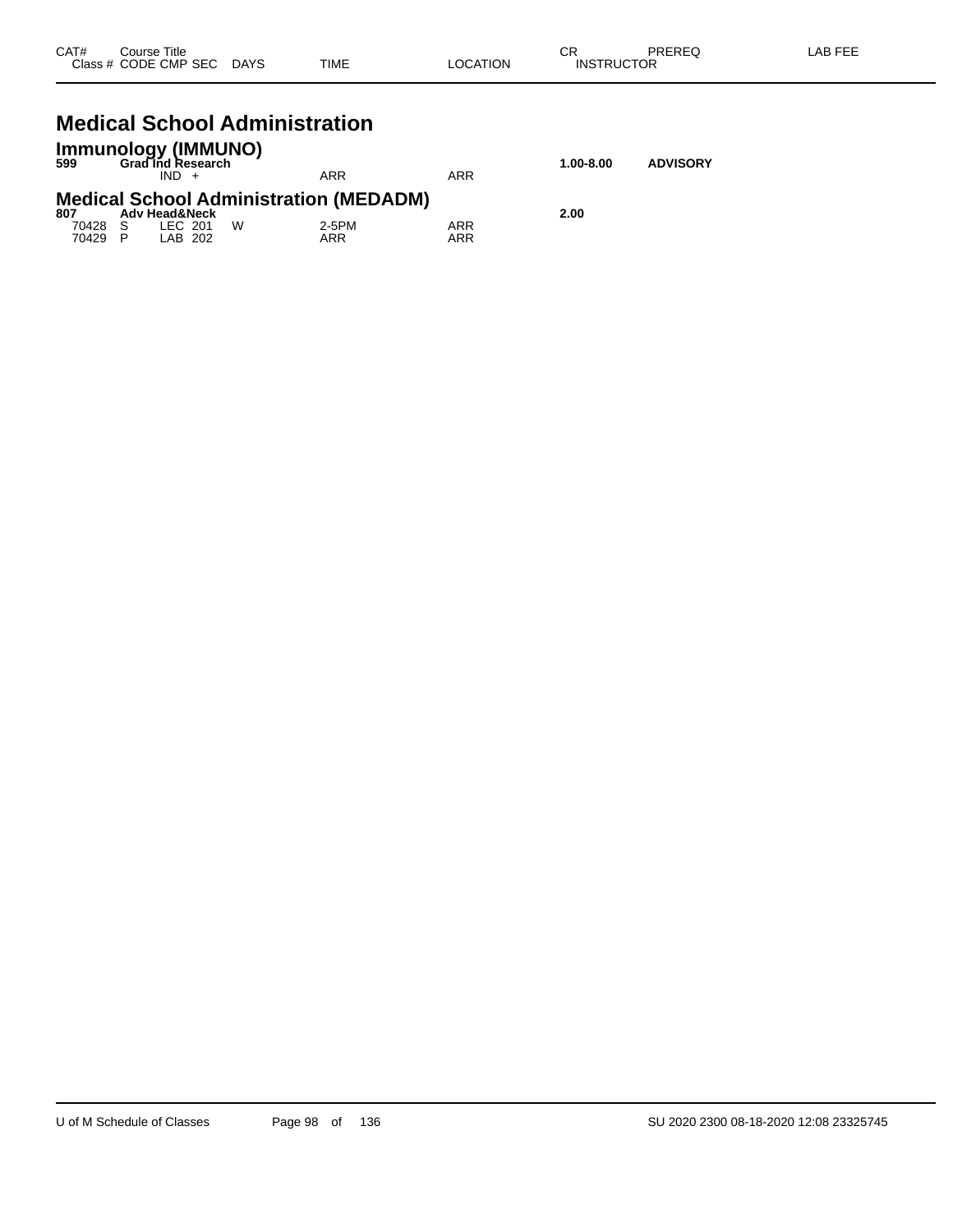| CAT#  | Title<br>Course        |             |      |                   | $\sim$<br>- UN          | <b>DDEDEC</b><br>NLNLY | <b>LAB FEF</b> |
|-------|------------------------|-------------|------|-------------------|-------------------------|------------------------|----------------|
| Class | CODE CMP<br><b>SEC</b> | <b>DAYS</b> | TIME | <b>TION</b><br>ററ | <b>'CTOR</b><br>INSTRUC |                        |                |
|       |                        |             |      |                   |                         |                        |                |

## **Medical School Administration**

| 599                       | <b>Immunology (IMMUNO)</b><br><b>Grad Ind Research</b><br>$IND +$ |   | ARR                                                           | ARR        | $1.00 - 8.00$ | <b>ADVISORY</b> |
|---------------------------|-------------------------------------------------------------------|---|---------------------------------------------------------------|------------|---------------|-----------------|
| 807<br>70428 S<br>70429 P | <b>Adv Head&amp;Neck</b><br>LEC 201<br>LAB 202                    | W | <b>Medical School Administration (MEDADM)</b><br>2-5PM<br>ARR | ARR<br>ARR | 2.00          |                 |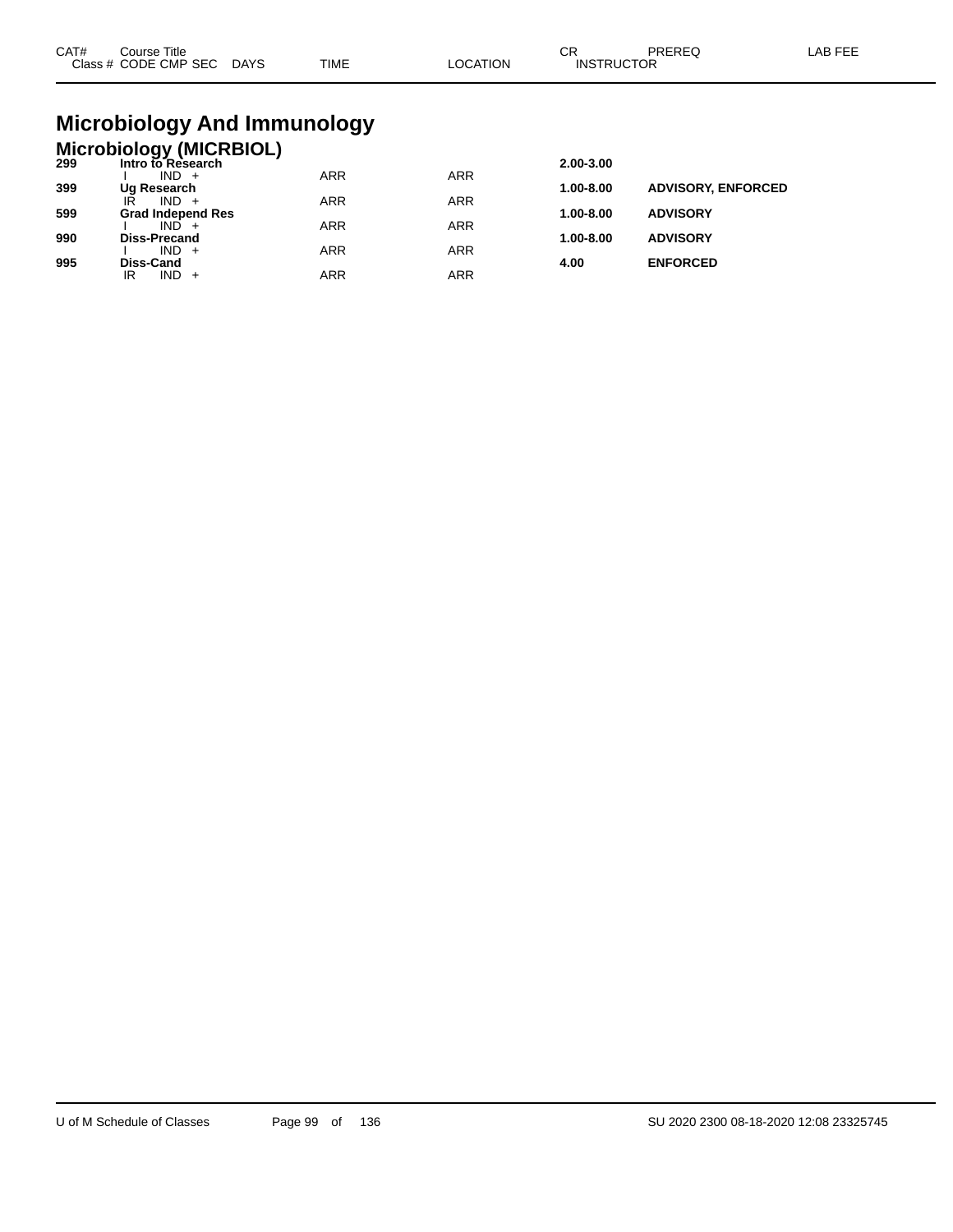| CAT# | ourse Titleٽ<br>Class # CODE CMP SEC DAYS | TIME | LOCATION | rπ<br>◡┍<br><b>INSTRUCTOR</b> | PREREC | LAB FEE |
|------|-------------------------------------------|------|----------|-------------------------------|--------|---------|
|      |                                           |      |          |                               |        |         |

# **Microbiology And Immunology**

## **Microbiology (MICRBIOL) 299 Intro to Research 2.00-3.00**

| -33 | IIIUUUIVIV0560UIII       |            |     | 2.00-J.00     |                           |
|-----|--------------------------|------------|-----|---------------|---------------------------|
|     | $IND +$                  | <b>ARR</b> | ARR |               |                           |
| 399 | Ug Research              |            |     | 1.00-8.00     | <b>ADVISORY, ENFORCED</b> |
|     | IR<br>$IND +$            | <b>ARR</b> | ARR |               |                           |
| 599 | <b>Grad Independ Res</b> |            |     | $1.00 - 8.00$ | <b>ADVISORY</b>           |
|     | $IND +$                  | <b>ARR</b> | ARR |               |                           |
| 990 | <b>Diss-Precand</b>      |            |     | $1.00 - 8.00$ | <b>ADVISORY</b>           |
|     | $IND +$                  | ARR        | ARR |               |                           |
| 995 | Diss-Cand                |            |     | 4.00          | <b>ENFORCED</b>           |
|     | $IND +$<br>IR            | ARR        | ARR |               |                           |
|     |                          |            |     |               |                           |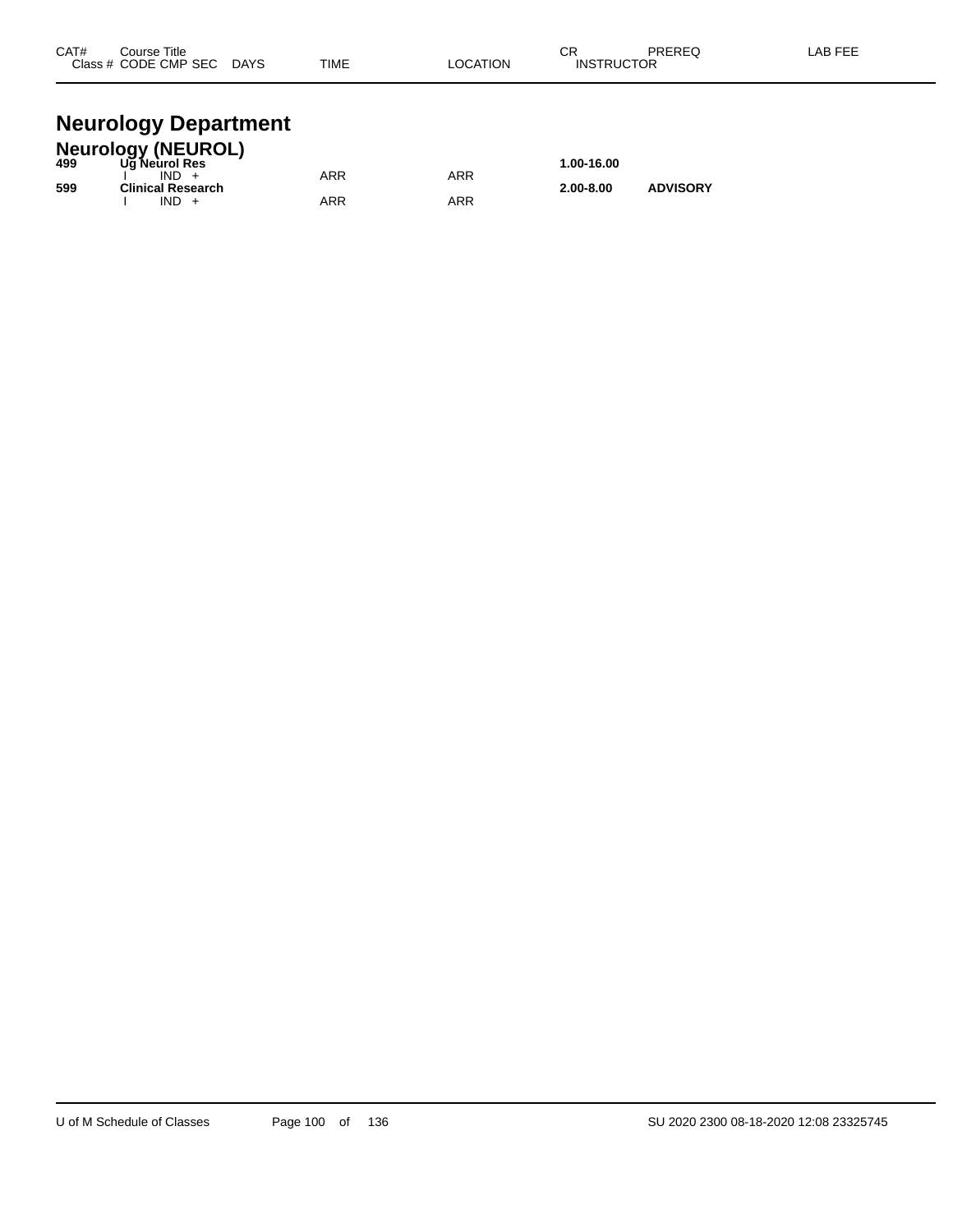| CAT#  | Course Title |             |             | ~-<br>v۱۱           | <b>DDEDEC</b> | . |
|-------|--------------|-------------|-------------|---------------------|---------------|---|
| Class | CODE CMP SEC | <b>DAYS</b> | <b>TIME</b> | <b>UCTOR</b><br>INS | ____          |   |
|       |              |             |             |                     |               |   |

## **Neurology Department**

|     | <b>Neurology (NEUROL)</b> |     |     |               |                 |  |
|-----|---------------------------|-----|-----|---------------|-----------------|--|
| 499 | Ug Neurol Res             |     |     | 1.00-16.00    |                 |  |
|     | $IND +$                   | ARR | ARR |               |                 |  |
| 599 | Clinical Research         |     |     | $2.00 - 8.00$ | <b>ADVISORY</b> |  |
|     | $IND +$                   | ARR | ARR |               |                 |  |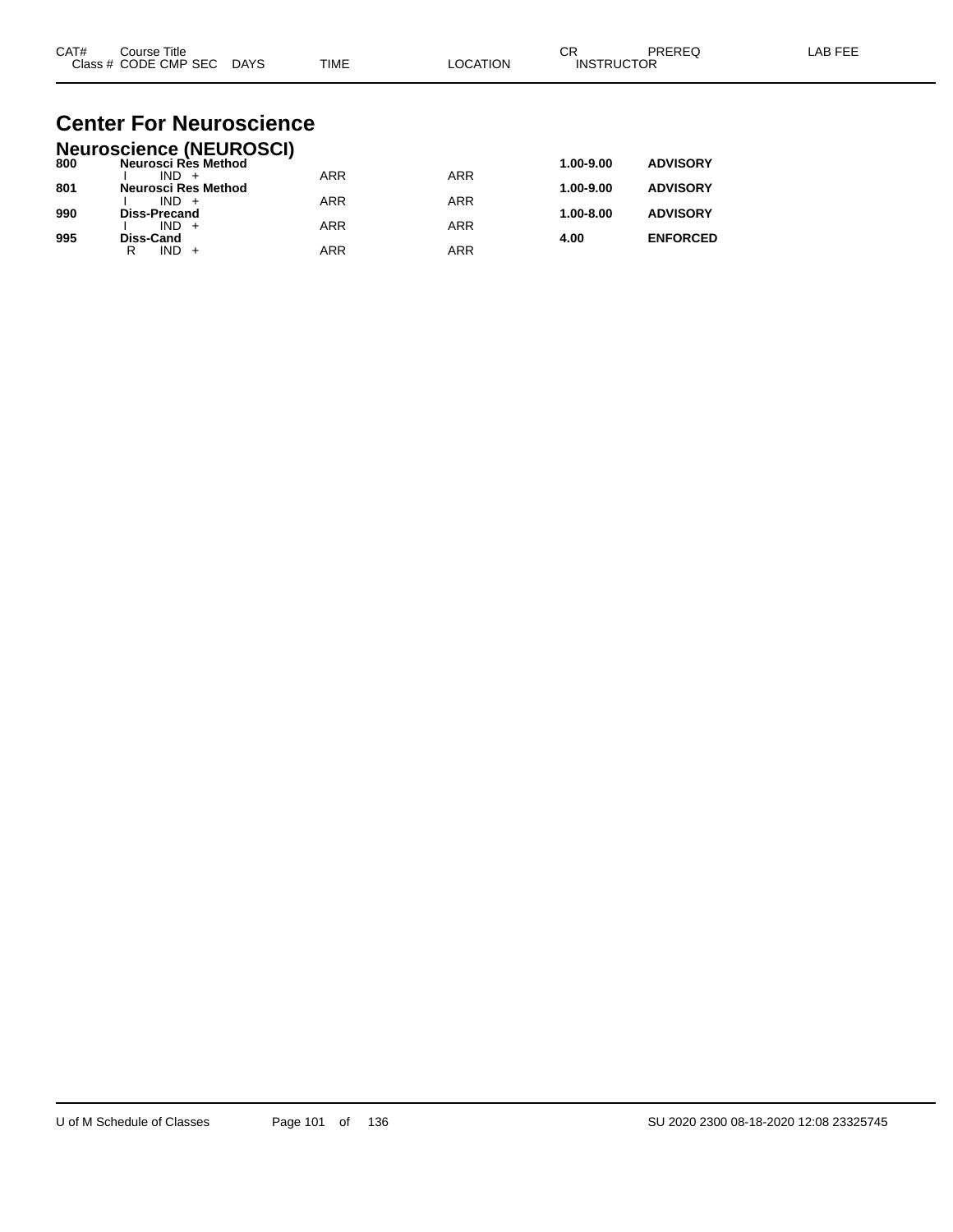| CAT# | Course Title         |             |             |          | ⌒г<br>◡           | PREREC | LAB FEF |
|------|----------------------|-------------|-------------|----------|-------------------|--------|---------|
|      | Class # CODE CMP SEC | <b>DAYS</b> | <b>TIME</b> | LOCATION | <b>INSTRUCTOR</b> |        |         |

#### **Center For Neuroscience Neuroscience (NEUROSCI)**

|     | Neuroscience (NEUROSCI) |            |            |               |                 |
|-----|-------------------------|------------|------------|---------------|-----------------|
| 800 | Neurosci Rès Method     |            |            | 1.00-9.00     | <b>ADVISORY</b> |
|     | $IND +$                 | <b>ARR</b> | <b>ARR</b> |               |                 |
| 801 | Neurosci Res Method     |            |            | 1.00-9.00     | <b>ADVISORY</b> |
|     | $IND +$                 | ARR        | ARR        |               |                 |
| 990 | <b>Diss-Precand</b>     |            |            | $1.00 - 8.00$ | <b>ADVISORY</b> |
|     | $IND +$                 | <b>ARR</b> | ARR        |               |                 |
| 995 | <b>Diss-Cand</b>        |            |            | 4.00          | <b>ENFORCED</b> |
|     | IND.<br>R               | ARR        | ARR        |               |                 |
|     |                         |            |            |               |                 |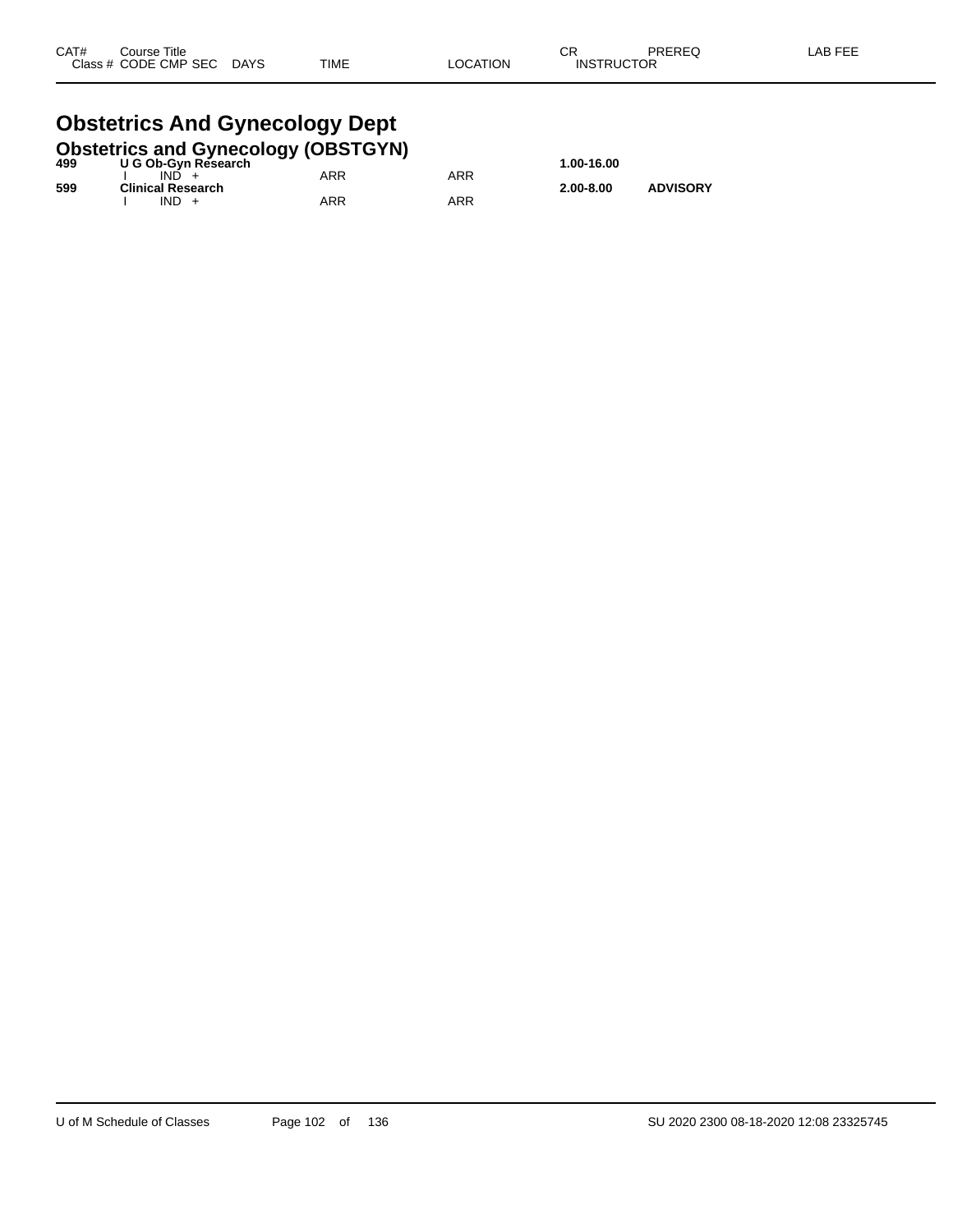#### **Obstetrics And Gynecology Dept**<br>Obstetries and Gynecology (OBSTOVN) **Obstetrics and Gynecology (OBSTGYN)**

| 499 | U G Ob-Gyn Research                 | ODSTETTICS and Gynecology (ODSTGTN) |     | 1.00-16.00    |                 |
|-----|-------------------------------------|-------------------------------------|-----|---------------|-----------------|
|     | $IND +$                             | ARR                                 | ARR |               |                 |
| 599 | <b>Clinical Research</b><br>$IND +$ | ARR                                 | ARR | $2.00 - 8.00$ | <b>ADVISORY</b> |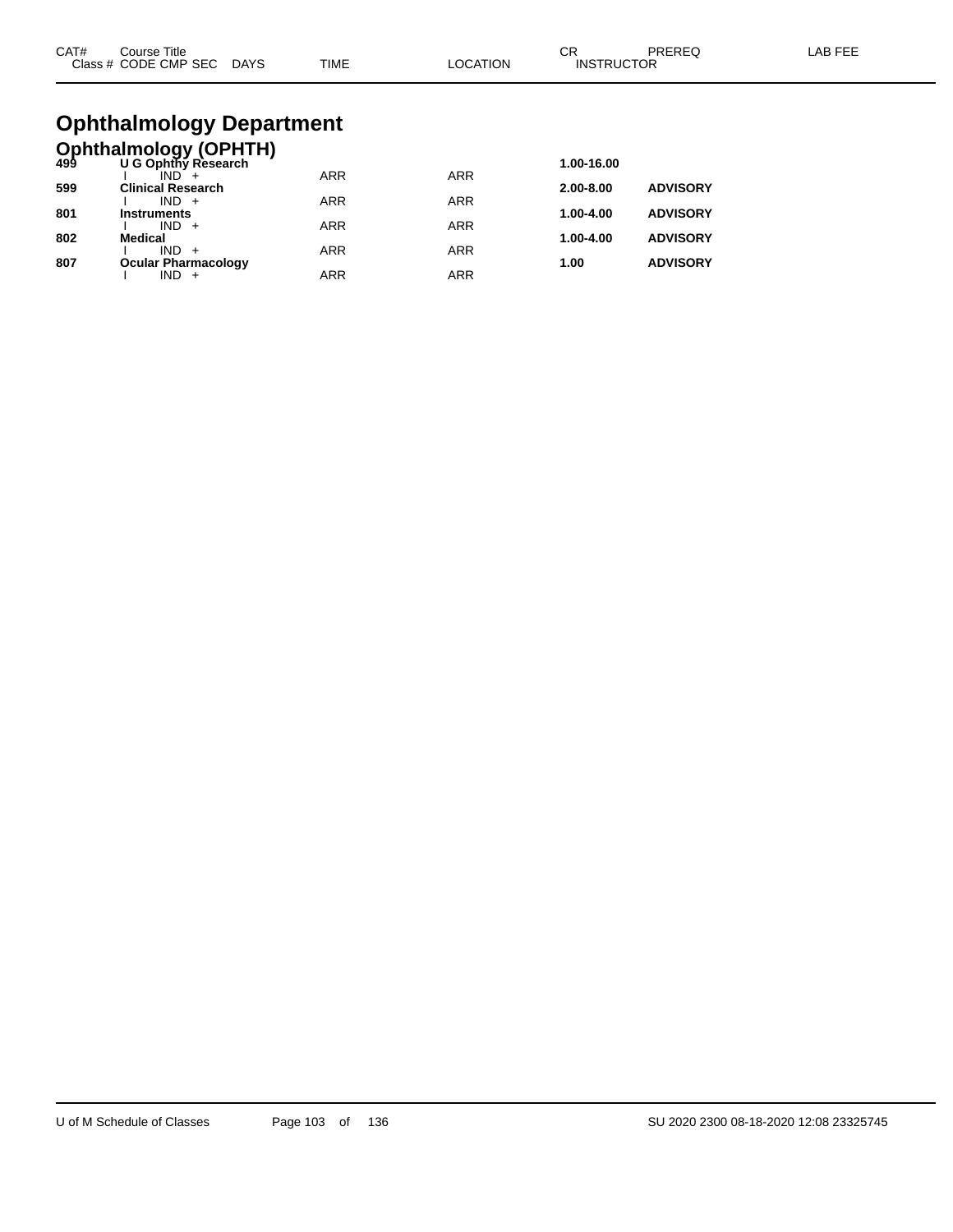| CAT# | Course Title.        |             |             |          | <b>^^</b><br>◡Ⴡ   | PREREC | _AB FEF |
|------|----------------------|-------------|-------------|----------|-------------------|--------|---------|
|      | Class # CODE CMP SEC | <b>DAYS</b> | <b>TIME</b> | LOCATION | <b>INSTRUCTOR</b> |        |         |

# **Ophthalmology Department**

|     | <b>Ophthalmology (OPHTH)</b><br>499 U G Ophthy Research |            |            |               |                 |
|-----|---------------------------------------------------------|------------|------------|---------------|-----------------|
|     |                                                         |            |            | 1.00-16.00    |                 |
|     |                                                         | <b>ARR</b> | <b>ARR</b> |               |                 |
| 599 | <b>Clinical Research</b>                                |            |            | $2.00 - 8.00$ | <b>ADVISORY</b> |
| 801 | $IND +$<br><b>Instruments</b>                           | <b>ARR</b> | <b>ARR</b> | 1.00-4.00     | <b>ADVISORY</b> |
|     | $IND +$                                                 | <b>ARR</b> | <b>ARR</b> |               |                 |
| 802 | <b>Medical</b>                                          |            |            | 1.00-4.00     | <b>ADVISORY</b> |
|     | $IND +$                                                 | <b>ARR</b> | <b>ARR</b> |               |                 |
| 807 | <b>Ocular Pharmacology</b>                              |            |            | 1.00          | <b>ADVISORY</b> |
|     | IND                                                     | <b>ARR</b> | <b>ARR</b> |               |                 |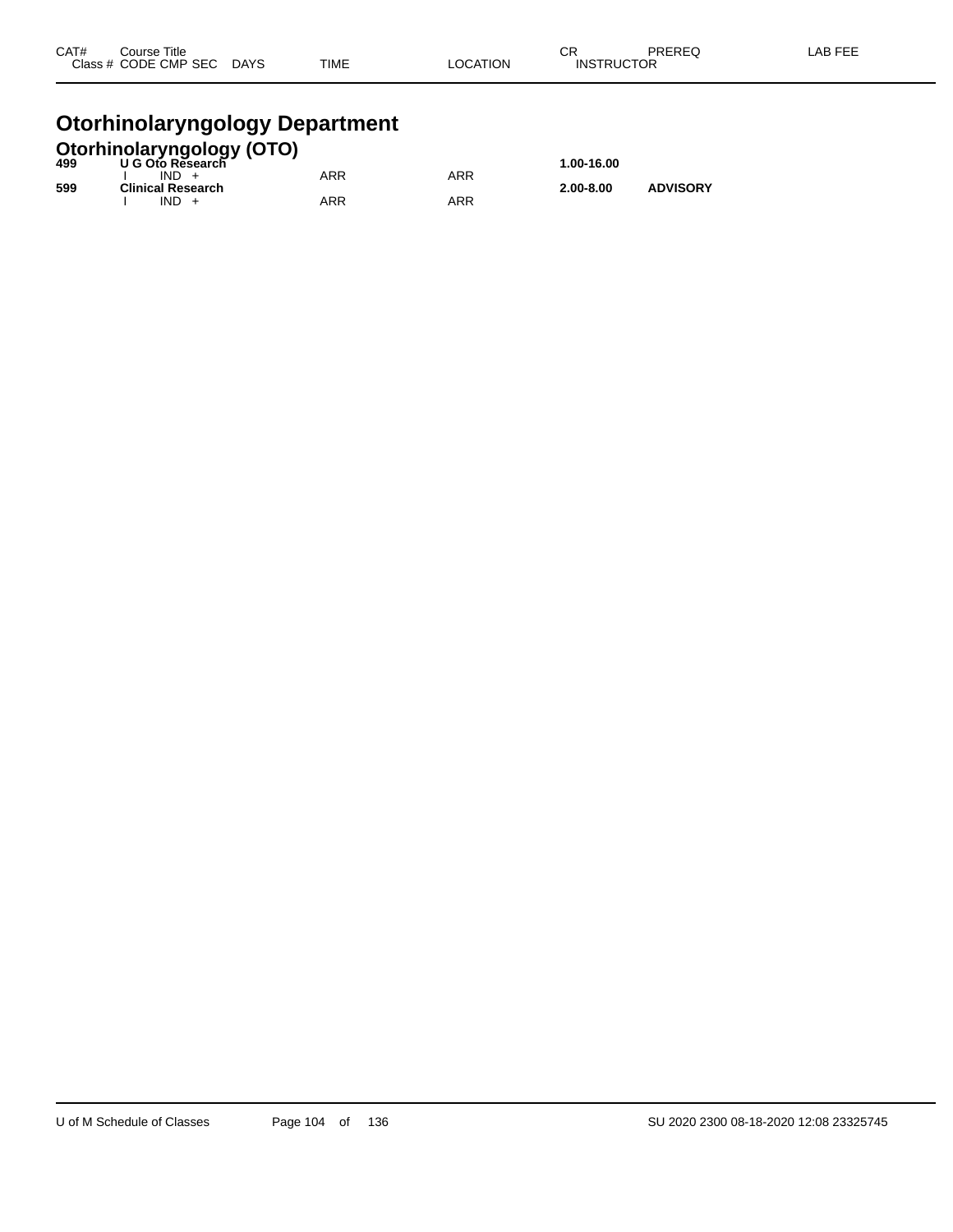| CAT# | Course Title              |             |          | ⌒冖                | PREREQ | LAB FEE |
|------|---------------------------|-------------|----------|-------------------|--------|---------|
|      | Class # CODE CMP SEC DAYS | <b>TIME</b> | LOCATION | <b>INSTRUCTOR</b> |        |         |
|      |                           |             |          |                   |        |         |

### **Otorhinolaryngology Department**

|     | <b>Otorhinolaryngology (OTO)</b><br>499 U G Oto Research |            |     |               |                 |
|-----|----------------------------------------------------------|------------|-----|---------------|-----------------|
|     |                                                          |            |     | 1.00-16.00    |                 |
|     | $IND +$                                                  | <b>ARR</b> | ARR |               |                 |
| 599 | <b>Clinical Research</b>                                 |            |     | $2.00 - 8.00$ | <b>ADVISORY</b> |
|     | $IND +$                                                  | ARR        | ARR |               |                 |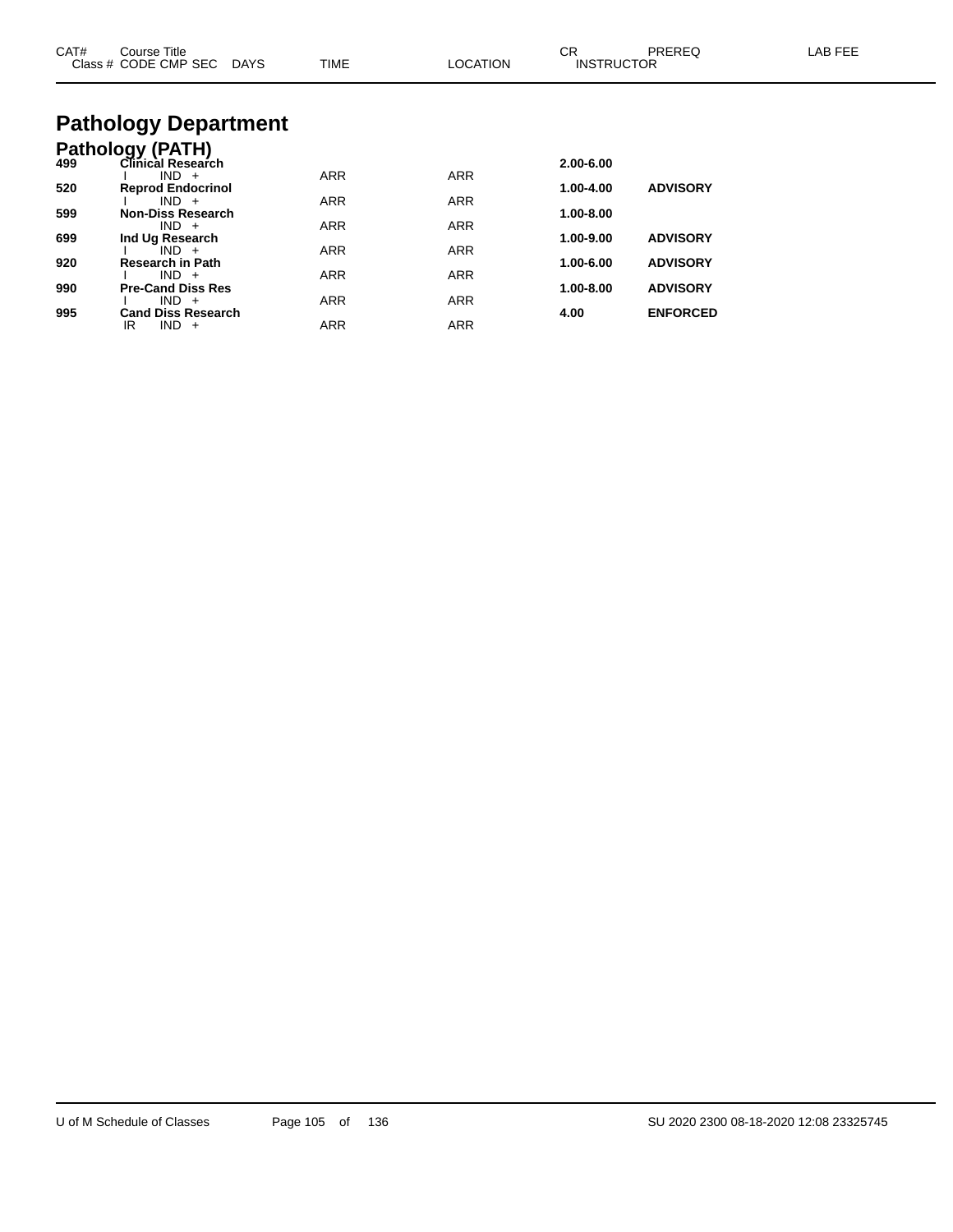| CAT# | Course Title<br>Class # CODE CMP SEC DAYS    | <b>TIME</b> | <b>LOCATION</b> | CR.<br><b>INSTRUCTOR</b> | <b>PREREQ</b>   | LAB FEE |
|------|----------------------------------------------|-------------|-----------------|--------------------------|-----------------|---------|
|      | <b>Pathology Department</b>                  |             |                 |                          |                 |         |
| 499  | <b>Pathology (PATH)</b><br>Clinical Research |             |                 | 2.00-6.00                |                 |         |
| 520  | $IND +$<br><b>Reprod Endocrinol</b>          | <b>ARR</b>  | <b>ARR</b>      | 1.00-4.00                | <b>ADVISORY</b> |         |
|      | $IND +$                                      | <b>ARR</b>  | <b>ARR</b>      |                          |                 |         |
| 599  | <b>Non-Diss Research</b><br>$IND +$          | <b>ARR</b>  | <b>ARR</b>      | 1.00-8.00                |                 |         |
| 699  | Ind Ug Research                              |             |                 | 1.00-9.00                | <b>ADVISORY</b> |         |
| 920  | $IND +$<br>Research in Path                  | <b>ARR</b>  | <b>ARR</b>      | 1.00-6.00                | <b>ADVISORY</b> |         |
|      | $IND +$                                      | <b>ARR</b>  | <b>ARR</b>      |                          |                 |         |
| 990  | <b>Pre-Cand Diss Res</b>                     |             |                 | 1.00-8.00                | <b>ADVISORY</b> |         |
| 995  | $IND +$<br><b>Cand Diss Research</b>         | <b>ARR</b>  | <b>ARR</b>      | 4.00                     | <b>ENFORCED</b> |         |
|      | IR<br>$IND +$                                | <b>ARR</b>  | <b>ARR</b>      |                          |                 |         |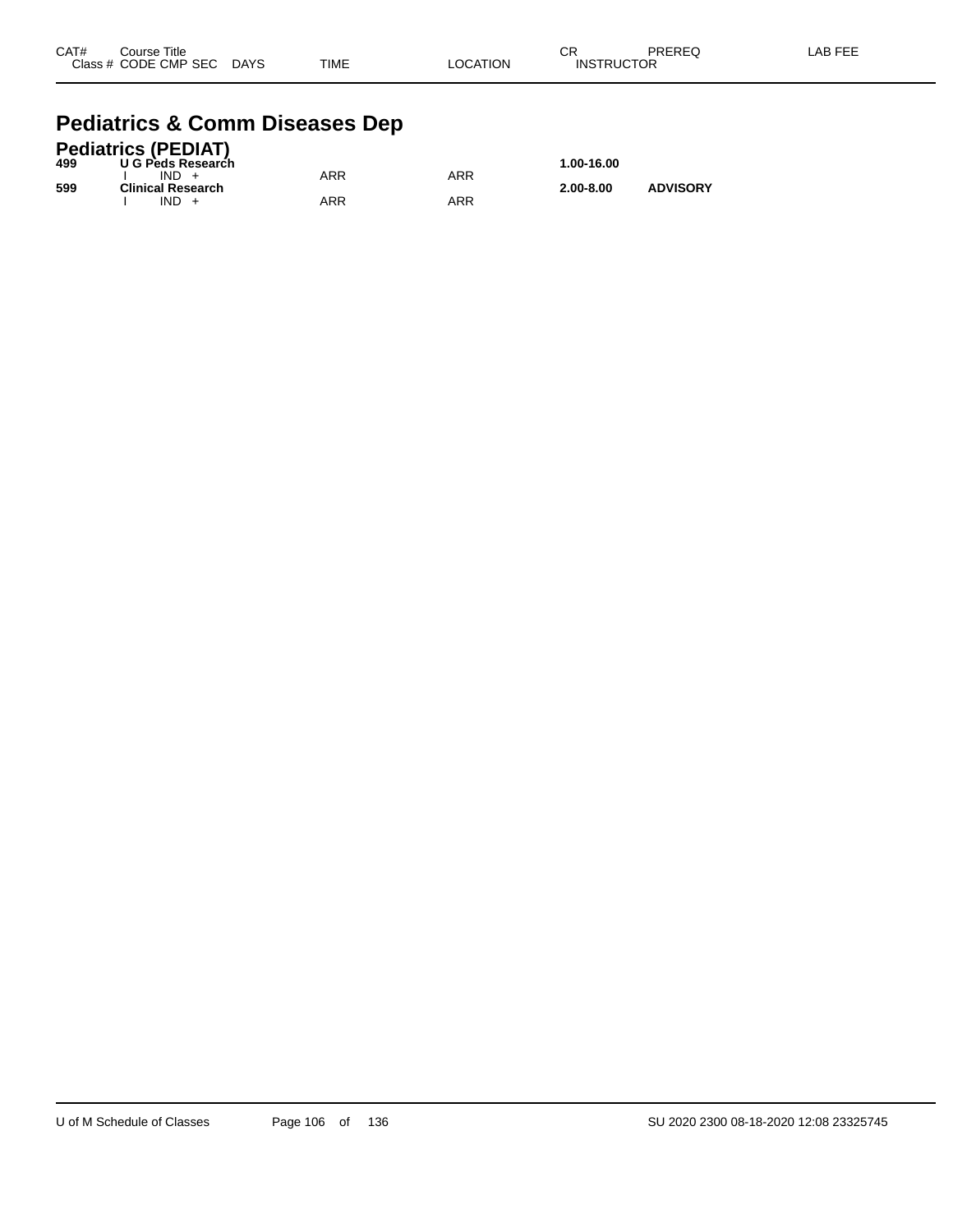| CAT# | Course Title              |             |          | CR                | PREREQ | -AB FEE |
|------|---------------------------|-------------|----------|-------------------|--------|---------|
|      | Class # CODE CMP SEC DAYS | <b>TIME</b> | LOCATION | <b>INSTRUCTOR</b> |        |         |

#### **Pediatrics & Comm Diseases Dep**

|     | <b>Pediatrics (PEDIAT)</b> |     |     |               |                 |
|-----|----------------------------|-----|-----|---------------|-----------------|
| 499 | U G Peds Research          |     |     | 1.00-16.00    |                 |
|     | $IND +$                    | ARR | ARR |               |                 |
| 599 | <b>Clinical Research</b>   |     |     | $2.00 - 8.00$ | <b>ADVISORY</b> |
|     | $IND +$                    | ARR | ARR |               |                 |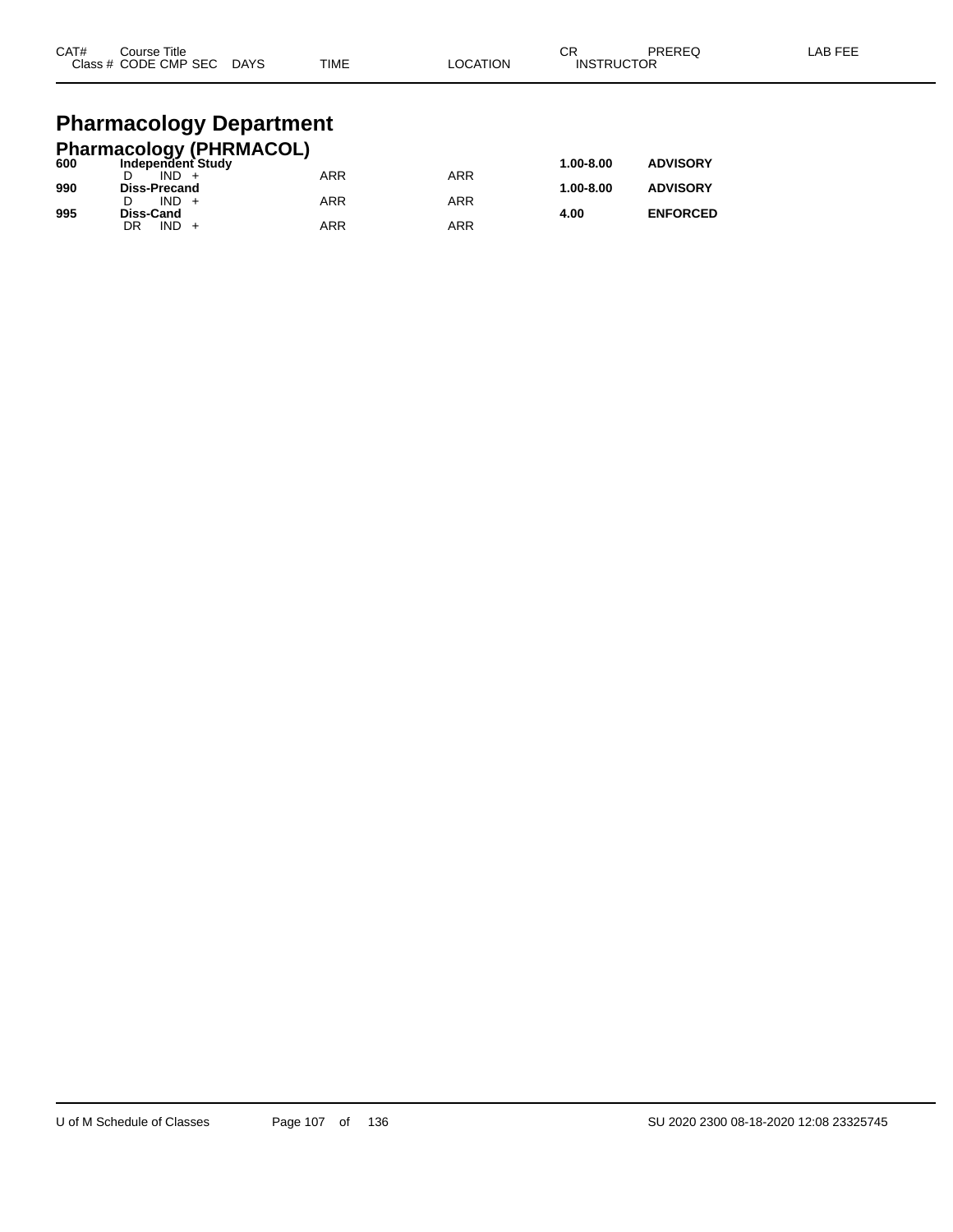| CAT# | Course Title<br>Class # CODE CMP SEC | <b>DAYS</b> | <b>TIME</b> | _OCATION | rπ<br>◡⊓<br><b>INSTRUCTOR</b> | PREREQ | LAB FEE |
|------|--------------------------------------|-------------|-------------|----------|-------------------------------|--------|---------|
|      |                                      |             |             |          |                               |        |         |

# **Pharmacology Department**

|     | <b>Pharmacology (PHRMACOL)</b> |            |            |               |                 |
|-----|--------------------------------|------------|------------|---------------|-----------------|
| 600 | Independent Study              |            |            | $1.00 - 8.00$ | <b>ADVISORY</b> |
|     | $IND +$                        | <b>ARR</b> | ARR        |               |                 |
| 990 | <b>Diss-Precand</b>            |            |            | $1.00 - 8.00$ | <b>ADVISORY</b> |
|     | $IND +$                        | <b>ARR</b> | <b>ARR</b> |               |                 |
| 995 | Diss-Cand                      |            |            | 4.00          | <b>ENFORCED</b> |
|     | $IND +$<br>DR                  | ARR        | ARR        |               |                 |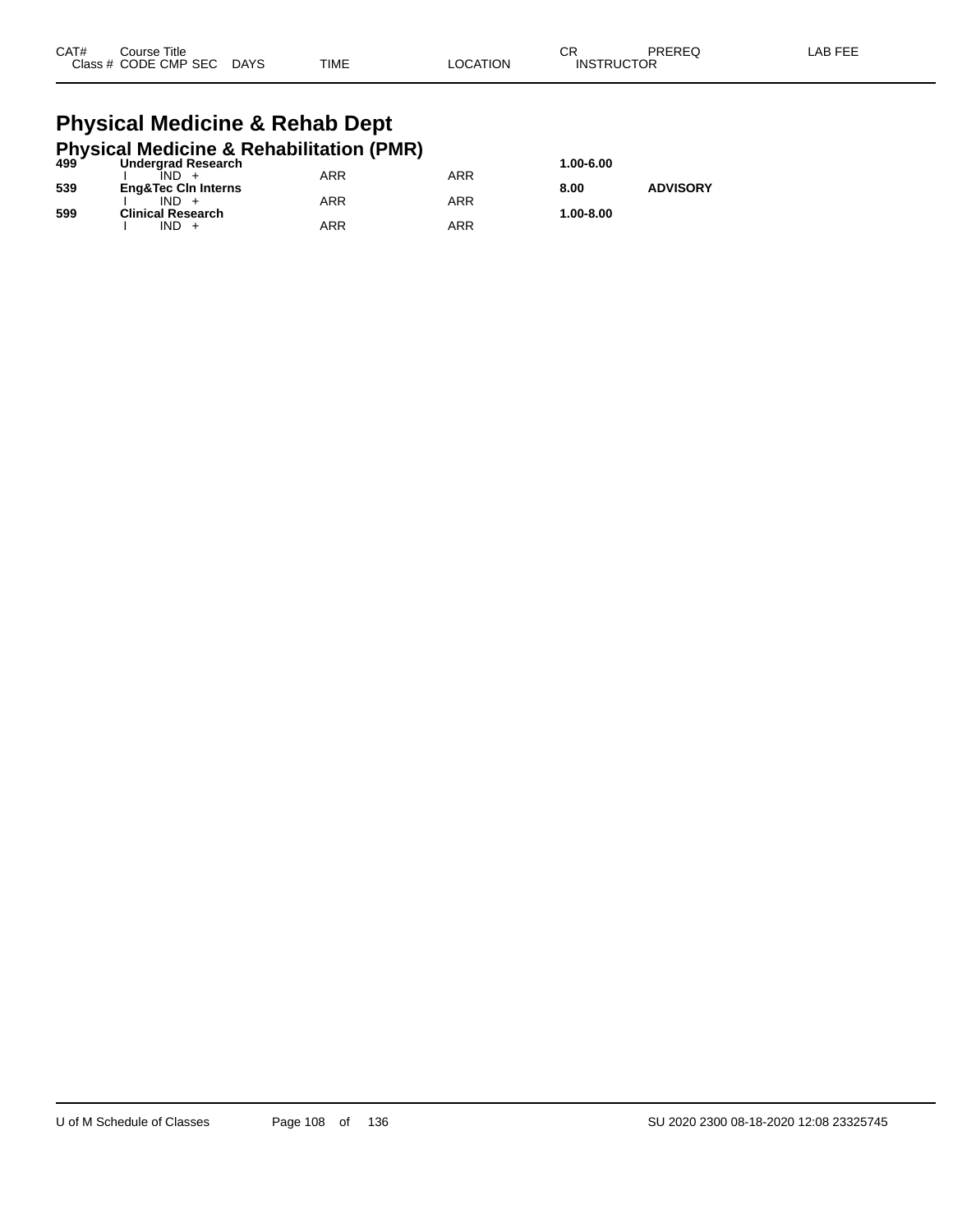| CAT# | Title<br>Course:     |             |             |          | ៱.<br>◡           | PREREQ | _AB FEE |
|------|----------------------|-------------|-------------|----------|-------------------|--------|---------|
|      | Class # CODE CMP SEC | <b>DAYS</b> | <b>TIME</b> | _OCATION | <b>INSTRUCTOR</b> |        |         |

#### **Physical Medicine & Rehab Dept Physical Medicine & Rehabilitation (PMR)**

|     | 499 Undergrad Research<br><b>Undergrad Research</b> |     |     | 1.00-6.00 |                 |
|-----|-----------------------------------------------------|-----|-----|-----------|-----------------|
|     |                                                     | ARR | ARR |           |                 |
| 539 | <b>Eng&amp;Tec Cin Interns</b>                      |     |     | 8.00      | <b>ADVISORY</b> |
|     |                                                     | ARR | ARR |           |                 |
| 599 | <b>Clinical Research</b>                            |     |     | 1.00-8.00 |                 |
|     | IND +                                               | ARR | ARR |           |                 |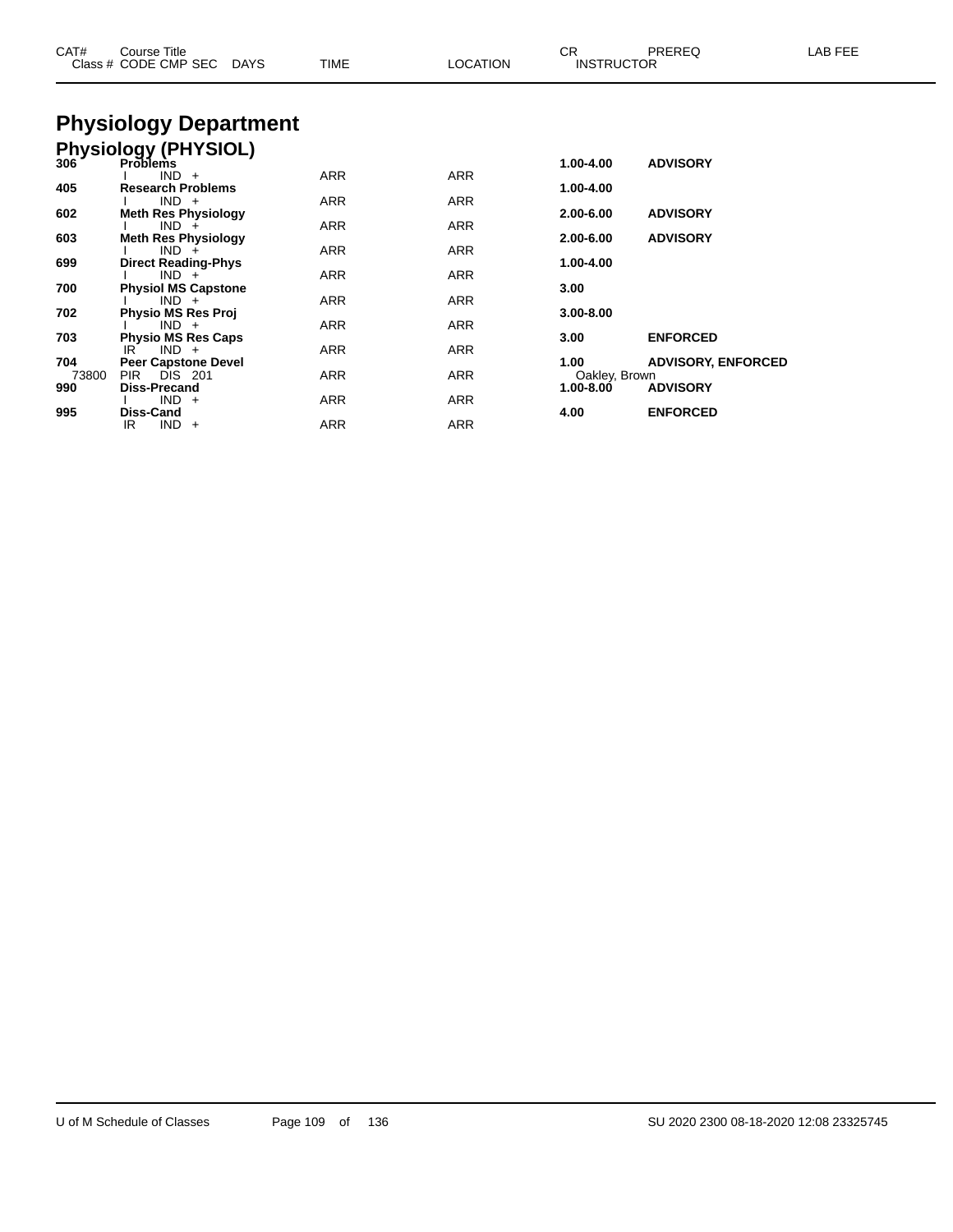| CAT#                | Course Title<br>Class # CODE CMP SEC DAYS                                         | <b>TIME</b>       | <b>LOCATION</b>   | <b>CR</b><br><b>INSTRUCTOR</b>         | PREREQ                                       | LAB FEE |
|---------------------|-----------------------------------------------------------------------------------|-------------------|-------------------|----------------------------------------|----------------------------------------------|---------|
|                     | <b>Physiology Department</b>                                                      |                   |                   |                                        |                                              |         |
|                     | Physiology (PHYSIOL)<br>306 Problems                                              |                   |                   | 1.00-4.00                              | <b>ADVISORY</b>                              |         |
| 405                 | $IND +$<br><b>Research Problems</b><br>$IND +$                                    | <b>ARR</b><br>ARR | <b>ARR</b><br>ARR | 1.00-4.00                              |                                              |         |
| 602                 | <b>Meth Res Physiology</b><br>$IND +$                                             | ARR               | ARR               | 2.00-6.00                              | <b>ADVISORY</b>                              |         |
| 603<br>699          | <b>Meth Res Physiology</b><br>$IND +$<br><b>Direct Reading-Phys</b>               | ARR               | ARR               | $2.00 - 6.00$<br>1.00-4.00             | <b>ADVISORY</b>                              |         |
| 700                 | $IND +$<br><b>Physiol MS Capstone</b>                                             | ARR               | ARR               | 3.00                                   |                                              |         |
| 702                 | $IND +$<br><b>Physio MS Res Proj</b><br>$IND +$                                   | <b>ARR</b><br>ARR | <b>ARR</b><br>ARR | $3.00 - 8.00$                          |                                              |         |
| 703                 | <b>Physio MS Res Caps</b><br>$IND +$<br>IR                                        | <b>ARR</b>        | ARR               | 3.00                                   | <b>ENFORCED</b>                              |         |
| 704<br>73800<br>990 | <b>Peer Capstone Devel</b><br><b>DIS</b> 201<br><b>PIR</b><br><b>Diss-Precand</b> | ARR               | ARR               | 1.00<br>Oakley, Brown<br>$1.00 - 8.00$ | <b>ADVISORY, ENFORCED</b><br><b>ADVISORY</b> |         |
| 995                 | $IND +$<br><b>Diss-Cand</b>                                                       | ARR               | ARR               | 4.00                                   | <b>ENFORCED</b>                              |         |
|                     | $IND +$<br>IR                                                                     | <b>ARR</b>        | <b>ARR</b>        |                                        |                                              |         |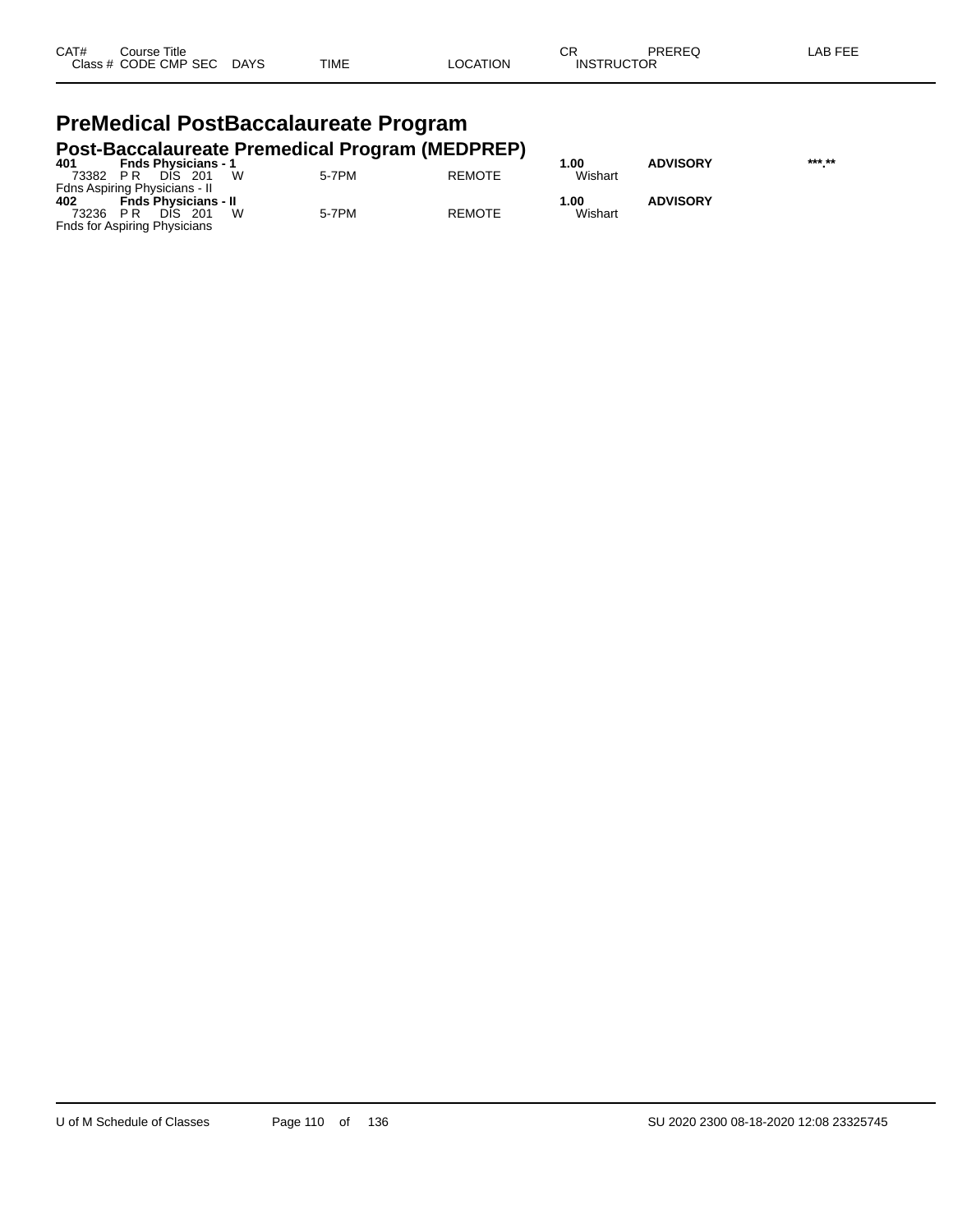| CAT# | Title<br>Course      |             |             |          | СR                | PREREQ | $LAB$ FEF |
|------|----------------------|-------------|-------------|----------|-------------------|--------|-----------|
|      | Class # CODE CMP SEC | <b>DAYS</b> | <b>TIME</b> | _OCATION | <b>INSTRUCTOR</b> |        |           |

### **PreMedical PostBaccalaureate Program Post-Baccalaureate Premedical Program (MEDPREP)**

| 401   | <b>Fnds Physicians - 1</b>          |       |               | 00. ا   | <b>ADVISORY</b> | *** ** |
|-------|-------------------------------------|-------|---------------|---------|-----------------|--------|
| 73382 | DIS 201<br>PR                       | 5-7PM | <b>REMOTE</b> | Wishart |                 |        |
|       | Fdns Aspiring Physicians - II       |       |               |         |                 |        |
| 402   | <b>Fnds Physicians - II</b>         |       |               | 1.00    | <b>ADVISORY</b> |        |
| 73236 | DIS.<br>- 201<br>P R                | 5-7PM | <b>REMOTE</b> | Wishart |                 |        |
|       | <b>Fnds for Aspiring Physicians</b> |       |               |         |                 |        |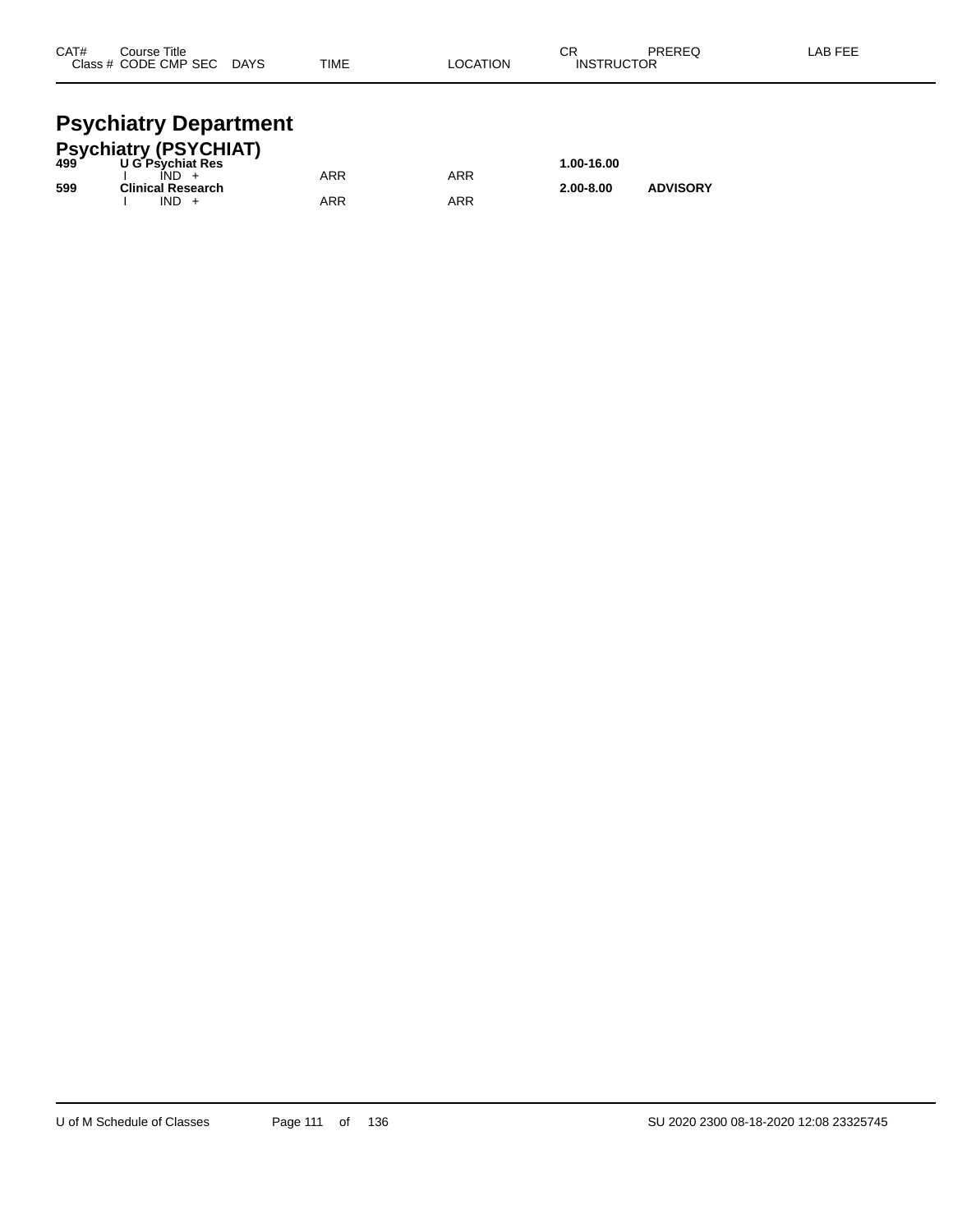| CAT# | Course Title         |             |             |          | ⌒г<br>◡∩          | PREREQ | AB FEE. |
|------|----------------------|-------------|-------------|----------|-------------------|--------|---------|
|      | Class # CODE CMP SEC | <b>DAYS</b> | <b>TIME</b> | LOCATION | <b>INSTRUCTOR</b> |        |         |
|      |                      |             |             |          |                   |        |         |

## **Psychiatry Department**

|     | Psychiatry (PSYCHIAT)<br>499          ∪G Psychiat Res |     |     |               |                 |  |
|-----|-------------------------------------------------------|-----|-----|---------------|-----------------|--|
|     | <b>U G Psychiat Res</b>                               |     |     | 1.00-16.00    |                 |  |
|     | $IND +$                                               | ARR | ARR |               |                 |  |
| 599 | <b>Clinical Research</b>                              |     |     | $2.00 - 8.00$ | <b>ADVISORY</b> |  |
|     | $IND +$                                               | ARR | ARR |               |                 |  |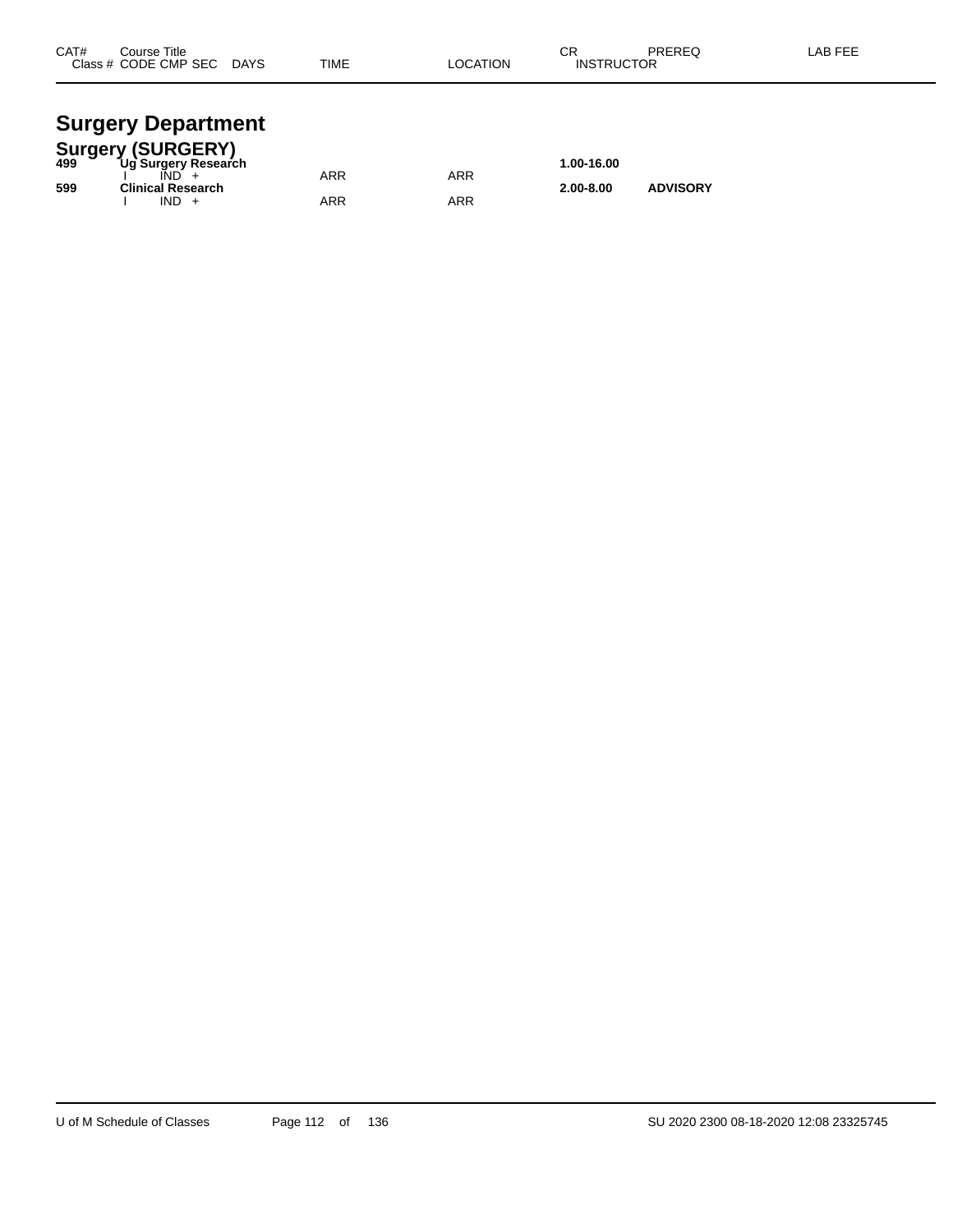| CAT# | Course Title<br>Class # CODE CMP SEC | <b>DAYS</b> | <b>TIME</b> | <b>LOCATION</b> | ◠◻<br>۱۷۱۰ -<br><b>INSTRUCTOR</b> | PREREQ | <b>AB FEF</b> |
|------|--------------------------------------|-------------|-------------|-----------------|-----------------------------------|--------|---------------|
|      |                                      |             |             |                 |                                   |        |               |

# **Surgery Department**

|     | <b>Surgery (SURGERY)</b> |     |     |               |                 |  |
|-----|--------------------------|-----|-----|---------------|-----------------|--|
| 499 | Ug Surgery Research      |     |     | 1.00-16.00    |                 |  |
|     |                          | ARR | ARR |               |                 |  |
| 599 | <b>Clinical Research</b> |     |     | $2.00 - 8.00$ | <b>ADVISORY</b> |  |
|     | $IND +$                  | ARR | ARR |               |                 |  |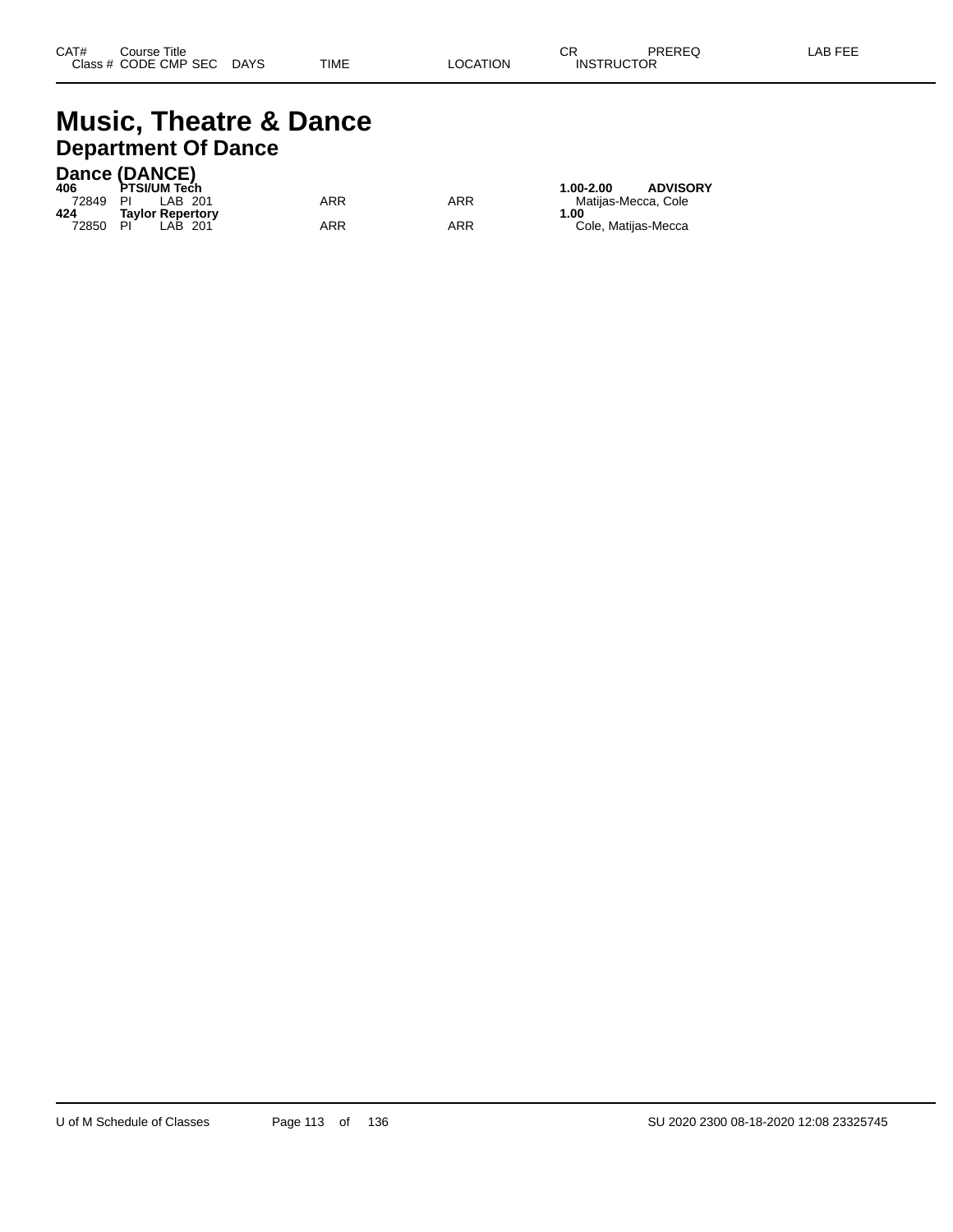# **Music, Theatre & Dance Department Of Dance**

## **Dance (DANCE)**

| 406   | DAIIUC (DANUE)<br>PTSI/UM Tech |     |     | <b>ADVISORY</b><br>1.00-2.00 |
|-------|--------------------------------|-----|-----|------------------------------|
| 72849 | PI<br>LAB 201                  | ARR | ARR | Matiias-Mecca, Cole          |
| 424   | <b>Tavlor Repertory</b>        |     |     | 1.00                         |
| 72850 | PI<br>LAB 201                  | ARR | ARR | Cole, Matijas-Mecca          |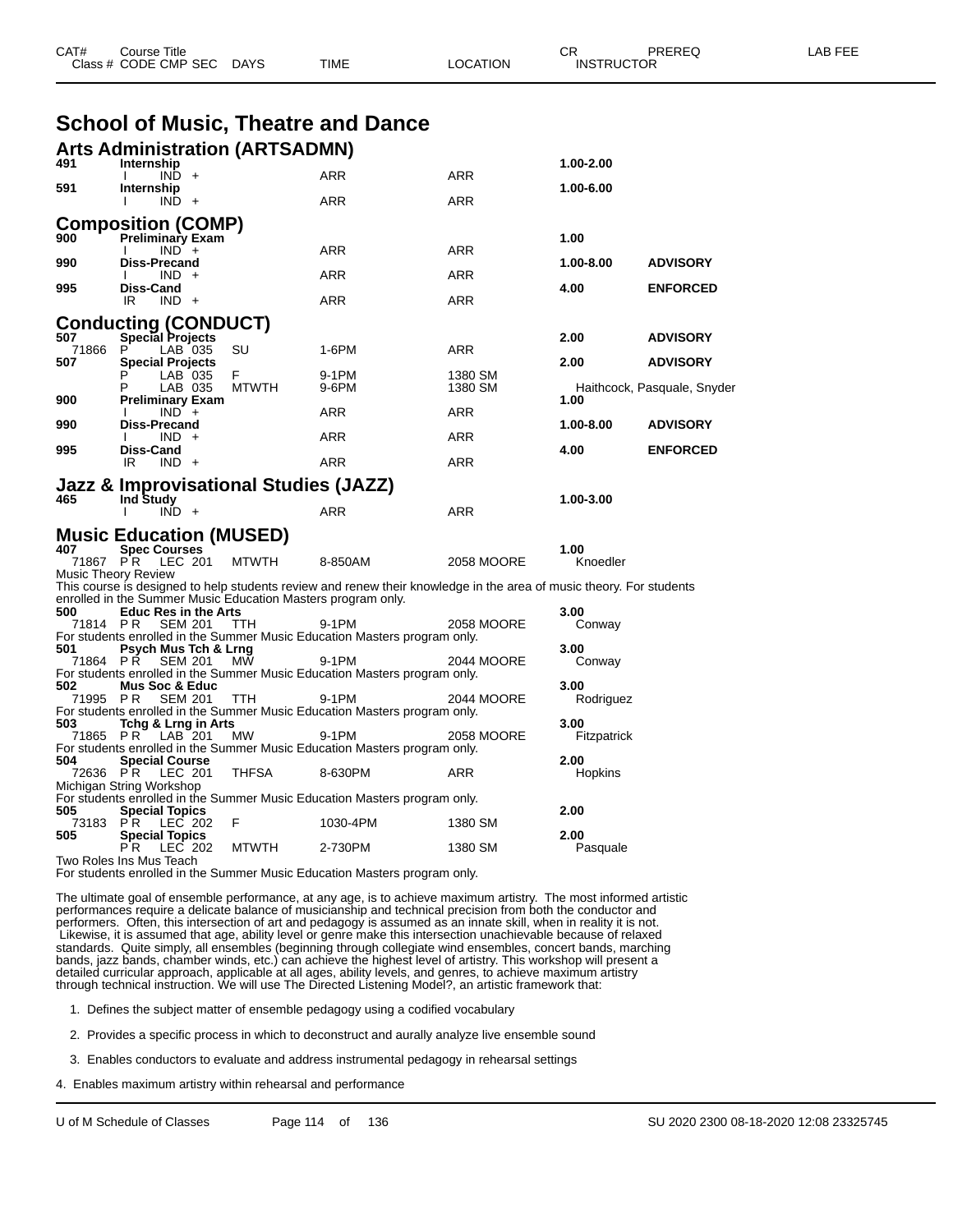|                 |                                                                                             |              | <b>School of Music, Theatre and Dance</b>                                                                           |            |                     |                             |
|-----------------|---------------------------------------------------------------------------------------------|--------------|---------------------------------------------------------------------------------------------------------------------|------------|---------------------|-----------------------------|
|                 | <b>Arts Administration (ARTSADMN)</b>                                                       |              |                                                                                                                     |            |                     |                             |
| 491             | Internship<br>$IND +$                                                                       |              | ARR                                                                                                                 | <b>ARR</b> | 1.00-2.00           |                             |
| 591             | Internship<br>$IND +$                                                                       |              | ARR                                                                                                                 | ARR        | 1.00-6.00           |                             |
|                 | <b>Composition (COMP)</b>                                                                   |              |                                                                                                                     |            |                     |                             |
| 900             | <b>Preliminary Exam</b><br>$IND +$                                                          |              | ARR                                                                                                                 | ARR        | 1.00                |                             |
| 990             | Diss-Precand<br>$IND +$                                                                     |              | ARR                                                                                                                 | ARR        | 1.00-8.00           | <b>ADVISORY</b>             |
| 995             | Diss-Cand<br>IR<br>$IND +$                                                                  |              | ARR                                                                                                                 | ARR        | 4.00                | <b>ENFORCED</b>             |
|                 | <b>Conducting (CONDUCT)</b>                                                                 |              |                                                                                                                     |            |                     |                             |
| 507<br>71866    | <b>Special Projects</b><br>P<br>LAB 035                                                     | SU           | 1-6PM                                                                                                               | ARR        | 2.00                | <b>ADVISORY</b>             |
| 507             | <b>Special Projects</b><br>LAB 035                                                          | F.           | 9-1PM                                                                                                               | 1380 SM    | 2.00                | <b>ADVISORY</b>             |
| 900             | LAB 035<br>Р<br>Preliminary Exam                                                            | <b>MTWTH</b> | 9-6PM                                                                                                               | 1380 SM    | 1.00                | Haithcock, Pasquale, Snyder |
| 990             | $IND +$<br>Diss-Precand                                                                     |              | ARR                                                                                                                 | ARR        | 1.00-8.00           | <b>ADVISORY</b>             |
| 995             | $IND +$<br>Diss-Cand                                                                        |              | ARR                                                                                                                 | ARR        | 4.00                | <b>ENFORCED</b>             |
|                 | $IND +$<br>IR                                                                               |              | ARR                                                                                                                 | ARR        |                     |                             |
|                 | Jazz & Improvisational Studies (JAZZ)                                                       |              |                                                                                                                     |            |                     |                             |
| 465             | <b>Ind Study</b><br>$IND +$                                                                 |              | <b>ARR</b>                                                                                                          | ARR        | 1.00-3.00           |                             |
|                 | <b>Music Education (MUSED)</b>                                                              |              |                                                                                                                     |            |                     |                             |
| 407<br>71867 PR | <b>Spec Courses</b><br>LEC 201                                                              | <b>MTWTH</b> | 8-850AM                                                                                                             | 2058 MOORE | 1.00<br>Knoedler    |                             |
|                 | <b>Music Theory Review</b>                                                                  |              | This course is designed to help students review and renew their knowledge in the area of music theory. For students |            |                     |                             |
| 500             | enrolled in the Summer Music Education Masters program only.<br><b>Educ Res in the Arts</b> |              |                                                                                                                     |            | 3.00                |                             |
| 71814 PR        | SEM 201                                                                                     | ттн          | 9-1PM<br>For students enrolled in the Summer Music Education Masters program only.                                  | 2058 MOORE | Conway              |                             |
| 501<br>71864 PR | Psych Mus Tch & Lrng<br><b>SEM 201</b>                                                      | <b>MW</b>    | 9-1PM                                                                                                               | 2044 MOORE | 3.00<br>Conway      |                             |
| 502             | Mus Soc & Educ                                                                              |              | For students enrolled in the Summer Music Education Masters program only.                                           |            | 3.00                |                             |
| 71995 PR        | SEM 201                                                                                     | TTH          | 9-1PM<br>For students enrolled in the Summer Music Education Masters program only.                                  | 2044 MOORE | Rodriguez           |                             |
| 503<br>71865 PR | Tchg & Lrng in Arts<br>LAB 201                                                              | MW.          | 9-1PM                                                                                                               | 2058 MOORE | 3.00<br>Fitzpatrick |                             |
| 504             | <b>Special Course</b>                                                                       |              | For students enrolled in the Summer Music Education Masters program only.                                           |            | 2.00                |                             |
| 72636 PR        | LEC 201                                                                                     | THFSA        | 8-630PM                                                                                                             | ARR        | Hopkins             |                             |
|                 | Michigan String Workshop                                                                    |              | For students enrolled in the Summer Music Education Masters program only.                                           |            |                     |                             |
| 505<br>73183 PR | <b>Special Topics</b><br>LEC 202                                                            | F            | 1030-4PM                                                                                                            | 1380 SM    | 2.00                |                             |
| 505             | <b>Special Topics</b><br>LEC 202<br>P R.                                                    | <b>MTWTH</b> | 2-730PM                                                                                                             | 1380 SM    | 2.00<br>Pasquale    |                             |
|                 | Two Roles Ins Mus Teach                                                                     |              | For students enrolled in the Summer Music Education Masters program only.                                           |            |                     |                             |
|                 |                                                                                             |              | The ultimate goal of ensemble performance, at any age, is to achieve maximum artistry. The most informed artistic   |            |                     |                             |

CAT# Course Title Case CR PREREQ LAB FEE

Class # CODE CMP SEC DAYS TIME LOCATION INSTRUCTOR

performances require a delicate balance of musicianship and technical precision from both the conductor and performers. Often, this intersection of art and pedagogy is assumed as an innate skill, when in reality it is not. Likewise, it is assumed that age, ability level or genre make this intersection unachievable because of relaxed standards. Quite simply, all ensembles (beginning through collegiate wind ensembles, concert bands, marching bands, jazz bands, chamber winds, etc.) can achieve the highest level of artistry. This workshop will present a detailed curricular approach, applicable at all ages, ability levels, and genres, to achieve maximum artistry through technical instruction. We will use The Directed Listening Model?, an artistic framework that:

1. Defines the subject matter of ensemble pedagogy using a codified vocabulary

2. Provides a specific process in which to deconstruct and aurally analyze live ensemble sound

3. Enables conductors to evaluate and address instrumental pedagogy in rehearsal settings

4. Enables maximum artistry within rehearsal and performance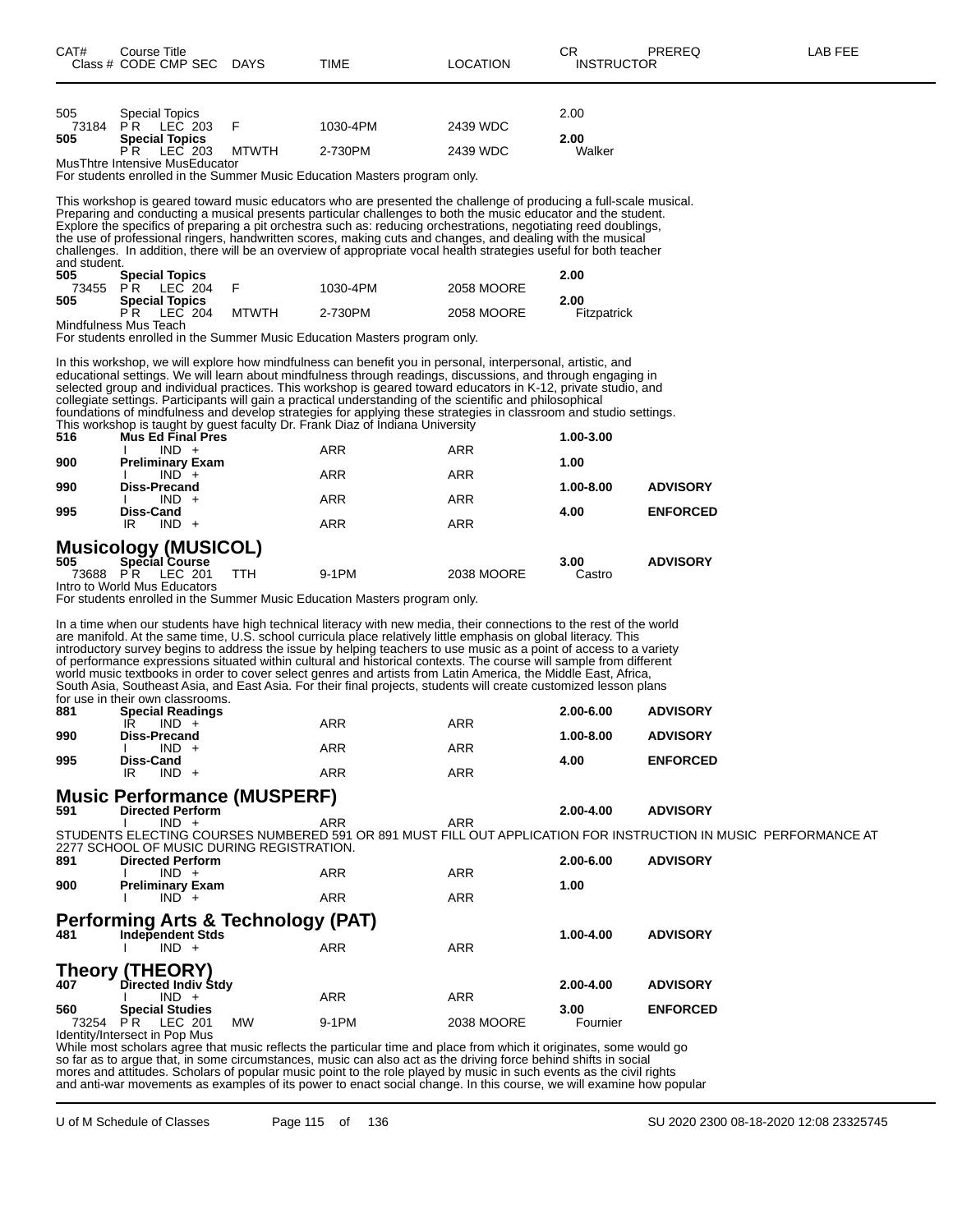| CAT#<br>ourse Titleٽ<br>Class # CODE CMP SEC | <b>DAYS</b> | TIME | LOCATION | ◡∩ | PREREQ<br><b>INSTRUCTOR</b> | <b>FEE</b><br>AR |
|----------------------------------------------|-------------|------|----------|----|-----------------------------|------------------|
|----------------------------------------------|-------------|------|----------|----|-----------------------------|------------------|

| 505   | <b>Special Topics</b>          |         |       |          |          | 2.00   |
|-------|--------------------------------|---------|-------|----------|----------|--------|
| 73184 | <b>PR LEC 203</b>              |         |       | 1030-4PM | 2439 WDC |        |
| 505   | <b>Special Topics</b>          |         |       |          |          | 2.00   |
|       | PR                             | LEC 203 | MTWTH | 2-730PM  | 2439 WDC | Walker |
|       | MusThtre Intensive MusEducator |         |       |          |          |        |
|       |                                |         |       |          |          |        |

For students enrolled in the Summer Music Education Masters program only.

This workshop is geared toward music educators who are presented the challenge of producing a full-scale musical. Preparing and conducting a musical presents particular challenges to both the music educator and the student. Explore the specifics of preparing a pit orchestra such as: reducing orchestrations, negotiating reed doublings, the use of professional ringers, handwritten scores, making cuts and changes, and dealing with the musical challenges. In addition, there will be an overview of appropriate vocal health strategies useful for both teacher and student.

| 505 | <b>Special Topics</b> |              |          |            | 2.00        |
|-----|-----------------------|--------------|----------|------------|-------------|
|     | 73455 PR LEC 204      |              | 1030-4PM | 2058 MOORE |             |
| 505 | <b>Special Topics</b> |              |          |            | 2.00        |
|     | PR LEC 204            | <b>MTWTH</b> | 2-730PM  | 2058 MOORE | Fitzpatrick |
|     | Mindfulness Mus Teach |              |          |            |             |

For students enrolled in the Summer Music Education Masters program only.

In this workshop, we will explore how mindfulness can benefit you in personal, interpersonal, artistic, and educational settings. We will learn about mindfulness through readings, discussions, and through engaging in selected group and individual practices. This workshop is geared toward educators in K-12, private studio, and collegiate settings. Participants will gain a practical understanding of the scientific and philosophical foundations of mindfulness and develop strategies for applying these strategies in classroom and studio settings. This workshop is taught by guest faculty Dr. Frank Diaz of Indiana University

| 516   | Mus Ed Final Pres            |            |            | 1.00-3.00 |                 |
|-------|------------------------------|------------|------------|-----------|-----------------|
|       | $IND +$                      | <b>ARR</b> | <b>ARR</b> |           |                 |
| 900   | <b>Preliminary Exam</b>      |            |            | 1.00      |                 |
|       | $IND +$                      | <b>ARR</b> | <b>ARR</b> |           |                 |
| 990   | <b>Diss-Precand</b>          |            |            | 1.00-8.00 | <b>ADVISORY</b> |
|       | $IND +$                      | <b>ARR</b> | <b>ARR</b> |           |                 |
| 995   | <b>Diss-Cand</b>             |            |            | 4.00      | <b>ENFORCED</b> |
|       | $IND +$<br>IR                | <b>ARR</b> | <b>ARR</b> |           |                 |
|       | <b>Musicology (MUSICOL)</b>  |            |            |           |                 |
| 505   | <b>Special Course</b>        |            |            | 3.00      | <b>ADVISORY</b> |
| 73688 | LEC 201<br>P R<br>TTH        | 9-1PM      | 2038 MOORE | Castro    |                 |
|       | Intro to World Mus Educators |            |            |           |                 |

For students enrolled in the Summer Music Education Masters program only.

In a time when our students have high technical literacy with new media, their connections to the rest of the world are manifold. At the same time, U.S. school curricula place relatively little emphasis on global literacy. This introductory survey begins to address the issue by helping teachers to use music as a point of access to a variety of performance expressions situated within cultural and historical contexts. The course will sample from different world music textbooks in order to cover select genres and artists from Latin America, the Middle East, Africa, South Asia, Southeast Asia, and East Asia. For their final projects, students will create customized lesson plans for use in their own classrooms.<br>881 **Special Readings 881 Special Readings 2.00-6.00 ADVISORY** IR IND + ARR ARR ARR **990 Diss-Precand 1.00-8.00 ADVISORY** I IND + ARR ARR ARR **995 Diss-Cand 4.00 ENFORCED** IR IND + ARR ARR ARR **Music Performance (MUSPERF)**<br>591 Directed Perform **591 Directed Perform 2.00-4.00 ADVISORY** I IND + ARR ARR STUDENTS ELECTING COURSES NUMBERED 591 OR 891 MUST FILL OUT APPLICATION FOR INSTRUCTION IN MUSIC PERFORMANCE AT 2277 SCHOOL OF MUSIC DURING REGISTRATION.<br>891 Directed Perform **891 Directed Perform 2.00-6.00 ADVISORY** I IND + ARR ARR ARR **900 Preliminary Exam 1.00** I IND + ARR ARR ARR **Performing Arts & Technology (PAT) 481 Independent Stds**<br>  $\begin{array}{ccc}\n\bullet & \bullet & \bullet & \bullet \\
\bullet & \bullet & \bullet & \bullet \\
\bullet & \bullet & \bullet & \bullet\n\end{array}$ <br>  $\begin{array}{ccc}\n\bullet & \bullet & \bullet & \bullet & \bullet \\
\bullet & \bullet & \bullet & \bullet & \bullet \\
\bullet & \bullet & \bullet & \bullet & \bullet\n\end{array}$ <br>
ARR  $IND +$ **Theory (THEORY)**<br>407 **Directed Indiv** \$ **407 Directed Indiv Stdy 2.00-4.00 ADVISORY**  $IND +$ **560 Special Studies 3.00 ENFORCED** 2038 MOORE Identity/Intersect in Pop Mus

While most scholars agree that music reflects the particular time and place from which it originates, some would go so far as to argue that, in some circumstances, music can also act as the driving force behind shifts in social mores and attitudes. Scholars of popular music point to the role played by music in such events as the civil rights and anti-war movements as examples of its power to enact social change. In this course, we will examine how popular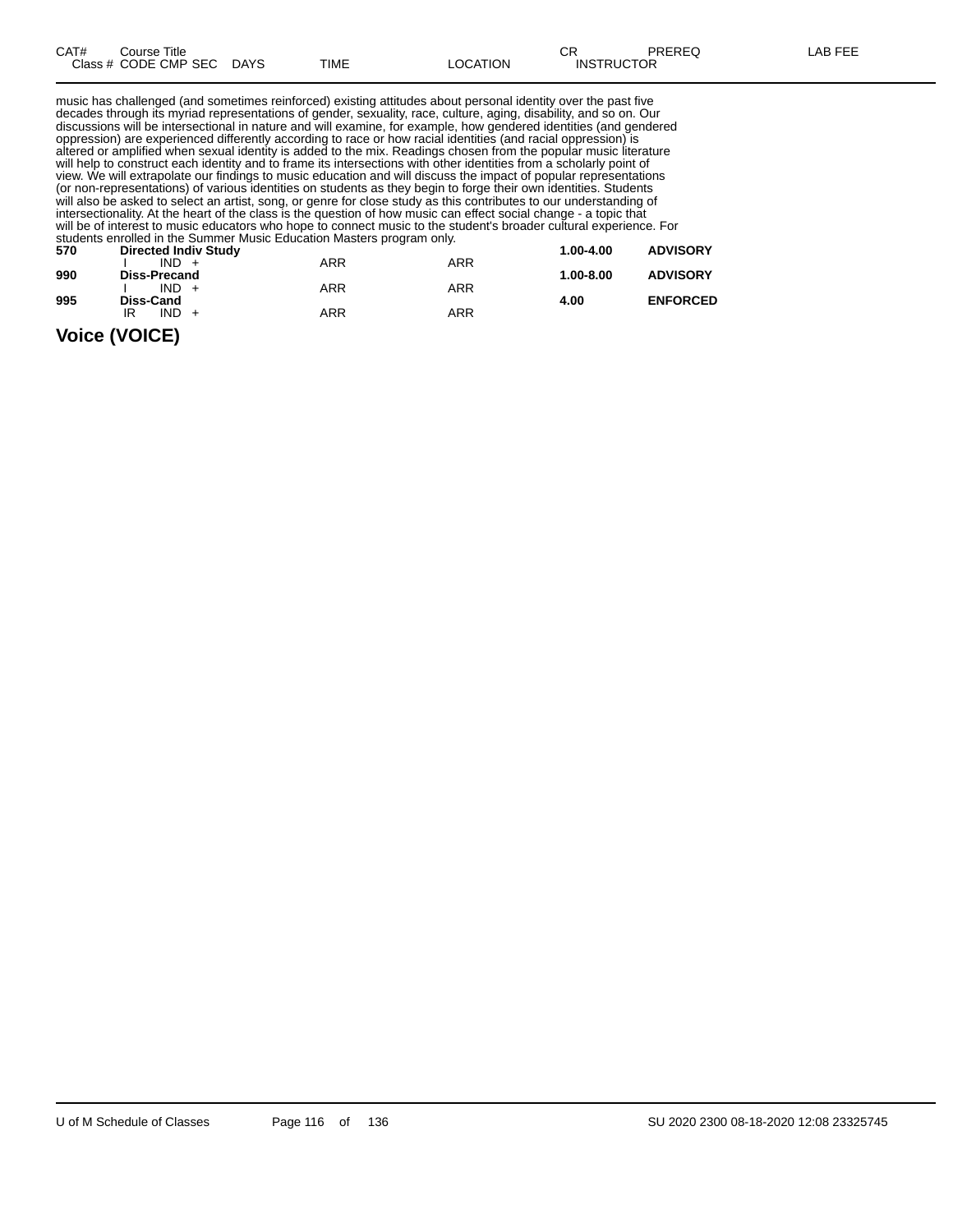| CAT# | Title<br>Course      |             |      |                 | ⌒冖<br>◡           | <b>PREREQ</b> | AR FFF |
|------|----------------------|-------------|------|-----------------|-------------------|---------------|--------|
|      | Class # CODE CMP SEC | <b>DAYS</b> | TIME | <b>LOCATION</b> | <b>INSTRUCTOR</b> |               |        |

music has challenged (and sometimes reinforced) existing attitudes about personal identity over the past five decades through its myriad representations of gender, sexuality, race, culture, aging, disability, and so on. Our discussions will be intersectional in nature and will examine, for example, how gendered identities (and gendered oppression) are experienced differently according to race or how racial identities (and racial oppression) is altered or amplified when sexual identity is added to the mix. Readings chosen from the popular music literature will help to construct each identity and to frame its intersections with other identities from a scholarly point of view. We will extrapolate our findings to music education and will discuss the impact of popular representations

(or non-representations) of various identities on students as they begin to forge their own identities. Students will also be asked to select an artist, song, or genre for close study as this contributes to our understanding of intersectionality. At the heart of the class is the question of how music can effect social change - a topic that will be of interest to music educators who hope to connect music to the student's broader cultural experience. For students enrolled in the Summer Music Education Masters program only.

| 570 | <b>Directed Indiv Study</b> |     |            | 1.00-4.00     | <b>ADVISORY</b> |
|-----|-----------------------------|-----|------------|---------------|-----------------|
|     | $IND +$                     | ARR | ARR        |               |                 |
| 990 | <b>Diss-Precand</b>         |     |            | $1.00 - 8.00$ | <b>ADVISORY</b> |
|     | $IND +$                     | ARR | ARR        |               |                 |
| 995 | Diss-Cand                   |     |            | 4.00          | <b>ENFORCED</b> |
|     | $IND +$<br>IR               | ARR | <b>ARR</b> |               |                 |
|     |                             |     |            |               |                 |

### **Voice (VOICE)**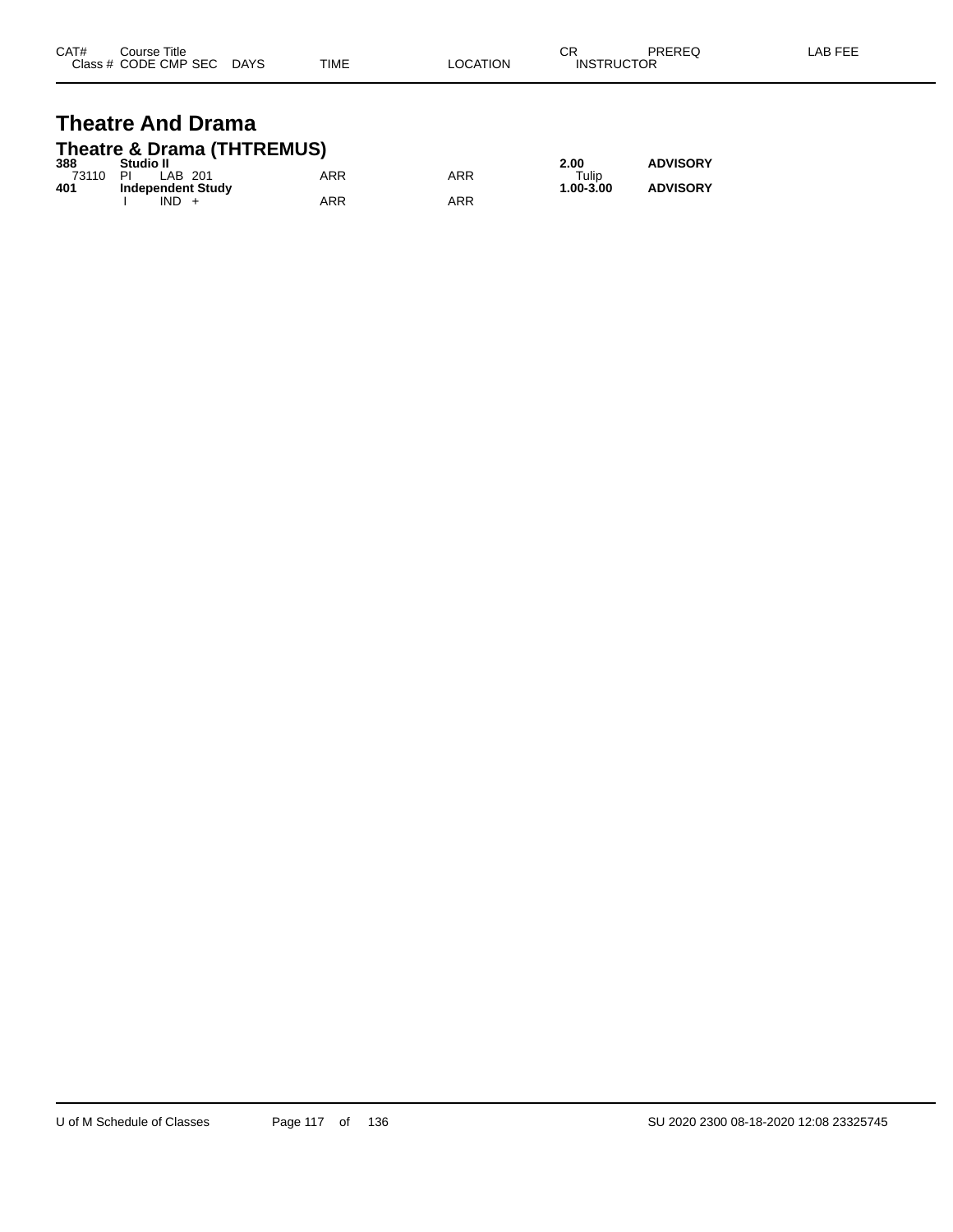| CAT# | Course Title         |             |             |                | ⌒冖<br>◡           | PREREQ | LAB FEF |
|------|----------------------|-------------|-------------|----------------|-------------------|--------|---------|
|      | Class # CODE CMP SEC | <b>DAYS</b> | <b>TIME</b> | <b>OCATION</b> | <b>INSTRUCTOR</b> |        |         |

### **Theatre And Drama Theatre & Drama (THTREMUS)**

| 388   | Studio II                |     |            | 2.00        | <b>ADVISORY</b> |
|-------|--------------------------|-----|------------|-------------|-----------------|
| 73110 | ΡI<br>LAB 201            | ARR | ARR        | $\tau$ ulip |                 |
| 401   | <b>Independent Study</b> |     |            | 1.00-3.00   | <b>ADVISORY</b> |
|       | IND                      | ARR | <b>ARR</b> |             |                 |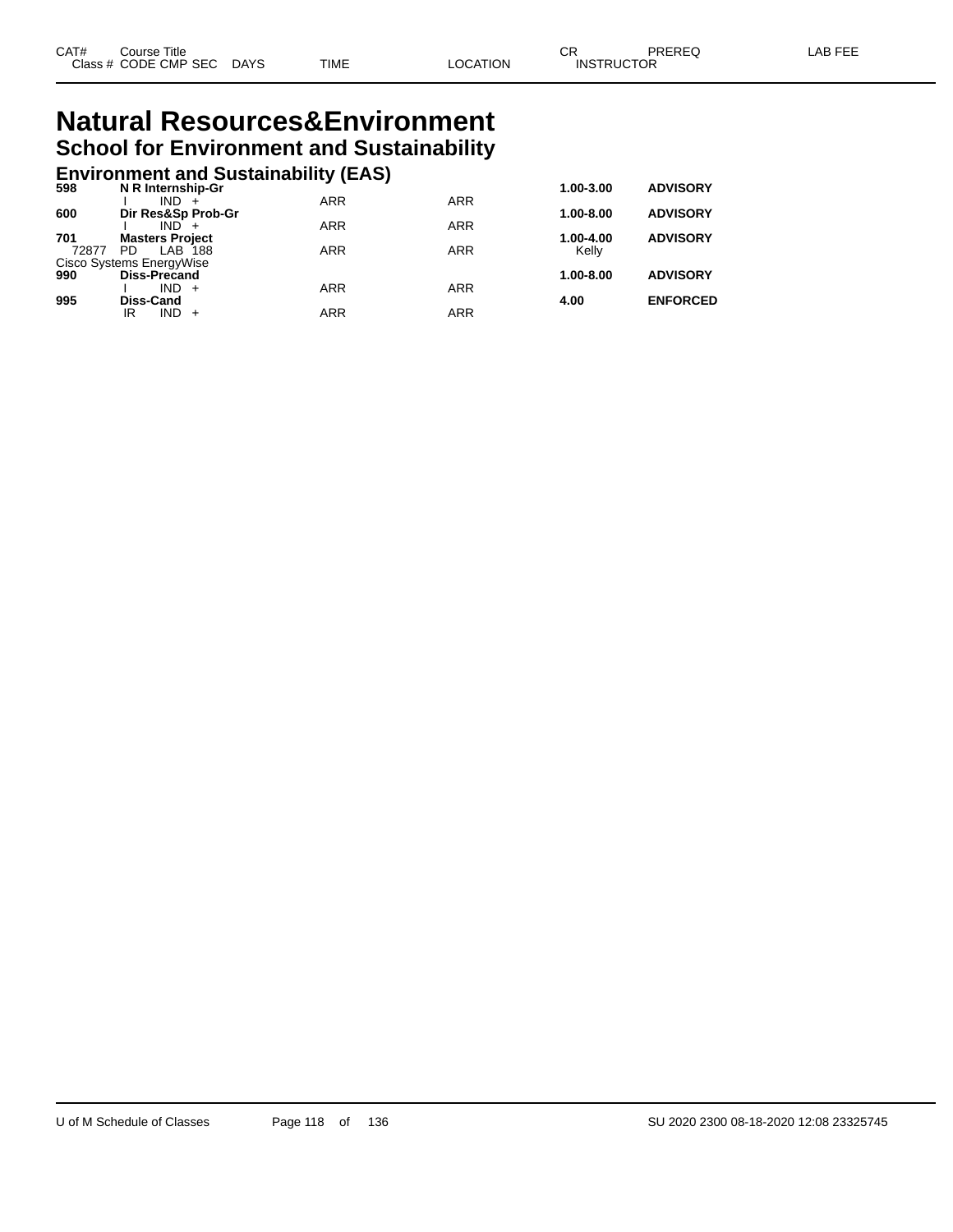# **Natural Resources&Environment School for Environment and Sustainability**

|       | <b>Environment and Sustainability (EAS)</b> |            |            |           |                 |
|-------|---------------------------------------------|------------|------------|-----------|-----------------|
| 598   | N R Internship-Gr                           |            |            | 1.00-3.00 | <b>ADVISORY</b> |
|       | IND.                                        | <b>ARR</b> | <b>ARR</b> |           |                 |
| 600   | Dir Res&Sp Prob-Gr                          |            |            | 1.00-8.00 | <b>ADVISORY</b> |
|       | $IND +$                                     | <b>ARR</b> | <b>ARR</b> |           |                 |
| 701   | <b>Masters Project</b>                      |            |            | 1.00-4.00 | <b>ADVISORY</b> |
| 72877 | PD.<br>LAB 188                              | <b>ARR</b> | <b>ARR</b> | Kelly     |                 |
| 990   | Cisco Systems EnergyWise<br>Diss-Precand    |            |            | 1.00-8.00 | <b>ADVISORY</b> |
|       | $IND +$                                     | <b>ARR</b> | <b>ARR</b> |           |                 |
| 995   | <b>Diss-Cand</b>                            |            |            | 4.00      | <b>ENFORCED</b> |
|       | $IND +$<br>IR                               | ARR        | <b>ARR</b> |           |                 |
|       |                                             |            |            |           |                 |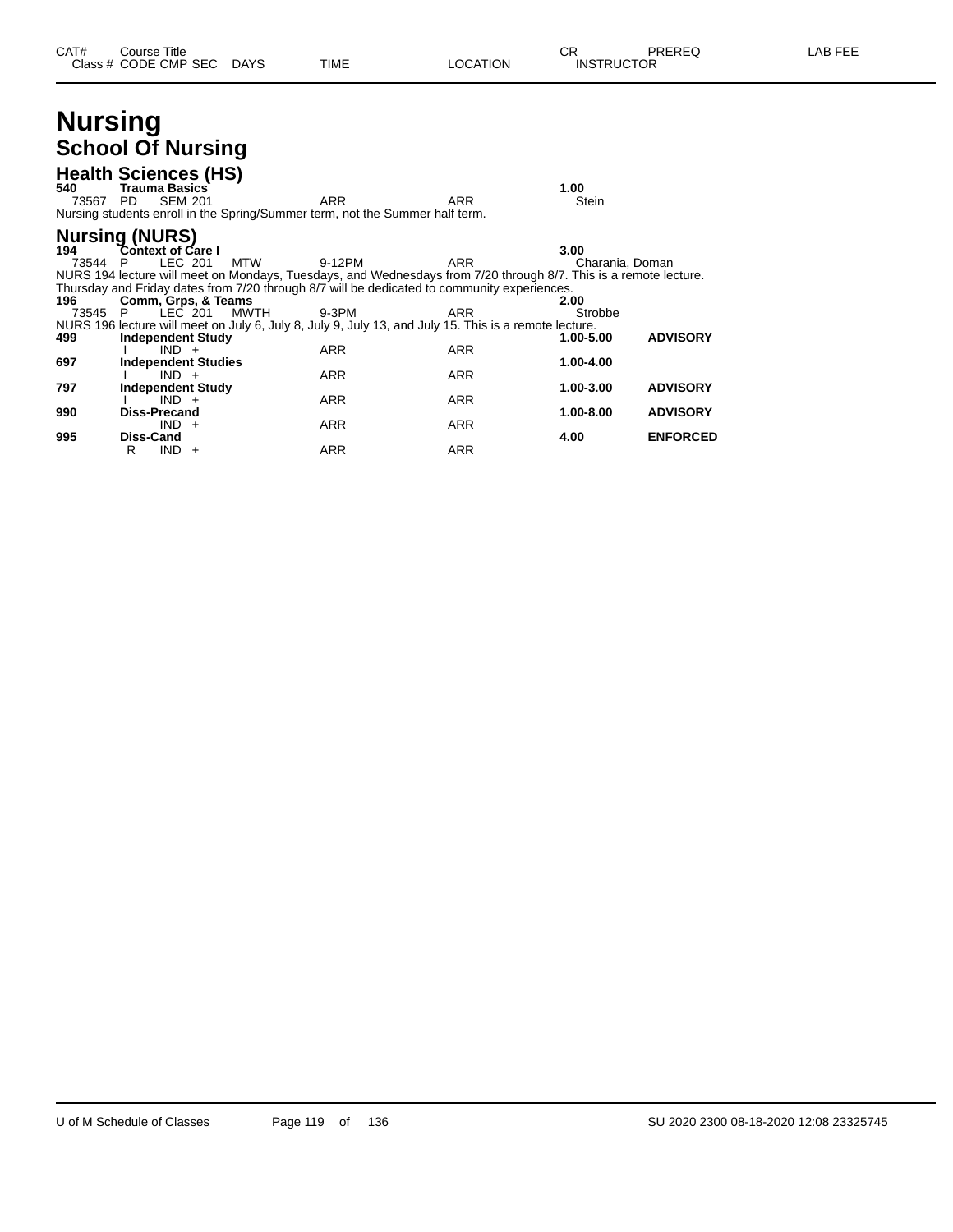# **Nursing School Of Nursing**

| 540<br>73567   | <b>Health Sciences (HS)</b><br><b>Trauma Basics</b><br>PD.        | <b>SEM 201</b> | ARR<br>Nursing students enroll in the Spring/Summer term, not the Summer half term.                                                                                                                                              | ARR                      | 1.00<br>Stein           |                 |
|----------------|-------------------------------------------------------------------|----------------|----------------------------------------------------------------------------------------------------------------------------------------------------------------------------------------------------------------------------------|--------------------------|-------------------------|-----------------|
| 194<br>73544 P | <b>Nursing (NURS)</b><br><b>Context of Care I</b>                 | LEC 201<br>MTW | 9-12PM                                                                                                                                                                                                                           | ARR                      | 3.00<br>Charania, Doman |                 |
| 196<br>73545 P | Comm, Grps, & Teams                                               | LEC 201        | NURS 194 lecture will meet on Mondays, Tuesdays, and Wednesdays from 7/20 through 8/7. This is a remote lecture.<br>Thursday and Friday dates from 7/20 through 8/7 will be dedicated to community experiences.<br>MWTH<br>9-3PM | ARR                      | 2.00<br>Strobbe         |                 |
| 499            | <b>Independent Study</b><br>$IND +$                               |                | NURS 196 lecture will meet on July 6, July 8, July 9, July 13, and July 15. This is a remote lecture.<br><b>ARR</b>                                                                                                              | <b>ARR</b>               | 1.00-5.00               | <b>ADVISORY</b> |
| 697<br>797     | <b>Independent Studies</b><br>$IND +$<br><b>Independent Study</b> |                | <b>ARR</b>                                                                                                                                                                                                                       | <b>ARR</b>               | 1.00-4.00<br>1.00-3.00  | <b>ADVISORY</b> |
| 990            | $IND +$<br><b>Diss-Precand</b><br>$IND +$                         |                | <b>ARR</b><br><b>ARR</b>                                                                                                                                                                                                         | <b>ARR</b><br><b>ARR</b> | 1.00-8.00               | <b>ADVISORY</b> |
| 995            | Diss-Cand<br>IND.<br>R                                            | $+$            | <b>ARR</b>                                                                                                                                                                                                                       | ARR                      | 4.00                    | <b>ENFORCED</b> |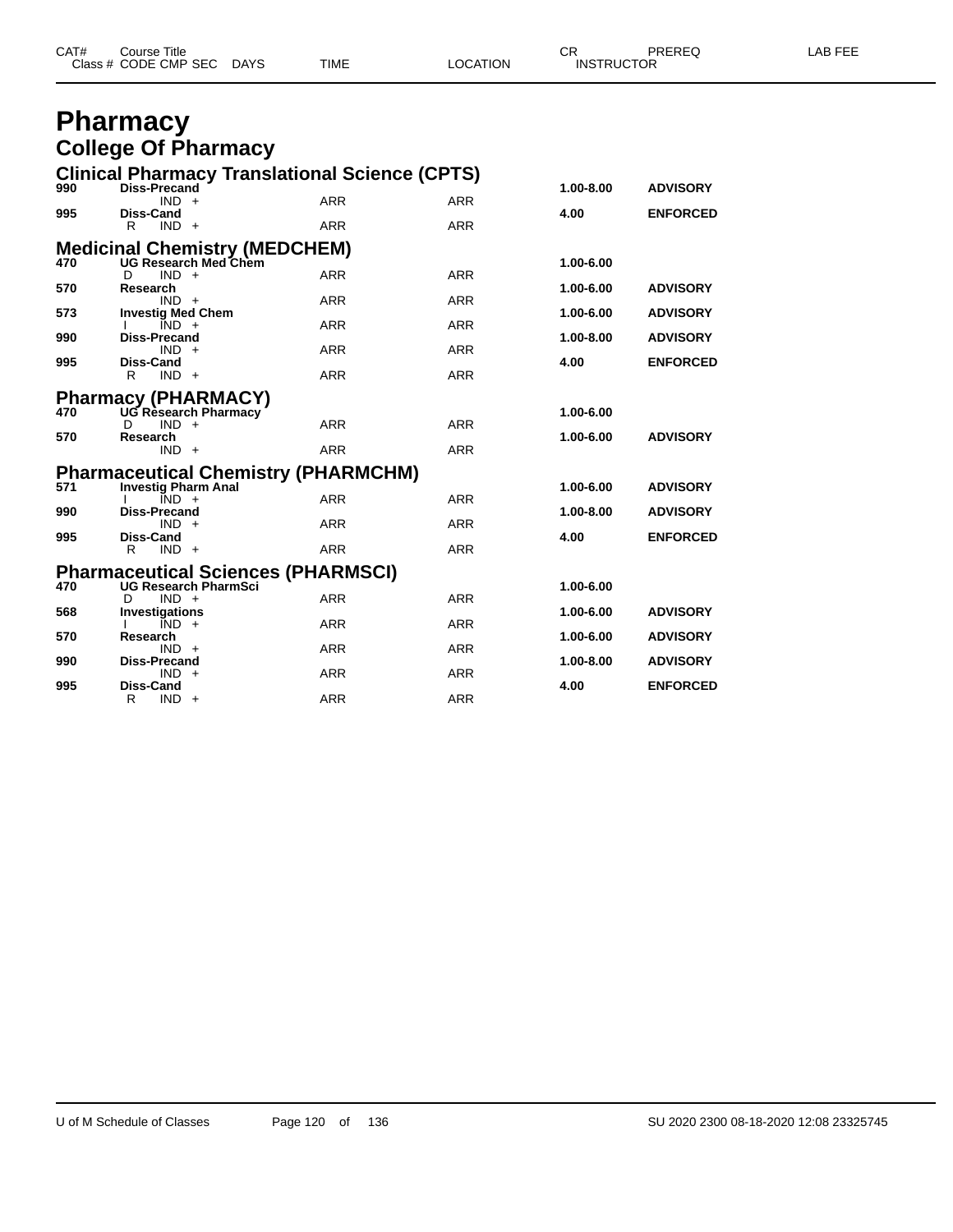| CAT# | Course Title              |      |          | $\cap$<br>◡       | PREREQ | <b>AB FEE</b> |
|------|---------------------------|------|----------|-------------------|--------|---------------|
|      | Class # CODE CMP SEC DAYS | TIME | LOCATION | <b>INSTRUCTOR</b> |        |               |

# **Pharmacy College Of Pharmacy**

|     |                                       | <b>Clinical Pharmacy Translational Science (CPTS)</b>     |            |            |           |                 |
|-----|---------------------------------------|-----------------------------------------------------------|------------|------------|-----------|-----------------|
| 990 | <b>Diss-Precand</b><br>$IND +$        |                                                           | <b>ARR</b> | <b>ARR</b> | 1.00-8.00 | <b>ADVISORY</b> |
| 995 | <b>Diss-Cand</b>                      |                                                           |            |            | 4.00      | <b>ENFORCED</b> |
|     | R<br>$IND +$                          |                                                           | <b>ARR</b> | <b>ARR</b> |           |                 |
|     |                                       | Medicinal Chemistry (MEDCHEM)<br>470 UG Research Med Chem |            |            |           |                 |
|     | D<br>$IND +$                          |                                                           | <b>ARR</b> | <b>ARR</b> | 1.00-6.00 |                 |
| 570 | Research                              |                                                           |            |            | 1.00-6.00 | <b>ADVISORY</b> |
| 573 | $IND +$<br><b>Investig Med Chem</b>   |                                                           | <b>ARR</b> | <b>ARR</b> | 1.00-6.00 | <b>ADVISORY</b> |
|     | $IND +$                               |                                                           | <b>ARR</b> | <b>ARR</b> |           |                 |
| 990 | <b>Diss-Precand</b><br>$IND +$        |                                                           | ARR        | <b>ARR</b> | 1.00-8.00 | <b>ADVISORY</b> |
| 995 | <b>Diss-Cand</b>                      |                                                           |            |            | 4.00      | <b>ENFORCED</b> |
|     | $IND +$<br>R                          |                                                           | <b>ARR</b> | <b>ARR</b> |           |                 |
|     |                                       | <b>Pharmacy (PHARMACY)</b><br>470 UG Research Pharmacy    |            |            |           |                 |
| 470 | $IND +$<br>D.                         |                                                           | <b>ARR</b> | <b>ARR</b> | 1.00-6.00 |                 |
| 570 | Research                              |                                                           |            |            | 1.00-6.00 | <b>ADVISORY</b> |
|     | $IND +$                               |                                                           | <b>ARR</b> | <b>ARR</b> |           |                 |
|     |                                       | <b>Pharmaceutical Chemistry (PHARMCHM)</b>                |            |            |           |                 |
| 571 | <b>Investig Pharm Anal</b><br>$IND +$ |                                                           | <b>ARR</b> | <b>ARR</b> | 1.00-6.00 | <b>ADVISORY</b> |
| 990 | <b>Diss-Precand</b>                   |                                                           |            |            | 1.00-8.00 | <b>ADVISORY</b> |
| 995 | $IND +$<br><b>Diss-Cand</b>           |                                                           | <b>ARR</b> | <b>ARR</b> | 4.00      | <b>ENFORCED</b> |
|     | R<br>$IND +$                          |                                                           | <b>ARR</b> | <b>ARR</b> |           |                 |
|     |                                       | <b>Pharmaceutical Sciences (PHARMSCI)</b>                 |            |            |           |                 |
| 470 |                                       | <b>UG Research PharmSci</b>                               |            |            | 1.00-6.00 |                 |
| 568 | $IND +$<br>D<br>Investigations        |                                                           | <b>ARR</b> | <b>ARR</b> | 1.00-6.00 | <b>ADVISORY</b> |
|     | $IND +$                               |                                                           | <b>ARR</b> | <b>ARR</b> |           |                 |
| 570 | Research<br>$IND +$                   |                                                           | <b>ARR</b> | <b>ARR</b> | 1.00-6.00 | <b>ADVISORY</b> |
| 990 | <b>Diss-Precand</b>                   |                                                           |            |            | 1.00-8.00 | <b>ADVISORY</b> |
| 995 | $IND +$<br><b>Diss-Cand</b>           |                                                           | <b>ARR</b> | <b>ARR</b> | 4.00      | <b>ENFORCED</b> |
|     | R<br>$IND +$                          |                                                           | <b>ARR</b> | <b>ARR</b> |           |                 |
|     |                                       |                                                           |            |            |           |                 |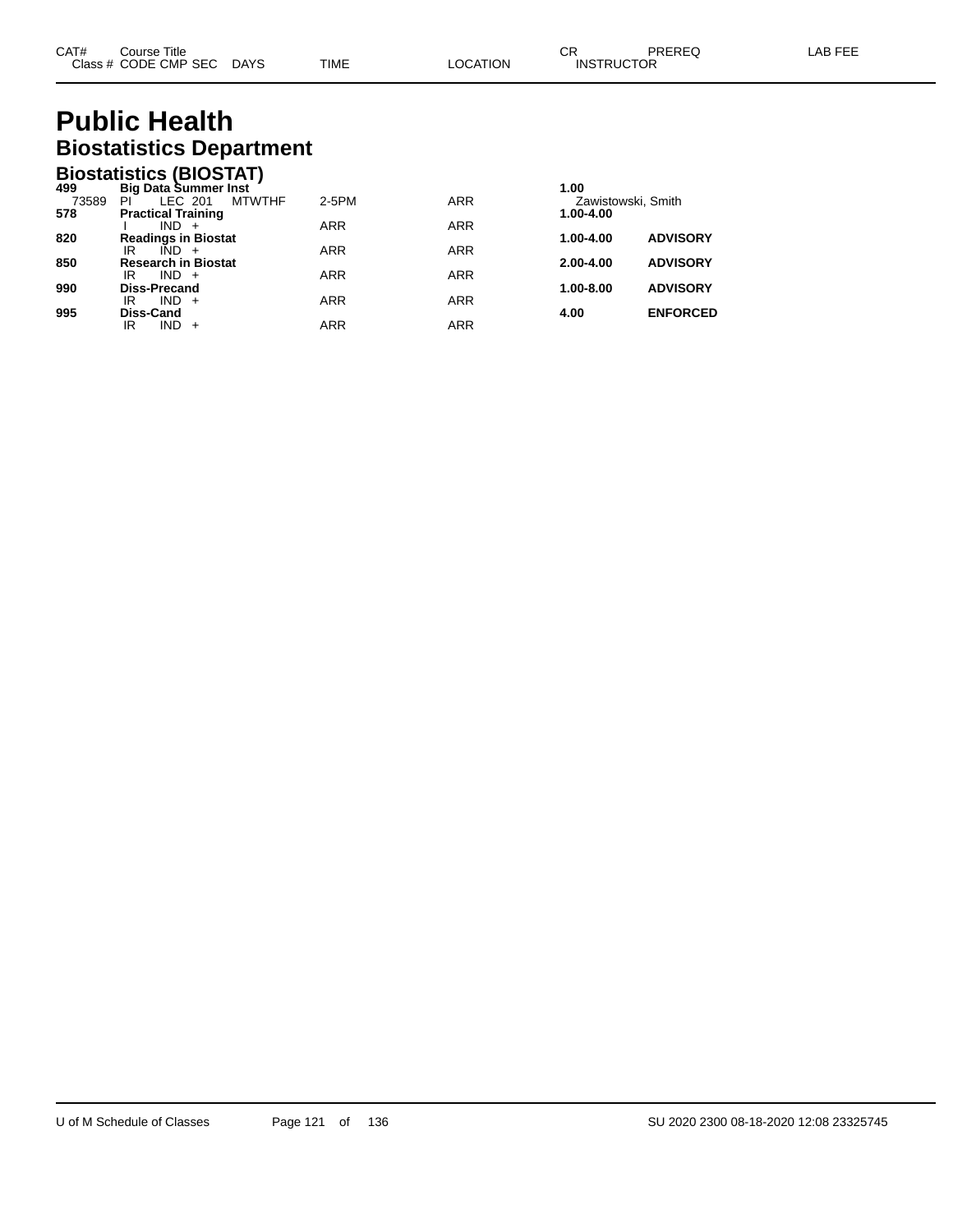# **Public Health Biostatistics Department**

|       | <b>Biostatistics (BIOSTAT)</b> |            |            |                    |                 |
|-------|--------------------------------|------------|------------|--------------------|-----------------|
| 499   | <b>Big Data Summer Inst</b>    |            |            | 1.00               |                 |
| 73589 | <b>MTWTHF</b><br>LEC 201<br>ΡI | 2-5PM      | <b>ARR</b> | Zawistowski, Smith |                 |
| 578   | <b>Practical Training</b>      |            |            | 1.00-4.00          |                 |
|       | $IND +$                        | <b>ARR</b> | <b>ARR</b> |                    |                 |
| 820   | <b>Readings in Biostat</b>     |            |            | 1.00-4.00          | <b>ADVISORY</b> |
|       | IR<br>IND +                    | <b>ARR</b> | <b>ARR</b> |                    |                 |
| 850   | <b>Research in Biostat</b>     |            |            | $2.00 - 4.00$      | <b>ADVISORY</b> |
|       | $IND +$<br>IR                  | <b>ARR</b> | <b>ARR</b> |                    |                 |
| 990   | Diss-Precand                   |            |            | 1.00-8.00          | <b>ADVISORY</b> |
|       | IR<br>$IND +$                  | <b>ARR</b> | <b>ARR</b> |                    |                 |
| 995   | Diss-Cand                      |            |            | 4.00               | <b>ENFORCED</b> |
|       | $IND +$<br>IR                  | ARR        | <b>ARR</b> |                    |                 |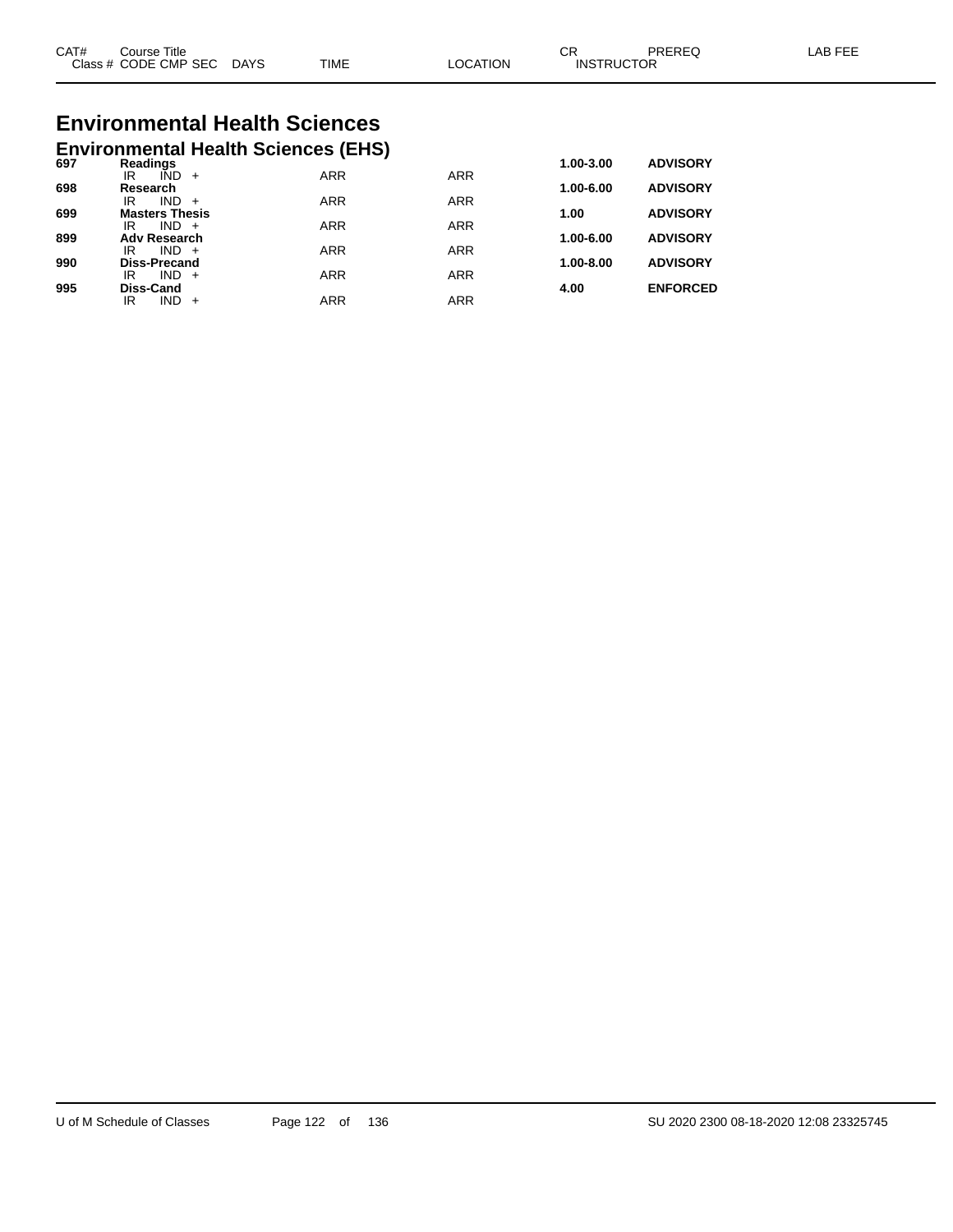| CAT#<br>$\bigcap$ acc $\bigcup$<br>טוט | Title<br>Course<br><b>CODE CMP SEC</b> | <b>DAYS</b> | <b>TIME</b> | <b>TION</b><br>C. | ⌒冖<br>◡<br>ICTOR<br><b>INSTRL</b> | ODEDE <sup>r</sup> | AP |
|----------------------------------------|----------------------------------------|-------------|-------------|-------------------|-----------------------------------|--------------------|----|
|                                        |                                        |             |             |                   |                                   |                    |    |

# **Environmental Health Sciences**

|     |                                   | <b>Environmental Health Sciences (EHS)</b> |            |            |               |                 |
|-----|-----------------------------------|--------------------------------------------|------------|------------|---------------|-----------------|
| 697 | Readings                          |                                            |            |            | 1.00-3.00     | <b>ADVISORY</b> |
|     | IÑD<br>IR                         | $+$                                        | <b>ARR</b> | <b>ARR</b> |               |                 |
| 698 | Research<br><b>IND</b><br>IR      | $+$                                        | <b>ARR</b> | <b>ARR</b> | 1.00-6.00     | <b>ADVISORY</b> |
| 699 | <b>Masters Thesis</b>             |                                            |            |            | 1.00          | <b>ADVISORY</b> |
|     | $IND +$<br>IR                     |                                            | <b>ARR</b> | <b>ARR</b> |               |                 |
| 899 | <b>Adv Research</b>               |                                            |            |            | 1.00-6.00     | <b>ADVISORY</b> |
|     | $IND +$<br>IR                     |                                            | <b>ARR</b> | <b>ARR</b> |               |                 |
| 990 | <b>Diss-Precand</b><br>IND.<br>IR | $+$                                        | <b>ARR</b> | <b>ARR</b> | $1.00 - 8.00$ | <b>ADVISORY</b> |
| 995 | <b>Diss-Cand</b>                  |                                            |            |            | 4.00          | <b>ENFORCED</b> |
|     | <b>IND</b><br>IR                  |                                            | ARR        | <b>ARR</b> |               |                 |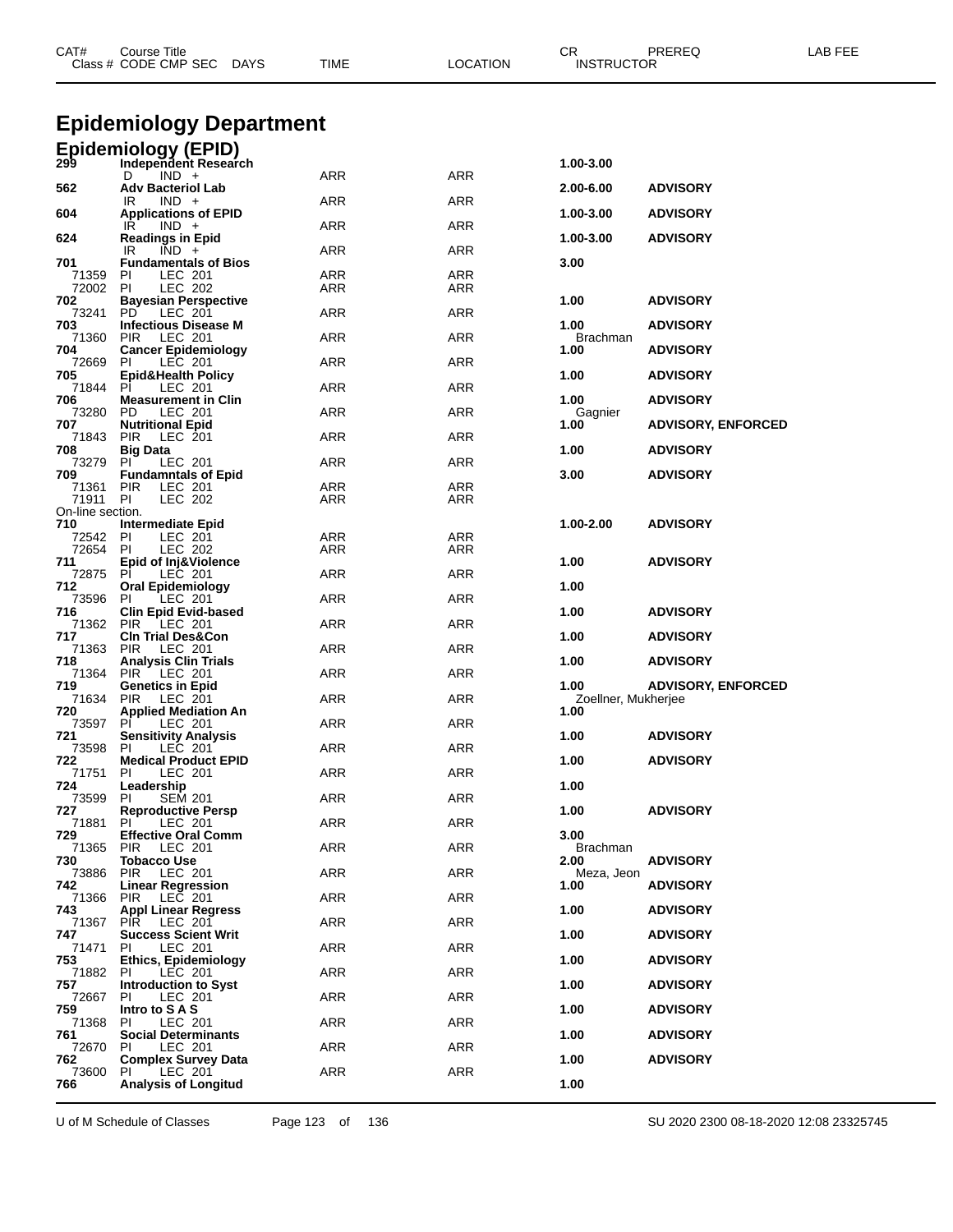| CAT#                      | <b>Course Title</b><br>Class # CODE CMP SEC DAYS                                       | TIME       | <b>LOCATION</b> | CR<br><b>INSTRUCTOR</b>     | PREREQ                    | LAB FEE |
|---------------------------|----------------------------------------------------------------------------------------|------------|-----------------|-----------------------------|---------------------------|---------|
|                           | <b>Epidemiology Department</b>                                                         |            |                 |                             |                           |         |
|                           |                                                                                        |            |                 |                             |                           |         |
|                           | Epidemiology (EPID)<br>299 Independent Researd<br>Independent Research<br>$IND +$<br>D | ARR        | ARR             | 1.00-3.00                   |                           |         |
| 562                       | <b>Adv Bacteriol Lab</b>                                                               |            |                 | 2.00-6.00                   | <b>ADVISORY</b>           |         |
| 604                       | $IND +$<br>IR<br><b>Applications of EPID</b>                                           | ARR        | ARR             | 1.00-3.00                   | <b>ADVISORY</b>           |         |
| 624                       | IR<br>$IND +$<br><b>Readings in Epid</b>                                               | <b>ARR</b> | ARR             | 1.00-3.00                   | <b>ADVISORY</b>           |         |
| 701                       | IR.<br>$IND +$<br><b>Fundamentals of Bios</b>                                          | ARR        | ARR             | 3.00                        |                           |         |
| 71359<br>72002            | PI<br>LEC 201<br>-PI<br>LEC 202                                                        | ARR<br>ARR | ARR<br>ARR      |                             |                           |         |
| 702<br>73241              | <b>Bayesian Perspective</b><br>PD.<br>LEC 201                                          | ARR        | ARR             | 1.00                        | <b>ADVISORY</b>           |         |
| 703                       | <b>Infectious Disease M</b>                                                            |            |                 | 1.00                        | <b>ADVISORY</b>           |         |
| 71360<br>704              | <b>PIR</b><br>LEC 201<br><b>Cancer Epidemiology</b>                                    | <b>ARR</b> | ARR             | <b>Brachman</b><br>1.00     | <b>ADVISORY</b>           |         |
| 72669<br>705              | PI<br>LEC 201<br><b>Epid&amp;Health Policy</b>                                         | ARR        | ARR             | 1.00                        | <b>ADVISORY</b>           |         |
| 71844<br>706              | -PI<br>LEC 201<br><b>Measurement in Clin</b>                                           | ARR        | ARR             | 1.00                        | <b>ADVISORY</b>           |         |
| 73280                     | PD<br>LEC 201                                                                          | <b>ARR</b> | ARR             | Gagnier                     |                           |         |
| 707<br>71843              | <b>Nutritional Epid</b><br><b>PIR</b><br>LEC 201                                       | ARR        | ARR             | 1.00                        | <b>ADVISORY, ENFORCED</b> |         |
| 708<br>73279              | <b>Big Data</b><br>PI<br>LEC 201                                                       | ARR        | ARR             | 1.00                        | <b>ADVISORY</b>           |         |
| 709<br>71361              | <b>Fundamntals of Epid</b><br><b>PIR</b><br>LEC 201                                    | <b>ARR</b> | ARR             | 3.00                        | <b>ADVISORY</b>           |         |
| 71911<br>On-line section. | PI<br>LEC 202                                                                          | ARR        | ARR             |                             |                           |         |
| 710                       | Intermediate Epid                                                                      |            |                 | 1.00-2.00                   | <b>ADVISORY</b>           |         |
| 72542<br>72654 PI         | PI<br>LEC 201<br>LEC 202                                                               | ARR<br>ARR | ARR<br>ARR      |                             |                           |         |
| 711<br>72875              | <b>Epid of Inj&amp;Violence</b><br><b>PI</b><br>LEC 201                                | ARR        | ARR             | 1.00                        | <b>ADVISORY</b>           |         |
| 712<br>73596              | <b>Oral Epidemiology</b><br>PI<br>LEC 201                                              | ARR        | ARR             | 1.00                        |                           |         |
| 716<br>71362              | <b>Clin Epid Evid-based</b>                                                            | ARR        | ARR             | 1.00                        | <b>ADVISORY</b>           |         |
| 717                       | PIR LEC 201<br><b>CIn Trial Des&amp;Con</b>                                            |            |                 | 1.00                        | <b>ADVISORY</b>           |         |
| 71363<br>718              | PIR<br>LEC 201<br><b>Analysis Clin Trials</b>                                          | ARR        | ARR             | 1.00                        | <b>ADVISORY</b>           |         |
| 71364<br>719              | <b>PIR</b><br>LEC 201<br><b>Genetics in Epid</b>                                       | ARR        | ARR             | 1.00                        | <b>ADVISORY, ENFORCED</b> |         |
| 71634<br>720              | PIR<br>LEC 201<br><b>Applied Mediation An</b>                                          | ARR        | ARR             | Zoellner, Mukherjee<br>1.00 |                           |         |
| 73597                     | PI.<br>LEC 201                                                                         | ARR        | ARR             |                             |                           |         |
| 721<br>73598 PI           | <b>Sensitivity Analysis</b><br>LEC 201                                                 | ARR        | ARR             | 1.00                        | <b>ADVISORY</b>           |         |
| 722<br>71751              | <b>Medical Product EPID</b><br>PI.<br>LEC 201                                          | ARR        | ARR             | 1.00                        | <b>ADVISORY</b>           |         |
| 724<br>73599              | Leadership<br><b>SEM 201</b><br><b>PI</b>                                              | ARR        | ARR             | 1.00                        |                           |         |
| 727<br>71881              | <b>Reproductive Persp</b><br>PI.<br>LEC 201                                            | ARR        | ARR             | 1.00                        | <b>ADVISORY</b>           |         |
| 729                       | <b>Effective Oral Comm</b>                                                             |            |                 | 3.00                        |                           |         |
| 71365<br>730              | <b>PIR</b><br>LEC 201<br><b>Tobacco Use</b>                                            | ARR        | ARR             | <b>Brachman</b><br>2.00     | <b>ADVISORY</b>           |         |
| 73886<br>742              | LEC 201<br><b>PIR</b><br><b>Linear Regression</b>                                      | ARR        | ARR             | Meza, Jeon<br>1.00          | <b>ADVISORY</b>           |         |
| 71366<br>743              | <b>PIR</b><br>LEC 201<br><b>Appl Linear Regress</b>                                    | ARR        | ARR             | 1.00                        | <b>ADVISORY</b>           |         |
| 71367                     | PIR LEC 201                                                                            | ARR        | ARR             |                             |                           |         |
| 747<br>71471              | <b>Success Scient Writ</b><br>PI.<br>LEC 201                                           | <b>ARR</b> | ARR             | 1.00                        | <b>ADVISORY</b>           |         |
| 753<br>71882              | <b>Ethics, Epidemiology</b><br>-PI<br>LEC 201                                          | <b>ARR</b> | ARR             | 1.00                        | <b>ADVISORY</b>           |         |
| 757<br>72667              | <b>Introduction to Syst</b><br>PI.<br>LEC 201                                          | ARR        | ARR             | 1.00                        | <b>ADVISORY</b>           |         |
| 759                       | Intro to S A S                                                                         |            |                 | 1.00                        | <b>ADVISORY</b>           |         |
| 71368<br>761              | LEC 201<br><b>PI</b><br><b>Social Determinants</b>                                     | ARR        | ARR             | 1.00                        | <b>ADVISORY</b>           |         |
| 72670<br>762              | PI<br>LEC 201<br><b>Complex Survey Data</b>                                            | <b>ARR</b> | ARR             | 1.00                        | <b>ADVISORY</b>           |         |
| 73600<br>766              | PI.<br>LEC 201<br><b>Analysis of Longitud</b>                                          | ARR        | ARR             | 1.00                        |                           |         |
|                           |                                                                                        |            |                 |                             |                           |         |

U of M Schedule of Classes Page 123 of 136 SU 2020 2300 08-18-2020 12:08 23325745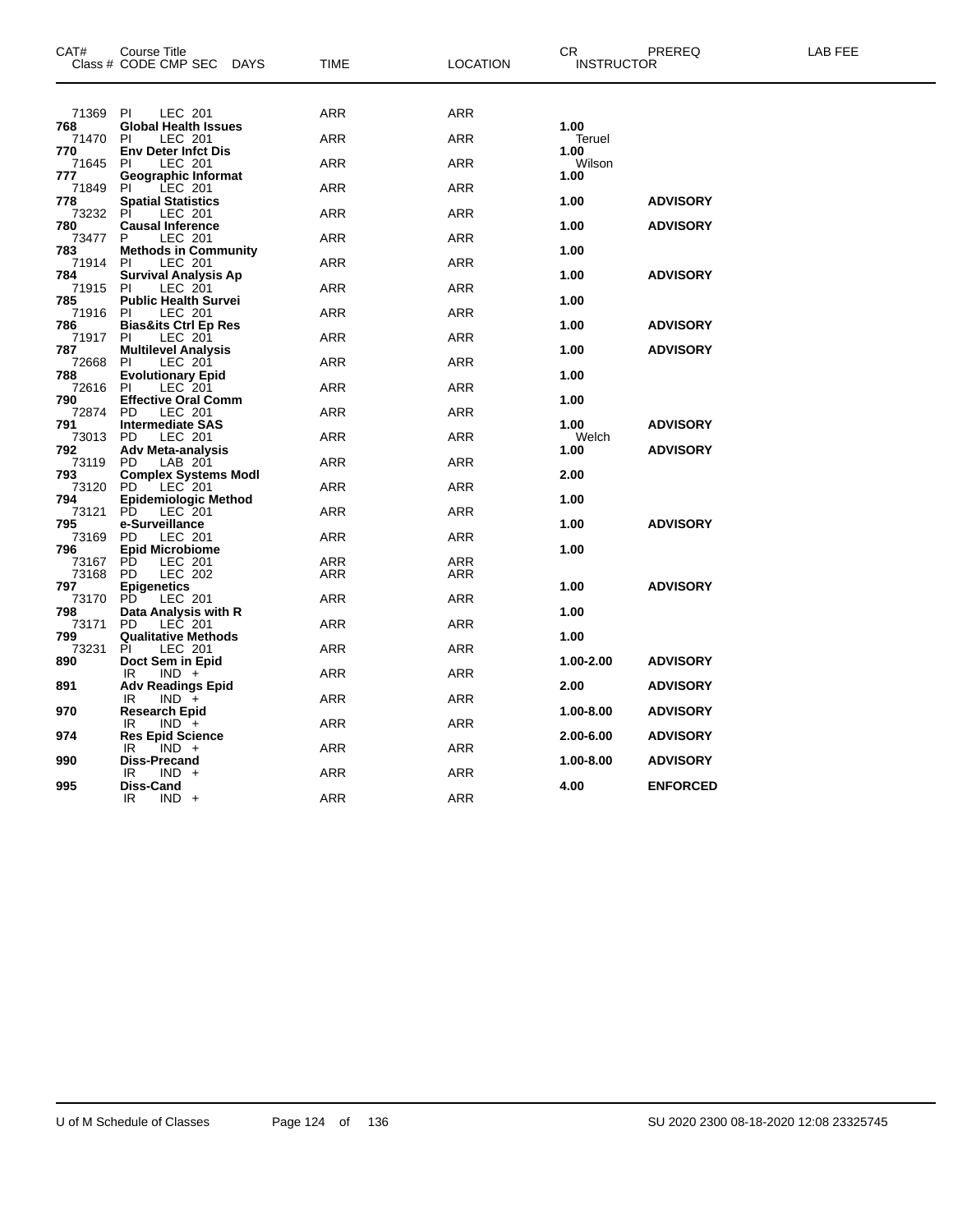| CAT#            | <b>Course Title</b><br>Class # CODE CMP SEC DAYS | TIME       | <b>LOCATION</b> | CR<br><b>INSTRUCTOR</b> | PREREQ          | LAB FEE |
|-----------------|--------------------------------------------------|------------|-----------------|-------------------------|-----------------|---------|
| 71369 PI        | LEC 201                                          | <b>ARR</b> | <b>ARR</b>      |                         |                 |         |
| 768<br>71470    | <b>Global Health Issues</b><br>PI<br>LEC 201     | ARR        | ARR             | 1.00<br>Teruel          |                 |         |
| 770<br>71645 PI | <b>Env Deter Infct Dis</b><br><b>LEC 201</b>     | <b>ARR</b> | <b>ARR</b>      | 1.00<br>Wilson          |                 |         |
| 777<br>71849    | Geographic Informat<br>LEC 201<br>-PI            | ARR        | ARR             | 1.00                    |                 |         |
| 778<br>73232 PI | <b>Spatial Statistics</b><br>LEC 201             | ARR        | ARR             | 1.00                    | <b>ADVISORY</b> |         |
| 780<br>73477    | <b>Causal Inference</b><br>LEC 201<br>P          | ARR        | ARR             | 1.00                    | <b>ADVISORY</b> |         |
| 783<br>71914 PI | <b>Methods in Community</b><br>LEC 201           | ARR        | ARR             | 1.00                    |                 |         |
| 784<br>71915    | <b>Survival Analysis Ap</b><br>LEC 201<br>- PI   | ARR        | ARR             | 1.00                    | <b>ADVISORY</b> |         |
| 785<br>71916 PI | <b>Public Health Survei</b><br>LEC 201           | ARR        | ARR             | 1.00                    |                 |         |
| 786             | <b>Bias&amp;its Ctrl Ep Res</b>                  |            |                 | 1.00                    | <b>ADVISORY</b> |         |
| 71917<br>787    | LEC 201<br>-PI<br><b>Multilevel Analysis</b>     | <b>ARR</b> | <b>ARR</b>      | 1.00                    | <b>ADVISORY</b> |         |
| 72668<br>788    | LEC 201<br>PI<br><b>Evolutionary Epid</b>        | ARR        | ARR             | 1.00                    |                 |         |
| 72616<br>790    | - PI<br>LEC 201<br><b>Effective Oral Comm</b>    | ARR        | ARR             | 1.00                    |                 |         |
| 72874 PD<br>791 | LEC 201<br><b>Intermediate SAS</b>               | ARR        | ARR             | 1.00                    | <b>ADVISORY</b> |         |
| 73013 PD<br>792 | <b>LEC 201</b><br><b>Adv Meta-analysis</b>       | ARR        | ARR             | Welch<br>1.00           | <b>ADVISORY</b> |         |
| 73119<br>793    | LAB 201<br>PD<br><b>Complex Systems Modl</b>     | ARR        | <b>ARR</b>      | 2.00                    |                 |         |
| 73120<br>794    | PD.<br>LEC 201<br><b>Epidemiologic Method</b>    | ARR        | ARR             | 1.00                    |                 |         |
| 73121<br>795    | PD.<br>LEC 201<br>e-Surveillance                 | ARR        | ARR             | 1.00                    | <b>ADVISORY</b> |         |
| 73169 PD<br>796 | LEC 201<br><b>Epid Microbiome</b>                | ARR        | ARR             | 1.00                    |                 |         |
| 73167<br>73168  | LEC 201<br>PD<br><b>LEC 202</b><br>PD.           | ARR<br>ARR | ARR<br>ARR      |                         |                 |         |
| 797<br>73170    | <b>Epigenetics</b><br>LEC 201<br><b>PD</b>       | <b>ARR</b> | <b>ARR</b>      | 1.00                    | <b>ADVISORY</b> |         |
| 798             | Data Analysis with R<br>PD LEC 201               |            | ARR             | 1.00                    |                 |         |
| 73171<br>799    | <b>Qualitative Methods</b>                       | ARR        |                 | 1.00                    |                 |         |
| 73231<br>890    | PI<br>LEC 201<br>Doct Sem in Epid                | ARR        | ARR             | 1.00-2.00               | <b>ADVISORY</b> |         |
| 891             | IR.<br>$IND +$<br><b>Adv Readings Epid</b>       | ARR        | ARR             | 2.00                    | <b>ADVISORY</b> |         |
| 970             | IR.<br>$IND +$<br><b>Research Epid</b>           | ARR        | ARR             | 1.00-8.00               | <b>ADVISORY</b> |         |
| 974             | $IND +$<br>IR<br><b>Res Epid Science</b>         | ARR        | ARR             | 2.00-6.00               | <b>ADVISORY</b> |         |
| 990             | IR<br>$IND +$<br><b>Diss-Precand</b>             | ARR        | ARR             | 1.00-8.00               | <b>ADVISORY</b> |         |
| 995             | IR<br>$IND +$<br>Diss-Cand                       | ARR        | ARR             | 4.00                    | <b>ENFORCED</b> |         |
|                 | IR<br>$IND +$                                    | ARR        | <b>ARR</b>      |                         |                 |         |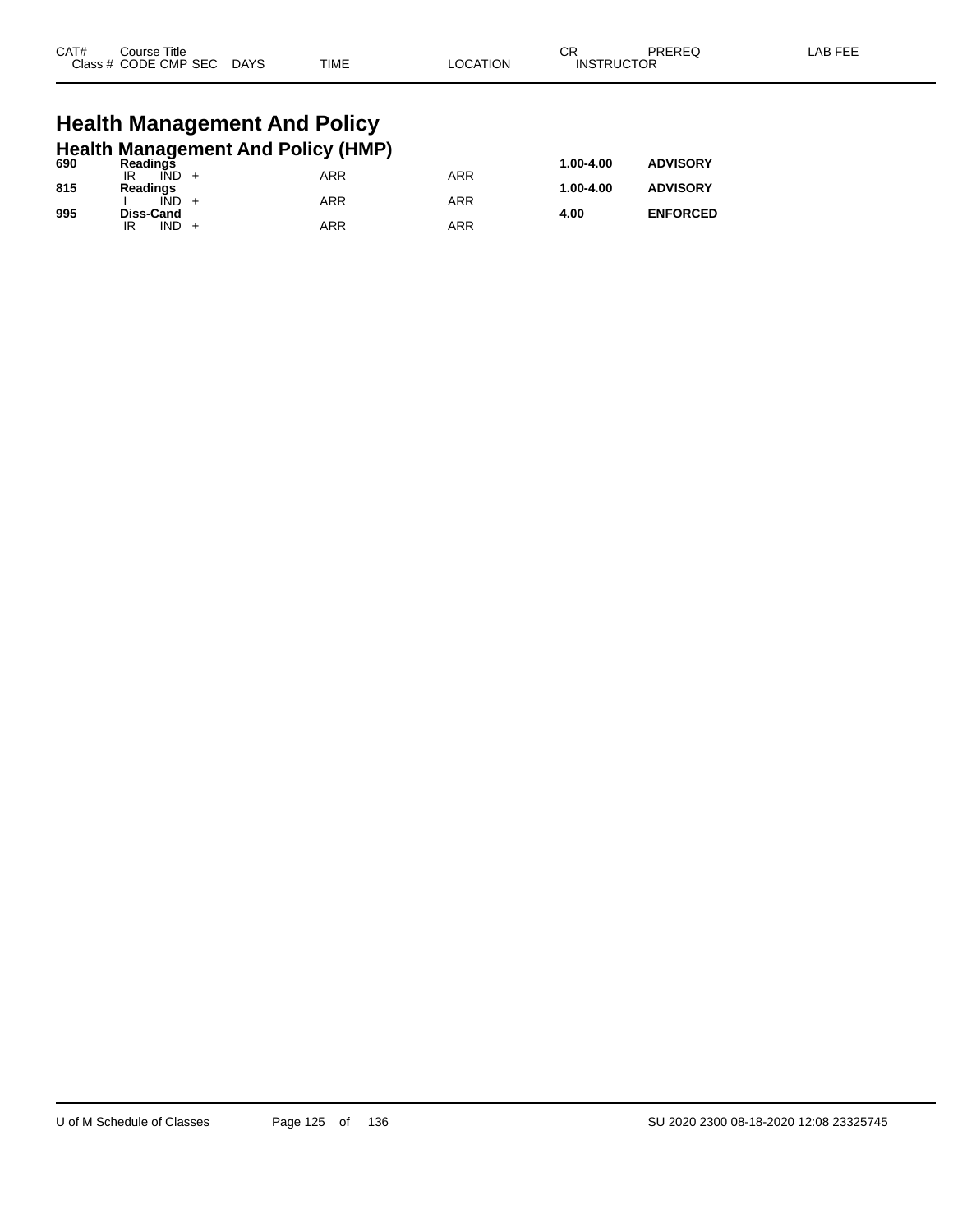| CAT# | Course Title              |      |          | ⌒冖                | PREREQ | LAB FEE |
|------|---------------------------|------|----------|-------------------|--------|---------|
|      | Class # CODE CMP SEC DAYS | TIME | LOCATION | <b>INSTRUCTOR</b> |        |         |
|      |                           |      |          |                   |        |         |

### **Health Management And Policy Health Management And Policy (HMP)**

| 690 | <b>Readings</b>  | . . |     | 1.00-4.00 | <b>ADVISORY</b> |
|-----|------------------|-----|-----|-----------|-----------------|
|     | IÑD<br>IR        | ARR | ARR |           |                 |
| 815 | Readings         |     |     | 1.00-4.00 | <b>ADVISORY</b> |
|     | IÑD              | ARR | ARR |           |                 |
| 995 | <b>Diss-Cand</b> |     |     | 4.00      | <b>ENFORCED</b> |
|     | <b>IND</b><br>IR | ARR | ARR |           |                 |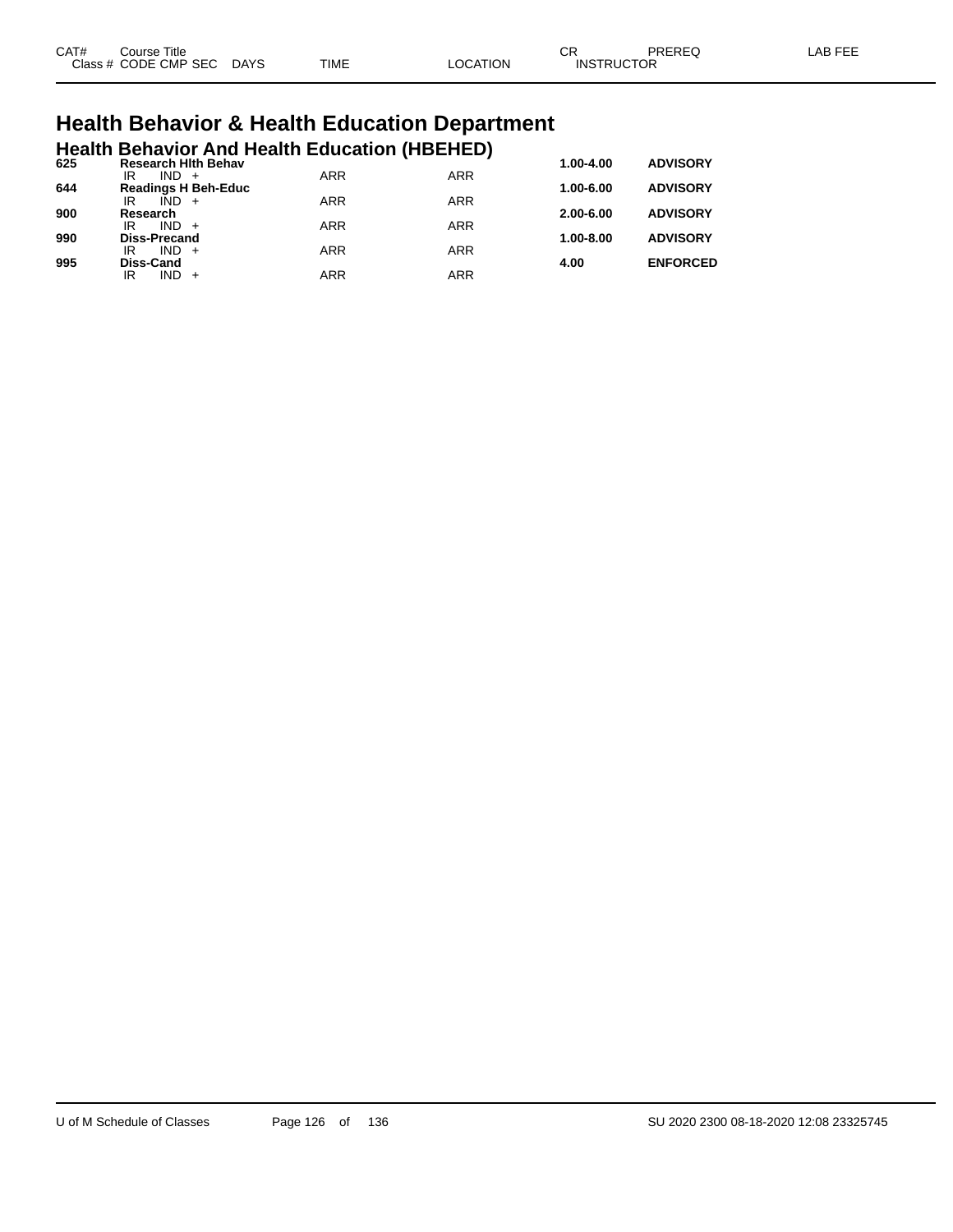| CAT# | Title<br>Course      |             |             |                | $\cap$<br>◡       | PREREQ | AR EEI |
|------|----------------------|-------------|-------------|----------------|-------------------|--------|--------|
|      | Class # CODE CMP SEC | <b>DAYS</b> | <b>TIME</b> | <b>OCATION</b> | <b>INSTRUCTOR</b> |        |        |

# **Health Behavior & Health Education Department**

|     |                           |         |                            |            | <b>Health Behavior And Health Education (HBEHED)</b> |               |                 |
|-----|---------------------------|---------|----------------------------|------------|------------------------------------------------------|---------------|-----------------|
| 625 | IR                        | $IND +$ | <b>Research Hith Behav</b> | <b>ARR</b> | <b>ARR</b>                                           | $1.00 - 4.00$ | <b>ADVISORY</b> |
| 644 |                           |         | <b>Readings H Beh-Educ</b> |            |                                                      | $1.00 - 6.00$ | <b>ADVISORY</b> |
| 900 | IR<br>Research            | $IND +$ |                            | <b>ARR</b> | <b>ARR</b>                                           | $2.00 - 6.00$ | <b>ADVISORY</b> |
|     | IR                        | $IND +$ |                            | <b>ARR</b> | <b>ARR</b>                                           |               |                 |
| 990 | <b>Diss-Precand</b><br>IR | $IND +$ |                            | <b>ARR</b> | <b>ARR</b>                                           | $1.00 - 8.00$ | <b>ADVISORY</b> |
| 995 | <b>Diss-Cand</b>          |         |                            |            |                                                      | 4.00          | <b>ENFORCED</b> |
|     | ΙR                        | $IND +$ |                            | ARR        | <b>ARR</b>                                           |               |                 |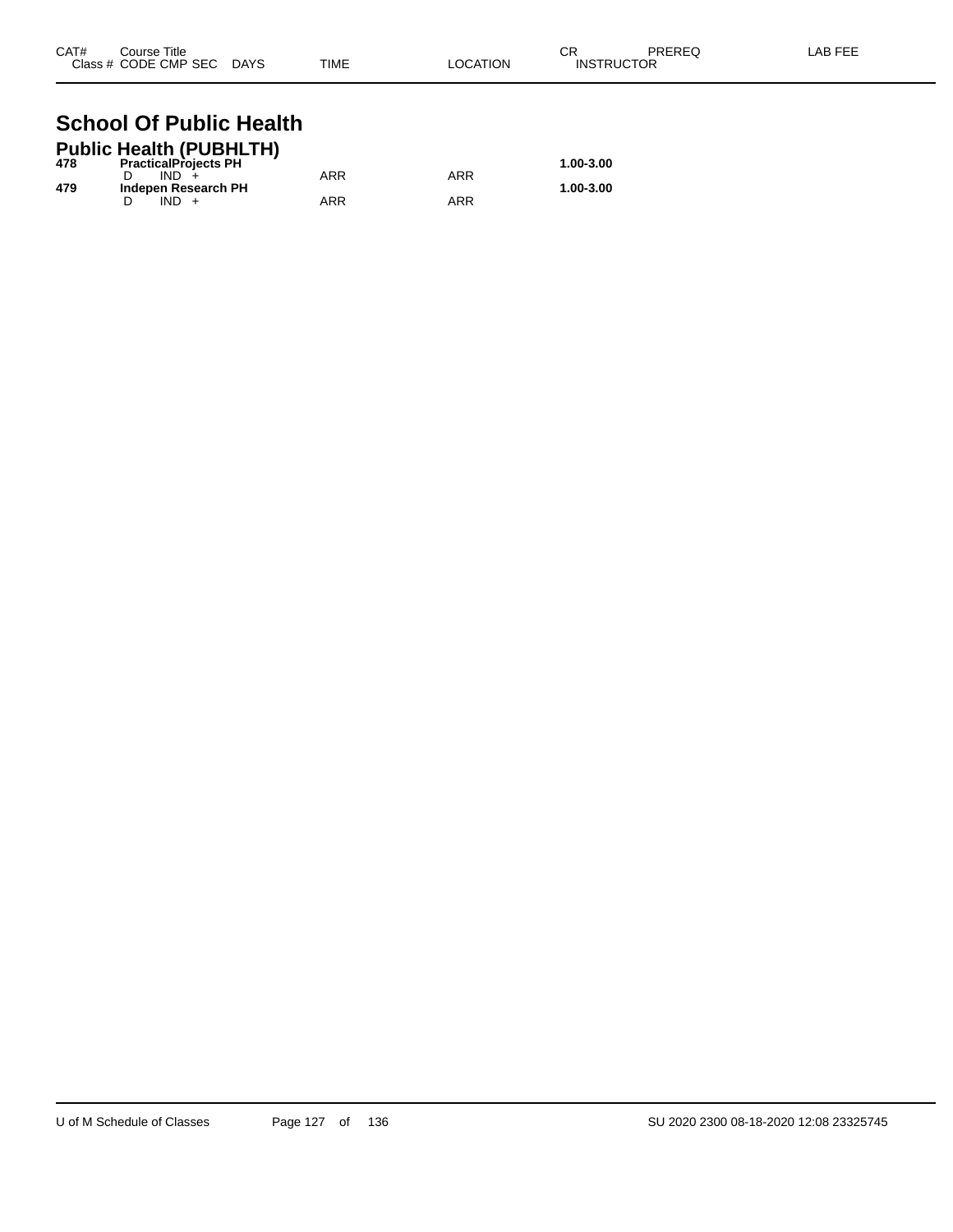| CAT# | Course Title              |      |          | СR                | PREREQ | LAB FEE |
|------|---------------------------|------|----------|-------------------|--------|---------|
|      | Class # CODE CMP SEC DAYS | TIME | LOCATION | <b>INSTRUCTOR</b> |        |         |

### **School Of Public Health Public Health (PUBHLTH)**

|     | Public Health (PUBHLTH)     |     |     |           |
|-----|-----------------------------|-----|-----|-----------|
| 478 | <b>PracticalProjects PH</b> |     |     | 1.00-3.00 |
|     | IND.                        | ARR | ARR |           |
| 479 | Indepen Research PH         |     |     | 1.00-3.00 |
|     |                             | ARR | ARR |           |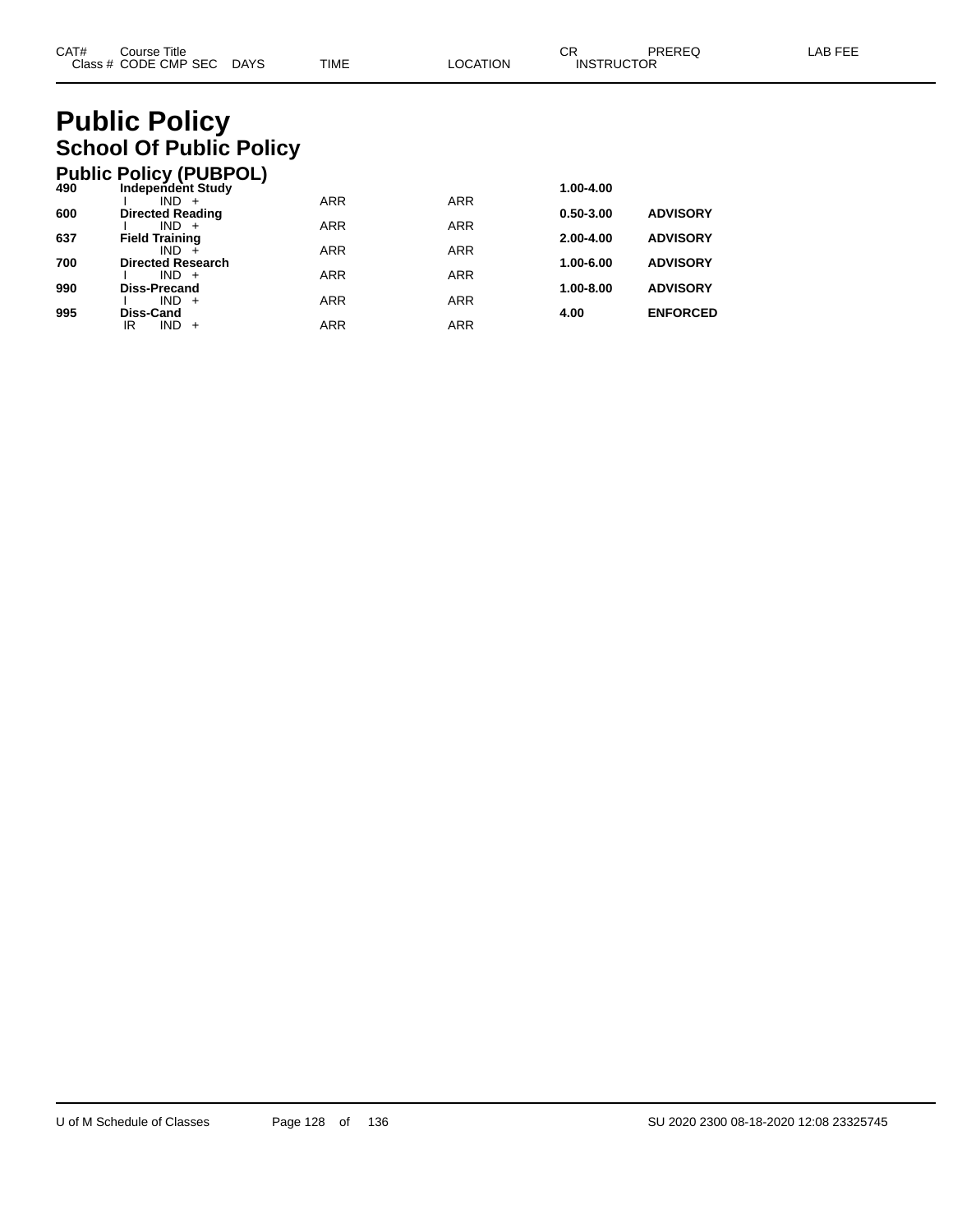# **Public Policy School Of Public Policy**

|     | <b>Public Policy (PUBPOL)</b>    |            |            |               |                 |
|-----|----------------------------------|------------|------------|---------------|-----------------|
| 490 | <b>Independent Study</b>         |            |            | 1.00-4.00     |                 |
|     | $IND +$                          | <b>ARR</b> | <b>ARR</b> |               |                 |
| 600 | <b>Directed Reading</b>          |            |            | $0.50 - 3.00$ | <b>ADVISORY</b> |
| 637 | $IND +$<br><b>Field Training</b> | <b>ARR</b> | <b>ARR</b> | $2.00 - 4.00$ | <b>ADVISORY</b> |
|     | $IND +$                          | <b>ARR</b> | <b>ARR</b> |               |                 |
| 700 | <b>Directed Research</b>         |            |            | 1.00-6.00     | <b>ADVISORY</b> |
|     | $IND +$                          | <b>ARR</b> | <b>ARR</b> |               |                 |
| 990 | <b>Diss-Precand</b>              |            |            | 1.00-8.00     | <b>ADVISORY</b> |
|     | $IND +$                          | <b>ARR</b> | <b>ARR</b> |               |                 |
| 995 | Diss-Cand                        |            |            | 4.00          | <b>ENFORCED</b> |
|     | <b>IND</b><br>ΙR<br>$+$          | <b>ARR</b> | <b>ARR</b> |               |                 |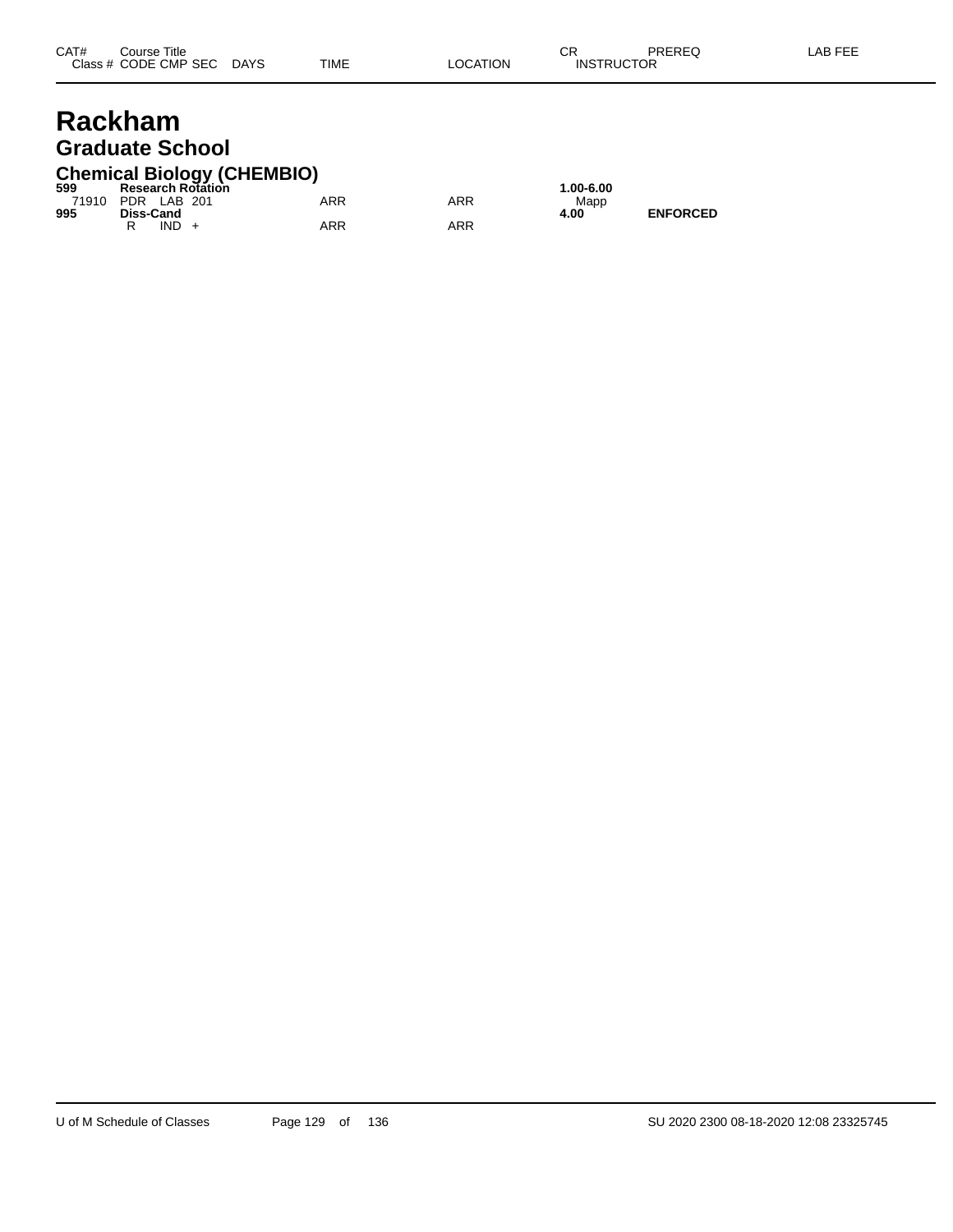# **Rackham Graduate School**

# **Chemical Biology (CHEMBIO) 599 Research Rotation 1.00-6.00**

| -999              |           |         | Research Rotation |     |     | 1.UU-0.U |
|-------------------|-----------|---------|-------------------|-----|-----|----------|
| 71910 PDR LAB 201 |           |         |                   | ARR | ARR | Mapp     |
| 995               | Diss-Cand |         |                   |     |     | 4.00     |
|                   |           | $IND +$ |                   | ARR | ARR |          |

**995**<br>**4.00 ENFORCED**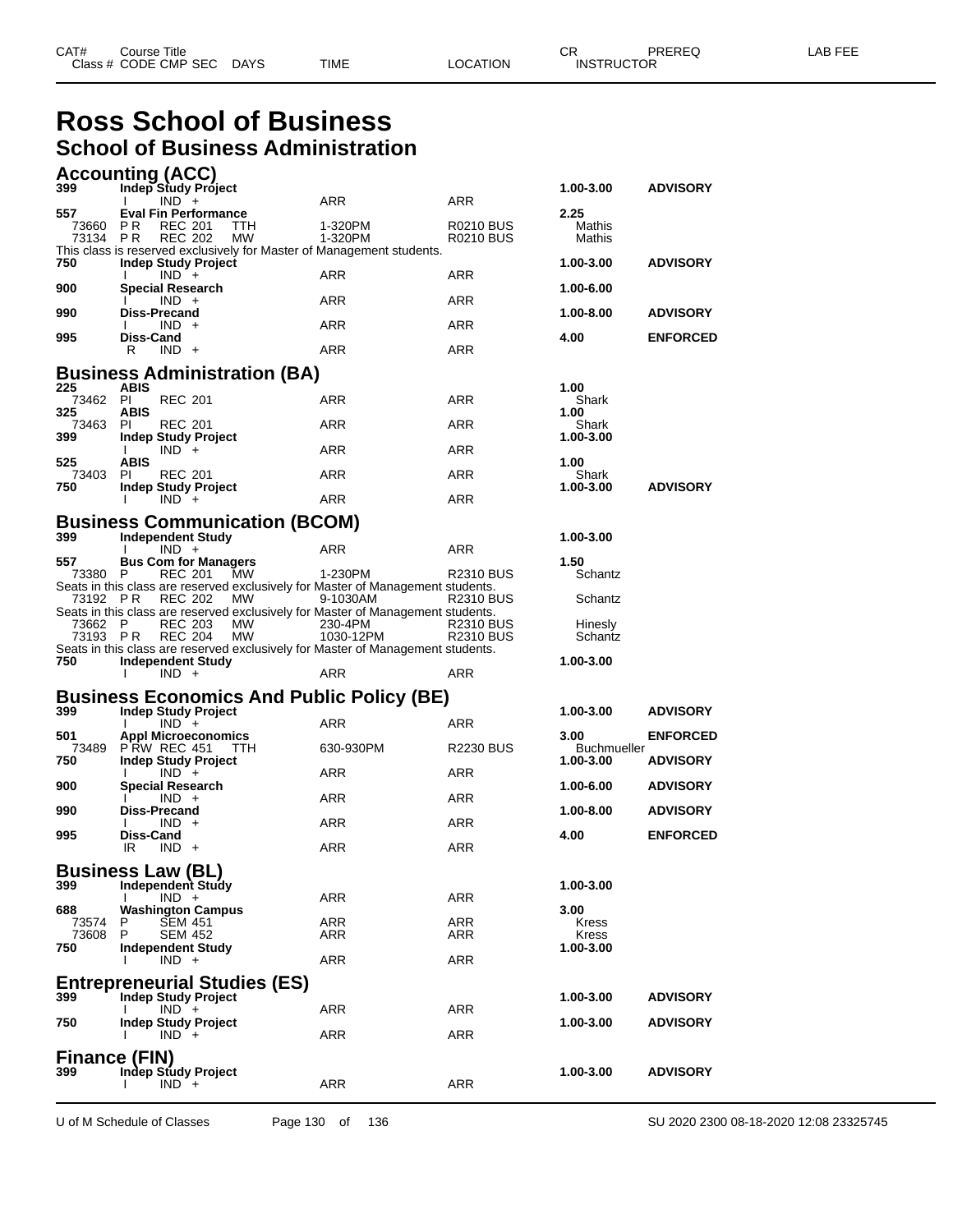# **Ross School of Business School of Business Administration**

|                 | <b>Accounting (ACC)</b>                           |                                      |                                                                                            |                  |                            |                 |
|-----------------|---------------------------------------------------|--------------------------------------|--------------------------------------------------------------------------------------------|------------------|----------------------------|-----------------|
| 399             | Indep Study Project                               |                                      | ARR                                                                                        | ARR              | 1.00-3.00                  | <b>ADVISORY</b> |
| 557             | $IND +$<br><b>Eval Fin Performance</b>            |                                      |                                                                                            |                  | 2.25                       |                 |
| 73660           | PR.<br><b>REC 201</b>                             | <b>TTH</b>                           | 1-320PM                                                                                    | <b>R0210 BUS</b> | Mathis                     |                 |
| 73134 PR        | <b>REC 202</b>                                    | МW                                   | 1-320PM<br>This class is reserved exclusively for Master of Management students.           | R0210 BUS        | Mathis                     |                 |
| 750             | <b>Indep Study Project</b>                        |                                      |                                                                                            |                  | 1.00-3.00                  | <b>ADVISORY</b> |
| 900             | $IND +$<br><b>Special Research</b>                |                                      | ARR                                                                                        | <b>ARR</b>       | 1.00-6.00                  |                 |
|                 | $IND +$                                           |                                      | <b>ARR</b>                                                                                 | <b>ARR</b>       |                            |                 |
| 990             | <b>Diss-Precand</b>                               |                                      |                                                                                            |                  | 1.00-8.00                  | <b>ADVISORY</b> |
| 995             | $IND +$<br>Diss-Cand                              |                                      | ARR                                                                                        | ARR              | 4.00                       | <b>ENFORCED</b> |
|                 | R<br>$IND +$                                      |                                      | ARR                                                                                        | <b>ARR</b>       |                            |                 |
|                 |                                                   | <b>Business Administration (BA)</b>  |                                                                                            |                  |                            |                 |
| 225             | <b>ABIS</b>                                       |                                      |                                                                                            |                  | 1.00                       |                 |
| 73462 PI<br>325 | <b>REC 201</b><br>ABIS                            |                                      | ARR                                                                                        | ARR              | Shark<br>1.00              |                 |
| 73463           | <b>REC 201</b><br>PI.                             |                                      | <b>ARR</b>                                                                                 | <b>ARR</b>       | Shark                      |                 |
| 399             | <b>Indep Study Project</b>                        |                                      |                                                                                            |                  | 1.00-3.00                  |                 |
| 525             | $IND +$<br>Ι.<br><b>ABIS</b>                      |                                      | <b>ARR</b>                                                                                 | <b>ARR</b>       | 1.00                       |                 |
| 73403           | <b>REC 201</b><br>PI.                             |                                      | ARR                                                                                        | <b>ARR</b>       | Shark                      |                 |
| 750             | <b>Indep Study Project</b><br>$IND +$             |                                      | <b>ARR</b>                                                                                 | <b>ARR</b>       | 1.00-3.00                  | <b>ADVISORY</b> |
|                 |                                                   |                                      |                                                                                            |                  |                            |                 |
| 399             | <b>Independent Study</b>                          | <b>Business Communication (BCOM)</b> |                                                                                            |                  | 1.00-3.00                  |                 |
|                 | $IND +$                                           |                                      | <b>ARR</b>                                                                                 | ARR              |                            |                 |
| 557             | <b>Bus Com for Managers</b>                       |                                      |                                                                                            |                  | 1.50                       |                 |
| 73380 P         |                                                   | <b>REC 201 MW</b>                    | 1-230PM<br>Seats in this class are reserved exclusively for Master of Management students. | R2310 BUS        | Schantz                    |                 |
| 73192 PR        | <b>REC 202</b>                                    | MW                                   | 9-1030AM                                                                                   | <b>R2310 BUS</b> | Schantz                    |                 |
| 73662 P         | <b>REC 203</b>                                    | МW                                   | Seats in this class are reserved exclusively for Master of Management students.<br>230-4PM | R2310 BUS        | Hinesly                    |                 |
| 73193 PR        | <b>REC 204</b>                                    | <b>MW</b>                            | 1030-12PM                                                                                  | <b>R2310 BUS</b> | Schantz                    |                 |
| 750             |                                                   |                                      | Seats in this class are reserved exclusively for Master of Management students.            |                  | 1.00-3.00                  |                 |
|                 | Independent Study<br>$IND +$                      |                                      | ARR                                                                                        | <b>ARR</b>       |                            |                 |
|                 |                                                   |                                      | <b>Business Economics And Public Policy (BE)</b>                                           |                  |                            |                 |
| 399             | <b>Indep Study Project</b>                        |                                      |                                                                                            |                  | 1.00-3.00                  | <b>ADVISORY</b> |
|                 | $IND +$                                           |                                      | <b>ARR</b>                                                                                 | <b>ARR</b>       |                            |                 |
| 501<br>73489    | <b>Appl Microeconomics</b><br><b>P RW REC 451</b> | TTH                                  | 630-930PM                                                                                  | <b>R2230 BUS</b> | 3.00<br><b>Buchmueller</b> | <b>ENFORCED</b> |
| 750             | <b>Indep Study Project</b>                        |                                      |                                                                                            |                  | 1.00-3.00                  | <b>ADVISORY</b> |
| 900             | $IND +$<br><b>Special Research</b>                |                                      | ARR                                                                                        | ARR              | 1.00-6.00                  | <b>ADVISORY</b> |
|                 | $IND +$                                           |                                      | ARR                                                                                        | <b>ARR</b>       |                            |                 |
| 990             | <b>Diss-Precand</b>                               |                                      |                                                                                            |                  | 1.00-8.00                  | <b>ADVISORY</b> |
| 995             | $IND +$<br>Diss-Cand                              |                                      | ARR                                                                                        | <b>ARR</b>       | 4.00                       | <b>ENFORCED</b> |
|                 | IR<br>$IND +$                                     |                                      | ARR                                                                                        | ARR              |                            |                 |
|                 | <b>Business Law (BL)</b>                          |                                      |                                                                                            |                  |                            |                 |
| 399             | Independent Study                                 |                                      |                                                                                            |                  | 1.00-3.00                  |                 |
| 688             | $IND +$<br><b>Washington Campus</b>               |                                      | ARR                                                                                        | ARR              | 3.00                       |                 |
| 73574           | <b>SEM 451</b><br>P                               |                                      | ARR                                                                                        | ARR              | Kress                      |                 |
| 73608           | P<br><b>SEM 452</b>                               |                                      | ARR                                                                                        | ARR              | <b>Kress</b>               |                 |
| 750             |                                                   |                                      |                                                                                            |                  | 1.00-3.00                  |                 |
|                 | Independent Study<br>$IND +$                      |                                      | ARR                                                                                        | ARR              |                            |                 |
|                 |                                                   |                                      |                                                                                            |                  |                            |                 |
|                 |                                                   | <b>Entrepreneurial Studies (ES)</b>  |                                                                                            |                  |                            |                 |
| 399             | <b>Indep Study Project</b><br>$IND +$<br>I.       |                                      | ARR                                                                                        | ARR              | 1.00-3.00                  | <b>ADVISORY</b> |
| 750             | <b>Indep Study Project</b>                        |                                      |                                                                                            |                  | 1.00-3.00                  | <b>ADVISORY</b> |
|                 | $IND +$                                           |                                      | ARR                                                                                        | ARR              |                            |                 |
| 399             | Finance (FIN)<br><b>Indep Study Project</b>       |                                      |                                                                                            |                  | 1.00-3.00                  | <b>ADVISORY</b> |

U of M Schedule of Classes Page 130 of 136 SU 2020 2300 08-18-2020 12:08 23325745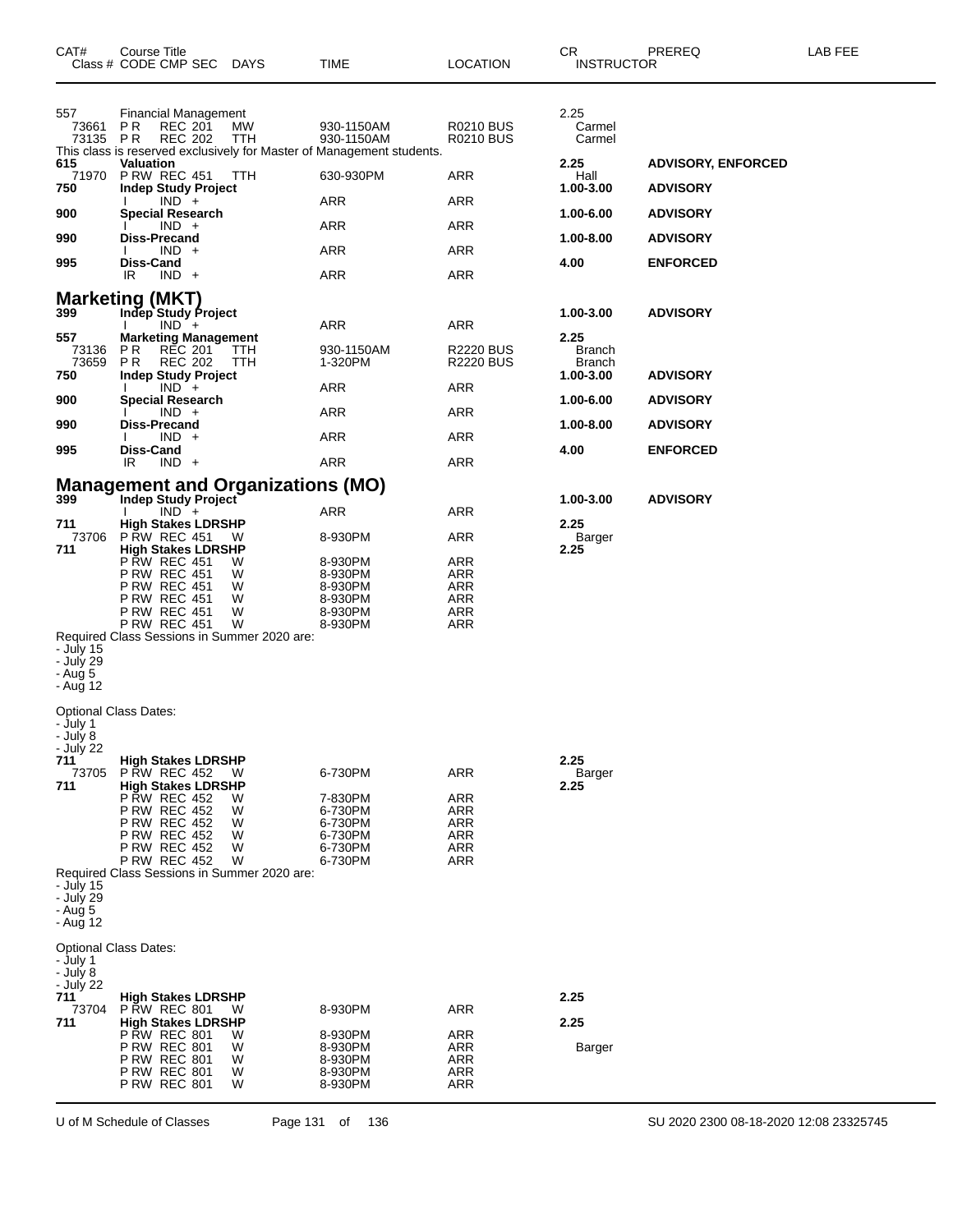| CAT#                                          | Course Title<br>Class # CODE CMP SEC<br>DAYS                                                                                                                                                                                   | TIME                                                                                              | LOCATION                                      | CR.<br><b>INSTRUCTOR</b>               | PREREQ                                       | LAB FEE |
|-----------------------------------------------|--------------------------------------------------------------------------------------------------------------------------------------------------------------------------------------------------------------------------------|---------------------------------------------------------------------------------------------------|-----------------------------------------------|----------------------------------------|----------------------------------------------|---------|
| 557<br>73661<br>73135                         | Financial Management<br>P R<br><b>REC 201</b><br>MW<br><b>REC 202</b><br>P R<br>TTH                                                                                                                                            | 930-1150AM<br>930-1150AM<br>This class is reserved exclusively for Master of Management students. | R0210 BUS<br>R0210 BUS                        | 2.25<br>Carmel<br>Carmel               |                                              |         |
| 615<br>71970<br>750                           | Valuation<br><b>P RW REC 451</b><br>TTH<br><b>Indep Study Project</b>                                                                                                                                                          | 630-930PM                                                                                         | ARR                                           | 2.25<br>Hall<br>1.00-3.00              | <b>ADVISORY, ENFORCED</b><br><b>ADVISORY</b> |         |
| 900                                           | $IND +$<br><b>Special Research</b>                                                                                                                                                                                             | ARR                                                                                               | ARR                                           | 1.00-6.00                              | <b>ADVISORY</b>                              |         |
| 990                                           | $IND +$<br>Diss-Precand                                                                                                                                                                                                        | ARR                                                                                               | <b>ARR</b>                                    | 1.00-8.00                              | <b>ADVISORY</b>                              |         |
|                                               | $IND +$                                                                                                                                                                                                                        | ARR                                                                                               | ARR                                           |                                        |                                              |         |
| 995                                           | Diss-Cand<br>IR<br>$IND +$                                                                                                                                                                                                     | <b>ARR</b>                                                                                        | ARR                                           | 4.00                                   | <b>ENFORCED</b>                              |         |
|                                               | <b>Marketing (MKT)</b>                                                                                                                                                                                                         |                                                                                                   |                                               |                                        |                                              |         |
| 399                                           | Indep Study Project<br>$IND +$                                                                                                                                                                                                 | ARR                                                                                               | ARR                                           | 1.00-3.00                              | <b>ADVISORY</b>                              |         |
| 557<br>73136<br>73659                         | <b>Marketing Management</b><br>P R<br>REC 201<br>TTH<br><b>REC 202</b><br>PR.<br>TTH                                                                                                                                           | 930-1150AM<br>1-320PM                                                                             | <b>R2220 BUS</b><br><b>R2220 BUS</b>          | 2.25<br><b>Branch</b><br><b>Branch</b> |                                              |         |
| 750                                           | <b>Indep Study Project</b><br>$IND +$                                                                                                                                                                                          | <b>ARR</b>                                                                                        | ARR                                           | 1.00-3.00                              | <b>ADVISORY</b>                              |         |
| 900                                           | <b>Special Research</b><br>$IND +$                                                                                                                                                                                             | ARR                                                                                               | <b>ARR</b>                                    | 1.00-6.00                              | <b>ADVISORY</b>                              |         |
| 990                                           | Diss-Precand<br>$IND +$                                                                                                                                                                                                        | ARR                                                                                               | ARR                                           | 1.00-8.00                              | <b>ADVISORY</b>                              |         |
| 995                                           | Diss-Cand<br>IR<br>$IND +$                                                                                                                                                                                                     | <b>ARR</b>                                                                                        | <b>ARR</b>                                    | 4.00                                   | <b>ENFORCED</b>                              |         |
|                                               | <b>Management and Organizations (MO)</b>                                                                                                                                                                                       |                                                                                                   |                                               |                                        |                                              |         |
| 399                                           | Indep Study Project<br>$IND +$                                                                                                                                                                                                 | ARR                                                                                               | ARR                                           | 1.00-3.00                              | <b>ADVISORY</b>                              |         |
| 711<br>73706                                  | <b>High Stakes LDRSHP</b><br><b>P RW REC 451</b><br>W.                                                                                                                                                                         | 8-930PM                                                                                           | ARR                                           | 2.25<br>Barger                         |                                              |         |
| 711                                           | <b>High Stakes LDRSHP</b><br><b>P RW REC 451</b>                                                                                                                                                                               |                                                                                                   |                                               | 2.25                                   |                                              |         |
|                                               | w<br>P RW REC 451<br>W<br>P RW REC 451<br>W<br><b>P RW REC 451</b><br>W<br>P RW REC 451<br>W<br><b>P RW REC 451</b><br>W                                                                                                       | 8-930PM<br>8-930PM<br>8-930PM<br>8-930PM<br>8-930PM<br>8-930PM                                    | ARR<br>ARR<br>ARR<br>ARR<br>ARR<br>ARR        |                                        |                                              |         |
| - July 15<br>- July 29<br>- Aug 5<br>- Aug 12 | Required Class Sessions in Summer 2020 are:                                                                                                                                                                                    |                                                                                                   |                                               |                                        |                                              |         |
| - July 1<br>- July 8                          | <b>Optional Class Dates:</b>                                                                                                                                                                                                   |                                                                                                   |                                               |                                        |                                              |         |
| - July 22<br>711<br>73705<br>711              | <b>High Stakes LDRSHP</b><br><b>P RW REC 452</b><br>W<br><b>High Stakes LDRSHP</b><br><b>P RW REC 452</b><br>W<br><b>P RW REC 452</b><br>W<br><b>P RW REC 452</b><br>W<br><b>P RW REC 452</b><br>W<br><b>P RW REC 452</b><br>W | 6-730PM<br>7-830PM<br>6-730PM<br>6-730PM<br>6-730PM<br>6-730PM                                    | <b>ARR</b><br>ARR<br>ARR<br>ARR<br>ARR<br>ARR | 2.25<br><b>Barger</b><br>2.25          |                                              |         |
| - July 15<br>- July 29<br>- Aug 5<br>- Aug 12 | <b>P RW REC 452</b><br>W<br>Required Class Sessions in Summer 2020 are:                                                                                                                                                        | 6-730PM                                                                                           | ARR                                           |                                        |                                              |         |
|                                               | <b>Optional Class Dates:</b>                                                                                                                                                                                                   |                                                                                                   |                                               |                                        |                                              |         |
| - July 1<br>- July 8                          |                                                                                                                                                                                                                                |                                                                                                   |                                               |                                        |                                              |         |
| - July 22<br>711<br>73704<br>711              | <b>High Stakes LDRSHP</b><br><b>P RW REC 801</b><br>W<br><b>High Stakes LDRSHP</b>                                                                                                                                             | 8-930PM                                                                                           | <b>ARR</b>                                    | 2.25<br>2.25                           |                                              |         |
|                                               | P RW REC 801<br>W<br><b>P RW REC 801</b><br>W<br><b>P RW REC 801</b><br>W<br><b>P RW REC 801</b><br>W<br><b>P RW REC 801</b><br>W                                                                                              | 8-930PM<br>8-930PM<br>8-930PM<br>8-930PM<br>8-930PM                                               | ARR<br>ARR<br>ARR<br>ARR<br>ARR               | Barger                                 |                                              |         |

U of M Schedule of Classes Page 131 of 136 SU 2020 2300 08-18-2020 12:08 23325745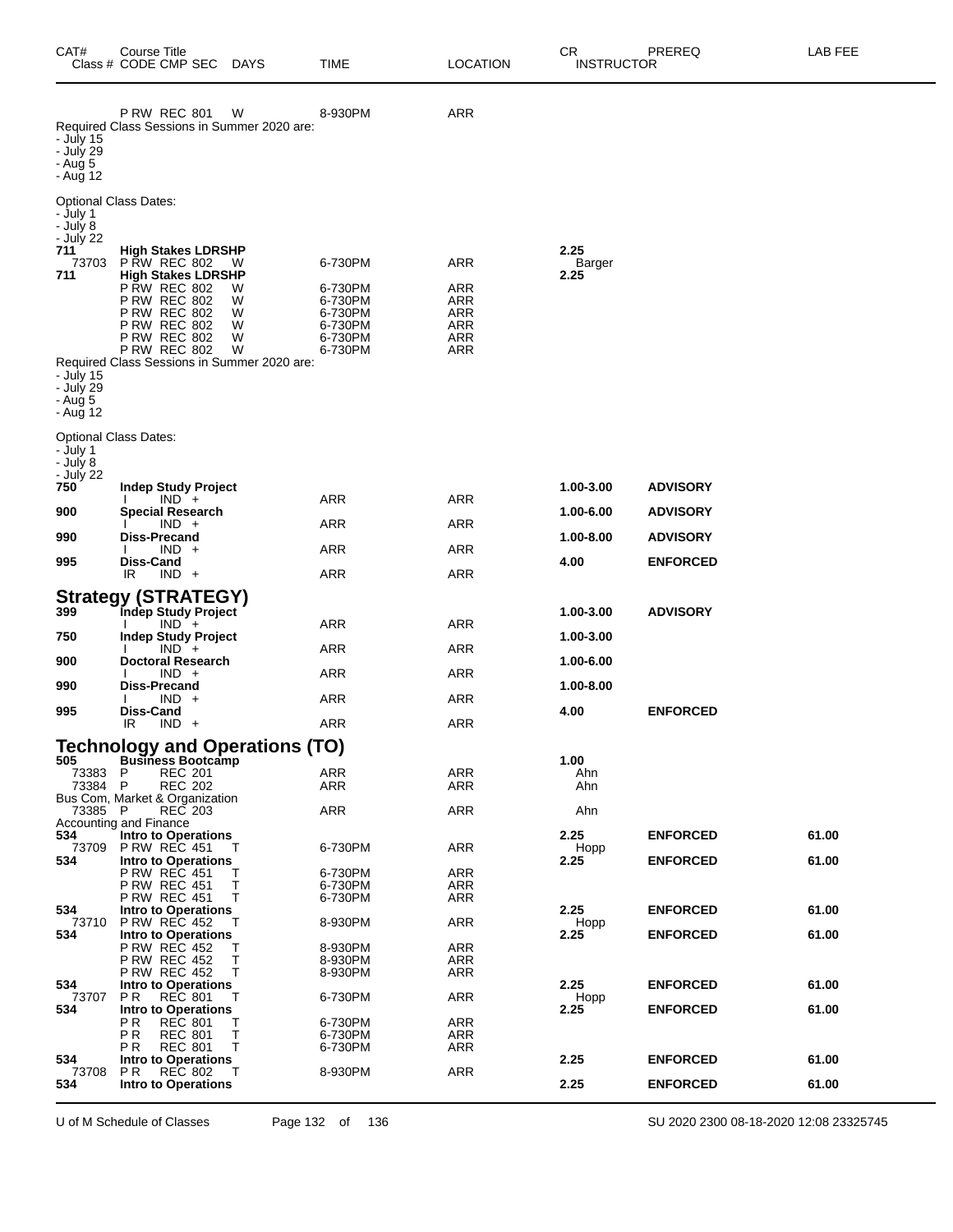| CAT#                                                                                                        | Course Title<br>Class # CODE CMP SEC                                                                                                                                                                                                                                                            | <b>DAYS</b>                     | TIME                                                                      | <b>LOCATION</b>                                                    | CR<br><b>INSTRUCTOR</b> | PREREQ          | LAB FEE |
|-------------------------------------------------------------------------------------------------------------|-------------------------------------------------------------------------------------------------------------------------------------------------------------------------------------------------------------------------------------------------------------------------------------------------|---------------------------------|---------------------------------------------------------------------------|--------------------------------------------------------------------|-------------------------|-----------------|---------|
| - July 15<br>- July 29<br>- Aug 5<br>- Aug 12                                                               | <b>P RW REC 801</b><br>Required Class Sessions in Summer 2020 are:                                                                                                                                                                                                                              | W                               | 8-930PM                                                                   | <b>ARR</b>                                                         |                         |                 |         |
| - July 1<br>- July 8<br>- July 22<br>711<br>73703<br>711<br>- July 15<br>- July 29<br>$-$ Aug 5<br>- Aug 12 | <b>Optional Class Dates:</b><br><b>High Stakes LDRSHP</b><br><b>P RW REC 802</b><br><b>High Stakes LDRSHP</b><br><b>P RW REC 802</b><br><b>P RW REC 802</b><br>P RW REC 802<br><b>P RW REC 802</b><br><b>P RW REC 802</b><br><b>P RW REC 802</b><br>Required Class Sessions in Summer 2020 are: | W<br>W<br>W<br>W<br>W<br>W<br>W | 6-730PM<br>6-730PM<br>6-730PM<br>6-730PM<br>6-730PM<br>6-730PM<br>6-730PM | <b>ARR</b><br><b>ARR</b><br>ARR<br>ARR<br><b>ARR</b><br>ARR<br>ARR | 2.25<br>Barger<br>2.25  |                 |         |
| - July 1<br>- July 8<br>- July 22<br>750                                                                    | <b>Optional Class Dates:</b><br><b>Indep Study Project</b>                                                                                                                                                                                                                                      |                                 |                                                                           |                                                                    | 1.00-3.00               | <b>ADVISORY</b> |         |
| 900                                                                                                         | $IND +$<br><b>Special Research</b>                                                                                                                                                                                                                                                              |                                 | ARR                                                                       | ARR                                                                | 1.00-6.00               | <b>ADVISORY</b> |         |
| 990                                                                                                         | $IND +$<br>Diss-Precand                                                                                                                                                                                                                                                                         |                                 | ARR                                                                       | <b>ARR</b>                                                         | 1.00-8.00               | <b>ADVISORY</b> |         |
|                                                                                                             | $IND +$                                                                                                                                                                                                                                                                                         |                                 | ARR                                                                       | <b>ARR</b>                                                         |                         |                 |         |
| 995                                                                                                         | Diss-Cand<br>IR<br>$IND +$                                                                                                                                                                                                                                                                      |                                 | ARR                                                                       | ARR                                                                | 4.00                    | <b>ENFORCED</b> |         |
| 399<br>750                                                                                                  | <b>Strategy (STRATEGY)</b><br>Indep Study Project<br>$IND +$<br><b>Indep Study Project</b>                                                                                                                                                                                                      |                                 | ARR                                                                       | ARR                                                                | 1.00-3.00<br>1.00-3.00  | <b>ADVISORY</b> |         |
| 900                                                                                                         | $IND +$<br><b>Doctoral Research</b>                                                                                                                                                                                                                                                             |                                 | ARR                                                                       | <b>ARR</b>                                                         | 1.00-6.00               |                 |         |
| 990                                                                                                         | $IND +$<br>Diss-Precand                                                                                                                                                                                                                                                                         |                                 | ARR                                                                       | <b>ARR</b>                                                         | 1.00-8.00               |                 |         |
|                                                                                                             | $IND +$                                                                                                                                                                                                                                                                                         |                                 | ARR                                                                       | <b>ARR</b>                                                         |                         |                 |         |
| 995                                                                                                         | <b>Diss-Cand</b><br>$IND +$<br>IR                                                                                                                                                                                                                                                               |                                 | ARR                                                                       | ARR                                                                | 4.00                    | <b>ENFORCED</b> |         |
|                                                                                                             | <b>Technology and Operations (TO)</b>                                                                                                                                                                                                                                                           |                                 |                                                                           |                                                                    |                         |                 |         |
| 505<br>73383<br>73384 P                                                                                     | <b>Business Bootcamp</b><br><b>REC 201</b><br>P<br><b>REC 202</b><br>Bus Com, Market & Organization                                                                                                                                                                                             |                                 | ARR<br><b>ARR</b>                                                         | ARR<br>ARR                                                         | 1.00<br>Ahn<br>Ahn      |                 |         |
| 73385 P                                                                                                     | REC 203<br>Accounting and Finance                                                                                                                                                                                                                                                               |                                 | <b>ARR</b>                                                                | <b>ARR</b>                                                         | Ahn                     |                 |         |
| 534<br>73709                                                                                                | <b>Intro to Operations</b><br><b>P RW REC 451</b>                                                                                                                                                                                                                                               | т                               | 6-730PM                                                                   | <b>ARR</b>                                                         | 2.25<br>Hopp            | <b>ENFORCED</b> | 61.00   |
| 534                                                                                                         | <b>Intro to Operations</b><br>P RW REC 451                                                                                                                                                                                                                                                      | Т                               | 6-730PM                                                                   | <b>ARR</b>                                                         | 2.25                    | <b>ENFORCED</b> | 61.00   |
|                                                                                                             | <b>P RW REC 451</b>                                                                                                                                                                                                                                                                             | Т                               | 6-730PM                                                                   | ARR                                                                |                         |                 |         |
| 534                                                                                                         | <b>P RW REC 451</b><br><b>Intro to Operations</b>                                                                                                                                                                                                                                               | Т                               | 6-730PM                                                                   | ARR                                                                | 2.25                    | <b>ENFORCED</b> | 61.00   |
| 73710<br>534                                                                                                | <b>P RW REC 452</b><br><b>Intro to Operations</b>                                                                                                                                                                                                                                               | т                               | 8-930PM                                                                   | <b>ARR</b>                                                         | Hopp<br>2.25            | <b>ENFORCED</b> | 61.00   |
|                                                                                                             | <b>P RW REC 452</b><br><b>P RW REC 452</b>                                                                                                                                                                                                                                                      | Т<br>Т                          | 8-930PM<br>8-930PM                                                        | <b>ARR</b><br>ARR                                                  |                         |                 |         |
| 534                                                                                                         | <b>P RW REC 452</b><br><b>Intro to Operations</b>                                                                                                                                                                                                                                               | Т                               | 8-930PM                                                                   | ARR                                                                | 2.25                    | <b>ENFORCED</b> | 61.00   |
| 73707<br>534                                                                                                | <b>REC 801</b><br>P R<br><b>Intro to Operations</b>                                                                                                                                                                                                                                             | т                               | 6-730PM                                                                   | <b>ARR</b>                                                         | Hopp<br>2.25            | <b>ENFORCED</b> | 61.00   |
|                                                                                                             | P R<br><b>REC 801</b><br>PR.<br><b>REC 801</b>                                                                                                                                                                                                                                                  | Т<br>Т                          | 6-730PM<br>6-730PM                                                        | <b>ARR</b><br>ARR                                                  |                         |                 |         |
|                                                                                                             | <b>REC 801</b><br>P R                                                                                                                                                                                                                                                                           | Т                               | 6-730PM                                                                   | ARR                                                                |                         |                 |         |
| 534<br>73708                                                                                                | <b>Intro to Operations</b><br><b>REC 802</b><br>P R                                                                                                                                                                                                                                             | Т                               | 8-930PM                                                                   | <b>ARR</b>                                                         | 2.25                    | <b>ENFORCED</b> | 61.00   |
| 534                                                                                                         | Intro to Operations                                                                                                                                                                                                                                                                             |                                 |                                                                           |                                                                    | 2.25                    | <b>ENFORCED</b> | 61.00   |

U of M Schedule of Classes Page 132 of 136 SU 2020 2300 08-18-2020 12:08 23325745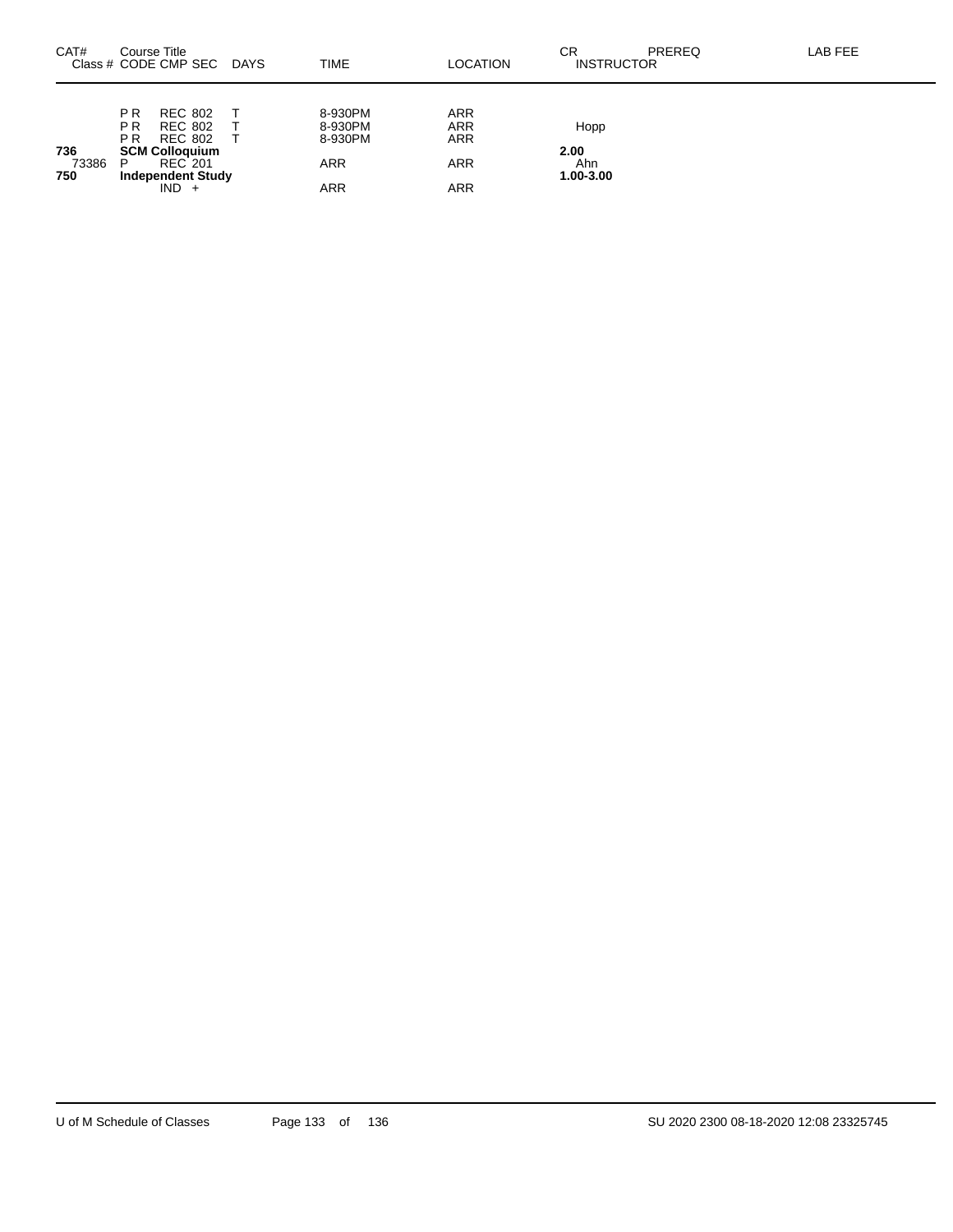| CAT#                | Course Title                                       | Class # CODE CMP SEC                                                    | <b>DAYS</b> | <b>TIME</b>                   | <b>LOCATION</b>                        | СR<br>PREREQ<br><b>INSTRUCTOR</b> | LAB FEE |
|---------------------|----------------------------------------------------|-------------------------------------------------------------------------|-------------|-------------------------------|----------------------------------------|-----------------------------------|---------|
|                     | P <sub>R</sub><br>P <sub>R</sub><br>P <sub>R</sub> | <b>REC 802</b><br><b>REC 802</b><br>REC 802                             |             | 8-930PM<br>8-930PM<br>8-930PM | <b>ARR</b><br><b>ARR</b><br><b>ARR</b> | Hopp                              |         |
| 736<br>73386<br>750 | P                                                  | <b>SCM Colloquium</b><br>REC 201<br><b>Independent Study</b><br>$IND +$ |             | <b>ARR</b><br>ARR             | <b>ARR</b><br>ARR                      | 2.00<br>Ahn<br>1.00-3.00          |         |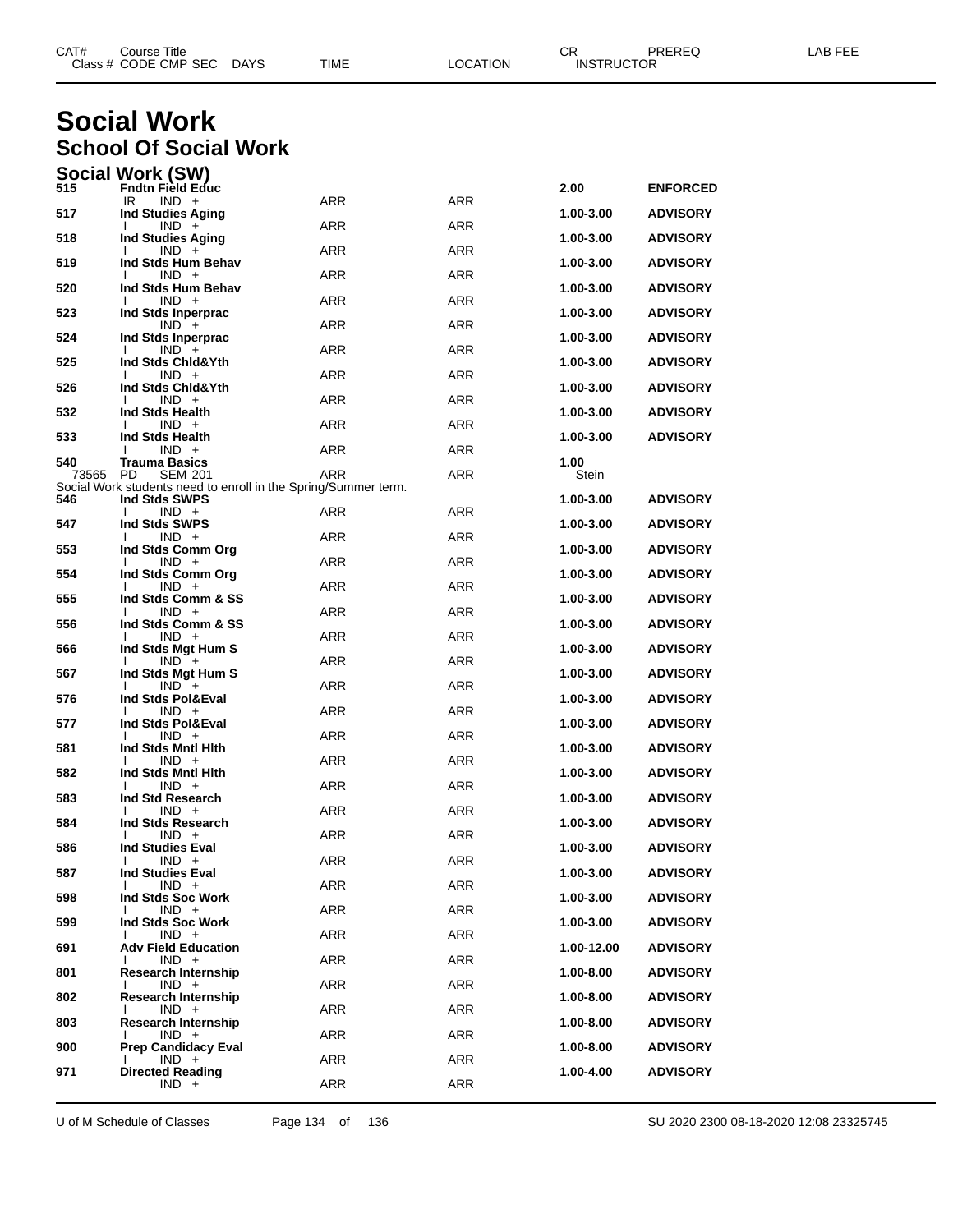| CAT# | Title<br>Course '    |             |      |          | Ωn<br>- UN        | PREREQ | AR FFF |
|------|----------------------|-------------|------|----------|-------------------|--------|--------|
|      | Class # CODE CMP SEC | <b>DAYS</b> | TIME | LOCATION | <b>INSTRUCTOR</b> |        |        |
|      |                      |             |      |          |                   |        |        |

# **Social Work School Of Social Work**

|              | Social Work (SW)                                                                |            |            |               |                 |
|--------------|---------------------------------------------------------------------------------|------------|------------|---------------|-----------------|
| 515          | Fndtn Field Educ<br>IR.<br>$IND +$                                              | <b>ARR</b> | <b>ARR</b> | 2.00          | <b>ENFORCED</b> |
| 517          | <b>Ind Studies Aging</b>                                                        | <b>ARR</b> | <b>ARR</b> | 1.00-3.00     | <b>ADVISORY</b> |
| 518          | $IND +$<br><b>Ind Studies Aging</b>                                             |            |            | 1.00-3.00     | <b>ADVISORY</b> |
| 519          | $IND +$<br>Ind Stds Hum Behav                                                   | ARR        | <b>ARR</b> | 1.00-3.00     | <b>ADVISORY</b> |
| 520          | $IND +$<br>Ind Stds Hum Behav                                                   | <b>ARR</b> | <b>ARR</b> | 1.00-3.00     | <b>ADVISORY</b> |
| 523          | $IND +$<br>Ind Stds Inperprac                                                   | <b>ARR</b> | <b>ARR</b> | 1.00-3.00     | <b>ADVISORY</b> |
| 524          | $IND +$<br>Ind Stds Inperprac                                                   | ARR        | <b>ARR</b> | 1.00-3.00     | <b>ADVISORY</b> |
| 525          | $IND +$<br>Ind Stds Chid&Yth                                                    | <b>ARR</b> | <b>ARR</b> | 1.00-3.00     | <b>ADVISORY</b> |
| 526          | $IND +$<br>Ind Stds Chid&Yth                                                    | <b>ARR</b> | <b>ARR</b> | 1.00-3.00     | <b>ADVISORY</b> |
|              | $IND +$                                                                         | ARR        | <b>ARR</b> |               |                 |
| 532          | Ind Stds Health<br>$IND +$                                                      | <b>ARR</b> | <b>ARR</b> | 1.00-3.00     | <b>ADVISORY</b> |
| 533          | Ind Stds Health<br>$IND +$                                                      | <b>ARR</b> | <b>ARR</b> | 1.00-3.00     | <b>ADVISORY</b> |
| 540<br>73565 | <b>Trauma Basics</b><br>PD<br><b>SEM 201</b>                                    | <b>ARR</b> | ARR        | 1.00<br>Stein |                 |
| 546          | Social Work students need to enroll in the Spring/Summer term.<br>Ind Stds SWPS |            |            | 1.00-3.00     | <b>ADVISORY</b> |
| 547          | $IND +$<br>Ind Stds SWPS                                                        | ARR        | <b>ARR</b> | 1.00-3.00     | <b>ADVISORY</b> |
| 553          | $IND +$<br>Ind Stds Comm Org                                                    | ARR        | <b>ARR</b> | 1.00-3.00     | <b>ADVISORY</b> |
| 554          | $IND +$                                                                         | ARR        | <b>ARR</b> |               |                 |
|              | Ind Stds Comm Org<br>$IND +$                                                    | ARR        | <b>ARR</b> | 1.00-3.00     | <b>ADVISORY</b> |
| 555          | Ind Stds Comm & SS<br>$IND +$                                                   | ARR        | <b>ARR</b> | 1.00-3.00     | <b>ADVISORY</b> |
| 556          | Ind Stds Comm & SS<br>$IND +$                                                   | ARR        | <b>ARR</b> | 1.00-3.00     | <b>ADVISORY</b> |
| 566          | Ind Stds Mgt Hum S<br>$IND +$                                                   | ARR        | <b>ARR</b> | 1.00-3.00     | <b>ADVISORY</b> |
| 567          | Ind Stds Mgt Hum S<br>$IND +$                                                   | ARR        | <b>ARR</b> | 1.00-3.00     | <b>ADVISORY</b> |
| 576          | Ind Stds Pol&Eval<br>$IND +$                                                    | ARR        | <b>ARR</b> | 1.00-3.00     | <b>ADVISORY</b> |
| 577          | Ind Stds Pol&Eval<br>$IND +$                                                    | ARR        | <b>ARR</b> | 1.00-3.00     | <b>ADVISORY</b> |
| 581          | Ind Stds Mntl Hith                                                              |            | <b>ARR</b> | 1.00-3.00     | <b>ADVISORY</b> |
| 582          | $IND +$<br>Ind Stds Mntl Hith                                                   | ARR        |            | 1.00-3.00     | <b>ADVISORY</b> |
| 583          | $IND +$<br>Ind Std Research                                                     | ARR        | <b>ARR</b> | 1.00-3.00     | <b>ADVISORY</b> |
| 584          | $IND +$<br>Ind Stds Research                                                    | ARR        | <b>ARR</b> | 1.00-3.00     | <b>ADVISORY</b> |
| 586          | $IND +$<br><b>Ind Studies Eval</b>                                              | <b>ARR</b> | <b>ARR</b> | 1.00-3.00     | <b>ADVISORY</b> |
| 587          | $IND +$<br><b>Ind Studies Eval</b>                                              | ARR        | ARR        | 1.00-3.00     | <b>ADVISORY</b> |
| 598          | $IND +$<br>Ind Stds Soc Work                                                    | ARR        | ARR        | 1.00-3.00     | <b>ADVISORY</b> |
| 599          | $IND +$<br>Ind Stds Soc Work                                                    | ARR        | ARR        | 1.00-3.00     | <b>ADVISORY</b> |
|              | $IND +$                                                                         | ARR        | ARR        |               |                 |
| 691          | <b>Adv Field Education</b><br>$IND +$                                           | ARR        | ARR        | 1.00-12.00    | <b>ADVISORY</b> |
| 801          | <b>Research Internship</b><br>$IND +$                                           | ARR        | ARR        | 1.00-8.00     | <b>ADVISORY</b> |
| 802          | <b>Research Internship</b><br>$IND +$                                           | ARR        | ARR        | 1.00-8.00     | <b>ADVISORY</b> |
| 803          | <b>Research Internship</b><br>$IND +$                                           | ARR        | ARR        | 1.00-8.00     | ADVISORY        |
| 900          | <b>Prep Candidacy Eval</b><br>$IND +$                                           | ARR        | <b>ARR</b> | 1.00-8.00     | <b>ADVISORY</b> |
| 971          | <b>Directed Reading</b><br>$IND +$                                              | ARR        | ARR        | 1.00-4.00     | <b>ADVISORY</b> |
|              |                                                                                 |            |            |               |                 |

U of M Schedule of Classes Page 134 of 136 SU 2020 2300 08-18-2020 12:08 23325745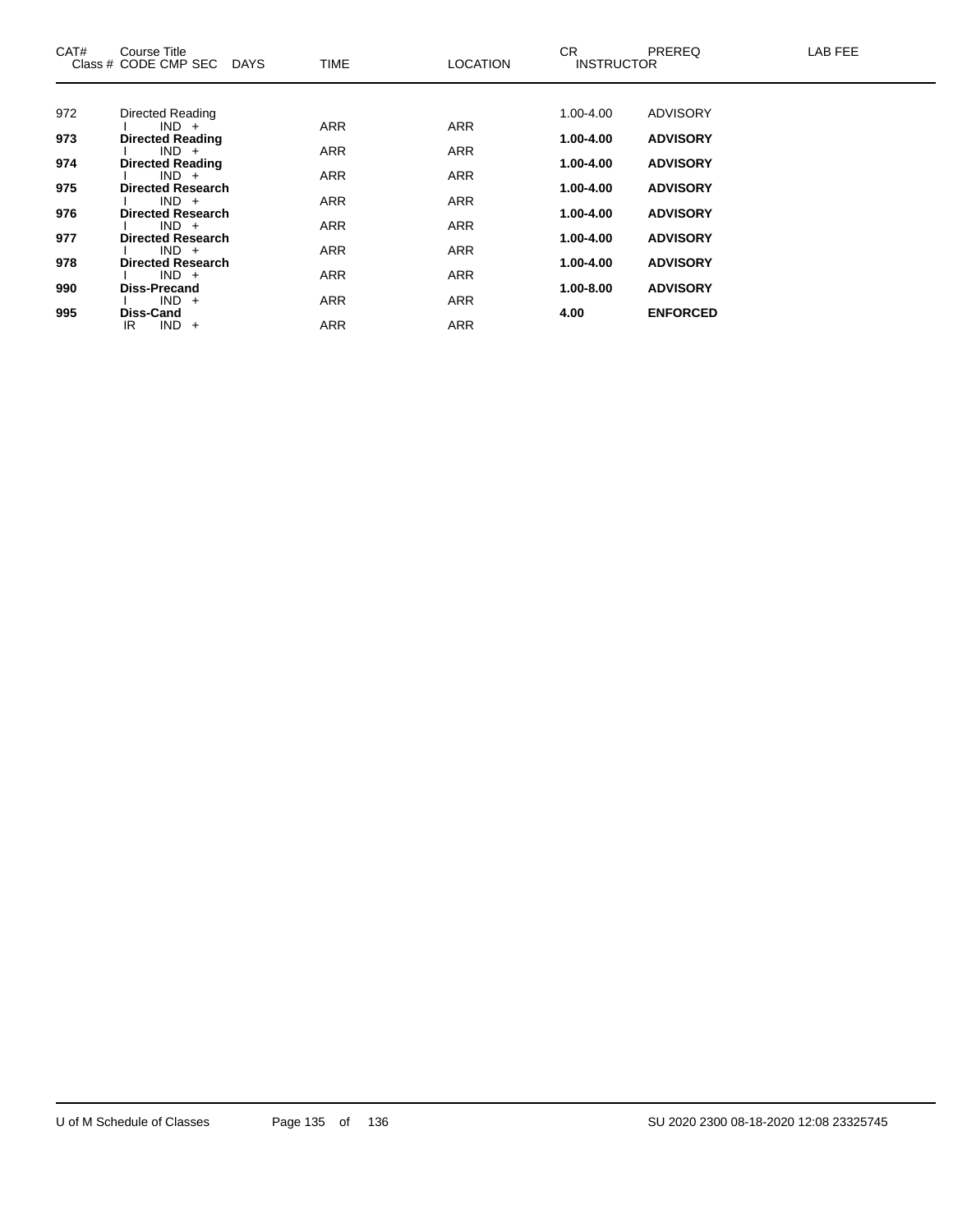| CAT# | <b>Course Title</b><br>Class # CODE CMP SEC DAYS | TIME       | <b>LOCATION</b> | CR.<br><b>INSTRUCTOR</b> | <b>PREREQ</b>   | LAB FEE |
|------|--------------------------------------------------|------------|-----------------|--------------------------|-----------------|---------|
|      |                                                  |            |                 |                          |                 |         |
| 972  | Directed Reading                                 |            |                 | $1.00 - 4.00$            | <b>ADVISORY</b> |         |
| 973  | $IND +$<br><b>Directed Reading</b>               | <b>ARR</b> | <b>ARR</b>      | 1.00-4.00                | <b>ADVISORY</b> |         |
|      | $IND +$                                          | <b>ARR</b> | <b>ARR</b>      |                          |                 |         |
| 974  | <b>Directed Reading</b>                          |            |                 | 1.00-4.00                | <b>ADVISORY</b> |         |
| 975  | $IND +$<br><b>Directed Research</b>              | <b>ARR</b> | <b>ARR</b>      | 1.00-4.00                | <b>ADVISORY</b> |         |
|      | $IND +$                                          | <b>ARR</b> | <b>ARR</b>      |                          |                 |         |
| 976  | <b>Directed Research</b>                         |            |                 | 1.00-4.00                | <b>ADVISORY</b> |         |
| 977  | $IND +$<br><b>Directed Research</b>              | <b>ARR</b> | <b>ARR</b>      | 1.00-4.00                | <b>ADVISORY</b> |         |
|      | $IND +$                                          | <b>ARR</b> | <b>ARR</b>      |                          |                 |         |
| 978  | <b>Directed Research</b>                         |            |                 | 1.00-4.00                | <b>ADVISORY</b> |         |
| 990  | $IND +$<br><b>Diss-Precand</b>                   | <b>ARR</b> | <b>ARR</b>      | 1.00-8.00                | <b>ADVISORY</b> |         |
|      | $IND +$                                          | <b>ARR</b> | <b>ARR</b>      |                          |                 |         |
| 995  | <b>Diss-Cand</b>                                 |            |                 | 4.00                     | <b>ENFORCED</b> |         |
|      | $IND +$<br>IR                                    | <b>ARR</b> | <b>ARR</b>      |                          |                 |         |